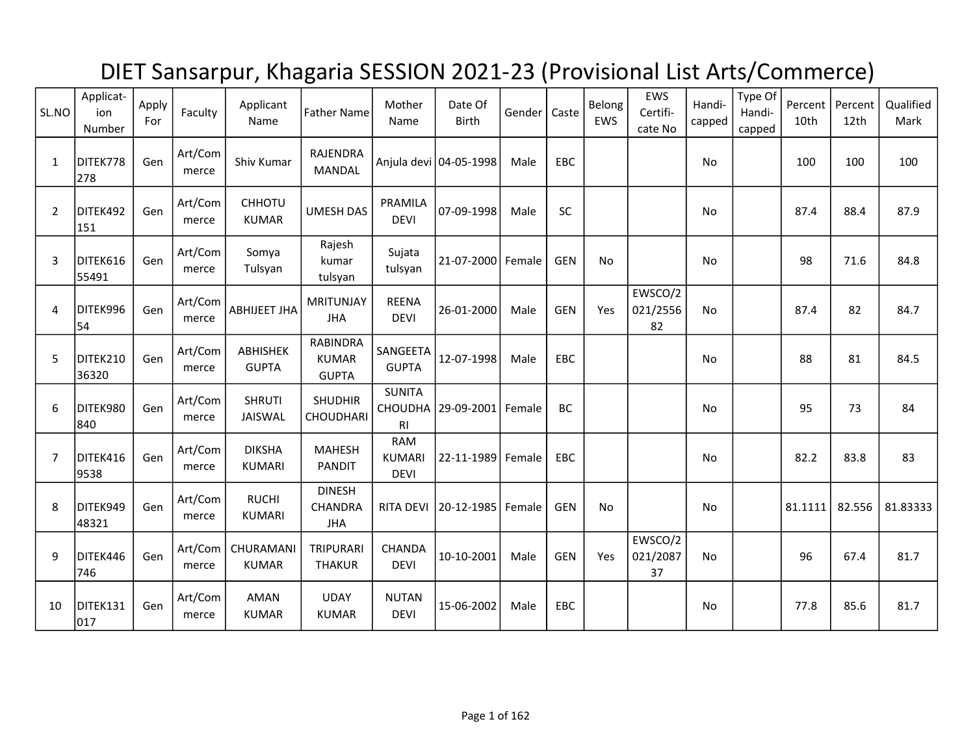## DIET Sansarpur, Khagaria SESSION 2021-23 (Provisional List Arts/Commerce)

| SL.NO          | Applicat-<br>ion<br>Number | Apply<br>For | Faculty          | Applicant<br>Name              | <b>Father Name</b>                              | Mother<br>Name                             | Date Of<br><b>Birth</b> | Gender | Caste      | Belong<br>EWS | EWS<br>Certifi-<br>cate No | Handi-<br>capped | Type Of<br>Handi-<br>capped | Percent<br>10 <sub>th</sub> | Percent<br>12th | Qualified<br>Mark |
|----------------|----------------------------|--------------|------------------|--------------------------------|-------------------------------------------------|--------------------------------------------|-------------------------|--------|------------|---------------|----------------------------|------------------|-----------------------------|-----------------------------|-----------------|-------------------|
| $\mathbf{1}$   | DITEK778<br>278            | Gen          | Art/Com<br>merce | Shiv Kumar                     | RAJENDRA<br><b>MANDAL</b>                       |                                            | Anjula devi 04-05-1998  | Male   | EBC        |               |                            | No               |                             | 100                         | 100             | 100               |
| $\overline{2}$ | DITEK492<br>151            | Gen          | Art/Com<br>merce | CHHOTU<br><b>KUMAR</b>         | <b>UMESH DAS</b>                                | PRAMILA<br><b>DEVI</b>                     | 07-09-1998              | Male   | SC         |               |                            | No               |                             | 87.4                        | 88.4            | 87.9              |
| 3              | DITEK616<br>55491          | Gen          | Art/Com<br>merce | Somya<br>Tulsyan               | Rajesh<br>kumar<br>tulsyan                      | Sujata<br>tulsyan                          | 21-07-2000 Female       |        | <b>GEN</b> | <b>No</b>     |                            | No               |                             | 98                          | 71.6            | 84.8              |
| 4              | DITEK996<br>54             | Gen          | Art/Com<br>merce | <b>ABHIJEET JHA</b>            | MRITUNJAY<br><b>JHA</b>                         | <b>REENA</b><br><b>DEVI</b>                | 26-01-2000              | Male   | <b>GEN</b> | Yes           | EWSCO/2<br>021/2556<br>82  | No               |                             | 87.4                        | 82              | 84.7              |
| 5              | DITEK210<br>36320          | Gen          | Art/Com<br>merce | ABHISHEK<br><b>GUPTA</b>       | <b>RABINDRA</b><br><b>KUMAR</b><br><b>GUPTA</b> | SANGEETA<br><b>GUPTA</b>                   | 12-07-1998              | Male   | EBC        |               |                            | <b>No</b>        |                             | 88                          | 81              | 84.5              |
| 6              | DITEK980<br>840            | Gen          | Art/Com<br>merce | <b>SHRUTI</b><br>JAISWAL       | <b>SHUDHIR</b><br><b>CHOUDHARI</b>              | <b>SUNITA</b><br>R <sub>l</sub>            | CHOUDHA 29-09-2001      | Female | BC         |               |                            | No               |                             | 95                          | 73              | 84                |
| $\overline{7}$ | DITEK416<br>9538           | Gen          | Art/Com<br>merce | <b>DIKSHA</b><br><b>KUMARI</b> | <b>MAHESH</b><br><b>PANDIT</b>                  | <b>RAM</b><br><b>KUMARI</b><br><b>DEVI</b> | 22-11-1989 Female       |        | <b>EBC</b> |               |                            | No               |                             | 82.2                        | 83.8            | 83                |
| 8              | DITEK949<br>48321          | Gen          | Art/Com<br>merce | <b>RUCHI</b><br><b>KUMARI</b>  | <b>DINESH</b><br>CHANDRA<br><b>JHA</b>          | <b>RITA DEVI</b>                           | 20-12-1985              | Female | <b>GEN</b> | <b>No</b>     |                            | No               |                             | 81.1111                     | 82.556          | 81.83333          |
| 9              | DITEK446<br>746            | Gen          | Art/Com<br>merce | CHURAMANI<br><b>KUMAR</b>      | TRIPURARI<br><b>THAKUR</b>                      | CHANDA<br><b>DEVI</b>                      | 10-10-2001              | Male   | <b>GEN</b> | Yes           | EWSCO/2<br>021/2087<br>37  | <b>No</b>        |                             | 96                          | 67.4            | 81.7              |
| 10             | DITEK131<br>017            | Gen          | Art/Com<br>merce | <b>AMAN</b><br><b>KUMAR</b>    | <b>UDAY</b><br><b>KUMAR</b>                     | <b>NUTAN</b><br><b>DEVI</b>                | 15-06-2002              | Male   | EBC        |               |                            | No               |                             | 77.8                        | 85.6            | 81.7              |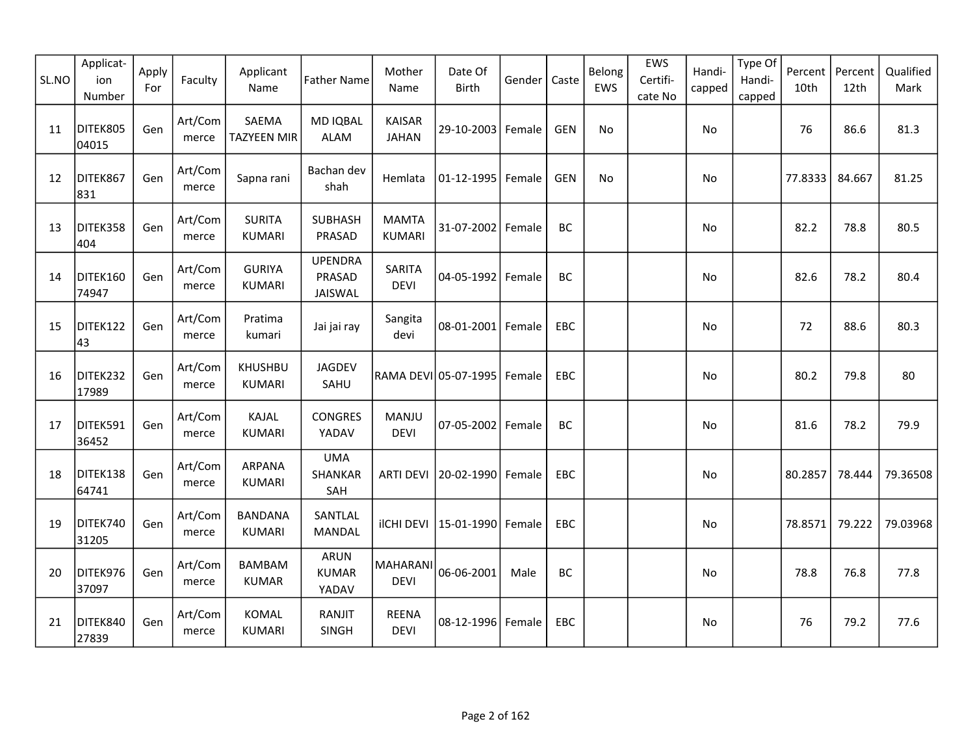| SL.NO | Applicat-<br>ion<br>Number | Apply<br>For | Faculty          | Applicant<br>Name               | <b>Father Name</b>                   | Mother<br>Name                 | Date Of<br>Birth     | Gender | Caste      | Belong<br>EWS | EWS<br>Certifi-<br>cate No | Handi-<br>capped | Type Of<br>Handi-<br>capped | Percent<br>10th | Percent<br>12th | Qualified<br>Mark |
|-------|----------------------------|--------------|------------------|---------------------------------|--------------------------------------|--------------------------------|----------------------|--------|------------|---------------|----------------------------|------------------|-----------------------------|-----------------|-----------------|-------------------|
| 11    | DITEK805<br>04015          | Gen          | Art/Com<br>merce | SAEMA<br><b>TAZYEEN MIR</b>     | <b>MD IQBAL</b><br><b>ALAM</b>       | <b>KAISAR</b><br><b>JAHAN</b>  | 29-10-2003 Female    |        | <b>GEN</b> | No            |                            | No               |                             | 76              | 86.6            | 81.3              |
| 12    | DITEK867<br>831            | Gen          | Art/Com<br>merce | Sapna rani                      | Bachan dev<br>shah                   | Hemlata                        | $01 - 12 - 1995$     | Female | <b>GEN</b> | No            |                            | No               |                             | 77.8333         | 84.667          | 81.25             |
| 13    | DITEK358<br>404            | Gen          | Art/Com<br>merce | <b>SURITA</b><br><b>KUMARI</b>  | <b>SUBHASH</b><br>PRASAD             | <b>MAMTA</b><br><b>KUMARI</b>  | 31-07-2002           | Female | BC         |               |                            | No               |                             | 82.2            | 78.8            | 80.5              |
| 14    | DITEK160<br>74947          | Gen          | Art/Com<br>merce | <b>GURIYA</b><br>KUMARI         | <b>UPENDRA</b><br>PRASAD<br>JAISWAL  | SARITA<br><b>DEVI</b>          | $04 - 05 - 1992$     | Female | BC         |               |                            | No               |                             | 82.6            | 78.2            | 80.4              |
| 15    | DITEK122<br>43             | Gen          | Art/Com<br>merce | Pratima<br>kumari               | Jai jai ray                          | Sangita<br>devi                | $08 - 01 - 2001$     | Female | EBC        |               |                            | No.              |                             | 72              | 88.6            | 80.3              |
| 16    | DITEK232<br>17989          | Gen          | Art/Com<br>merce | <b>KHUSHBU</b><br><b>KUMARI</b> | JAGDEV<br>SAHU                       |                                | RAMA DEVI 05-07-1995 | Female | EBC        |               |                            | No               |                             | 80.2            | 79.8            | 80                |
| 17    | DITEK591<br>36452          | Gen          | Art/Com<br>merce | KAJAL<br><b>KUMARI</b>          | <b>CONGRES</b><br>YADAV              | MANJU<br><b>DEVI</b>           | 07-05-2002           | Female | BC         |               |                            | No               |                             | 81.6            | 78.2            | 79.9              |
| 18    | DITEK138<br>64741          | Gen          | Art/Com<br>merce | ARPANA<br><b>KUMARI</b>         | <b>UMA</b><br>SHANKAR<br>SAH         | <b>ARTI DEVI</b>               | 20-02-1990 Female    |        | EBC        |               |                            | No               |                             | 80.2857         | 78.444          | 79.36508          |
| 19    | DITEK740<br>31205          | Gen          | Art/Com<br>merce | <b>BANDANA</b><br>KUMARI        | SANTLAL<br>MANDAL                    | <b>ilCHI DEVI</b>              | 15-01-1990   Female  |        | EBC        |               |                            | No               |                             | 78.8571         | 79.222          | 79.03968          |
| 20    | DITEK976<br>37097          | Gen          | Art/Com<br>merce | <b>BAMBAM</b><br><b>KUMAR</b>   | <b>ARUN</b><br><b>KUMAR</b><br>YADAV | <b>MAHARANI</b><br><b>DEVI</b> | 06-06-2001           | Male   | BC         |               |                            | No               |                             | 78.8            | 76.8            | 77.8              |
| 21    | DITEK840<br>27839          | Gen          | Art/Com<br>merce | <b>KOMAL</b><br><b>KUMARI</b>   | RANJIT<br>SINGH                      | <b>REENA</b><br><b>DEVI</b>    | 08-12-1996 Female    |        | EBC        |               |                            | No.              |                             | 76              | 79.2            | 77.6              |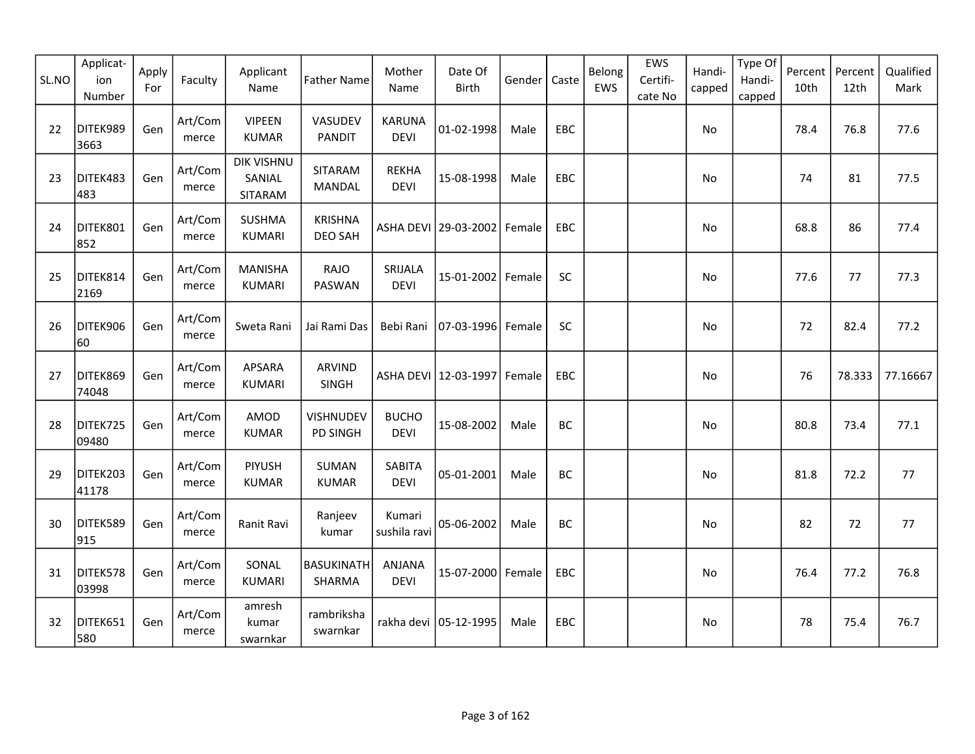| SL.NO | Applicat-<br>ion<br>Number | Apply<br>For | Faculty          | Applicant<br>Name                      | <b>Father Name</b>               | Mother<br>Name               | Date Of<br><b>Birth</b>         | Gender | Caste      | Belong<br>EWS | EWS<br>Certifi-<br>cate No | Handi-<br>capped | Type Of<br>Handi-<br>capped | Percent<br>10th | Percent<br>12th | Qualified<br>Mark |
|-------|----------------------------|--------------|------------------|----------------------------------------|----------------------------------|------------------------------|---------------------------------|--------|------------|---------------|----------------------------|------------------|-----------------------------|-----------------|-----------------|-------------------|
| 22    | DITEK989<br>3663           | Gen          | Art/Com<br>merce | <b>VIPEEN</b><br><b>KUMAR</b>          | VASUDEV<br><b>PANDIT</b>         | <b>KARUNA</b><br><b>DEVI</b> | 01-02-1998                      | Male   | EBC        |               |                            | No               |                             | 78.4            | 76.8            | 77.6              |
| 23    | DITEK483<br>483            | Gen          | Art/Com<br>merce | <b>DIK VISHNU</b><br>SANIAL<br>SITARAM | SITARAM<br>MANDAL                | <b>REKHA</b><br><b>DEVI</b>  | 15-08-1998                      | Male   | EBC        |               |                            | No               |                             | 74              | 81              | 77.5              |
| 24    | DITEK801<br>852            | Gen          | Art/Com<br>merce | <b>SUSHMA</b><br><b>KUMARI</b>         | <b>KRISHNA</b><br><b>DEO SAH</b> |                              | ASHA DEVI 29-03-2002 Female     |        | EBC        |               |                            | No               |                             | 68.8            | 86              | 77.4              |
| 25    | DITEK814<br>2169           | Gen          | Art/Com<br>merce | <b>MANISHA</b><br><b>KUMARI</b>        | RAJO<br>PASWAN                   | SRIJALA<br><b>DEVI</b>       | 15-01-2002 Female               |        | SC         |               |                            | No               |                             | 77.6            | 77              | 77.3              |
| 26    | DITEK906<br>60             | Gen          | Art/Com<br>merce | Sweta Rani                             | Jai Rami Das                     | Bebi Rani                    | 07-03-1996 Female               |        | SC         |               |                            | No               |                             | 72              | 82.4            | 77.2              |
| 27    | DITEK869<br>74048          | Gen          | Art/Com<br>merce | <b>APSARA</b><br><b>KUMARI</b>         | ARVIND<br>SINGH                  |                              | ASHA DEVI   12-03-1997   Female |        | EBC        |               |                            | No               |                             | 76              | 78.333          | 77.16667          |
| 28    | DITEK725<br>09480          | Gen          | Art/Com<br>merce | AMOD<br><b>KUMAR</b>                   | VISHNUDEV<br><b>PD SINGH</b>     | <b>BUCHO</b><br><b>DEVI</b>  | 15-08-2002                      | Male   | BC         |               |                            | No               |                             | 80.8            | 73.4            | 77.1              |
| 29    | DITEK203<br>41178          | Gen          | Art/Com<br>merce | <b>PIYUSH</b><br><b>KUMAR</b>          | <b>SUMAN</b><br><b>KUMAR</b>     | SABITA<br><b>DEVI</b>        | 05-01-2001                      | Male   | BC         |               |                            | No               |                             | 81.8            | 72.2            | 77                |
| 30    | DITEK589<br>915            | Gen          | Art/Com<br>merce | Ranit Ravi                             | Ranjeev<br>kumar                 | Kumari<br>sushila ravi       | 05-06-2002                      | Male   | BC         |               |                            | No               |                             | 82              | 72              | 77                |
| 31    | DITEK578<br>03998          | Gen          | Art/Com<br>merce | SONAL<br><b>KUMARI</b>                 | BASUKINATH<br>SHARMA             | ANJANA<br><b>DEVI</b>        | 15-07-2000 Female               |        | EBC        |               |                            | No               |                             | 76.4            | 77.2            | 76.8              |
| 32    | DITEK651<br>580            | Gen          | Art/Com<br>merce | amresh<br>kumar<br>swarnkar            | rambriksha<br>swarnkar           |                              | rakha devi   05-12-1995         | Male   | <b>EBC</b> |               |                            | No               |                             | 78              | 75.4            | 76.7              |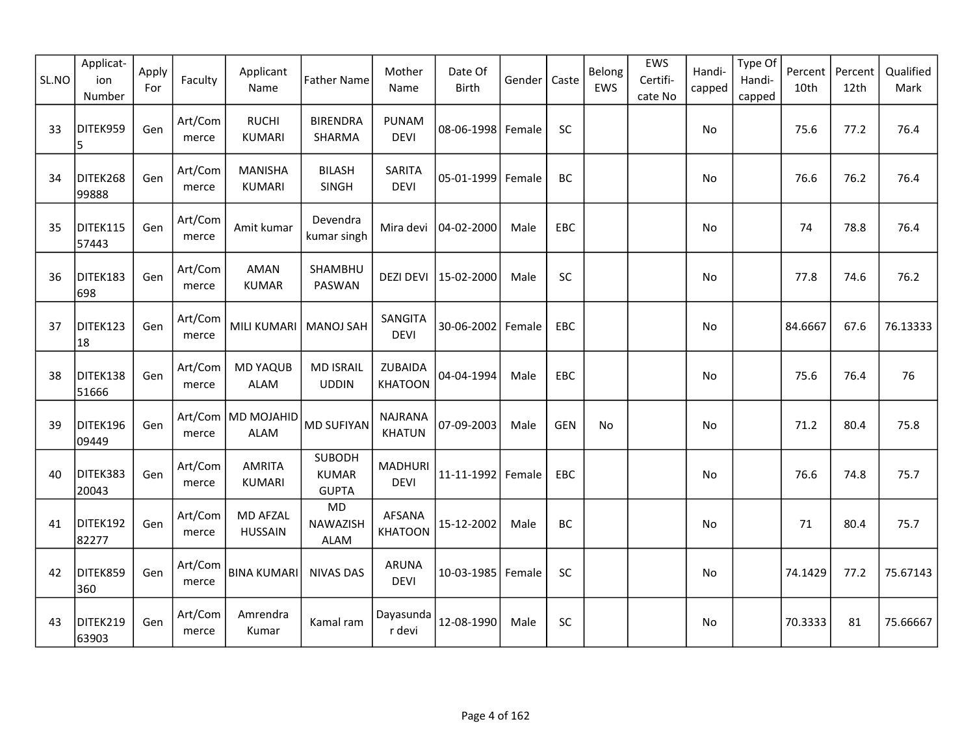| SL.NO | Applicat-<br>ion<br>Number | Apply<br>For | Faculty             | Applicant<br>Name                 | <b>Father Name</b>                     | Mother<br>Name                  | Date Of<br><b>Birth</b> | Gender | Caste      | Belong<br>EWS | EWS<br>Certifi-<br>cate No | Handi-<br>capped | Type Of<br>Handi-<br>capped | Percent<br>10th | Percent<br>12th | Qualified<br>Mark |
|-------|----------------------------|--------------|---------------------|-----------------------------------|----------------------------------------|---------------------------------|-------------------------|--------|------------|---------------|----------------------------|------------------|-----------------------------|-----------------|-----------------|-------------------|
| 33    | DITEK959<br>5              | Gen          | Art/Com<br>merce    | <b>RUCHI</b><br><b>KUMARI</b>     | <b>BIRENDRA</b><br>SHARMA              | <b>PUNAM</b><br><b>DEVI</b>     | 08-06-1998 Female       |        | SC         |               |                            | No               |                             | 75.6            | 77.2            | 76.4              |
| 34    | DITEK268<br>99888          | Gen          | Art/Com<br>merce    | <b>MANISHA</b><br><b>KUMARI</b>   | <b>BILASH</b><br>SINGH                 | SARITA<br><b>DEVI</b>           | 05-01-1999              | Female | BC         |               |                            | No               |                             | 76.6            | 76.2            | 76.4              |
| 35    | DITEK115<br>57443          | Gen          | Art/Com<br>merce    | Amit kumar                        | Devendra<br>kumar singh                | Mira devi                       | 04-02-2000              | Male   | EBC        |               |                            | No               |                             | 74              | 78.8            | 76.4              |
| 36    | DITEK183<br>698            | Gen          | Art/Com<br>merce    | AMAN<br><b>KUMAR</b>              | SHAMBHU<br>PASWAN                      | <b>DEZI DEVI</b>                | 15-02-2000              | Male   | SC         |               |                            | No               |                             | 77.8            | 74.6            | 76.2              |
| 37    | DITEK123<br>18             | Gen          | Art/Com<br>$m$ erce | <b>MILI KUMARI</b>                | <b>MANOJ SAH</b>                       | SANGITA<br><b>DEVI</b>          | 30-06-2002              | Female | EBC        |               |                            | No               |                             | 84.6667         | 67.6            | 76.13333          |
| 38    | DITEK138<br>51666          | Gen          | Art/Com<br>merce    | <b>MD YAQUB</b><br><b>ALAM</b>    | <b>MD ISRAIL</b><br><b>UDDIN</b>       | ZUBAIDA<br><b>KHATOON</b>       | 04-04-1994              | Male   | <b>EBC</b> |               |                            | No               |                             | 75.6            | 76.4            | 76                |
| 39    | DITEK196<br>09449          | Gen          | merce               | Art/Com   MD MOJAHID<br>ALAM      | <b>MD SUFIYAN</b>                      | <b>NAJRANA</b><br><b>KHATUN</b> | 07-09-2003              | Male   | <b>GEN</b> | <b>No</b>     |                            | No               |                             | 71.2            | 80.4            | 75.8              |
| 40    | DITEK383<br>20043          | Gen          | Art/Com<br>merce    | <b>AMRITA</b><br><b>KUMARI</b>    | SUBODH<br><b>KUMAR</b><br><b>GUPTA</b> | <b>MADHURI</b><br><b>DEVI</b>   | 11-11-1992              | Female | EBC        |               |                            | No               |                             | 76.6            | 74.8            | 75.7              |
| 41    | DITEK192<br>82277          | Gen          | Art/Com<br>merce    | <b>MD AFZAL</b><br><b>HUSSAIN</b> | <b>MD</b><br>NAWAZISH<br>ALAM          | <b>AFSANA</b><br><b>KHATOON</b> | 15-12-2002              | Male   | ВC         |               |                            | No               |                             | 71              | 80.4            | 75.7              |
| 42    | DITEK859<br>360            | Gen          | Art/Com<br>merce    | <b>BINA KUMARI</b>                | <b>NIVAS DAS</b>                       | <b>ARUNA</b><br><b>DEVI</b>     | 10-03-1985 Female       |        | SC         |               |                            | No               |                             | 74.1429         | 77.2            | 75.67143          |
| 43    | DITEK219<br>63903          | Gen          | Art/Com<br>merce    | Amrendra<br>Kumar                 | Kamal ram                              | Dayasunda<br>r devi             | 12-08-1990              | Male   | SC         |               |                            | No               |                             | 70.3333         | 81              | 75.66667          |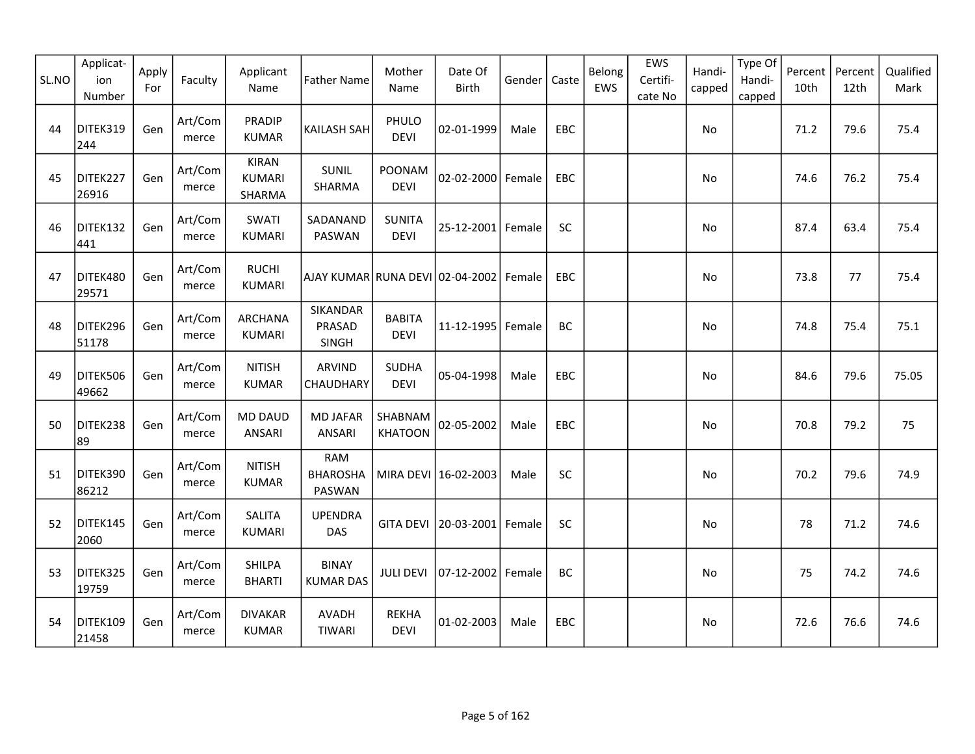| SL.NO | Applicat-<br>ion<br>Number | Apply<br>For | Faculty          | Applicant<br>Name                       | <b>Father Name</b>                      | Mother<br>Name               | Date Of<br>Birth     | Gender | Caste      | Belong<br>EWS | EWS<br>Certifi-<br>cate No | Handi-<br>capped | Type Of<br>Handi-<br>capped | Percent<br>10th | Percent<br>12th | Qualified<br>Mark |
|-------|----------------------------|--------------|------------------|-----------------------------------------|-----------------------------------------|------------------------------|----------------------|--------|------------|---------------|----------------------------|------------------|-----------------------------|-----------------|-----------------|-------------------|
| 44    | DITEK319<br>244            | Gen          | Art/Com<br>merce | <b>PRADIP</b><br><b>KUMAR</b>           | <b>KAILASH SAH</b>                      | PHULO<br><b>DEVI</b>         | 02-01-1999           | Male   | EBC        |               |                            | No               |                             | 71.2            | 79.6            | 75.4              |
| 45    | DITEK227<br>26916          | Gen          | Art/Com<br>merce | <b>KIRAN</b><br><b>KUMARI</b><br>SHARMA | SUNIL<br>SHARMA                         | POONAM<br><b>DEVI</b>        | 02-02-2000           | Female | EBC        |               |                            | No               |                             | 74.6            | 76.2            | 75.4              |
| 46    | DITEK132<br>441            | Gen          | Art/Com<br>merce | SWATI<br><b>KUMARI</b>                  | SADANAND<br>PASWAN                      | <b>SUNITA</b><br><b>DEVI</b> | 25-12-2001           | Female | <b>SC</b>  |               |                            | <b>No</b>        |                             | 87.4            | 63.4            | 75.4              |
| 47    | DITEK480<br>29571          | Gen          | Art/Com<br>merce | <b>RUCHI</b><br><b>KUMARI</b>           | AJAY KUMAR RUNA DEVI 02-04-2002         |                              |                      | Female | EBC        |               |                            | No               |                             | 73.8            | 77              | 75.4              |
| 48    | DITEK296<br>51178          | Gen          | Art/Com<br>merce | ARCHANA<br>KUMARI                       | SIKANDAR<br>PRASAD<br><b>SINGH</b>      | <b>BABITA</b><br><b>DEVI</b> | 11-12-1995           | Female | BC         |               |                            | No               |                             | 74.8            | 75.4            | 75.1              |
| 49    | DITEK506<br>49662          | Gen          | Art/Com<br>merce | <b>NITISH</b><br><b>KUMAR</b>           | ARVIND<br>CHAUDHARY                     | <b>SUDHA</b><br><b>DEVI</b>  | 05-04-1998           | Male   | EBC        |               |                            | No               |                             | 84.6            | 79.6            | 75.05             |
| 50    | DITEK238<br>89             | Gen          | Art/Com<br>merce | <b>MD DAUD</b><br><b>ANSARI</b>         | <b>MD JAFAR</b><br>ANSARI               | SHABNAM<br><b>KHATOON</b>    | 02-05-2002           | Male   | EBC        |               |                            | No               |                             | 70.8            | 79.2            | 75                |
| 51    | DITEK390<br>86212          | Gen          | Art/Com<br>merce | <b>NITISH</b><br><b>KUMAR</b>           | <b>RAM</b><br><b>BHAROSHA</b><br>PASWAN |                              | MIRA DEVI 16-02-2003 | Male   | SC         |               |                            | No               |                             | 70.2            | 79.6            | 74.9              |
| 52    | DITEK145<br>2060           | Gen          | Art/Com<br>merce | <b>SALITA</b><br><b>KUMARI</b>          | <b>UPENDRA</b><br>DAS                   | <b>GITA DEVI</b>             | 20-03-2001           | Female | SC         |               |                            | No               |                             | 78              | 71.2            | 74.6              |
| 53    | DITEK325<br>19759          | Gen          | Art/Com<br>merce | <b>SHILPA</b><br><b>BHARTI</b>          | <b>BINAY</b><br><b>KUMAR DAS</b>        | <b>JULI DEVI</b>             | 07-12-2002           | Female | BC         |               |                            | No               |                             | 75              | 74.2            | 74.6              |
| 54    | DITEK109<br>21458          | Gen          | Art/Com<br>merce | <b>DIVAKAR</b><br><b>KUMAR</b>          | <b>AVADH</b><br><b>TIWARI</b>           | <b>REKHA</b><br><b>DEVI</b>  | 01-02-2003           | Male   | <b>EBC</b> |               |                            | No               |                             | 72.6            | 76.6            | 74.6              |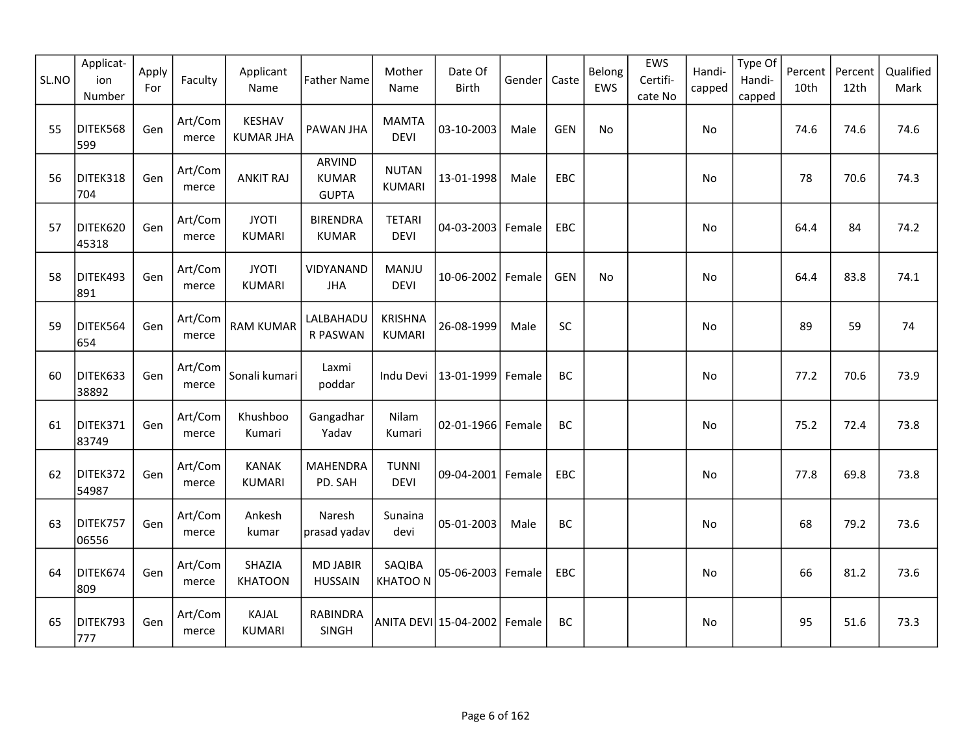| SL.NO | Applicat-<br>ion<br>Number | Apply<br>For | Faculty          | Applicant<br>Name                 | <b>Father Name</b>                            | Mother<br>Name                | Date Of<br><b>Birth</b>      | Gender | Caste      | Belong<br>EWS | EWS<br>Certifi-<br>cate No | Handi-<br>capped | Type Of<br>Handi-<br>capped | Percent<br>10th | Percent<br>12th | Qualified<br>Mark |
|-------|----------------------------|--------------|------------------|-----------------------------------|-----------------------------------------------|-------------------------------|------------------------------|--------|------------|---------------|----------------------------|------------------|-----------------------------|-----------------|-----------------|-------------------|
| 55    | DITEK568<br>599            | Gen          | Art/Com<br>merce | <b>KESHAV</b><br><b>KUMAR JHA</b> | PAWAN JHA                                     | <b>MAMTA</b><br><b>DEVI</b>   | 03-10-2003                   | Male   | <b>GEN</b> | No            |                            | <b>No</b>        |                             | 74.6            | 74.6            | 74.6              |
| 56    | DITEK318<br>704            | Gen          | Art/Com<br>merce | <b>ANKIT RAJ</b>                  | <b>ARVIND</b><br><b>KUMAR</b><br><b>GUPTA</b> | <b>NUTAN</b><br><b>KUMARI</b> | 13-01-1998                   | Male   | EBC        |               |                            | No               |                             | 78              | 70.6            | 74.3              |
| 57    | DITEK620<br>45318          | Gen          | Art/Com<br>merce | <b>JYOTI</b><br><b>KUMARI</b>     | <b>BIRENDRA</b><br><b>KUMAR</b>               | <b>TETARI</b><br><b>DEVI</b>  | 04-03-2003   Female          |        | <b>EBC</b> |               |                            | No               |                             | 64.4            | 84              | 74.2              |
| 58    | DITEK493<br>891            | Gen          | Art/Com<br>merce | <b>JYOTI</b><br><b>KUMARI</b>     | VIDYANAND<br><b>JHA</b>                       | MANJU<br><b>DEVI</b>          | 10-06-2002 Female            |        | <b>GEN</b> | <b>No</b>     |                            | <b>No</b>        |                             | 64.4            | 83.8            | 74.1              |
| 59    | DITEK564<br>654            | Gen          | Art/Com<br>merce | <b>RAM KUMAR</b>                  | LALBAHADU<br>R PASWAN                         | <b>KRISHNA</b><br>KUMARI      | 26-08-1999                   | Male   | SC         |               |                            | No               |                             | 89              | 59              | 74                |
| 60    | DITEK633<br>38892          | Gen          | Art/Com<br>merce | Sonali kumari                     | Laxmi<br>poddar                               | Indu Devi                     | 13-01-1999                   | Female | <b>BC</b>  |               |                            | No               |                             | 77.2            | 70.6            | 73.9              |
| 61    | DITEK371<br>83749          | Gen          | Art/Com<br>merce | Khushboo<br>Kumari                | Gangadhar<br>Yadav                            | Nilam<br>Kumari               | 02-01-1966 Female            |        | BC         |               |                            | No               |                             | 75.2            | 72.4            | 73.8              |
| 62    | DITEK372<br>54987          | Gen          | Art/Com<br>merce | <b>KANAK</b><br><b>KUMARI</b>     | <b>MAHENDRA</b><br>PD. SAH                    | <b>TUNNI</b><br><b>DEVI</b>   | 09-04-2001 Female            |        | EBC        |               |                            | No               |                             | 77.8            | 69.8            | 73.8              |
| 63    | DITEK757<br>06556          | Gen          | Art/Com<br>merce | Ankesh<br>kumar                   | Naresh<br>prasad yadav                        | Sunaina<br>devi               | 05-01-2003                   | Male   | BC         |               |                            | No               |                             | 68              | 79.2            | 73.6              |
| 64    | DITEK674<br>809            | Gen          | Art/Com<br>merce | SHAZIA<br><b>KHATOON</b>          | <b>MD JABIR</b><br><b>HUSSAIN</b>             | SAQIBA<br><b>KHATOON</b>      | 05-06-2003   Female          |        | EBC        |               |                            | No               |                             | 66              | 81.2            | 73.6              |
| 65    | DITEK793<br>777            | Gen          | Art/Com<br>merce | KAJAL<br><b>KUMARI</b>            | <b>RABINDRA</b><br><b>SINGH</b>               |                               | ANITA DEVI 15-04-2002 Female |        | BC         |               |                            | No               |                             | 95              | 51.6            | 73.3              |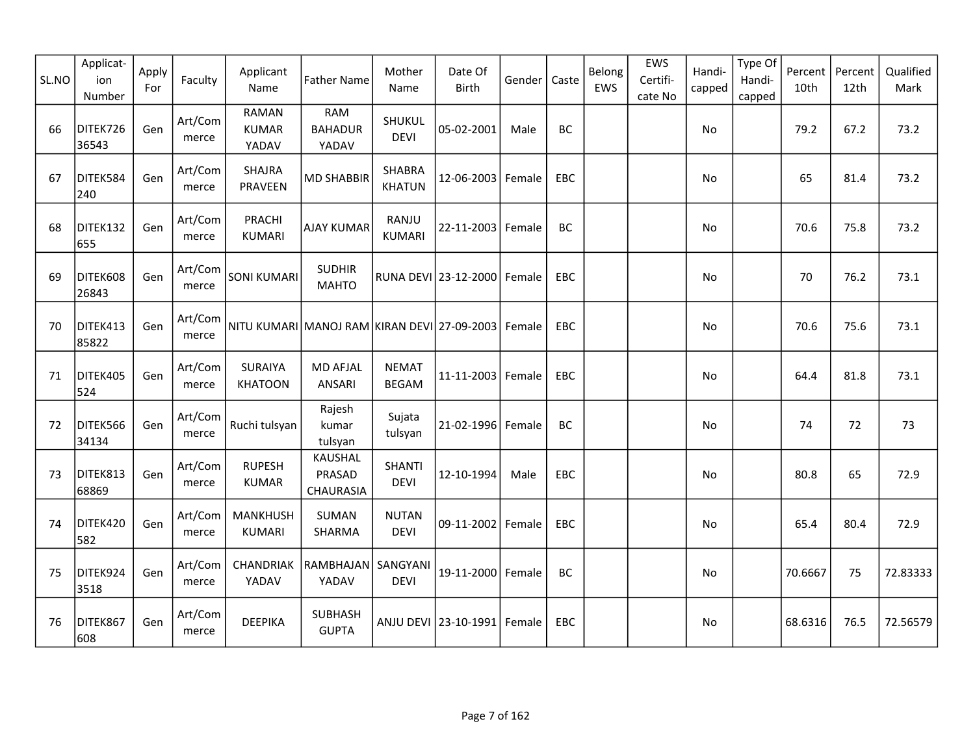| SL.NO | Applicat-<br>ion<br>Number | Apply<br>For | Faculty          | Applicant<br>Name                                   | <b>Father Name</b>                    | Mother<br>Name               | Date Of<br><b>Birth</b>     | Gender | Caste      | Belong<br>EWS | EWS<br>Certifi-<br>cate No | Handi-<br>capped | Type Of<br>Handi-<br>capped | Percent<br>10th | Percent<br>12th | Qualified<br>Mark |
|-------|----------------------------|--------------|------------------|-----------------------------------------------------|---------------------------------------|------------------------------|-----------------------------|--------|------------|---------------|----------------------------|------------------|-----------------------------|-----------------|-----------------|-------------------|
| 66    | DITEK726<br>36543          | Gen          | Art/Com<br>merce | <b>RAMAN</b><br><b>KUMAR</b><br>YADAV               | <b>RAM</b><br><b>BAHADUR</b><br>YADAV | SHUKUL<br><b>DEVI</b>        | 05-02-2001                  | Male   | <b>BC</b>  |               |                            | No               |                             | 79.2            | 67.2            | 73.2              |
| 67    | DITEK584<br>240            | Gen          | Art/Com<br>merce | <b>SHAJRA</b><br>PRAVEEN                            | <b>MD SHABBIR</b>                     | SHABRA<br><b>KHATUN</b>      | 12-06-2003 Female           |        | EBC        |               |                            | No               |                             | 65              | 81.4            | 73.2              |
| 68    | DITEK132<br>655            | Gen          | Art/Com<br>merce | PRACHI<br><b>KUMARI</b>                             | <b>AJAY KUMAR</b>                     | RANJU<br><b>KUMARI</b>       | 22-11-2003 Female           |        | BC         |               |                            | No               |                             | 70.6            | 75.8            | 73.2              |
| 69    | DITEK608<br>26843          | Gen          | Art/Com<br>merce | <b>SONI KUMARI</b>                                  | <b>SUDHIR</b><br><b>MAHTO</b>         |                              | RUNA DEVI 23-12-2000 Female |        | EBC        |               |                            | No               |                             | 70              | 76.2            | 73.1              |
| 70    | DITEK413<br>85822          | Gen          | Art/Com<br>merce | NITU KUMARI MANOJ RAM KIRAN DEVI 27-09-2003  Female |                                       |                              |                             |        | <b>EBC</b> |               |                            | No               |                             | 70.6            | 75.6            | 73.1              |
| 71    | DITEK405<br>524            | Gen          | Art/Com<br>merce | <b>SURAIYA</b><br><b>KHATOON</b>                    | <b>MD AFJAL</b><br><b>ANSARI</b>      | <b>NEMAT</b><br><b>BEGAM</b> | 11-11-2003 Female           |        | EBC        |               |                            | No               |                             | 64.4            | 81.8            | 73.1              |
| 72    | DITEK566<br>34134          | Gen          | Art/Com<br>merce | Ruchi tulsyan                                       | Rajesh<br>kumar<br>tulsyan            | Sujata<br>tulsyan            | 21-02-1996 Female           |        | <b>BC</b>  |               |                            | No               |                             | 74              | 72              | 73                |
| 73    | DITEK813<br>68869          | Gen          | Art/Com<br>merce | <b>RUPESH</b><br><b>KUMAR</b>                       | <b>KAUSHAL</b><br>PRASAD<br>CHAURASIA | <b>SHANTI</b><br><b>DEVI</b> | 12-10-1994                  | Male   | EBC        |               |                            | No               |                             | 80.8            | 65              | 72.9              |
| 74    | DITEK420<br>582            | Gen          | Art/Com<br>merce | <b>MANKHUSH</b><br><b>KUMARI</b>                    | <b>SUMAN</b><br>SHARMA                | <b>NUTAN</b><br><b>DEVI</b>  | 09-11-2002 Female           |        | EBC        |               |                            | No               |                             | 65.4            | 80.4            | 72.9              |
| 75    | DITEK924<br>3518           | Gen          | Art/Com<br>merce | CHANDRIAK<br>YADAV                                  | RAMBHAJAN<br>YADAV                    | SANGYANI<br><b>DEVI</b>      | 19-11-2000 Female           |        | BC         |               |                            | No               |                             | 70.6667         | 75              | 72.83333          |
| 76    | DITEK867<br>608            | Gen          | Art/Com<br>merce | <b>DEEPIKA</b>                                      | <b>SUBHASH</b><br><b>GUPTA</b>        |                              | ANJU DEVI 23-10-1991 Female |        | EBC        |               |                            | No               |                             | 68.6316         | 76.5            | 72.56579          |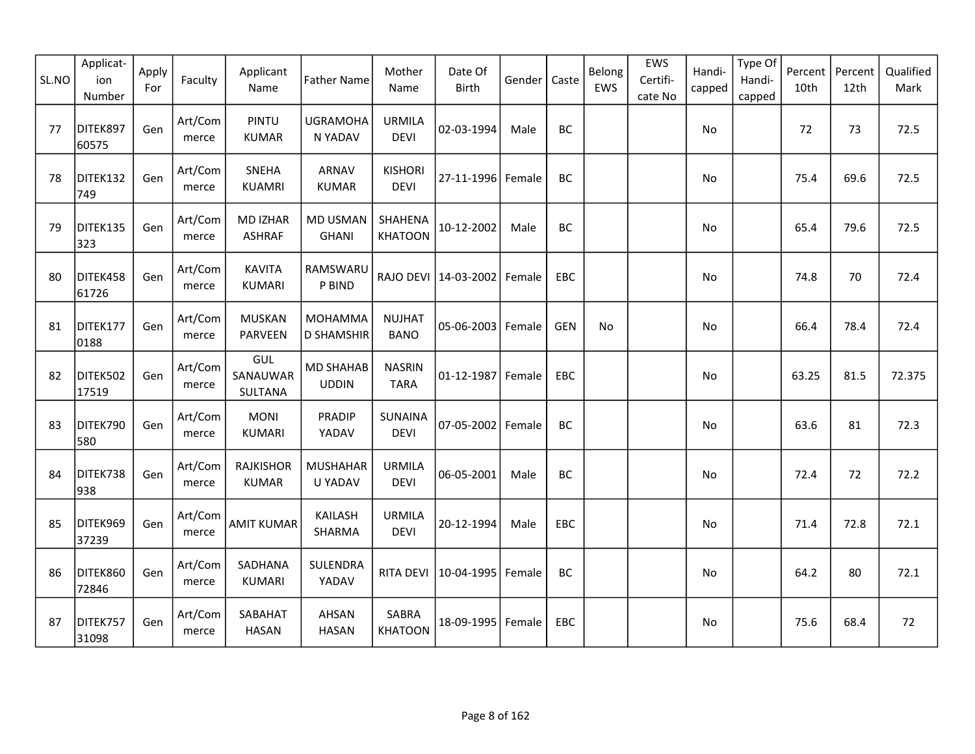| SL.NO | Applicat-<br>ion<br>Number | Apply<br>For | Faculty          | Applicant<br>Name                 | <b>Father Name</b>                  | Mother<br>Name                | Date Of<br><b>Birth</b> | Gender | Caste      | Belong<br>EWS | EWS<br>Certifi-<br>cate No | Handi-<br>capped | Type Of<br>Handi-<br>capped | Percent<br>10th | Percent<br>12th | Qualified<br>Mark |
|-------|----------------------------|--------------|------------------|-----------------------------------|-------------------------------------|-------------------------------|-------------------------|--------|------------|---------------|----------------------------|------------------|-----------------------------|-----------------|-----------------|-------------------|
| 77    | DITEK897<br>60575          | Gen          | Art/Com<br>merce | PINTU<br><b>KUMAR</b>             | <b>UGRAMOHA</b><br>N YADAV          | <b>URMILA</b><br><b>DEVI</b>  | 02-03-1994              | Male   | BC         |               |                            | No               |                             | 72              | 73              | 72.5              |
| 78    | DITEK132<br>749            | Gen          | Art/Com<br>merce | SNEHA<br><b>KUAMRI</b>            | ARNAV<br><b>KUMAR</b>               | <b>KISHORI</b><br><b>DEVI</b> | 27-11-1996 Female       |        | BC         |               |                            | No               |                             | 75.4            | 69.6            | 72.5              |
| 79    | DITEK135<br>323            | Gen          | Art/Com<br>merce | <b>MD IZHAR</b><br><b>ASHRAF</b>  | MD USMAN<br><b>GHANI</b>            | SHAHENA<br><b>KHATOON</b>     | 10-12-2002              | Male   | BC         |               |                            | No               |                             | 65.4            | 79.6            | 72.5              |
| 80    | DITEK458<br>61726          | Gen          | Art/Com<br>merce | <b>KAVITA</b><br><b>KUMARI</b>    | RAMSWARU<br>P BIND                  |                               | RAJO DEVI 14-03-2002    | Female | EBC        |               |                            | No               |                             | 74.8            | 70              | 72.4              |
| 81    | DITEK177<br>0188           | Gen          | Art/Com<br>merce | <b>MUSKAN</b><br>PARVEEN          | <b>MOHAMMA</b><br><b>D SHAMSHIR</b> | <b>NUJHAT</b><br><b>BANO</b>  | 05-06-2003              | Female | <b>GEN</b> | No.           |                            | No               |                             | 66.4            | 78.4            | 72.4              |
| 82    | DITEK502<br>17519          | Gen          | Art/Com<br>merce | GUL<br>SANAUWAR<br><b>SULTANA</b> | <b>MD SHAHAB</b><br><b>UDDIN</b>    | <b>NASRIN</b><br><b>TARA</b>  | 01-12-1987              | Female | EBC        |               |                            | No               |                             | 63.25           | 81.5            | 72.375            |
| 83    | DITEK790<br>580            | Gen          | Art/Com<br>merce | <b>MONI</b><br><b>KUMARI</b>      | <b>PRADIP</b><br>YADAV              | SUNAINA<br><b>DEVI</b>        | 07-05-2002              | Female | <b>BC</b>  |               |                            | No               |                             | 63.6            | 81              | 72.3              |
| 84    | DITEK738<br>938            | Gen          | Art/Com<br>merce | <b>RAJKISHOR</b><br><b>KUMAR</b>  | <b>MUSHAHAR</b><br>U YADAV          | <b>URMILA</b><br><b>DEVI</b>  | 06-05-2001              | Male   | BC         |               |                            | No               |                             | 72.4            | 72              | 72.2              |
| 85    | DITEK969<br>37239          | Gen          | Art/Com<br>merce | <b>AMIT KUMAR</b>                 | KAILASH<br>SHARMA                   | <b>URMILA</b><br><b>DEVI</b>  | 20-12-1994              | Male   | EBC        |               |                            | No               |                             | 71.4            | 72.8            | 72.1              |
| 86    | DITEK860<br>72846          | Gen          | Art/Com<br>merce | SADHANA<br>KUMARI                 | SULENDRA<br>YADAV                   | RITA DEVI                     | 10-04-1995              | Female | <b>BC</b>  |               |                            | No               |                             | 64.2            | 80              | 72.1              |
| 87    | DITEK757<br>31098          | Gen          | Art/Com<br>merce | SABAHAT<br><b>HASAN</b>           | <b>AHSAN</b><br><b>HASAN</b>        | SABRA<br><b>KHATOON</b>       | 18-09-1995   Female     |        | EBC        |               |                            | No               |                             | 75.6            | 68.4            | 72                |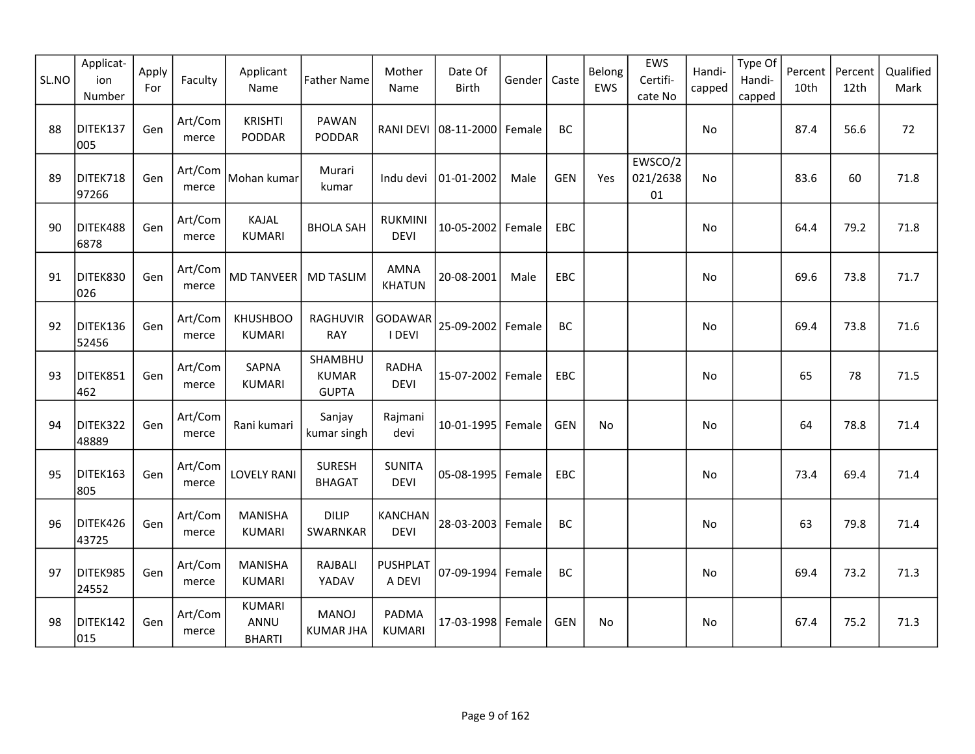| SL.NO | Applicat-<br>ion<br>Number | Apply<br>For | Faculty          | Applicant<br>Name                      | <b>Father Name</b>                      | Mother<br>Name                | Date Of<br>Birth                | Gender | Caste      | Belong<br>EWS | EWS<br>Certifi-<br>cate No | Handi-<br>capped | Type Of<br>Handi-<br>capped | Percent<br>10th | Percent<br>12th | Qualified<br>Mark |
|-------|----------------------------|--------------|------------------|----------------------------------------|-----------------------------------------|-------------------------------|---------------------------------|--------|------------|---------------|----------------------------|------------------|-----------------------------|-----------------|-----------------|-------------------|
| 88    | DITEK137<br>005            | Gen          | Art/Com<br>merce | <b>KRISHTI</b><br>PODDAR               | <b>PAWAN</b><br>PODDAR                  |                               | RANI DEVI   08-11-2000   Female |        | BC         |               |                            | No               |                             | 87.4            | 56.6            | 72                |
| 89    | DITEK718<br>97266          | Gen          | Art/Com<br>merce | Mohan kumar                            | Murari<br>kumar                         | Indu devi                     | 01-01-2002                      | Male   | <b>GEN</b> | Yes           | EWSCO/2<br>021/2638<br>01  | No               |                             | 83.6            | 60              | 71.8              |
| 90    | DITEK488<br>6878           | Gen          | Art/Com<br>merce | <b>KAJAL</b><br><b>KUMARI</b>          | <b>BHOLA SAH</b>                        | <b>RUKMINI</b><br><b>DEVI</b> | 10-05-2002                      | Female | <b>EBC</b> |               |                            | No.              |                             | 64.4            | 79.2            | 71.8              |
| 91    | DITEK830<br>026            | Gen          | Art/Com<br>merce | <b>MD TANVEER</b>                      | <b>MD TASLIM</b>                        | <b>AMNA</b><br><b>KHATUN</b>  | 20-08-2001                      | Male   | EBC        |               |                            | No               |                             | 69.6            | 73.8            | 71.7              |
| 92    | DITEK136<br>52456          | Gen          | Art/Com<br>merce | <b>KHUSHBOO</b><br><b>KUMARI</b>       | RAGHUVIR<br><b>RAY</b>                  | GODAWAR<br>I DEVI             | 25-09-2002                      | Female | BC         |               |                            | No               |                             | 69.4            | 73.8            | 71.6              |
| 93    | DITEK851<br>462            | Gen          | Art/Com<br>merce | SAPNA<br><b>KUMARI</b>                 | SHAMBHU<br><b>KUMAR</b><br><b>GUPTA</b> | <b>RADHA</b><br><b>DEVI</b>   | 15-07-2002 Female               |        | <b>EBC</b> |               |                            | No.              |                             | 65              | 78              | 71.5              |
| 94    | DITEK322<br>48889          | Gen          | Art/Com<br>merce | Rani kumari                            | Sanjay<br>kumar singh                   | Rajmani<br>devi               | 10-01-1995                      | Female | <b>GEN</b> | No            |                            | No               |                             | 64              | 78.8            | 71.4              |
| 95    | DITEK163<br>805            | Gen          | Art/Com<br>merce | <b>LOVELY RANI</b>                     | SURESH<br><b>BHAGAT</b>                 | <b>SUNITA</b><br><b>DEVI</b>  | 05-08-1995                      | Female | <b>EBC</b> |               |                            | No               |                             | 73.4            | 69.4            | 71.4              |
| 96    | DITEK426<br>43725          | Gen          | Art/Com<br>merce | <b>MANISHA</b><br><b>KUMARI</b>        | <b>DILIP</b><br>SWARNKAR                | <b>KANCHAN</b><br><b>DEVI</b> | 28-03-2003                      | Female | BC         |               |                            | No               |                             | 63              | 79.8            | 71.4              |
| 97    | DITEK985<br>24552          | Gen          | Art/Com<br>merce | <b>MANISHA</b><br><b>KUMARI</b>        | RAJBALI<br>YADAV                        | <b>PUSHPLAT</b><br>A DEVI     | $07-09-1994$                    | Female | BC         |               |                            | No               |                             | 69.4            | 73.2            | 71.3              |
| 98    | DITEK142<br>015            | Gen          | Art/Com<br>merce | <b>KUMARI</b><br>ANNU<br><b>BHARTI</b> | <b>MANOJ</b><br><b>KUMAR JHA</b>        | PADMA<br><b>KUMARI</b>        | 17-03-1998                      | Female | <b>GEN</b> | No            |                            | No               |                             | 67.4            | 75.2            | 71.3              |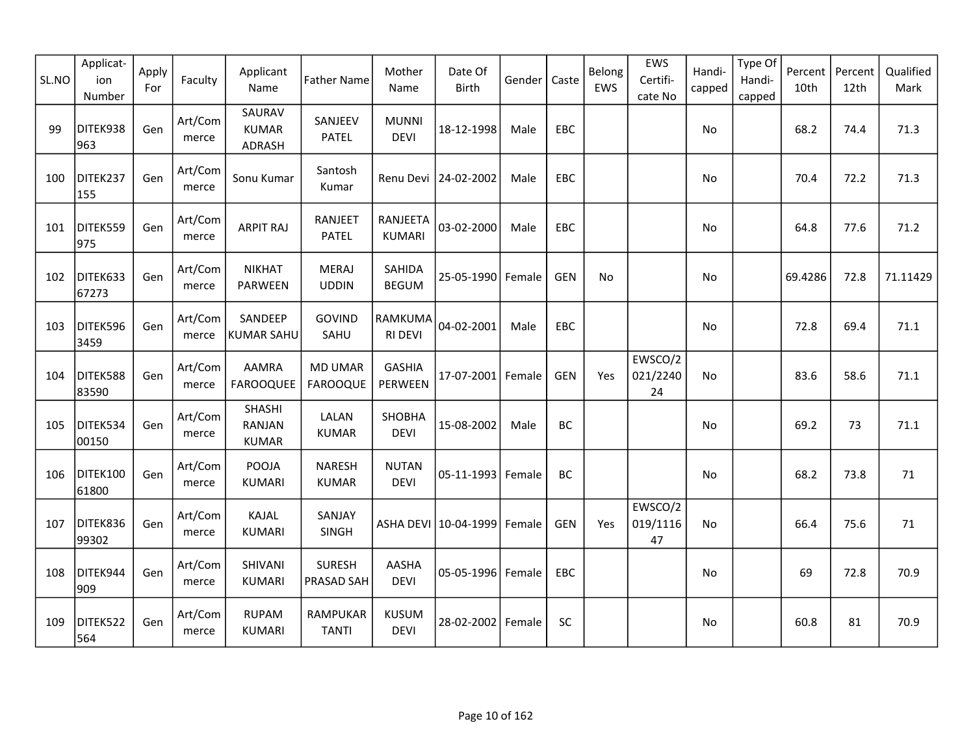| SL.NO | Applicat-<br>ion<br>Number | Apply<br>For | Faculty          | Applicant<br>Name                       | <b>Father Name</b>                | Mother<br>Name              | Date Of<br>Birth     | Gender | Caste      | Belong<br>EWS | EWS<br>Certifi-<br>cate No | Handi-<br>capped | Type Of<br>Handi-<br>capped | Percent<br>10th | Percent<br>12th | Qualified<br>Mark |
|-------|----------------------------|--------------|------------------|-----------------------------------------|-----------------------------------|-----------------------------|----------------------|--------|------------|---------------|----------------------------|------------------|-----------------------------|-----------------|-----------------|-------------------|
| 99    | DITEK938<br>963            | Gen          | Art/Com<br>merce | SAURAV<br><b>KUMAR</b><br>ADRASH        | SANJEEV<br><b>PATEL</b>           | <b>MUNNI</b><br><b>DEVI</b> | 18-12-1998           | Male   | EBC        |               |                            | No               |                             | 68.2            | 74.4            | 71.3              |
| 100   | DITEK237<br>155            | Gen          | Art/Com<br>merce | Sonu Kumar                              | Santosh<br>Kumar                  |                             | Renu Devi 24-02-2002 | Male   | EBC        |               |                            | No               |                             | 70.4            | 72.2            | 71.3              |
| 101   | DITEK559<br>975            | Gen          | Art/Com<br>merce | <b>ARPIT RAJ</b>                        | <b>RANJEET</b><br><b>PATEL</b>    | RANJEETA<br><b>KUMARI</b>   | 03-02-2000           | Male   | <b>EBC</b> |               |                            | No               |                             | 64.8            | 77.6            | 71.2              |
| 102   | DITEK633<br>67273          | Gen          | Art/Com<br>merce | <b>NIKHAT</b><br>PARWEEN                | <b>MERAJ</b><br><b>UDDIN</b>      | SAHIDA<br><b>BEGUM</b>      | 25-05-1990           | Female | <b>GEN</b> | No            |                            | No               |                             | 69.4286         | 72.8            | 71.11429          |
| 103   | DITEK596<br>3459           | Gen          | Art/Com<br>merce | SANDEEP<br><b>KUMAR SAHU</b>            | <b>GOVIND</b><br>SAHU             | RAMKUMA<br><b>RI DEVI</b>   | 04-02-2001           | Male   | EBC        |               |                            | No               |                             | 72.8            | 69.4            | 71.1              |
| 104   | DITEK588<br>83590          | Gen          | Art/Com<br>merce | <b>AAMRA</b><br><b>FAROOQUEE</b>        | <b>MD UMAR</b><br><b>FAROOQUE</b> | <b>GASHIA</b><br>PERWEEN    | 17-07-2001 Female    |        | <b>GEN</b> | Yes           | EWSCO/2<br>021/2240<br>24  | No.              |                             | 83.6            | 58.6            | 71.1              |
| 105   | DITEK534<br>00150          | Gen          | Art/Com<br>merce | SHASHI<br><b>RANJAN</b><br><b>KUMAR</b> | LALAN<br><b>KUMAR</b>             | SHOBHA<br><b>DEVI</b>       | 15-08-2002           | Male   | BC         |               |                            | No               |                             | 69.2            | 73              | 71.1              |
| 106   | DITEK100<br>61800          | Gen          | Art/Com<br>merce | POOJA<br><b>KUMARI</b>                  | <b>NARESH</b><br><b>KUMAR</b>     | <b>NUTAN</b><br><b>DEVI</b> | $05 - 11 - 1993$     | Female | BC         |               |                            | No               |                             | 68.2            | 73.8            | 71                |
| 107   | DITEK836<br>99302          | Gen          | Art/Com<br>merce | KAJAL<br><b>KUMARI</b>                  | SANJAY<br>SINGH                   |                             | ASHA DEVI 10-04-1999 | Female | <b>GEN</b> | Yes           | EWSCO/2<br>019/1116<br>47  | No               |                             | 66.4            | 75.6            | 71                |
| 108   | DITEK944<br>909            | Gen          | Art/Com<br>merce | SHIVANI<br><b>KUMARI</b>                | <b>SURESH</b><br>PRASAD SAH       | AASHA<br><b>DEVI</b>        | 05-05-1996 Female    |        | EBC        |               |                            | <b>No</b>        |                             | 69              | 72.8            | 70.9              |
| 109   | DITEK522<br>564            | Gen          | Art/Com<br>merce | <b>RUPAM</b><br><b>KUMARI</b>           | RAMPUKAR<br><b>TANTI</b>          | <b>KUSUM</b><br><b>DEVI</b> | 28-02-2002           | Female | <b>SC</b>  |               |                            | No               |                             | 60.8            | 81              | 70.9              |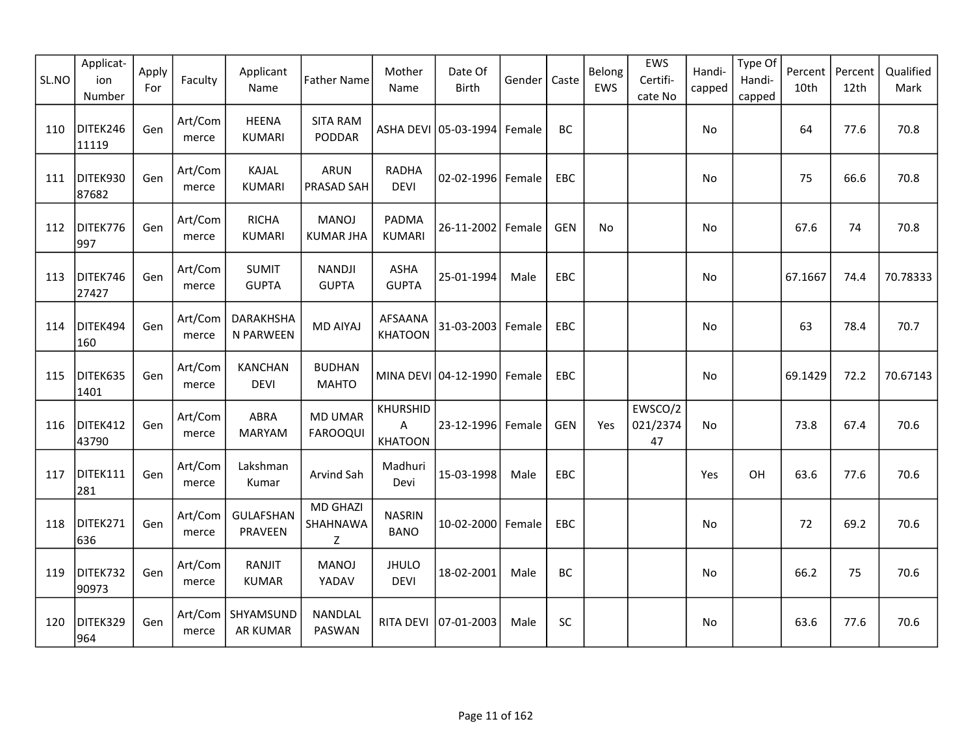| SL.NO | Applicat-<br>ion<br>Number | Apply<br>For | Faculty          | Applicant<br>Name                      | <b>Father Name</b>                | Mother<br>Name                  | Date Of<br><b>Birth</b>     | Gender | Caste      | Belong<br>EWS | EWS<br>Certifi-<br>cate No | Handi-<br>capped | Type Of<br>Handi-<br>capped | Percent<br>10th | Percent<br>12th | Qualified<br>Mark |
|-------|----------------------------|--------------|------------------|----------------------------------------|-----------------------------------|---------------------------------|-----------------------------|--------|------------|---------------|----------------------------|------------------|-----------------------------|-----------------|-----------------|-------------------|
| 110   | DITEK246<br>11119          | Gen          | Art/Com<br>merce | <b>HEENA</b><br><b>KUMARI</b>          | <b>SITA RAM</b><br>PODDAR         |                                 | ASHA DEVI 05-03-1994 Female |        | BC         |               |                            | No               |                             | 64              | 77.6            | 70.8              |
| 111   | DITEK930<br>87682          | Gen          | Art/Com<br>merce | KAJAL<br><b>KUMARI</b>                 | ARUN<br>PRASAD SAH                | <b>RADHA</b><br><b>DEVI</b>     | 02-02-1996 Female           |        | EBC        |               |                            | No               |                             | 75              | 66.6            | 70.8              |
| 112   | DITEK776<br>997            | Gen          | Art/Com<br>merce | <b>RICHA</b><br><b>KUMARI</b>          | <b>MANOJ</b><br><b>KUMAR JHA</b>  | <b>PADMA</b><br><b>KUMARI</b>   | 26-11-2002 Female           |        | <b>GEN</b> | No            |                            | No               |                             | 67.6            | 74              | 70.8              |
| 113   | DITEK746<br>27427          | Gen          | Art/Com<br>merce | <b>SUMIT</b><br><b>GUPTA</b>           | <b>NANDJI</b><br><b>GUPTA</b>     | ASHA<br><b>GUPTA</b>            | 25-01-1994                  | Male   | EBC        |               |                            | No               |                             | 67.1667         | 74.4            | 70.78333          |
| 114   | DITEK494<br>160            | Gen          | Art/Com<br>merce | DARAKHSHA<br>N PARWEEN                 | <b>MD AIYAJ</b>                   | AFSAANA<br><b>KHATOON</b>       | 31-03-2003 Female           |        | <b>EBC</b> |               |                            | No               |                             | 63              | 78.4            | 70.7              |
| 115   | DITEK635<br>1401           | Gen          | Art/Com<br>merce | <b>KANCHAN</b><br><b>DEVI</b>          | <b>BUDHAN</b><br><b>MAHTO</b>     |                                 | MINA DEVI 04-12-1990 Female |        | EBC        |               |                            | No               |                             | 69.1429         | 72.2            | 70.67143          |
| 116   | DITEK412<br>43790          | Gen          | Art/Com<br>merce | ABRA<br>MARYAM                         | <b>MD UMAR</b><br><b>FAROOQUI</b> | KHURSHID<br>A<br><b>KHATOON</b> | 23-12-1996 Female           |        | <b>GEN</b> | Yes           | EWSCO/2<br>021/2374<br>47  | No.              |                             | 73.8            | 67.4            | 70.6              |
| 117   | DITEK111<br>281            | Gen          | Art/Com<br>merce | Lakshman<br>Kumar                      | Arvind Sah                        | Madhuri<br>Devi                 | 15-03-1998                  | Male   | EBC        |               |                            | Yes              | OH                          | 63.6            | 77.6            | 70.6              |
| 118   | DITEK271<br>636            | Gen          | Art/Com<br>merce | <b>GULAFSHAN</b><br>PRAVEEN            | <b>MD GHAZI</b><br>SHAHNAWA<br>Z  | <b>NASRIN</b><br><b>BANO</b>    | 10-02-2000 Female           |        | EBC        |               |                            | No               |                             | 72              | 69.2            | 70.6              |
| 119   | DITEK732<br>90973          | Gen          | Art/Com<br>merce | RANJIT<br><b>KUMAR</b>                 | <b>MANOJ</b><br>YADAV             | <b>JHULO</b><br><b>DEVI</b>     | 18-02-2001                  | Male   | BC         |               |                            | No               |                             | 66.2            | 75              | 70.6              |
| 120   | DITEK329<br>964            | Gen          | merce            | Art/Com   SHYAMSUND<br><b>AR KUMAR</b> | NANDLAL<br>PASWAN                 | RITA DEVI                       | 07-01-2003                  | Male   | <b>SC</b>  |               |                            | No               |                             | 63.6            | 77.6            | 70.6              |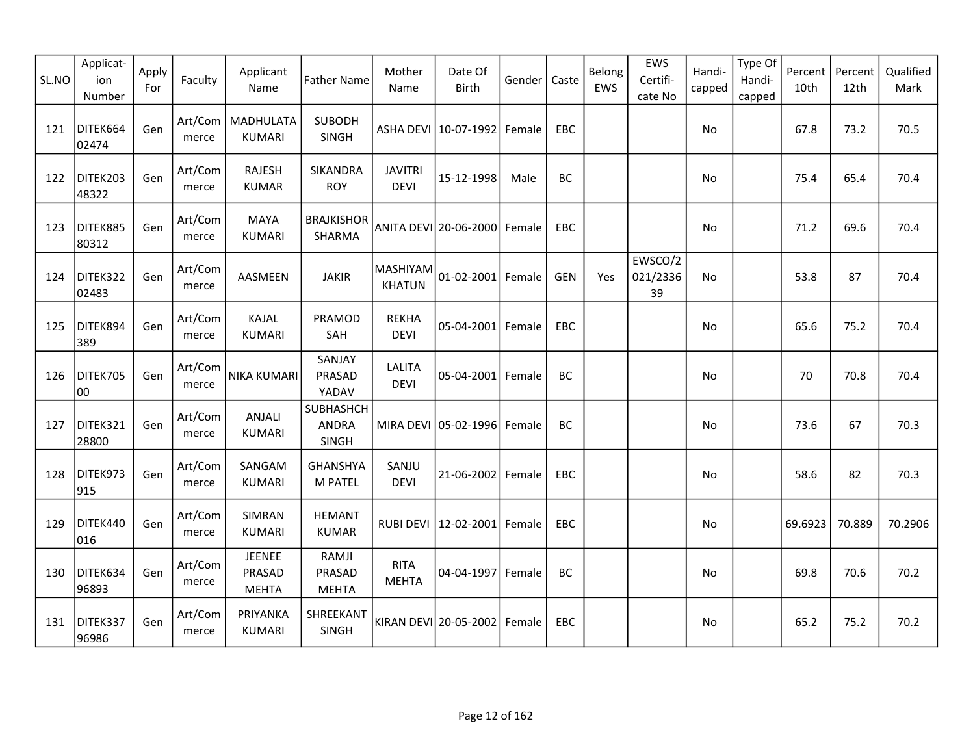| SL.NO | Applicat-<br>ion<br>Number | Apply<br>For | Faculty          | Applicant<br>Name                | <b>Father Name</b>                 | Mother<br>Name                   | Date Of<br><b>Birth</b>         | Gender | Caste      | Belong<br>EWS | EWS<br>Certifi-<br>cate No | Handi-<br>capped | Type Of<br>Handi-<br>capped | Percent<br>10th | Percent<br>12th | Qualified<br>Mark |
|-------|----------------------------|--------------|------------------|----------------------------------|------------------------------------|----------------------------------|---------------------------------|--------|------------|---------------|----------------------------|------------------|-----------------------------|-----------------|-----------------|-------------------|
| 121   | DITEK664<br>02474          | Gen          | Art/Com<br>merce | MADHULATA<br><b>KUMARI</b>       | SUBODH<br>SINGH                    |                                  | ASHA DEVI   10-07-1992   Female |        | EBC        |               |                            | No               |                             | 67.8            | 73.2            | 70.5              |
| 122   | DITEK203<br>48322          | Gen          | Art/Com<br>merce | <b>RAJESH</b><br><b>KUMAR</b>    | SIKANDRA<br><b>ROY</b>             | <b>JAVITRI</b><br><b>DEVI</b>    | 15-12-1998                      | Male   | BC         |               |                            | No               |                             | 75.4            | 65.4            | 70.4              |
| 123   | DITEK885<br>80312          | Gen          | Art/Com<br>merce | <b>MAYA</b><br><b>KUMARI</b>     | <b>BRAJKISHOR</b><br>SHARMA        |                                  | ANITA DEVI 20-06-2000   Female  |        | <b>EBC</b> |               |                            | No               |                             | 71.2            | 69.6            | 70.4              |
| 124   | DITEK322<br>02483          | Gen          | Art/Com<br>merce | AASMEEN                          | <b>JAKIR</b>                       | <b>MASHIYAM</b><br><b>KHATUN</b> | 01-02-2001 Female               |        | <b>GEN</b> | Yes           | EWSCO/2<br>021/2336<br>39  | No               |                             | 53.8            | 87              | 70.4              |
| 125   | DITEK894<br>389            | Gen          | Art/Com<br>merce | KAJAL<br><b>KUMARI</b>           | PRAMOD<br>SAH                      | <b>REKHA</b><br>DEVI             | 05-04-2001 Female               |        | EBC        |               |                            | No               |                             | 65.6            | 75.2            | 70.4              |
| 126   | DITEK705<br>00             | Gen          | Art/Com<br>merce | <b>NIKA KUMARI</b>               | SANJAY<br>PRASAD<br>YADAV          | <b>LALITA</b><br><b>DEVI</b>     | 05-04-2001 Female               |        | BC         |               |                            | No               |                             | 70              | 70.8            | 70.4              |
| 127   | DITEK321<br>28800          | Gen          | Art/Com<br>merce | ANJALI<br><b>KUMARI</b>          | SUBHASHCH<br><b>ANDRA</b><br>SINGH |                                  | MIRA DEVI 05-02-1996 Female     |        | BC         |               |                            | No               |                             | 73.6            | 67              | 70.3              |
| 128   | DITEK973<br>915            | Gen          | Art/Com<br>merce | SANGAM<br><b>KUMARI</b>          | <b>GHANSHYA</b><br>M PATEL         | SANJU<br><b>DEVI</b>             | 21-06-2002 Female               |        | <b>EBC</b> |               |                            | No               |                             | 58.6            | 82              | 70.3              |
| 129   | DITEK440<br>016            | Gen          | Art/Com<br>merce | SIMRAN<br><b>KUMARI</b>          | <b>HEMANT</b><br><b>KUMAR</b>      |                                  | RUBI DEVI   12-02-2001          | Female | EBC        |               |                            | No               |                             | 69.6923         | 70.889          | 70.2906           |
| 130   | DITEK634<br>96893          | Gen          | Art/Com<br>merce | JEENEE<br>PRASAD<br><b>MEHTA</b> | RAMJI<br>PRASAD<br><b>MEHTA</b>    | <b>RITA</b><br><b>MEHTA</b>      | 04-04-1997 Female               |        | BC         |               |                            | No               |                             | 69.8            | 70.6            | 70.2              |
| 131   | DITEK337<br>96986          | Gen          | Art/Com<br>merce | PRIYANKA<br><b>KUMARI</b>        | SHREEKANT<br>SINGH                 |                                  | KIRAN DEVI 20-05-2002           | Female | EBC        |               |                            | No               |                             | 65.2            | 75.2            | 70.2              |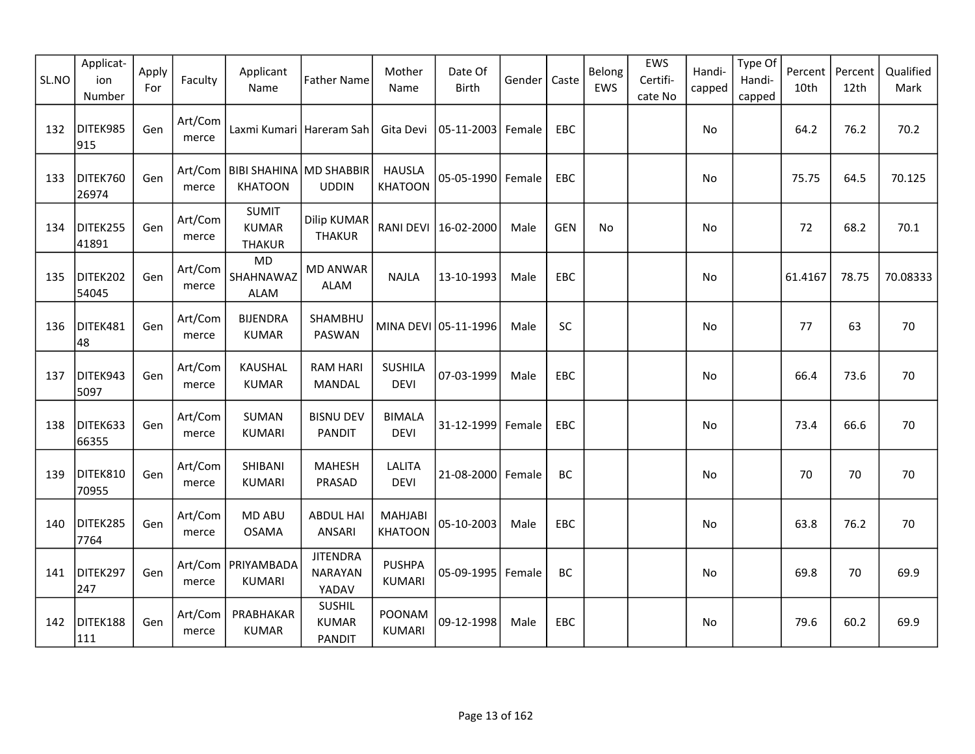| SL.NO | Applicat-<br>ion<br>Number | Apply<br>For | Faculty          | Applicant<br>Name                             | <b>Father Name</b>                             | Mother<br>Name                   | Date Of<br>Birth     | Gender | Caste      | Belong<br>EWS | EWS<br>Certifi-<br>cate No | Handi-<br>capped | Type Of<br>Handi-<br>capped | Percent<br>10th | Percent<br>12th | Qualified<br>Mark |
|-------|----------------------------|--------------|------------------|-----------------------------------------------|------------------------------------------------|----------------------------------|----------------------|--------|------------|---------------|----------------------------|------------------|-----------------------------|-----------------|-----------------|-------------------|
| 132   | DITEK985<br>915            | Gen          | Art/Com<br>merce | Laxmi Kumari Hareram Sah                      |                                                | Gita Devi                        | 05-11-2003 Female    |        | EBC        |               |                            | No.              |                             | 64.2            | 76.2            | 70.2              |
| 133   | DITEK760<br>26974          | Gen          | Art/Com<br>merce | BIBI SHAHINA MD SHABBIR<br><b>KHATOON</b>     | <b>UDDIN</b>                                   | <b>HAUSLA</b><br><b>KHATOON</b>  | 05-05-1990 Female    |        | EBC        |               |                            | No               |                             | 75.75           | 64.5            | 70.125            |
| 134   | DITEK255<br>41891          | Gen          | Art/Com<br>merce | <b>SUMIT</b><br><b>KUMAR</b><br><b>THAKUR</b> | <b>Dilip KUMAR</b><br><b>THAKUR</b>            |                                  | RANI DEVI 16-02-2000 | Male   | <b>GEN</b> | <b>No</b>     |                            | No               |                             | 72              | 68.2            | 70.1              |
| 135   | DITEK202<br>54045          | Gen          | Art/Com<br>merce | <b>MD</b><br>SHAHNAWAZ<br>ALAM                | <b>MD ANWAR</b><br>ALAM                        | <b>NAJLA</b>                     | 13-10-1993           | Male   | EBC        |               |                            | No               |                             | 61.4167         | 78.75           | 70.08333          |
| 136   | DITEK481<br>48             | Gen          | Art/Com<br>merce | <b>BIJENDRA</b><br><b>KUMAR</b>               | <b>SHAMBHU</b><br>PASWAN                       |                                  | MINA DEVI 05-11-1996 | Male   | <b>SC</b>  |               |                            | <b>No</b>        |                             | 77              | 63              | 70                |
| 137   | DITEK943<br>5097           | Gen          | Art/Com<br>merce | <b>KAUSHAL</b><br><b>KUMAR</b>                | <b>RAM HARI</b><br>MANDAL                      | <b>SUSHILA</b><br><b>DEVI</b>    | 07-03-1999           | Male   | EBC        |               |                            | No               |                             | 66.4            | 73.6            | 70                |
| 138   | DITEK633<br>66355          | Gen          | Art/Com<br>merce | <b>SUMAN</b><br><b>KUMARI</b>                 | <b>BISNU DEV</b><br><b>PANDIT</b>              | <b>BIMALA</b><br><b>DEVI</b>     | 31-12-1999 Female    |        | <b>EBC</b> |               |                            | No               |                             | 73.4            | 66.6            | 70                |
| 139   | DITEK810<br>70955          | Gen          | Art/Com<br>merce | SHIBANI<br><b>KUMARI</b>                      | <b>MAHESH</b><br>PRASAD                        | <b>LALITA</b><br><b>DEVI</b>     | 21-08-2000 Female    |        | <b>BC</b>  |               |                            | No               |                             | 70              | 70              | 70                |
| 140   | DITEK285<br>7764           | Gen          | Art/Com<br>merce | <b>MD ABU</b><br><b>OSAMA</b>                 | <b>ABDUL HAI</b><br><b>ANSARI</b>              | <b>MAHJABI</b><br><b>KHATOON</b> | 05-10-2003           | Male   | EBC        |               |                            | No               |                             | 63.8            | 76.2            | 70                |
| 141   | DITEK297<br>247            | Gen          | Art/Com<br>merce | PRIYAMBADA<br><b>KUMARI</b>                   | <b>JITENDRA</b><br><b>NARAYAN</b><br>YADAV     | <b>PUSHPA</b><br><b>KUMARI</b>   | 05-09-1995   Female  |        | BC         |               |                            | No               |                             | 69.8            | 70              | 69.9              |
| 142   | DITEK188<br>111            | Gen          | Art/Com<br>merce | PRABHAKAR<br><b>KUMAR</b>                     | <b>SUSHIL</b><br><b>KUMAR</b><br><b>PANDIT</b> | POONAM<br><b>KUMARI</b>          | 09-12-1998           | Male   | EBC        |               |                            | No               |                             | 79.6            | 60.2            | 69.9              |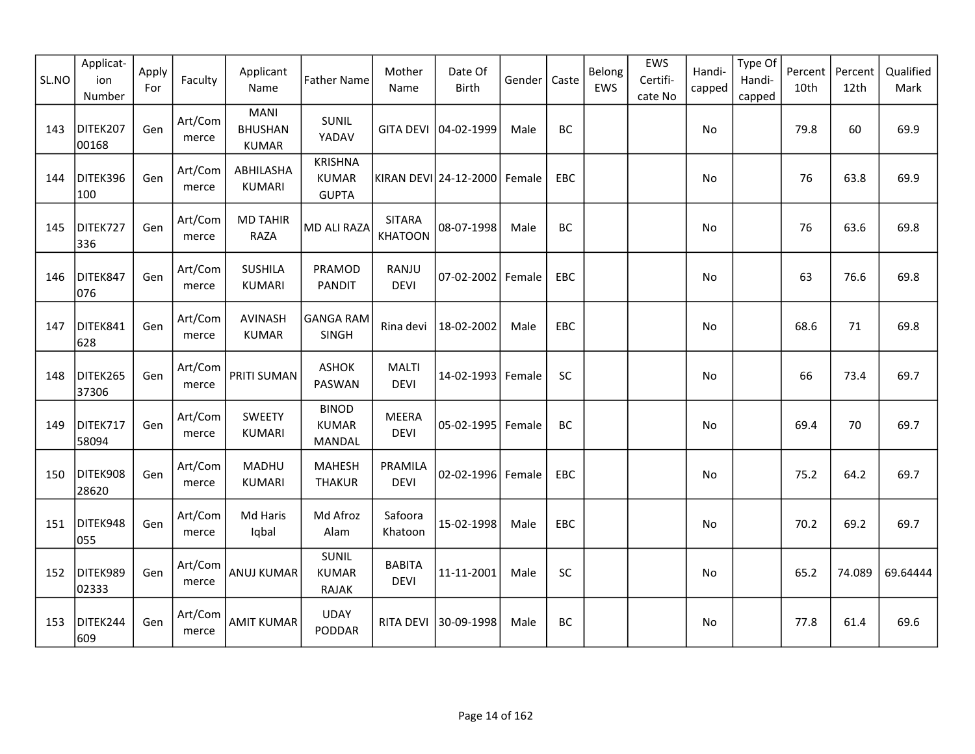| SL.NO | Applicat-<br>ion<br>Number | Apply<br>For | Faculty          | Applicant<br>Name                             | <b>Father Name</b>                             | Mother<br>Name                  | Date Of<br><b>Birth</b>      | Gender | Caste      | Belong<br>EWS | EWS<br>Certifi-<br>cate No | Handi-<br>capped | Type Of<br>Handi-<br>capped | Percent<br>10th | Percent<br>12th | Qualified<br>Mark |
|-------|----------------------------|--------------|------------------|-----------------------------------------------|------------------------------------------------|---------------------------------|------------------------------|--------|------------|---------------|----------------------------|------------------|-----------------------------|-----------------|-----------------|-------------------|
| 143   | DITEK207<br>00168          | Gen          | Art/Com<br>merce | <b>MANI</b><br><b>BHUSHAN</b><br><b>KUMAR</b> | SUNIL<br>YADAV                                 |                                 | GITA DEVI 04-02-1999         | Male   | BC         |               |                            | No               |                             | 79.8            | 60              | 69.9              |
| 144   | DITEK396<br>100            | Gen          | Art/Com<br>merce | ABHILASHA<br><b>KUMARI</b>                    | <b>KRISHNA</b><br><b>KUMAR</b><br><b>GUPTA</b> |                                 | KIRAN DEVI 24-12-2000 Female |        | EBC        |               |                            | No               |                             | 76              | 63.8            | 69.9              |
| 145   | DITEK727<br>336            | Gen          | Art/Com<br>merce | <b>MD TAHIR</b><br>RAZA                       | MD ALI RAZA                                    | <b>SITARA</b><br><b>KHATOON</b> | 08-07-1998                   | Male   | BC         |               |                            | No               |                             | 76              | 63.6            | 69.8              |
| 146   | DITEK847<br>076            | Gen          | Art/Com<br>merce | <b>SUSHILA</b><br><b>KUMARI</b>               | PRAMOD<br><b>PANDIT</b>                        | RANJU<br><b>DEVI</b>            | 07-02-2002   Female          |        | EBC        |               |                            | No               |                             | 63              | 76.6            | 69.8              |
| 147   | DITEK841<br>628            | Gen          | Art/Com<br>merce | <b>AVINASH</b><br><b>KUMAR</b>                | GANGA RAM<br>SINGH                             | Rina devi                       | 18-02-2002                   | Male   | <b>EBC</b> |               |                            | No               |                             | 68.6            | 71              | 69.8              |
| 148   | DITEK265<br>37306          | Gen          | Art/Com<br>merce | <b>PRITI SUMAN</b>                            | <b>ASHOK</b><br>PASWAN                         | <b>MALTI</b><br><b>DEVI</b>     | 14-02-1993 Female            |        | <b>SC</b>  |               |                            | No               |                             | 66              | 73.4            | 69.7              |
| 149   | DITEK717<br>58094          | Gen          | Art/Com<br>merce | SWEETY<br><b>KUMARI</b>                       | <b>BINOD</b><br><b>KUMAR</b><br><b>MANDAL</b>  | <b>MEERA</b><br><b>DEVI</b>     | 05-02-1995 Female            |        | BC         |               |                            | No               |                             | 69.4            | 70              | 69.7              |
| 150   | DITEK908<br>28620          | Gen          | Art/Com<br>merce | MADHU<br><b>KUMARI</b>                        | <b>MAHESH</b><br><b>THAKUR</b>                 | PRAMILA<br><b>DEVI</b>          | 02-02-1996 Female            |        | EBC        |               |                            | No               |                             | 75.2            | 64.2            | 69.7              |
| 151   | DITEK948<br>055            | Gen          | Art/Com<br>merce | Md Haris<br>Iqbal                             | Md Afroz<br>Alam                               | Safoora<br>Khatoon              | 15-02-1998                   | Male   | EBC        |               |                            | No               |                             | 70.2            | 69.2            | 69.7              |
| 152   | DITEK989<br>02333          | Gen          | Art/Com<br>merce | <b>ANUJ KUMAR</b>                             | SUNIL<br><b>KUMAR</b><br><b>RAJAK</b>          | <b>BABITA</b><br><b>DEVI</b>    | 11-11-2001                   | Male   | SC         |               |                            | No               |                             | 65.2            | 74.089          | 69.64444          |
| 153   | DITEK244<br>609            | Gen          | Art/Com<br>merce | <b>AMIT KUMAR</b>                             | <b>UDAY</b><br>PODDAR                          | <b>RITA DEVI</b>                | 30-09-1998                   | Male   | BC         |               |                            | No               |                             | 77.8            | 61.4            | 69.6              |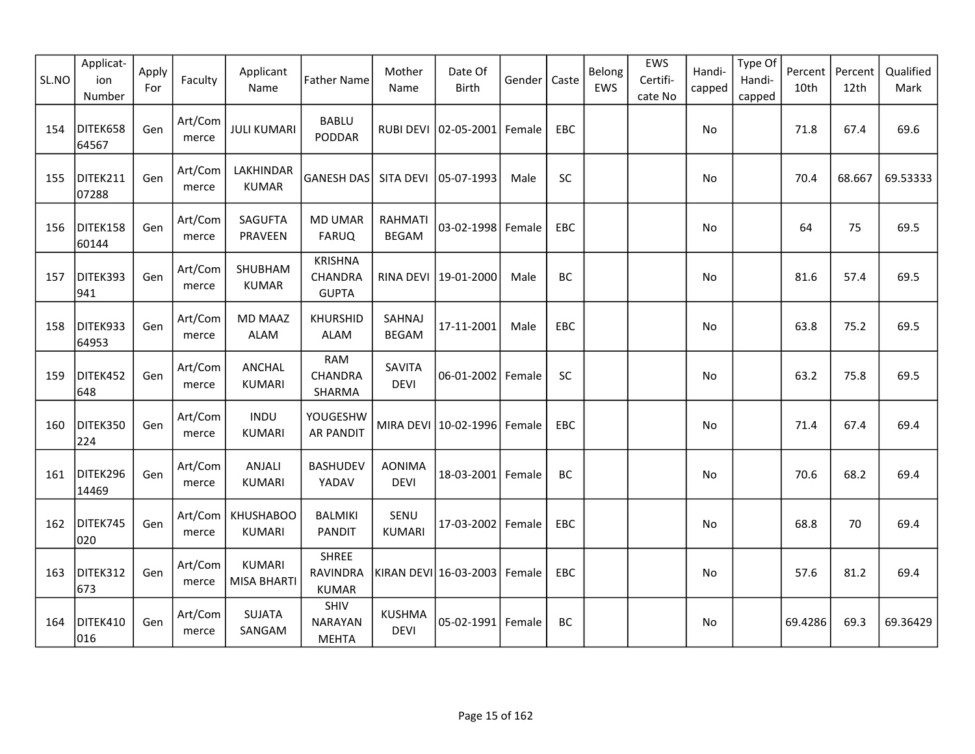| SL.NO | Applicat-<br>ion<br>Number | Apply<br>For | Faculty          | Applicant<br>Name                 | <b>Father Name</b>                              | Mother<br>Name                 | Date Of<br><b>Birth</b>         | Gender | Caste      | Belong<br>EWS | EWS<br>Certifi-<br>cate No | Handi-<br>capped | Type Of<br>Handi-<br>capped | Percent<br>10th | Percent<br>12th | Qualified<br>Mark |
|-------|----------------------------|--------------|------------------|-----------------------------------|-------------------------------------------------|--------------------------------|---------------------------------|--------|------------|---------------|----------------------------|------------------|-----------------------------|-----------------|-----------------|-------------------|
| 154   | DITEK658<br>64567          | Gen          | Art/Com<br>merce | <b>JULI KUMARI</b>                | <b>BABLU</b><br>PODDAR                          |                                | RUBI DEVI   02-05-2001   Female |        | <b>EBC</b> |               |                            | No               |                             | 71.8            | 67.4            | 69.6              |
| 155   | DITEK211<br>07288          | Gen          | Art/Com<br>merce | LAKHINDAR<br><b>KUMAR</b>         | GANESH DAS                                      | SITA DEVI                      | 05-07-1993                      | Male   | SC         |               |                            | No               |                             | 70.4            | 68.667          | 69.53333          |
| 156   | DITEK158<br>60144          | Gen          | Art/Com<br>merce | <b>SAGUFTA</b><br>PRAVEEN         | <b>MD UMAR</b><br><b>FARUQ</b>                  | <b>RAHMATI</b><br><b>BEGAM</b> | 03-02-1998                      | Female | <b>EBC</b> |               |                            | No               |                             | 64              | 75              | 69.5              |
| 157   | DITEK393<br>941            | Gen          | Art/Com<br>merce | SHUBHAM<br><b>KUMAR</b>           | <b>KRISHNA</b><br>CHANDRA<br><b>GUPTA</b>       |                                | RINA DEVI 19-01-2000            | Male   | BC         |               |                            | <b>No</b>        |                             | 81.6            | 57.4            | 69.5              |
| 158   | DITEK933<br>64953          | Gen          | Art/Com<br>merce | <b>MD MAAZ</b><br>ALAM            | <b>KHURSHID</b><br><b>ALAM</b>                  | SAHNAJ<br><b>BEGAM</b>         | 17-11-2001                      | Male   | EBC        |               |                            | No               |                             | 63.8            | 75.2            | 69.5              |
| 159   | DITEK452<br>648            | Gen          | Art/Com<br>merce | ANCHAL<br><b>KUMARI</b>           | <b>RAM</b><br><b>CHANDRA</b><br>SHARMA          | SAVITA<br><b>DEVI</b>          | $06 - 01 - 2002$                | Female | SC         |               |                            | No               |                             | 63.2            | 75.8            | 69.5              |
| 160   | DITEK350<br>224            | Gen          | Art/Com<br>merce | <b>INDU</b><br><b>KUMARI</b>      | YOUGESHW<br><b>AR PANDIT</b>                    |                                | MIRA DEVI   10-02-1996   Female |        | <b>EBC</b> |               |                            | No               |                             | 71.4            | 67.4            | 69.4              |
| 161   | DITEK296<br>14469          | Gen          | Art/Com<br>merce | ANJALI<br><b>KUMARI</b>           | <b>BASHUDEV</b><br>YADAV                        | <b>AONIMA</b><br><b>DEVI</b>   | 18-03-2001 Female               |        | <b>BC</b>  |               |                            | No               |                             | 70.6            | 68.2            | 69.4              |
| 162   | DITEK745<br>020            | Gen          | Art/Com<br>merce | <b>KHUSHABOO</b><br><b>KUMARI</b> | <b>BALMIKI</b><br><b>PANDIT</b>                 | SENU<br><b>KUMARI</b>          | 17-03-2002                      | Female | EBC        |               |                            | No               |                             | 68.8            | 70              | 69.4              |
| 163   | DITEK312<br>673            | Gen          | Art/Com<br>merce | <b>KUMARI</b><br>MISA BHARTI      | <b>SHREE</b><br><b>RAVINDRA</b><br><b>KUMAR</b> |                                | KIRAN DEVI 16-03-2003   Female  |        | EBC        |               |                            | No               |                             | 57.6            | 81.2            | 69.4              |
| 164   | DITEK410<br>016            | Gen          | Art/Com<br>merce | <b>SUJATA</b><br>SANGAM           | SHIV<br><b>NARAYAN</b><br><b>MEHTA</b>          | KUSHMA<br><b>DEVI</b>          | 05-02-1991                      | Female | BC         |               |                            | No               |                             | 69.4286         | 69.3            | 69.36429          |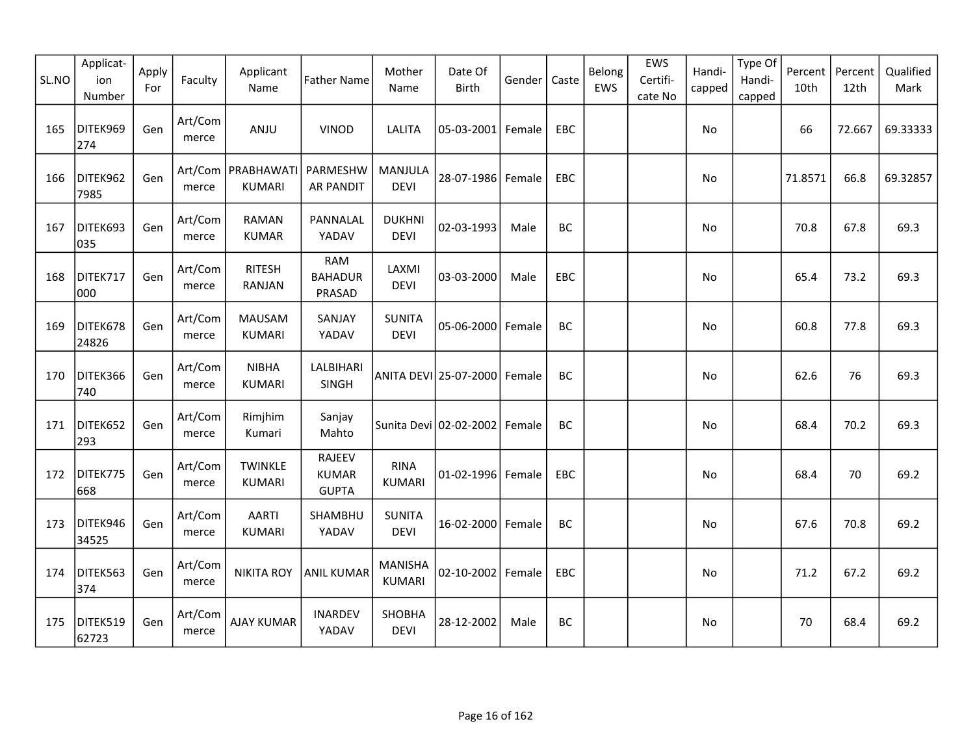| SL.NO | Applicat-<br>ion<br>Number | Apply<br>For | Faculty          | Applicant<br>Name                     | <b>Father Name</b>                     | Mother<br>Name                  | Date Of<br><b>Birth</b>       | Gender | Caste      | Belong<br>EWS | EWS<br>Certifi-<br>cate No | Handi-<br>capped | Type Of<br>Handi-<br>capped | Percent<br>10th | Percent<br>12th | Qualified<br>Mark |
|-------|----------------------------|--------------|------------------|---------------------------------------|----------------------------------------|---------------------------------|-------------------------------|--------|------------|---------------|----------------------------|------------------|-----------------------------|-----------------|-----------------|-------------------|
| 165   | DITEK969<br>274            | Gen          | Art/Com<br>merce | ANJU                                  | <b>VINOD</b>                           | LALITA                          | 05-03-2001 Female             |        | EBC        |               |                            | No               |                             | 66              | 72.667          | 69.33333          |
| 166   | DITEK962<br>7985           | Gen          | merce            | Art/Com   PRABHAWATI<br><b>KUMARI</b> | PARMESHW<br><b>AR PANDIT</b>           | MANJULA<br><b>DEVI</b>          | 28-07-1986 Female             |        | EBC        |               |                            | No               |                             | 71.8571         | 66.8            | 69.32857          |
| 167   | DITEK693<br>035            | Gen          | Art/Com<br>merce | <b>RAMAN</b><br><b>KUMAR</b>          | PANNALAL<br>YADAV                      | <b>DUKHNI</b><br><b>DEVI</b>    | 02-03-1993                    | Male   | BC         |               |                            | No               |                             | 70.8            | 67.8            | 69.3              |
| 168   | DITEK717<br>000            | Gen          | Art/Com<br>merce | <b>RITESH</b><br>RANJAN               | RAM<br><b>BAHADUR</b><br>PRASAD        | LAXMI<br><b>DEVI</b>            | 03-03-2000                    | Male   | EBC        |               |                            | No               |                             | 65.4            | 73.2            | 69.3              |
| 169   | DITEK678<br>24826          | Gen          | Art/Com<br>merce | <b>MAUSAM</b><br><b>KUMARI</b>        | SANJAY<br>YADAV                        | <b>SUNITA</b><br><b>DEVI</b>    | 05-06-2000                    | Female | BC         |               |                            | No               |                             | 60.8            | 77.8            | 69.3              |
| 170   | DITEK366<br>740            | Gen          | Art/Com<br>merce | <b>NIBHA</b><br><b>KUMARI</b>         | LALBIHARI<br>SINGH                     |                                 | ANITA DEVI 25-07-2000  Female |        | BC         |               |                            | No.              |                             | 62.6            | 76              | 69.3              |
| 171   | DITEK652<br>293            | Gen          | Art/Com<br>merce | Rimjhim<br>Kumari                     | Sanjay<br>Mahto                        |                                 | Sunita Devi 02-02-2002        | Female | BC         |               |                            | No               |                             | 68.4            | 70.2            | 69.3              |
| 172   | DITEK775<br>668            | Gen          | Art/Com<br>merce | <b>TWINKLE</b><br><b>KUMARI</b>       | RAJEEV<br><b>KUMAR</b><br><b>GUPTA</b> | <b>RINA</b><br><b>KUMARI</b>    | 01-02-1996 Female             |        | <b>EBC</b> |               |                            | No               |                             | 68.4            | 70              | 69.2              |
| 173   | DITEK946<br>34525          | Gen          | Art/Com<br>merce | <b>AARTI</b><br><b>KUMARI</b>         | SHAMBHU<br>YADAV                       | <b>SUNITA</b><br><b>DEVI</b>    | 16-02-2000 Female             |        | BC         |               |                            | No               |                             | 67.6            | 70.8            | 69.2              |
| 174   | DITEK563<br>374            | Gen          | Art/Com<br>merce | <b>NIKITA ROY</b>                     | <b>ANIL KUMAR</b>                      | <b>MANISHA</b><br><b>KUMARI</b> | 02-10-2002 Female             |        | EBC        |               |                            | No               |                             | 71.2            | 67.2            | 69.2              |
| 175   | DITEK519<br>62723          | Gen          | Art/Com<br>merce | <b>AJAY KUMAR</b>                     | <b>INARDEV</b><br>YADAV                | SHOBHA<br><b>DEVI</b>           | 28-12-2002                    | Male   | BC         |               |                            | No               |                             | 70              | 68.4            | 69.2              |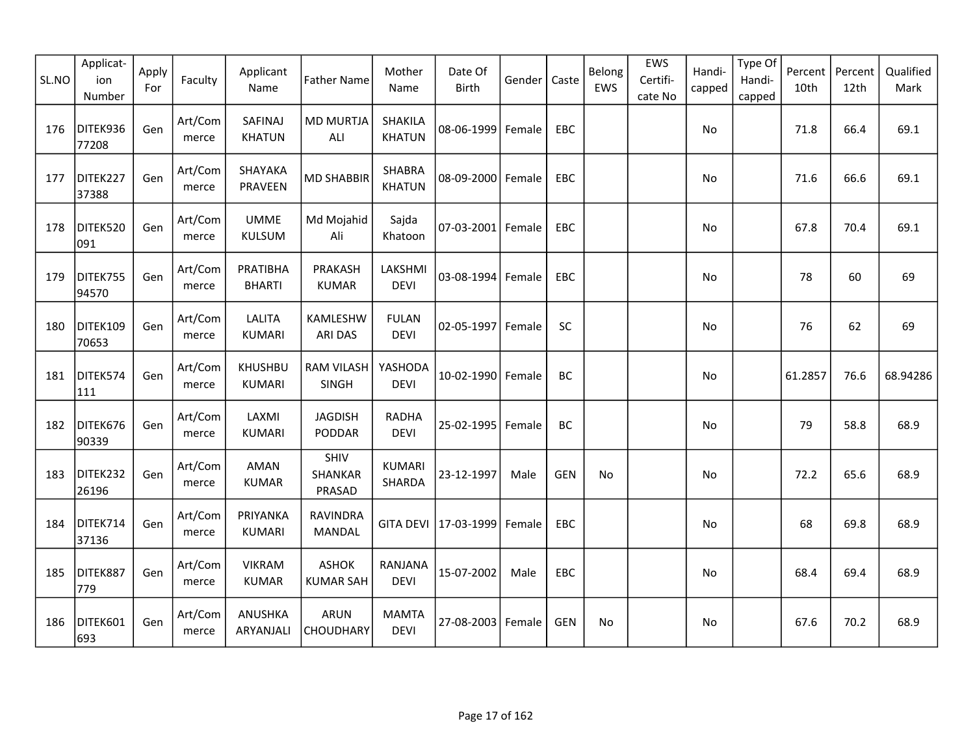| SL.NO | Applicat-<br>ion<br>Number | Apply<br>For | Faculty          | Applicant<br>Name               | <b>Father Name</b>               | Mother<br>Name              | Date Of<br><b>Birth</b> | Gender | Caste      | Belong<br>EWS | EWS<br>Certifi-<br>cate No | Handi-<br>capped | Type Of<br>Handi-<br>capped | Percent<br>10th | Percent<br>12th | Qualified<br>Mark |
|-------|----------------------------|--------------|------------------|---------------------------------|----------------------------------|-----------------------------|-------------------------|--------|------------|---------------|----------------------------|------------------|-----------------------------|-----------------|-----------------|-------------------|
| 176   | DITEK936<br>77208          | Gen          | Art/Com<br>merce | SAFINAJ<br><b>KHATUN</b>        | <b>MD MURTJA</b><br>ALI          | SHAKILA<br><b>KHATUN</b>    | 08-06-1999 Female       |        | EBC        |               |                            | No               |                             | 71.8            | 66.4            | 69.1              |
| 177   | DITEK227<br>37388          | Gen          | Art/Com<br>merce | SHAYAKA<br>PRAVEEN              | <b>MD SHABBIR</b>                | SHABRA<br><b>KHATUN</b>     | 08-09-2000 Female       |        | EBC        |               |                            | No               |                             | 71.6            | 66.6            | 69.1              |
| 178   | DITEK520<br>091            | Gen          | Art/Com<br>merce | <b>UMME</b><br>KULSUM           | Md Mojahid<br>Ali                | Sajda<br>Khatoon            | 07-03-2001 Female       |        | <b>EBC</b> |               |                            | No               |                             | 67.8            | 70.4            | 69.1              |
| 179   | DITEK755<br>94570          | Gen          | Art/Com<br>merce | PRATIBHA<br><b>BHARTI</b>       | PRAKASH<br><b>KUMAR</b>          | LAKSHMI<br><b>DEVI</b>      | 03-08-1994 Female       |        | EBC        |               |                            | No               |                             | 78              | 60              | 69                |
| 180   | DITEK109<br>70653          | Gen          | Art/Com<br>merce | <b>LALITA</b><br><b>KUMARI</b>  | KAMLESHW<br><b>ARI DAS</b>       | <b>FULAN</b><br><b>DEVI</b> | 02-05-1997 Female       |        | SC         |               |                            | No               |                             | 76              | 62              | 69                |
| 181   | DITEK574<br>111            | Gen          | Art/Com<br>merce | <b>KHUSHBU</b><br><b>KUMARI</b> | <b>RAM VILASH</b><br>SINGH       | YASHODA<br><b>DEVI</b>      | 10-02-1990 Female       |        | <b>BC</b>  |               |                            | No               |                             | 61.2857         | 76.6            | 68.94286          |
| 182   | DITEK676<br>90339          | Gen          | Art/Com<br>merce | LAXMI<br><b>KUMARI</b>          | <b>JAGDISH</b><br>PODDAR         | <b>RADHA</b><br><b>DEVI</b> | 25-02-1995 Female       |        | BC         |               |                            | No               |                             | 79              | 58.8            | 68.9              |
| 183   | DITEK232<br>26196          | Gen          | Art/Com<br>merce | AMAN<br><b>KUMAR</b>            | SHIV<br>SHANKAR<br>PRASAD        | <b>KUMARI</b><br>SHARDA     | 23-12-1997              | Male   | <b>GEN</b> | No            |                            | No               |                             | 72.2            | 65.6            | 68.9              |
| 184   | DITEK714<br>37136          | Gen          | Art/Com<br>merce | PRIYANKA<br><b>KUMARI</b>       | <b>RAVINDRA</b><br>MANDAL        | <b>GITA DEVI</b>            | 17-03-1999              | Female | EBC        |               |                            | No               |                             | 68              | 69.8            | 68.9              |
| 185   | DITEK887<br>779            | Gen          | Art/Com<br>merce | <b>VIKRAM</b><br><b>KUMAR</b>   | <b>ASHOK</b><br><b>KUMAR SAH</b> | RANJANA<br><b>DEVI</b>      | 15-07-2002              | Male   | EBC        |               |                            | No               |                             | 68.4            | 69.4            | 68.9              |
| 186   | DITEK601<br>693            | Gen          | Art/Com<br>merce | ANUSHKA<br>ARYANJALI            | <b>ARUN</b><br><b>CHOUDHARY</b>  | <b>MAMTA</b><br><b>DEVI</b> | 27-08-2003   Female     |        | <b>GEN</b> | No            |                            | No               |                             | 67.6            | 70.2            | 68.9              |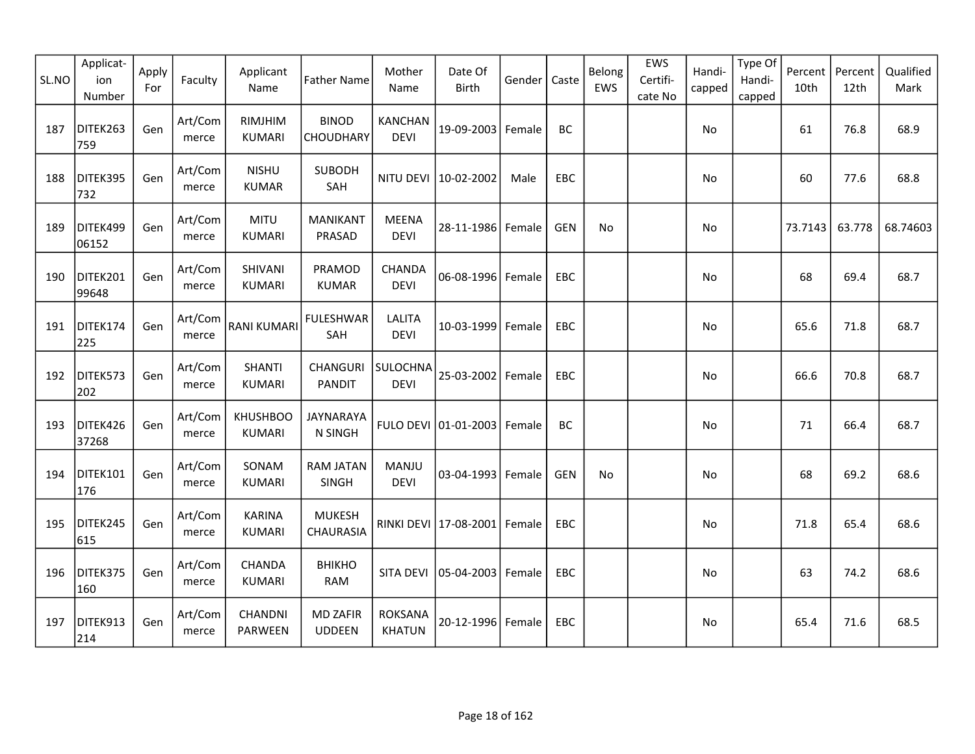| SL.NO | Applicat-<br>ion<br>Number | Apply<br>For | Faculty          | Applicant<br>Name                | <b>Father Name</b>               | Mother<br>Name                | Date Of<br>Birth      | Gender | Caste      | Belong<br>EWS | EWS<br>Certifi-<br>cate No | Handi-<br>capped | Type Of<br>Handi-<br>capped | Percent<br>10th | Percent<br>12th | Qualified<br>Mark |
|-------|----------------------------|--------------|------------------|----------------------------------|----------------------------------|-------------------------------|-----------------------|--------|------------|---------------|----------------------------|------------------|-----------------------------|-----------------|-----------------|-------------------|
| 187   | DITEK263<br>759            | Gen          | Art/Com<br>merce | RIMJHIM<br><b>KUMARI</b>         | <b>BINOD</b><br><b>CHOUDHARY</b> | <b>KANCHAN</b><br><b>DEVI</b> | 19-09-2003 Female     |        | BC         |               |                            | No               |                             | 61              | 76.8            | 68.9              |
| 188   | DITEK395<br>732            | Gen          | Art/Com<br>merce | <b>NISHU</b><br><b>KUMAR</b>     | <b>SUBODH</b><br>SAH             | NITU DEVI                     | 10-02-2002            | Male   | EBC        |               |                            | No               |                             | 60              | 77.6            | 68.8              |
| 189   | DITEK499<br>06152          | Gen          | Art/Com<br>merce | <b>MITU</b><br><b>KUMARI</b>     | <b>MANIKANT</b><br>PRASAD        | <b>MEENA</b><br><b>DEVI</b>   | 28-11-1986 Female     |        | <b>GEN</b> | No            |                            | No               |                             | 73.7143         | 63.778          | 68.74603          |
| 190   | DITEK201<br>99648          | Gen          | Art/Com<br>merce | SHIVANI<br>KUMARI                | PRAMOD<br><b>KUMAR</b>           | <b>CHANDA</b><br><b>DEVI</b>  | 06-08-1996 Female     |        | EBC        |               |                            | No               |                             | 68              | 69.4            | 68.7              |
| 191   | DITEK174<br>225            | Gen          | Art/Com<br>merce | <b>RANI KUMARI</b>               | <b>FULESHWAR</b><br>SAH          | <b>LALITA</b><br><b>DEVI</b>  | 10-03-1999            | Female | EBC        |               |                            | No               |                             | 65.6            | 71.8            | 68.7              |
| 192   | DITEK573<br>202            | Gen          | Art/Com<br>merce | <b>SHANTI</b><br>KUMARI          | CHANGURI<br><b>PANDIT</b>        | SULOCHNA<br><b>DEVI</b>       | 25-03-2002 Female     |        | <b>EBC</b> |               |                            | No.              |                             | 66.6            | 70.8            | 68.7              |
| 193   | DITEK426<br>37268          | Gen          | Art/Com<br>merce | <b>KHUSHBOO</b><br><b>KUMARI</b> | <b>JAYNARAYA</b><br>N SINGH      |                               | FULO DEVI 01-01-2003  | Female | BC         |               |                            | No               |                             | 71              | 66.4            | 68.7              |
| 194   | DITEK101<br>176            | Gen          | Art/Com<br>merce | SONAM<br><b>KUMARI</b>           | RAM JATAN<br>SINGH               | MANJU<br><b>DEVI</b>          | 03-04-1993 Female     |        | GEN        | No            |                            | No               |                             | 68              | 69.2            | 68.6              |
| 195   | DITEK245<br>615            | Gen          | Art/Com<br>merce | <b>KARINA</b><br><b>KUMARI</b>   | <b>MUKESH</b><br>CHAURASIA       |                               | RINKI DEVI 17-08-2001 | Female | <b>EBC</b> |               |                            | No.              |                             | 71.8            | 65.4            | 68.6              |
| 196   | DITEK375<br>160            | Gen          | Art/Com<br>merce | CHANDA<br><b>KUMARI</b>          | ВНІКНО<br><b>RAM</b>             | SITA DEVI                     | 05-04-2003   Female   |        | EBC        |               |                            | No               |                             | 63              | 74.2            | 68.6              |
| 197   | DITEK913<br>214            | Gen          | Art/Com<br>merce | CHANDNI<br><b>PARWEEN</b>        | <b>MD ZAFIR</b><br><b>UDDEEN</b> | ROKSANA<br><b>KHATUN</b>      | 20-12-1996 Female     |        | EBC        |               |                            | No.              |                             | 65.4            | 71.6            | 68.5              |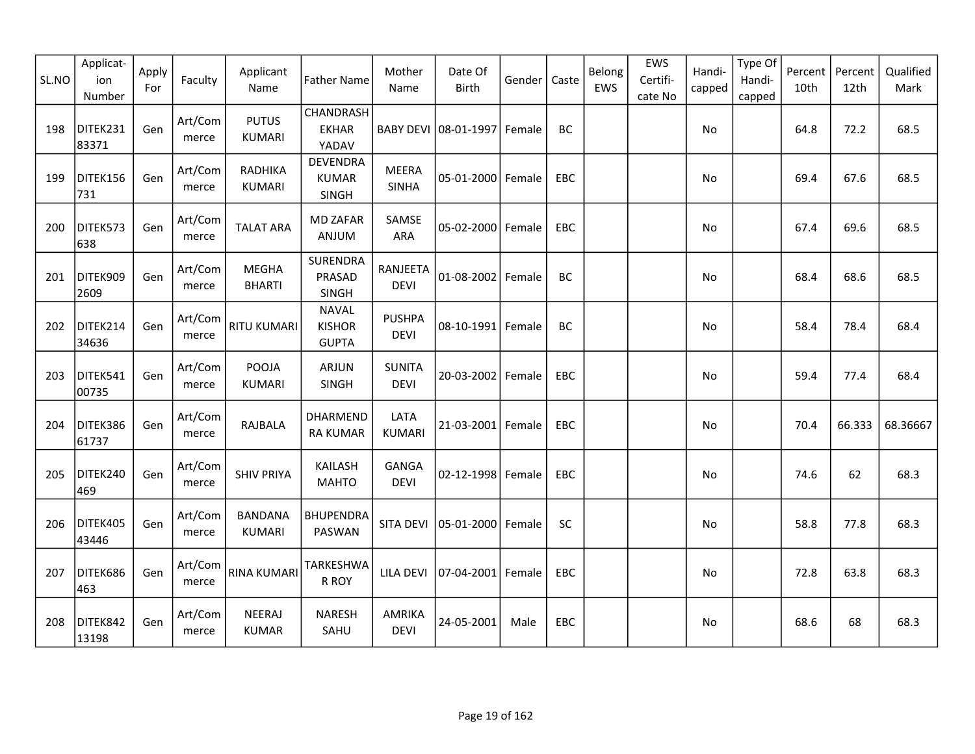| SL.NO | Applicat-<br>ion<br>Number | Apply<br>For | Faculty          | Applicant<br>Name               | <b>Father Name</b>                            | Mother<br>Name               | Date Of<br><b>Birth</b> | Gender | Caste     | Belong<br>EWS | EWS<br>Certifi-<br>cate No | Handi-<br>capped | Type Of<br>Handi-<br>capped | Percent<br>10th | Percent<br>12th | Qualified<br>Mark |
|-------|----------------------------|--------------|------------------|---------------------------------|-----------------------------------------------|------------------------------|-------------------------|--------|-----------|---------------|----------------------------|------------------|-----------------------------|-----------------|-----------------|-------------------|
| 198   | DITEK231<br>83371          | Gen          | Art/Com<br>merce | <b>PUTUS</b><br><b>KUMARI</b>   | CHANDRASH<br><b>EKHAR</b><br>YADAV            |                              | BABY DEVI 08-01-1997    | Female | <b>BC</b> |               |                            | No               |                             | 64.8            | 72.2            | 68.5              |
| 199   | DITEK156<br>731            | Gen          | Art/Com<br>merce | RADHIKA<br>KUMARI               | <b>DEVENDRA</b><br><b>KUMAR</b><br>SINGH      | <b>MEERA</b><br><b>SINHA</b> | 05-01-2000 Female       |        | EBC       |               |                            | No               |                             | 69.4            | 67.6            | 68.5              |
| 200   | DITEK573<br>638            | Gen          | Art/Com<br>merce | <b>TALAT ARA</b>                | <b>MD ZAFAR</b><br>ANJUM                      | SAMSE<br><b>ARA</b>          | 05-02-2000 Female       |        | EBC       |               |                            | No               |                             | 67.4            | 69.6            | 68.5              |
| 201   | DITEK909<br>2609           | Gen          | Art/Com<br>merce | <b>MEGHA</b><br><b>BHARTI</b>   | SURENDRA<br>PRASAD<br><b>SINGH</b>            | RANJEETA<br><b>DEVI</b>      | 01-08-2002              | Female | BC        |               |                            | No               |                             | 68.4            | 68.6            | 68.5              |
| 202   | DITEK214<br>34636          | Gen          | Art/Com<br>merce | <b>RITU KUMARI</b>              | <b>NAVAL</b><br><b>KISHOR</b><br><b>GUPTA</b> | <b>PUSHPA</b><br><b>DEVI</b> | 08-10-1991 Female       |        | BC        |               |                            | No               |                             | 58.4            | 78.4            | 68.4              |
| 203   | DITEK541<br>00735          | Gen          | Art/Com<br>merce | POOJA<br><b>KUMARI</b>          | <b>ARJUN</b><br>SINGH                         | <b>SUNITA</b><br><b>DEVI</b> | 20-03-2002              | Female | EBC       |               |                            | No               |                             | 59.4            | 77.4            | 68.4              |
| 204   | DITEK386<br>61737          | Gen          | Art/Com<br>merce | RAJBALA                         | <b>DHARMEND</b><br><b>RA KUMAR</b>            | LATA<br><b>KUMARI</b>        | 21-03-2001 Female       |        | EBC       |               |                            | No               |                             | 70.4            | 66.333          | 68.36667          |
| 205   | DITEK240<br>469            | Gen          | Art/Com<br>merce | <b>SHIV PRIYA</b>               | <b>KAILASH</b><br><b>MAHTO</b>                | <b>GANGA</b><br><b>DEVI</b>  | 02-12-1998 Female       |        | EBC       |               |                            | No               |                             | 74.6            | 62              | 68.3              |
| 206   | DITEK405<br>43446          | Gen          | Art/Com<br>merce | <b>BANDANA</b><br><b>KUMARI</b> | <b>BHUPENDRA</b><br>PASWAN                    | SITA DEVI                    | 05-01-2000              | Female | SC        |               |                            | No               |                             | 58.8            | 77.8            | 68.3              |
| 207   | DITEK686<br>463            | Gen          | Art/Com<br>merce | <b>RINA KUMARI</b>              | TARKESHWA<br>R ROY                            | <b>LILA DEVI</b>             | 07-04-2001 Female       |        | EBC       |               |                            | No               |                             | 72.8            | 63.8            | 68.3              |
| 208   | DITEK842<br>13198          | Gen          | Art/Com<br>merce | NEERAJ<br><b>KUMAR</b>          | <b>NARESH</b><br>SAHU                         | AMRIKA<br><b>DEVI</b>        | 24-05-2001              | Male   | EBC       |               |                            | No               |                             | 68.6            | 68              | 68.3              |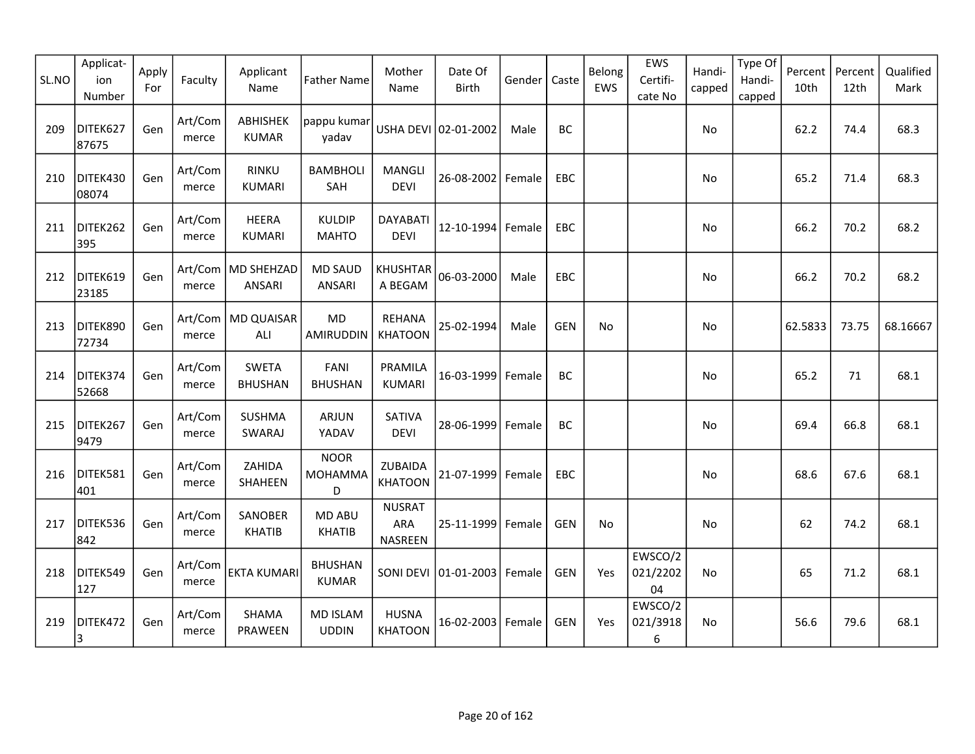| SL.NO | Applicat-<br>ion<br>Number | Apply<br>For | Faculty          | Applicant<br>Name               | <b>Father Name</b>                 | Mother<br>Name                  | Date Of<br>Birth     | Gender | Caste      | Belong<br>EWS | EWS<br>Certifi-<br>cate No | Handi-<br>capped | Type Of<br>Handi-<br>capped | Percent<br>10th | Percent<br>12th | Qualified<br>Mark |
|-------|----------------------------|--------------|------------------|---------------------------------|------------------------------------|---------------------------------|----------------------|--------|------------|---------------|----------------------------|------------------|-----------------------------|-----------------|-----------------|-------------------|
| 209   | DITEK627<br>87675          | Gen          | Art/Com<br>merce | <b>ABHISHEK</b><br><b>KUMAR</b> | pappu kumar<br>yadav               |                                 | USHA DEVI 02-01-2002 | Male   | BC         |               |                            | No               |                             | 62.2            | 74.4            | 68.3              |
| 210   | DITEK430<br>08074          | Gen          | Art/Com<br>merce | <b>RINKU</b><br><b>KUMARI</b>   | <b>BAMBHOLI</b><br>SAH             | <b>MANGLI</b><br><b>DEVI</b>    | 26-08-2002           | Female | EBC        |               |                            | No               |                             | 65.2            | 71.4            | 68.3              |
| 211   | DITEK262<br>395            | Gen          | Art/Com<br>merce | <b>HEERA</b><br><b>KUMARI</b>   | <b>KULDIP</b><br><b>MAHTO</b>      | <b>DAYABATI</b><br><b>DEVI</b>  | 12-10-1994           | Female | <b>EBC</b> |               |                            | No.              |                             | 66.2            | 70.2            | 68.2              |
| 212   | DITEK619<br>23185          | Gen          | merce            | Art/Com   MD SHEHZAD<br>ANSARI  | <b>MD SAUD</b><br><b>ANSARI</b>    | <b>KHUSHTAR</b><br>A BEGAM      | 06-03-2000           | Male   | EBC        |               |                            | No               |                             | 66.2            | 70.2            | 68.2              |
| 213   | DITEK890<br>72734          | Gen          | merce            | Art/Com   MD QUAISAR<br>ALI     | <b>MD</b><br>AMIRUDDIN             | REHANA<br><b>KHATOON</b>        | 25-02-1994           | Male   | <b>GEN</b> | No            |                            | No               |                             | 62.5833         | 73.75           | 68.16667          |
| 214   | DITEK374<br>52668          | Gen          | Art/Com<br>merce | <b>SWETA</b><br><b>BHUSHAN</b>  | FANI<br><b>BHUSHAN</b>             | PRAMILA<br><b>KUMARI</b>        | 16-03-1999           | Female | BC         |               |                            | No               |                             | 65.2            | 71              | 68.1              |
| 215   | DITEK267<br>9479           | Gen          | Art/Com<br>merce | <b>SUSHMA</b><br>SWARAJ         | <b>ARJUN</b><br>YADAV              | SATIVA<br><b>DEVI</b>           | 28-06-1999           | Female | BC         |               |                            | No               |                             | 69.4            | 66.8            | 68.1              |
| 216   | DITEK581<br>401            | Gen          | Art/Com<br>merce | ZAHIDA<br>SHAHEEN               | <b>NOOR</b><br><b>MOHAMMA</b><br>D | ZUBAIDA<br><b>KHATOON</b>       | 21-07-1999           | Female | <b>EBC</b> |               |                            | No               |                             | 68.6            | 67.6            | 68.1              |
| 217   | DITEK536<br>842            | Gen          | Art/Com<br>merce | SANOBER<br><b>KHATIB</b>        | <b>MD ABU</b><br><b>KHATIB</b>     | <b>NUSRAT</b><br>ARA<br>NASREEN | 25-11-1999           | Female | <b>GEN</b> | No            |                            | No               |                             | 62              | 74.2            | 68.1              |
| 218   | DITEK549<br>127            | Gen          | Art/Com<br>merce | <b>EKTA KUMARI</b>              | <b>BHUSHAN</b><br><b>KUMAR</b>     |                                 | SONI DEVI 01-01-2003 | Female | <b>GEN</b> | Yes           | EWSCO/2<br>021/2202<br>04  | <b>No</b>        |                             | 65              | 71.2            | 68.1              |
| 219   | DITEK472<br>$\overline{3}$ | Gen          | Art/Com<br>merce | SHAMA<br>PRAWEEN                | <b>MD ISLAM</b><br><b>UDDIN</b>    | <b>HUSNA</b><br><b>KHATOON</b>  | 16-02-2003           | Female | <b>GEN</b> | Yes           | EWSCO/2<br>021/3918<br>6   | No               |                             | 56.6            | 79.6            | 68.1              |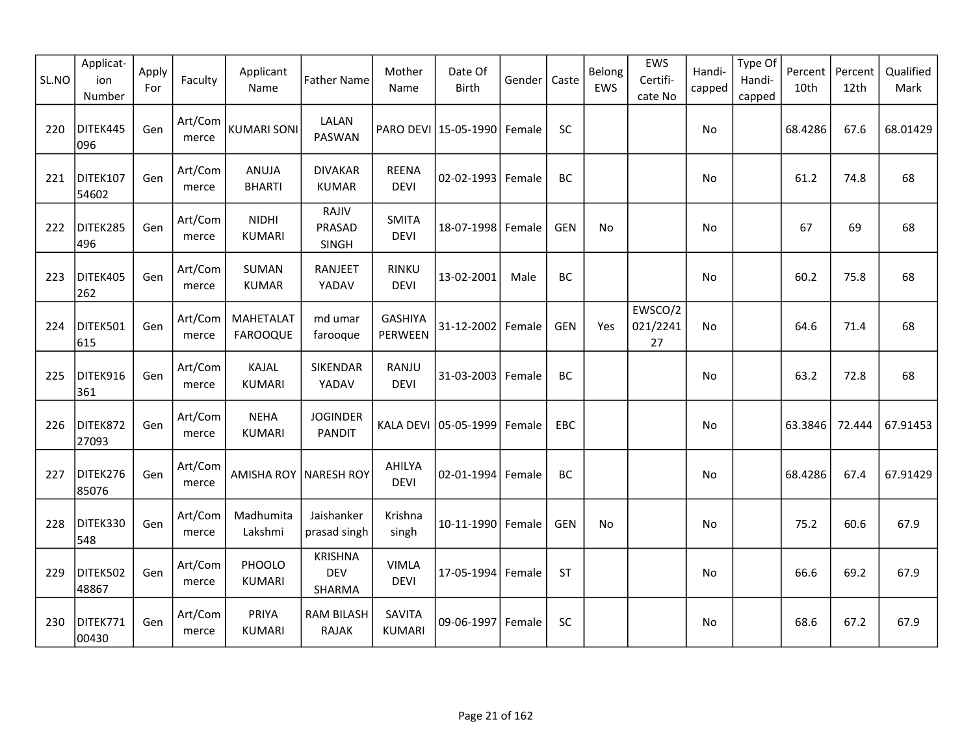| SL.NO | Applicat-<br>ion<br>Number | Apply<br>For | Faculty          | Applicant<br>Name                   | <b>Father Name</b>                     | Mother<br>Name                 | Date Of<br>Birth     | Gender | Caste      | Belong<br>EWS | EWS<br>Certifi-<br>cate No | Handi-<br>capped | Type Of<br>Handi-<br>capped | Percent<br>10th | Percent<br>12th | Qualified<br>Mark |
|-------|----------------------------|--------------|------------------|-------------------------------------|----------------------------------------|--------------------------------|----------------------|--------|------------|---------------|----------------------------|------------------|-----------------------------|-----------------|-----------------|-------------------|
| 220   | DITEK445<br>096            | Gen          | Art/Com<br>merce | <b>KUMARI SONI</b>                  | LALAN<br>PASWAN                        |                                | PARO DEVI 15-05-1990 | Female | SC         |               |                            | No               |                             | 68.4286         | 67.6            | 68.01429          |
| 221   | DITEK107<br>54602          | Gen          | Art/Com<br>merce | ANUJA<br><b>BHARTI</b>              | <b>DIVAKAR</b><br><b>KUMAR</b>         | <b>REENA</b><br><b>DEVI</b>    | 02-02-1993 Female    |        | BC         |               |                            | No               |                             | 61.2            | 74.8            | 68                |
| 222   | DITEK285<br>496            | Gen          | Art/Com<br>merce | <b>NIDHI</b><br><b>KUMARI</b>       | RAJIV<br>PRASAD<br>SINGH               | <b>SMITA</b><br><b>DEVI</b>    | 18-07-1998 Female    |        | <b>GEN</b> | No.           |                            | <b>No</b>        |                             | 67              | 69              | 68                |
| 223   | DITEK405<br>262            | Gen          | Art/Com<br>merce | SUMAN<br><b>KUMAR</b>               | <b>RANJEET</b><br>YADAV                | <b>RINKU</b><br><b>DEVI</b>    | 13-02-2001           | Male   | <b>BC</b>  |               |                            | No               |                             | 60.2            | 75.8            | 68                |
| 224   | DITEK501<br>615            | Gen          | Art/Com<br>merce | <b>MAHETALAT</b><br><b>FAROOQUE</b> | md umar<br>farooque                    | <b>GASHIYA</b><br>PERWEEN      | 31-12-2002           | Female | <b>GEN</b> | Yes           | EWSCO/2<br>021/2241<br>27  | <b>No</b>        |                             | 64.6            | 71.4            | 68                |
| 225   | DITEK916<br>361            | Gen          | Art/Com<br>merce | KAJAL<br><b>KUMARI</b>              | SIKENDAR<br>YADAV                      | RANJU<br><b>DEVI</b>           | 31-03-2003           | Female | BC         |               |                            | No               |                             | 63.2            | 72.8            | 68                |
| 226   | DITEK872<br>27093          | Gen          | Art/Com<br>merce | <b>NEHA</b><br><b>KUMARI</b>        | <b>JOGINDER</b><br><b>PANDIT</b>       |                                | KALA DEVI 05-05-1999 | Female | EBC        |               |                            | No               |                             | 63.3846         | 72.444          | 67.91453          |
| 227   | DITEK276<br>85076          | Gen          | Art/Com<br>merce | AMISHA ROY NARESH ROY               |                                        | AHILYA<br><b>DEVI</b>          | 02-01-1994           | Female | <b>BC</b>  |               |                            | No               |                             | 68.4286         | 67.4            | 67.91429          |
| 228   | DITEK330<br>548            | Gen          | Art/Com<br>merce | Madhumita<br>Lakshmi                | Jaishanker<br>prasad singh             | Krishna<br>singh               | 10-11-1990 Female    |        | <b>GEN</b> | No            |                            | No               |                             | 75.2            | 60.6            | 67.9              |
| 229   | DITEK502<br>48867          | Gen          | Art/Com<br>merce | PHOOLO<br><b>KUMARI</b>             | <b>KRISHNA</b><br><b>DEV</b><br>SHARMA | <b>VIMLA</b><br><b>DEVI</b>    | 17-05-1994 Female    |        | <b>ST</b>  |               |                            | No               |                             | 66.6            | 69.2            | 67.9              |
| 230   | DITEK771<br>00430          | Gen          | Art/Com<br>merce | PRIYA<br><b>KUMARI</b>              | <b>RAM BILASH</b><br><b>RAJAK</b>      | <b>SAVITA</b><br><b>KUMARI</b> | 09-06-1997           | Female | <b>SC</b>  |               |                            | No               |                             | 68.6            | 67.2            | 67.9              |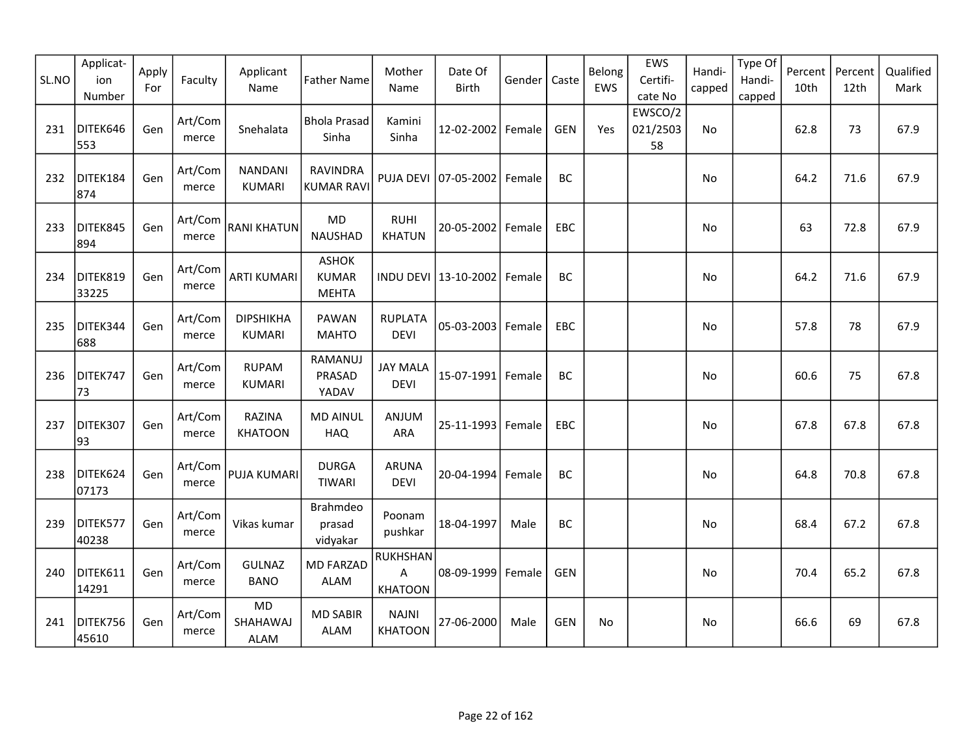| SL.NO | Applicat-<br>ion<br>Number | Apply<br>For | Faculty          | Applicant<br>Name                    | <b>Father Name</b>                    | Mother<br>Name                         | Date Of<br><b>Birth</b> | Gender | Caste      | Belong<br>EWS | EWS<br>Certifi-<br>cate No | Handi-<br>capped | Type Of<br>Handi-<br>capped | Percent<br>10th | Percent<br>12th | Qualified<br>Mark |
|-------|----------------------------|--------------|------------------|--------------------------------------|---------------------------------------|----------------------------------------|-------------------------|--------|------------|---------------|----------------------------|------------------|-----------------------------|-----------------|-----------------|-------------------|
| 231   | DITEK646<br>553            | Gen          | Art/Com<br>merce | Snehalata                            | <b>Bhola Prasad</b><br>Sinha          | Kamini<br>Sinha                        | 12-02-2002 Female       |        | <b>GEN</b> | Yes           | EWSCO/2<br>021/2503<br>58  | No               |                             | 62.8            | 73              | 67.9              |
| 232   | DITEK184<br>874            | Gen          | Art/Com<br>merce | <b>NANDANI</b><br><b>KUMARI</b>      | RAVINDRA<br><b>KUMAR RAVI</b>         |                                        | PUJA DEVI 07-05-2002    | Female | BC         |               |                            | No               |                             | 64.2            | 71.6            | 67.9              |
| 233   | DITEK845<br>894            | Gen          | Art/Com<br>merce | <b>RANI KHATUN</b>                   | MD<br><b>NAUSHAD</b>                  | <b>RUHI</b><br><b>KHATUN</b>           | 20-05-2002              | Female | EBC        |               |                            | No               |                             | 63              | 72.8            | 67.9              |
| 234   | DITEK819<br>33225          | Gen          | Art/Com<br>merce | <b>ARTI KUMARI</b>                   | ASHOK<br><b>KUMAR</b><br><b>MEHTA</b> |                                        | INDU DEVI 13-10-2002    | Female | BC         |               |                            | No               |                             | 64.2            | 71.6            | 67.9              |
| 235   | DITEK344<br>688            | Gen          | Art/Com<br>merce | <b>DIPSHIKHA</b><br><b>KUMARI</b>    | PAWAN<br><b>MAHTO</b>                 | <b>RUPLATA</b><br><b>DEVI</b>          | $05 - 03 - 2003$        | Female | EBC        |               |                            | No               |                             | 57.8            | 78              | 67.9              |
| 236   | DITEK747<br>73             | Gen          | Art/Com<br>merce | <b>RUPAM</b><br><b>KUMARI</b>        | RAMANUJ<br>PRASAD<br>YADAV            | <b>JAY MALA</b><br><b>DEVI</b>         | 15-07-1991 Female       |        | BC         |               |                            | No               |                             | 60.6            | 75              | 67.8              |
| 237   | DITEK307<br>93             | Gen          | Art/Com<br>merce | <b>RAZINA</b><br><b>KHATOON</b>      | <b>MD AINUL</b><br><b>HAQ</b>         | ANJUM<br><b>ARA</b>                    | 25-11-1993              | Female | <b>EBC</b> |               |                            | No               |                             | 67.8            | 67.8            | 67.8              |
| 238   | DITEK624<br>07173          | Gen          | Art/Com<br>merce | <b>PUJA KUMARI</b>                   | <b>DURGA</b><br><b>TIWARI</b>         | <b>ARUNA</b><br><b>DEVI</b>            | 20-04-1994 Female       |        | BC         |               |                            | No               |                             | 64.8            | 70.8            | 67.8              |
| 239   | DITEK577<br>40238          | Gen          | Art/Com<br>merce | Vikas kumar                          | Brahmdeo<br>prasad<br>vidyakar        | Poonam<br>pushkar                      | 18-04-1997              | Male   | BC         |               |                            | No               |                             | 68.4            | 67.2            | 67.8              |
| 240   | DITEK611<br>14291          | Gen          | Art/Com<br>merce | <b>GULNAZ</b><br><b>BANO</b>         | <b>MD FARZAD</b><br><b>ALAM</b>       | <b>RUKHSHAN</b><br>A<br><b>KHATOON</b> | 08-09-1999              | Female | <b>GEN</b> |               |                            | No               |                             | 70.4            | 65.2            | 67.8              |
| 241   | DITEK756<br>45610          | Gen          | Art/Com<br>merce | <b>MD</b><br>SHAHAWAJ<br><b>ALAM</b> | <b>MD SABIR</b><br><b>ALAM</b>        | <b>NAJNI</b><br><b>KHATOON</b>         | 27-06-2000              | Male   | <b>GEN</b> | No            |                            | <b>No</b>        |                             | 66.6            | 69              | 67.8              |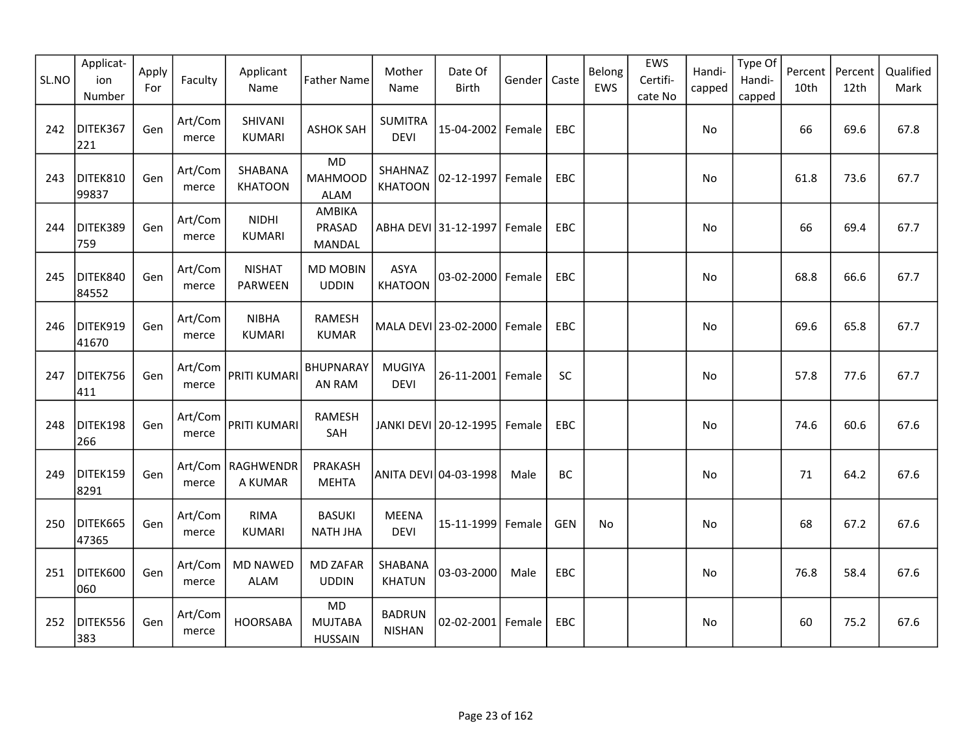| SL.NO | Applicat-<br>ion<br>Number | Apply<br>For | Faculty          | Applicant<br>Name               | <b>Father Name</b>                            | Mother<br>Name                 | Date Of<br><b>Birth</b> | Gender | Caste      | Belong<br>EWS | EWS<br>Certifi-<br>cate No | Handi-<br>capped | Type Of<br>Handi-<br>capped | Percent<br>10th | Percent<br>12th | Qualified<br>Mark |
|-------|----------------------------|--------------|------------------|---------------------------------|-----------------------------------------------|--------------------------------|-------------------------|--------|------------|---------------|----------------------------|------------------|-----------------------------|-----------------|-----------------|-------------------|
| 242   | DITEK367<br>221            | Gen          | Art/Com<br>merce | SHIVANI<br><b>KUMARI</b>        | <b>ASHOK SAH</b>                              | <b>SUMITRA</b><br><b>DEVI</b>  | 15-04-2002 Female       |        | EBC        |               |                            | No               |                             | 66              | 69.6            | 67.8              |
| 243   | DITEK810<br>99837          | Gen          | Art/Com<br>merce | SHABANA<br><b>KHATOON</b>       | <b>MD</b><br><b>MAHMOOD</b><br><b>ALAM</b>    | SHAHNAZ<br><b>KHATOON</b>      | 02-12-1997              | Female | EBC        |               |                            | No               |                             | 61.8            | 73.6            | 67.7              |
| 244   | DITEK389<br>759            | Gen          | Art/Com<br>merce | <b>NIDHI</b><br><b>KUMARI</b>   | AMBIKA<br>PRASAD<br>MANDAL                    |                                | ABHA DEVI 31-12-1997    | Female | <b>EBC</b> |               |                            | No               |                             | 66              | 69.4            | 67.7              |
| 245   | DITEK840<br>84552          | Gen          | Art/Com<br>merce | <b>NISHAT</b><br><b>PARWEEN</b> | <b>MD MOBIN</b><br><b>UDDIN</b>               | <b>ASYA</b><br><b>KHATOON</b>  | 03-02-2000 Female       |        | EBC        |               |                            | No               |                             | 68.8            | 66.6            | 67.7              |
| 246   | DITEK919<br>41670          | Gen          | Art/Com<br>merce | <b>NIBHA</b><br><b>KUMARI</b>   | <b>RAMESH</b><br><b>KUMAR</b>                 |                                | MALA DEVI 23-02-2000    | Female | EBC        |               |                            | No               |                             | 69.6            | 65.8            | 67.7              |
| 247   | DITEK756<br>411            | Gen          | Art/Com<br>merce | PRITI KUMARI                    | BHUPNARAY<br>AN RAM                           | <b>MUGIYA</b><br><b>DEVI</b>   | 26-11-2001 Female       |        | SC         |               |                            | No               |                             | 57.8            | 77.6            | 67.7              |
| 248   | DITEK198<br>266            | Gen          | Art/Com<br>merce | PRITI KUMARI                    | <b>RAMESH</b><br>SAH                          |                                | JANKI DEVI 20-12-1995   | Female | EBC        |               |                            | No               |                             | 74.6            | 60.6            | 67.6              |
| 249   | DITEK159<br>8291           | Gen          | merce            | Art/Com   RAGHWENDR<br>A KUMAR  | PRAKASH<br><b>MEHTA</b>                       |                                | ANITA DEVI 04-03-1998   | Male   | BC         |               |                            | No               |                             | 71              | 64.2            | 67.6              |
| 250   | DITEK665<br>47365          | Gen          | Art/Com<br>merce | <b>RIMA</b><br><b>KUMARI</b>    | <b>BASUKI</b><br><b>NATH JHA</b>              | <b>MEENA</b><br><b>DEVI</b>    | 15-11-1999              | Female | <b>GEN</b> | No            |                            | No               |                             | 68              | 67.2            | 67.6              |
| 251   | DITEK600<br>060            | Gen          | Art/Com<br>merce | <b>MD NAWED</b><br>ALAM         | <b>MD ZAFAR</b><br><b>UDDIN</b>               | SHABANA<br><b>KHATUN</b>       | 03-03-2000              | Male   | EBC        |               |                            | No               |                             | 76.8            | 58.4            | 67.6              |
| 252   | DITEK556<br>383            | Gen          | Art/Com<br>merce | <b>HOORSABA</b>                 | <b>MD</b><br><b>MUJTABA</b><br><b>HUSSAIN</b> | <b>BADRUN</b><br><b>NISHAN</b> | 02-02-2001 Female       |        | <b>EBC</b> |               |                            | No               |                             | 60              | 75.2            | 67.6              |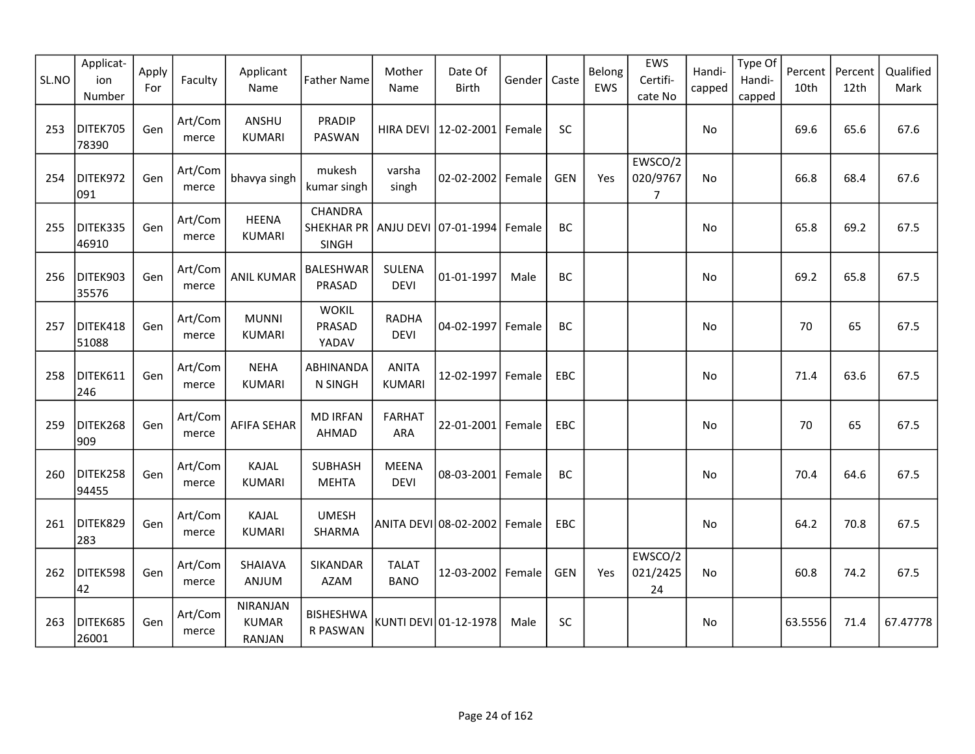| SL.NO | Applicat-<br>ion<br>Number | Apply<br>For | Faculty          | Applicant<br>Name                  | <b>Father Name</b>                                                    | Mother<br>Name                | Date Of<br><b>Birth</b> | Gender | Caste      | Belong<br>EWS | EWS<br>Certifi-<br>cate No            | Handi-<br>capped | Type Of<br>Handi-<br>capped | Percent<br>10th | Percent<br>12th | Qualified<br>Mark |
|-------|----------------------------|--------------|------------------|------------------------------------|-----------------------------------------------------------------------|-------------------------------|-------------------------|--------|------------|---------------|---------------------------------------|------------------|-----------------------------|-----------------|-----------------|-------------------|
| 253   | DITEK705<br>78390          | Gen          | Art/Com<br>merce | ANSHU<br><b>KUMARI</b>             | <b>PRADIP</b><br>PASWAN                                               | HIRA DEVI                     | 12-02-2001 Female       |        | SC         |               |                                       | No               |                             | 69.6            | 65.6            | 67.6              |
| 254   | DITEK972<br>091            | Gen          | Art/Com<br>merce | bhavya singh                       | mukesh<br>kumar singh                                                 | varsha<br>singh               | 02-02-2002 Female       |        | <b>GEN</b> | Yes           | EWSCO/2<br>020/9767<br>$\overline{7}$ | No               |                             | 66.8            | 68.4            | 67.6              |
| 255   | DITEK335<br>46910          | Gen          | Art/Com<br>merce | <b>HEENA</b><br><b>KUMARI</b>      | CHANDRA<br>SHEKHAR PR   ANJU DEVI 07-01-1994   Female<br><b>SINGH</b> |                               |                         |        | BC         |               |                                       | No               |                             | 65.8            | 69.2            | 67.5              |
| 256   | DITEK903<br>35576          | Gen          | Art/Com<br>merce | <b>ANIL KUMAR</b>                  | BALESHWAR<br>PRASAD                                                   | SULENA<br><b>DEVI</b>         | 01-01-1997              | Male   | BC         |               |                                       | No               |                             | 69.2            | 65.8            | 67.5              |
| 257   | DITEK418<br>51088          | Gen          | Art/Com<br>merce | <b>MUNNI</b><br>KUMARI             | <b>WOKIL</b><br>PRASAD<br>YADAV                                       | <b>RADHA</b><br><b>DEVI</b>   | 04-02-1997 Female       |        | BC         |               |                                       | No               |                             | 70              | 65              | 67.5              |
| 258   | DITEK611<br>246            | Gen          | Art/Com<br>merce | <b>NEHA</b><br><b>KUMARI</b>       | ABHINANDA<br>N SINGH                                                  | <b>ANITA</b><br><b>KUMARI</b> | 12-02-1997 Female       |        | EBC        |               |                                       | No               |                             | 71.4            | 63.6            | 67.5              |
| 259   | DITEK268<br>909            | Gen          | Art/Com<br>merce | <b>AFIFA SEHAR</b>                 | <b>MD IRFAN</b><br>AHMAD                                              | <b>FARHAT</b><br>ARA          | 22-01-2001 Female       |        | <b>EBC</b> |               |                                       | No.              |                             | 70              | 65              | 67.5              |
| 260   | DITEK258<br>94455          | Gen          | Art/Com<br>merce | KAJAL<br><b>KUMARI</b>             | <b>SUBHASH</b><br><b>MEHTA</b>                                        | <b>MEENA</b><br><b>DEVI</b>   | 08-03-2001 Female       |        | BC         |               |                                       | No               |                             | 70.4            | 64.6            | 67.5              |
| 261   | DITEK829<br>283            | Gen          | Art/Com<br>merce | KAJAL<br><b>KUMARI</b>             | <b>UMESH</b><br>SHARMA                                                |                               | ANITA DEVI 08-02-2002   | Female | EBC        |               |                                       | No               |                             | 64.2            | 70.8            | 67.5              |
| 262   | DITEK598<br>42             | Gen          | Art/Com<br>merce | SHAIAVA<br>ANJUM                   | SIKANDAR<br><b>AZAM</b>                                               | <b>TALAT</b><br><b>BANO</b>   | 12-03-2002 Female       |        | <b>GEN</b> | Yes           | EWSCO/2<br>021/2425<br>24             | <b>No</b>        |                             | 60.8            | 74.2            | 67.5              |
| 263   | DITEK685<br>26001          | Gen          | Art/Com<br>merce | NIRANJAN<br><b>KUMAR</b><br>RANJAN | <b>BISHESHWA</b><br>R PASWAN                                          |                               | KUNTI DEVI 01-12-1978   | Male   | <b>SC</b>  |               |                                       | No               |                             | 63.5556         | 71.4            | 67.47778          |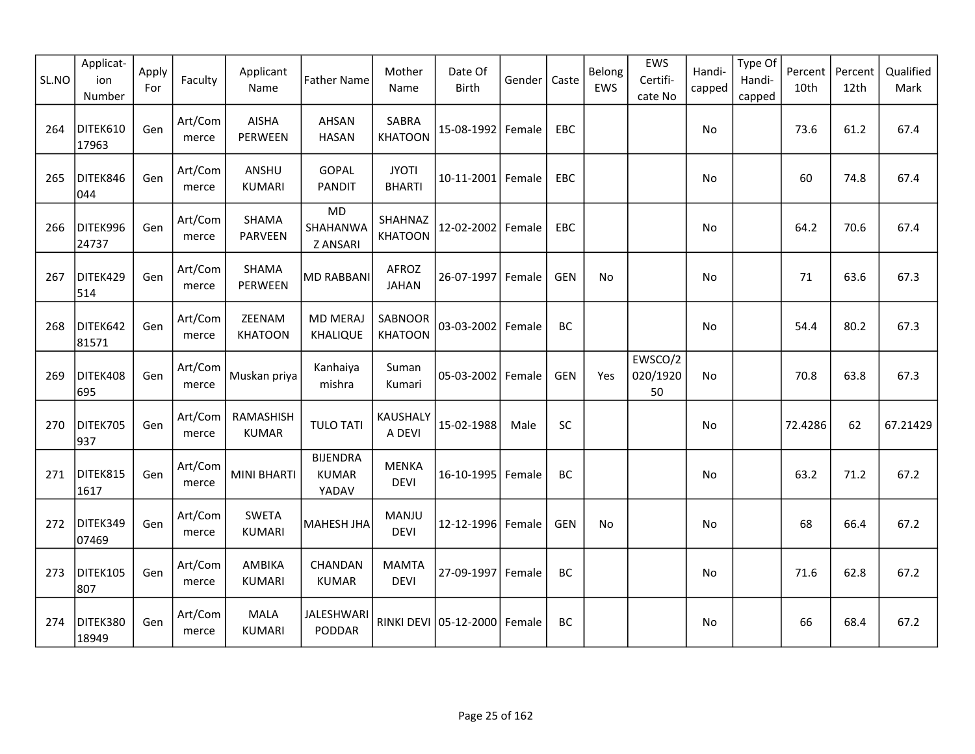| SL.NO | Applicat-<br>ion<br>Number | Apply<br>For | Faculty          | Applicant<br>Name              | <b>Father Name</b>                       | Mother<br>Name                | Date Of<br>Birth      | Gender | Caste      | Belong<br>EWS | EWS<br>Certifi-<br>cate No | Handi-<br>capped | Type Of<br>Handi-<br>capped | Percent<br>10th | Percent<br>12th | Qualified<br>Mark |
|-------|----------------------------|--------------|------------------|--------------------------------|------------------------------------------|-------------------------------|-----------------------|--------|------------|---------------|----------------------------|------------------|-----------------------------|-----------------|-----------------|-------------------|
| 264   | DITEK610<br>17963          | Gen          | Art/Com<br>merce | <b>AISHA</b><br>PERWEEN        | <b>AHSAN</b><br><b>HASAN</b>             | SABRA<br><b>KHATOON</b>       | 15-08-1992 Female     |        | EBC        |               |                            | No               |                             | 73.6            | 61.2            | 67.4              |
| 265   | DITEK846<br>044            | Gen          | Art/Com<br>merce | ANSHU<br><b>KUMARI</b>         | <b>GOPAL</b><br><b>PANDIT</b>            | <b>JYOTI</b><br><b>BHARTI</b> | 10-11-2001 Female     |        | EBC        |               |                            | No               |                             | 60              | 74.8            | 67.4              |
| 266   | DITEK996<br>24737          | Gen          | Art/Com<br>merce | <b>SHAMA</b><br><b>PARVEEN</b> | <b>MD</b><br>SHAHANWA<br><b>Z ANSARI</b> | SHAHNAZ<br><b>KHATOON</b>     | 12-02-2002 Female     |        | EBC        |               |                            | No               |                             | 64.2            | 70.6            | 67.4              |
| 267   | DITEK429<br>514            | Gen          | Art/Com<br>merce | SHAMA<br>PERWEEN               | <b>MD RABBANI</b>                        | AFROZ<br><b>JAHAN</b>         | 26-07-1997            | Female | <b>GEN</b> | No            |                            | No               |                             | 71              | 63.6            | 67.3              |
| 268   | DITEK642<br>81571          | Gen          | Art/Com<br>merce | ZEENAM<br><b>KHATOON</b>       | <b>MD MERAJ</b><br><b>KHALIQUE</b>       | SABNOOR<br><b>KHATOON</b>     | 03-03-2002            | Female | BC         |               |                            | No               |                             | 54.4            | 80.2            | 67.3              |
| 269   | DITEK408<br>695            | Gen          | Art/Com<br>merce | Muskan priya                   | Kanhaiya<br>mishra                       | Suman<br>Kumari               | 05-03-2002 Female     |        | <b>GEN</b> | Yes           | EWSCO/2<br>020/1920<br>50  | No.              |                             | 70.8            | 63.8            | 67.3              |
| 270   | DITEK705<br>937            | Gen          | Art/Com<br>merce | RAMASHISH<br><b>KUMAR</b>      | <b>TULO TATI</b>                         | KAUSHALY<br>A DEVI            | 15-02-1988            | Male   | SC         |               |                            | No               |                             | 72.4286         | 62              | 67.21429          |
| 271   | DITEK815<br>1617           | Gen          | Art/Com<br>merce | <b>MINI BHARTI</b>             | <b>BIJENDRA</b><br><b>KUMAR</b><br>YADAV | <b>MENKA</b><br><b>DEVI</b>   | 16-10-1995            | Female | BC         |               |                            | No               |                             | 63.2            | 71.2            | 67.2              |
| 272   | DITEK349<br>07469          | Gen          | Art/Com<br>merce | <b>SWETA</b><br><b>KUMARI</b>  | MAHESH JHA                               | MANJU<br><b>DEVI</b>          | 12-12-1996 Female     |        | <b>GEN</b> | No            |                            | No               |                             | 68              | 66.4            | 67.2              |
| 273   | DITEK105<br>807            | Gen          | Art/Com<br>merce | AMBIKA<br><b>KUMARI</b>        | CHANDAN<br><b>KUMAR</b>                  | <b>MAMTA</b><br><b>DEVI</b>   | 27-09-1997 Female     |        | BC         |               |                            | No               |                             | 71.6            | 62.8            | 67.2              |
| 274   | DITEK380<br>18949          | Gen          | Art/Com<br>merce | MALA<br><b>KUMARI</b>          | JALESHWARI<br><b>PODDAR</b>              |                               | RINKI DEVI 05-12-2000 | Female | <b>BC</b>  |               |                            | <b>No</b>        |                             | 66              | 68.4            | 67.2              |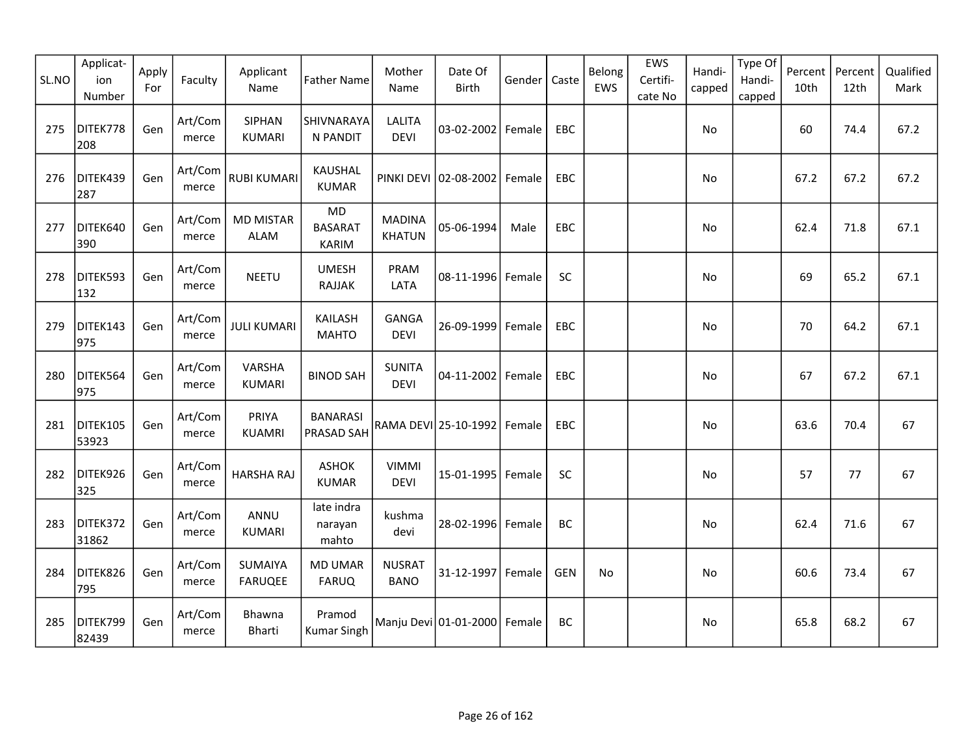| SL.NO | Applicat-<br>ion<br>Number | Apply<br>For | Faculty          | Applicant<br>Name         | <b>Father Name</b>                   | Mother<br>Name                 | Date Of<br><b>Birth</b> | Gender | Caste      | Belong<br>EWS | EWS<br>Certifi-<br>cate No | Handi-<br>capped | Type Of<br>Handi-<br>capped | Percent<br>10th | Percent<br>12th | Qualified<br>Mark |
|-------|----------------------------|--------------|------------------|---------------------------|--------------------------------------|--------------------------------|-------------------------|--------|------------|---------------|----------------------------|------------------|-----------------------------|-----------------|-----------------|-------------------|
| 275   | DITEK778<br>208            | Gen          | Art/Com<br>merce | SIPHAN<br><b>KUMARI</b>   | SHIVNARAYA<br>N PANDIT               | <b>LALITA</b><br><b>DEVI</b>   | 03-02-2002              | Female | EBC        |               |                            | No               |                             | 60              | 74.4            | 67.2              |
| 276   | DITEK439<br>287            | Gen          | Art/Com<br>merce | <b>RUBI KUMARI</b>        | <b>KAUSHAL</b><br><b>KUMAR</b>       |                                | PINKI DEVI 02-08-2002   | Female | EBC        |               |                            | No               |                             | 67.2            | 67.2            | 67.2              |
| 277   | DITEK640<br>390            | Gen          | Art/Com<br>merce | <b>MD MISTAR</b><br>ALAM  | MD<br><b>BASARAT</b><br><b>KARIM</b> | <b>MADINA</b><br><b>KHATUN</b> | 05-06-1994              | Male   | EBC        |               |                            | <b>No</b>        |                             | 62.4            | 71.8            | 67.1              |
| 278   | DITEK593<br>132            | Gen          | Art/Com<br>merce | <b>NEETU</b>              | <b>UMESH</b><br>RAJJAK               | PRAM<br>LATA                   | 08-11-1996              | Female | SC         |               |                            | No               |                             | 69              | 65.2            | 67.1              |
| 279   | DITEK143<br>975            | Gen          | Art/Com<br>merce | <b>JULI KUMARI</b>        | KAILASH<br><b>MAHTO</b>              | <b>GANGA</b><br><b>DEVI</b>    | 26-09-1999              | Female | EBC        |               |                            | No               |                             | 70              | 64.2            | 67.1              |
| 280   | DITEK564<br>975            | Gen          | Art/Com<br>merce | VARSHA<br><b>KUMARI</b>   | <b>BINOD SAH</b>                     | <b>SUNITA</b><br><b>DEVI</b>   | 04-11-2002 Female       |        | EBC        |               |                            | No               |                             | 67              | 67.2            | 67.1              |
| 281   | DITEK105<br>53923          | Gen          | Art/Com<br>merce | PRIYA<br><b>KUAMRI</b>    | <b>BANARASI</b><br>PRASAD SAH        |                                | RAMA DEVI 25-10-1992    | Female | EBC        |               |                            | No               |                             | 63.6            | 70.4            | 67                |
| 282   | DITEK926<br>325            | Gen          | Art/Com<br>merce | <b>HARSHA RAJ</b>         | <b>ASHOK</b><br><b>KUMAR</b>         | <b>VIMMI</b><br><b>DEVI</b>    | 15-01-1995              | Female | <b>SC</b>  |               |                            | No               |                             | 57              | 77              | 67                |
| 283   | DITEK372<br>31862          | Gen          | Art/Com<br>merce | ANNU<br><b>KUMARI</b>     | late indra<br>narayan<br>mahto       | kushma<br>devi                 | 28-02-1996 Female       |        | BC         |               |                            | No               |                             | 62.4            | 71.6            | 67                |
| 284   | DITEK826<br>795            | Gen          | Art/Com<br>merce | SUMAIYA<br><b>FARUQEE</b> | <b>MD UMAR</b><br><b>FARUQ</b>       | <b>NUSRAT</b><br><b>BANO</b>   | 31-12-1997 Female       |        | <b>GEN</b> | <b>No</b>     |                            | <b>No</b>        |                             | 60.6            | 73.4            | 67                |
| 285   | DITEK799<br>82439          | Gen          | Art/Com<br>merce | Bhawna<br><b>Bharti</b>   | Pramod<br><b>Kumar Singh</b>         |                                | Manju Devi 01-01-2000   | Female | <b>BC</b>  |               |                            | No               |                             | 65.8            | 68.2            | 67                |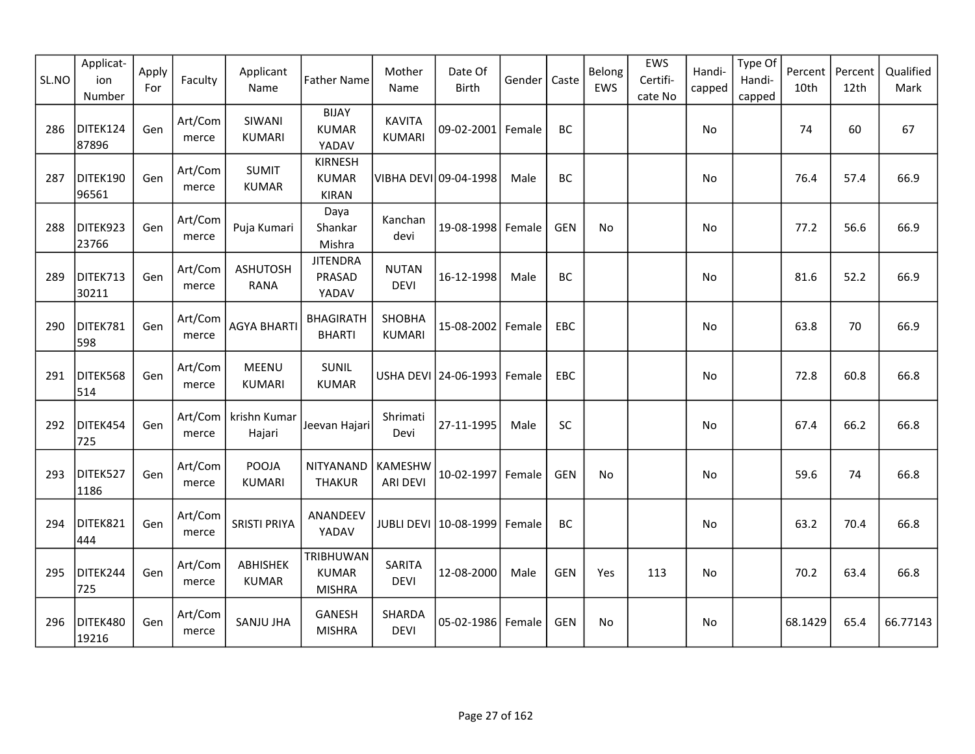| SL.NO | Applicat-<br>ion<br>Number | Apply<br>For | Faculty          | Applicant<br>Name                | <b>Father Name</b>                             | Mother<br>Name                 | Date Of<br><b>Birth</b>     | Gender | Caste      | Belong<br>EWS | EWS<br>Certifi-<br>cate No | Handi-<br>capped | Type Of<br>Handi-<br>capped | Percent<br>10th | Percent<br>12th | Qualified<br>Mark |
|-------|----------------------------|--------------|------------------|----------------------------------|------------------------------------------------|--------------------------------|-----------------------------|--------|------------|---------------|----------------------------|------------------|-----------------------------|-----------------|-----------------|-------------------|
| 286   | DITEK124<br>87896          | Gen          | Art/Com<br>merce | SIWANI<br><b>KUMARI</b>          | <b>BIJAY</b><br><b>KUMAR</b><br>YADAV          | <b>KAVITA</b><br><b>KUMARI</b> | 09-02-2001 Female           |        | BC         |               |                            | No               |                             | 74              | 60              | 67                |
| 287   | DITEK190<br>96561          | Gen          | Art/Com<br>merce | <b>SUMIT</b><br><b>KUMAR</b>     | <b>KIRNESH</b><br><b>KUMAR</b><br><b>KIRAN</b> |                                | VIBHA DEVI 09-04-1998       | Male   | BC         |               |                            | No               |                             | 76.4            | 57.4            | 66.9              |
| 288   | DITEK923<br>23766          | Gen          | Art/Com<br>merce | Puja Kumari                      | Daya<br>Shankar<br>Mishra                      | Kanchan<br>devi                | 19-08-1998 Female           |        | <b>GEN</b> | No            |                            | No               |                             | 77.2            | 56.6            | 66.9              |
| 289   | DITEK713<br>30211          | Gen          | Art/Com<br>merce | <b>ASHUTOSH</b><br><b>RANA</b>   | <b>JITENDRA</b><br>PRASAD<br>YADAV             | <b>NUTAN</b><br><b>DEVI</b>    | 16-12-1998                  | Male   | BC         |               |                            | No               |                             | 81.6            | 52.2            | 66.9              |
| 290   | DITEK781<br>598            | Gen          | Art/Com<br>merce | <b>AGYA BHARTI</b>               | <b>BHAGIRATH</b><br><b>BHARTI</b>              | SHOBHA<br><b>KUMARI</b>        | 15-08-2002   Female         |        | <b>EBC</b> |               |                            | No               |                             | 63.8            | 70              | 66.9              |
| 291   | DITEK568<br>514            | Gen          | Art/Com<br>merce | MEENU<br><b>KUMARI</b>           | SUNIL<br><b>KUMAR</b>                          |                                | USHA DEVI 24-06-1993 Female |        | EBC        |               |                            | No               |                             | 72.8            | 60.8            | 66.8              |
| 292   | DITEK454<br>725            | Gen          | merce            | Art/Com   krishn Kumar<br>Hajari | Jeevan Hajari                                  | Shrimati<br>Devi               | 27-11-1995                  | Male   | <b>SC</b>  |               |                            | No               |                             | 67.4            | 66.2            | 66.8              |
| 293   | DITEK527<br>1186           | Gen          | Art/Com<br>merce | POOJA<br><b>KUMARI</b>           | NITYANAND<br><b>THAKUR</b>                     | KAMESHW<br><b>ARI DEVI</b>     | 10-02-1997 Female           |        | <b>GEN</b> | <b>No</b>     |                            | No               |                             | 59.6            | 74              | 66.8              |
| 294   | DITEK821<br>444            | Gen          | Art/Com<br>merce | <b>SRISTI PRIYA</b>              | ANANDEEV<br>YADAV                              |                                | JUBLI DEVI 10-08-1999       | Female | BC         |               |                            | No               |                             | 63.2            | 70.4            | 66.8              |
| 295   | DITEK244<br>725            | Gen          | Art/Com<br>merce | ABHISHEK<br><b>KUMAR</b>         | TRIBHUWAN<br><b>KUMAR</b><br><b>MISHRA</b>     | SARITA<br><b>DEVI</b>          | 12-08-2000                  | Male   | <b>GEN</b> | Yes           | 113                        | No               |                             | 70.2            | 63.4            | 66.8              |
| 296   | DITEK480<br>19216          | Gen          | Art/Com<br>merce | <b>SANJU JHA</b>                 | GANESH<br><b>MISHRA</b>                        | SHARDA<br><b>DEVI</b>          | 05-02-1986 Female           |        | <b>GEN</b> | No            |                            | No               |                             | 68.1429         | 65.4            | 66.77143          |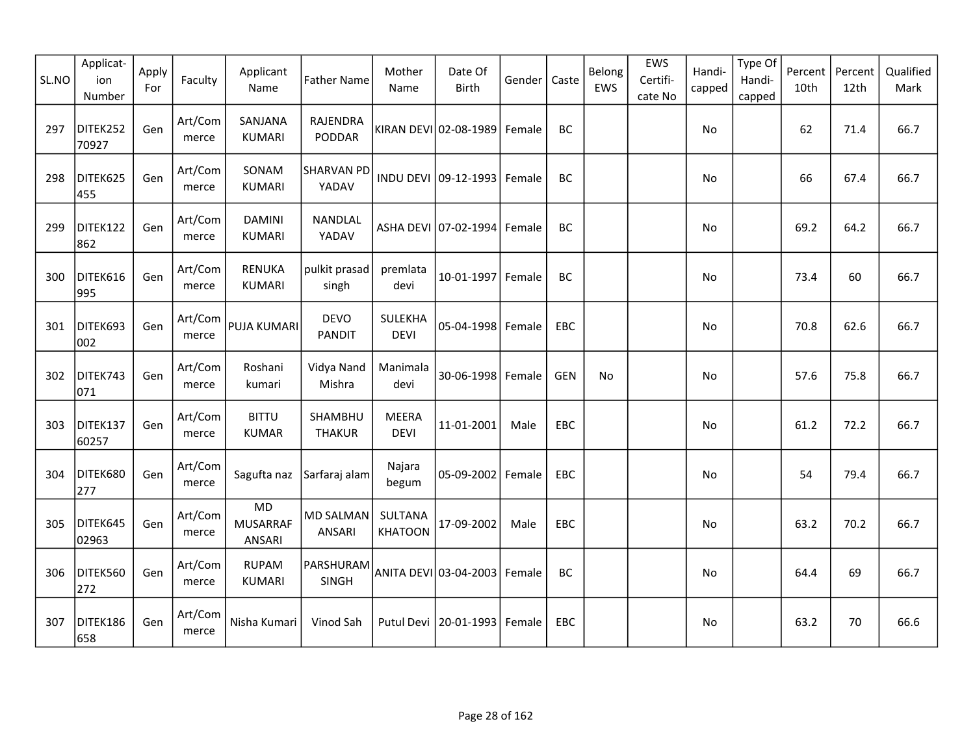| SL.NO | Applicat-<br>ion<br>Number | Apply<br>For | Faculty          | Applicant<br>Name               | <b>Father Name</b>                | Mother<br>Name              | Date Of<br>Birth               | Gender | Caste      | Belong<br>EWS | EWS<br>Certifi-<br>cate No | Handi-<br>capped | Type Of<br>Handi-<br>capped | Percent<br>10th | Percent<br>12th | Qualified<br>Mark |
|-------|----------------------------|--------------|------------------|---------------------------------|-----------------------------------|-----------------------------|--------------------------------|--------|------------|---------------|----------------------------|------------------|-----------------------------|-----------------|-----------------|-------------------|
| 297   | DITEK252<br>70927          | Gen          | Art/Com<br>merce | SANJANA<br><b>KUMARI</b>        | RAJENDRA<br>PODDAR                |                             | KIRAN DEVI 02-08-1989          | Female | BC         |               |                            | No               |                             | 62              | 71.4            | 66.7              |
| 298   | DITEK625<br>455            | Gen          | Art/Com<br>merce | SONAM<br><b>KUMARI</b>          | SHARVAN PD<br>YADAV               |                             | INDU DEVI 09-12-1993           | Female | BC         |               |                            | No               |                             | 66              | 67.4            | 66.7              |
| 299   | DITEK122<br>862            | Gen          | Art/Com<br>merce | <b>DAMINI</b><br><b>KUMARI</b>  | NANDLAL<br>YADAV                  |                             | ASHA DEVI 07-02-1994           | Female | BC         |               |                            | No               |                             | 69.2            | 64.2            | 66.7              |
| 300   | DITEK616<br>995            | Gen          | Art/Com<br>merce | <b>RENUKA</b><br><b>KUMARI</b>  | pulkit prasad<br>singh            | premlata<br>devi            | 10-01-1997                     | Female | BC         |               |                            | No               |                             | 73.4            | 60              | 66.7              |
| 301   | DITEK693<br>002            | Gen          | Art/Com<br>merce | PUJA KUMARI                     | <b>DEVO</b><br><b>PANDIT</b>      | SULEKHA<br><b>DEVI</b>      | 05-04-1998 Female              |        | EBC        |               |                            | No               |                             | 70.8            | 62.6            | 66.7              |
| 302   | DITEK743<br>071            | Gen          | Art/Com<br>merce | Roshani<br>kumari               | Vidya Nand<br>Mishra              | Manimala<br>devi            | 30-06-1998                     | Female | <b>GEN</b> | No            |                            | No               |                             | 57.6            | 75.8            | 66.7              |
| 303   | DITEK137<br>60257          | Gen          | Art/Com<br>merce | <b>BITTU</b><br><b>KUMAR</b>    | SHAMBHU<br><b>THAKUR</b>          | <b>MEERA</b><br><b>DEVI</b> | 11-01-2001                     | Male   | EBC        |               |                            | No               |                             | 61.2            | 72.2            | 66.7              |
| 304   | DITEK680<br>277            | Gen          | Art/Com<br>merce | Sagufta naz                     | Sarfaraj alam                     | Najara<br>begum             | 05-09-2002                     | Female | EBC        |               |                            | No               |                             | 54              | 79.4            | 66.7              |
| 305   | DITEK645<br>02963          | Gen          | Art/Com<br>merce | MD<br><b>MUSARRAF</b><br>ANSARI | <b>MD SALMAN</b><br><b>ANSARI</b> | SULTANA<br><b>KHATOON</b>   | 17-09-2002                     | Male   | EBC        |               |                            | No               |                             | 63.2            | 70.2            | 66.7              |
| 306   | DITEK560<br>272            | Gen          | Art/Com<br>merce | <b>RUPAM</b><br><b>KUMARI</b>   | PARSHURAM<br>SINGH                |                             | ANITA DEVI 03-04-2003   Female |        | BC         |               |                            | No               |                             | 64.4            | 69              | 66.7              |
| 307   | DITEK186<br>658            | Gen          | Art/Com<br>merce | Nisha Kumari                    | Vinod Sah                         |                             | Putul Devi   20-01-1993        | Female | EBC        |               |                            | No               |                             | 63.2            | 70              | 66.6              |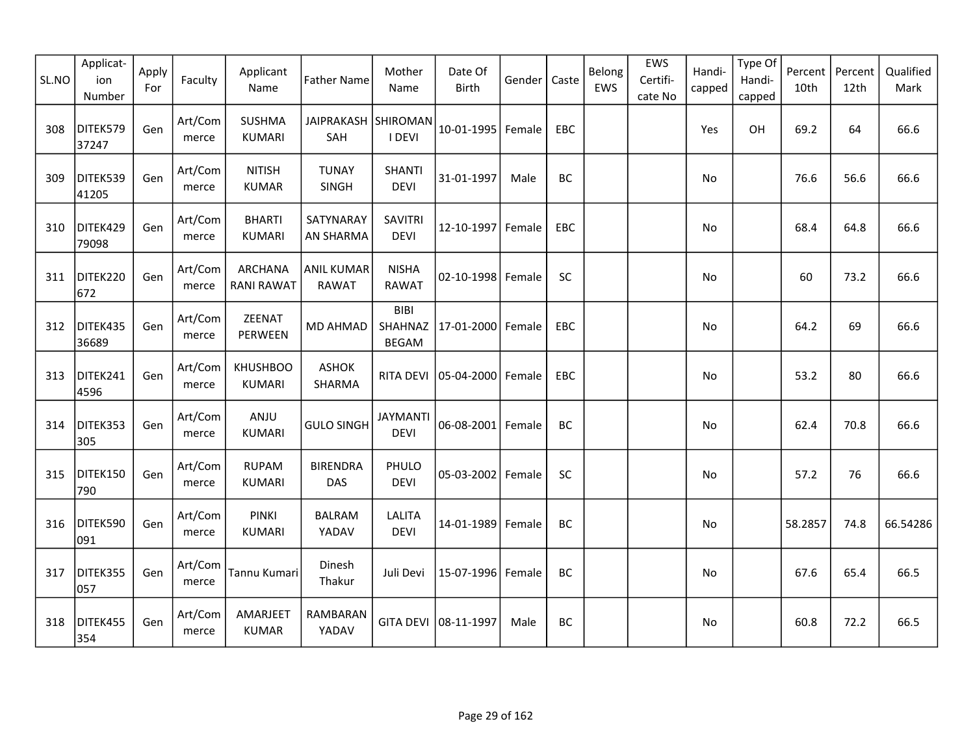| SL.NO | Applicat-<br>ion<br>Number | Apply<br>For | Faculty          | Applicant<br>Name                   | <b>Father Name</b>                | Mother<br>Name                         | Date Of<br><b>Birth</b> | Gender | Caste      | Belong<br>EWS | EWS<br>Certifi-<br>cate No | Handi-<br>capped | Type Of<br>Handi-<br>capped | Percent<br>10th | Percent<br>12th | Qualified<br>Mark |
|-------|----------------------------|--------------|------------------|-------------------------------------|-----------------------------------|----------------------------------------|-------------------------|--------|------------|---------------|----------------------------|------------------|-----------------------------|-----------------|-----------------|-------------------|
| 308   | DITEK579<br>37247          | Gen          | Art/Com<br>merce | <b>SUSHMA</b><br><b>KUMARI</b>      | JAIPRAKASH SHIROMAN<br>SAH        | I DEVI                                 | $10 - 01 - 1995$        | Female | EBC        |               |                            | Yes              | OH                          | 69.2            | 64              | 66.6              |
| 309   | DITEK539<br>41205          | Gen          | Art/Com<br>merce | <b>NITISH</b><br><b>KUMAR</b>       | <b>TUNAY</b><br>SINGH             | <b>SHANTI</b><br><b>DEVI</b>           | 31-01-1997              | Male   | BC         |               |                            | No               |                             | 76.6            | 56.6            | 66.6              |
| 310   | DITEK429<br>79098          | Gen          | Art/Com<br>merce | <b>BHARTI</b><br><b>KUMARI</b>      | SATYNARAY<br>AN SHARMA            | <b>SAVITRI</b><br><b>DEVI</b>          | 12-10-1997 Female       |        | EBC        |               |                            | No               |                             | 68.4            | 64.8            | 66.6              |
| 311   | DITEK220<br>672            | Gen          | Art/Com<br>merce | <b>ARCHANA</b><br><b>RANI RAWAT</b> | <b>ANIL KUMAR</b><br><b>RAWAT</b> | <b>NISHA</b><br><b>RAWAT</b>           | 02-10-1998 Female       |        | SC         |               |                            | No               |                             | 60              | 73.2            | 66.6              |
| 312   | DITEK435<br>36689          | Gen          | Art/Com<br>merce | ZEENAT<br>PERWEEN                   | <b>MD AHMAD</b>                   | <b>BIBI</b><br>SHAHNAZ<br><b>BEGAM</b> | 17-01-2000              | Female | <b>EBC</b> |               |                            | No.              |                             | 64.2            | 69              | 66.6              |
| 313   | DITEK241<br>4596           | Gen          | Art/Com<br>merce | <b>KHUSHBOO</b><br><b>KUMARI</b>    | <b>ASHOK</b><br>SHARMA            | <b>RITA DEVI</b>                       | 05-04-2000 Female       |        | EBC        |               |                            | No               |                             | 53.2            | 80              | 66.6              |
| 314   | DITEK353<br>305            | Gen          | Art/Com<br>merce | ANJU<br><b>KUMARI</b>               | <b>GULO SINGH</b>                 | <b>JAYMANTI</b><br><b>DEVI</b>         | 06-08-2001 Female       |        | BC         |               |                            | No               |                             | 62.4            | 70.8            | 66.6              |
| 315   | DITEK150<br>790            | Gen          | Art/Com<br>merce | <b>RUPAM</b><br><b>KUMARI</b>       | <b>BIRENDRA</b><br><b>DAS</b>     | PHULO<br><b>DEVI</b>                   | 05-03-2002 Female       |        | SC         |               |                            | No               |                             | 57.2            | 76              | 66.6              |
| 316   | DITEK590<br>091            | Gen          | Art/Com<br>merce | <b>PINKI</b><br><b>KUMARI</b>       | <b>BALRAM</b><br>YADAV            | <b>LALITA</b><br><b>DEVI</b>           | 14-01-1989 Female       |        | BC         |               |                            | No               |                             | 58.2857         | 74.8            | 66.54286          |
| 317   | DITEK355<br>057            | Gen          | Art/Com<br>merce | Tannu Kumari                        | Dinesh<br>Thakur                  | Juli Devi                              | 15-07-1996 Female       |        | BC         |               |                            | No               |                             | 67.6            | 65.4            | 66.5              |
| 318   | DITEK455<br>354            | Gen          | Art/Com<br>merce | AMARJEET<br><b>KUMAR</b>            | RAMBARAN<br>YADAV                 |                                        | GITA DEVI 08-11-1997    | Male   | BC         |               |                            | No.              |                             | 60.8            | 72.2            | 66.5              |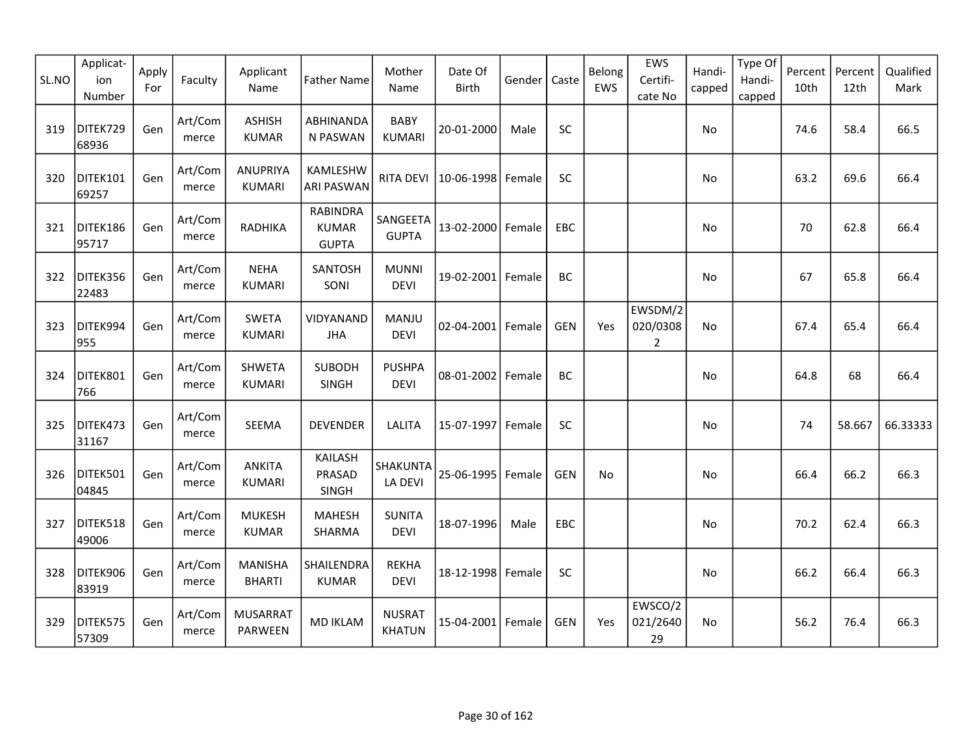| SL.NO | Applicat-<br>ion<br>Number | Apply<br>For | Faculty          | Applicant<br>Name                 | <b>Father Name</b>                              | Mother<br>Name                 | Date Of<br>Birth    | Gender | Caste      | Belong<br>EWS | EWS<br>Certifi-<br>cate No         | Handi-<br>capped | Type Of<br>Handi-<br>capped | Percent<br>10th | Percent<br>12th | Qualified<br>Mark |
|-------|----------------------------|--------------|------------------|-----------------------------------|-------------------------------------------------|--------------------------------|---------------------|--------|------------|---------------|------------------------------------|------------------|-----------------------------|-----------------|-----------------|-------------------|
| 319   | DITEK729<br>68936          | Gen          | Art/Com<br>merce | <b>ASHISH</b><br><b>KUMAR</b>     | <b>ABHINANDA</b><br>N PASWAN                    | <b>BABY</b><br><b>KUMARI</b>   | 20-01-2000          | Male   | SC         |               |                                    | No               |                             | 74.6            | 58.4            | 66.5              |
| 320   | DITEK101<br>69257          | Gen          | Art/Com<br>merce | <b>ANUPRIYA</b><br><b>KUMARI</b>  | KAMLESHW<br><b>ARI PASWAN</b>                   | <b>RITA DEVI</b>               | 10-06-1998          | Female | SC         |               |                                    | No               |                             | 63.2            | 69.6            | 66.4              |
| 321   | DITEK186<br>95717          | Gen          | Art/Com<br>merce | <b>RADHIKA</b>                    | <b>RABINDRA</b><br><b>KUMAR</b><br><b>GUPTA</b> | SANGEETA<br><b>GUPTA</b>       | 13-02-2000 Female   |        | EBC        |               |                                    | No               |                             | 70              | 62.8            | 66.4              |
| 322   | DITEK356<br>22483          | Gen          | Art/Com<br>merce | <b>NEHA</b><br><b>KUMARI</b>      | SANTOSH<br>SONI                                 | <b>MUNNI</b><br><b>DEVI</b>    | 19-02-2001          | Female | BC         |               |                                    | No               |                             | 67              | 65.8            | 66.4              |
| 323   | DITEK994<br>955            | Gen          | Art/Com<br>merce | <b>SWETA</b><br><b>KUMARI</b>     | VIDYANAND<br><b>JHA</b>                         | MANJU<br><b>DEVI</b>           | $02 - 04 - 2001$    | Female | <b>GEN</b> | Yes           | EWSDM/2<br>020/0308<br>$\mathbf 2$ | No.              |                             | 67.4            | 65.4            | 66.4              |
| 324   | DITEK801<br>766            | Gen          | Art/Com<br>merce | <b>SHWETA</b><br><b>KUMARI</b>    | <b>SUBODH</b><br>SINGH                          | <b>PUSHPA</b><br><b>DEVI</b>   | 08-01-2002   Female |        | <b>BC</b>  |               |                                    | No               |                             | 64.8            | 68              | 66.4              |
| 325   | DITEK473<br>31167          | Gen          | Art/Com<br>merce | SEEMA                             | <b>DEVENDER</b>                                 | <b>LALITA</b>                  | 15-07-1997          | Female | SC         |               |                                    | No               |                             | 74              | 58.667          | 66.33333          |
| 326   | DITEK501<br>04845          | Gen          | Art/Com<br>merce | <b>ANKITA</b><br><b>KUMARI</b>    | KAILASH<br>PRASAD<br><b>SINGH</b>               | SHAKUNTA<br>LA DEVI            | 25-06-1995          | Female | <b>GEN</b> | No.           |                                    | No               |                             | 66.4            | 66.2            | 66.3              |
| 327   | DITEK518<br>49006          | Gen          | Art/Com<br>merce | <b>MUKESH</b><br><b>KUMAR</b>     | <b>MAHESH</b><br>SHARMA                         | <b>SUNITA</b><br><b>DEVI</b>   | 18-07-1996          | Male   | EBC        |               |                                    | No               |                             | 70.2            | 62.4            | 66.3              |
| 328   | DITEK906<br>83919          | Gen          | Art/Com<br>merce | <b>MANISHA</b><br><b>BHARTI</b>   | SHAILENDRA<br><b>KUMAR</b>                      | <b>REKHA</b><br><b>DEVI</b>    | 18-12-1998 Female   |        | SC         |               |                                    | <b>No</b>        |                             | 66.2            | 66.4            | 66.3              |
| 329   | DITEK575<br>57309          | Gen          | Art/Com<br>merce | <b>MUSARRAT</b><br><b>PARWEEN</b> | <b>MD IKLAM</b>                                 | <b>NUSRAT</b><br><b>KHATUN</b> | 15-04-2001 Female   |        | <b>GEN</b> | Yes           | EWSCO/2<br>021/2640<br>29          | <b>No</b>        |                             | 56.2            | 76.4            | 66.3              |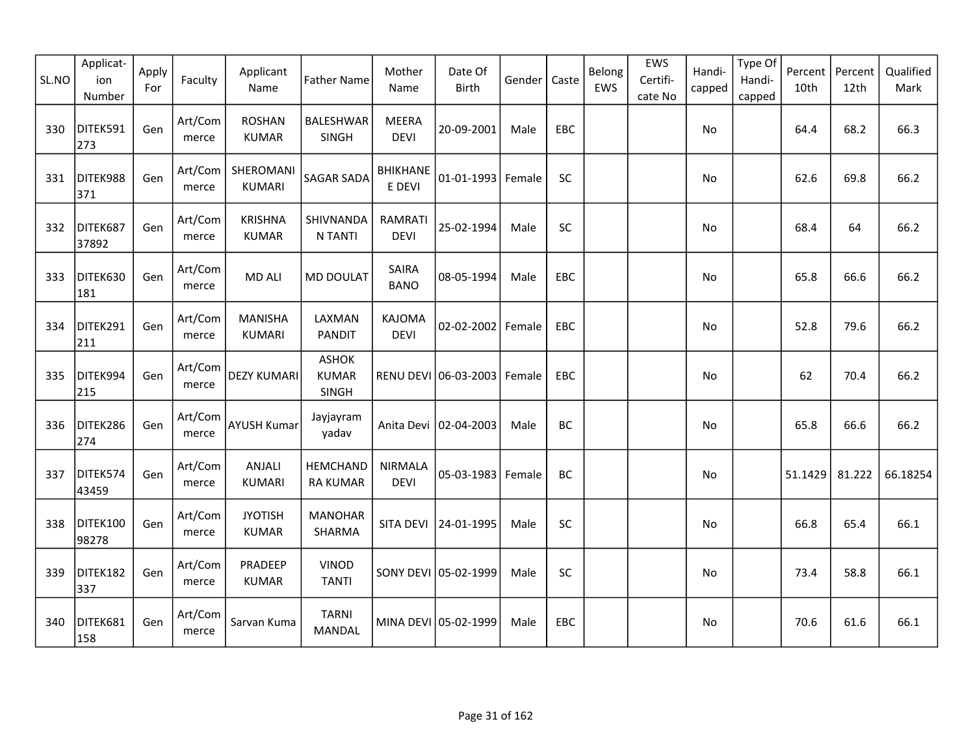| SL.NO | Applicat-<br>ion<br>Number | Apply<br>For | Faculty          | Applicant<br>Name               | <b>Father Name</b>                           | Mother<br>Name                | Date Of<br>Birth              | Gender | Caste      | Belong<br>EWS | EWS<br>Certifi-<br>cate No | Handi-<br>capped | Type Of<br>Handi-<br>capped | Percent<br>10th | Percent<br>12th | Qualified<br>Mark |
|-------|----------------------------|--------------|------------------|---------------------------------|----------------------------------------------|-------------------------------|-------------------------------|--------|------------|---------------|----------------------------|------------------|-----------------------------|-----------------|-----------------|-------------------|
| 330   | DITEK591<br>273            | Gen          | Art/Com<br>merce | <b>ROSHAN</b><br><b>KUMAR</b>   | <b>BALESHWAR</b><br>SINGH                    | <b>MEERA</b><br><b>DEVI</b>   | 20-09-2001                    | Male   | EBC        |               |                            | No               |                             | 64.4            | 68.2            | 66.3              |
| 331   | DITEK988<br>371            | Gen          | Art/Com<br>merce | SHEROMANI<br><b>KUMARI</b>      | SAGAR SADA                                   | <b>BHIKHANE</b><br>E DEVI     | $01 - 01 - 1993$              | Female | SC         |               |                            | No               |                             | 62.6            | 69.8            | 66.2              |
| 332   | DITEK687<br>37892          | Gen          | Art/Com<br>merce | <b>KRISHNA</b><br><b>KUMAR</b>  | SHIVNANDA<br><b>N TANTI</b>                  | RAMRATI<br><b>DEVI</b>        | 25-02-1994                    | Male   | SC         |               |                            | No               |                             | 68.4            | 64              | 66.2              |
| 333   | DITEK630<br>181            | Gen          | Art/Com<br>merce | <b>MD ALI</b>                   | MD DOULAT                                    | <b>SAIRA</b><br><b>BANO</b>   | 08-05-1994                    | Male   | EBC        |               |                            | No               |                             | 65.8            | 66.6            | 66.2              |
| 334   | DITEK291<br>211            | Gen          | Art/Com<br>merce | <b>MANISHA</b><br><b>KUMARI</b> | LAXMAN<br>PANDIT                             | KAJOMA<br><b>DEVI</b>         | 02-02-2002                    | Female | EBC        |               |                            | No               |                             | 52.8            | 79.6            | 66.2              |
| 335   | DITEK994<br>215            | Gen          | Art/Com<br>merce | <b>DEZY KUMARI</b>              | <b>ASHOK</b><br><b>KUMAR</b><br><b>SINGH</b> |                               | RENU DEVI 06-03-2003   Female |        | <b>EBC</b> |               |                            | No.              |                             | 62              | 70.4            | 66.2              |
| 336   | DITEK286<br>274            | Gen          | Art/Com<br>merce | <b>AYUSH Kumar</b>              | Jayjayram<br>yadav                           |                               | Anita Devi   02-04-2003       | Male   | BC         |               |                            | No               |                             | 65.8            | 66.6            | 66.2              |
| 337   | DITEK574<br>43459          | Gen          | Art/Com<br>merce | ANJALI<br><b>KUMARI</b>         | <b>HEMCHAND</b><br><b>RA KUMAR</b>           | <b>NIRMALA</b><br><b>DEVI</b> | 05-03-1983 Female             |        | BC         |               |                            | No               |                             | 51.1429         | 81.222          | 66.18254          |
| 338   | DITEK100<br>98278          | Gen          | Art/Com<br>merce | <b>JYOTISH</b><br><b>KUMAR</b>  | <b>MANOHAR</b><br>SHARMA                     | SITA DEVI                     | 24-01-1995                    | Male   | SC         |               |                            | No               |                             | 66.8            | 65.4            | 66.1              |
| 339   | DITEK182<br>337            | Gen          | Art/Com<br>merce | PRADEEP<br><b>KUMAR</b>         | <b>VINOD</b><br><b>TANTI</b>                 |                               | SONY DEVI 05-02-1999          | Male   | SC         |               |                            | <b>No</b>        |                             | 73.4            | 58.8            | 66.1              |
| 340   | DITEK681<br>158            | Gen          | Art/Com<br>merce | Sarvan Kuma                     | <b>TARNI</b><br><b>MANDAL</b>                |                               | MINA DEVI 05-02-1999          | Male   | <b>EBC</b> |               |                            | No.              |                             | 70.6            | 61.6            | 66.1              |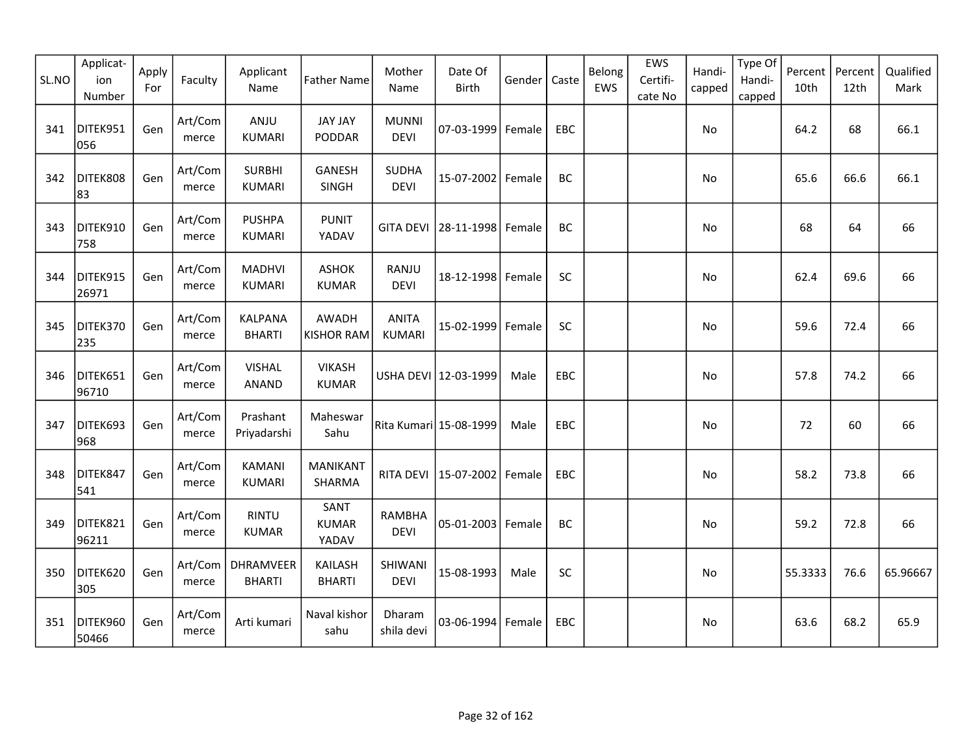| SL.NO | Applicat-<br>ion<br>Number | Apply<br>For | Faculty          | Applicant<br>Name               | <b>Father Name</b>              | Mother<br>Name                | Date Of<br><b>Birth</b>         | Gender | Caste      | Belong<br>EWS | EWS<br>Certifi-<br>cate No | Handi-<br>capped | Type Of<br>Handi-<br>capped | Percent<br>10th | Percent<br>12th | Qualified<br>Mark |
|-------|----------------------------|--------------|------------------|---------------------------------|---------------------------------|-------------------------------|---------------------------------|--------|------------|---------------|----------------------------|------------------|-----------------------------|-----------------|-----------------|-------------------|
| 341   | DITEK951<br>056            | Gen          | Art/Com<br>merce | ANJU<br><b>KUMARI</b>           | <b>JAY JAY</b><br>PODDAR        | <b>MUNNI</b><br><b>DEVI</b>   | 07-03-1999 Female               |        | EBC        |               |                            | No               |                             | 64.2            | 68              | 66.1              |
| 342   | DITEK808<br>83             | Gen          | Art/Com<br>merce | <b>SURBHI</b><br><b>KUMARI</b>  | <b>GANESH</b><br>SINGH          | <b>SUDHA</b><br><b>DEVI</b>   | 15-07-2002                      | Female | BC         |               |                            | No               |                             | 65.6            | 66.6            | 66.1              |
| 343   | DITEK910<br>758            | Gen          | Art/Com<br>merce | <b>PUSHPA</b><br><b>KUMARI</b>  | <b>PUNIT</b><br>YADAV           |                               | GITA DEVI   28-11-1998   Female |        | BC         |               |                            | No               |                             | 68              | 64              | 66                |
| 344   | DITEK915<br>26971          | Gen          | Art/Com<br>merce | <b>MADHVI</b><br><b>KUMARI</b>  | <b>ASHOK</b><br><b>KUMAR</b>    | RANJU<br><b>DEVI</b>          | 18-12-1998 Female               |        | SC         |               |                            | No               |                             | 62.4            | 69.6            | 66                |
| 345   | DITEK370<br>235            | Gen          | Art/Com<br>merce | <b>KALPANA</b><br><b>BHARTI</b> | AWADH<br><b>KISHOR RAM</b>      | <b>ANITA</b><br><b>KUMARI</b> | 15-02-1999                      | Female | SC         |               |                            | No               |                             | 59.6            | 72.4            | 66                |
| 346   | DITEK651<br>96710          | Gen          | Art/Com<br>merce | <b>VISHAL</b><br>ANAND          | <b>VIKASH</b><br><b>KUMAR</b>   |                               | USHA DEVI 12-03-1999            | Male   | EBC        |               |                            | No               |                             | 57.8            | 74.2            | 66                |
| 347   | DITEK693<br>968            | Gen          | Art/Com<br>merce | Prashant<br>Priyadarshi         | Maheswar<br>Sahu                | Rita Kumari 15-08-1999        |                                 | Male   | EBC        |               |                            | No               |                             | 72              | 60              | 66                |
| 348   | DITEK847<br>541            | Gen          | Art/Com<br>merce | <b>KAMANI</b><br><b>KUMARI</b>  | <b>MANIKANT</b><br>SHARMA       |                               | RITA DEVI   15-07-2002   Female |        | EBC        |               |                            | No               |                             | 58.2            | 73.8            | 66                |
| 349   | DITEK821<br>96211          | Gen          | Art/Com<br>merce | <b>RINTU</b><br><b>KUMAR</b>    | SANT<br><b>KUMAR</b><br>YADAV   | <b>RAMBHA</b><br><b>DEVI</b>  | 05-01-2003   Female             |        | BC         |               |                            | No               |                             | 59.2            | 72.8            | 66                |
| 350   | DITEK620<br>305            | Gen          | Art/Com<br>merce | DHRAMVEER<br><b>BHARTI</b>      | <b>KAILASH</b><br><b>BHARTI</b> | SHIWANI<br><b>DEVI</b>        | 15-08-1993                      | Male   | SC         |               |                            | No               |                             | 55.3333         | 76.6            | 65.96667          |
| 351   | DITEK960<br>50466          | Gen          | Art/Com<br>merce | Arti kumari                     | Naval kishor<br>sahu            | Dharam<br>shila devi          | 03-06-1994 Female               |        | <b>EBC</b> |               |                            | No               |                             | 63.6            | 68.2            | 65.9              |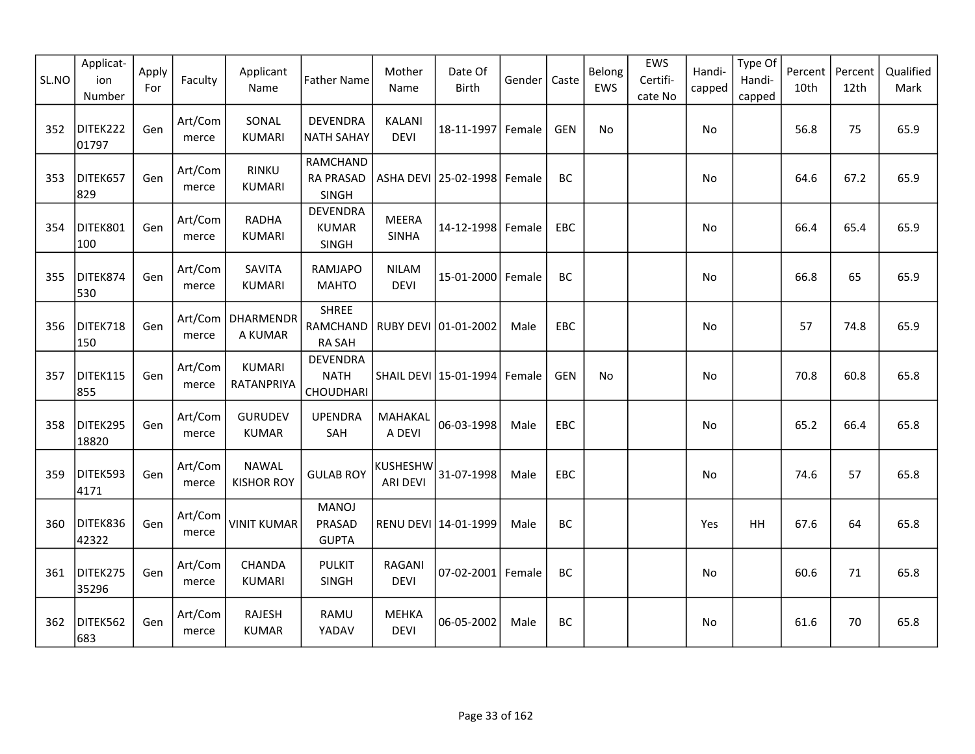| SL.NO | Applicat-<br>ion<br>Number | Apply<br>For | Faculty          | Applicant<br>Name                 | <b>Father Name</b>                              | Mother<br>Name               | Date Of<br><b>Birth</b>         | Gender | Caste      | Belong<br>EWS | EWS<br>Certifi-<br>cate No | Handi-<br>capped | Type Of<br>Handi-<br>capped | Percent<br>10th | Percent<br>12th | Qualified<br>Mark |
|-------|----------------------------|--------------|------------------|-----------------------------------|-------------------------------------------------|------------------------------|---------------------------------|--------|------------|---------------|----------------------------|------------------|-----------------------------|-----------------|-----------------|-------------------|
| 352   | DITEK222<br>01797          | Gen          | Art/Com<br>merce | SONAL<br><b>KUMARI</b>            | <b>DEVENDRA</b><br><b>NATH SAHAY</b>            | <b>KALANI</b><br><b>DEVI</b> | 18-11-1997                      | Female | <b>GEN</b> | No            |                            | No               |                             | 56.8            | 75              | 65.9              |
| 353   | DITEK657<br>829            | Gen          | Art/Com<br>merce | <b>RINKU</b><br><b>KUMARI</b>     | RAMCHAND<br><b>RA PRASAD</b><br>SINGH           |                              | ASHA DEVI   25-02-1998   Female |        | BC         |               |                            | No               |                             | 64.6            | 67.2            | 65.9              |
| 354   | DITEK801<br>100            | Gen          | Art/Com<br>merce | <b>RADHA</b><br><b>KUMARI</b>     | <b>DEVENDRA</b><br><b>KUMAR</b><br><b>SINGH</b> | <b>MEERA</b><br><b>SINHA</b> | 14-12-1998 Female               |        | EBC.       |               |                            | No               |                             | 66.4            | 65.4            | 65.9              |
| 355   | DITEK874<br>530            | Gen          | Art/Com<br>merce | SAVITA<br><b>KUMARI</b>           | <b>RAMJAPO</b><br><b>MAHTO</b>                  | <b>NILAM</b><br><b>DEVI</b>  | 15-01-2000                      | Female | BC.        |               |                            | <b>No</b>        |                             | 66.8            | 65              | 65.9              |
| 356   | DITEK718<br>150            | Gen          | merce            | Art/Com   DHARMENDR<br>A KUMAR    | <b>SHREE</b><br>RAMCHAND<br><b>RA SAH</b>       |                              |                                 | Male   | <b>EBC</b> |               |                            | No               |                             | 57              | 74.8            | 65.9              |
| 357   | DITEK115<br>855            | Gen          | Art/Com<br>merce | <b>KUMARI</b><br>RATANPRIYA       | <b>DEVENDRA</b><br><b>NATH</b><br>CHOUDHARI     |                              | SHAIL DEVI 15-01-1994           | Female | <b>GEN</b> | No            |                            | No               |                             | 70.8            | 60.8            | 65.8              |
| 358   | DITEK295<br>18820          | Gen          | Art/Com<br>merce | <b>GURUDEV</b><br><b>KUMAR</b>    | <b>UPENDRA</b><br>SAH                           | MAHAKAL<br>A DEVI            | 06-03-1998                      | Male   | EBC        |               |                            | No               |                             | 65.2            | 66.4            | 65.8              |
| 359   | DITEK593<br>4171           | Gen          | Art/Com<br>merce | <b>NAWAL</b><br><b>KISHOR ROY</b> | <b>GULAB ROY</b>                                | KUSHESHW<br><b>ARI DEVI</b>  | 31-07-1998                      | Male   | EBC        |               |                            | No               |                             | 74.6            | 57              | 65.8              |
| 360   | DITEK836<br>42322          | Gen          | Art/Com<br>merce | <b>VINIT KUMAR</b>                | <b>MANOJ</b><br>PRASAD<br><b>GUPTA</b>          |                              | RENU DEVI 14-01-1999            | Male   | BC         |               |                            | Yes              | <b>HH</b>                   | 67.6            | 64              | 65.8              |
| 361   | DITEK275<br>35296          | Gen          | Art/Com<br>merce | CHANDA<br><b>KUMARI</b>           | <b>PULKIT</b><br>SINGH                          | RAGANI<br><b>DEVI</b>        | 07-02-2001 Female               |        | BC         |               |                            | No               |                             | 60.6            | 71              | 65.8              |
| 362   | DITEK562<br>683            | Gen          | Art/Com<br>merce | <b>RAJESH</b><br><b>KUMAR</b>     | RAMU<br>YADAV                                   | <b>MEHKA</b><br><b>DEVI</b>  | 06-05-2002                      | Male   | BC.        |               |                            | No               |                             | 61.6            | 70              | 65.8              |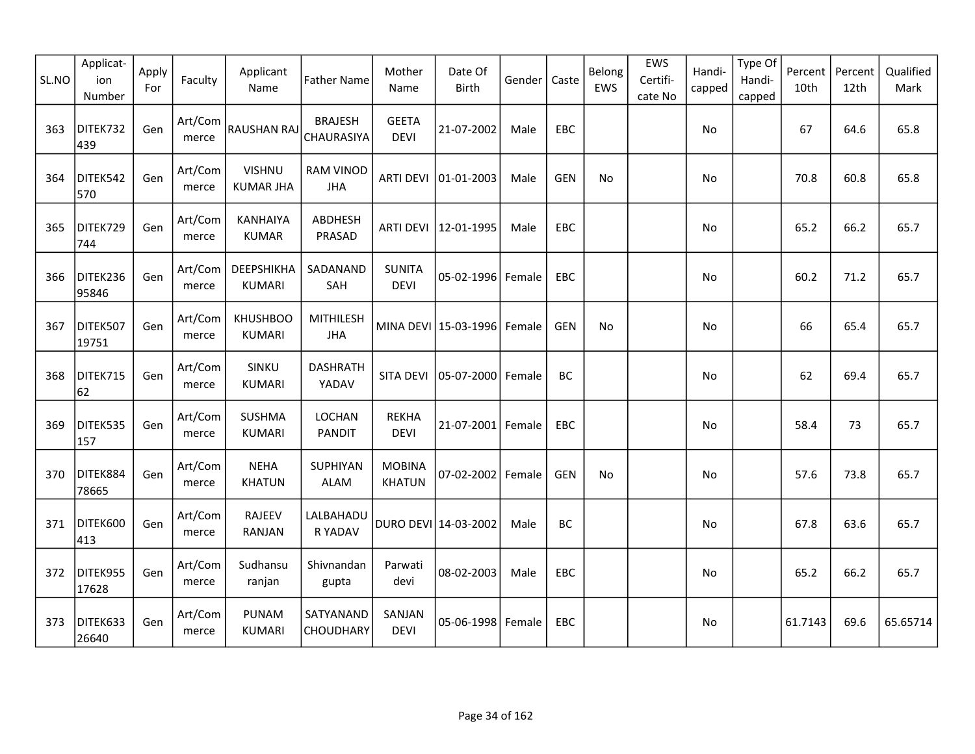| SL.NO | Applicat-<br>ion<br>Number | Apply<br>For | Faculty          | Applicant<br>Name                         | <b>Father Name</b>             | Mother<br>Name                 | Date Of<br>Birth       | Gender | Caste      | Belong<br>EWS | EWS<br>Certifi-<br>cate No | Handi-<br>capped | Type Of<br>Handi-<br>capped | Percent<br>10th | Percent<br>12th | Qualified<br>Mark |
|-------|----------------------------|--------------|------------------|-------------------------------------------|--------------------------------|--------------------------------|------------------------|--------|------------|---------------|----------------------------|------------------|-----------------------------|-----------------|-----------------|-------------------|
| 363   | DITEK732<br>439            | Gen          | Art/Com<br>merce | RAUSHAN RAJ                               | <b>BRAJESH</b><br>CHAURASIYA   | <b>GEETA</b><br><b>DEVI</b>    | 21-07-2002             | Male   | EBC        |               |                            | No               |                             | 67              | 64.6            | 65.8              |
| 364   | DITEK542<br>570            | Gen          | Art/Com<br>merce | <b>VISHNU</b><br><b>KUMAR JHA</b>         | <b>RAM VINOD</b><br><b>JHA</b> | <b>ARTI DEVI</b>               | $ 01 - 01 - 2003$      | Male   | <b>GEN</b> | No            |                            | No               |                             | 70.8            | 60.8            | 65.8              |
| 365   | DITEK729<br>744            | Gen          | Art/Com<br>merce | <b>KANHAIYA</b><br><b>KUMAR</b>           | ABDHESH<br>PRASAD              |                                | ARTI DEVI   12-01-1995 | Male   | <b>EBC</b> |               |                            | No.              |                             | 65.2            | 66.2            | 65.7              |
| 366   | DITEK236<br>95846          | Gen          | Art/Com<br>merce | <b><i>DEEPSHIKHA</i></b><br><b>KUMARI</b> | SADANAND<br>SAH                | <b>SUNITA</b><br><b>DEVI</b>   | 05-02-1996 Female      |        | EBC        |               |                            | No               |                             | 60.2            | 71.2            | 65.7              |
| 367   | DITEK507<br>19751          | Gen          | Art/Com<br>merce | <b>KHUSHBOO</b><br><b>KUMARI</b>          | <b>MITHILESH</b><br><b>JHA</b> |                                | MINA DEVI 15-03-1996   | Female | <b>GEN</b> | No            |                            | No               |                             | 66              | 65.4            | 65.7              |
| 368   | DITEK715<br>62             | Gen          | Art/Com<br>merce | SINKU<br><b>KUMARI</b>                    | <b>DASHRATH</b><br>YADAV       | <b>SITA DEVI</b>               | 05-07-2000             | Female | BC         |               |                            | No               |                             | 62              | 69.4            | 65.7              |
| 369   | DITEK535<br>157            | Gen          | Art/Com<br>merce | <b>SUSHMA</b><br><b>KUMARI</b>            | LOCHAN<br><b>PANDIT</b>        | <b>REKHA</b><br><b>DEVI</b>    | $21 - 07 - 2001$       | Female | EBC        |               |                            | No               |                             | 58.4            | 73              | 65.7              |
| 370   | DITEK884<br>78665          | Gen          | Art/Com<br>merce | <b>NEHA</b><br><b>KHATUN</b>              | SUPHIYAN<br><b>ALAM</b>        | <b>MOBINA</b><br><b>KHATUN</b> | 07-02-2002 Female      |        | <b>GEN</b> | No            |                            | No               |                             | 57.6            | 73.8            | 65.7              |
| 371   | DITEK600<br>413            | Gen          | Art/Com<br>merce | <b>RAJEEV</b><br>RANJAN                   | LALBAHADU<br>R YADAV           |                                | DURO DEVI 14-03-2002   | Male   | BC         |               |                            | No               |                             | 67.8            | 63.6            | 65.7              |
| 372   | DITEK955<br>17628          | Gen          | Art/Com<br>merce | Sudhansu<br>ranjan                        | Shivnandan<br>gupta            | Parwati<br>devi                | 08-02-2003             | Male   | EBC        |               |                            | No               |                             | 65.2            | 66.2            | 65.7              |
| 373   | DITEK633<br>26640          | Gen          | Art/Com<br>merce | <b>PUNAM</b><br><b>KUMARI</b>             | SATYANAND<br>CHOUDHARY         | SANJAN<br><b>DEVI</b>          | $05 - 06 - 1998$       | Female | EBC        |               |                            | No               |                             | 61.7143         | 69.6            | 65.65714          |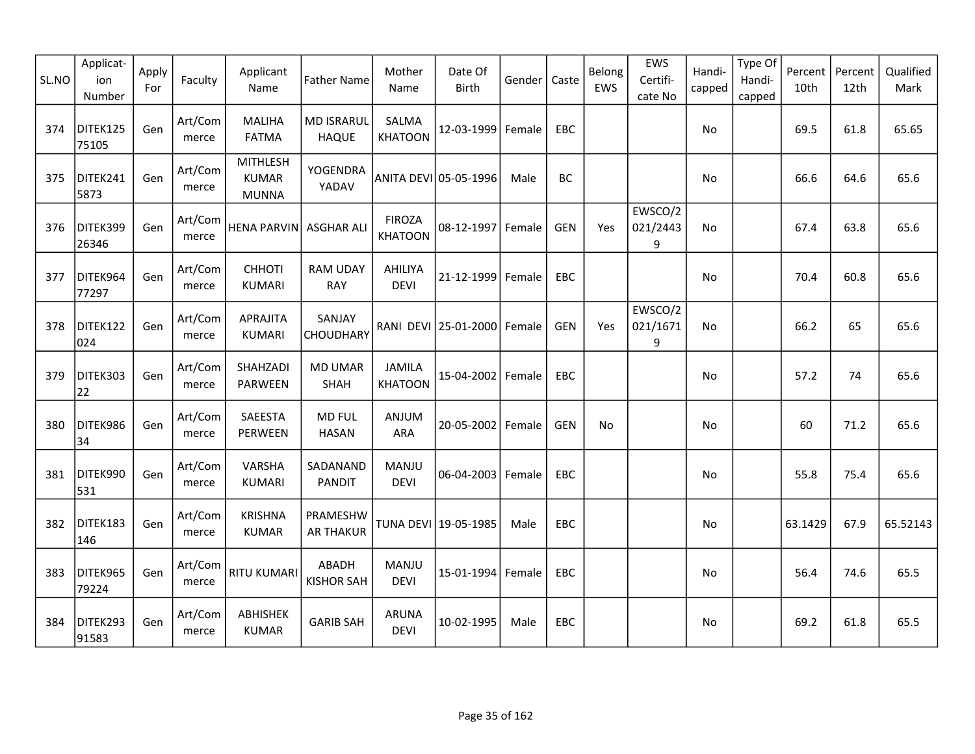| SL.NO | Applicat-<br>ion<br>Number | Apply<br>For | Faculty          | Applicant<br>Name                               | <b>Father Name</b>                | Mother<br>Name                  | Date Of<br><b>Birth</b>         | Gender | Caste      | Belong<br>EWS | EWS<br>Certifi-<br>cate No | Handi-<br>capped | Type Of<br>Handi-<br>capped | Percent<br>10th | Percent<br>12th | Qualified<br>Mark |
|-------|----------------------------|--------------|------------------|-------------------------------------------------|-----------------------------------|---------------------------------|---------------------------------|--------|------------|---------------|----------------------------|------------------|-----------------------------|-----------------|-----------------|-------------------|
| 374   | DITEK125<br>75105          | Gen          | Art/Com<br>merce | <b>MALIHA</b><br><b>FATMA</b>                   | <b>MD ISRARUL</b><br><b>HAQUE</b> | <b>SALMA</b><br><b>KHATOON</b>  | 12-03-1999                      | Female | EBC        |               |                            | No               |                             | 69.5            | 61.8            | 65.65             |
| 375   | DITEK241<br>5873           | Gen          | Art/Com<br>merce | <b>MITHLESH</b><br><b>KUMAR</b><br><b>MUNNA</b> | YOGENDRA<br>YADAV                 |                                 | ANITA DEVI 05-05-1996           | Male   | BC         |               |                            | No               |                             | 66.6            | 64.6            | 65.6              |
| 376   | DITEK399<br>26346          | Gen          | Art/Com<br>merce | <b>HENA PARVIN</b>                              | <b>ASGHAR ALI</b>                 | <b>FIROZA</b><br><b>KHATOON</b> | 08-12-1997                      | Female | <b>GEN</b> | Yes           | EWSCO/2<br>021/2443<br>9   | No               |                             | 67.4            | 63.8            | 65.6              |
| 377   | DITEK964<br>77297          | Gen          | Art/Com<br>merce | <b>CHHOTI</b><br><b>KUMARI</b>                  | <b>RAM UDAY</b><br><b>RAY</b>     | AHILIYA<br><b>DEVI</b>          | 21-12-1999                      | Female | EBC        |               |                            | No.              |                             | 70.4            | 60.8            | 65.6              |
| 378   | DITEK122<br>024            | Gen          | Art/Com<br>merce | APRAJITA<br><b>KUMARI</b>                       | SANJAY<br>CHOUDHARY               |                                 | RANI DEVI   25-01-2000   Female |        | <b>GEN</b> | Yes           | EWSCO/2<br>021/1671<br>9   | No.              |                             | 66.2            | 65              | 65.6              |
| 379   | DITEK303<br>22             | Gen          | Art/Com<br>merce | SHAHZADI<br><b>PARWEEN</b>                      | <b>MD UMAR</b><br>SHAH            | <b>JAMILA</b><br><b>KHATOON</b> | 15-04-2002 Female               |        | EBC        |               |                            | No.              |                             | 57.2            | 74              | 65.6              |
| 380   | DITEK986<br>34             | Gen          | Art/Com<br>merce | SAEESTA<br>PERWEEN                              | <b>MD FUL</b><br><b>HASAN</b>     | ANJUM<br><b>ARA</b>             | 20-05-2002                      | Female | <b>GEN</b> | No            |                            | No               |                             | 60              | 71.2            | 65.6              |
| 381   | DITEK990<br>531            | Gen          | Art/Com<br>merce | VARSHA<br><b>KUMARI</b>                         | SADANAND<br><b>PANDIT</b>         | MANJU<br><b>DEVI</b>            | 06-04-2003 Female               |        | EBC        |               |                            | No               |                             | 55.8            | 75.4            | 65.6              |
| 382   | DITEK183<br>146            | Gen          | Art/Com<br>merce | <b>KRISHNA</b><br><b>KUMAR</b>                  | PRAMESHW<br><b>AR THAKUR</b>      |                                 | TUNA DEVI 19-05-1985            | Male   | EBC        |               |                            | No.              |                             | 63.1429         | 67.9            | 65.52143          |
| 383   | DITEK965<br>79224          | Gen          | Art/Com<br>merce | <b>RITU KUMARI</b>                              | ABADH<br><b>KISHOR SAH</b>        | MANJU<br><b>DEVI</b>            | 15-01-1994 Female               |        | EBC        |               |                            | No               |                             | 56.4            | 74.6            | 65.5              |
| 384   | DITEK293<br>91583          | Gen          | Art/Com<br>merce | ABHISHEK<br><b>KUMAR</b>                        | <b>GARIB SAH</b>                  | <b>ARUNA</b><br><b>DEVI</b>     | 10-02-1995                      | Male   | <b>EBC</b> |               |                            | No               |                             | 69.2            | 61.8            | 65.5              |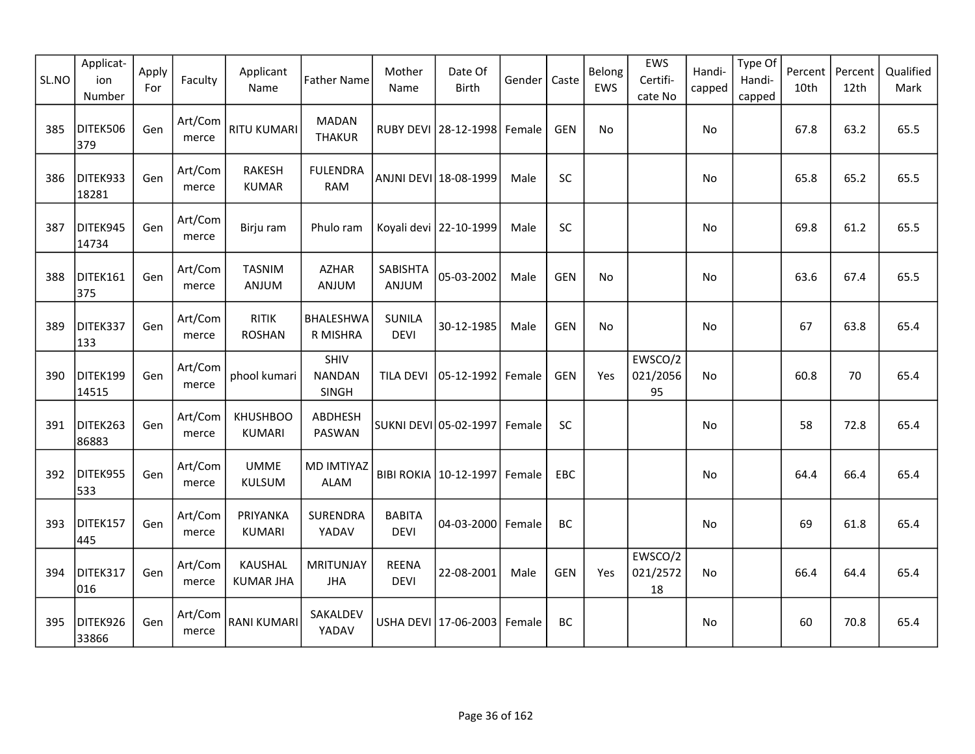| SL.NO | Applicat-<br>ion<br>Number | Apply<br>For | Faculty          | Applicant<br>Name                  | <b>Father Name</b>               | Mother<br>Name               | Date Of<br>Birth                | Gender | Caste      | Belong<br>EWS | EWS<br>Certifi-<br>cate No | Handi-<br>capped | Type Of<br>Handi-<br>capped | Percent<br>10th | Percent<br>12th | Qualified<br>Mark |
|-------|----------------------------|--------------|------------------|------------------------------------|----------------------------------|------------------------------|---------------------------------|--------|------------|---------------|----------------------------|------------------|-----------------------------|-----------------|-----------------|-------------------|
| 385   | DITEK506<br>379            | Gen          | Art/Com<br>merce | <b>RITU KUMARI</b>                 | <b>MADAN</b><br><b>THAKUR</b>    |                              | RUBY DEVI   28-12-1998   Female |        | <b>GEN</b> | No            |                            | No               |                             | 67.8            | 63.2            | 65.5              |
| 386   | DITEK933<br>18281          | Gen          | Art/Com<br>merce | <b>RAKESH</b><br><b>KUMAR</b>      | <b>FULENDRA</b><br><b>RAM</b>    |                              | ANJNI DEVI 18-08-1999           | Male   | SC         |               |                            | No               |                             | 65.8            | 65.2            | 65.5              |
| 387   | DITEK945<br>14734          | Gen          | Art/Com<br>merce | Birju ram                          | Phulo ram                        |                              | Koyali devi   22-10-1999        | Male   | SC         |               |                            | No               |                             | 69.8            | 61.2            | 65.5              |
| 388   | DITEK161<br>375            | Gen          | Art/Com<br>merce | <b>TASNIM</b><br>ANJUM             | <b>AZHAR</b><br>ANJUM            | SABISHTA<br>ANJUM            | 05-03-2002                      | Male   | <b>GEN</b> | No            |                            | No               |                             | 63.6            | 67.4            | 65.5              |
| 389   | DITEK337<br>133            | Gen          | Art/Com<br>merce | <b>RITIK</b><br><b>ROSHAN</b>      | BHALESHWA<br>R MISHRA            | <b>SUNILA</b><br><b>DEVI</b> | 30-12-1985                      | Male   | <b>GEN</b> | No            |                            | No               |                             | 67              | 63.8            | 65.4              |
| 390   | DITEK199<br>14515          | Gen          | Art/Com<br>merce | phool kumari                       | SHIV<br><b>NANDAN</b><br>SINGH   | <b>TILA DEVI</b>             | 05-12-1992                      | Female | <b>GEN</b> | Yes           | EWSCO/2<br>021/2056<br>95  | No.              |                             | 60.8            | 70              | 65.4              |
| 391   | DITEK263<br>86883          | Gen          | Art/Com<br>merce | <b>KHUSHBOO</b><br><b>KUMARI</b>   | ABDHESH<br>PASWAN                |                              | SUKNI DEVI 05-02-1997           | Female | SC         |               |                            | No               |                             | 58              | 72.8            | 65.4              |
| 392   | DITEK955<br>533            | Gen          | Art/Com<br>merce | <b>UMME</b><br>KULSUM              | <b>MD IMTIYAZ</b><br><b>ALAM</b> |                              | BIBI ROKIA   10-12-1997         | Female | EBC        |               |                            | No               |                             | 64.4            | 66.4            | 65.4              |
| 393   | DITEK157<br>445            | Gen          | Art/Com<br>merce | PRIYANKA<br>KUMARI                 | SURENDRA<br>YADAV                | <b>BABITA</b><br><b>DEVI</b> | 04-03-2000                      | Female | BC         |               |                            | No               |                             | 69              | 61.8            | 65.4              |
| 394   | DITEK317<br>016            | Gen          | Art/Com<br>merce | <b>KAUSHAL</b><br><b>KUMAR JHA</b> | <b>MRITUNJAY</b><br><b>JHA</b>   | <b>REENA</b><br><b>DEVI</b>  | 22-08-2001                      | Male   | <b>GEN</b> | Yes           | EWSCO/2<br>021/2572<br>18  | <b>No</b>        |                             | 66.4            | 64.4            | 65.4              |
| 395   | DITEK926<br>33866          | Gen          | Art/Com<br>merce | <b>RANI KUMARI</b>                 | SAKALDEV<br>YADAV                |                              | USHA DEVI 17-06-2003            | Female | BC         |               |                            | No               |                             | 60              | 70.8            | 65.4              |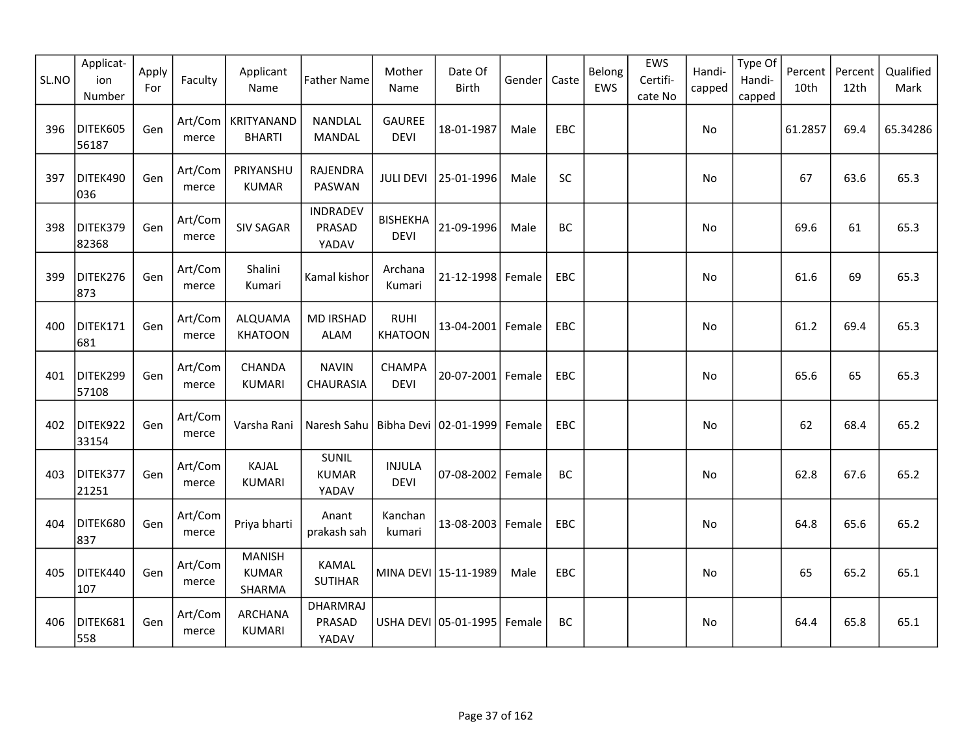| SL.NO | Applicat-<br>ion<br>Number | Apply<br>For | Faculty          | Applicant<br>Name                       | <b>Father Name</b>                 | Mother<br>Name                 | Date Of<br>Birth                 | Gender | Caste      | Belong<br>EWS | EWS<br>Certifi-<br>cate No | Handi-<br>capped | Type Of<br>Handi-<br>capped | Percent<br>10th | Percent<br>12th | Qualified<br>Mark |
|-------|----------------------------|--------------|------------------|-----------------------------------------|------------------------------------|--------------------------------|----------------------------------|--------|------------|---------------|----------------------------|------------------|-----------------------------|-----------------|-----------------|-------------------|
| 396   | DITEK605<br>56187          | Gen          | Art/Com<br>merce | KRITYANAND<br><b>BHARTI</b>             | NANDLAL<br><b>MANDAL</b>           | <b>GAUREE</b><br><b>DEVI</b>   | 18-01-1987                       | Male   | EBC        |               |                            | No               |                             | 61.2857         | 69.4            | 65.34286          |
| 397   | DITEK490<br>036            | Gen          | Art/Com<br>merce | PRIYANSHU<br><b>KUMAR</b>               | RAJENDRA<br>PASWAN                 | <b>JULI DEVI</b>               | 25-01-1996                       | Male   | SC         |               |                            | No               |                             | 67              | 63.6            | 65.3              |
| 398   | DITEK379<br>82368          | Gen          | Art/Com<br>merce | <b>SIV SAGAR</b>                        | <b>INDRADEV</b><br>PRASAD<br>YADAV | <b>BISHEKHA</b><br><b>DEVI</b> | 21-09-1996                       | Male   | BC         |               |                            | No               |                             | 69.6            | 61              | 65.3              |
| 399   | DITEK276<br>873            | Gen          | Art/Com<br>merce | Shalini<br>Kumari                       | Kamal kishor                       | Archana<br>Kumari              | 21-12-1998 Female                |        | EBC        |               |                            | No               |                             | 61.6            | 69              | 65.3              |
| 400   | DITEK171<br>681            | Gen          | Art/Com<br>merce | ALQUAMA<br><b>KHATOON</b>               | <b>MD IRSHAD</b><br><b>ALAM</b>    | <b>RUHI</b><br><b>KHATOON</b>  | 13-04-2001                       | Female | EBC        |               |                            | No               |                             | 61.2            | 69.4            | 65.3              |
| 401   | DITEK299<br>57108          | Gen          | Art/Com<br>merce | CHANDA<br><b>KUMARI</b>                 | <b>NAVIN</b><br>CHAURASIA          | CHAMPA<br><b>DEVI</b>          | 20-07-2001 Female                |        | <b>EBC</b> |               |                            | No.              |                             | 65.6            | 65              | 65.3              |
| 402   | DITEK922<br>33154          | Gen          | Art/Com<br>merce | Varsha Rani                             | Naresh Sahu                        |                                | Bibha Devi   02-01-1999   Female |        | EBC        |               |                            | No               |                             | 62              | 68.4            | 65.2              |
| 403   | DITEK377<br>21251          | Gen          | Art/Com<br>merce | KAJAL<br><b>KUMARI</b>                  | SUNIL<br><b>KUMAR</b><br>YADAV     | <b>INJULA</b><br><b>DEVI</b>   | 07-08-2002 Female                |        | BC         |               |                            | No               |                             | 62.8            | 67.6            | 65.2              |
| 404   | DITEK680<br>837            | Gen          | Art/Com<br>merce | Priya bharti                            | Anant<br>prakash sah               | Kanchan<br>kumari              | 13-08-2003                       | Female | EBC        |               |                            | No               |                             | 64.8            | 65.6            | 65.2              |
| 405   | DITEK440<br>107            | Gen          | Art/Com<br>merce | <b>MANISH</b><br><b>KUMAR</b><br>SHARMA | KAMAL<br><b>SUTIHAR</b>            |                                | MINA DEVI 15-11-1989             | Male   | EBC        |               |                            | <b>No</b>        |                             | 65              | 65.2            | 65.1              |
| 406   | DITEK681<br>558            | Gen          | Art/Com<br>merce | ARCHANA<br><b>KUMARI</b>                | <b>DHARMRAJ</b><br>PRASAD<br>YADAV |                                | USHA DEVI 05-01-1995 Female      |        | BC         |               |                            | No.              |                             | 64.4            | 65.8            | 65.1              |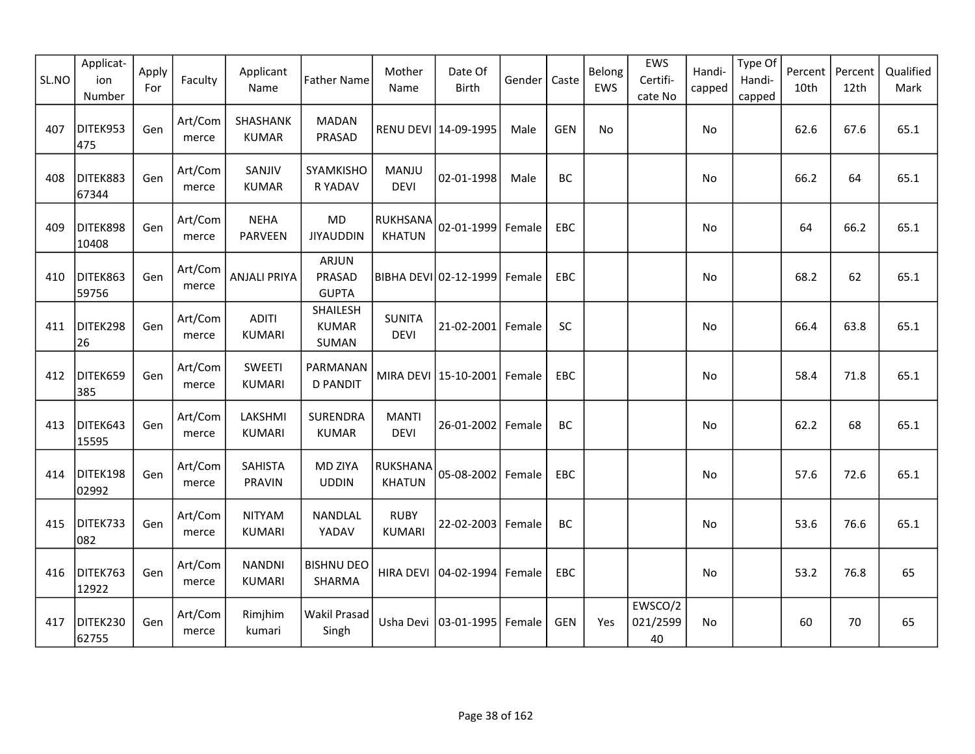| SL.NO | Applicat-<br>ion<br>Number | Apply<br>For | Faculty          | Applicant<br>Name               | <b>Father Name</b>                     | Mother<br>Name                   | Date Of<br>Birth                | Gender | Caste      | Belong<br>EWS | EWS<br>Certifi-<br>cate No | Handi-<br>capped | Type Of<br>Handi-<br>capped | Percent<br>10th | Percent<br>12th | Qualified<br>Mark |
|-------|----------------------------|--------------|------------------|---------------------------------|----------------------------------------|----------------------------------|---------------------------------|--------|------------|---------------|----------------------------|------------------|-----------------------------|-----------------|-----------------|-------------------|
| 407   | DITEK953<br>475            | Gen          | Art/Com<br>merce | SHASHANK<br><b>KUMAR</b>        | <b>MADAN</b><br>PRASAD                 |                                  | RENU DEVI 14-09-1995            | Male   | <b>GEN</b> | No            |                            | No               |                             | 62.6            | 67.6            | 65.1              |
| 408   | DITEK883<br>67344          | Gen          | Art/Com<br>merce | SANJIV<br><b>KUMAR</b>          | SYAMKISHO<br>R YADAV                   | MANJU<br><b>DEVI</b>             | 02-01-1998                      | Male   | BC         |               |                            | No               |                             | 66.2            | 64              | 65.1              |
| 409   | DITEK898<br>10408          | Gen          | Art/Com<br>merce | <b>NEHA</b><br><b>PARVEEN</b>   | <b>MD</b><br><b>JIYAUDDIN</b>          | <b>RUKHSANA</b><br><b>KHATUN</b> | 02-01-1999                      | Female | EBC        |               |                            | No               |                             | 64              | 66.2            | 65.1              |
| 410   | DITEK863<br>59756          | Gen          | Art/Com<br>merce | <b>ANJALI PRIYA</b>             | <b>ARJUN</b><br>PRASAD<br><b>GUPTA</b> |                                  | BIBHA DEVI 02-12-1999           | Female | EBC        |               |                            | No               |                             | 68.2            | 62              | 65.1              |
| 411   | DITEK298<br>26             | Gen          | Art/Com<br>merce | <b>ADITI</b><br><b>KUMARI</b>   | SHAILESH<br><b>KUMAR</b><br>SUMAN      | <b>SUNITA</b><br><b>DEVI</b>     | 21-02-2001 Female               |        | SC         |               |                            | No               |                             | 66.4            | 63.8            | 65.1              |
| 412   | DITEK659<br>385            | Gen          | Art/Com<br>merce | <b>SWEETI</b><br><b>KUMARI</b>  | PARMANAN<br><b>D PANDIT</b>            |                                  | MIRA DEVI   15-10-2001   Female |        | EBC        |               |                            | No               |                             | 58.4            | 71.8            | 65.1              |
| 413   | DITEK643<br>15595          | Gen          | Art/Com<br>merce | LAKSHMI<br><b>KUMARI</b>        | SURENDRA<br><b>KUMAR</b>               | <b>MANTI</b><br><b>DEVI</b>      | 26-01-2002                      | Female | BC         |               |                            | No               |                             | 62.2            | 68              | 65.1              |
| 414   | DITEK198<br>02992          | Gen          | Art/Com<br>merce | <b>SAHISTA</b><br><b>PRAVIN</b> | MD ZIYA<br><b>UDDIN</b>                | RUKSHANA<br><b>KHATUN</b>        | 05-08-2002   Female             |        | EBC        |               |                            | No               |                             | 57.6            | 72.6            | 65.1              |
| 415   | DITEK733<br>082            | Gen          | Art/Com<br>merce | <b>NITYAM</b><br><b>KUMARI</b>  | NANDLAL<br>YADAV                       | <b>RUBY</b><br><b>KUMARI</b>     | 22-02-2003                      | Female | BC         |               |                            | No               |                             | 53.6            | 76.6            | 65.1              |
| 416   | DITEK763<br>12922          | Gen          | Art/Com<br>merce | <b>NANDNI</b><br><b>KUMARI</b>  | <b>BISHNU DEO</b><br>SHARMA            |                                  | HIRA DEVI 04-02-1994            | Female | EBC        |               |                            | No               |                             | 53.2            | 76.8            | 65                |
| 417   | DITEK230<br>62755          | Gen          | Art/Com<br>merce | Rimjhim<br>kumari               | Wakil Prasad<br>Singh                  | Usha Devi                        | 03-01-1995 Female               |        | <b>GEN</b> | Yes           | EWSCO/2<br>021/2599<br>40  | <b>No</b>        |                             | 60              | 70              | 65                |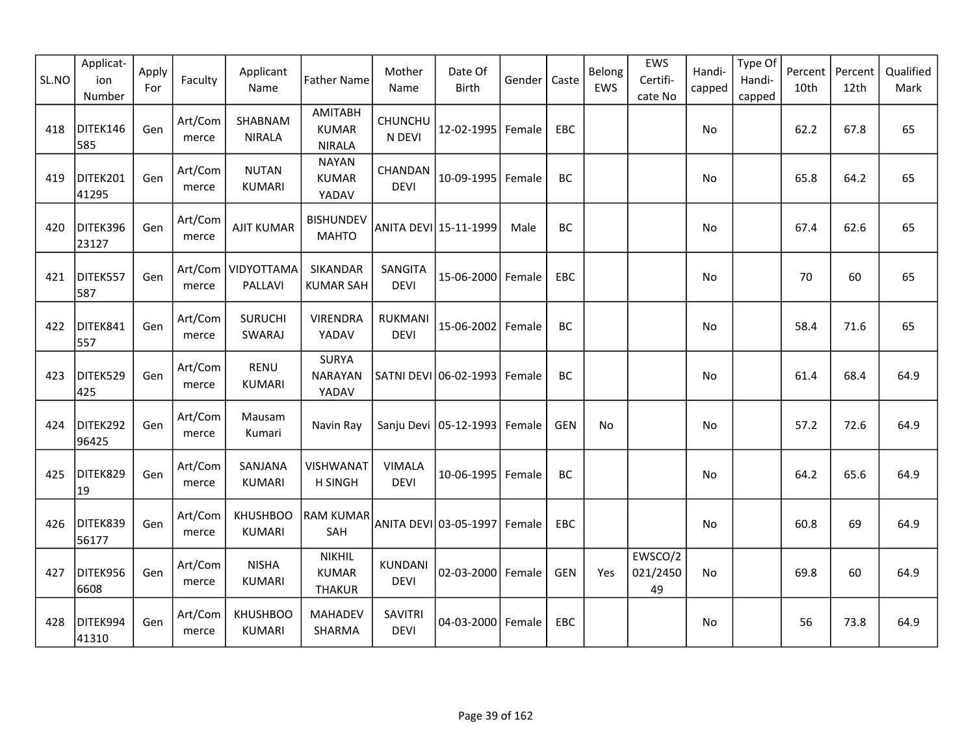| SL.NO | Applicat-<br>ion<br>Number | Apply<br>For | Faculty          | Applicant<br>Name                | <b>Father Name</b>                              | Mother<br>Name                | Date Of<br><b>Birth</b>          | Gender | Caste      | Belong<br>EWS | EWS<br>Certifi-<br>cate No | Handi-<br>capped | Type Of<br>Handi-<br>capped | Percent<br>10th | Percent<br>12th | Qualified<br>Mark |
|-------|----------------------------|--------------|------------------|----------------------------------|-------------------------------------------------|-------------------------------|----------------------------------|--------|------------|---------------|----------------------------|------------------|-----------------------------|-----------------|-----------------|-------------------|
| 418   | DITEK146<br>585            | Gen          | Art/Com<br>merce | SHABNAM<br><b>NIRALA</b>         | <b>AMITABH</b><br><b>KUMAR</b><br><b>NIRALA</b> | CHUNCHU<br>N DEVI             | 12-02-1995 Female                |        | EBC        |               |                            | No               |                             | 62.2            | 67.8            | 65                |
| 419   | DITEK201<br>41295          | Gen          | Art/Com<br>merce | <b>NUTAN</b><br><b>KUMARI</b>    | <b>NAYAN</b><br><b>KUMAR</b><br>YADAV           | CHANDAN<br><b>DEVI</b>        | 10-09-1995 Female                |        | BC         |               |                            | No               |                             | 65.8            | 64.2            | 65                |
| 420   | DITEK396<br>23127          | Gen          | Art/Com<br>merce | <b>AJIT KUMAR</b>                | <b>BISHUNDEV</b><br><b>MAHTO</b>                |                               | ANITA DEVI 15-11-1999            | Male   | BC         |               |                            | No               |                             | 67.4            | 62.6            | 65                |
| 421   | DITEK557<br>587            | Gen          | merce            | Art/Com   VIDYOTTAMA<br>PALLAVI  | SIKANDAR<br><b>KUMAR SAH</b>                    | SANGITA<br><b>DEVI</b>        | 15-06-2000 Female                |        | EBC        |               |                            | No               |                             | 70              | 60              | 65                |
| 422   | DITEK841<br>557            | Gen          | Art/Com<br>merce | <b>SURUCHI</b><br>SWARAJ         | <b>VIRENDRA</b><br>YADAV                        | <b>RUKMANI</b><br><b>DEVI</b> | 15-06-2002   Female              |        | BC         |               |                            | No               |                             | 58.4            | 71.6            | 65                |
| 423   | DITEK529<br>425            | Gen          | Art/Com<br>merce | <b>RENU</b><br><b>KUMARI</b>     | <b>SURYA</b><br><b>NARAYAN</b><br>YADAV         |                               | SATNI DEVI 06-02-1993   Female   |        | BC         |               |                            | No               |                             | 61.4            | 68.4            | 64.9              |
| 424   | DITEK292<br>96425          | Gen          | Art/Com<br>merce | Mausam<br>Kumari                 | Navin Ray                                       |                               | Sanju Devi   05-12-1993   Female |        | <b>GEN</b> | No            |                            | No.              |                             | 57.2            | 72.6            | 64.9              |
| 425   | DITEK829<br>19             | Gen          | Art/Com<br>merce | SANJANA<br><b>KUMARI</b>         | VISHWANAT<br><b>H SINGH</b>                     | <b>VIMALA</b><br><b>DEVI</b>  | 10-06-1995 Female                |        | BC         |               |                            | No               |                             | 64.2            | 65.6            | 64.9              |
| 426   | DITEK839<br>56177          | Gen          | Art/Com<br>merce | <b>KHUSHBOO</b><br><b>KUMARI</b> | RAM KUMAR <br>SAH                               |                               | ANITA DEVI 03-05-1997 Female     |        | EBC        |               |                            | No               |                             | 60.8            | 69              | 64.9              |
| 427   | DITEK956<br>6608           | Gen          | Art/Com<br>merce | <b>NISHA</b><br><b>KUMARI</b>    | <b>NIKHIL</b><br><b>KUMAR</b><br><b>THAKUR</b>  | KUNDANI<br><b>DEVI</b>        | 02-03-2000 Female                |        | <b>GEN</b> | Yes           | EWSCO/2<br>021/2450<br>49  | <b>No</b>        |                             | 69.8            | 60              | 64.9              |
| 428   | DITEK994<br>41310          | Gen          | Art/Com<br>merce | <b>KHUSHBOO</b><br><b>KUMARI</b> | <b>MAHADEV</b><br>SHARMA                        | <b>SAVITRI</b><br><b>DEVI</b> | 04-03-2000 Female                |        | <b>EBC</b> |               |                            | No               |                             | 56              | 73.8            | 64.9              |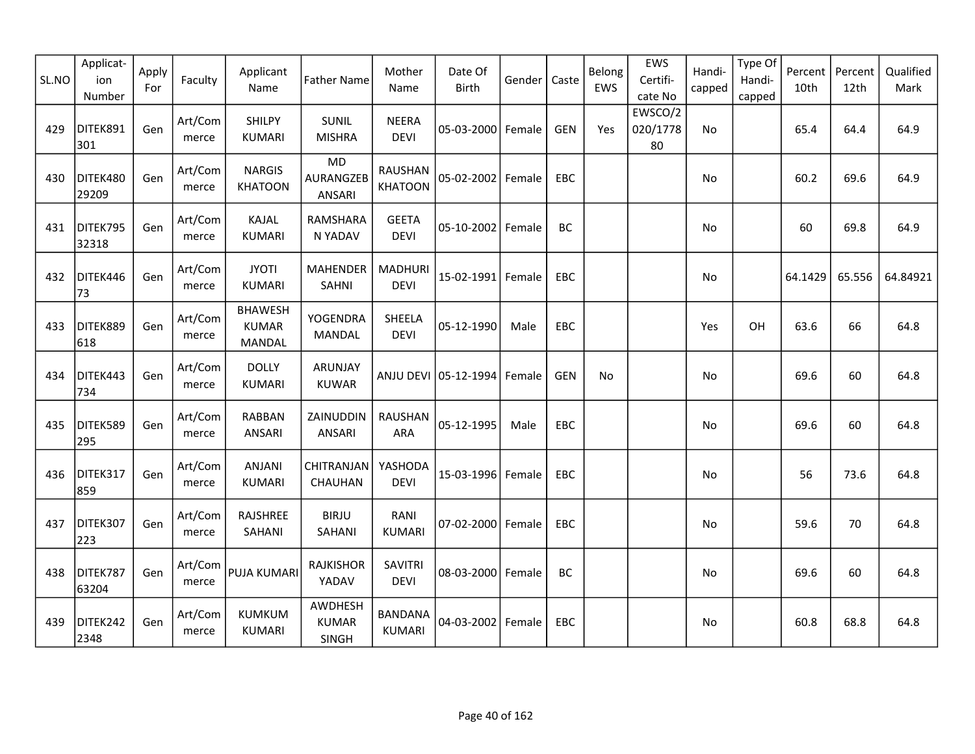| SL.NO | Applicat-<br>ion<br>Number | Apply<br>For | Faculty          | Applicant<br>Name                        | <b>Father Name</b>               | Mother<br>Name                   | Date Of<br><b>Birth</b> | Gender | Caste      | Belong<br>EWS | EWS<br>Certifi-<br>cate No | Handi-<br>capped | Type Of<br>Handi-<br>capped | Percent<br>10th | Percent<br>12th | Qualified<br>Mark |
|-------|----------------------------|--------------|------------------|------------------------------------------|----------------------------------|----------------------------------|-------------------------|--------|------------|---------------|----------------------------|------------------|-----------------------------|-----------------|-----------------|-------------------|
| 429   | DITEK891<br>301            | Gen          | Art/Com<br>merce | SHILPY<br><b>KUMARI</b>                  | SUNIL<br><b>MISHRA</b>           | <b>NEERA</b><br><b>DEVI</b>      | 05-03-2000 Female       |        | <b>GEN</b> | Yes           | EWSCO/2<br>020/1778<br>80  | No               |                             | 65.4            | 64.4            | 64.9              |
| 430   | DITEK480<br>29209          | Gen          | Art/Com<br>merce | <b>NARGIS</b><br><b>KHATOON</b>          | <b>MD</b><br>AURANGZEB<br>ANSARI | <b>RAUSHAN</b><br><b>KHATOON</b> | 05-02-2002              | Female | EBC        |               |                            | No               |                             | 60.2            | 69.6            | 64.9              |
| 431   | DITEK795<br>32318          | Gen          | Art/Com<br>merce | KAJAL<br><b>KUMARI</b>                   | RAMSHARA<br>N YADAV              | <b>GEETA</b><br><b>DEVI</b>      | 05-10-2002              | Female | BC         |               |                            | No               |                             | 60              | 69.8            | 64.9              |
| 432   | DITEK446<br>73             | Gen          | Art/Com<br>merce | <b>JYOTI</b><br><b>KUMARI</b>            | MAHENDER<br><b>SAHNI</b>         | <b>MADHURI</b><br><b>DEVI</b>    | 15-02-1991              | Female | EBC        |               |                            | No               |                             | 64.1429         | 65.556          | 64.84921          |
| 433   | DITEK889<br>618            | Gen          | Art/Com<br>merce | <b>BHAWESH</b><br><b>KUMAR</b><br>MANDAL | YOGENDRA<br><b>MANDAL</b>        | SHEELA<br><b>DEVI</b>            | 05-12-1990              | Male   | <b>EBC</b> |               |                            | Yes              | OH                          | 63.6            | 66              | 64.8              |
| 434   | DITEK443<br>734            | Gen          | Art/Com<br>merce | <b>DOLLY</b><br><b>KUMARI</b>            | ARUNJAY<br><b>KUWAR</b>          |                                  | ANJU DEVI 05-12-1994    | Female | <b>GEN</b> | No            |                            | No.              |                             | 69.6            | 60              | 64.8              |
| 435   | DITEK589<br>295            | Gen          | Art/Com<br>merce | <b>RABBAN</b><br><b>ANSARI</b>           | ZAINUDDIN<br>ANSARI              | <b>RAUSHAN</b><br><b>ARA</b>     | 05-12-1995              | Male   | EBC        |               |                            | No               |                             | 69.6            | 60              | 64.8              |
| 436   | DITEK317<br>859            | Gen          | Art/Com<br>merce | <b>ANJANI</b><br><b>KUMARI</b>           | CHITRANJAN<br>CHAUHAN            | YASHODA<br><b>DEVI</b>           | 15-03-1996 Female       |        | EBC        |               |                            | No               |                             | 56              | 73.6            | 64.8              |
| 437   | DITEK307<br>223            | Gen          | Art/Com<br>merce | RAJSHREE<br>SAHANI                       | <b>BIRJU</b><br>SAHANI           | RANI<br><b>KUMARI</b>            | 07-02-2000 Female       |        | <b>EBC</b> |               |                            | No               |                             | 59.6            | 70              | 64.8              |
| 438   | DITEK787<br>63204          | Gen          | Art/Com<br>merce | PUJA KUMARI                              | <b>RAJKISHOR</b><br>YADAV        | <b>SAVITRI</b><br><b>DEVI</b>    | 08-03-2000 Female       |        | BC         |               |                            | No               |                             | 69.6            | 60              | 64.8              |
| 439   | DITEK242<br>2348           | Gen          | Art/Com<br>merce | KUMKUM<br><b>KUMARI</b>                  | AWDHESH<br><b>KUMAR</b><br>SINGH | <b>BANDANA</b><br><b>KUMARI</b>  | 04-03-2002              | Female | <b>EBC</b> |               |                            | No               |                             | 60.8            | 68.8            | 64.8              |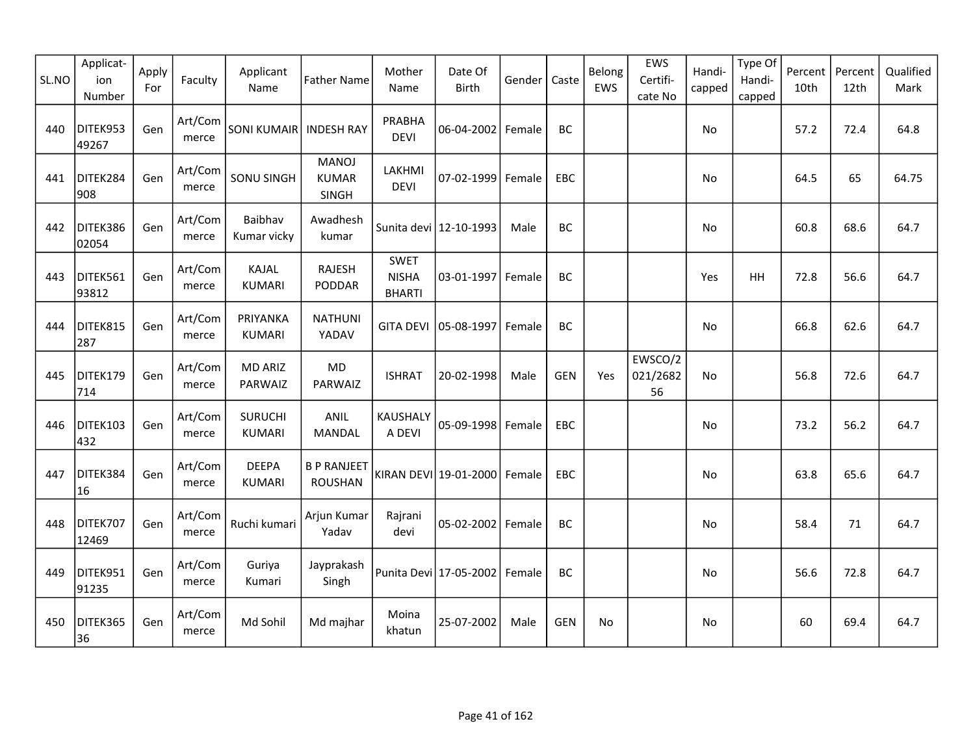| SL.NO | Applicat-<br>ion<br>Number | Apply<br>For | Faculty          | Applicant<br>Name               | <b>Father Name</b>                    | Mother<br>Name                               | Date Of<br><b>Birth</b>  | Gender | Caste      | Belong<br>EWS | EWS<br>Certifi-<br>cate No | Handi-<br>capped | Type Of<br>Handi-<br>capped | Percent<br>10th | Percent<br>12th | Qualified<br>Mark |
|-------|----------------------------|--------------|------------------|---------------------------------|---------------------------------------|----------------------------------------------|--------------------------|--------|------------|---------------|----------------------------|------------------|-----------------------------|-----------------|-----------------|-------------------|
| 440   | DITEK953<br>49267          | Gen          | Art/Com<br>merce | <b>SONI KUMAIR</b>              | <b>INDESH RAY</b>                     | PRABHA<br><b>DEVI</b>                        | 06-04-2002 Female        |        | BC         |               |                            | No               |                             | 57.2            | 72.4            | 64.8              |
| 441   | DITEK284<br>908            | Gen          | Art/Com<br>merce | <b>SONU SINGH</b>               | <b>MANOJ</b><br><b>KUMAR</b><br>SINGH | LAKHMI<br><b>DEVI</b>                        | 07-02-1999               | Female | EBC        |               |                            | No               |                             | 64.5            | 65              | 64.75             |
| 442   | DITEK386<br>02054          | Gen          | Art/Com<br>merce | Baibhav<br>Kumar vicky          | Awadhesh<br>kumar                     |                                              | Sunita devi   12-10-1993 | Male   | BC         |               |                            | No               |                             | 60.8            | 68.6            | 64.7              |
| 443   | DITEK561<br>93812          | Gen          | Art/Com<br>merce | KAJAL<br><b>KUMARI</b>          | <b>RAJESH</b><br>PODDAR               | <b>SWET</b><br><b>NISHA</b><br><b>BHARTI</b> | 03-01-1997               | Female | BC         |               |                            | Yes              | HH                          | 72.8            | 56.6            | 64.7              |
| 444   | DITEK815<br>287            | Gen          | Art/Com<br>merce | PRIYANKA<br><b>KUMARI</b>       | <b>NATHUNI</b><br>YADAV               | <b>GITA DEVI</b>                             | 05-08-1997               | Female | BC         |               |                            | No               |                             | 66.8            | 62.6            | 64.7              |
| 445   | DITEK179<br>714            | Gen          | Art/Com<br>merce | <b>MD ARIZ</b><br>PARWAIZ       | <b>MD</b><br>PARWAIZ                  | <b>ISHRAT</b>                                | 20-02-1998               | Male   | <b>GEN</b> | Yes           | EWSCO/2<br>021/2682<br>56  | <b>No</b>        |                             | 56.8            | 72.6            | 64.7              |
| 446   | DITEK103<br>432            | Gen          | Art/Com<br>merce | <b>SURUCHI</b><br><b>KUMARI</b> | <b>ANIL</b><br>MANDAL                 | KAUSHALY<br>A DEVI                           | 05-09-1998 Female        |        | <b>EBC</b> |               |                            | No               |                             | 73.2            | 56.2            | 64.7              |
| 447   | DITEK384<br>16             | Gen          | Art/Com<br>merce | <b>DEEPA</b><br><b>KUMARI</b>   | <b>B P RANJEET</b><br><b>ROUSHAN</b>  |                                              | KIRAN DEVI 19-01-2000    | Female | EBC        |               |                            | No               |                             | 63.8            | 65.6            | 64.7              |
| 448   | DITEK707<br>12469          | Gen          | Art/Com<br>merce | Ruchi kumari                    | Arjun Kumar<br>Yadav                  | Rajrani<br>devi                              | 05-02-2002 Female        |        | BC         |               |                            | No               |                             | 58.4            | 71              | 64.7              |
| 449   | DITEK951<br>91235          | Gen          | Art/Com<br>merce | Guriya<br>Kumari                | Jayprakash<br>Singh                   |                                              | Punita Devi   17-05-2002 | Female | BC         |               |                            | No               |                             | 56.6            | 72.8            | 64.7              |
| 450   | DITEK365<br>36             | Gen          | Art/Com<br>merce | Md Sohil                        | Md majhar                             | Moina<br>khatun                              | 25-07-2002               | Male   | <b>GEN</b> | No            |                            | No.              |                             | 60              | 69.4            | 64.7              |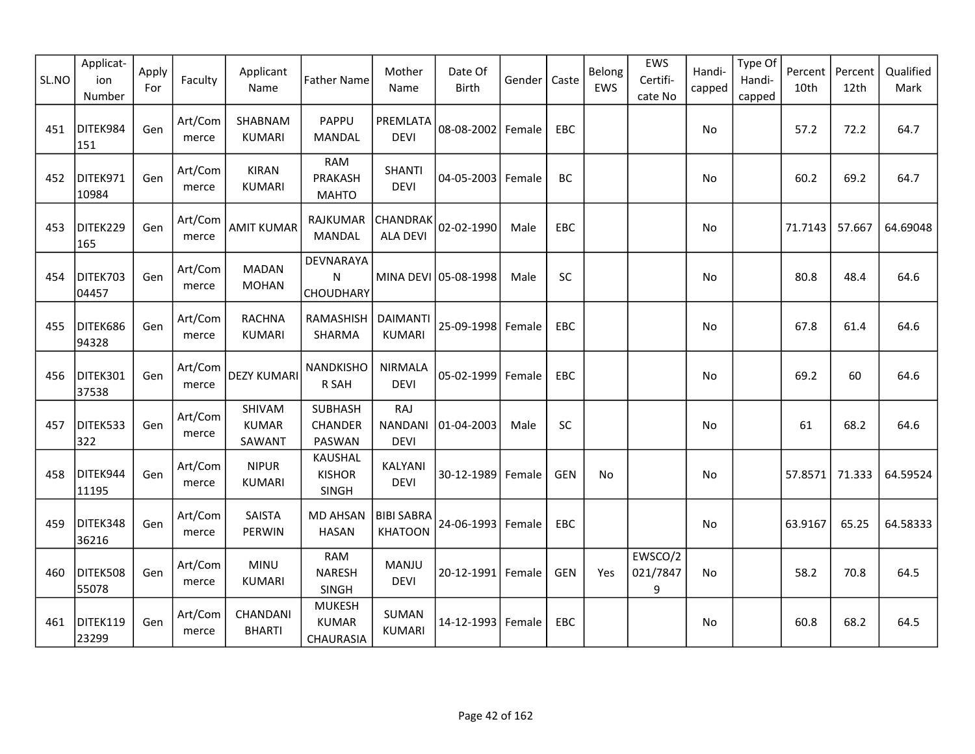| SL.NO | Applicat-<br>ion<br>Number | Apply<br>For | Faculty          | Applicant<br>Name                | <b>Father Name</b>                          | Mother<br>Name                       | Date Of<br><b>Birth</b> | Gender | Caste      | Belong<br>EWS | EWS<br>Certifi-<br>cate No | Handi-<br>capped | Type Of<br>Handi-<br>capped | Percent<br>10th | Percent<br>12th | Qualified<br>Mark |
|-------|----------------------------|--------------|------------------|----------------------------------|---------------------------------------------|--------------------------------------|-------------------------|--------|------------|---------------|----------------------------|------------------|-----------------------------|-----------------|-----------------|-------------------|
| 451   | DITEK984<br>151            | Gen          | Art/Com<br>merce | SHABNAM<br><b>KUMARI</b>         | PAPPU<br><b>MANDAL</b>                      | PREMLATA<br><b>DEVI</b>              | 08-08-2002 Female       |        | <b>EBC</b> |               |                            | No.              |                             | 57.2            | 72.2            | 64.7              |
| 452   | DITEK971<br>10984          | Gen          | Art/Com<br>merce | <b>KIRAN</b><br><b>KUMARI</b>    | <b>RAM</b><br>PRAKASH<br><b>MAHTO</b>       | <b>SHANTI</b><br><b>DEVI</b>         | 04-05-2003   Female     |        | BC         |               |                            | No               |                             | 60.2            | 69.2            | 64.7              |
| 453   | DITEK229<br>165            | Gen          | Art/Com<br>merce | <b>AMIT KUMAR</b>                | RAJKUMAR<br><b>MANDAL</b>                   | <b>CHANDRAK</b><br><b>ALA DEVI</b>   | 02-02-1990              | Male   | EBC        |               |                            | No               |                             | 71.7143         | 57.667          | 64.69048          |
| 454   | DITEK703<br>04457          | Gen          | Art/Com<br>merce | <b>MADAN</b><br><b>MOHAN</b>     | DEVNARAYA<br>$\mathsf{N}$<br>CHOUDHARY      |                                      | MINA DEVI 05-08-1998    | Male   | SC         |               |                            | No               |                             | 80.8            | 48.4            | 64.6              |
| 455   | DITEK686<br>94328          | Gen          | Art/Com<br>merce | <b>RACHNA</b><br><b>KUMARI</b>   | RAMASHISH<br>SHARMA                         | <b>DAIMANTI</b><br><b>KUMARI</b>     | 25-09-1998              | Female | <b>EBC</b> |               |                            | No               |                             | 67.8            | 61.4            | 64.6              |
| 456   | DITEK301<br>37538          | Gen          | Art/Com<br>merce | <b>DEZY KUMARI</b>               | NANDKISHO<br>R SAH                          | <b>NIRMALA</b><br><b>DEVI</b>        | 05-02-1999              | Female | <b>EBC</b> |               |                            | No               |                             | 69.2            | 60              | 64.6              |
| 457   | DITEK533<br>322            | Gen          | Art/Com<br>merce | SHIVAM<br><b>KUMAR</b><br>SAWANT | <b>SUBHASH</b><br>CHANDER<br>PASWAN         | RAJ<br><b>NANDANI</b><br><b>DEVI</b> | 01-04-2003              | Male   | SC         |               |                            | No               |                             | 61              | 68.2            | 64.6              |
| 458   | DITEK944<br>11195          | Gen          | Art/Com<br>merce | <b>NIPUR</b><br><b>KUMARI</b>    | <b>KAUSHAL</b><br><b>KISHOR</b><br>SINGH    | KALYANI<br>DEVI                      | 30-12-1989 Female       |        | <b>GEN</b> | No            |                            | No               |                             | 57.8571         | 71.333          | 64.59524          |
| 459   | DITEK348<br>36216          | Gen          | Art/Com<br>merce | <b>SAISTA</b><br><b>PERWIN</b>   | <b>MD AHSAN</b><br><b>HASAN</b>             | <b>BIBI SABRA</b><br><b>KHATOON</b>  | 24-06-1993              | Female | EBC        |               |                            | No               |                             | 63.9167         | 65.25           | 64.58333          |
| 460   | DITEK508<br>55078          | Gen          | Art/Com<br>merce | <b>MINU</b><br><b>KUMARI</b>     | <b>RAM</b><br><b>NARESH</b><br><b>SINGH</b> | MANJU<br><b>DEVI</b>                 | 20-12-1991 Female       |        | <b>GEN</b> | Yes           | EWSCO/2<br>021/7847<br>9   | No               |                             | 58.2            | 70.8            | 64.5              |
| 461   | DITEK119<br>23299          | Gen          | Art/Com<br>merce | CHANDANI<br><b>BHARTI</b>        | <b>MUKESH</b><br><b>KUMAR</b><br>CHAURASIA  | SUMAN<br><b>KUMARI</b>               | 14-12-1993              | Female | EBC        |               |                            | No               |                             | 60.8            | 68.2            | 64.5              |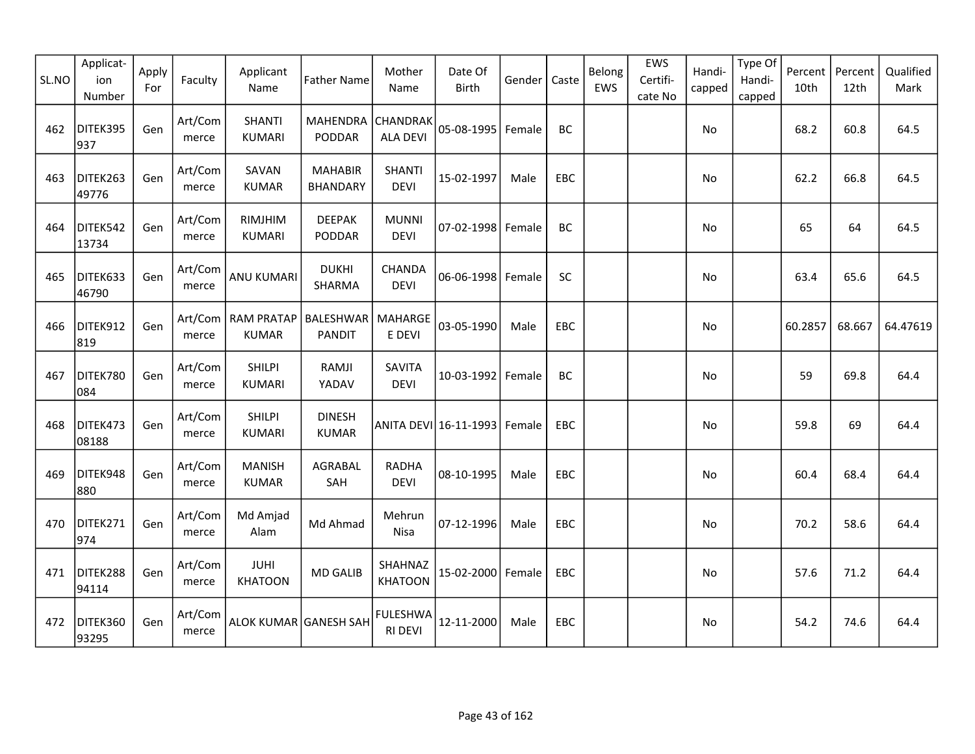| SL.NO | Applicat-<br>ion<br>Number | Apply<br>For | Faculty          | Applicant<br>Name                    | <b>Father Name</b>                | Mother<br>Name                    | Date Of<br><b>Birth</b> | Gender | Caste | Belong<br>EWS | EWS<br>Certifi-<br>cate No | Handi-<br>capped | Type Of<br>Handi-<br>capped | Percent<br>10th | Percent<br>12th | Qualified<br>Mark |
|-------|----------------------------|--------------|------------------|--------------------------------------|-----------------------------------|-----------------------------------|-------------------------|--------|-------|---------------|----------------------------|------------------|-----------------------------|-----------------|-----------------|-------------------|
| 462   | DITEK395<br>937            | Gen          | Art/Com<br>merce | <b>SHANTI</b><br><b>KUMARI</b>       | <b>MAHENDRA</b><br>PODDAR         | CHANDRAK<br><b>ALA DEVI</b>       | 05-08-1995 Female       |        | BC    |               |                            | No               |                             | 68.2            | 60.8            | 64.5              |
| 463   | DITEK263<br>49776          | Gen          | Art/Com<br>merce | SAVAN<br><b>KUMAR</b>                | <b>MAHABIR</b><br><b>BHANDARY</b> | <b>SHANTI</b><br><b>DEVI</b>      | 15-02-1997              | Male   | EBC   |               |                            | No               |                             | 62.2            | 66.8            | 64.5              |
| 464   | DITEK542<br>13734          | Gen          | Art/Com<br>merce | RIMJHIM<br>KUMARI                    | <b>DEEPAK</b><br>PODDAR           | <b>MUNNI</b><br><b>DEVI</b>       | 07-02-1998 Female       |        | BC    |               |                            | No               |                             | 65              | 64              | 64.5              |
| 465   | DITEK633<br>46790          | Gen          | Art/Com<br>merce | <b>ANU KUMARI</b>                    | <b>DUKHI</b><br>SHARMA            | CHANDA<br><b>DEVI</b>             | 06-06-1998 Female       |        | SC    |               |                            | <b>No</b>        |                             | 63.4            | 65.6            | 64.5              |
| 466   | DITEK912<br>819            | Gen          | merce            | Art/Com   RAM PRATAP<br><b>KUMAR</b> | <b>BALESHWAR</b><br><b>PANDIT</b> | MAHARGE<br>E DEVI                 | 03-05-1990              | Male   | EBC   |               |                            | No               |                             | 60.2857         | 68.667          | 64.47619          |
| 467   | DITEK780<br>084            | Gen          | Art/Com<br>merce | <b>SHILPI</b><br><b>KUMARI</b>       | RAMJI<br>YADAV                    | SAVITA<br><b>DEVI</b>             | 10-03-1992 Female       |        | BC    |               |                            | No               |                             | 59              | 69.8            | 64.4              |
| 468   | DITEK473<br>08188          | Gen          | Art/Com<br>merce | <b>SHILPI</b><br><b>KUMARI</b>       | <b>DINESH</b><br><b>KUMAR</b>     |                                   | ANITA DEVI 16-11-1993   | Female | EBC   |               |                            | $\mathsf{No}$    |                             | 59.8            | 69              | 64.4              |
| 469   | DITEK948<br>880            | Gen          | Art/Com<br>merce | <b>MANISH</b><br><b>KUMAR</b>        | AGRABAL<br>SAH                    | <b>RADHA</b><br><b>DEVI</b>       | 08-10-1995              | Male   | EBC   |               |                            | No               |                             | 60.4            | 68.4            | 64.4              |
| 470   | DITEK271<br>974            | Gen          | Art/Com<br>merce | Md Amjad<br>Alam                     | Md Ahmad                          | Mehrun<br>Nisa                    | 07-12-1996              | Male   | EBC   |               |                            | No               |                             | 70.2            | 58.6            | 64.4              |
| 471   | DITEK288<br>94114          | Gen          | Art/Com<br>merce | <b>JUHI</b><br><b>KHATOON</b>        | <b>MD GALIB</b>                   | SHAHNAZ<br><b>KHATOON</b>         | 15-02-2000 Female       |        | EBC   |               |                            | No               |                             | 57.6            | 71.2            | 64.4              |
| 472   | DITEK360<br>93295          | Gen          | Art/Com<br>merce | ALOK KUMAR GANESH SAH                |                                   | <b>FULESHWA</b><br><b>RI DEVI</b> | 12-11-2000              | Male   | EBC   |               |                            | No               |                             | 54.2            | 74.6            | 64.4              |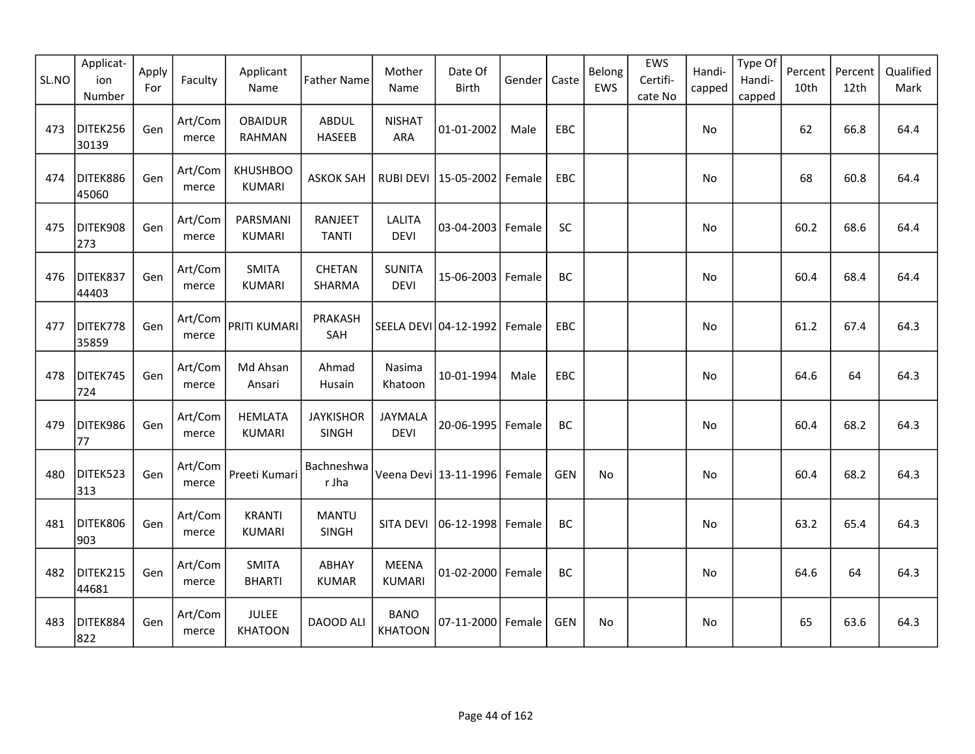| SL.NO | Applicat-<br>ion<br>Number | Apply<br>For | Faculty          | Applicant<br>Name               | <b>Father Name</b>               | Mother<br>Name                | Date Of<br><b>Birth</b>         | Gender | Caste      | Belong<br>EWS | EWS<br>Certifi-<br>cate No | Handi-<br>capped | Type Of<br>Handi-<br>capped | Percent<br>10th | Percent<br>12th | Qualified<br>Mark |
|-------|----------------------------|--------------|------------------|---------------------------------|----------------------------------|-------------------------------|---------------------------------|--------|------------|---------------|----------------------------|------------------|-----------------------------|-----------------|-----------------|-------------------|
| 473   | DITEK256<br>30139          | Gen          | Art/Com<br>merce | <b>OBAIDUR</b><br>RAHMAN        | <b>ABDUL</b><br><b>HASEEB</b>    | <b>NISHAT</b><br><b>ARA</b>   | 01-01-2002                      | Male   | EBC        |               |                            | No               |                             | 62              | 66.8            | 64.4              |
| 474   | DITEK886<br>45060          | Gen          | Art/Com<br>merce | <b>KHUSHBOO</b><br>KUMARI       | <b>ASKOK SAH</b>                 |                               | RUBI DEVI   15-05-2002   Female |        | EBC        |               |                            | No               |                             | 68              | 60.8            | 64.4              |
| 475   | DITEK908<br>273            | Gen          | Art/Com<br>merce | PARSMANI<br><b>KUMARI</b>       | RANJEET<br><b>TANTI</b>          | LALITA<br><b>DEVI</b>         | $03 - 04 - 2003$                | Female | <b>SC</b>  |               |                            | No.              |                             | 60.2            | 68.6            | 64.4              |
| 476   | DITEK837<br>44403          | Gen          | Art/Com<br>merce | <b>SMITA</b><br><b>KUMARI</b>   | <b>CHETAN</b><br>SHARMA          | <b>SUNITA</b><br><b>DEVI</b>  | 15-06-2003 Female               |        | BC         |               |                            | No               |                             | 60.4            | 68.4            | 64.4              |
| 477   | DITEK778<br>35859          | Gen          | Art/Com<br>merce | PRITI KUMARI                    | PRAKASH<br>SAH                   |                               | SEELA DEVI 04-12-1992           | Female | EBC        |               |                            | No               |                             | 61.2            | 67.4            | 64.3              |
| 478   | DITEK745<br>724            | Gen          | Art/Com<br>merce | Md Ahsan<br>Ansari              | Ahmad<br>Husain                  | Nasima<br>Khatoon             | 10-01-1994                      | Male   | EBC        |               |                            | <b>No</b>        |                             | 64.6            | 64              | 64.3              |
| 479   | DITEK986<br>77             | Gen          | Art/Com<br>merce | <b>HEMLATA</b><br><b>KUMARI</b> | <b>JAYKISHOR</b><br><b>SINGH</b> | JAYMALA<br><b>DEVI</b>        | 20-06-1995                      | Female | BC         |               |                            | No               |                             | 60.4            | 68.2            | 64.3              |
| 480   | DITEK523<br>313            | Gen          | Art/Com<br>merce | Preeti Kumari                   | Bachneshwa<br>r Jha              |                               | Veena Devi 13-11-1996   Female  |        | <b>GEN</b> | No            |                            | No               |                             | 60.4            | 68.2            | 64.3              |
| 481   | DITEK806<br>903            | Gen          | Art/Com<br>merce | <b>KRANTI</b><br><b>KUMARI</b>  | <b>MANTU</b><br>SINGH            | SITA DEVI                     | $ 06-12-1998 $                  | Female | BC         |               |                            | No               |                             | 63.2            | 65.4            | 64.3              |
| 482   | DITEK215<br>44681          | Gen          | Art/Com<br>merce | <b>SMITA</b><br><b>BHARTI</b>   | ABHAY<br><b>KUMAR</b>            | <b>MEENA</b><br><b>KUMARI</b> | 01-02-2000 Female               |        | BC         |               |                            | No               |                             | 64.6            | 64              | 64.3              |
| 483   | DITEK884<br>822            | Gen          | Art/Com<br>merce | <b>JULEE</b><br><b>KHATOON</b>  | DAOOD ALI                        | <b>BANO</b><br><b>KHATOON</b> | 07-11-2000 Female               |        | <b>GEN</b> | No            |                            | <b>No</b>        |                             | 65              | 63.6            | 64.3              |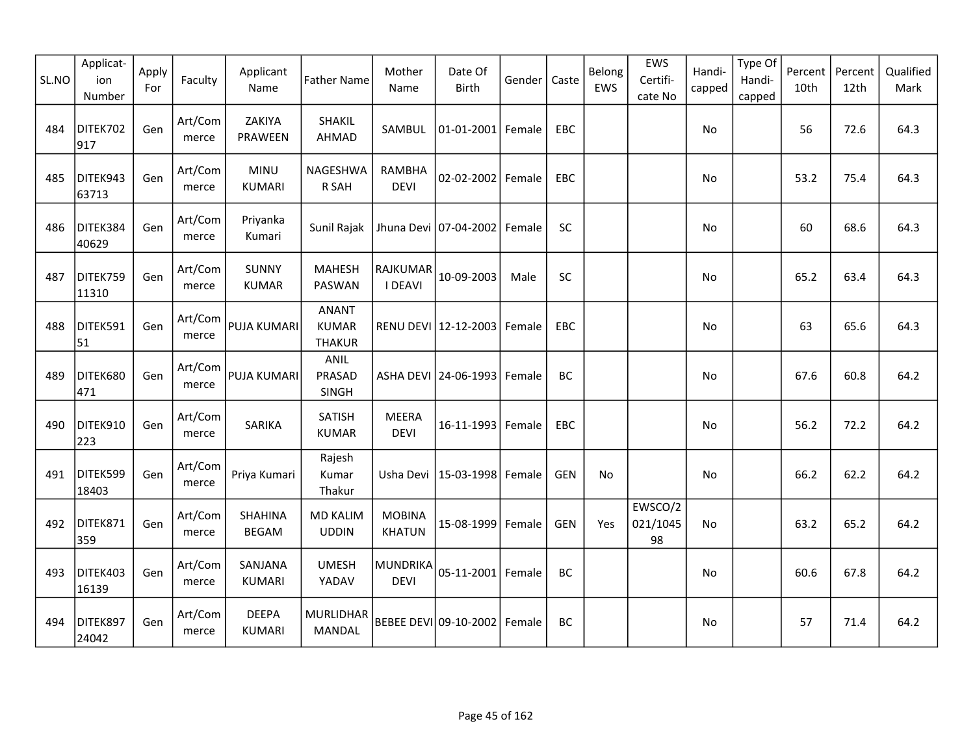| SL.NO | Applicat-<br>ion<br>Number | Apply<br>For | Faculty          | Applicant<br>Name              | <b>Father Name</b>                            | Mother<br>Name                 | Date Of<br>Birth                | Gender | Caste      | Belong<br>EWS | EWS<br>Certifi-<br>cate No | Handi-<br>capped | Type Of<br>Handi-<br>capped | Percent<br>10th | Percent<br>12th | Qualified<br>Mark |
|-------|----------------------------|--------------|------------------|--------------------------------|-----------------------------------------------|--------------------------------|---------------------------------|--------|------------|---------------|----------------------------|------------------|-----------------------------|-----------------|-----------------|-------------------|
| 484   | DITEK702<br>917            | Gen          | Art/Com<br>merce | ZAKIYA<br>PRAWEEN              | SHAKIL<br>AHMAD                               | SAMBUL                         | 01-01-2001 Female               |        | EBC        |               |                            | No               |                             | 56              | 72.6            | 64.3              |
| 485   | DITEK943<br>63713          | Gen          | Art/Com<br>merce | <b>MINU</b><br><b>KUMARI</b>   | NAGESHWA<br>R SAH                             | <b>RAMBHA</b><br><b>DEVI</b>   | 02-02-2002 Female               |        | EBC        |               |                            | No               |                             | 53.2            | 75.4            | 64.3              |
| 486   | DITEK384<br>40629          | Gen          | Art/Com<br>merce | Priyanka<br>Kumari             | Sunil Rajak                                   |                                | Jhuna Devi 07-04-2002           | Female | SC         |               |                            | No               |                             | 60              | 68.6            | 64.3              |
| 487   | DITEK759<br>11310          | Gen          | Art/Com<br>merce | <b>SUNNY</b><br><b>KUMAR</b>   | <b>MAHESH</b><br>PASWAN                       | RAJKUMAR<br><b>I DEAVI</b>     | 10-09-2003                      | Male   | SC         |               |                            | No               |                             | 65.2            | 63.4            | 64.3              |
| 488   | DITEK591<br>51             | Gen          | Art/Com<br>merce | <b>PUJA KUMARI</b>             | <b>ANANT</b><br><b>KUMAR</b><br><b>THAKUR</b> |                                | RENU DEVI 12-12-2003            | Female | <b>EBC</b> |               |                            | No.              |                             | 63              | 65.6            | 64.3              |
| 489   | DITEK680<br>471            | Gen          | Art/Com<br>merce | PUJA KUMARI                    | <b>ANIL</b><br>PRASAD<br>SINGH                |                                | ASHA DEVI 24-06-1993 Female     |        | BC         |               |                            | No               |                             | 67.6            | 60.8            | 64.2              |
| 490   | DITEK910<br>223            | Gen          | Art/Com<br>merce | SARIKA                         | SATISH<br><b>KUMAR</b>                        | <b>MEERA</b><br><b>DEVI</b>    | 16-11-1993 Female               |        | <b>EBC</b> |               |                            | No.              |                             | 56.2            | 72.2            | 64.2              |
| 491   | DITEK599<br>18403          | Gen          | Art/Com<br>merce | Priya Kumari                   | Rajesh<br>Kumar<br>Thakur                     |                                | Usha Devi   15-03-1998   Female |        | <b>GEN</b> | No            |                            | No               |                             | 66.2            | 62.2            | 64.2              |
| 492   | DITEK871<br>359            | Gen          | Art/Com<br>merce | <b>SHAHINA</b><br><b>BEGAM</b> | <b>MD KALIM</b><br><b>UDDIN</b>               | <b>MOBINA</b><br><b>KHATUN</b> | 15-08-1999 Female               |        | <b>GEN</b> | Yes           | EWSCO/2<br>021/1045<br>98  | No               |                             | 63.2            | 65.2            | 64.2              |
| 493   | DITEK403<br>16139          | Gen          | Art/Com<br>merce | SANJANA<br><b>KUMARI</b>       | <b>UMESH</b><br>YADAV                         | <b>MUNDRIKA</b><br><b>DEVI</b> | 05-11-2001 Female               |        | BC         |               |                            | No               |                             | 60.6            | 67.8            | 64.2              |
| 494   | DITEK897<br>24042          | Gen          | Art/Com<br>merce | <b>DEEPA</b><br><b>KUMARI</b>  | MURLIDHAR<br><b>MANDAL</b>                    |                                | BEBEE DEVI 09-10-2002   Female  |        | BC         |               |                            | No               |                             | 57              | 71.4            | 64.2              |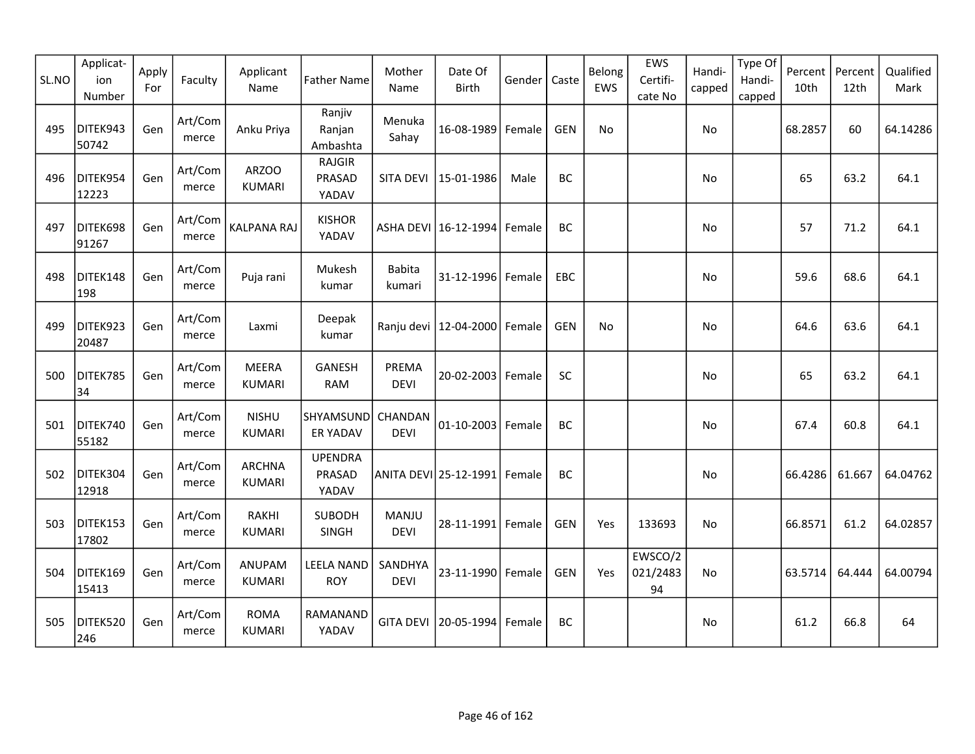| SL.NO | Applicat-<br>ion<br>Number | Apply<br>For | Faculty          | Applicant<br>Name              | <b>Father Name</b>                | Mother<br>Name          | Date Of<br>Birth               | Gender | Caste      | Belong<br>EWS | EWS<br>Certifi-<br>cate No | Handi-<br>capped | Type Of<br>Handi-<br>capped | Percent<br>10th | Percent<br>12th | Qualified<br>Mark |
|-------|----------------------------|--------------|------------------|--------------------------------|-----------------------------------|-------------------------|--------------------------------|--------|------------|---------------|----------------------------|------------------|-----------------------------|-----------------|-----------------|-------------------|
| 495   | DITEK943<br>50742          | Gen          | Art/Com<br>merce | Anku Priya                     | Ranjiv<br>Ranjan<br>Ambashta      | Menuka<br>Sahay         | 16-08-1989                     | Female | <b>GEN</b> | No            |                            | No               |                             | 68.2857         | 60              | 64.14286          |
| 496   | DITEK954<br>12223          | Gen          | Art/Com<br>merce | ARZOO<br><b>KUMARI</b>         | <b>RAJGIR</b><br>PRASAD<br>YADAV  | SITA DEVI               | 15-01-1986                     | Male   | BC         |               |                            | No               |                             | 65              | 63.2            | 64.1              |
| 497   | DITEK698<br>91267          | Gen          | Art/Com<br>merce | <b>KALPANA RAJ</b>             | <b>KISHOR</b><br>YADAV            |                         | ASHA DEVI   16-12-1994         | Female | BC         |               |                            | No.              |                             | 57              | 71.2            | 64.1              |
| 498   | DITEK148<br>198            | Gen          | Art/Com<br>merce | Puja rani                      | Mukesh<br>kumar                   | <b>Babita</b><br>kumari | $31 - 12 - 1996$               | Female | EBC        |               |                            | No               |                             | 59.6            | 68.6            | 64.1              |
| 499   | DITEK923<br>20487          | Gen          | Art/Com<br>merce | Laxmi                          | Deepak<br>kumar                   |                         | Ranju devi   12-04-2000        | Female | <b>GEN</b> | No            |                            | No.              |                             | 64.6            | 63.6            | 64.1              |
| 500   | DITEK785<br>34             | Gen          | Art/Com<br>merce | MEERA<br><b>KUMARI</b>         | <b>GANESH</b><br><b>RAM</b>       | PREMA<br><b>DEVI</b>    | $20 - 02 - 2003$               | Female | <b>SC</b>  |               |                            | No               |                             | 65              | 63.2            | 64.1              |
| 501   | DITEK740<br>55182          | Gen          | Art/Com<br>merce | <b>NISHU</b><br><b>KUMARI</b>  | SHYAMSUND<br><b>ER YADAV</b>      | CHANDAN<br><b>DEVI</b>  | $01 - 10 - 2003$               | Female | BC         |               |                            | No               |                             | 67.4            | 60.8            | 64.1              |
| 502   | DITEK304<br>12918          | Gen          | Art/Com<br>merce | <b>ARCHNA</b><br><b>KUMARI</b> | <b>UPENDRA</b><br>PRASAD<br>YADAV |                         | ANITA DEVI 25-12-1991   Female |        | BC         |               |                            | No               |                             | 66.4286         | 61.667          | 64.04762          |
| 503   | DITEK153<br>17802          | Gen          | Art/Com<br>merce | <b>RAKHI</b><br><b>KUMARI</b>  | <b>SUBODH</b><br>SINGH            | MANJU<br><b>DEVI</b>    | 28-11-1991 Female              |        | <b>GEN</b> | Yes           | 133693                     | No               |                             | 66.8571         | 61.2            | 64.02857          |
| 504   | DITEK169<br>15413          | Gen          | Art/Com<br>merce | ANUPAM<br><b>KUMARI</b>        | <b>LEELA NAND</b><br><b>ROY</b>   | SANDHYA<br><b>DEVI</b>  | 23-11-1990 Female              |        | <b>GEN</b> | Yes           | EWSCO/2<br>021/2483<br>94  | <b>No</b>        |                             | 63.5714         | 64.444          | 64.00794          |
| 505   | DITEK520<br>246            | Gen          | Art/Com<br>merce | <b>ROMA</b><br><b>KUMARI</b>   | RAMANAND<br>YADAV                 | <b>GITA DEVI</b>        | 20-05-1994                     | Female | BC         |               |                            | No.              |                             | 61.2            | 66.8            | 64                |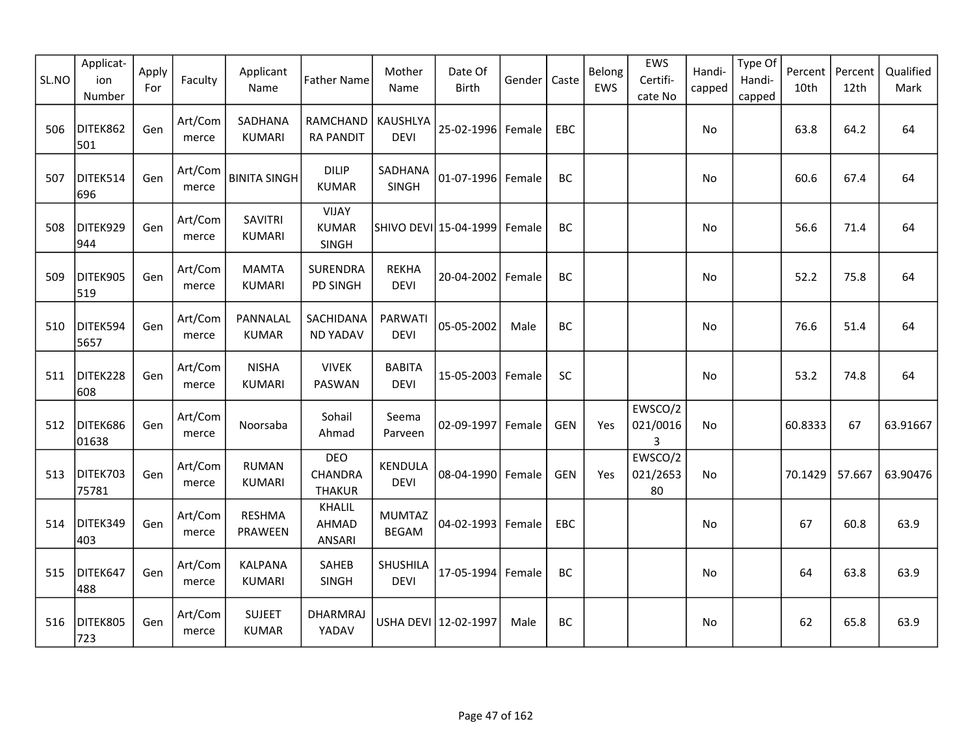| SL.NO | Applicat-<br>ion<br>Number | Apply<br>For | Faculty          | Applicant<br>Name               | <b>Father Name</b>                           | Mother<br>Name                | Date Of<br><b>Birth</b> | Gender | Caste      | Belong<br>EWS | EWS<br>Certifi-<br>cate No | Handi-<br>capped | Type Of<br>Handi-<br>capped | Percent<br>10th | Percent<br>12th | Qualified<br>Mark |
|-------|----------------------------|--------------|------------------|---------------------------------|----------------------------------------------|-------------------------------|-------------------------|--------|------------|---------------|----------------------------|------------------|-----------------------------|-----------------|-----------------|-------------------|
| 506   | DITEK862<br>501            | Gen          | Art/Com<br>merce | SADHANA<br><b>KUMARI</b>        | <b>RAMCHAND</b><br><b>RA PANDIT</b>          | KAUSHLYA<br><b>DEVI</b>       | 25-02-1996 Female       |        | EBC        |               |                            | No               |                             | 63.8            | 64.2            | 64                |
| 507   | DITEK514<br>696            | Gen          | Art/Com<br>merce | <b>BINITA SINGH</b>             | <b>DILIP</b><br><b>KUMAR</b>                 | SADHANA<br>SINGH              | 01-07-1996 Female       |        | BC         |               |                            | No               |                             | 60.6            | 67.4            | 64                |
| 508   | DITEK929<br>944            | Gen          | Art/Com<br>merce | <b>SAVITRI</b><br>KUMARI        | <b>VIJAY</b><br><b>KUMAR</b><br><b>SINGH</b> |                               | SHIVO DEVI 15-04-1999   | Female | BC         |               |                            | No               |                             | 56.6            | 71.4            | 64                |
| 509   | DITEK905<br>519            | Gen          | Art/Com<br>merce | <b>MAMTA</b><br><b>KUMARI</b>   | <b>SURENDRA</b><br><b>PD SINGH</b>           | <b>REKHA</b><br><b>DEVI</b>   | 20-04-2002              | Female | BC         |               |                            | <b>No</b>        |                             | 52.2            | 75.8            | 64                |
| 510   | DITEK594<br>5657           | Gen          | Art/Com<br>merce | PANNALAL<br><b>KUMAR</b>        | SACHIDANA<br><b>ND YADAV</b>                 | <b>PARWATI</b><br><b>DEVI</b> | 05-05-2002              | Male   | <b>BC</b>  |               |                            | No               |                             | 76.6            | 51.4            | 64                |
| 511   | DITEK228<br>608            | Gen          | Art/Com<br>merce | <b>NISHA</b><br><b>KUMARI</b>   | <b>VIVEK</b><br>PASWAN                       | <b>BABITA</b><br><b>DEVI</b>  | 15-05-2003 Female       |        | SC         |               |                            | No               |                             | 53.2            | 74.8            | 64                |
| 512   | DITEK686<br>01638          | Gen          | Art/Com<br>merce | Noorsaba                        | Sohail<br>Ahmad                              | Seema<br>Parveen              | 02-09-1997              | Female | <b>GEN</b> | Yes           | EWSCO/2<br>021/0016<br>3   | No.              |                             | 60.8333         | 67              | 63.91667          |
| 513   | DITEK703<br>75781          | Gen          | Art/Com<br>merce | <b>RUMAN</b><br><b>KUMARI</b>   | <b>DEO</b><br>CHANDRA<br><b>THAKUR</b>       | KENDULA<br><b>DEVI</b>        | 08-04-1990 Female       |        | <b>GEN</b> | Yes           | EWSCO/2<br>021/2653<br>80  | No               |                             | 70.1429         | 57.667          | 63.90476          |
| 514   | DITEK349<br>403            | Gen          | Art/Com<br>merce | <b>RESHMA</b><br>PRAWEEN        | KHALIL<br>AHMAD<br>ANSARI                    | <b>MUMTAZ</b><br><b>BEGAM</b> | 04-02-1993              | Female | EBC        |               |                            | No               |                             | 67              | 60.8            | 63.9              |
| 515   | DITEK647<br>488            | Gen          | Art/Com<br>merce | <b>KALPANA</b><br><b>KUMARI</b> | SAHEB<br><b>SINGH</b>                        | SHUSHILA<br><b>DEVI</b>       | 17-05-1994 Female       |        | <b>BC</b>  |               |                            | No               |                             | 64              | 63.8            | 63.9              |
| 516   | DITEK805<br>723            | Gen          | Art/Com<br>merce | <b>SUJEET</b><br><b>KUMAR</b>   | DHARMRAJ<br>YADAV                            |                               | USHA DEVI 12-02-1997    | Male   | <b>BC</b>  |               |                            | No               |                             | 62              | 65.8            | 63.9              |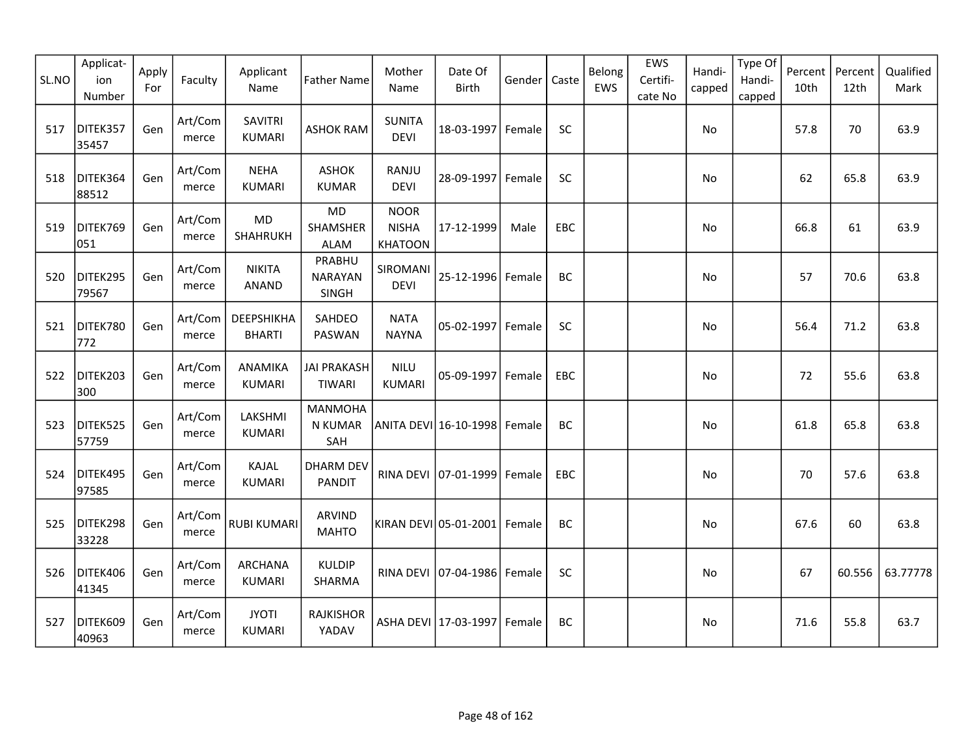| SL.NO | Applicat-<br>ion<br>Number | Apply<br>For | Faculty          | Applicant<br>Name                         | <b>Father Name</b>                          | Mother<br>Name                                | Date Of<br><b>Birth</b>     | Gender | Caste     | Belong<br>EWS | EWS<br>Certifi-<br>cate No | Handi-<br>capped | Type Of<br>Handi-<br>capped | Percent<br>10th | Percent<br>12th | Qualified<br>Mark |
|-------|----------------------------|--------------|------------------|-------------------------------------------|---------------------------------------------|-----------------------------------------------|-----------------------------|--------|-----------|---------------|----------------------------|------------------|-----------------------------|-----------------|-----------------|-------------------|
| 517   | DITEK357<br>35457          | Gen          | Art/Com<br>merce | <b>SAVITRI</b><br><b>KUMARI</b>           | <b>ASHOK RAM</b>                            | <b>SUNITA</b><br><b>DEVI</b>                  | 18-03-1997 Female           |        | <b>SC</b> |               |                            | No               |                             | 57.8            | 70              | 63.9              |
| 518   | DITEK364<br>88512          | Gen          | Art/Com<br>merce | <b>NEHA</b><br><b>KUMARI</b>              | <b>ASHOK</b><br><b>KUMAR</b>                | RANJU<br><b>DEVI</b>                          | 28-09-1997                  | Female | SC        |               |                            | No               |                             | 62              | 65.8            | 63.9              |
| 519   | DITEK769<br>051            | Gen          | Art/Com<br>merce | MD<br>SHAHRUKH                            | <b>MD</b><br><b>SHAMSHER</b><br><b>ALAM</b> | <b>NOOR</b><br><b>NISHA</b><br><b>KHATOON</b> | 17-12-1999                  | Male   | EBC       |               |                            | <b>No</b>        |                             | 66.8            | 61              | 63.9              |
| 520   | DITEK295<br>79567          | Gen          | Art/Com<br>merce | <b>NIKITA</b><br>ANAND                    | PRABHU<br><b>NARAYAN</b><br>SINGH           | SIROMANI<br><b>DEVI</b>                       | 25-12-1996 Female           |        | BC        |               |                            | No               |                             | 57              | 70.6            | 63.8              |
| 521   | DITEK780<br>772            | Gen          | Art/Com<br>merce | <b><i>DEEPSHIKHA</i></b><br><b>BHARTI</b> | SAHDEO<br>PASWAN                            | <b>NATA</b><br><b>NAYNA</b>                   | 05-02-1997                  | Female | SC        |               |                            | No               |                             | 56.4            | 71.2            | 63.8              |
| 522   | DITEK203<br>300            | Gen          | Art/Com<br>merce | ANAMIKA<br><b>KUMARI</b>                  | <b>JAI PRAKASH</b><br><b>TIWARI</b>         | <b>NILU</b><br><b>KUMARI</b>                  | 05-09-1997                  | Female | EBC       |               |                            | No               |                             | 72              | 55.6            | 63.8              |
| 523   | DITEK525<br>57759          | Gen          | Art/Com<br>merce | LAKSHMI<br><b>KUMARI</b>                  | <b>MANMOHA</b><br>N KUMAR<br>SAH            |                                               | ANITA DEVI 16-10-1998       | Female | BC        |               |                            | No               |                             | 61.8            | 65.8            | 63.8              |
| 524   | DITEK495<br>97585          | Gen          | Art/Com<br>merce | KAJAL<br><b>KUMARI</b>                    | <b>DHARM DEV</b><br><b>PANDIT</b>           |                                               | RINA DEVI 07-01-1999        | Female | EBC       |               |                            | No               |                             | 70              | 57.6            | 63.8              |
| 525   | DITEK298<br>33228          | Gen          | Art/Com<br>merce | <b>RUBI KUMARI</b>                        | <b>ARVIND</b><br><b>MAHTO</b>               |                                               | KIRAN DEVI 05-01-2001       | Female | BC        |               |                            | No               |                             | 67.6            | 60              | 63.8              |
| 526   | DITEK406<br>41345          | Gen          | Art/Com<br>merce | <b>ARCHANA</b><br><b>KUMARI</b>           | <b>KULDIP</b><br>SHARMA                     |                                               | RINA DEVI 07-04-1986 Female |        | SC        |               |                            | No               |                             | 67              | 60.556          | 63.77778          |
| 527   | DITEK609<br>40963          | Gen          | Art/Com<br>merce | <b>JYOTI</b><br><b>KUMARI</b>             | <b>RAJKISHOR</b><br>YADAV                   |                                               | ASHA DEVI 17-03-1997        | Female | <b>BC</b> |               |                            | No               |                             | 71.6            | 55.8            | 63.7              |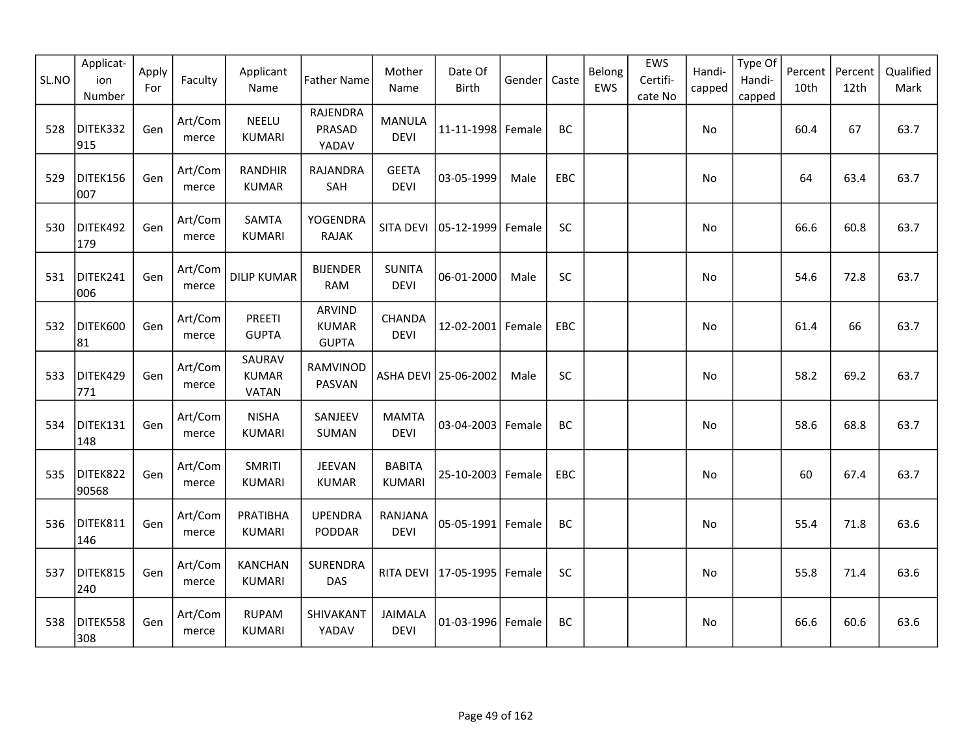| SL.NO | Applicat-<br>ion<br>Number | Apply<br>For | Faculty          | Applicant<br>Name                      | <b>Father Name</b>                     | Mother<br>Name                 | Date Of<br><b>Birth</b> | Gender | Caste     | Belong<br>EWS | EWS<br>Certifi-<br>cate No | Handi-<br>capped | Type Of<br>Handi-<br>capped | Percent<br>10th | Percent<br>12th | Qualified<br>Mark |
|-------|----------------------------|--------------|------------------|----------------------------------------|----------------------------------------|--------------------------------|-------------------------|--------|-----------|---------------|----------------------------|------------------|-----------------------------|-----------------|-----------------|-------------------|
| 528   | DITEK332<br>915            | Gen          | Art/Com<br>merce | <b>NEELU</b><br><b>KUMARI</b>          | RAJENDRA<br>PRASAD<br>YADAV            | <b>MANULA</b><br><b>DEVI</b>   | 11-11-1998 Female       |        | BC        |               |                            | No               |                             | 60.4            | 67              | 63.7              |
| 529   | DITEK156<br>007            | Gen          | Art/Com<br>merce | <b>RANDHIR</b><br><b>KUMAR</b>         | RAJANDRA<br>SAH                        | <b>GEETA</b><br><b>DEVI</b>    | 03-05-1999              | Male   | EBC       |               |                            | No               |                             | 64              | 63.4            | 63.7              |
| 530   | DITEK492<br>179            | Gen          | Art/Com<br>merce | SAMTA<br><b>KUMARI</b>                 | YOGENDRA<br>RAJAK                      | SITA DEVI                      | 05-12-1999              | Female | SC        |               |                            | No               |                             | 66.6            | 60.8            | 63.7              |
| 531   | DITEK241<br>006            | Gen          | Art/Com<br>merce | <b>DILIP KUMAR</b>                     | <b>BIJENDER</b><br><b>RAM</b>          | <b>SUNITA</b><br><b>DEVI</b>   | 06-01-2000              | Male   | SC        |               |                            | No               |                             | 54.6            | 72.8            | 63.7              |
| 532   | DITEK600<br>81             | Gen          | Art/Com<br>merce | PREETI<br><b>GUPTA</b>                 | ARVIND<br><b>KUMAR</b><br><b>GUPTA</b> | CHANDA<br><b>DEVI</b>          | 12-02-2001 Female       |        | EBC       |               |                            | No               |                             | 61.4            | 66              | 63.7              |
| 533   | DITEK429<br>771            | Gen          | Art/Com<br>merce | SAURAV<br><b>KUMAR</b><br><b>VATAN</b> | RAMVINOD<br>PASVAN                     |                                | ASHA DEVI 25-06-2002    | Male   | SC        |               |                            | No               |                             | 58.2            | 69.2            | 63.7              |
| 534   | DITEK131<br>148            | Gen          | Art/Com<br>merce | <b>NISHA</b><br><b>KUMARI</b>          | SANJEEV<br>SUMAN                       | <b>MAMTA</b><br><b>DEVI</b>    | $03 - 04 - 2003$        | Female | <b>BC</b> |               |                            | <b>No</b>        |                             | 58.6            | 68.8            | 63.7              |
| 535   | DITEK822<br>90568          | Gen          | Art/Com<br>merce | <b>SMRITI</b><br><b>KUMARI</b>         | <b>JEEVAN</b><br><b>KUMAR</b>          | <b>BABITA</b><br><b>KUMARI</b> | 25-10-2003 Female       |        | EBC       |               |                            | No               |                             | 60              | 67.4            | 63.7              |
| 536   | DITEK811<br>146            | Gen          | Art/Com<br>merce | PRATIBHA<br><b>KUMARI</b>              | <b>UPENDRA</b><br>PODDAR               | RANJANA<br><b>DEVI</b>         | 05-05-1991              | Female | BC        |               |                            | No               |                             | 55.4            | 71.8            | 63.6              |
| 537   | DITEK815<br>240            | Gen          | Art/Com<br>merce | <b>KANCHAN</b><br>KUMARI               | SURENDRA<br><b>DAS</b>                 | RITA DEVI                      | 17-05-1995              | Female | SC        |               |                            | No               |                             | 55.8            | 71.4            | 63.6              |
| 538   | DITEK558<br>308            | Gen          | Art/Com<br>merce | <b>RUPAM</b><br><b>KUMARI</b>          | SHIVAKANT<br>YADAV                     | <b>JAIMALA</b><br><b>DEVI</b>  | 01-03-1996 Female       |        | <b>BC</b> |               |                            | <b>No</b>        |                             | 66.6            | 60.6            | 63.6              |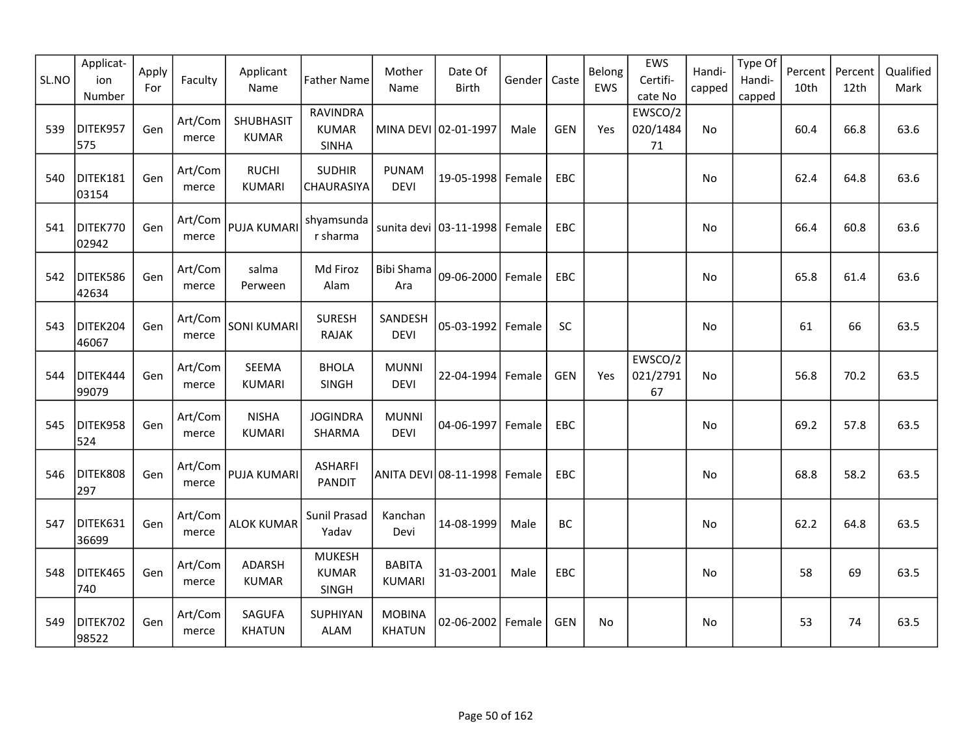| SL.NO | Applicat-<br>ion<br>Number | Apply<br>For | Faculty          | Applicant<br>Name              | <b>Father Name</b>                            | Mother<br>Name                 | Date Of<br><b>Birth</b>  | Gender | Caste      | Belong<br>EWS | EWS<br>Certifi-<br>cate No | Handi-<br>capped | Type Of<br>Handi-<br>capped | Percent<br>10th | Percent<br>12th | Qualified<br>Mark |
|-------|----------------------------|--------------|------------------|--------------------------------|-----------------------------------------------|--------------------------------|--------------------------|--------|------------|---------------|----------------------------|------------------|-----------------------------|-----------------|-----------------|-------------------|
| 539   | DITEK957<br>575            | Gen          | Art/Com<br>merce | SHUBHASIT<br><b>KUMAR</b>      | RAVINDRA<br><b>KUMAR</b><br><b>SINHA</b>      |                                | MINA DEVI 02-01-1997     | Male   | <b>GEN</b> | Yes           | EWSCO/2<br>020/1484<br>71  | No               |                             | 60.4            | 66.8            | 63.6              |
| 540   | DITEK181<br>03154          | Gen          | Art/Com<br>merce | <b>RUCHI</b><br><b>KUMARI</b>  | <b>SUDHIR</b><br><b>CHAURASIYA</b>            | <b>PUNAM</b><br><b>DEVI</b>    | 19-05-1998 Female        |        | EBC        |               |                            | No               |                             | 62.4            | 64.8            | 63.6              |
| 541   | DITEK770<br>02942          | Gen          | Art/Com<br>merce | <b>PUJA KUMARI</b>             | shyamsunda<br>r sharma                        |                                | sunita devi   03-11-1998 | Female | <b>EBC</b> |               |                            | <b>No</b>        |                             | 66.4            | 60.8            | 63.6              |
| 542   | DITEK586<br>42634          | Gen          | Art/Com<br>merce | salma<br>Perween               | Md Firoz<br>Alam                              | Bibi Shama<br>Ara              | 09-06-2000 Female        |        | EBC        |               |                            | No               |                             | 65.8            | 61.4            | 63.6              |
| 543   | DITEK204<br>46067          | Gen          | Art/Com<br>merce | <b>SONI KUMARI</b>             | <b>SURESH</b><br><b>RAJAK</b>                 | SANDESH<br><b>DEVI</b>         | 05-03-1992 Female        |        | SC         |               |                            | No               |                             | 61              | 66              | 63.5              |
| 544   | DITEK444<br>99079          | Gen          | Art/Com<br>merce | SEEMA<br><b>KUMARI</b>         | <b>BHOLA</b><br>SINGH                         | <b>MUNNI</b><br><b>DEVI</b>    | 22-04-1994 Female        |        | <b>GEN</b> | Yes           | EWSCO/2<br>021/2791<br>67  | <b>No</b>        |                             | 56.8            | 70.2            | 63.5              |
| 545   | DITEK958<br>524            | Gen          | Art/Com<br>merce | <b>NISHA</b><br><b>KUMARI</b>  | <b>JOGINDRA</b><br>SHARMA                     | <b>MUNNI</b><br><b>DEVI</b>    | 04-06-1997               | Female | EBC        |               |                            | No               |                             | 69.2            | 57.8            | 63.5              |
| 546   | DITEK808<br>297            | Gen          | Art/Com<br>merce | PUJA KUMARI                    | <b>ASHARFI</b><br><b>PANDIT</b>               |                                | ANITA DEVI 08-11-1998    | Female | <b>EBC</b> |               |                            | No               |                             | 68.8            | 58.2            | 63.5              |
| 547   | DITEK631<br>36699          | Gen          | Art/Com<br>merce | <b>ALOK KUMAR</b>              | Sunil Prasad<br>Yadav                         | Kanchan<br>Devi                | 14-08-1999               | Male   | <b>BC</b>  |               |                            | No               |                             | 62.2            | 64.8            | 63.5              |
| 548   | DITEK465<br>740            | Gen          | Art/Com<br>merce | ADARSH<br><b>KUMAR</b>         | <b>MUKESH</b><br><b>KUMAR</b><br><b>SINGH</b> | <b>BABITA</b><br><b>KUMARI</b> | 31-03-2001               | Male   | EBC        |               |                            | No               |                             | 58              | 69              | 63.5              |
| 549   | DITEK702<br>98522          | Gen          | Art/Com<br>merce | <b>SAGUFA</b><br><b>KHATUN</b> | SUPHIYAN<br><b>ALAM</b>                       | <b>MOBINA</b><br><b>KHATUN</b> | 02-06-2002   Female      |        | <b>GEN</b> | No            |                            | No               |                             | 53              | 74              | 63.5              |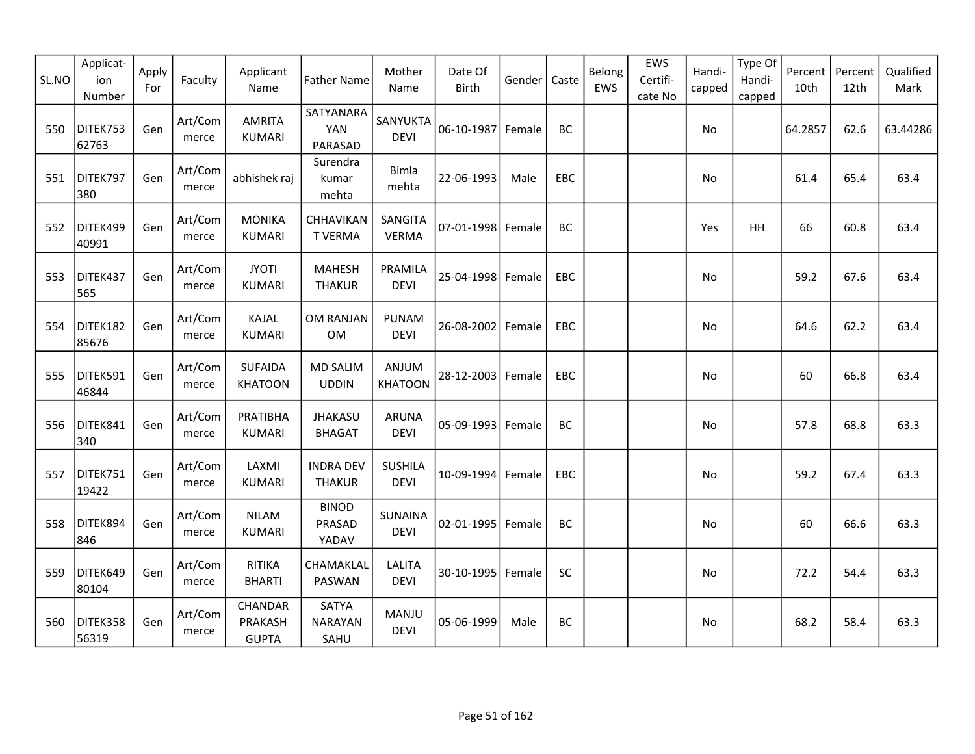| SL.NO | Applicat-<br>ion<br>Number | Apply<br>For | Faculty          | Applicant<br>Name                  | <b>Father Name</b>                     | Mother<br>Name                | Date Of<br>Birth    | Gender | Caste      | Belong<br>EWS | EWS<br>Certifi-<br>cate No | Handi-<br>capped | Type Of<br>Handi-<br>capped | Percent<br>10th | Percent<br>12th | Qualified<br>Mark |
|-------|----------------------------|--------------|------------------|------------------------------------|----------------------------------------|-------------------------------|---------------------|--------|------------|---------------|----------------------------|------------------|-----------------------------|-----------------|-----------------|-------------------|
| 550   | DITEK753<br>62763          | Gen          | Art/Com<br>merce | <b>AMRITA</b><br><b>KUMARI</b>     | SATYANARA<br>YAN<br>PARASAD            | SANYUKTA<br><b>DEVI</b>       | 06-10-1987          | Female | BC         |               |                            | No               |                             | 64.2857         | 62.6            | 63.44286          |
| 551   | DITEK797<br>380            | Gen          | Art/Com<br>merce | abhishek raj                       | Surendra<br>kumar<br>mehta             | <b>Bimla</b><br>mehta         | 22-06-1993          | Male   | EBC        |               |                            | No               |                             | 61.4            | 65.4            | 63.4              |
| 552   | DITEK499<br>40991          | Gen          | Art/Com<br>merce | <b>MONIKA</b><br><b>KUMARI</b>     | CHHAVIKAN<br><b>TVERMA</b>             | SANGITA<br><b>VERMA</b>       | $07 - 01 - 1998$    | Female | BC         |               |                            | Yes              | <b>HH</b>                   | 66              | 60.8            | 63.4              |
| 553   | DITEK437<br>565            | Gen          | Art/Com<br>merce | <b>JYOTI</b><br><b>KUMARI</b>      | <b>MAHESH</b><br><b>THAKUR</b>         | PRAMILA<br><b>DEVI</b>        | 25-04-1998 Female   |        | EBC        |               |                            | No               |                             | 59.2            | 67.6            | 63.4              |
| 554   | DITEK182<br>85676          | Gen          | Art/Com<br>merce | KAJAL<br><b>KUMARI</b>             | OM RANJAN<br>OM                        | <b>PUNAM</b><br><b>DEVI</b>   | 26-08-2002          | Female | EBC        |               |                            | No.              |                             | 64.6            | 62.2            | 63.4              |
| 555   | DITEK591<br>46844          | Gen          | Art/Com<br>merce | <b>SUFAIDA</b><br><b>KHATOON</b>   | <b>MD SALIM</b><br><b>UDDIN</b>        | ANJUM<br><b>KHATOON</b>       | 28-12-2003 Female   |        | <b>EBC</b> |               |                            | No.              |                             | 60              | 66.8            | 63.4              |
| 556   | DITEK841<br>340            | Gen          | Art/Com<br>merce | PRATIBHA<br><b>KUMARI</b>          | <b>JHAKASU</b><br><b>BHAGAT</b>        | <b>ARUNA</b><br><b>DEVI</b>   | $05 - 09 - 1993$    | Female | BC         |               |                            | No               |                             | 57.8            | 68.8            | 63.3              |
| 557   | DITEK751<br>19422          | Gen          | Art/Com<br>merce | LAXMI<br><b>KUMARI</b>             | <b>INDRA DEV</b><br><b>THAKUR</b>      | <b>SUSHILA</b><br><b>DEVI</b> | 10-09-1994 Female   |        | <b>EBC</b> |               |                            | No               |                             | 59.2            | 67.4            | 63.3              |
| 558   | DITEK894<br>846            | Gen          | Art/Com<br>merce | <b>NILAM</b><br>KUMARI             | <b>BINOD</b><br>PRASAD<br>YADAV        | <b>SUNAINA</b><br><b>DEVI</b> | 02-01-1995   Female |        | BC         |               |                            | No               |                             | 60              | 66.6            | 63.3              |
| 559   | DITEK649<br>80104          | Gen          | Art/Com<br>merce | <b>RITIKA</b><br><b>BHARTI</b>     | CHAMAKLAL<br>PASWAN                    | <b>LALITA</b><br><b>DEVI</b>  | 30-10-1995          | Female | SC         |               |                            | No               |                             | 72.2            | 54.4            | 63.3              |
| 560   | DITEK358<br>56319          | Gen          | Art/Com<br>merce | CHANDAR<br>PRAKASH<br><b>GUPTA</b> | <b>SATYA</b><br><b>NARAYAN</b><br>SAHU | MANJU<br><b>DEVI</b>          | 05-06-1999          | Male   | BC         |               |                            | No               |                             | 68.2            | 58.4            | 63.3              |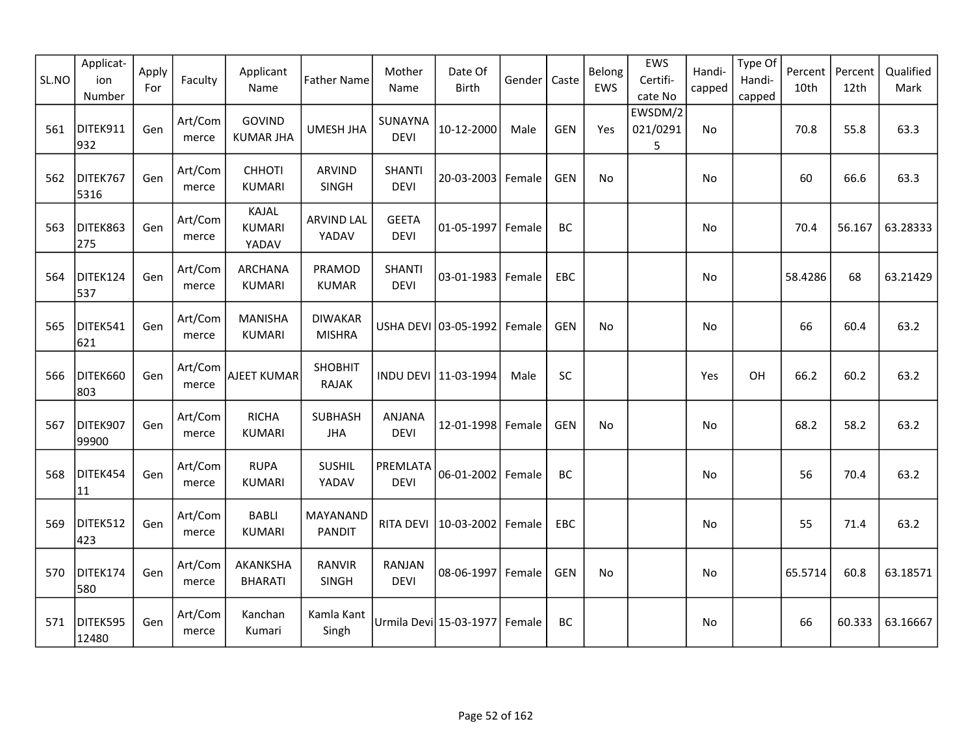| SL.NO | Applicat-<br>ion<br>Number | Apply<br>For | Faculty          | Applicant<br>Name                 | <b>Father Name</b>              | Mother<br>Name               | Date Of<br>Birth       | Gender | Caste      | Belong<br>EWS | EWS<br>Certifi-<br>cate No | Handi-<br>capped | Type Of<br>Handi-<br>capped | Percent<br>10th | Percent<br>12th | Qualified<br>Mark |
|-------|----------------------------|--------------|------------------|-----------------------------------|---------------------------------|------------------------------|------------------------|--------|------------|---------------|----------------------------|------------------|-----------------------------|-----------------|-----------------|-------------------|
| 561   | DITEK911<br>932            | Gen          | Art/Com<br>merce | <b>GOVIND</b><br><b>KUMAR JHA</b> | UMESH JHA                       | SUNAYNA<br><b>DEVI</b>       | 10-12-2000             | Male   | <b>GEN</b> | Yes           | EWSDM/2<br>021/0291<br>5   | No               |                             | 70.8            | 55.8            | 63.3              |
| 562   | DITEK767<br>5316           | Gen          | Art/Com<br>merce | <b>CHHOTI</b><br><b>KUMARI</b>    | <b>ARVIND</b><br>SINGH          | <b>SHANTI</b><br><b>DEVI</b> | 20-03-2003             | Female | <b>GEN</b> | No            |                            | No               |                             | 60              | 66.6            | 63.3              |
| 563   | DITEK863<br>275            | Gen          | Art/Com<br>merce | KAJAL<br><b>KUMARI</b><br>YADAV   | <b>ARVIND LAL</b><br>YADAV      | <b>GEETA</b><br><b>DEVI</b>  | 01-05-1997 Female      |        | <b>BC</b>  |               |                            | <b>No</b>        |                             | 70.4            | 56.167          | 63.28333          |
| 564   | DITEK124<br>537            | Gen          | Art/Com<br>merce | <b>ARCHANA</b><br><b>KUMARI</b>   | PRAMOD<br><b>KUMAR</b>          | <b>SHANTI</b><br><b>DEVI</b> | $03 - 01 - 1983$       | Female | EBC        |               |                            | No               |                             | 58.4286         | 68              | 63.21429          |
| 565   | DITEK541<br>621            | Gen          | Art/Com<br>merce | <b>MANISHA</b><br><b>KUMARI</b>   | <b>DIWAKAR</b><br><b>MISHRA</b> |                              | USHA DEVI 03-05-1992   | Female | <b>GEN</b> | No            |                            | No               |                             | 66              | 60.4            | 63.2              |
| 566   | DITEK660<br>803            | Gen          | Art/Com<br>merce | AJEET KUMAR                       | SHOBHIT<br><b>RAJAK</b>         |                              | INDU DEVI 11-03-1994   | Male   | SC         |               |                            | Yes              | OH                          | 66.2            | 60.2            | 63.2              |
| 567   | DITEK907<br>99900          | Gen          | Art/Com<br>merce | <b>RICHA</b><br><b>KUMARI</b>     | SUBHASH<br><b>JHA</b>           | ANJANA<br><b>DEVI</b>        | 12-01-1998 Female      |        | <b>GEN</b> | No            |                            | No               |                             | 68.2            | 58.2            | 63.2              |
| 568   | DITEK454<br>11             | Gen          | Art/Com<br>merce | <b>RUPA</b><br><b>KUMARI</b>      | SUSHIL<br>YADAV                 | PREMLATA<br><b>DEVI</b>      | 06-01-2002 Female      |        | <b>BC</b>  |               |                            | No               |                             | 56              | 70.4            | 63.2              |
| 569   | DITEK512<br>423            | Gen          | Art/Com<br>merce | <b>BABLI</b><br><b>KUMARI</b>     | MAYANAND<br><b>PANDIT</b>       | <b>RITA DEVI</b>             | 10-03-2002             | Female | EBC        |               |                            | No               |                             | 55              | 71.4            | 63.2              |
| 570   | DITEK174<br>580            | Gen          | Art/Com<br>merce | AKANKSHA<br><b>BHARATI</b>        | <b>RANVIR</b><br>SINGH          | RANJAN<br><b>DEVI</b>        | 08-06-1997 Female      |        | <b>GEN</b> | No            |                            | No               |                             | 65.5714         | 60.8            | 63.18571          |
| 571   | DITEK595<br>12480          | Gen          | Art/Com<br>merce | Kanchan<br>Kumari                 | Kamla Kant<br>Singh             |                              | Urmila Devi 15-03-1977 | Female | <b>BC</b>  |               |                            | No               |                             | 66              | 60.333          | 63.16667          |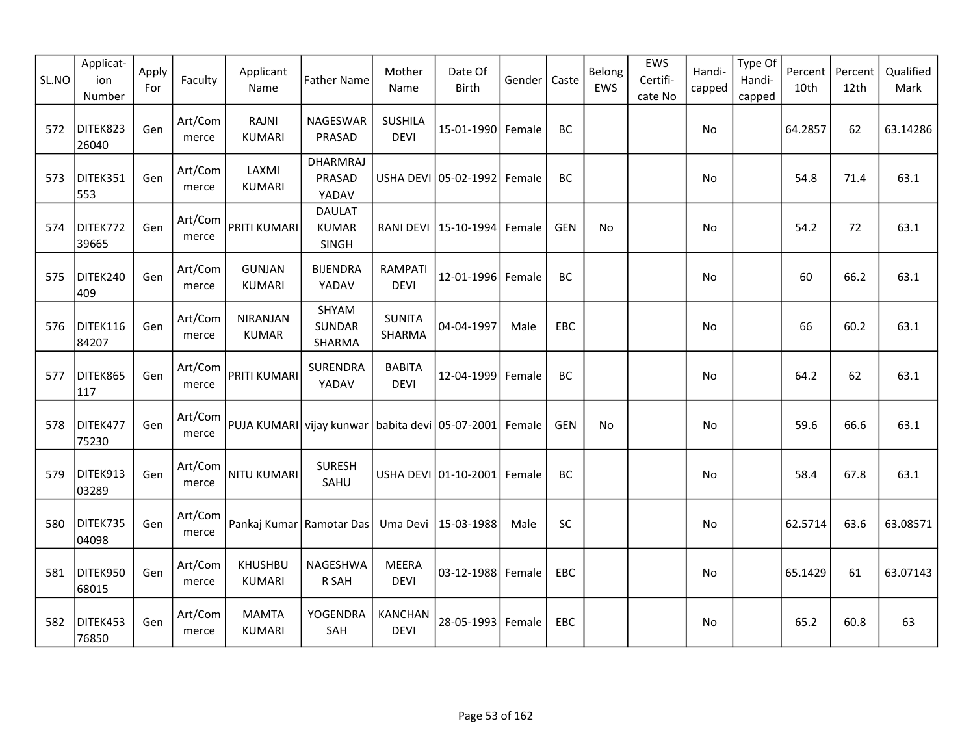| SL.NO | Applicat-<br>ion<br>Number | Apply<br>For | Faculty          | Applicant<br>Name                               | <b>Father Name</b>                     | Mother<br>Name                | Date Of<br>Birth                | Gender | Caste      | Belong<br>EWS | EWS<br>Certifi-<br>cate No | Handi-<br>capped | Type Of<br>Handi-<br>capped | Percent<br>10th | Percent<br>12th | Qualified<br>Mark |
|-------|----------------------------|--------------|------------------|-------------------------------------------------|----------------------------------------|-------------------------------|---------------------------------|--------|------------|---------------|----------------------------|------------------|-----------------------------|-----------------|-----------------|-------------------|
| 572   | DITEK823<br>26040          | Gen          | Art/Com<br>merce | RAJNI<br><b>KUMARI</b>                          | NAGESWAR<br>PRASAD                     | <b>SUSHILA</b><br><b>DEVI</b> | 15-01-1990 Female               |        | BC         |               |                            | No               |                             | 64.2857         | 62              | 63.14286          |
| 573   | DITEK351<br>553            | Gen          | Art/Com<br>merce | LAXMI<br><b>KUMARI</b>                          | <b>DHARMRAJ</b><br>PRASAD<br>YADAV     |                               | USHA DEVI 05-02-1992 Female     |        | BC         |               |                            | No               |                             | 54.8            | 71.4            | 63.1              |
| 574   | DITEK772<br>39665          | Gen          | Art/Com<br>merce | <b>PRITI KUMARI</b>                             | <b>DAULAT</b><br><b>KUMAR</b><br>SINGH |                               | RANI DEVI   15-10-1994   Female |        | <b>GEN</b> | No            |                            | No.              |                             | 54.2            | 72              | 63.1              |
| 575   | DITEK240<br>409            | Gen          | Art/Com<br>merce | <b>GUNJAN</b><br><b>KUMARI</b>                  | <b>BIJENDRA</b><br>YADAV               | <b>RAMPATI</b><br><b>DEVI</b> | 12-01-1996 Female               |        | BC         |               |                            | No               |                             | 60              | 66.2            | 63.1              |
| 576   | DITEK116<br>84207          | Gen          | Art/Com<br>merce | <b>NIRANJAN</b><br><b>KUMAR</b>                 | SHYAM<br><b>SUNDAR</b><br>SHARMA       | <b>SUNITA</b><br>SHARMA       | 04-04-1997                      | Male   | EBC        |               |                            | No               |                             | 66              | 60.2            | 63.1              |
| 577   | DITEK865<br>117            | Gen          | Art/Com<br>merce | <b>PRITI KUMARI</b>                             | SURENDRA<br>YADAV                      | <b>BABITA</b><br><b>DEVI</b>  | 12-04-1999                      | Female | BC         |               |                            | No               |                             | 64.2            | 62              | 63.1              |
| 578   | DITEK477<br>75230          | Gen          | Art/Com<br>merce | PUJA KUMARI vijay kunwar babita devi 05-07-2001 |                                        |                               |                                 | Female | <b>GEN</b> | No            |                            | No               |                             | 59.6            | 66.6            | 63.1              |
| 579   | DITEK913<br>03289          | Gen          | Art/Com<br>merce | <b>NITU KUMARI</b>                              | <b>SURESH</b><br>SAHU                  |                               | USHA DEVI 01-10-2001 Female     |        | BC         |               |                            | No               |                             | 58.4            | 67.8            | 63.1              |
| 580   | DITEK735<br>04098          | Gen          | Art/Com<br>merce | Pankaj Kumar                                    | Ramotar Das                            | Uma Devi                      | 15-03-1988                      | Male   | SC         |               |                            | No               |                             | 62.5714         | 63.6            | 63.08571          |
| 581   | DITEK950<br>68015          | Gen          | Art/Com<br>merce | <b>KHUSHBU</b><br><b>KUMARI</b>                 | NAGESHWA<br>R SAH                      | <b>MEERA</b><br><b>DEVI</b>   | 03-12-1988 Female               |        | EBC        |               |                            | <b>No</b>        |                             | 65.1429         | 61              | 63.07143          |
| 582   | DITEK453<br>76850          | Gen          | Art/Com<br>merce | <b>MAMTA</b><br><b>KUMARI</b>                   | YOGENDRA<br>SAH                        | KANCHAN<br><b>DEVI</b>        | 28-05-1993   Female             |        | <b>EBC</b> |               |                            | No.              |                             | 65.2            | 60.8            | 63                |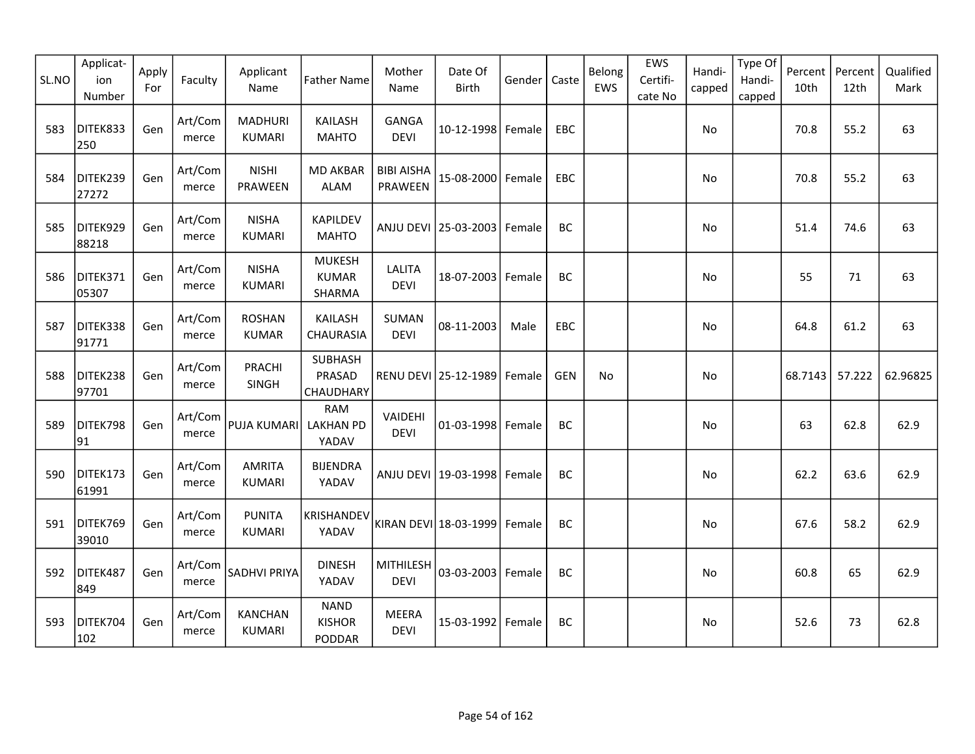| SL.NO | Applicat-<br>ion<br>Number | Apply<br>For | Faculty          | Applicant<br>Name               | <b>Father Name</b>                      | Mother<br>Name               | Date Of<br><b>Birth</b>         | Gender | Caste      | Belong<br>EWS | EWS<br>Certifi-<br>cate No | Handi-<br>capped | Type Of<br>Handi-<br>capped | Percent<br>10th | Percent<br>12th | Qualified<br>Mark |
|-------|----------------------------|--------------|------------------|---------------------------------|-----------------------------------------|------------------------------|---------------------------------|--------|------------|---------------|----------------------------|------------------|-----------------------------|-----------------|-----------------|-------------------|
| 583   | DITEK833<br>250            | Gen          | Art/Com<br>merce | <b>MADHURI</b><br><b>KUMARI</b> | <b>KAILASH</b><br><b>MAHTO</b>          | <b>GANGA</b><br><b>DEVI</b>  | 10-12-1998 Female               |        | EBC        |               |                            | No               |                             | 70.8            | 55.2            | 63                |
| 584   | DITEK239<br>27272          | Gen          | Art/Com<br>merce | <b>NISHI</b><br>PRAWEEN         | <b>MD AKBAR</b><br><b>ALAM</b>          | <b>BIBI AISHA</b><br>PRAWEEN | 15-08-2000 Female               |        | <b>EBC</b> |               |                            | No               |                             | 70.8            | 55.2            | 63                |
| 585   | DITEK929<br>88218          | Gen          | Art/Com<br>merce | <b>NISHA</b><br><b>KUMARI</b>   | <b>KAPILDEV</b><br><b>MAHTO</b>         |                              | ANJU DEVI 25-03-2003 Female     |        | BC         |               |                            | No               |                             | 51.4            | 74.6            | 63                |
| 586   | DITEK371<br>05307          | Gen          | Art/Com<br>merce | <b>NISHA</b><br><b>KUMARI</b>   | <b>MUKESH</b><br><b>KUMAR</b><br>SHARMA | <b>LALITA</b><br><b>DEVI</b> | 18-07-2003 Female               |        | BC         |               |                            | No               |                             | 55              | 71              | 63                |
| 587   | DITEK338<br>91771          | Gen          | Art/Com<br>merce | <b>ROSHAN</b><br><b>KUMAR</b>   | KAILASH<br>CHAURASIA                    | <b>SUMAN</b><br><b>DEVI</b>  | 08-11-2003                      | Male   | <b>EBC</b> |               |                            | No               |                             | 64.8            | 61.2            | 63                |
| 588   | DITEK238<br>97701          | Gen          | Art/Com<br>merce | PRACHI<br>SINGH                 | <b>SUBHASH</b><br>PRASAD<br>CHAUDHARY   |                              | RENU DEVI   25-12-1989   Female |        | <b>GEN</b> | No            |                            | No               |                             | 68.7143         | 57.222          | 62.96825          |
| 589   | DITEK798<br>91             | Gen          | Art/Com<br>merce | PUJA KUMARI                     | <b>RAM</b><br><b>LAKHAN PD</b><br>YADAV | VAIDEHI<br><b>DEVI</b>       | 01-03-1998 Female               |        | BC         |               |                            | No               |                             | 63              | 62.8            | 62.9              |
| 590   | DITEK173<br>61991          | Gen          | Art/Com<br>merce | <b>AMRITA</b><br><b>KUMARI</b>  | <b>BIJENDRA</b><br>YADAV                |                              | ANJU DEVI   19-03-1998   Female |        | BC         |               |                            | No               |                             | 62.2            | 63.6            | 62.9              |
| 591   | DITEK769<br>39010          | Gen          | Art/Com<br>merce | <b>PUNITA</b><br><b>KUMARI</b>  | KRISHANDEV<br>YADAV                     |                              | KIRAN DEVI 18-03-1999           | Female | BC         |               |                            | No               |                             | 67.6            | 58.2            | 62.9              |
| 592   | DITEK487<br>849            | Gen          | Art/Com<br>merce | SADHVI PRIYA                    | <b>DINESH</b><br>YADAV                  | MITHILESH<br><b>DEVI</b>     | 03-03-2003 Female               |        | BC         |               |                            | No               |                             | 60.8            | 65              | 62.9              |
| 593   | DITEK704<br>102            | Gen          | Art/Com<br>merce | <b>KANCHAN</b><br><b>KUMARI</b> | <b>NAND</b><br><b>KISHOR</b><br>PODDAR  | <b>MEERA</b><br><b>DEVI</b>  | 15-03-1992 Female               |        | BC         |               |                            | No               |                             | 52.6            | 73              | 62.8              |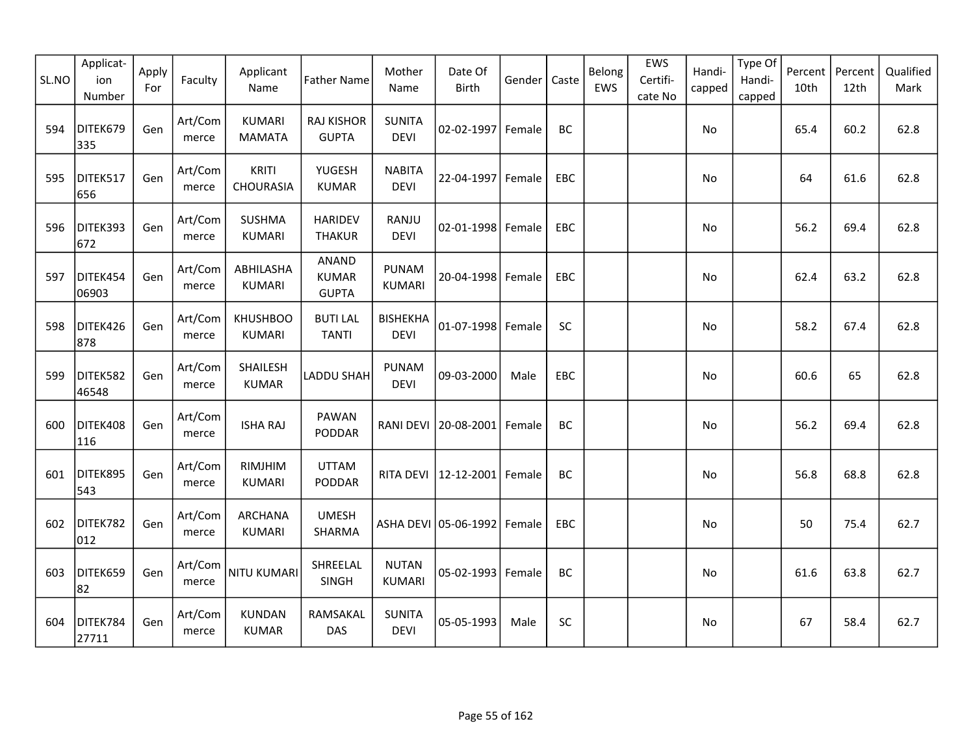| SL.NO | Applicat-<br>ion<br>Number | Apply<br>For | Faculty          | Applicant<br>Name                | <b>Father Name</b>                           | Mother<br>Name                | Date Of<br>Birth                | Gender | Caste      | Belong<br>EWS | EWS<br>Certifi-<br>cate No | Handi-<br>capped | Type Of<br>Handi-<br>capped | Percent<br>10th | Percent<br>12th | Qualified<br>Mark |
|-------|----------------------------|--------------|------------------|----------------------------------|----------------------------------------------|-------------------------------|---------------------------------|--------|------------|---------------|----------------------------|------------------|-----------------------------|-----------------|-----------------|-------------------|
| 594   | DITEK679<br>335            | Gen          | Art/Com<br>merce | <b>KUMARI</b><br><b>MAMATA</b>   | <b>RAJ KISHOR</b><br><b>GUPTA</b>            | <b>SUNITA</b><br><b>DEVI</b>  | 02-02-1997 Female               |        | BC         |               |                            | No               |                             | 65.4            | 60.2            | 62.8              |
| 595   | DITEK517<br>656            | Gen          | Art/Com<br>merce | <b>KRITI</b><br><b>CHOURASIA</b> | YUGESH<br><b>KUMAR</b>                       | <b>NABITA</b><br><b>DEVI</b>  | 22-04-1997                      | Female | EBC        |               |                            | No               |                             | 64              | 61.6            | 62.8              |
| 596   | DITEK393<br>672            | Gen          | Art/Com<br>merce | <b>SUSHMA</b><br><b>KUMARI</b>   | <b>HARIDEV</b><br><b>THAKUR</b>              | RANJU<br><b>DEVI</b>          | $02 - 01 - 1998$                | Female | <b>EBC</b> |               |                            | No               |                             | 56.2            | 69.4            | 62.8              |
| 597   | DITEK454<br>06903          | Gen          | Art/Com<br>merce | ABHILASHA<br>KUMARI              | <b>ANAND</b><br><b>KUMAR</b><br><b>GUPTA</b> | <b>PUNAM</b><br><b>KUMARI</b> | 20-04-1998 Female               |        | EBC        |               |                            | No               |                             | 62.4            | 63.2            | 62.8              |
| 598   | DITEK426<br>878            | Gen          | Art/Com<br>merce | <b>KHUSHBOO</b><br><b>KUMARI</b> | <b>BUTI LAL</b><br><b>TANTI</b>              | <b>BISHEKHA</b><br>DEVI       | 01-07-1998 Female               |        | SC         |               |                            | No               |                             | 58.2            | 67.4            | 62.8              |
| 599   | DITEK582<br>46548          | Gen          | Art/Com<br>merce | SHAILESH<br><b>KUMAR</b>         | LADDU SHAH                                   | <b>PUNAM</b><br><b>DEVI</b>   | 09-03-2000                      | Male   | EBC        |               |                            | No               |                             | 60.6            | 65              | 62.8              |
| 600   | DITEK408<br>116            | Gen          | Art/Com<br>merce | <b>ISHA RAJ</b>                  | PAWAN<br>PODDAR                              |                               | RANI DEVI 20-08-2001            | Female | BC         |               |                            | No               |                             | 56.2            | 69.4            | 62.8              |
| 601   | DITEK895<br>543            | Gen          | Art/Com<br>merce | RIMJHIM<br><b>KUMARI</b>         | <b>UTTAM</b><br>PODDAR                       |                               | RITA DEVI   12-12-2001   Female |        | BC         |               |                            | No               |                             | 56.8            | 68.8            | 62.8              |
| 602   | DITEK782<br>012            | Gen          | Art/Com<br>merce | <b>ARCHANA</b><br>KUMARI         | <b>UMESH</b><br>SHARMA                       |                               | ASHA DEVI 05-06-1992            | Female | <b>EBC</b> |               |                            | No               |                             | 50              | 75.4            | 62.7              |
| 603   | DITEK659<br>82             | Gen          | Art/Com<br>merce | <b>NITU KUMARI</b>               | SHREELAL<br>SINGH                            | <b>NUTAN</b><br><b>KUMARI</b> | 05-02-1993 Female               |        | BC         |               |                            | No               |                             | 61.6            | 63.8            | 62.7              |
| 604   | DITEK784<br>27711          | Gen          | Art/Com<br>merce | <b>KUNDAN</b><br><b>KUMAR</b>    | RAMSAKAL<br><b>DAS</b>                       | <b>SUNITA</b><br><b>DEVI</b>  | 05-05-1993                      | Male   | SC         |               |                            | No               |                             | 67              | 58.4            | 62.7              |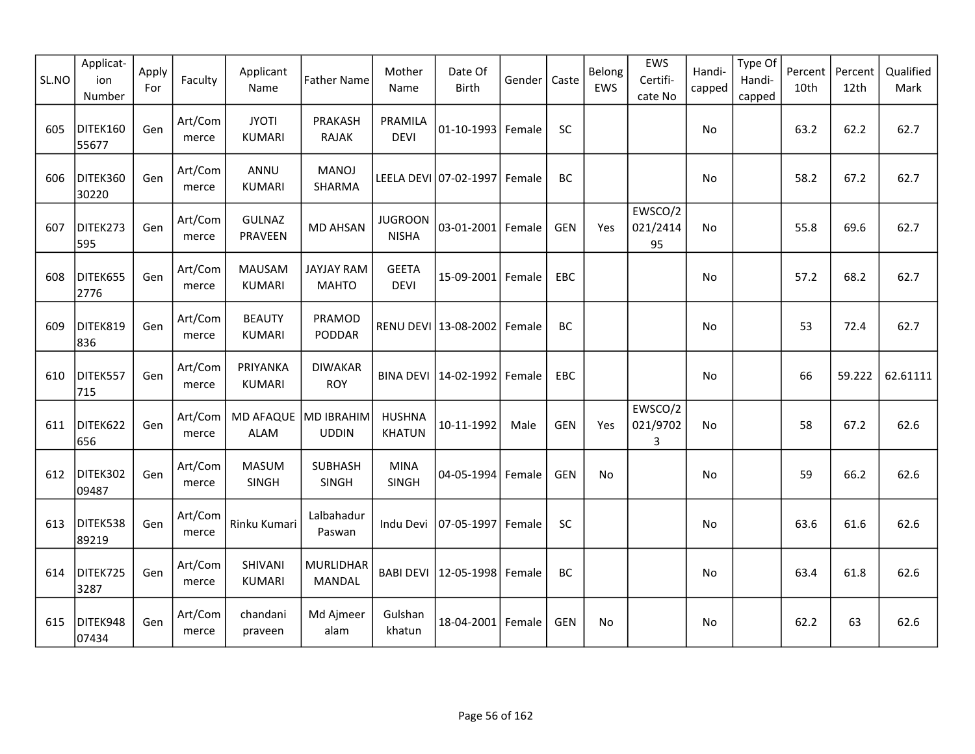| SL.NO | Applicat-<br>ion<br>Number | Apply<br>For | Faculty          | Applicant<br>Name              | <b>Father Name</b>                | Mother<br>Name                 | Date Of<br><b>Birth</b> | Gender | Caste      | Belong<br>EWS | EWS<br>Certifi-<br>cate No | Handi-<br>capped | Type Of<br>Handi-<br>capped | Percent<br>10th | Percent<br>12th | Qualified<br>Mark |
|-------|----------------------------|--------------|------------------|--------------------------------|-----------------------------------|--------------------------------|-------------------------|--------|------------|---------------|----------------------------|------------------|-----------------------------|-----------------|-----------------|-------------------|
| 605   | DITEK160<br>55677          | Gen          | Art/Com<br>merce | <b>JYOTI</b><br><b>KUMARI</b>  | PRAKASH<br><b>RAJAK</b>           | PRAMILA<br><b>DEVI</b>         | 01-10-1993 Female       |        | <b>SC</b>  |               |                            | No               |                             | 63.2            | 62.2            | 62.7              |
| 606   | DITEK360<br>30220          | Gen          | Art/Com<br>merce | ANNU<br><b>KUMARI</b>          | <b>MANOJ</b><br>SHARMA            |                                | LEELA DEVI 07-02-1997   | Female | BC         |               |                            | No               |                             | 58.2            | 67.2            | 62.7              |
| 607   | DITEK273<br>595            | Gen          | Art/Com<br>merce | <b>GULNAZ</b><br>PRAVEEN       | <b>MD AHSAN</b>                   | <b>JUGROON</b><br><b>NISHA</b> | 03-01-2001 Female       |        | <b>GEN</b> | Yes           | EWSCO/2<br>021/2414<br>95  | No.              |                             | 55.8            | 69.6            | 62.7              |
| 608   | DITEK655<br>2776           | Gen          | Art/Com<br>merce | <b>MAUSAM</b><br><b>KUMARI</b> | JAYJAY RAM<br><b>MAHTO</b>        | <b>GEETA</b><br><b>DEVI</b>    | 15-09-2001 Female       |        | EBC        |               |                            | No               |                             | 57.2            | 68.2            | 62.7              |
| 609   | DITEK819<br>836            | Gen          | Art/Com<br>merce | <b>BEAUTY</b><br><b>KUMARI</b> | PRAMOD<br>PODDAR                  |                                | RENU DEVI 13-08-2002    | Female | BC         |               |                            | No               |                             | 53              | 72.4            | 62.7              |
| 610   | DITEK557<br>715            | Gen          | Art/Com<br>merce | PRIYANKA<br><b>KUMARI</b>      | <b>DIWAKAR</b><br><b>ROY</b>      | <b>BINA DEVI</b>               | 14-02-1992 Female       |        | EBC        |               |                            | No               |                             | 66              | 59.222          | 62.61111          |
| 611   | DITEK622<br>656            | Gen          | Art/Com<br>merce | MD AFAQUE MD IBRAHIM<br>ALAM   | <b>UDDIN</b>                      | <b>HUSHNA</b><br><b>KHATUN</b> | 10-11-1992              | Male   | <b>GEN</b> | Yes           | EWSCO/2<br>021/9702<br>3   | No               |                             | 58              | 67.2            | 62.6              |
| 612   | DITEK302<br>09487          | Gen          | Art/Com<br>merce | <b>MASUM</b><br>SINGH          | <b>SUBHASH</b><br>SINGH           | <b>MINA</b><br>SINGH           | 04-05-1994              | Female | <b>GEN</b> | No            |                            | No               |                             | 59              | 66.2            | 62.6              |
| 613   | DITEK538<br>89219          | Gen          | Art/Com<br>merce | Rinku Kumari                   | Lalbahadur<br>Paswan              | Indu Devi                      | 07-05-1997              | Female | SC         |               |                            | No               |                             | 63.6            | 61.6            | 62.6              |
| 614   | DITEK725<br>3287           | Gen          | Art/Com<br>merce | SHIVANI<br><b>KUMARI</b>       | <b>MURLIDHAR</b><br><b>MANDAL</b> | <b>BABI DEVI</b>               | 12-05-1998              | Female | <b>BC</b>  |               |                            | No               |                             | 63.4            | 61.8            | 62.6              |
| 615   | DITEK948<br>07434          | Gen          | Art/Com<br>merce | chandani<br>praveen            | Md Ajmeer<br>alam                 | Gulshan<br>khatun              | 18-04-2001 Female       |        | <b>GEN</b> | No            |                            | No               |                             | 62.2            | 63              | 62.6              |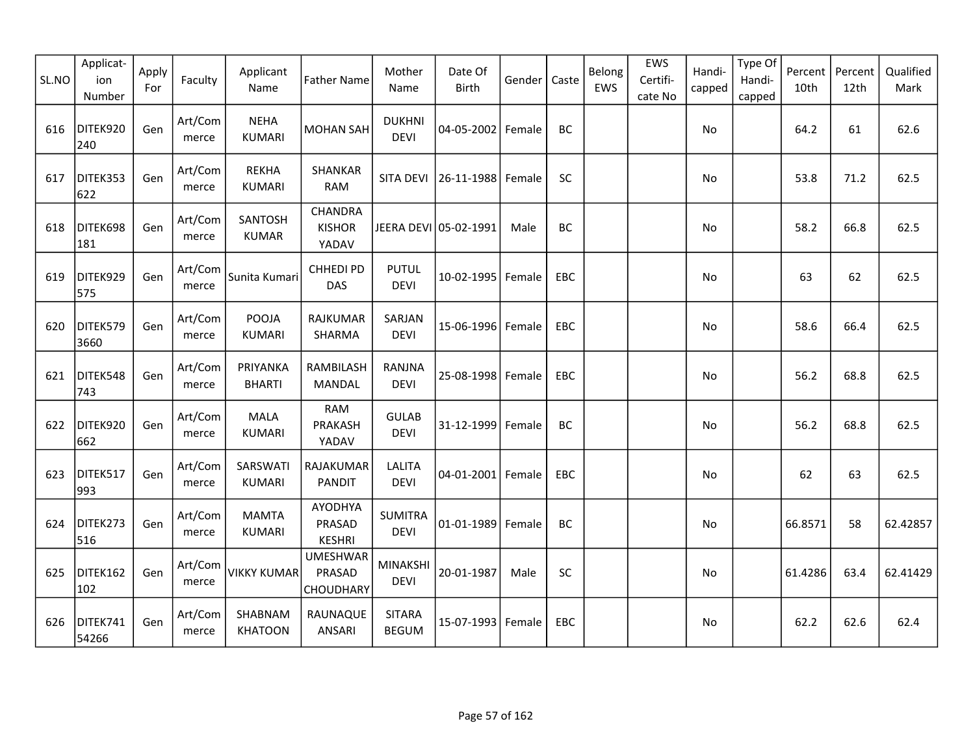| SL.NO | Applicat-<br>ion<br>Number | Apply<br>For | Faculty          | Applicant<br>Name             | <b>Father Name</b>                            | Mother<br>Name                 | Date Of<br><b>Birth</b> | Gender | Caste      | Belong<br>EWS | EWS<br>Certifi-<br>cate No | Handi-<br>capped | Type Of<br>Handi-<br>capped | Percent<br>10th | Percent<br>12th | Qualified<br>Mark |
|-------|----------------------------|--------------|------------------|-------------------------------|-----------------------------------------------|--------------------------------|-------------------------|--------|------------|---------------|----------------------------|------------------|-----------------------------|-----------------|-----------------|-------------------|
| 616   | DITEK920<br>240            | Gen          | Art/Com<br>merce | <b>NEHA</b><br><b>KUMARI</b>  | <b>MOHAN SAH</b>                              | <b>DUKHNI</b><br><b>DEVI</b>   | 04-05-2002 Female       |        | BC         |               |                            | No               |                             | 64.2            | 61              | 62.6              |
| 617   | DITEK353<br>622            | Gen          | Art/Com<br>merce | <b>REKHA</b><br><b>KUMARI</b> | SHANKAR<br><b>RAM</b>                         | <b>SITA DEVI</b>               | 26-11-1988 Female       |        | SC         |               |                            | No               |                             | 53.8            | 71.2            | 62.5              |
| 618   | DITEK698<br>181            | Gen          | Art/Com<br>merce | SANTOSH<br><b>KUMAR</b>       | CHANDRA<br><b>KISHOR</b><br>YADAV             |                                | JEERA DEVI 05-02-1991   | Male   | BC         |               |                            | No               |                             | 58.2            | 66.8            | 62.5              |
| 619   | DITEK929<br>575            | Gen          | Art/Com<br>merce | Sunita Kumari                 | CHHEDI PD<br>DAS                              | <b>PUTUL</b><br><b>DEVI</b>    | 10-02-1995   Female     |        | EBC        |               |                            | No.              |                             | 63              | 62              | 62.5              |
| 620   | DITEK579<br>3660           | Gen          | Art/Com<br>merce | POOJA<br><b>KUMARI</b>        | RAJKUMAR<br>SHARMA                            | SARJAN<br><b>DEVI</b>          | 15-06-1996 Female       |        | EBC        |               |                            | No               |                             | 58.6            | 66.4            | 62.5              |
| 621   | DITEK548<br>743            | Gen          | Art/Com<br>merce | PRIYANKA<br><b>BHARTI</b>     | RAMBILASH<br><b>MANDAL</b>                    | RANJNA<br><b>DEVI</b>          | 25-08-1998 Female       |        | EBC        |               |                            | No.              |                             | 56.2            | 68.8            | 62.5              |
| 622   | DITEK920<br>662            | Gen          | Art/Com<br>merce | MALA<br>KUMARI                | <b>RAM</b><br>PRAKASH<br>YADAV                | <b>GULAB</b><br><b>DEVI</b>    | 31-12-1999 Female       |        | BC         |               |                            | No               |                             | 56.2            | 68.8            | 62.5              |
| 623   | DITEK517<br>993            | Gen          | Art/Com<br>merce | SARSWATI<br><b>KUMARI</b>     | RAJAKUMAR<br><b>PANDIT</b>                    | <b>LALITA</b><br><b>DEVI</b>   | 04-01-2001 Female       |        | EBC        |               |                            | No               |                             | 62              | 63              | 62.5              |
| 624   | DITEK273<br>516            | Gen          | Art/Com<br>merce | <b>MAMTA</b><br><b>KUMARI</b> | AYODHYA<br>PRASAD<br><b>KESHRI</b>            | <b>SUMITRA</b><br><b>DEVI</b>  | 01-01-1989 Female       |        | BC         |               |                            | No               |                             | 66.8571         | 58              | 62.42857          |
| 625   | DITEK162<br>102            | Gen          | Art/Com<br>merce | VIKKY KUMAR                   | <b>UMESHWAR</b><br>PRASAD<br><b>CHOUDHARY</b> | <b>MINAKSHI</b><br><b>DEVI</b> | 20-01-1987              | Male   | SC         |               |                            | No               |                             | 61.4286         | 63.4            | 62.41429          |
| 626   | DITEK741<br>54266          | Gen          | Art/Com<br>merce | SHABNAM<br><b>KHATOON</b>     | RAUNAQUE<br><b>ANSARI</b>                     | <b>SITARA</b><br><b>BEGUM</b>  | 15-07-1993 Female       |        | <b>EBC</b> |               |                            | No               |                             | 62.2            | 62.6            | 62.4              |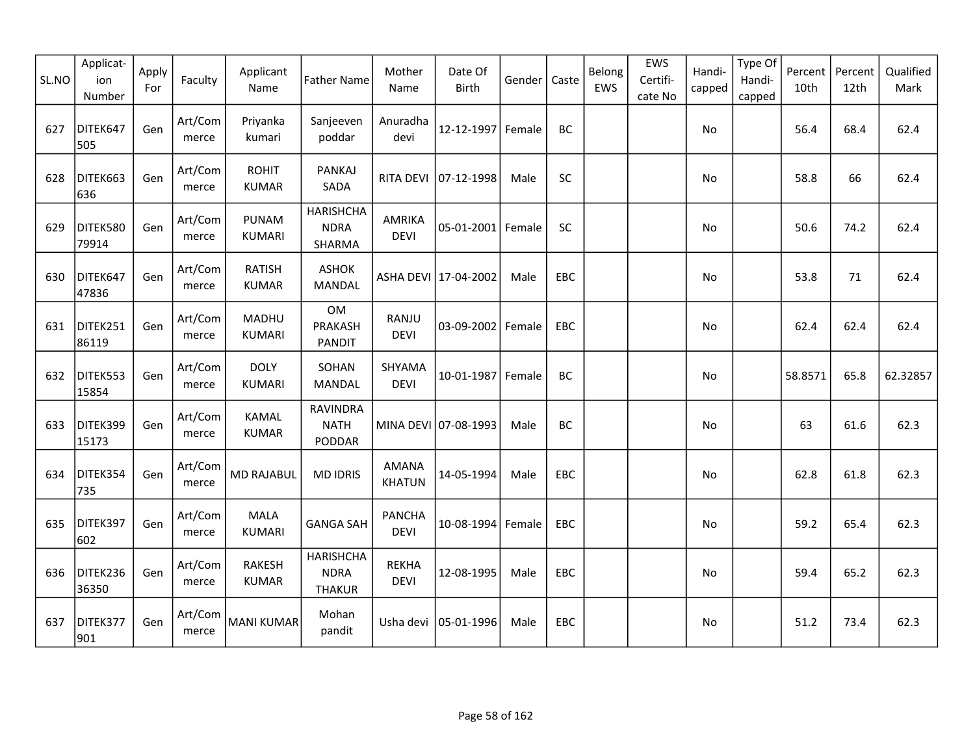| SL.NO | Applicat-<br>ion<br>Number | Apply<br>For | Faculty          | Applicant<br>Name             | <b>Father Name</b>                               | Mother<br>Name                | Date Of<br><b>Birth</b> | Gender | Caste      | Belong<br>EWS | EWS<br>Certifi-<br>cate No | Handi-<br>capped | Type Of<br>Handi-<br>capped | Percent<br>10th | Percent<br>12th | Qualified<br>Mark |
|-------|----------------------------|--------------|------------------|-------------------------------|--------------------------------------------------|-------------------------------|-------------------------|--------|------------|---------------|----------------------------|------------------|-----------------------------|-----------------|-----------------|-------------------|
| 627   | DITEK647<br>505            | Gen          | Art/Com<br>merce | Priyanka<br>kumari            | Sanjeeven<br>poddar                              | Anuradha<br>devi              | 12-12-1997 Female       |        | BC         |               |                            | No               |                             | 56.4            | 68.4            | 62.4              |
| 628   | DITEK663<br>636            | Gen          | Art/Com<br>merce | <b>ROHIT</b><br><b>KUMAR</b>  | <b>PANKAJ</b><br>SADA                            | <b>RITA DEVI</b>              | 07-12-1998              | Male   | SC         |               |                            | No               |                             | 58.8            | 66              | 62.4              |
| 629   | DITEK580<br>79914          | Gen          | Art/Com<br>merce | <b>PUNAM</b><br><b>KUMARI</b> | <b>HARISHCHA</b><br><b>NDRA</b><br>SHARMA        | <b>AMRIKA</b><br><b>DEVI</b>  | 05-01-2001 Female       |        | <b>SC</b>  |               |                            | No               |                             | 50.6            | 74.2            | 62.4              |
| 630   | DITEK647<br>47836          | Gen          | Art/Com<br>merce | <b>RATISH</b><br><b>KUMAR</b> | <b>ASHOK</b><br><b>MANDAL</b>                    |                               | ASHA DEVI 17-04-2002    | Male   | EBC        |               |                            | <b>No</b>        |                             | 53.8            | 71              | 62.4              |
| 631   | DITEK251<br>86119          | Gen          | Art/Com<br>merce | MADHU<br>KUMARI               | OM<br>PRAKASH<br><b>PANDIT</b>                   | RANJU<br><b>DEVI</b>          | 03-09-2002 Female       |        | EBC        |               |                            | No               |                             | 62.4            | 62.4            | 62.4              |
| 632   | DITEK553<br>15854          | Gen          | Art/Com<br>merce | <b>DOLY</b><br><b>KUMARI</b>  | SOHAN<br>MANDAL                                  | SHYAMA<br><b>DEVI</b>         | 10-01-1987 Female       |        | BC         |               |                            | No               |                             | 58.8571         | 65.8            | 62.32857          |
| 633   | DITEK399<br>15173          | Gen          | Art/Com<br>merce | KAMAL<br><b>KUMAR</b>         | <b>RAVINDRA</b><br><b>NATH</b><br>PODDAR         |                               | MINA DEVI 07-08-1993    | Male   | BC         |               |                            | No               |                             | 63              | 61.6            | 62.3              |
| 634   | DITEK354<br>735            | Gen          | Art/Com<br>merce | <b>MD RAJABUL</b>             | <b>MD IDRIS</b>                                  | <b>AMANA</b><br><b>KHATUN</b> | 14-05-1994              | Male   | EBC        |               |                            | No               |                             | 62.8            | 61.8            | 62.3              |
| 635   | DITEK397<br>602            | Gen          | Art/Com<br>merce | <b>MALA</b><br><b>KUMARI</b>  | <b>GANGA SAH</b>                                 | <b>PANCHA</b><br><b>DEVI</b>  | 10-08-1994 Female       |        | EBC        |               |                            | No               |                             | 59.2            | 65.4            | 62.3              |
| 636   | DITEK236<br>36350          | Gen          | Art/Com<br>merce | <b>RAKESH</b><br><b>KUMAR</b> | <b>HARISHCHA</b><br><b>NDRA</b><br><b>THAKUR</b> | <b>REKHA</b><br><b>DEVI</b>   | 12-08-1995              | Male   | EBC        |               |                            | No               |                             | 59.4            | 65.2            | 62.3              |
| 637   | DITEK377<br>901            | Gen          | Art/Com<br>merce | MANI KUMAR                    | Mohan<br>pandit                                  | Usha devi                     | 05-01-1996              | Male   | <b>EBC</b> |               |                            | No               |                             | 51.2            | 73.4            | 62.3              |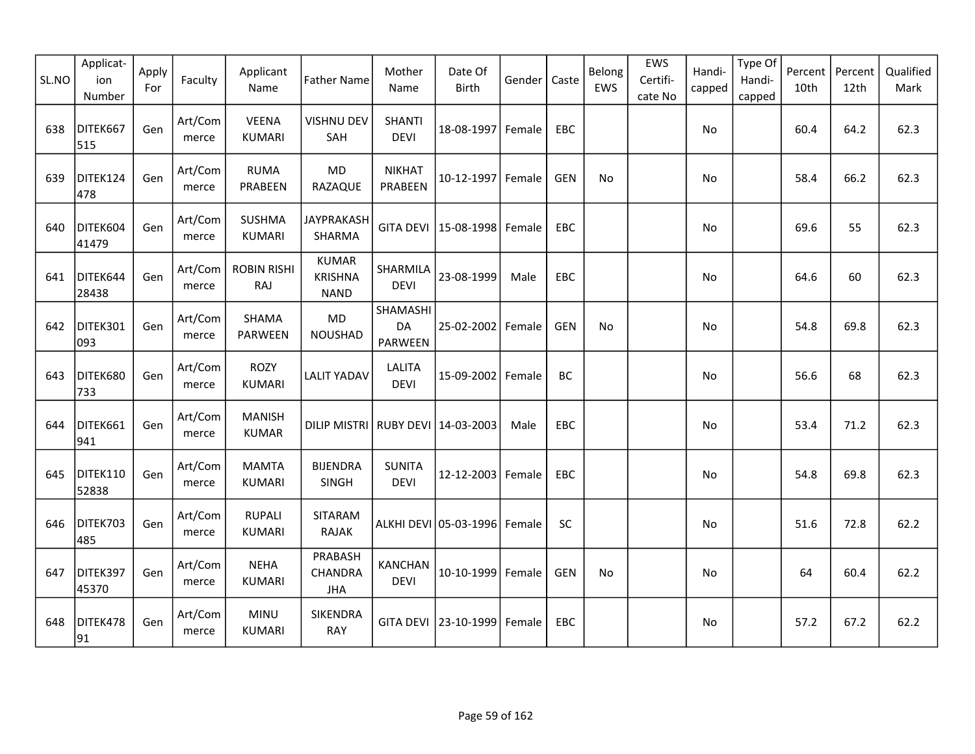| SL.NO | Applicat-<br>ion<br>Number | Apply<br>For | Faculty          | Applicant<br>Name              | <b>Father Name</b>                            | Mother<br>Name                | Date Of<br>Birth             | Gender | Caste      | Belong<br>EWS | EWS<br>Certifi-<br>cate No | Handi-<br>capped | Type Of<br>Handi-<br>capped | Percent<br>10th | Percent<br>12th | Qualified<br>Mark |
|-------|----------------------------|--------------|------------------|--------------------------------|-----------------------------------------------|-------------------------------|------------------------------|--------|------------|---------------|----------------------------|------------------|-----------------------------|-----------------|-----------------|-------------------|
| 638   | DITEK667<br>515            | Gen          | Art/Com<br>merce | <b>VEENA</b><br><b>KUMARI</b>  | <b>VISHNU DEV</b><br>SAH                      | <b>SHANTI</b><br><b>DEVI</b>  | 18-08-1997                   | Female | EBC        |               |                            | No               |                             | 60.4            | 64.2            | 62.3              |
| 639   | DITEK124<br>478            | Gen          | Art/Com<br>merce | <b>RUMA</b><br>PRABEEN         | MD<br>RAZAQUE                                 | <b>NIKHAT</b><br>PRABEEN      | 10-12-1997 Female            |        | <b>GEN</b> | No            |                            | No               |                             | 58.4            | 66.2            | 62.3              |
| 640   | DITEK604<br>41479          | Gen          | Art/Com<br>merce | <b>SUSHMA</b><br><b>KUMARI</b> | <b>JAYPRAKASH</b><br>SHARMA                   |                               | GITA DEVI   15-08-1998       | Female | <b>EBC</b> |               |                            | No.              |                             | 69.6            | 55              | 62.3              |
| 641   | DITEK644<br>28438          | Gen          | Art/Com<br>merce | <b>ROBIN RISHI</b><br>RAJ      | <b>KUMAR</b><br><b>KRISHNA</b><br><b>NAND</b> | SHARMILA<br><b>DEVI</b>       | 23-08-1999                   | Male   | EBC        |               |                            | No               |                             | 64.6            | 60              | 62.3              |
| 642   | DITEK301<br>093            | Gen          | Art/Com<br>merce | SHAMA<br><b>PARWEEN</b>        | MD<br>NOUSHAD                                 | SHAMASHI<br>DA<br>PARWEEN     | 25-02-2002                   | Female | <b>GEN</b> | No            |                            | No               |                             | 54.8            | 69.8            | 62.3              |
| 643   | DITEK680<br>733            | Gen          | Art/Com<br>merce | <b>ROZY</b><br><b>KUMARI</b>   | <b>LALIT YADAV</b>                            | <b>LALITA</b><br><b>DEVI</b>  | 15-09-2002                   | Female | BC         |               |                            | No               |                             | 56.6            | 68              | 62.3              |
| 644   | DITEK661<br>941            | Gen          | Art/Com<br>merce | <b>MANISH</b><br><b>KUMAR</b>  | DILIP MISTRI RUBY DEVI 14-03-2003             |                               |                              | Male   | EBC        |               |                            | No               |                             | 53.4            | 71.2            | 62.3              |
| 645   | DITEK110<br>52838          | Gen          | Art/Com<br>merce | <b>MAMTA</b><br><b>KUMARI</b>  | <b>BIJENDRA</b><br>SINGH                      | <b>SUNITA</b><br><b>DEVI</b>  | 12-12-2003 Female            |        | <b>EBC</b> |               |                            | No               |                             | 54.8            | 69.8            | 62.3              |
| 646   | DITEK703<br>485            | Gen          | Art/Com<br>merce | <b>RUPALI</b><br><b>KUMARI</b> | <b>SITARAM</b><br>RAJAK                       |                               | ALKHI DEVI 05-03-1996 Female |        | SC         |               |                            | No               |                             | 51.6            | 72.8            | 62.2              |
| 647   | DITEK397<br>45370          | Gen          | Art/Com<br>merce | <b>NEHA</b><br><b>KUMARI</b>   | PRABASH<br>CHANDRA<br><b>JHA</b>              | <b>KANCHAN</b><br><b>DEVI</b> | $10-10-1999$                 | Female | <b>GEN</b> | <b>No</b>     |                            | No               |                             | 64              | 60.4            | 62.2              |
| 648   | DITEK478<br>91             | Gen          | Art/Com<br>merce | <b>MINU</b><br><b>KUMARI</b>   | SIKENDRA<br>RAY                               |                               | GITA DEVI 23-10-1999         | Female | <b>EBC</b> |               |                            | No.              |                             | 57.2            | 67.2            | 62.2              |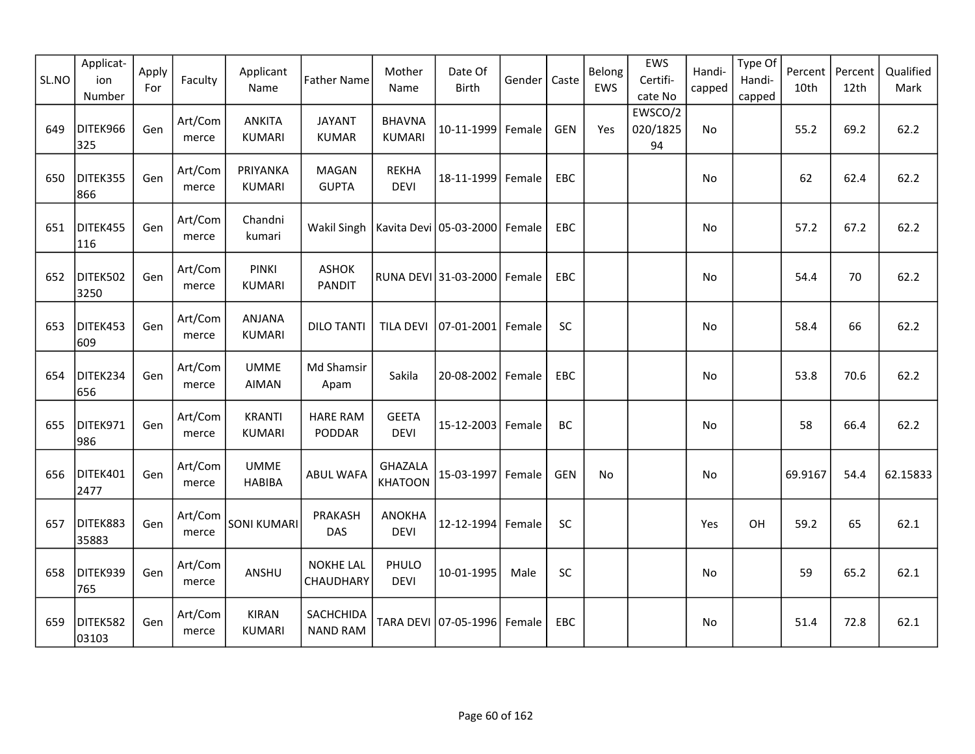| SL.NO | Applicat-<br>ion<br>Number | Apply<br>For | Faculty          | Applicant<br>Name              | <b>Father Name</b>                              | Mother<br>Name                 | Date Of<br>Birth     | Gender | Caste      | Belong<br>EWS | EWS<br>Certifi-<br>cate No | Handi-<br>capped | Type Of<br>Handi-<br>capped | Percent<br>10th | Percent<br>12th | Qualified<br>Mark |
|-------|----------------------------|--------------|------------------|--------------------------------|-------------------------------------------------|--------------------------------|----------------------|--------|------------|---------------|----------------------------|------------------|-----------------------------|-----------------|-----------------|-------------------|
| 649   | DITEK966<br>325            | Gen          | Art/Com<br>merce | <b>ANKITA</b><br><b>KUMARI</b> | <b>JAYANT</b><br><b>KUMAR</b>                   | <b>BHAVNA</b><br><b>KUMARI</b> | 10-11-1999           | Female | <b>GEN</b> | Yes           | EWSCO/2<br>020/1825<br>94  | No               |                             | 55.2            | 69.2            | 62.2              |
| 650   | DITEK355<br>866            | Gen          | Art/Com<br>merce | PRIYANKA<br><b>KUMARI</b>      | <b>MAGAN</b><br><b>GUPTA</b>                    | <b>REKHA</b><br><b>DEVI</b>    | 18-11-1999           | Female | EBC        |               |                            | No               |                             | 62              | 62.4            | 62.2              |
| 651   | DITEK455<br>116            | Gen          | Art/Com<br>merce | Chandni<br>kumari              | Wakil Singh   Kavita Devi   05-03-2000   Female |                                |                      |        | EBC        |               |                            | No               |                             | 57.2            | 67.2            | 62.2              |
| 652   | DITEK502<br>3250           | Gen          | Art/Com<br>merce | <b>PINKI</b><br><b>KUMARI</b>  | <b>ASHOK</b><br><b>PANDIT</b>                   |                                | RUNA DEVI 31-03-2000 | Female | EBC        |               |                            | No               |                             | 54.4            | 70              | 62.2              |
| 653   | DITEK453<br>609            | Gen          | Art/Com<br>merce | <b>ANJANA</b><br><b>KUMARI</b> | <b>DILO TANTI</b>                               | <b>TILA DEVI</b>               | 07-01-2001           | Female | <b>SC</b>  |               |                            | No               |                             | 58.4            | 66              | 62.2              |
| 654   | DITEK234<br>656            | Gen          | Art/Com<br>merce | <b>UMME</b><br><b>AIMAN</b>    | Md Shamsir<br>Apam                              | Sakila                         | 20-08-2002   Female  |        | EBC        |               |                            | No               |                             | 53.8            | 70.6            | 62.2              |
| 655   | DITEK971<br>986            | Gen          | Art/Com<br>merce | <b>KRANTI</b><br><b>KUMARI</b> | <b>HARE RAM</b><br>PODDAR                       | <b>GEETA</b><br><b>DEVI</b>    | 15-12-2003           | Female | BC         |               |                            | No               |                             | 58              | 66.4            | 62.2              |
| 656   | DITEK401<br>2477           | Gen          | Art/Com<br>merce | <b>UMME</b><br><b>HABIBA</b>   | ABUL WAFA                                       | GHAZALA<br><b>KHATOON</b>      | 15-03-1997 Female    |        | <b>GEN</b> | <b>No</b>     |                            | No               |                             | 69.9167         | 54.4            | 62.15833          |
| 657   | DITEK883<br>35883          | Gen          | Art/Com<br>merce | <b>SONI KUMARI</b>             | PRAKASH<br>DAS                                  | <b>ANOKHA</b><br><b>DEVI</b>   | 12-12-1994           | Female | <b>SC</b>  |               |                            | Yes              | OH                          | 59.2            | 65              | 62.1              |
| 658   | DITEK939<br>765            | Gen          | Art/Com<br>merce | ANSHU                          | <b>NOKHE LAL</b><br>CHAUDHARY                   | PHULO<br><b>DEVI</b>           | 10-01-1995           | Male   | SC         |               |                            | No               |                             | 59              | 65.2            | 62.1              |
| 659   | DITEK582<br>03103          | Gen          | Art/Com<br>merce | <b>KIRAN</b><br><b>KUMARI</b>  | SACHCHIDA<br><b>NAND RAM</b>                    |                                | TARA DEVI 07-05-1996 | Female | EBC        |               |                            | No               |                             | 51.4            | 72.8            | 62.1              |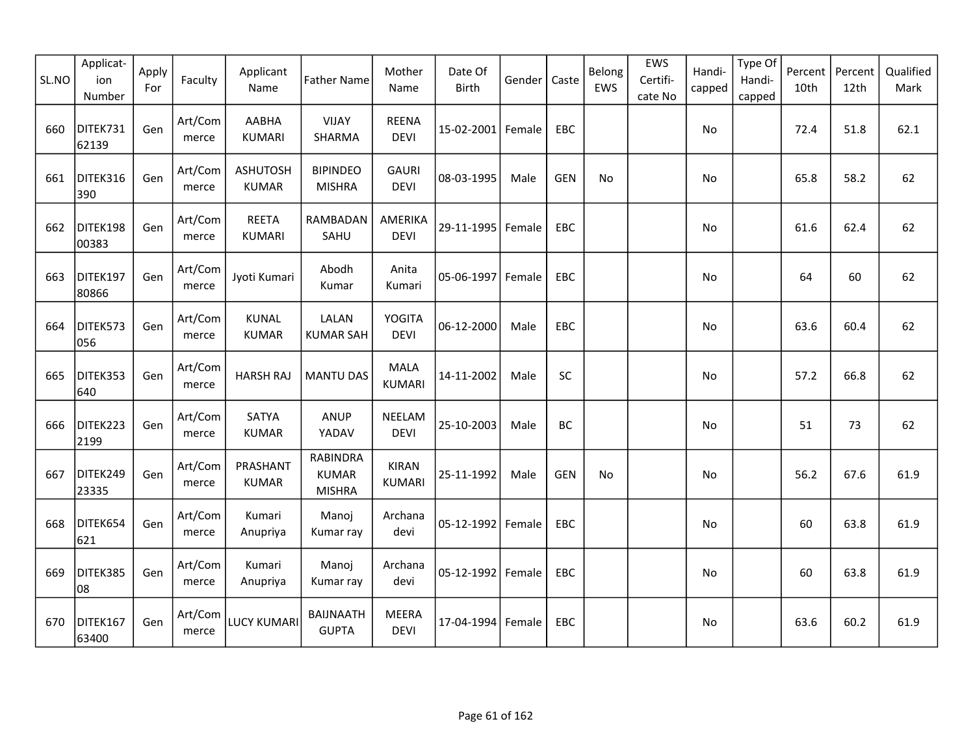| SL.NO | Applicat-<br>ion<br>Number | Apply<br>For | Faculty          | Applicant<br>Name               | <b>Father Name</b>                               | Mother<br>Name                | Date Of<br><b>Birth</b> | Gender | Caste      | Belong<br>EWS | EWS<br>Certifi-<br>cate No | Handi-<br>capped | Type Of<br>Handi-<br>capped | Percent<br>10th | Percent<br>12th | Qualified<br>Mark |
|-------|----------------------------|--------------|------------------|---------------------------------|--------------------------------------------------|-------------------------------|-------------------------|--------|------------|---------------|----------------------------|------------------|-----------------------------|-----------------|-----------------|-------------------|
| 660   | DITEK731<br>62139          | Gen          | Art/Com<br>merce | AABHA<br><b>KUMARI</b>          | <b>VIJAY</b><br>SHARMA                           | <b>REENA</b><br><b>DEVI</b>   | 15-02-2001 Female       |        | EBC        |               |                            | No               |                             | 72.4            | 51.8            | 62.1              |
| 661   | DITEK316<br>390            | Gen          | Art/Com<br>merce | <b>ASHUTOSH</b><br><b>KUMAR</b> | <b>BIPINDEO</b><br><b>MISHRA</b>                 | <b>GAURI</b><br><b>DEVI</b>   | 08-03-1995              | Male   | <b>GEN</b> | No            |                            | No               |                             | 65.8            | 58.2            | 62                |
| 662   | DITEK198<br>00383          | Gen          | Art/Com<br>merce | <b>REETA</b><br><b>KUMARI</b>   | RAMBADAN<br>SAHU                                 | AMERIKA<br><b>DEVI</b>        | 29-11-1995 Female       |        | <b>EBC</b> |               |                            | No               |                             | 61.6            | 62.4            | 62                |
| 663   | DITEK197<br>80866          | Gen          | Art/Com<br>merce | Jyoti Kumari                    | Abodh<br>Kumar                                   | Anita<br>Kumari               | 05-06-1997 Female       |        | EBC        |               |                            | No               |                             | 64              | 60              | 62                |
| 664   | DITEK573<br>056            | Gen          | Art/Com<br>merce | <b>KUNAL</b><br><b>KUMAR</b>    | LALAN<br><b>KUMAR SAH</b>                        | <b>YOGITA</b><br><b>DEVI</b>  | 06-12-2000              | Male   | EBC        |               |                            | No               |                             | 63.6            | 60.4            | 62                |
| 665   | DITEK353<br>640            | Gen          | Art/Com<br>merce | <b>HARSH RAJ</b>                | <b>MANTU DAS</b>                                 | <b>MALA</b><br><b>KUMARI</b>  | 14-11-2002              | Male   | SC         |               |                            | No               |                             | 57.2            | 66.8            | 62                |
| 666   | DITEK223<br>2199           | Gen          | Art/Com<br>merce | <b>SATYA</b><br><b>KUMAR</b>    | ANUP<br>YADAV                                    | NEELAM<br><b>DEVI</b>         | 25-10-2003              | Male   | BC         |               |                            | No               |                             | 51              | 73              | 62                |
| 667   | DITEK249<br>23335          | Gen          | Art/Com<br>merce | PRASHANT<br><b>KUMAR</b>        | <b>RABINDRA</b><br><b>KUMAR</b><br><b>MISHRA</b> | <b>KIRAN</b><br><b>KUMARI</b> | 25-11-1992              | Male   | <b>GEN</b> | No            |                            | No               |                             | 56.2            | 67.6            | 61.9              |
| 668   | DITEK654<br>621            | Gen          | Art/Com<br>merce | Kumari<br>Anupriya              | Manoj<br>Kumar ray                               | Archana<br>devi               | 05-12-1992 Female       |        | <b>EBC</b> |               |                            | No               |                             | 60              | 63.8            | 61.9              |
| 669   | DITEK385<br>08             | Gen          | Art/Com<br>merce | Kumari<br>Anupriya              | Manoj<br>Kumar ray                               | Archana<br>devi               | 05-12-1992 Female       |        | EBC        |               |                            | No               |                             | 60              | 63.8            | 61.9              |
| 670   | DITEK167<br>63400          | Gen          | Art/Com<br>merce | LUCY KUMARI                     | <b>BAIJNAATH</b><br><b>GUPTA</b>                 | <b>MEERA</b><br><b>DEVI</b>   | 17-04-1994 Female       |        | <b>EBC</b> |               |                            | No               |                             | 63.6            | 60.2            | 61.9              |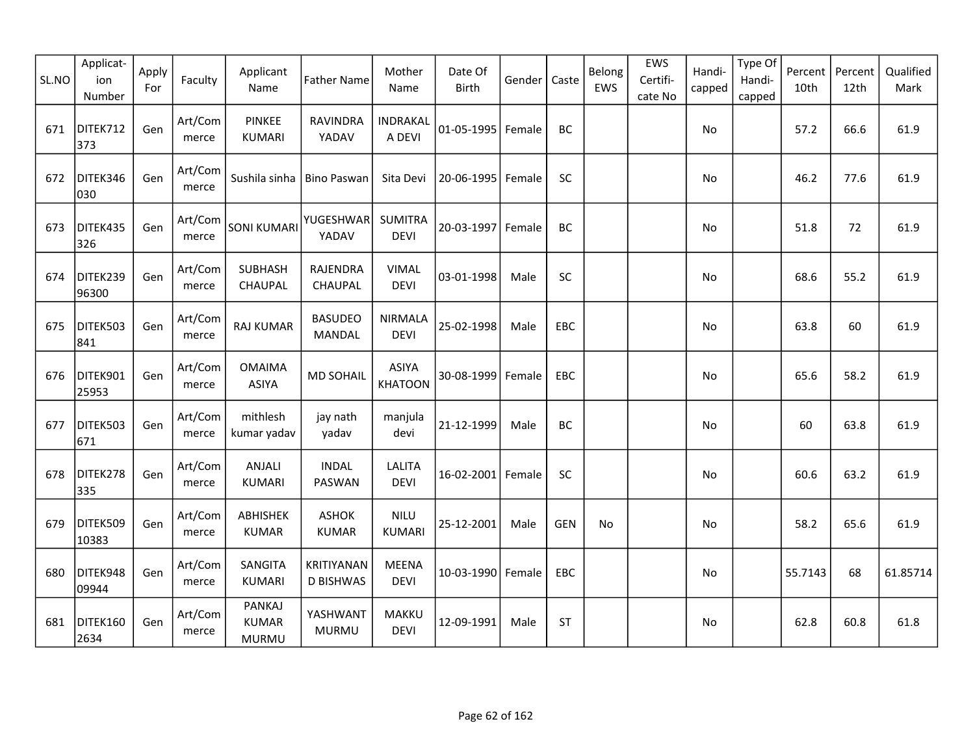| SL.NO | Applicat-<br>ion<br>Number | Apply<br>For | Faculty          | Applicant<br>Name                             | <b>Father Name</b>                    | Mother<br>Name                 | Date Of<br>Birth  | Gender | Caste      | Belong<br>EWS | EWS<br>Certifi-<br>cate No | Handi-<br>capped | Type Of<br>Handi-<br>capped | Percent<br>10th | Percent<br>12th | Qualified<br>Mark |
|-------|----------------------------|--------------|------------------|-----------------------------------------------|---------------------------------------|--------------------------------|-------------------|--------|------------|---------------|----------------------------|------------------|-----------------------------|-----------------|-----------------|-------------------|
| 671   | DITEK712<br>373            | Gen          | Art/Com<br>merce | <b>PINKEE</b><br><b>KUMARI</b>                | <b>RAVINDRA</b><br>YADAV              | <b>INDRAKAL</b><br>A DEVI      | 01-05-1995        | Female | BC         |               |                            | No               |                             | 57.2            | 66.6            | 61.9              |
| 672   | DITEK346<br>030            | Gen          | Art/Com<br>merce | Sushila sinha                                 | <b>Bino Paswan</b>                    | Sita Devi                      | 20-06-1995        | Female | SC         |               |                            | No               |                             | 46.2            | 77.6            | 61.9              |
| 673   | DITEK435<br>326            | Gen          | Art/Com<br>merce | <b>SONI KUMARI</b>                            | YUGESHWAR<br>YADAV                    | <b>SUMITRA</b><br><b>DEVI</b>  | 20-03-1997        | Female | BC         |               |                            | No               |                             | 51.8            | 72              | 61.9              |
| 674   | DITEK239<br>96300          | Gen          | Art/Com<br>merce | <b>SUBHASH</b><br>CHAUPAL                     | RAJENDRA<br>CHAUPAL                   | <b>VIMAL</b><br><b>DEVI</b>    | 03-01-1998        | Male   | SC         |               |                            | No               |                             | 68.6            | 55.2            | 61.9              |
| 675   | DITEK503<br>841            | Gen          | Art/Com<br>merce | <b>RAJ KUMAR</b>                              | <b>BASUDEO</b><br><b>MANDAL</b>       | <b>NIRMALA</b><br><b>DEVI</b>  | 25-02-1998        | Male   | EBC        |               |                            | No               |                             | 63.8            | 60              | 61.9              |
| 676   | DITEK901<br>25953          | Gen          | Art/Com<br>merce | <b>OMAIMA</b><br><b>ASIYA</b>                 | <b>MD SOHAIL</b>                      | <b>ASIYA</b><br><b>KHATOON</b> | 30-08-1999        | Female | EBC        |               |                            | No.              |                             | 65.6            | 58.2            | 61.9              |
| 677   | DITEK503<br>671            | Gen          | Art/Com<br>merce | mithlesh<br>kumar yadav                       | jay nath<br>yadav                     | manjula<br>devi                | 21-12-1999        | Male   | BC         |               |                            | No               |                             | 60              | 63.8            | 61.9              |
| 678   | DITEK278<br>335            | Gen          | Art/Com<br>merce | ANJALI<br><b>KUMARI</b>                       | <b>INDAL</b><br>PASWAN                | <b>LALITA</b><br><b>DEVI</b>   | 16-02-2001 Female |        | SC         |               |                            | No               |                             | 60.6            | 63.2            | 61.9              |
| 679   | DITEK509<br>10383          | Gen          | Art/Com<br>merce | ABHISHEK<br><b>KUMAR</b>                      | <b>ASHOK</b><br><b>KUMAR</b>          | <b>NILU</b><br><b>KUMARI</b>   | 25-12-2001        | Male   | <b>GEN</b> | No            |                            | No               |                             | 58.2            | 65.6            | 61.9              |
| 680   | DITEK948<br>09944          | Gen          | Art/Com<br>merce | SANGITA<br><b>KUMARI</b>                      | <b>KRITIYANAN</b><br><b>D BISHWAS</b> | <b>MEENA</b><br><b>DEVI</b>    | 10-03-1990 Female |        | EBC        |               |                            | <b>No</b>        |                             | 55.7143         | 68              | 61.85714          |
| 681   | DITEK160<br>2634           | Gen          | Art/Com<br>merce | <b>PANKAJ</b><br><b>KUMAR</b><br><b>MURMU</b> | YASHWANT<br><b>MURMU</b>              | MAKKU<br><b>DEVI</b>           | 12-09-1991        | Male   | <b>ST</b>  |               |                            | No               |                             | 62.8            | 60.8            | 61.8              |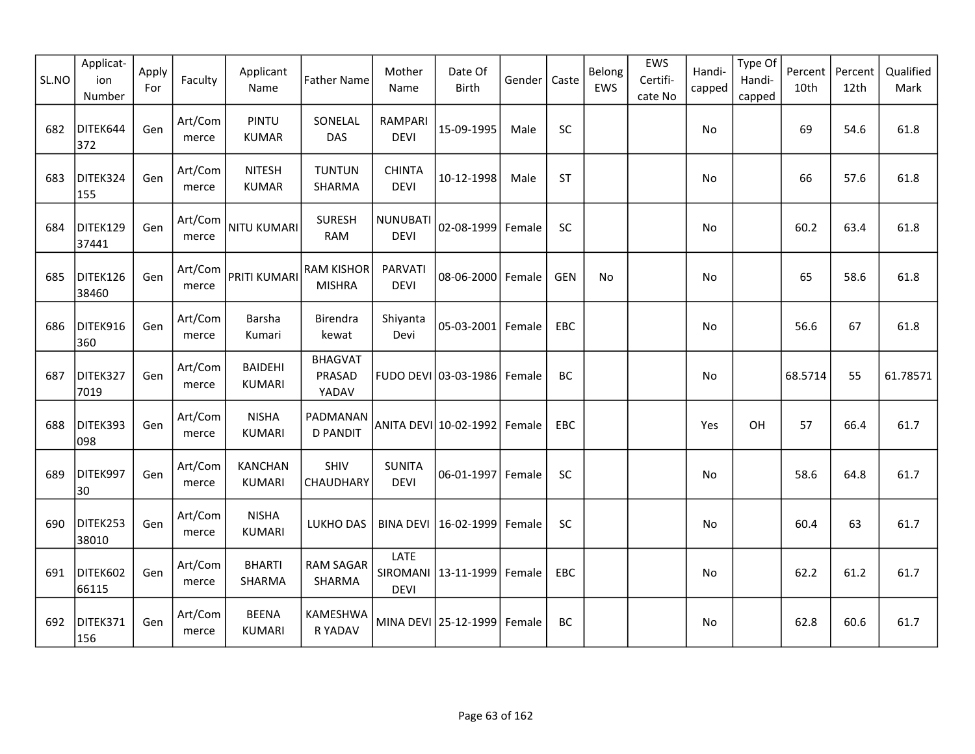| SL.NO | Applicat-<br>ion<br>Number | Apply<br>For | Faculty          | Applicant<br>Name               | <b>Father Name</b>                 | Mother<br>Name               | Date Of<br><b>Birth</b>     | Gender | Caste      | Belong<br>EWS | EWS<br>Certifi-<br>cate No | Handi-<br>capped | Type Of<br>Handi-<br>capped | Percent<br>10th | Percent<br>12th | Qualified<br>Mark |
|-------|----------------------------|--------------|------------------|---------------------------------|------------------------------------|------------------------------|-----------------------------|--------|------------|---------------|----------------------------|------------------|-----------------------------|-----------------|-----------------|-------------------|
| 682   | DITEK644<br>372            | Gen          | Art/Com<br>merce | <b>PINTU</b><br><b>KUMAR</b>    | SONELAL<br>DAS                     | RAMPARI<br><b>DEVI</b>       | 15-09-1995                  | Male   | <b>SC</b>  |               |                            | No               |                             | 69              | 54.6            | 61.8              |
| 683   | DITEK324<br>155            | Gen          | Art/Com<br>merce | <b>NITESH</b><br><b>KUMAR</b>   | <b>TUNTUN</b><br>SHARMA            | <b>CHINTA</b><br><b>DEVI</b> | 10-12-1998                  | Male   | <b>ST</b>  |               |                            | No               |                             | 66              | 57.6            | 61.8              |
| 684   | DITEK129<br>37441          | Gen          | Art/Com<br>merce | NITU KUMARI                     | <b>SURESH</b><br><b>RAM</b>        | NUNUBATI<br><b>DEVI</b>      | 02-08-1999                  | Female | <b>SC</b>  |               |                            | No               |                             | 60.2            | 63.4            | 61.8              |
| 685   | DITEK126<br>38460          | Gen          | Art/Com<br>merce | PRITI KUMARI                    | <b>RAM KISHOR</b><br><b>MISHRA</b> | PARVATI<br><b>DEVI</b>       | 08-06-2000 Female           |        | <b>GEN</b> | No            |                            | No               |                             | 65              | 58.6            | 61.8              |
| 686   | DITEK916<br>360            | Gen          | Art/Com<br>merce | Barsha<br>Kumari                | Birendra<br>kewat                  | Shiyanta<br>Devi             | 05-03-2001 Female           |        | EBC        |               |                            | No               |                             | 56.6            | 67              | 61.8              |
| 687   | DITEK327<br>7019           | Gen          | Art/Com<br>merce | <b>BAIDEHI</b><br><b>KUMARI</b> | <b>BHAGVAT</b><br>PRASAD<br>YADAV  |                              | FUDO DEVI 03-03-1986 Female |        | BC         |               |                            | No.              |                             | 68.5714         | 55              | 61.78571          |
| 688   | DITEK393<br>098            | Gen          | Art/Com<br>merce | <b>NISHA</b><br><b>KUMARI</b>   | PADMANAN<br><b>D PANDIT</b>        |                              | ANITA DEVI 10-02-1992       | Female | EBC        |               |                            | Yes              | OH                          | 57              | 66.4            | 61.7              |
| 689   | DITEK997<br>30             | Gen          | Art/Com<br>merce | <b>KANCHAN</b><br><b>KUMARI</b> | SHIV<br>CHAUDHARY                  | <b>SUNITA</b><br><b>DEVI</b> | 06-01-1997 Female           |        | SC         |               |                            | No               |                             | 58.6            | 64.8            | 61.7              |
| 690   | DITEK253<br>38010          | Gen          | Art/Com<br>merce | <b>NISHA</b><br><b>KUMARI</b>   | LUKHO DAS                          | <b>BINA DEVI</b>             | 16-02-1999                  | Female | SC         |               |                            | <b>No</b>        |                             | 60.4            | 63              | 61.7              |
| 691   | DITEK602<br>66115          | Gen          | Art/Com<br>merce | <b>BHARTI</b><br>SHARMA         | RAM SAGAR<br>SHARMA                | LATE<br><b>DEVI</b>          | SIROMANI 13-11-1999         | Female | EBC        |               |                            | <b>No</b>        |                             | 62.2            | 61.2            | 61.7              |
| 692   | DITEK371<br>156            | Gen          | Art/Com<br>merce | <b>BEENA</b><br><b>KUMARI</b>   | KAMESHWA<br>R YADAV                |                              | MINA DEVI 25-12-1999        | Female | BC         |               |                            | No.              |                             | 62.8            | 60.6            | 61.7              |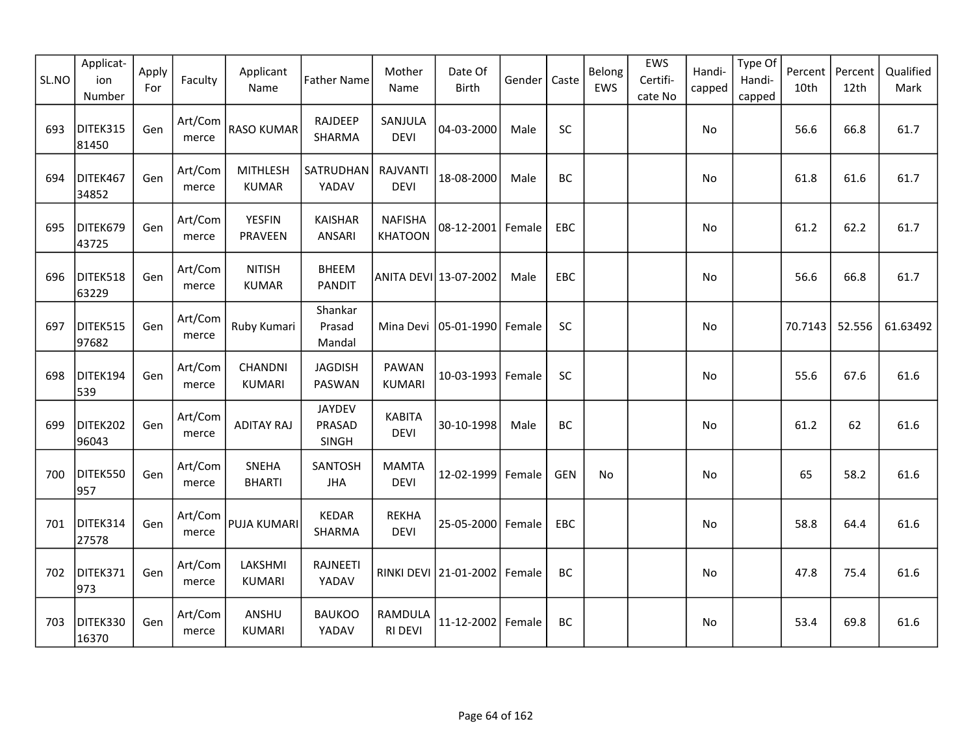| SL.NO | Applicat-<br>ion<br>Number | Apply<br>For | Faculty          | Applicant<br>Name               | <b>Father Name</b>               | Mother<br>Name                   | Date Of<br><b>Birth</b>      | Gender | Caste      | Belong<br>EWS | EWS<br>Certifi-<br>cate No | Handi-<br>capped | Type Of<br>Handi-<br>capped | Percent<br>10th | Percent<br>12th | Qualified<br>Mark |
|-------|----------------------------|--------------|------------------|---------------------------------|----------------------------------|----------------------------------|------------------------------|--------|------------|---------------|----------------------------|------------------|-----------------------------|-----------------|-----------------|-------------------|
| 693   | DITEK315<br>81450          | Gen          | Art/Com<br>merce | <b>RASO KUMAR</b>               | RAJDEEP<br>SHARMA                | SANJULA<br><b>DEVI</b>           | 04-03-2000                   | Male   | <b>SC</b>  |               |                            | No               |                             | 56.6            | 66.8            | 61.7              |
| 694   | DITEK467<br>34852          | Gen          | Art/Com<br>merce | <b>MITHLESH</b><br><b>KUMAR</b> | SATRUDHAN<br>YADAV               | <b>RAJVANTI</b><br><b>DEVI</b>   | 18-08-2000                   | Male   | BC         |               |                            | No               |                             | 61.8            | 61.6            | 61.7              |
| 695   | DITEK679<br>43725          | Gen          | Art/Com<br>merce | <b>YESFIN</b><br>PRAVEEN        | <b>KAISHAR</b><br>ANSARI         | <b>NAFISHA</b><br><b>KHATOON</b> | 08-12-2001 Female            |        | <b>EBC</b> |               |                            | <b>No</b>        |                             | 61.2            | 62.2            | 61.7              |
| 696   | DITEK518<br>63229          | Gen          | Art/Com<br>merce | <b>NITISH</b><br><b>KUMAR</b>   | <b>BHEEM</b><br><b>PANDIT</b>    |                                  | ANITA DEVI 13-07-2002        | Male   | EBC        |               |                            | No               |                             | 56.6            | 66.8            | 61.7              |
| 697   | DITEK515<br>97682          | Gen          | Art/Com<br>merce | Ruby Kumari                     | Shankar<br>Prasad<br>Mandal      | Mina Devi                        | 05-01-1990 Female            |        | SC         |               |                            | <b>No</b>        |                             | 70.7143         | 52.556          | 61.63492          |
| 698   | DITEK194<br>539            | Gen          | Art/Com<br>merce | CHANDNI<br><b>KUMARI</b>        | <b>JAGDISH</b><br>PASWAN         | PAWAN<br><b>KUMARI</b>           | 10-03-1993 Female            |        | SC         |               |                            | No               |                             | 55.6            | 67.6            | 61.6              |
| 699   | DITEK202<br>96043          | Gen          | Art/Com<br>merce | <b>ADITAY RAJ</b>               | <b>JAYDEV</b><br>PRASAD<br>SINGH | <b>KABITA</b><br>DEVI            | 30-10-1998                   | Male   | BC         |               |                            | No               |                             | 61.2            | 62              | 61.6              |
| 700   | DITEK550<br>957            | Gen          | Art/Com<br>merce | SNEHA<br><b>BHARTI</b>          | SANTOSH<br><b>JHA</b>            | <b>MAMTA</b><br><b>DEVI</b>      | 12-02-1999 Female            |        | <b>GEN</b> | No            |                            | No               |                             | 65              | 58.2            | 61.6              |
| 701   | DITEK314<br>27578          | Gen          | Art/Com<br>merce | PUJA KUMARI                     | <b>KEDAR</b><br>SHARMA           | <b>REKHA</b><br><b>DEVI</b>      | 25-05-2000 Female            |        | <b>EBC</b> |               |                            | <b>No</b>        |                             | 58.8            | 64.4            | 61.6              |
| 702   | DITEK371<br>973            | Gen          | Art/Com<br>merce | LAKSHMI<br><b>KUMARI</b>        | RAJNEETI<br>YADAV                |                                  | RINKI DEVI 21-01-2002 Female |        | BC         |               |                            | <b>No</b>        |                             | 47.8            | 75.4            | 61.6              |
| 703   | DITEK330<br>16370          | Gen          | Art/Com<br>merce | ANSHU<br><b>KUMARI</b>          | <b>BAUKOO</b><br>YADAV           | RAMDULA<br><b>RI DEVI</b>        | 11-12-2002 Female            |        | BC         |               |                            | No               |                             | 53.4            | 69.8            | 61.6              |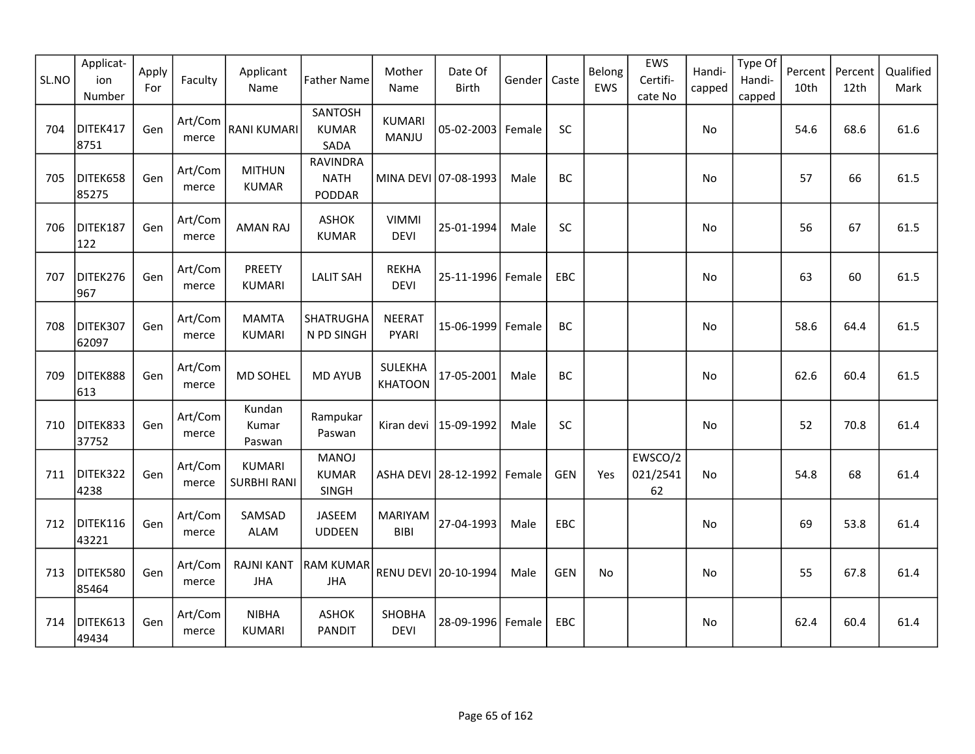| SL.NO | Applicat-<br>ion<br>Number | Apply<br>For | Faculty          | Applicant<br>Name                   | <b>Father Name</b>                       | Mother<br>Name                | Date Of<br><b>Birth</b> | Gender | Caste      | Belong<br>EWS | EWS<br>Certifi-<br>cate No | Handi-<br>capped | Type Of<br>Handi-<br>capped | Percent<br>10th | Percent<br>12th | Qualified<br>Mark |
|-------|----------------------------|--------------|------------------|-------------------------------------|------------------------------------------|-------------------------------|-------------------------|--------|------------|---------------|----------------------------|------------------|-----------------------------|-----------------|-----------------|-------------------|
| 704   | DITEK417<br>8751           | Gen          | Art/Com<br>merce | <b>RANI KUMARI</b>                  | SANTOSH<br><b>KUMAR</b><br>SADA          | <b>KUMARI</b><br><b>MANJU</b> | 05-02-2003   Female     |        | SC         |               |                            | No               |                             | 54.6            | 68.6            | 61.6              |
| 705   | DITEK658<br>85275          | Gen          | Art/Com<br>merce | <b>MITHUN</b><br><b>KUMAR</b>       | <b>RAVINDRA</b><br><b>NATH</b><br>PODDAR |                               | MINA DEVI 07-08-1993    | Male   | BC         |               |                            | No               |                             | 57              | 66              | 61.5              |
| 706   | DITEK187<br>122            | Gen          | Art/Com<br>merce | <b>AMAN RAJ</b>                     | <b>ASHOK</b><br><b>KUMAR</b>             | <b>VIMMI</b><br><b>DEVI</b>   | 25-01-1994              | Male   | SC         |               |                            | No               |                             | 56              | 67              | 61.5              |
| 707   | DITEK276<br>967            | Gen          | Art/Com<br>merce | PREETY<br><b>KUMARI</b>             | <b>LALIT SAH</b>                         | <b>REKHA</b><br><b>DEVI</b>   | 25-11-1996 Female       |        | EBC        |               |                            | No               |                             | 63              | 60              | 61.5              |
| 708   | DITEK307<br>62097          | Gen          | Art/Com<br>merce | <b>MAMTA</b><br><b>KUMARI</b>       | <b>SHATRUGHA</b><br>N PD SINGH           | <b>NEERAT</b><br>PYARI        | 15-06-1999              | Female | <b>BC</b>  |               |                            | <b>No</b>        |                             | 58.6            | 64.4            | 61.5              |
| 709   | DITEK888<br>613            | Gen          | Art/Com<br>merce | MD SOHEL                            | <b>MD AYUB</b>                           | SULEKHA<br><b>KHATOON</b>     | 17-05-2001              | Male   | <b>BC</b>  |               |                            | No               |                             | 62.6            | 60.4            | 61.5              |
| 710   | DITEK833<br>37752          | Gen          | Art/Com<br>merce | Kundan<br>Kumar<br>Paswan           | Rampukar<br>Paswan                       |                               | Kiran devi   15-09-1992 | Male   | SC         |               |                            | No               |                             | 52              | 70.8            | 61.4              |
| 711   | DITEK322<br>4238           | Gen          | Art/Com<br>merce | <b>KUMARI</b><br><b>SURBHI RANI</b> | <b>MANOJ</b><br><b>KUMAR</b><br>SINGH    |                               | ASHA DEVI 28-12-1992    | Female | <b>GEN</b> | Yes           | EWSCO/2<br>021/2541<br>62  | No               |                             | 54.8            | 68              | 61.4              |
| 712   | DITEK116<br>43221          | Gen          | Art/Com<br>merce | SAMSAD<br>ALAM                      | JASEEM<br><b>UDDEEN</b>                  | <b>MARIYAM</b><br><b>BIBI</b> | 27-04-1993              | Male   | EBC        |               |                            | No               |                             | 69              | 53.8            | 61.4              |
| 713   | DITEK580<br>85464          | Gen          | Art/Com<br>merce | <b>RAJNI KANT</b><br><b>JHA</b>     | <b>RAM KUMAR</b><br><b>JHA</b>           |                               | RENU DEVI 20-10-1994    | Male   | <b>GEN</b> | No            |                            | No               |                             | 55              | 67.8            | 61.4              |
| 714   | DITEK613<br>49434          | Gen          | Art/Com<br>merce | <b>NIBHA</b><br><b>KUMARI</b>       | <b>ASHOK</b><br><b>PANDIT</b>            | SHOBHA<br><b>DEVI</b>         | 28-09-1996 Female       |        | EBC        |               |                            | No               |                             | 62.4            | 60.4            | 61.4              |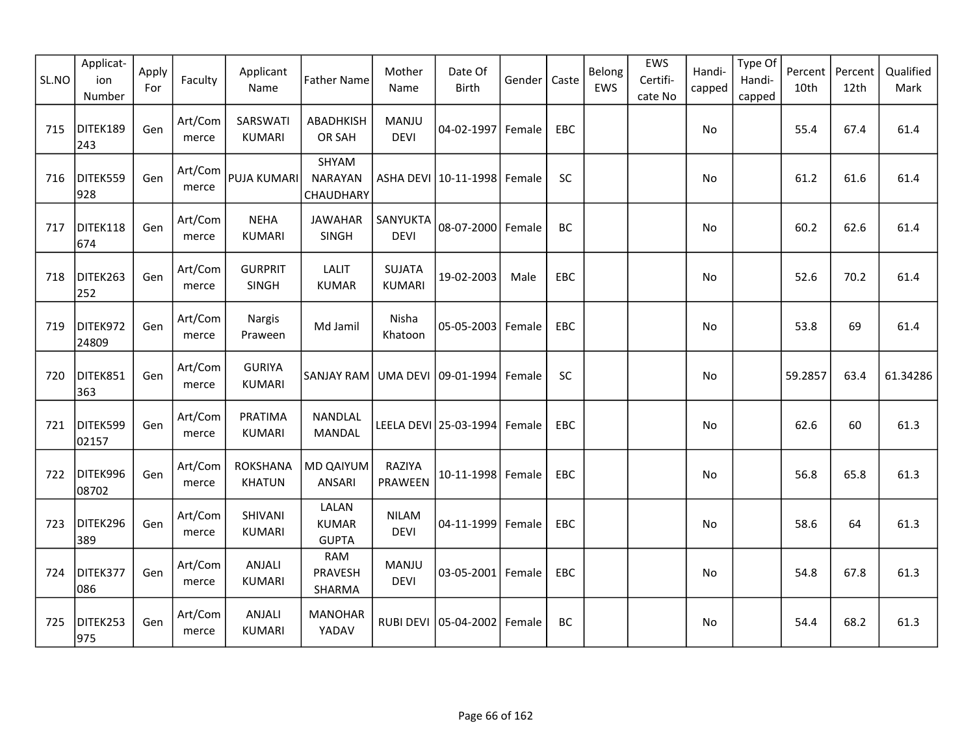| SL.NO | Applicat-<br>ion<br>Number | Apply<br>For | Faculty          | Applicant<br>Name                | <b>Father Name</b>                    | Mother<br>Name                 | Date Of<br>Birth                | Gender | Caste      | Belong<br>EWS | EWS<br>Certifi-<br>cate No | Handi-<br>capped | Type Of<br>Handi-<br>capped | Percent<br>10th | Percent<br>12th | Qualified<br>Mark |
|-------|----------------------------|--------------|------------------|----------------------------------|---------------------------------------|--------------------------------|---------------------------------|--------|------------|---------------|----------------------------|------------------|-----------------------------|-----------------|-----------------|-------------------|
| 715   | DITEK189<br>243            | Gen          | Art/Com<br>merce | SARSWATI<br><b>KUMARI</b>        | ABADHKISH<br>OR SAH                   | MANJU<br><b>DEVI</b>           | 04-02-1997 Female               |        | <b>EBC</b> |               |                            | No               |                             | 55.4            | 67.4            | 61.4              |
| 716   | DITEK559<br>928            | Gen          | Art/Com<br>merce | <b>PUJA KUMARI</b>               | SHYAM<br><b>NARAYAN</b><br>CHAUDHARY  |                                | ASHA DEVI   10-11-1998   Female |        | SC         |               |                            | No               |                             | 61.2            | 61.6            | 61.4              |
| 717   | DITEK118<br>674            | Gen          | Art/Com<br>merce | <b>NEHA</b><br><b>KUMARI</b>     | <b>JAWAHAR</b><br>SINGH               | SANYUKTA<br><b>DEVI</b>        | 08-07-2000 Female               |        | BC         |               |                            | No               |                             | 60.2            | 62.6            | 61.4              |
| 718   | DITEK263<br>252            | Gen          | Art/Com<br>merce | <b>GURPRIT</b><br>SINGH          | <b>LALIT</b><br><b>KUMAR</b>          | <b>SUJATA</b><br><b>KUMARI</b> | 19-02-2003                      | Male   | EBC        |               |                            | No               |                             | 52.6            | 70.2            | 61.4              |
| 719   | DITEK972<br>24809          | Gen          | Art/Com<br>merce | Nargis<br>Praween                | Md Jamil                              | Nisha<br>Khatoon               | 05-05-2003                      | Female | EBC        |               |                            | No               |                             | 53.8            | 69              | 61.4              |
| 720   | DITEK851<br>363            | Gen          | Art/Com<br>merce | <b>GURIYA</b><br>KUMARI          | SANJAY RAM                            |                                | UMA DEVI 09-01-1994             | Female | <b>SC</b>  |               |                            | No.              |                             | 59.2857         | 63.4            | 61.34286          |
| 721   | DITEK599<br>02157          | Gen          | Art/Com<br>merce | PRATIMA<br><b>KUMARI</b>         | NANDLAL<br>MANDAL                     |                                | LEELA DEVI 25-03-1994 Female    |        | EBC        |               |                            | No               |                             | 62.6            | 60              | 61.3              |
| 722   | DITEK996<br>08702          | Gen          | Art/Com<br>merce | <b>ROKSHANA</b><br><b>KHATUN</b> | MD QAIYUM<br>ANSARI                   | RAZIYA<br>PRAWEEN              | 10-11-1998 Female               |        | <b>EBC</b> |               |                            | No               |                             | 56.8            | 65.8            | 61.3              |
| 723   | DITEK296<br>389            | Gen          | Art/Com<br>merce | SHIVANI<br>KUMARI                | LALAN<br><b>KUMAR</b><br><b>GUPTA</b> | <b>NILAM</b><br><b>DEVI</b>    | 04-11-1999 Female               |        | <b>EBC</b> |               |                            | No.              |                             | 58.6            | 64              | 61.3              |
| 724   | DITEK377<br>086            | Gen          | Art/Com<br>merce | <b>ANJALI</b><br><b>KUMARI</b>   | <b>RAM</b><br>PRAVESH<br>SHARMA       | MANJU<br><b>DEVI</b>           | 03-05-2001 Female               |        | EBC        |               |                            | <b>No</b>        |                             | 54.8            | 67.8            | 61.3              |
| 725   | DITEK253<br>975            | Gen          | Art/Com<br>merce | ANJALI<br><b>KUMARI</b>          | <b>MANOHAR</b><br>YADAV               |                                | RUBI DEVI   05-04-2002   Female |        | BC         |               |                            | No.              |                             | 54.4            | 68.2            | 61.3              |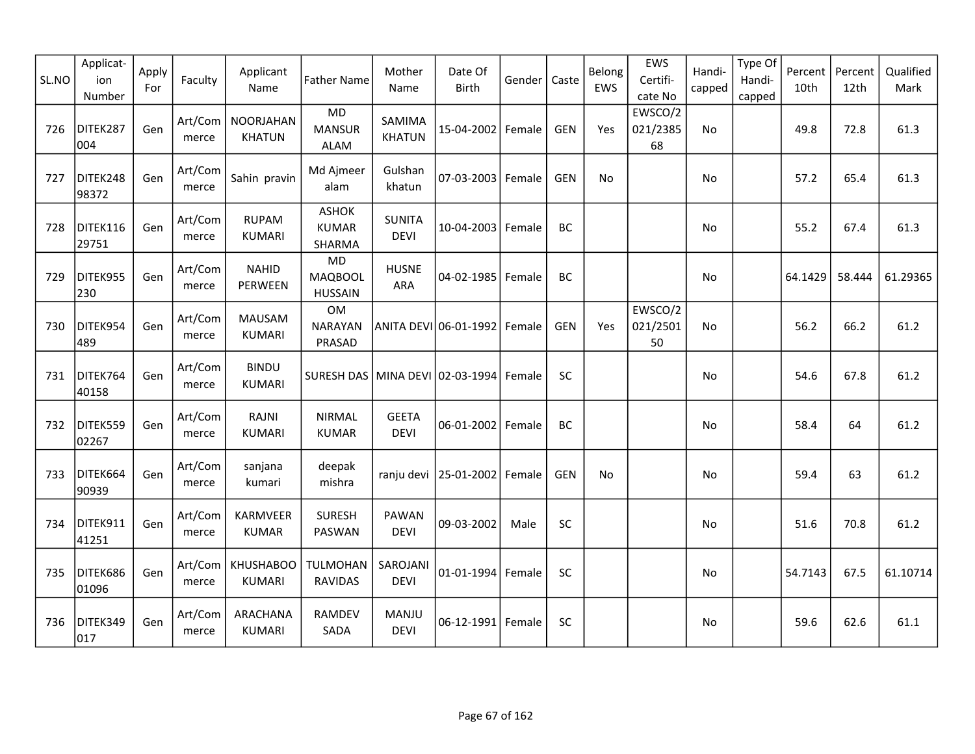| SL.NO | Applicat-<br>ion<br>Number | Apply<br>For | Faculty          | Applicant<br>Name                 | <b>Father Name</b>                            | Mother<br>Name               | Date Of<br><b>Birth</b> | Gender | Caste      | Belong<br>EWS | EWS<br>Certifi-<br>cate No | Handi-<br>capped | Type Of<br>Handi-<br>capped | Percent<br>10th | Percent<br>12th | Qualified<br>Mark |
|-------|----------------------------|--------------|------------------|-----------------------------------|-----------------------------------------------|------------------------------|-------------------------|--------|------------|---------------|----------------------------|------------------|-----------------------------|-----------------|-----------------|-------------------|
| 726   | DITEK287<br>004            | Gen          | Art/Com<br>merce | <b>NOORJAHAN</b><br><b>KHATUN</b> | <b>MD</b><br><b>MANSUR</b><br><b>ALAM</b>     | SAMIMA<br><b>KHATUN</b>      | 15-04-2002              | Female | <b>GEN</b> | Yes           | EWSCO/2<br>021/2385<br>68  | No               |                             | 49.8            | 72.8            | 61.3              |
| 727   | DITEK248<br>98372          | Gen          | Art/Com<br>merce | Sahin pravin                      | Md Ajmeer<br>alam                             | Gulshan<br>khatun            | 07-03-2003              | Female | <b>GEN</b> | No            |                            | No               |                             | 57.2            | 65.4            | 61.3              |
| 728   | DITEK116<br>29751          | Gen          | Art/Com<br>merce | <b>RUPAM</b><br><b>KUMARI</b>     | <b>ASHOK</b><br><b>KUMAR</b><br>SHARMA        | <b>SUNITA</b><br><b>DEVI</b> | 10-04-2003              | Female | <b>BC</b>  |               |                            | <b>No</b>        |                             | 55.2            | 67.4            | 61.3              |
| 729   | DITEK955<br>230            | Gen          | Art/Com<br>merce | <b>NAHID</b><br>PERWEEN           | <b>MD</b><br><b>MAQBOOL</b><br><b>HUSSAIN</b> | <b>HUSNE</b><br><b>ARA</b>   | 04-02-1985              | Female | BC         |               |                            | No               |                             | 64.1429         | 58.444          | 61.29365          |
| 730   | DITEK954<br>489            | Gen          | Art/Com<br>merce | <b>MAUSAM</b><br><b>KUMARI</b>    | OM<br><b>NARAYAN</b><br>PRASAD                |                              | ANITA DEVI 06-01-1992   | Female | <b>GEN</b> | Yes           | EWSCO/2<br>021/2501<br>50  | No.              |                             | 56.2            | 66.2            | 61.2              |
| 731   | DITEK764<br>40158          | Gen          | Art/Com<br>merce | <b>BINDU</b><br><b>KUMARI</b>     | SURESH DAS   MINA DEVI   02-03-1994           |                              |                         | Female | SC         |               |                            | No               |                             | 54.6            | 67.8            | 61.2              |
| 732   | DITEK559<br>02267          | Gen          | Art/Com<br>merce | RAJNI<br><b>KUMARI</b>            | <b>NIRMAL</b><br><b>KUMAR</b>                 | <b>GEETA</b><br><b>DEVI</b>  | 06-01-2002              | Female | BC         |               |                            | No               |                             | 58.4            | 64              | 61.2              |
| 733   | DITEK664<br>90939          | Gen          | Art/Com<br>merce | sanjana<br>kumari                 | deepak<br>mishra                              | ranju devi                   | 25-01-2002              | Female | <b>GEN</b> | No.           |                            | No               |                             | 59.4            | 63              | 61.2              |
| 734   | DITEK911<br>41251          | Gen          | Art/Com<br>merce | KARMVEER<br><b>KUMAR</b>          | <b>SURESH</b><br>PASWAN                       | PAWAN<br><b>DEVI</b>         | 09-03-2002              | Male   | SC         |               |                            | No               |                             | 51.6            | 70.8            | 61.2              |
| 735   | DITEK686<br>01096          | Gen          | Art/Com<br>merce | <b>KHUSHABOO</b><br><b>KUMARI</b> | <b>TULMOHAN</b><br><b>RAVIDAS</b>             | SAROJANI<br><b>DEVI</b>      | 01-01-1994 Female       |        | SC         |               |                            | <b>No</b>        |                             | 54.7143         | 67.5            | 61.10714          |
| 736   | DITEK349<br>017            | Gen          | Art/Com<br>merce | ARACHANA<br><b>KUMARI</b>         | RAMDEV<br>SADA                                | MANJU<br><b>DEVI</b>         | $06 - 12 - 1991$        | Female | <b>SC</b>  |               |                            | No               |                             | 59.6            | 62.6            | 61.1              |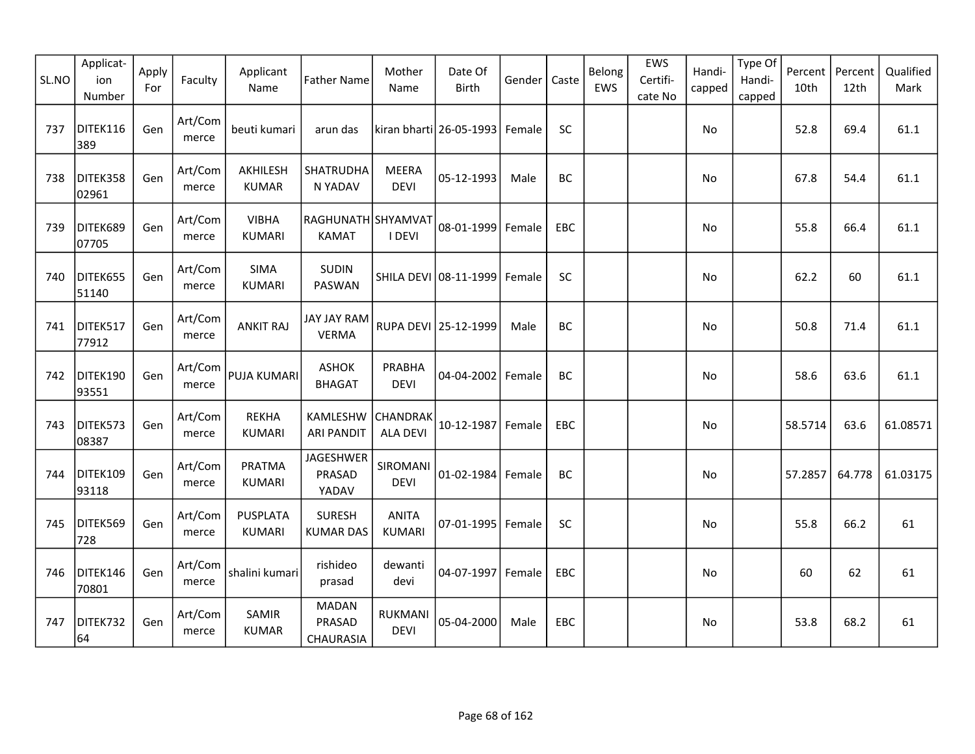| SL.NO | Applicat-<br>ion<br>Number | Apply<br>For | Faculty          | Applicant<br>Name                | <b>Father Name</b>                  | Mother<br>Name                     | Date Of<br><b>Birth</b>        | Gender | Caste      | Belong<br>EWS | EWS<br>Certifi-<br>cate No | Handi-<br>capped | Type Of<br>Handi-<br>capped | Percent<br>10th | Percent<br>12th | Qualified<br>Mark |
|-------|----------------------------|--------------|------------------|----------------------------------|-------------------------------------|------------------------------------|--------------------------------|--------|------------|---------------|----------------------------|------------------|-----------------------------|-----------------|-----------------|-------------------|
| 737   | DITEK116<br>389            | Gen          | Art/Com<br>merce | beuti kumari                     | arun das                            |                                    | kiran bharti 26-05-1993 Female |        | SC         |               |                            | No               |                             | 52.8            | 69.4            | 61.1              |
| 738   | DITEK358<br>02961          | Gen          | Art/Com<br>merce | AKHILESH<br><b>KUMAR</b>         | SHATRUDHA<br>N YADAV                | <b>MEERA</b><br><b>DEVI</b>        | 05-12-1993                     | Male   | BC         |               |                            | No               |                             | 67.8            | 54.4            | 61.1              |
| 739   | DITEK689<br>07705          | Gen          | Art/Com<br>merce | <b>VIBHA</b><br><b>KUMARI</b>    | RAGHUNATH SHYAMVAT<br><b>KAMAT</b>  | <b>I DEVI</b>                      | 08-01-1999                     | Female | <b>EBC</b> |               |                            | No.              |                             | 55.8            | 66.4            | 61.1              |
| 740   | DITEK655<br>51140          | Gen          | Art/Com<br>merce | <b>SIMA</b><br><b>KUMARI</b>     | <b>SUDIN</b><br>PASWAN              |                                    | SHILA DEVI 08-11-1999          | Female | SC         |               |                            | No               |                             | 62.2            | 60              | 61.1              |
| 741   | DITEK517<br>77912          | Gen          | Art/Com<br>merce | <b>ANKIT RAJ</b>                 | JAY JAY RAM<br><b>VERMA</b>         |                                    | RUPA DEVI 25-12-1999           | Male   | BC         |               |                            | No.              |                             | 50.8            | 71.4            | 61.1              |
| 742   | DITEK190<br>93551          | Gen          | Art/Com<br>merce | <b>PUJA KUMARI</b>               | <b>ASHOK</b><br><b>BHAGAT</b>       | PRABHA<br><b>DEVI</b>              | 04-04-2002                     | Female | BC         |               |                            | No               |                             | 58.6            | 63.6            | 61.1              |
| 743   | DITEK573<br>08387          | Gen          | Art/Com<br>merce | <b>REKHA</b><br><b>KUMARI</b>    | KAMLESHW<br><b>ARI PANDIT</b>       | <b>CHANDRAK</b><br><b>ALA DEVI</b> | 10-12-1987                     | Female | EBC        |               |                            | No               |                             | 58.5714         | 63.6            | 61.08571          |
| 744   | DITEK109<br>93118          | Gen          | Art/Com<br>merce | PRATMA<br><b>KUMARI</b>          | JAGESHWER<br>PRASAD<br>YADAV        | SIROMANI<br><b>DEVI</b>            | $01 - 02 - 1984$               | Female | BC         |               |                            | No               |                             | 57.2857         | 64.778          | 61.03175          |
| 745   | DITEK569<br>728            | Gen          | Art/Com<br>merce | <b>PUSPLATA</b><br><b>KUMARI</b> | <b>SURESH</b><br><b>KUMAR DAS</b>   | <b>ANITA</b><br><b>KUMARI</b>      | 07-01-1995 Female              |        | SC         |               |                            | No               |                             | 55.8            | 66.2            | 61                |
| 746   | DITEK146<br>70801          | Gen          | Art/Com<br>merce | shalini kumari                   | rishideo<br>prasad                  | dewanti<br>devi                    | 04-07-1997 Female              |        | EBC        |               |                            | No               |                             | 60              | 62              | 61                |
| 747   | DITEK732<br>64             | Gen          | Art/Com<br>merce | SAMIR<br><b>KUMAR</b>            | <b>MADAN</b><br>PRASAD<br>CHAURASIA | <b>RUKMANI</b><br><b>DEVI</b>      | 05-04-2000                     | Male   | <b>EBC</b> |               |                            | No               |                             | 53.8            | 68.2            | 61                |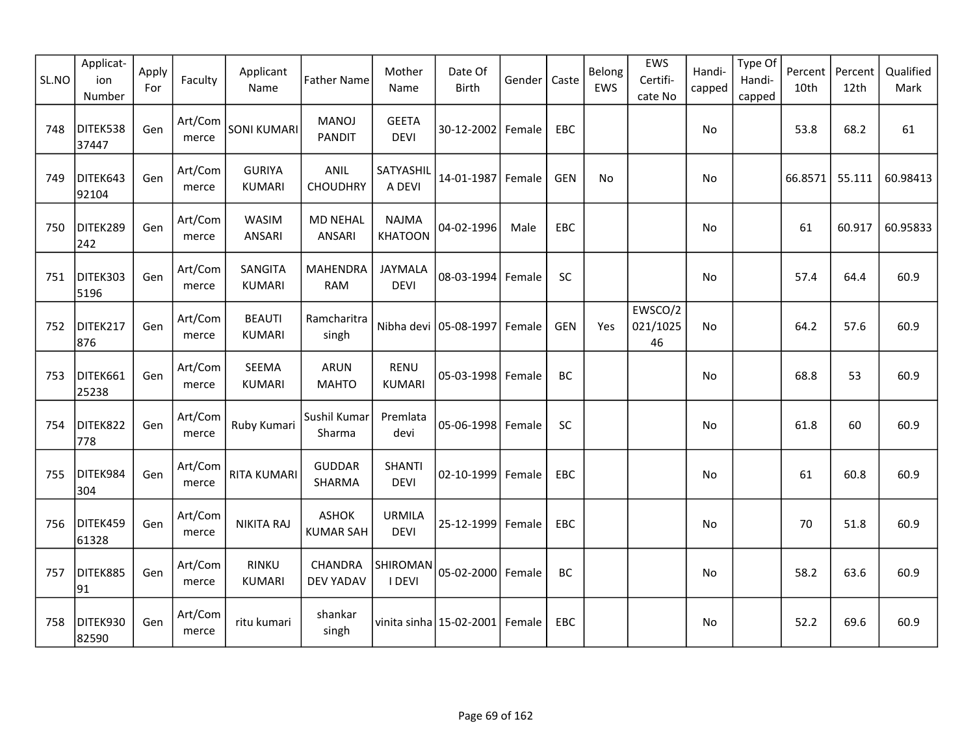| SL.NO | Applicat-<br>ion<br>Number | Apply<br>For | Faculty          | Applicant<br>Name              | <b>Father Name</b>               | Mother<br>Name                 | Date Of<br><b>Birth</b>        | Gender | Caste      | Belong<br>EWS | EWS<br>Certifi-<br>cate No | Handi-<br>capped | Type Of<br>Handi-<br>capped | Percent<br>10th | Percent<br>12th | Qualified<br>Mark |
|-------|----------------------------|--------------|------------------|--------------------------------|----------------------------------|--------------------------------|--------------------------------|--------|------------|---------------|----------------------------|------------------|-----------------------------|-----------------|-----------------|-------------------|
| 748   | DITEK538<br>37447          | Gen          | Art/Com<br>merce | <b>SONI KUMARI</b>             | <b>MANOJ</b><br><b>PANDIT</b>    | <b>GEETA</b><br><b>DEVI</b>    | 30-12-2002 Female              |        | <b>EBC</b> |               |                            | No               |                             | 53.8            | 68.2            | 61                |
| 749   | DITEK643<br>92104          | Gen          | Art/Com<br>merce | <b>GURIYA</b><br><b>KUMARI</b> | ANIL<br><b>CHOUDHRY</b>          | SATYASHIL<br>A DEVI            | 14-01-1987                     | Female | <b>GEN</b> | No            |                            | No               |                             | 66.8571         | 55.111          | 60.98413          |
| 750   | DITEK289<br>242            | Gen          | Art/Com<br>merce | <b>WASIM</b><br>ANSARI         | <b>MD NEHAL</b><br>ANSARI        | <b>NAJMA</b><br><b>KHATOON</b> | 04-02-1996                     | Male   | <b>EBC</b> |               |                            | No.              |                             | 61              | 60.917          | 60.95833          |
| 751   | DITEK303<br>5196           | Gen          | Art/Com<br>merce | SANGITA<br>KUMARI              | MAHENDRA<br><b>RAM</b>           | <b>JAYMALA</b><br><b>DEVI</b>  | 08-03-1994                     | Female | SC         |               |                            | No               |                             | 57.4            | 64.4            | 60.9              |
| 752   | DITEK217<br>876            | Gen          | Art/Com<br>merce | <b>BEAUTI</b><br><b>KUMARI</b> | Ramcharitra<br>singh             |                                | Nibha devi 05-08-1997          | Female | GEN        | Yes           | EWSCO/2<br>021/1025<br>46  | No.              |                             | 64.2            | 57.6            | 60.9              |
| 753   | DITEK661<br>25238          | Gen          | Art/Com<br>merce | SEEMA<br><b>KUMARI</b>         | <b>ARUN</b><br><b>MAHTO</b>      | <b>RENU</b><br><b>KUMARI</b>   | 05-03-1998 Female              |        | BC         |               |                            | No               |                             | 68.8            | 53              | 60.9              |
| 754   | DITEK822<br>778            | Gen          | Art/Com<br>merce | Ruby Kumari                    | Sushil Kumar<br>Sharma           | Premlata<br>devi               | $05 - 06 - 1998$               | Female | SC         |               |                            | No               |                             | 61.8            | 60              | 60.9              |
| 755   | DITEK984<br>304            | Gen          | Art/Com<br>merce | <b>RITA KUMARI</b>             | <b>GUDDAR</b><br>SHARMA          | <b>SHANTI</b><br><b>DEVI</b>   | 02-10-1999                     | Female | EBC        |               |                            | No               |                             | 61              | 60.8            | 60.9              |
| 756   | DITEK459<br>61328          | Gen          | Art/Com<br>merce | <b>NIKITA RAJ</b>              | <b>ASHOK</b><br><b>KUMAR SAH</b> | <b>URMILA</b><br><b>DEVI</b>   | 25-12-1999                     | Female | <b>EBC</b> |               |                            | No               |                             | 70              | 51.8            | 60.9              |
| 757   | DITEK885<br>91             | Gen          | Art/Com<br>merce | <b>RINKU</b><br><b>KUMARI</b>  | CHANDRA<br>DEV YADAV             | SHIROMAN<br>I DEVI             | 05-02-2000 Female              |        | BC         |               |                            | No               |                             | 58.2            | 63.6            | 60.9              |
| 758   | DITEK930<br>82590          | Gen          | Art/Com<br>merce | ritu kumari                    | shankar<br>singh                 |                                | vinita sinha 15-02-2001 Female |        | EBC        |               |                            | No               |                             | 52.2            | 69.6            | 60.9              |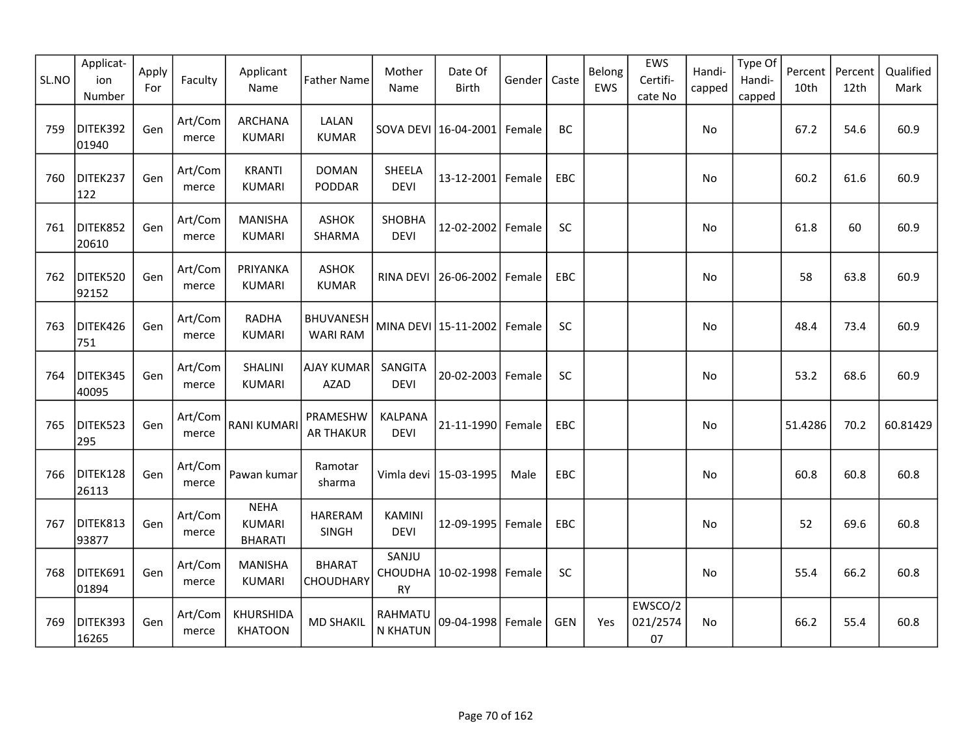| SL.NO | Applicat-<br>ion<br>Number | Apply<br>For | Faculty          | Applicant<br>Name                              | <b>Father Name</b>                  | Mother<br>Name                       | Date Of<br><b>Birth</b> | Gender | Caste      | Belong<br>EWS | EWS<br>Certifi-<br>cate No | Handi-<br>capped | Type Of<br>Handi-<br>capped | Percent<br>10th | Percent<br>12th | Qualified<br>Mark |
|-------|----------------------------|--------------|------------------|------------------------------------------------|-------------------------------------|--------------------------------------|-------------------------|--------|------------|---------------|----------------------------|------------------|-----------------------------|-----------------|-----------------|-------------------|
| 759   | DITEK392<br>01940          | Gen          | Art/Com<br>merce | <b>ARCHANA</b><br><b>KUMARI</b>                | LALAN<br><b>KUMAR</b>               |                                      | SOVA DEVI 16-04-2001    | Female | <b>BC</b>  |               |                            | No               |                             | 67.2            | 54.6            | 60.9              |
| 760   | DITEK237<br>122            | Gen          | Art/Com<br>merce | <b>KRANTI</b><br><b>KUMARI</b>                 | <b>DOMAN</b><br>PODDAR              | SHEELA<br><b>DEVI</b>                | 13-12-2001 Female       |        | EBC        |               |                            | No               |                             | 60.2            | 61.6            | 60.9              |
| 761   | DITEK852<br>20610          | Gen          | Art/Com<br>merce | <b>MANISHA</b><br><b>KUMARI</b>                | <b>ASHOK</b><br>SHARMA              | <b>SHOBHA</b><br><b>DEVI</b>         | 12-02-2002 Female       |        | <b>SC</b>  |               |                            | <b>No</b>        |                             | 61.8            | 60              | 60.9              |
| 762   | DITEK520<br>92152          | Gen          | Art/Com<br>merce | PRIYANKA<br><b>KUMARI</b>                      | <b>ASHOK</b><br><b>KUMAR</b>        | RINA DEVI                            | 26-06-2002              | Female | EBC        |               |                            | No               |                             | 58              | 63.8            | 60.9              |
| 763   | DITEK426<br>751            | Gen          | Art/Com<br>merce | <b>RADHA</b><br><b>KUMARI</b>                  | <b>BHUVANESH</b><br><b>WARI RAM</b> |                                      | MINA DEVI 15-11-2002    | Female | SC         |               |                            | No               |                             | 48.4            | 73.4            | 60.9              |
| 764   | DITEK345<br>40095          | Gen          | Art/Com<br>merce | <b>SHALINI</b><br><b>KUMARI</b>                | <b>AJAY KUMAR</b><br>AZAD           | SANGITA<br><b>DEVI</b>               | 20-02-2003 Female       |        | <b>SC</b>  |               |                            | No               |                             | 53.2            | 68.6            | 60.9              |
| 765   | DITEK523<br>295            | Gen          | Art/Com<br>merce | <b>RANI KUMARI</b>                             | PRAMESHW<br><b>AR THAKUR</b>        | KALPANA<br><b>DEVI</b>               | 21-11-1990              | Female | EBC        |               |                            | No               |                             | 51.4286         | 70.2            | 60.81429          |
| 766   | DITEK128<br>26113          | Gen          | Art/Com<br>merce | Pawan kumar                                    | Ramotar<br>sharma                   |                                      | Vimla devi   15-03-1995 | Male   | EBC        |               |                            | No               |                             | 60.8            | 60.8            | 60.8              |
| 767   | DITEK813<br>93877          | Gen          | Art/Com<br>merce | <b>NEHA</b><br><b>KUMARI</b><br><b>BHARATI</b> | <b>HARERAM</b><br>SINGH             | <b>KAMINI</b><br><b>DEVI</b>         | 12-09-1995              | Female | EBC        |               |                            | No               |                             | 52              | 69.6            | 60.8              |
| 768   | DITEK691<br>01894          | Gen          | Art/Com<br>merce | <b>MANISHA</b><br><b>KUMARI</b>                | <b>BHARAT</b><br>CHOUDHARY          | SANJU<br><b>CHOUDHA</b><br><b>RY</b> | 10-02-1998              | Female | SC         |               |                            | <b>No</b>        |                             | 55.4            | 66.2            | 60.8              |
| 769   | DITEK393<br>16265          | Gen          | Art/Com<br>merce | KHURSHIDA<br><b>KHATOON</b>                    | <b>MD SHAKIL</b>                    | RAHMATU<br><b>N KHATUN</b>           | 09-04-1998 Female       |        | <b>GEN</b> | Yes           | EWSCO/2<br>021/2574<br>07  | <b>No</b>        |                             | 66.2            | 55.4            | 60.8              |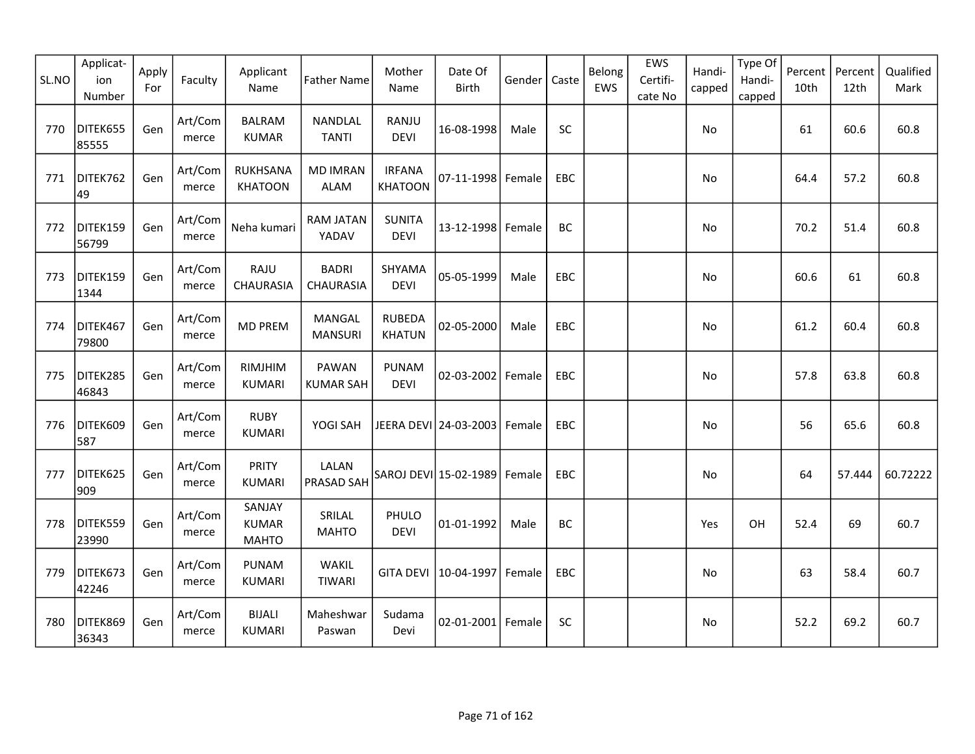| SL.NO | Applicat-<br>ion<br>Number | Apply<br>For | Faculty          | Applicant<br>Name                      | <b>Father Name</b>             | Mother<br>Name                  | Date Of<br>Birth      | Gender | Caste      | Belong<br>EWS | EWS<br>Certifi-<br>cate No | Handi-<br>capped | Type Of<br>Handi-<br>capped | Percent<br>10th | Percent<br>12th | Qualified<br>Mark |
|-------|----------------------------|--------------|------------------|----------------------------------------|--------------------------------|---------------------------------|-----------------------|--------|------------|---------------|----------------------------|------------------|-----------------------------|-----------------|-----------------|-------------------|
| 770   | DITEK655<br>85555          | Gen          | Art/Com<br>merce | <b>BALRAM</b><br><b>KUMAR</b>          | <b>NANDLAL</b><br><b>TANTI</b> | RANJU<br><b>DEVI</b>            | 16-08-1998            | Male   | SC         |               |                            | No               |                             | 61              | 60.6            | 60.8              |
| 771   | DITEK762<br>49             | Gen          | Art/Com<br>merce | RUKHSANA<br><b>KHATOON</b>             | <b>MD IMRAN</b><br><b>ALAM</b> | <b>IRFANA</b><br><b>KHATOON</b> | 07-11-1998 Female     |        | EBC        |               |                            | No               |                             | 64.4            | 57.2            | 60.8              |
| 772   | DITEK159<br>56799          | Gen          | Art/Com<br>merce | Neha kumari                            | RAM JATAN<br>YADAV             | <b>SUNITA</b><br><b>DEVI</b>    | 13-12-1998            | Female | BC         |               |                            | No               |                             | 70.2            | 51.4            | 60.8              |
| 773   | DITEK159<br>1344           | Gen          | Art/Com<br>merce | RAJU<br>CHAURASIA                      | <b>BADRI</b><br>CHAURASIA      | SHYAMA<br><b>DEVI</b>           | 05-05-1999            | Male   | EBC        |               |                            | No               |                             | 60.6            | 61              | 60.8              |
| 774   | DITEK467<br>79800          | Gen          | Art/Com<br>merce | <b>MD PREM</b>                         | MANGAL<br><b>MANSURI</b>       | <b>RUBEDA</b><br><b>KHATUN</b>  | 02-05-2000            | Male   | EBC        |               |                            | No               |                             | 61.2            | 60.4            | 60.8              |
| 775   | DITEK285<br>46843          | Gen          | Art/Com<br>merce | RIMJHIM<br><b>KUMARI</b>               | PAWAN<br><b>KUMAR SAH</b>      | <b>PUNAM</b><br><b>DEVI</b>     | $02 - 03 - 2002$      | Female | <b>EBC</b> |               |                            | No.              |                             | 57.8            | 63.8            | 60.8              |
| 776   | DITEK609<br>587            | Gen          | Art/Com<br>merce | <b>RUBY</b><br><b>KUMARI</b>           | YOGI SAH                       |                                 | JEERA DEVI 24-03-2003 | Female | EBC        |               |                            | No               |                             | 56              | 65.6            | 60.8              |
| 777   | DITEK625<br>909            | Gen          | Art/Com<br>merce | <b>PRITY</b><br><b>KUMARI</b>          | LALAN<br>PRASAD SAH            |                                 | SAROJ DEVI 15-02-1989 | Female | <b>EBC</b> |               |                            | No               |                             | 64              | 57.444          | 60.72222          |
| 778   | DITEK559<br>23990          | Gen          | Art/Com<br>merce | SANJAY<br><b>KUMAR</b><br><b>MAHTO</b> | SRILAL<br><b>MAHTO</b>         | PHULO<br><b>DEVI</b>            | 01-01-1992            | Male   | BC         |               |                            | Yes              | OH                          | 52.4            | 69              | 60.7              |
| 779   | DITEK673<br>42246          | Gen          | Art/Com<br>merce | <b>PUNAM</b><br><b>KUMARI</b>          | WAKIL<br>TIWARI                | <b>GITA DEVI</b>                | 10-04-1997            | Female | EBC        |               |                            | No               |                             | 63              | 58.4            | 60.7              |
| 780   | DITEK869<br>36343          | Gen          | Art/Com<br>merce | <b>BIJALI</b><br><b>KUMARI</b>         | Maheshwar<br>Paswan            | Sudama<br>Devi                  | 02-01-2001 Female     |        | <b>SC</b>  |               |                            | No               |                             | 52.2            | 69.2            | 60.7              |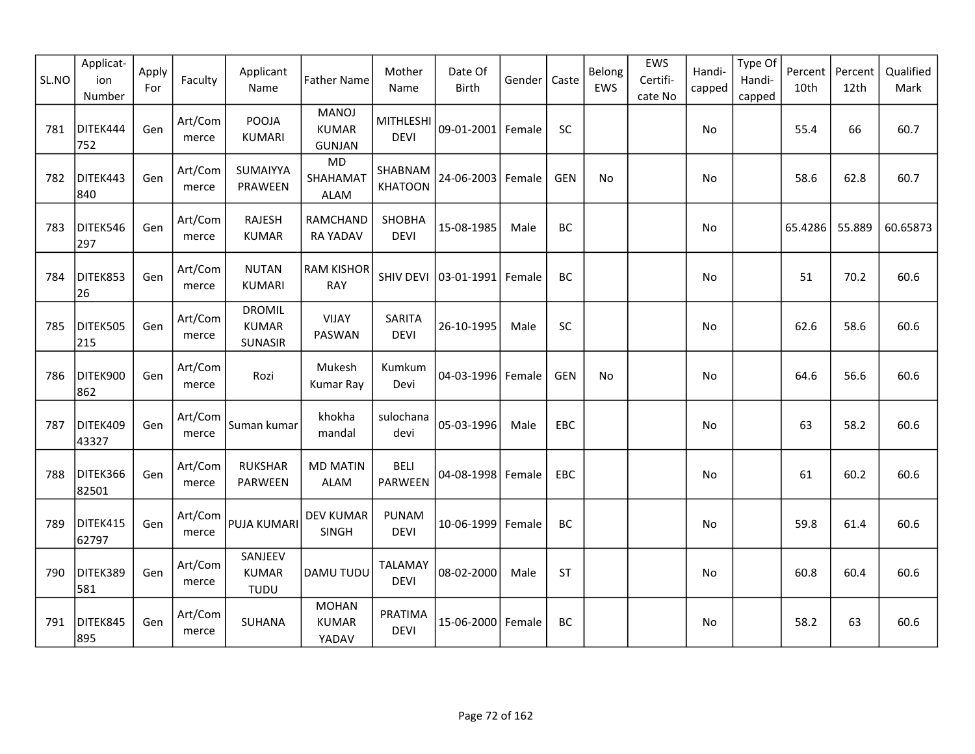| SL.NO | Applicat-<br>ion<br>Number | Apply<br>For | Faculty          | Applicant<br>Name                               | <b>Father Name</b>                            | Mother<br>Name                  | Date Of<br><b>Birth</b> | Gender | Caste      | Belong<br>EWS | EWS<br>Certifi-<br>cate No | Handi-<br>capped | Type Of<br>Handi-<br>capped | Percent<br>10th | Percent<br>12th | Qualified<br>Mark |
|-------|----------------------------|--------------|------------------|-------------------------------------------------|-----------------------------------------------|---------------------------------|-------------------------|--------|------------|---------------|----------------------------|------------------|-----------------------------|-----------------|-----------------|-------------------|
| 781   | DITEK444<br>752            | Gen          | Art/Com<br>merce | POOJA<br><b>KUMARI</b>                          | <b>MANOJ</b><br><b>KUMAR</b><br><b>GUNJAN</b> | <b>MITHLESHI</b><br><b>DEVI</b> | 09-01-2001 Female       |        | SC         |               |                            | No               |                             | 55.4            | 66              | 60.7              |
| 782   | DITEK443<br>840            | Gen          | Art/Com<br>merce | SUMAIYYA<br>PRAWEEN                             | <b>MD</b><br>SHAHAMAT<br><b>ALAM</b>          | SHABNAM<br><b>KHATOON</b>       | 24-06-2003              | Female | <b>GEN</b> | No            |                            | No               |                             | 58.6            | 62.8            | 60.7              |
| 783   | DITEK546<br>297            | Gen          | Art/Com<br>merce | <b>RAJESH</b><br><b>KUMAR</b>                   | RAMCHAND<br><b>RA YADAV</b>                   | SHOBHA<br><b>DEVI</b>           | 15-08-1985              | Male   | BC         |               |                            | No               |                             | 65.4286         | 55.889          | 60.65873          |
| 784   | DITEK853<br>26             | Gen          | Art/Com<br>merce | <b>NUTAN</b><br><b>KUMARI</b>                   | <b>RAM KISHOR</b><br><b>RAY</b>               | SHIV DEVI                       | 03-01-1991              | Female | BC         |               |                            | No.              |                             | 51              | 70.2            | 60.6              |
| 785   | DITEK505<br>215            | Gen          | Art/Com<br>merce | <b>DROMIL</b><br><b>KUMAR</b><br><b>SUNASIR</b> | <b>VIJAY</b><br>PASWAN                        | <b>SARITA</b><br><b>DEVI</b>    | 26-10-1995              | Male   | SC         |               |                            | No               |                             | 62.6            | 58.6            | 60.6              |
| 786   | DITEK900<br>862            | Gen          | Art/Com<br>merce | Rozi                                            | Mukesh<br>Kumar Ray                           | Kumkum<br>Devi                  | 04-03-1996              | Female | <b>GEN</b> | No            |                            | No               |                             | 64.6            | 56.6            | 60.6              |
| 787   | DITEK409<br>43327          | Gen          | Art/Com<br>merce | Suman kumar                                     | khokha<br>mandal                              | sulochana<br>devi               | 05-03-1996              | Male   | <b>EBC</b> |               |                            | No               |                             | 63              | 58.2            | 60.6              |
| 788   | DITEK366<br>82501          | Gen          | Art/Com<br>merce | <b>RUKSHAR</b><br><b>PARWEEN</b>                | <b>MD MATIN</b><br><b>ALAM</b>                | <b>BELI</b><br>PARWEEN          | 04-08-1998 Female       |        | EBC        |               |                            | No               |                             | 61              | 60.2            | 60.6              |
| 789   | DITEK415<br>62797          | Gen          | Art/Com<br>merce | PUJA KUMARI                                     | <b>DEV KUMAR</b><br>SINGH                     | <b>PUNAM</b><br><b>DEVI</b>     | 10-06-1999              | Female | BC         |               |                            | No               |                             | 59.8            | 61.4            | 60.6              |
| 790   | DITEK389<br>581            | Gen          | Art/Com<br>merce | SANJEEV<br><b>KUMAR</b><br><b>TUDU</b>          | DAMU TUDU                                     | <b>TALAMAY</b><br><b>DEVI</b>   | 08-02-2000              | Male   | <b>ST</b>  |               |                            | No               |                             | 60.8            | 60.4            | 60.6              |
| 791   | DITEK845<br>895            | Gen          | Art/Com<br>merce | <b>SUHANA</b>                                   | <b>MOHAN</b><br><b>KUMAR</b><br>YADAV         | PRATIMA<br><b>DEVI</b>          | 15-06-2000              | Female | BC         |               |                            | No               |                             | 58.2            | 63              | 60.6              |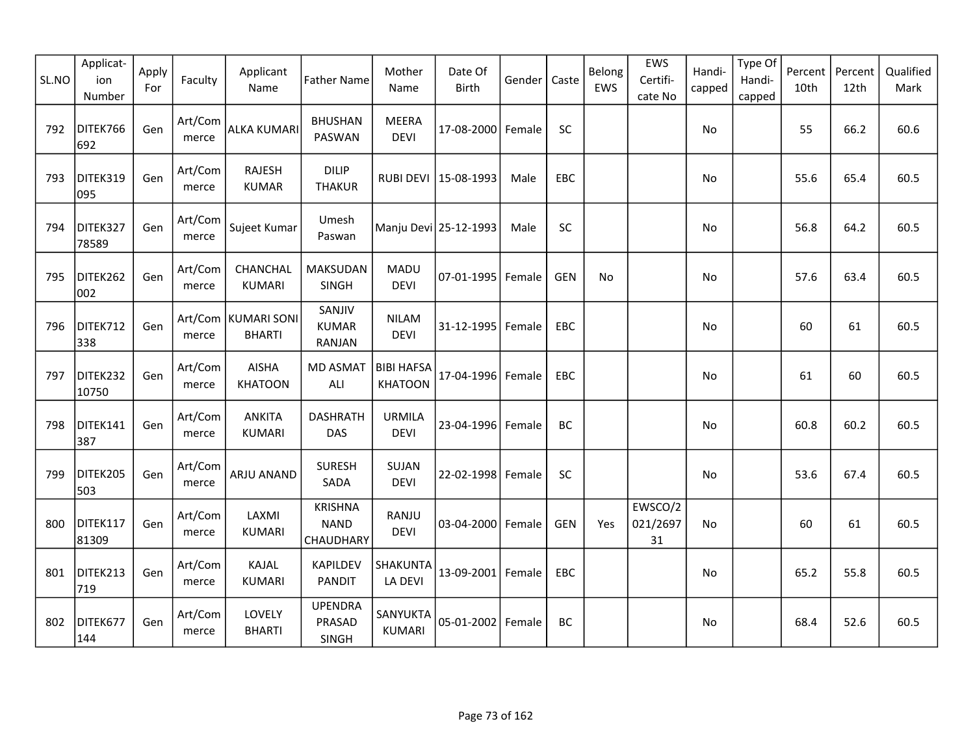| SL.NO | Applicat-<br>ion<br>Number | Apply<br>For | Faculty          | Applicant<br>Name                      | <b>Father Name</b>                         | Mother<br>Name                      | Date Of<br>Birth       | Gender | Caste      | Belong<br>EWS | EWS<br>Certifi-<br>cate No | Handi-<br>capped | Type Of<br>Handi-<br>capped | Percent<br>10th | Percent<br>12th | Qualified<br>Mark |
|-------|----------------------------|--------------|------------------|----------------------------------------|--------------------------------------------|-------------------------------------|------------------------|--------|------------|---------------|----------------------------|------------------|-----------------------------|-----------------|-----------------|-------------------|
| 792   | DITEK766<br>692            | Gen          | Art/Com<br>merce | ALKA KUMARI                            | <b>BHUSHAN</b><br>PASWAN                   | <b>MEERA</b><br><b>DEVI</b>         | 17-08-2000 Female      |        | SC         |               |                            | No               |                             | 55              | 66.2            | 60.6              |
| 793   | DITEK319<br>095            | Gen          | Art/Com<br>merce | <b>RAJESH</b><br><b>KUMAR</b>          | <b>DILIP</b><br><b>THAKUR</b>              |                                     | RUBI DEVI   15-08-1993 | Male   | EBC        |               |                            | No               |                             | 55.6            | 65.4            | 60.5              |
| 794   | DITEK327<br>78589          | Gen          | Art/Com<br>merce | Sujeet Kumar                           | Umesh<br>Paswan                            |                                     | Manju Devi 25-12-1993  | Male   | SC         |               |                            | No               |                             | 56.8            | 64.2            | 60.5              |
| 795   | DITEK262<br>002            | Gen          | Art/Com<br>merce | CHANCHAL<br><b>KUMARI</b>              | <b>MAKSUDAN</b><br>SINGH                   | MADU<br><b>DEVI</b>                 | $07 - 01 - 1995$       | Female | <b>GEN</b> | No            |                            | No               |                             | 57.6            | 63.4            | 60.5              |
| 796   | DITEK712<br>338            | Gen          | merce            | Art/Com   KUMARI SONI<br><b>BHARTI</b> | SANJIV<br><b>KUMAR</b><br>RANJAN           | <b>NILAM</b><br><b>DEVI</b>         | 31-12-1995             | Female | EBC        |               |                            | No.              |                             | 60              | 61              | 60.5              |
| 797   | DITEK232<br>10750          | Gen          | Art/Com<br>merce | <b>AISHA</b><br><b>KHATOON</b>         | MD ASMAT<br>ALI                            | <b>BIBI HAFSA</b><br><b>KHATOON</b> | 17-04-1996             | Female | EBC        |               |                            | No.              |                             | 61              | 60              | 60.5              |
| 798   | DITEK141<br>387            | Gen          | Art/Com<br>merce | <b>ANKITA</b><br><b>KUMARI</b>         | <b>DASHRATH</b><br><b>DAS</b>              | <b>URMILA</b><br><b>DEVI</b>        | 23-04-1996             | Female | BC         |               |                            | No               |                             | 60.8            | 60.2            | 60.5              |
| 799   | DITEK205<br>503            | Gen          | Art/Com<br>merce | <b>ARJU ANAND</b>                      | <b>SURESH</b><br>SADA                      | SUJAN<br><b>DEVI</b>                | 22-02-1998 Female      |        | SC         |               |                            | No               |                             | 53.6            | 67.4            | 60.5              |
| 800   | DITEK117<br>81309          | Gen          | Art/Com<br>merce | LAXMI<br><b>KUMARI</b>                 | <b>KRISHNA</b><br><b>NAND</b><br>CHAUDHARY | RANJU<br><b>DEVI</b>                | $03 - 04 - 2000$       | Female | <b>GEN</b> | Yes           | EWSCO/2<br>021/2697<br>31  | No               |                             | 60              | 61              | 60.5              |
| 801   | DITEK213<br>719            | Gen          | Art/Com<br>merce | KAJAL<br><b>KUMARI</b>                 | <b>KAPILDEV</b><br><b>PANDIT</b>           | SHAKUNTA<br>LA DEVI                 | 13-09-2001 Female      |        | EBC        |               |                            | No               |                             | 65.2            | 55.8            | 60.5              |
| 802   | DITEK677<br>144            | Gen          | Art/Com<br>merce | LOVELY<br><b>BHARTI</b>                | <b>UPENDRA</b><br>PRASAD<br>SINGH          | SANYUKTA<br><b>KUMARI</b>           | 05-01-2002             | Female | BC         |               |                            | No               |                             | 68.4            | 52.6            | 60.5              |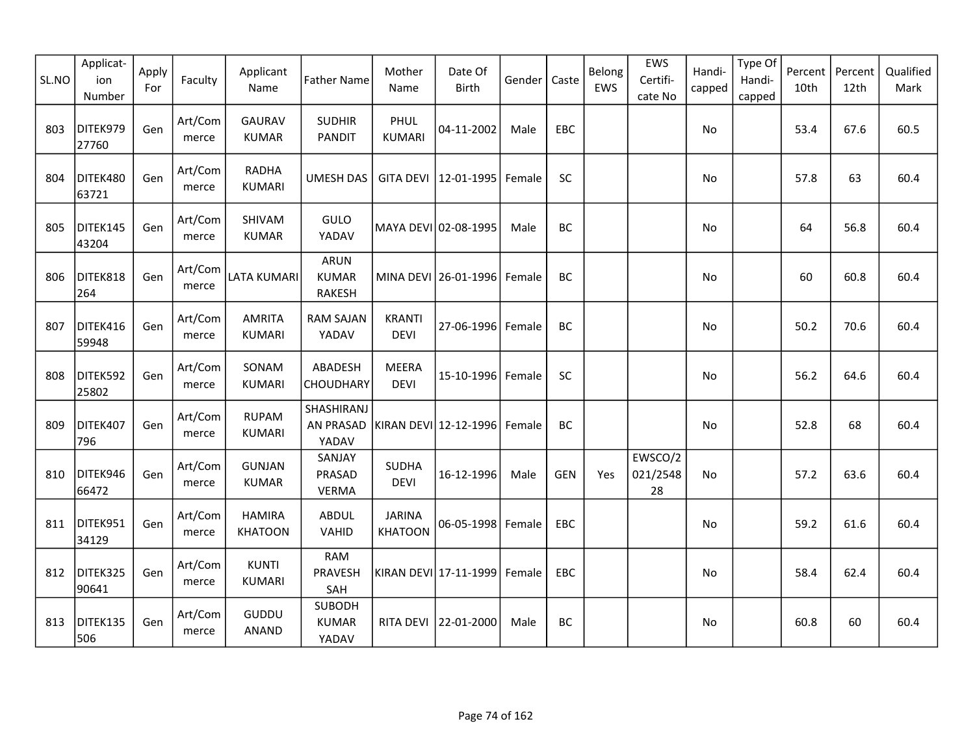| SL.NO | Applicat-<br>ion<br>Number | Apply<br>For | Faculty          | Applicant<br>Name               | <b>Father Name</b>                     | Mother<br>Name                  | Date Of<br>Birth            | Gender | Caste      | Belong<br>EWS | EWS<br>Certifi-<br>cate No | Handi-<br>capped | Type Of<br>Handi-<br>capped | Percent<br>10th | Percent<br>12th | Qualified<br>Mark |
|-------|----------------------------|--------------|------------------|---------------------------------|----------------------------------------|---------------------------------|-----------------------------|--------|------------|---------------|----------------------------|------------------|-----------------------------|-----------------|-----------------|-------------------|
| 803   | DITEK979<br>27760          | Gen          | Art/Com<br>merce | <b>GAURAV</b><br><b>KUMAR</b>   | <b>SUDHIR</b><br><b>PANDIT</b>         | PHUL<br><b>KUMARI</b>           | 04-11-2002                  | Male   | EBC        |               |                            | No               |                             | 53.4            | 67.6            | 60.5              |
| 804   | DITEK480<br>63721          | Gen          | Art/Com<br>merce | <b>RADHA</b><br><b>KUMARI</b>   | <b>UMESH DAS</b>                       |                                 | GITA DEVI   12-01-1995      | Female | SC         |               |                            | No               |                             | 57.8            | 63              | 60.4              |
| 805   | DITEK145<br>43204          | Gen          | Art/Com<br>merce | SHIVAM<br><b>KUMAR</b>          | GULO<br>YADAV                          |                                 | MAYA DEVI 02-08-1995        | Male   | BC         |               |                            | No               |                             | 64              | 56.8            | 60.4              |
| 806   | DITEK818<br>264            | Gen          | Art/Com<br>merce | <b>LATA KUMARI</b>              | <b>ARUN</b><br><b>KUMAR</b><br>RAKESH  |                                 | MINA DEVI 26-01-1996 Female |        | BC         |               |                            | No               |                             | 60              | 60.8            | 60.4              |
| 807   | DITEK416<br>59948          | Gen          | Art/Com<br>merce | <b>AMRITA</b><br><b>KUMARI</b>  | <b>RAM SAJAN</b><br>YADAV              | <b>KRANTI</b><br><b>DEVI</b>    | 27-06-1996 Female           |        | BC         |               |                            | No               |                             | 50.2            | 70.6            | 60.4              |
| 808   | DITEK592<br>25802          | Gen          | Art/Com<br>merce | SONAM<br><b>KUMARI</b>          | ABADESH<br>CHOUDHARY                   | <b>MEERA</b><br><b>DEVI</b>     | 15-10-1996 Female           |        | <b>SC</b>  |               |                            | No               |                             | 56.2            | 64.6            | 60.4              |
| 809   | DITEK407<br>796            | Gen          | Art/Com<br>merce | <b>RUPAM</b><br><b>KUMARI</b>   | SHASHIRANJ<br>AN PRASAD<br>YADAV       |                                 | KIRAN DEVI 12-12-1996       | Female | BC         |               |                            | No               |                             | 52.8            | 68              | 60.4              |
| 810   | DITEK946<br>66472          | Gen          | Art/Com<br>merce | <b>GUNJAN</b><br><b>KUMAR</b>   | SANJAY<br>PRASAD<br><b>VERMA</b>       | <b>SUDHA</b><br><b>DEVI</b>     | 16-12-1996                  | Male   | <b>GEN</b> | Yes           | EWSCO/2<br>021/2548<br>28  | No               |                             | 57.2            | 63.6            | 60.4              |
| 811   | DITEK951<br>34129          | Gen          | Art/Com<br>merce | <b>HAMIRA</b><br><b>KHATOON</b> | <b>ABDUL</b><br>VAHID                  | <b>JARINA</b><br><b>KHATOON</b> | 06-05-1998 Female           |        | EBC        |               |                            | No               |                             | 59.2            | 61.6            | 60.4              |
| 812   | DITEK325<br>90641          | Gen          | Art/Com<br>merce | <b>KUNTI</b><br><b>KUMARI</b>   | <b>RAM</b><br>PRAVESH<br>SAH           |                                 | KIRAN DEVI 17-11-1999       | Female | EBC        |               |                            | No               |                             | 58.4            | 62.4            | 60.4              |
| 813   | DITEK135<br>506            | Gen          | Art/Com<br>merce | GUDDU<br>ANAND                  | <b>SUBODH</b><br><b>KUMAR</b><br>YADAV | RITA DEVI                       | 22-01-2000                  | Male   | BC         |               |                            | No               |                             | 60.8            | 60              | 60.4              |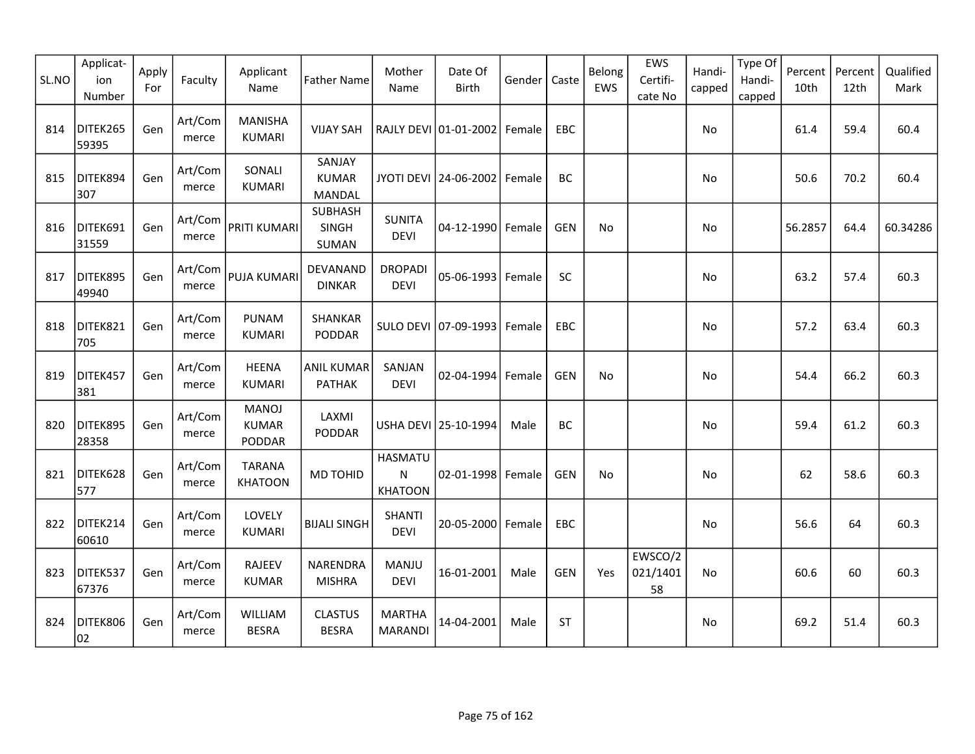| SL.NO | Applicat-<br>ion<br>Number | Apply<br>For | Faculty          | Applicant<br>Name                      | <b>Father Name</b>                      | Mother<br>Name                                | Date Of<br><b>Birth</b> | Gender | Caste      | Belong<br>EWS | EWS<br>Certifi-<br>cate No | Handi-<br>capped | Type Of<br>Handi-<br>capped | Percent<br>10th | Percent<br>12th | Qualified<br>Mark |
|-------|----------------------------|--------------|------------------|----------------------------------------|-----------------------------------------|-----------------------------------------------|-------------------------|--------|------------|---------------|----------------------------|------------------|-----------------------------|-----------------|-----------------|-------------------|
| 814   | DITEK265<br>59395          | Gen          | Art/Com<br>merce | <b>MANISHA</b><br><b>KUMARI</b>        | <b>VIJAY SAH</b>                        |                                               | RAJLY DEVI 01-01-2002   | Female | EBC        |               |                            | No               |                             | 61.4            | 59.4            | 60.4              |
| 815   | DITEK894<br>307            | Gen          | Art/Com<br>merce | SONALI<br><b>KUMARI</b>                | SANJAY<br><b>KUMAR</b><br><b>MANDAL</b> |                                               | JYOTI DEVI 24-06-2002   | Female | BC         |               |                            | No               |                             | 50.6            | 70.2            | 60.4              |
| 816   | DITEK691<br>31559          | Gen          | Art/Com<br>merce | <b>PRITI KUMARI</b>                    | <b>SUBHASH</b><br>SINGH<br>SUMAN        | <b>SUNITA</b><br><b>DEVI</b>                  | 04-12-1990 Female       |        | <b>GEN</b> | No            |                            | No               |                             | 56.2857         | 64.4            | 60.34286          |
| 817   | DITEK895<br>49940          | Gen          | Art/Com<br>merce | <b>PUJA KUMARI</b>                     | DEVANAND<br><b>DINKAR</b>               | <b>DROPADI</b><br><b>DEVI</b>                 | 05-06-1993              | Female | SC         |               |                            | <b>No</b>        |                             | 63.2            | 57.4            | 60.3              |
| 818   | DITEK821<br>705            | Gen          | Art/Com<br>merce | <b>PUNAM</b><br><b>KUMARI</b>          | SHANKAR<br>PODDAR                       |                                               | SULO DEVI 07-09-1993    | Female | EBC        |               |                            | No               |                             | 57.2            | 63.4            | 60.3              |
| 819   | DITEK457<br>381            | Gen          | Art/Com<br>merce | <b>HEENA</b><br><b>KUMARI</b>          | <b>ANIL KUMAR</b><br><b>PATHAK</b>      | SANJAN<br><b>DEVI</b>                         | 02-04-1994              | Female | <b>GEN</b> | No            |                            | No               |                             | 54.4            | 66.2            | 60.3              |
| 820   | DITEK895<br>28358          | Gen          | Art/Com<br>merce | <b>MANOJ</b><br><b>KUMAR</b><br>PODDAR | LAXMI<br>PODDAR                         |                                               | USHA DEVI 25-10-1994    | Male   | <b>BC</b>  |               |                            | No               |                             | 59.4            | 61.2            | 60.3              |
| 821   | DITEK628<br>577            | Gen          | Art/Com<br>merce | <b>TARANA</b><br><b>KHATOON</b>        | MD TOHID                                | <b>HASMATU</b><br>${\sf N}$<br><b>KHATOON</b> | 02-01-1998 Female       |        | <b>GEN</b> | No            |                            | No               |                             | 62              | 58.6            | 60.3              |
| 822   | DITEK214<br>60610          | Gen          | Art/Com<br>merce | LOVELY<br><b>KUMARI</b>                | <b>BIJALI SINGH</b>                     | <b>SHANTI</b><br><b>DEVI</b>                  | 20-05-2000              | Female | EBC        |               |                            | No               |                             | 56.6            | 64              | 60.3              |
| 823   | DITEK537<br>67376          | Gen          | Art/Com<br>merce | <b>RAJEEV</b><br><b>KUMAR</b>          | NARENDRA<br><b>MISHRA</b>               | MANJU<br><b>DEVI</b>                          | 16-01-2001              | Male   | <b>GEN</b> | Yes           | EWSCO/2<br>021/1401<br>58  | <b>No</b>        |                             | 60.6            | 60              | 60.3              |
| 824   | DITEK806<br>02             | Gen          | Art/Com<br>merce | WILLIAM<br><b>BESRA</b>                | <b>CLASTUS</b><br><b>BESRA</b>          | <b>MARTHA</b><br><b>MARANDI</b>               | 14-04-2001              | Male   | <b>ST</b>  |               |                            | No               |                             | 69.2            | 51.4            | 60.3              |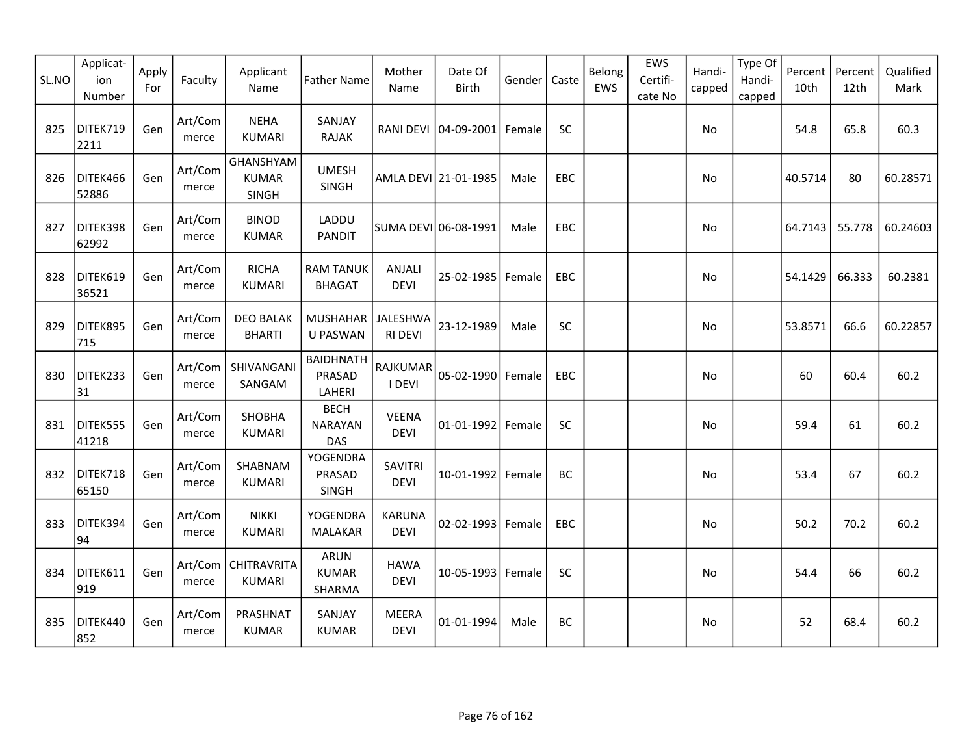| SL.NO | Applicat-<br>ion<br>Number | Apply<br>For | Faculty          | Applicant<br>Name                         | <b>Father Name</b>                          | Mother<br>Name                | Date Of<br><b>Birth</b> | Gender | Caste | Belong<br>EWS | EWS<br>Certifi-<br>cate No | Handi-<br>capped | Type Of<br>Handi-<br>capped | Percent<br>10th | Percent<br>12th | Qualified<br>Mark |
|-------|----------------------------|--------------|------------------|-------------------------------------------|---------------------------------------------|-------------------------------|-------------------------|--------|-------|---------------|----------------------------|------------------|-----------------------------|-----------------|-----------------|-------------------|
| 825   | DITEK719<br>2211           | Gen          | Art/Com<br>merce | <b>NEHA</b><br><b>KUMARI</b>              | SANJAY<br><b>RAJAK</b>                      |                               | RANI DEVI 04-09-2001    | Female | SC    |               |                            | No               |                             | 54.8            | 65.8            | 60.3              |
| 826   | DITEK466<br>52886          | Gen          | Art/Com<br>merce | GHANSHYAM<br><b>KUMAR</b><br><b>SINGH</b> | <b>UMESH</b><br>SINGH                       |                               | AMLA DEVI 21-01-1985    | Male   | EBC   |               |                            | No               |                             | 40.5714         | 80              | 60.28571          |
| 827   | DITEK398<br>62992          | Gen          | Art/Com<br>merce | <b>BINOD</b><br><b>KUMAR</b>              | LADDU<br><b>PANDIT</b>                      |                               | SUMA DEVI 06-08-1991    | Male   | EBC   |               |                            | No               |                             | 64.7143         | 55.778          | 60.24603          |
| 828   | DITEK619<br>36521          | Gen          | Art/Com<br>merce | <b>RICHA</b><br><b>KUMARI</b>             | <b>RAM TANUK</b><br><b>BHAGAT</b>           | ANJALI<br><b>DEVI</b>         | 25-02-1985              | Female | EBC   |               |                            | No               |                             | 54.1429         | 66.333          | 60.2381           |
| 829   | DITEK895<br>715            | Gen          | Art/Com<br>merce | <b>DEO BALAK</b><br><b>BHARTI</b>         | MUSHAHAR<br>U PASWAN                        | JALESHWA<br><b>RI DEVI</b>    | 23-12-1989              | Male   | SC    |               |                            | No               |                             | 53.8571         | 66.6            | 60.22857          |
| 830   | DITEK233<br>31             | Gen          | Art/Com<br>merce | SHIVANGANI<br>SANGAM                      | <b>BAIDHNATH</b><br>PRASAD<br>LAHERI        | RAJKUMAR<br>I DEVI            | 05-02-1990              | Female | EBC   |               |                            | No               |                             | 60              | 60.4            | 60.2              |
| 831   | DITEK555<br>41218          | Gen          | Art/Com<br>merce | SHOBHA<br><b>KUMARI</b>                   | <b>BECH</b><br><b>NARAYAN</b><br><b>DAS</b> | <b>VEENA</b><br><b>DEVI</b>   | 01-01-1992 Female       |        | SC    |               |                            | No               |                             | 59.4            | 61              | 60.2              |
| 832   | DITEK718<br>65150          | Gen          | Art/Com<br>merce | SHABNAM<br><b>KUMARI</b>                  | <b>YOGENDRA</b><br>PRASAD<br>SINGH          | <b>SAVITRI</b><br><b>DEVI</b> | 10-01-1992              | Female | BC    |               |                            | No               |                             | 53.4            | 67              | 60.2              |
| 833   | DITEK394<br>94             | Gen          | Art/Com<br>merce | <b>NIKKI</b><br><b>KUMARI</b>             | YOGENDRA<br><b>MALAKAR</b>                  | <b>KARUNA</b><br><b>DEVI</b>  | 02-02-1993 Female       |        | EBC   |               |                            | No               |                             | 50.2            | 70.2            | 60.2              |
| 834   | DITEK611<br>919            | Gen          | Art/Com<br>merce | <b>CHITRAVRITA</b><br><b>KUMARI</b>       | ARUN<br><b>KUMAR</b><br>SHARMA              | <b>HAWA</b><br><b>DEVI</b>    | 10-05-1993 Female       |        | SC    |               |                            | No               |                             | 54.4            | 66              | 60.2              |
| 835   | DITEK440<br>852            | Gen          | Art/Com<br>merce | PRASHNAT<br><b>KUMAR</b>                  | SANJAY<br><b>KUMAR</b>                      | <b>MEERA</b><br><b>DEVI</b>   | 01-01-1994              | Male   | BC    |               |                            | No               |                             | 52              | 68.4            | 60.2              |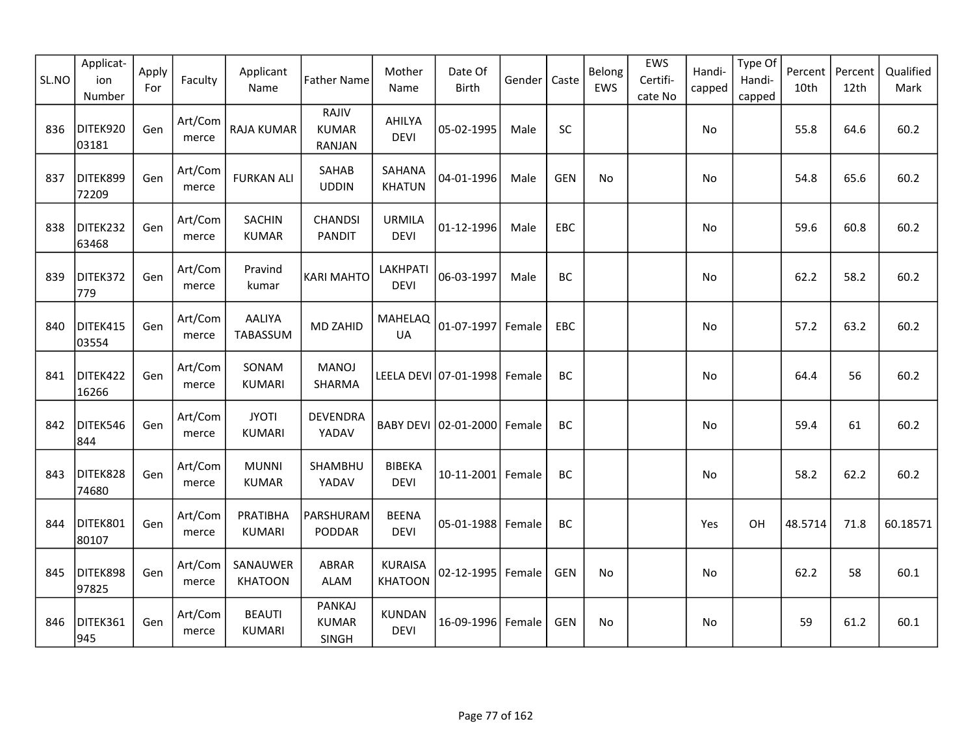| SL.NO | Applicat-<br>ion<br>Number | Apply<br>For | Faculty          | Applicant<br>Name              | <b>Father Name</b>                     | Mother<br>Name                   | Date Of<br>Birth             | Gender | Caste      | Belong<br>EWS | EWS<br>Certifi-<br>cate No | Handi-<br>capped | Type Of<br>Handi-<br>capped | Percent<br>10th | Percent<br>12th | Qualified<br>Mark |
|-------|----------------------------|--------------|------------------|--------------------------------|----------------------------------------|----------------------------------|------------------------------|--------|------------|---------------|----------------------------|------------------|-----------------------------|-----------------|-----------------|-------------------|
| 836   | DITEK920<br>03181          | Gen          | Art/Com<br>merce | <b>RAJA KUMAR</b>              | RAJIV<br><b>KUMAR</b><br>RANJAN        | AHILYA<br><b>DEVI</b>            | 05-02-1995                   | Male   | <b>SC</b>  |               |                            | No               |                             | 55.8            | 64.6            | 60.2              |
| 837   | DITEK899<br>72209          | Gen          | Art/Com<br>merce | <b>FURKAN ALI</b>              | SAHAB<br><b>UDDIN</b>                  | SAHANA<br><b>KHATUN</b>          | 04-01-1996                   | Male   | <b>GEN</b> | No            |                            | No               |                             | 54.8            | 65.6            | 60.2              |
| 838   | DITEK232<br>63468          | Gen          | Art/Com<br>merce | SACHIN<br><b>KUMAR</b>         | <b>CHANDSI</b><br><b>PANDIT</b>        | <b>URMILA</b><br><b>DEVI</b>     | 01-12-1996                   | Male   | <b>EBC</b> |               |                            | No               |                             | 59.6            | 60.8            | 60.2              |
| 839   | DITEK372<br>779            | Gen          | Art/Com<br>merce | Pravind<br>kumar               | <b>KARI MAHTO</b>                      | LAKHPATI<br><b>DEVI</b>          | 06-03-1997                   | Male   | BC         |               |                            | No               |                             | 62.2            | 58.2            | 60.2              |
| 840   | DITEK415<br>03554          | Gen          | Art/Com<br>merce | <b>AALIYA</b><br>TABASSUM      | <b>MD ZAHID</b>                        | <b>MAHELAQ</b><br><b>UA</b>      | 01-07-1997                   | Female | EBC        |               |                            | No               |                             | 57.2            | 63.2            | 60.2              |
| 841   | DITEK422<br>16266          | Gen          | Art/Com<br>merce | SONAM<br><b>KUMARI</b>         | <b>MANOJ</b><br>SHARMA                 |                                  | LEELA DEVI 07-01-1998 Female |        | BC         |               |                            | No.              |                             | 64.4            | 56              | 60.2              |
| 842   | DITEK546<br>844            | Gen          | Art/Com<br>merce | <b>JYOTI</b><br><b>KUMARI</b>  | <b>DEVENDRA</b><br>YADAV               |                                  | BABY DEVI 02-01-2000 Female  |        | BC         |               |                            | No               |                             | 59.4            | 61              | 60.2              |
| 843   | DITEK828<br>74680          | Gen          | Art/Com<br>merce | <b>MUNNI</b><br><b>KUMAR</b>   | SHAMBHU<br>YADAV                       | <b>BIBEKA</b><br><b>DEVI</b>     | 10-11-2001 Female            |        | BC         |               |                            | No               |                             | 58.2            | 62.2            | 60.2              |
| 844   | DITEK801<br>80107          | Gen          | Art/Com<br>merce | PRATIBHA<br><b>KUMARI</b>      | PARSHURAM<br>PODDAR                    | <b>BEENA</b><br><b>DEVI</b>      | 05-01-1988 Female            |        | BC         |               |                            | Yes              | OH                          | 48.5714         | 71.8            | 60.18571          |
| 845   | DITEK898<br>97825          | Gen          | Art/Com<br>merce | SANAUWER<br><b>KHATOON</b>     | ABRAR<br><b>ALAM</b>                   | <b>KURAISA</b><br><b>KHATOON</b> | $02 - 12 - 1995$             | Female | <b>GEN</b> | No            |                            | No               |                             | 62.2            | 58              | 60.1              |
| 846   | DITEK361<br>945            | Gen          | Art/Com<br>merce | <b>BEAUTI</b><br><b>KUMARI</b> | <b>PANKAJ</b><br><b>KUMAR</b><br>SINGH | KUNDAN<br><b>DEVI</b>            | 16-09-1996 Female            |        | <b>GEN</b> | No            |                            | No               |                             | 59              | 61.2            | 60.1              |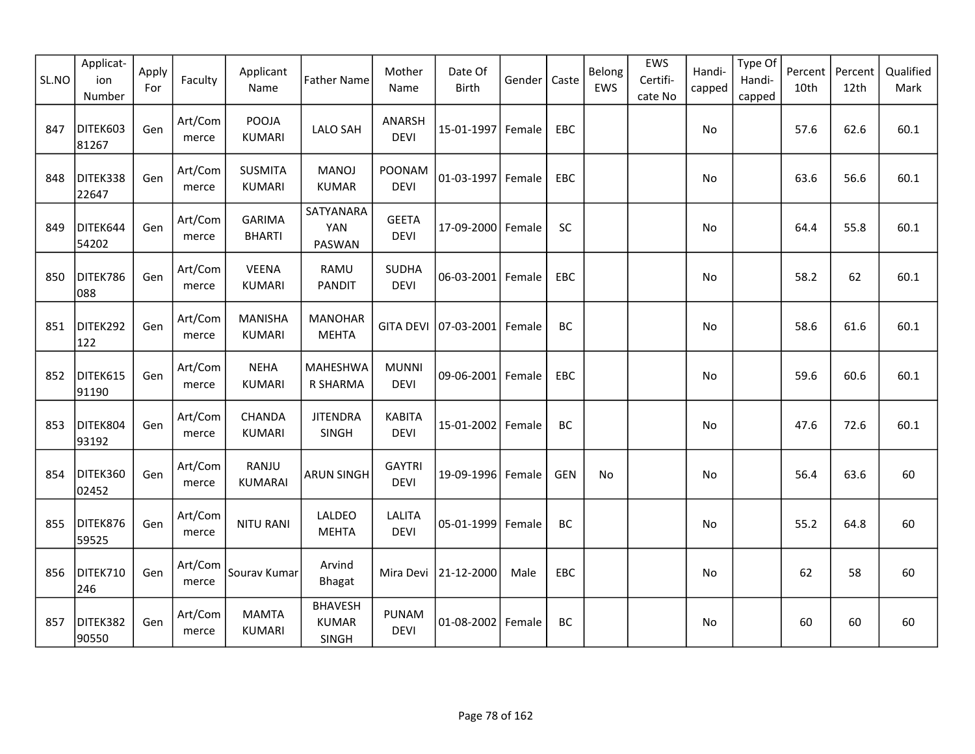| SL.NO | Applicat-<br>ion<br>Number | Apply<br>For | Faculty          | Applicant<br>Name               | <b>Father Name</b>                      | Mother<br>Name               | Date Of<br><b>Birth</b> | Gender | Caste      | Belong<br>EWS | EWS<br>Certifi-<br>cate No | Handi-<br>capped | Type Of<br>Handi-<br>capped | Percent<br>10th | Percent<br>12th | Qualified<br>Mark |
|-------|----------------------------|--------------|------------------|---------------------------------|-----------------------------------------|------------------------------|-------------------------|--------|------------|---------------|----------------------------|------------------|-----------------------------|-----------------|-----------------|-------------------|
| 847   | DITEK603<br>81267          | Gen          | Art/Com<br>merce | <b>POOJA</b><br><b>KUMARI</b>   | <b>LALO SAH</b>                         | ANARSH<br><b>DEVI</b>        | 15-01-1997 Female       |        | EBC        |               |                            | No               |                             | 57.6            | 62.6            | 60.1              |
| 848   | DITEK338<br>22647          | Gen          | Art/Com<br>merce | <b>SUSMITA</b><br><b>KUMARI</b> | <b>MANOJ</b><br><b>KUMAR</b>            | POONAM<br><b>DEVI</b>        | 01-03-1997 Female       |        | EBC        |               |                            | No               |                             | 63.6            | 56.6            | 60.1              |
| 849   | DITEK644<br>54202          | Gen          | Art/Com<br>merce | <b>GARIMA</b><br><b>BHARTI</b>  | SATYANARA<br><b>YAN</b><br>PASWAN       | <b>GEETA</b><br><b>DEVI</b>  | 17-09-2000 Female       |        | SC         |               |                            | No               |                             | 64.4            | 55.8            | 60.1              |
| 850   | DITEK786<br>088            | Gen          | Art/Com<br>merce | <b>VEENA</b><br><b>KUMARI</b>   | RAMU<br><b>PANDIT</b>                   | <b>SUDHA</b><br><b>DEVI</b>  | 06-03-2001 Female       |        | EBC        |               |                            | No               |                             | 58.2            | 62              | 60.1              |
| 851   | DITEK292<br>122            | Gen          | Art/Com<br>merce | <b>MANISHA</b><br><b>KUMARI</b> | <b>MANOHAR</b><br><b>MEHTA</b>          | <b>GITA DEVI</b>             | 07-03-2001 Female       |        | BC         |               |                            | No               |                             | 58.6            | 61.6            | 60.1              |
| 852   | DITEK615<br>91190          | Gen          | Art/Com<br>merce | <b>NEHA</b><br><b>KUMARI</b>    | <b>MAHESHWA</b><br>R SHARMA             | <b>MUNNI</b><br><b>DEVI</b>  | 09-06-2001 Female       |        | EBC        |               |                            | No               |                             | 59.6            | 60.6            | 60.1              |
| 853   | DITEK804<br>93192          | Gen          | Art/Com<br>merce | CHANDA<br><b>KUMARI</b>         | <b>JITENDRA</b><br>SINGH                | <b>KABITA</b><br><b>DEVI</b> | 15-01-2002   Female     |        | BC         |               |                            | No               |                             | 47.6            | 72.6            | 60.1              |
| 854   | DITEK360<br>02452          | Gen          | Art/Com<br>merce | RANJU<br><b>KUMARAI</b>         | <b>ARUN SINGH</b>                       | <b>GAYTRI</b><br><b>DEVI</b> | 19-09-1996 Female       |        | <b>GEN</b> | No            |                            | No               |                             | 56.4            | 63.6            | 60                |
| 855   | DITEK876<br>59525          | Gen          | Art/Com<br>merce | <b>NITU RANI</b>                | LALDEO<br><b>MEHTA</b>                  | <b>LALITA</b><br><b>DEVI</b> | 05-01-1999 Female       |        | BC         |               |                            | No               |                             | 55.2            | 64.8            | 60                |
| 856   | DITEK710<br>246            | Gen          | Art/Com<br>merce | Sourav Kumar                    | Arvind<br><b>Bhagat</b>                 | Mira Devi                    | 21-12-2000              | Male   | EBC        |               |                            | No               |                             | 62              | 58              | 60                |
| 857   | DITEK382<br>90550          | Gen          | Art/Com<br>merce | <b>MAMTA</b><br><b>KUMARI</b>   | <b>BHAVESH</b><br><b>KUMAR</b><br>SINGH | <b>PUNAM</b><br><b>DEVI</b>  | 01-08-2002 Female       |        | BC         |               |                            | No               |                             | 60              | 60              | 60                |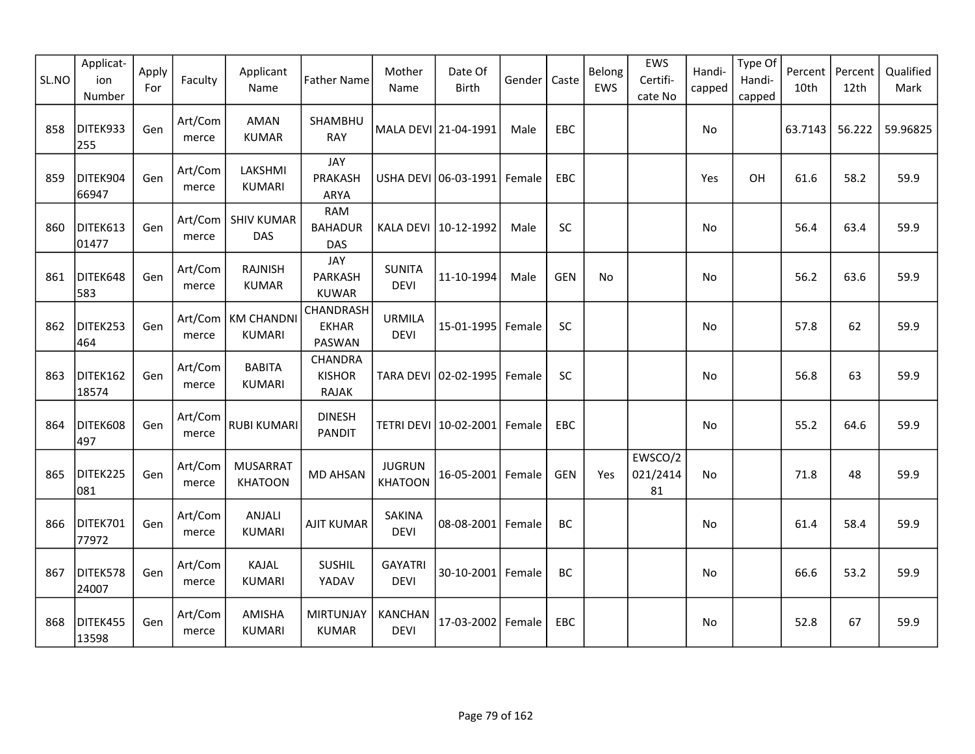| SL.NO | Applicat-<br>ion<br>Number | Apply<br>For | Faculty          | Applicant<br>Name                  | <b>Father Name</b>                         | Mother<br>Name                  | Date Of<br><b>Birth</b> | Gender | Caste      | Belong<br>EWS | EWS<br>Certifi-<br>cate No | Handi-<br>capped | Type Of<br>Handi-<br>capped | Percent<br>10th | Percent<br>12th | Qualified<br>Mark |
|-------|----------------------------|--------------|------------------|------------------------------------|--------------------------------------------|---------------------------------|-------------------------|--------|------------|---------------|----------------------------|------------------|-----------------------------|-----------------|-----------------|-------------------|
| 858   | DITEK933<br>255            | Gen          | Art/Com<br>merce | <b>AMAN</b><br><b>KUMAR</b>        | SHAMBHU<br><b>RAY</b>                      |                                 | MALA DEVI 21-04-1991    | Male   | EBC        |               |                            | No               |                             | 63.7143         | 56.222          | 59.96825          |
| 859   | DITEK904<br>66947          | Gen          | Art/Com<br>merce | LAKSHMI<br><b>KUMARI</b>           | JAY<br><b>PRAKASH</b><br>ARYA              |                                 | USHA DEVI 06-03-1991    | Female | EBC        |               |                            | Yes              | OH                          | 61.6            | 58.2            | 59.9              |
| 860   | DITEK613<br>01477          | Gen          | merce            | Art/Com   SHIV KUMAR<br>DAS        | <b>RAM</b><br><b>BAHADUR</b><br><b>DAS</b> |                                 | KALA DEVI   10-12-1992  | Male   | $\sf SC$   |               |                            | No               |                             | 56.4            | 63.4            | 59.9              |
| 861   | DITEK648<br>583            | Gen          | Art/Com<br>merce | <b>RAJNISH</b><br><b>KUMAR</b>     | JAY<br>PARKASH<br><b>KUWAR</b>             | <b>SUNITA</b><br><b>DEVI</b>    | 11-10-1994              | Male   | <b>GEN</b> | No            |                            | <b>No</b>        |                             | 56.2            | 63.6            | 59.9              |
| 862   | DITEK253<br>464            | Gen          | Art/Com<br>merce | <b>KM CHANDNI</b><br><b>KUMARI</b> | CHANDRASH<br><b>EKHAR</b><br>PASWAN        | <b>URMILA</b><br><b>DEVI</b>    | 15-01-1995              | Female | <b>SC</b>  |               |                            | No               |                             | 57.8            | 62              | 59.9              |
| 863   | DITEK162<br>18574          | Gen          | Art/Com<br>merce | <b>BABITA</b><br><b>KUMARI</b>     | CHANDRA<br><b>KISHOR</b><br><b>RAJAK</b>   |                                 | TARA DEVI 02-02-1995    | Female | SC         |               |                            | No               |                             | 56.8            | 63              | 59.9              |
| 864   | DITEK608<br>497            | Gen          | Art/Com<br>merce | <b>RUBI KUMARI</b>                 | <b>DINESH</b><br><b>PANDIT</b>             |                                 | TETRI DEVI 10-02-2001   | Female | EBC        |               |                            | No               |                             | 55.2            | 64.6            | 59.9              |
| 865   | DITEK225<br>081            | Gen          | Art/Com<br>merce | <b>MUSARRAT</b><br><b>KHATOON</b>  | <b>MD AHSAN</b>                            | <b>JUGRUN</b><br><b>KHATOON</b> | 16-05-2001 Female       |        | <b>GEN</b> | Yes           | EWSCO/2<br>021/2414<br>81  | No               |                             | 71.8            | 48              | 59.9              |
| 866   | DITEK701<br>77972          | Gen          | Art/Com<br>merce | ANJALI<br><b>KUMARI</b>            | <b>AJIT KUMAR</b>                          | <b>SAKINA</b><br><b>DEVI</b>    | 08-08-2001              | Female | BC         |               |                            | No               |                             | 61.4            | 58.4            | 59.9              |
| 867   | DITEK578<br>24007          | Gen          | Art/Com<br>merce | KAJAL<br><b>KUMARI</b>             | SUSHIL<br>YADAV                            | <b>GAYATRI</b><br><b>DEVI</b>   | 30-10-2001 Female       |        | <b>BC</b>  |               |                            | No               |                             | 66.6            | 53.2            | 59.9              |
| 868   | DITEK455<br>13598          | Gen          | Art/Com<br>merce | AMISHA<br><b>KUMARI</b>            | <b>MIRTUNJAY</b><br><b>KUMAR</b>           | <b>KANCHAN</b><br><b>DEVI</b>   | 17-03-2002              | Female | EBC        |               |                            | No               |                             | 52.8            | 67              | 59.9              |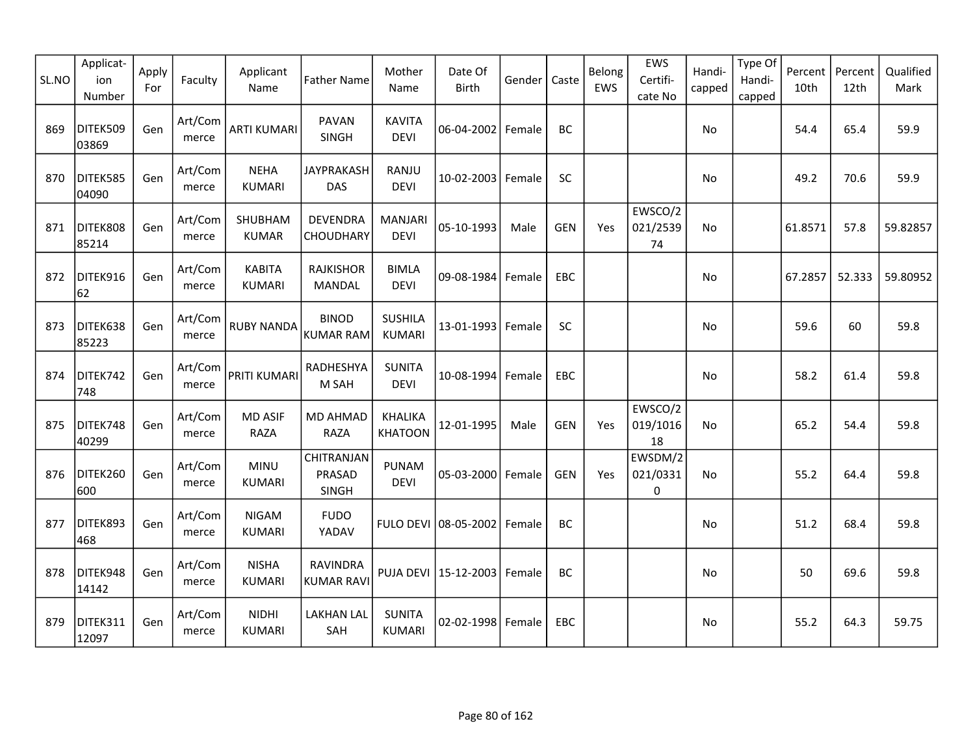| SL.NO | Applicat-<br>ion<br>Number | Apply<br>For | Faculty          | Applicant<br>Name              | <b>Father Name</b>                   | Mother<br>Name                   | Date Of<br><b>Birth</b>         | Gender | Caste      | Belong<br>EWS | EWS<br>Certifi-<br>cate No | Handi-<br>capped | Type Of<br>Handi-<br>capped | Percent<br>10th | Percent<br>12th | Qualified<br>Mark |
|-------|----------------------------|--------------|------------------|--------------------------------|--------------------------------------|----------------------------------|---------------------------------|--------|------------|---------------|----------------------------|------------------|-----------------------------|-----------------|-----------------|-------------------|
| 869   | DITEK509<br>03869          | Gen          | Art/Com<br>merce | <b>ARTI KUMARI</b>             | PAVAN<br>SINGH                       | <b>KAVITA</b><br><b>DEVI</b>     | 06-04-2002                      | Female | BC         |               |                            | No               |                             | 54.4            | 65.4            | 59.9              |
| 870   | DITEK585<br>04090          | Gen          | Art/Com<br>merce | <b>NEHA</b><br><b>KUMARI</b>   | <b>JAYPRAKASH</b><br>DAS             | RANJU<br><b>DEVI</b>             | $10 - 02 - 2003$                | Female | SC         |               |                            | No               |                             | 49.2            | 70.6            | 59.9              |
| 871   | DITEK808<br>85214          | Gen          | Art/Com<br>merce | SHUBHAM<br><b>KUMAR</b>        | <b>DEVENDRA</b><br>CHOUDHARY         | <b>MANJARI</b><br><b>DEVI</b>    | 05-10-1993                      | Male   | <b>GEN</b> | Yes           | EWSCO/2<br>021/2539<br>74  | No.              |                             | 61.8571         | 57.8            | 59.82857          |
| 872   | DITEK916<br>62             | Gen          | Art/Com<br>merce | <b>KABITA</b><br><b>KUMARI</b> | <b>RAJKISHOR</b><br><b>MANDAL</b>    | <b>BIMLA</b><br><b>DEVI</b>      | 09-08-1984                      | Female | EBC        |               |                            | No               |                             | 67.2857         | 52.333          | 59.80952          |
| 873   | DITEK638<br>85223          | Gen          | Art/Com<br>merce | <b>RUBY NANDA</b>              | <b>BINOD</b><br><b>KUMAR RAM</b>     | <b>SUSHILA</b><br><b>KUMARI</b>  | 13-01-1993                      | Female | <b>SC</b>  |               |                            | No               |                             | 59.6            | 60              | 59.8              |
| 874   | DITEK742<br>748            | Gen          | Art/Com<br>merce | PRITI KUMARI                   | RADHESHYA<br>M SAH                   | <b>SUNITA</b><br><b>DEVI</b>     | 10-08-1994                      | Female | EBC        |               |                            | No               |                             | 58.2            | 61.4            | 59.8              |
| 875   | DITEK748<br>40299          | Gen          | Art/Com<br>merce | <b>MD ASIF</b><br><b>RAZA</b>  | <b>MD AHMAD</b><br><b>RAZA</b>       | <b>KHALIKA</b><br><b>KHATOON</b> | 12-01-1995                      | Male   | <b>GEN</b> | Yes           | EWSCO/2<br>019/1016<br>18  | No.              |                             | 65.2            | 54.4            | 59.8              |
| 876   | DITEK260<br>600            | Gen          | Art/Com<br>merce | <b>MINU</b><br><b>KUMARI</b>   | CHITRANJAN<br>PRASAD<br>SINGH        | <b>PUNAM</b><br><b>DEVI</b>      | 05-03-2000 Female               |        | <b>GEN</b> | Yes           | EWSDM/2<br>021/0331<br>0   | No.              |                             | 55.2            | 64.4            | 59.8              |
| 877   | DITEK893<br>468            | Gen          | Art/Com<br>merce | <b>NIGAM</b><br><b>KUMARI</b>  | <b>FUDO</b><br>YADAV                 |                                  | FULO DEVI 08-05-2002            | Female | BC         |               |                            | No               |                             | 51.2            | 68.4            | 59.8              |
| 878   | DITEK948<br>14142          | Gen          | Art/Com<br>merce | <b>NISHA</b><br><b>KUMARI</b>  | <b>RAVINDRA</b><br><b>KUMAR RAVI</b> |                                  | PUJA DEVI   15-12-2003   Female |        | BC         |               |                            | No               |                             | 50              | 69.6            | 59.8              |
| 879   | DITEK311<br>12097          | Gen          | Art/Com<br>merce | <b>NIDHI</b><br><b>KUMARI</b>  | <b>LAKHAN LAL</b><br>SAH             | <b>SUNITA</b><br><b>KUMARI</b>   | 02-02-1998                      | Female | <b>EBC</b> |               |                            | No               |                             | 55.2            | 64.3            | 59.75             |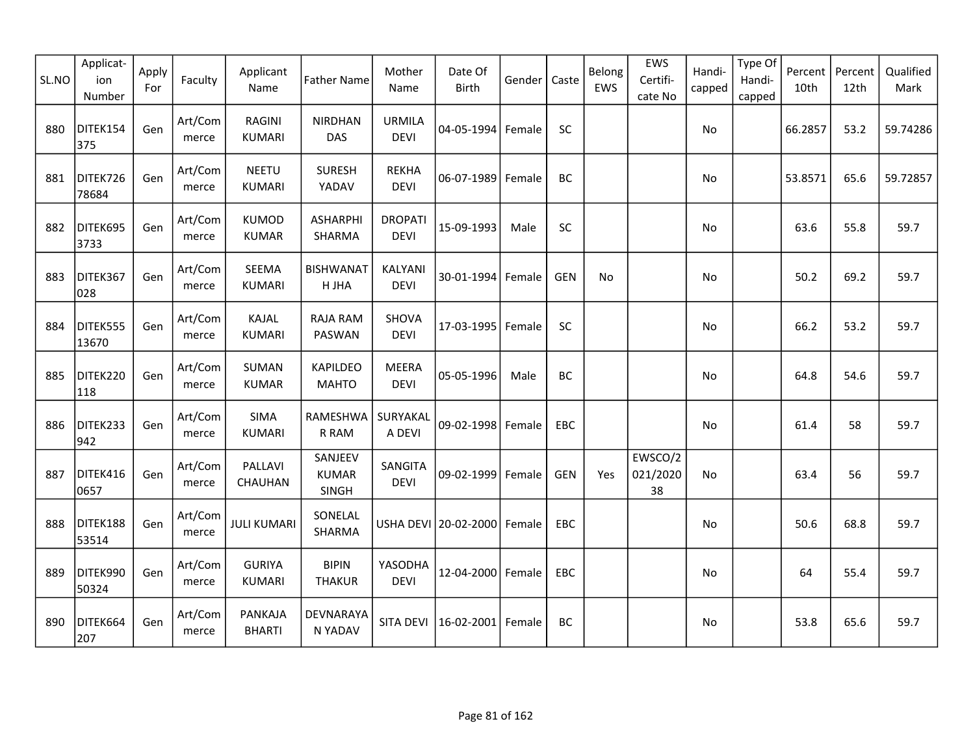| SL.NO | Applicat-<br>ion<br>Number | Apply<br>For | Faculty          | Applicant<br>Name              | <b>Father Name</b>               | Mother<br>Name                | Date Of<br>Birth     | Gender | Caste      | Belong<br>EWS | EWS<br>Certifi-<br>cate No | Handi-<br>capped | Type Of<br>Handi-<br>capped | Percent<br>10th | Percent<br>12th | Qualified<br>Mark |
|-------|----------------------------|--------------|------------------|--------------------------------|----------------------------------|-------------------------------|----------------------|--------|------------|---------------|----------------------------|------------------|-----------------------------|-----------------|-----------------|-------------------|
| 880   | DITEK154<br>375            | Gen          | Art/Com<br>merce | <b>RAGINI</b><br><b>KUMARI</b> | <b>NIRDHAN</b><br>DAS            | <b>URMILA</b><br><b>DEVI</b>  | 04-05-1994 Female    |        | <b>SC</b>  |               |                            | No               |                             | 66.2857         | 53.2            | 59.74286          |
| 881   | DITEK726<br>78684          | Gen          | Art/Com<br>merce | <b>NEETU</b><br><b>KUMARI</b>  | <b>SURESH</b><br>YADAV           | <b>REKHA</b><br><b>DEVI</b>   | 06-07-1989           | Female | BC         |               |                            | No               |                             | 53.8571         | 65.6            | 59.72857          |
| 882   | DITEK695<br>3733           | Gen          | Art/Com<br>merce | <b>KUMOD</b><br><b>KUMAR</b>   | <b>ASHARPHI</b><br>SHARMA        | <b>DROPATI</b><br><b>DEVI</b> | 15-09-1993           | Male   | <b>SC</b>  |               |                            | No.              |                             | 63.6            | 55.8            | 59.7              |
| 883   | DITEK367<br>028            | Gen          | Art/Com<br>merce | SEEMA<br><b>KUMARI</b>         | <b>BISHWANAT</b><br>H JHA        | KALYANI<br><b>DEVI</b>        | 30-01-1994           | Female | <b>GEN</b> | No            |                            | No               |                             | 50.2            | 69.2            | 59.7              |
| 884   | DITEK555<br>13670          | Gen          | Art/Com<br>merce | KAJAL<br><b>KUMARI</b>         | <b>RAJA RAM</b><br>PASWAN        | SHOVA<br><b>DEVI</b>          | 17-03-1995           | Female | SC         |               |                            | No               |                             | 66.2            | 53.2            | 59.7              |
| 885   | DITEK220<br>118            | Gen          | Art/Com<br>merce | <b>SUMAN</b><br><b>KUMAR</b>   | <b>KAPILDEO</b><br><b>MAHTO</b>  | <b>MEERA</b><br><b>DEVI</b>   | 05-05-1996           | Male   | <b>BC</b>  |               |                            | No               |                             | 64.8            | 54.6            | 59.7              |
| 886   | DITEK233<br>942            | Gen          | Art/Com<br>merce | SIMA<br><b>KUMARI</b>          | RAMESHWA<br>R RAM                | SURYAKAL<br>A DEVI            | 09-02-1998 Female    |        | EBC        |               |                            | No               |                             | 61.4            | 58              | 59.7              |
| 887   | DITEK416<br>0657           | Gen          | Art/Com<br>merce | PALLAVI<br>CHAUHAN             | SANJEEV<br><b>KUMAR</b><br>SINGH | SANGITA<br><b>DEVI</b>        | 09-02-1999           | Female | <b>GEN</b> | Yes           | EWSCO/2<br>021/2020<br>38  | <b>No</b>        |                             | 63.4            | 56              | 59.7              |
| 888   | DITEK188<br>53514          | Gen          | Art/Com<br>merce | <b>JULI KUMARI</b>             | SONELAL<br>SHARMA                |                               | USHA DEVI 20-02-2000 | Female | EBC        |               |                            | No               |                             | 50.6            | 68.8            | 59.7              |
| 889   | DITEK990<br>50324          | Gen          | Art/Com<br>merce | <b>GURIYA</b><br><b>KUMARI</b> | <b>BIPIN</b><br><b>THAKUR</b>    | YASODHA<br><b>DEVI</b>        | 12-04-2000 Female    |        | EBC        |               |                            | No               |                             | 64              | 55.4            | 59.7              |
| 890   | DITEK664<br>207            | Gen          | Art/Com<br>merce | PANKAJA<br><b>BHARTI</b>       | DEVNARAYA<br>N YADAV             | SITA DEVI                     | 16-02-2001           | Female | <b>BC</b>  |               |                            | No               |                             | 53.8            | 65.6            | 59.7              |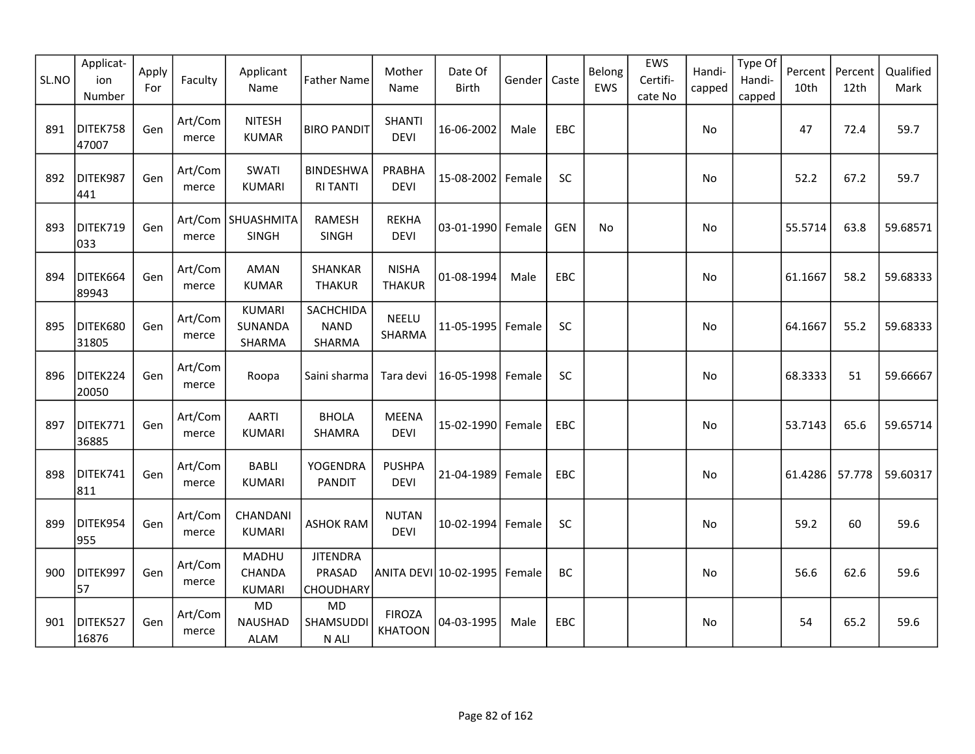| SL.NO | Applicat-<br>ion<br>Number | Apply<br>For | Faculty          | Applicant<br>Name                         | <b>Father Name</b>                            | Mother<br>Name                  | Date Of<br><b>Birth</b> | Gender | Caste      | Belong<br>EWS | EWS<br>Certifi-<br>cate No | Handi-<br>capped | Type Of<br>Handi-<br>capped | Percent<br>10th | Percent<br>12th | Qualified<br>Mark |
|-------|----------------------------|--------------|------------------|-------------------------------------------|-----------------------------------------------|---------------------------------|-------------------------|--------|------------|---------------|----------------------------|------------------|-----------------------------|-----------------|-----------------|-------------------|
| 891   | DITEK758<br>47007          | Gen          | Art/Com<br>merce | <b>NITESH</b><br><b>KUMAR</b>             | <b>BIRO PANDIT</b>                            | <b>SHANTI</b><br><b>DEVI</b>    | 16-06-2002              | Male   | EBC        |               |                            | No               |                             | 47              | 72.4            | 59.7              |
| 892   | DITEK987<br>441            | Gen          | Art/Com<br>merce | <b>SWATI</b><br><b>KUMARI</b>             | <b>BINDESHWA</b><br><b>RI TANTI</b>           | PRABHA<br><b>DEVI</b>           | 15-08-2002              | Female | SC         |               |                            | No               |                             | 52.2            | 67.2            | 59.7              |
| 893   | DITEK719<br>033            | Gen          | merce            | Art/Com   SHUASHMITA<br>SINGH             | RAMESH<br><b>SINGH</b>                        | <b>REKHA</b><br><b>DEVI</b>     | 03-01-1990 Female       |        | <b>GEN</b> | <b>No</b>     |                            | No               |                             | 55.5714         | 63.8            | 59.68571          |
| 894   | DITEK664<br>89943          | Gen          | Art/Com<br>merce | AMAN<br><b>KUMAR</b>                      | SHANKAR<br><b>THAKUR</b>                      | <b>NISHA</b><br><b>THAKUR</b>   | 01-08-1994              | Male   | EBC        |               |                            | No               |                             | 61.1667         | 58.2            | 59.68333          |
| 895   | DITEK680<br>31805          | Gen          | Art/Com<br>merce | <b>KUMARI</b><br><b>SUNANDA</b><br>SHARMA | SACHCHIDA<br><b>NAND</b><br>SHARMA            | <b>NEELU</b><br>SHARMA          | 11-05-1995              | Female | <b>SC</b>  |               |                            | No               |                             | 64.1667         | 55.2            | 59.68333          |
| 896   | DITEK224<br>20050          | Gen          | Art/Com<br>merce | Roopa                                     | Saini sharma                                  | Tara devi                       | 16-05-1998              | Female | SC         |               |                            | No               |                             | 68.3333         | 51              | 59.66667          |
| 897   | DITEK771<br>36885          | Gen          | Art/Com<br>merce | <b>AARTI</b><br><b>KUMARI</b>             | <b>BHOLA</b><br>SHAMRA                        | <b>MEENA</b><br><b>DEVI</b>     | 15-02-1990 Female       |        | EBC        |               |                            | No               |                             | 53.7143         | 65.6            | 59.65714          |
| 898   | DITEK741<br>811            | Gen          | Art/Com<br>merce | <b>BABLI</b><br><b>KUMARI</b>             | YOGENDRA<br><b>PANDIT</b>                     | <b>PUSHPA</b><br><b>DEVI</b>    | 21-04-1989              | Female | EBC        |               |                            | No               |                             | 61.4286         | 57.778          | 59.60317          |
| 899   | DITEK954<br>955            | Gen          | Art/Com<br>merce | CHANDANI<br>KUMARI                        | <b>ASHOK RAM</b>                              | <b>NUTAN</b><br><b>DEVI</b>     | 10-02-1994              | Female | SC         |               |                            | No               |                             | 59.2            | 60              | 59.6              |
| 900   | DITEK997<br>57             | Gen          | Art/Com<br>merce | <b>MADHU</b><br>CHANDA<br><b>KUMARI</b>   | <b>JITENDRA</b><br>PRASAD<br><b>CHOUDHARY</b> |                                 | ANITA DEVI 10-02-1995   | Female | <b>BC</b>  |               |                            | No               |                             | 56.6            | 62.6            | 59.6              |
| 901   | DITEK527<br>16876          | Gen          | Art/Com<br>merce | <b>MD</b><br><b>NAUSHAD</b><br>ALAM       | <b>MD</b><br>SHAMSUDDI<br>N ALI               | <b>FIROZA</b><br><b>KHATOON</b> | 04-03-1995              | Male   | <b>EBC</b> |               |                            | No               |                             | 54              | 65.2            | 59.6              |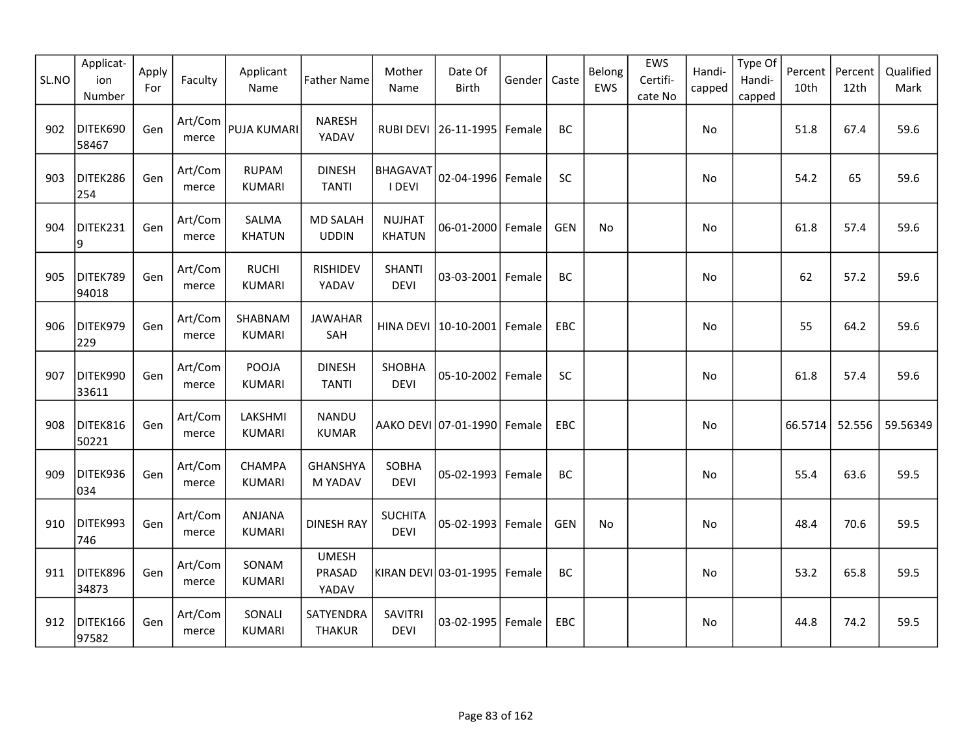| SL.NO | Applicat-<br>ion<br>Number | Apply<br>For | Faculty          | Applicant<br>Name              | <b>Father Name</b>              | Mother<br>Name                 | Date Of<br>Birth            | Gender | Caste      | Belong<br>EWS | EWS<br>Certifi-<br>cate No | Handi-<br>capped | Type Of<br>Handi-<br>capped | Percent<br>10th | Percent<br>12th | Qualified<br>Mark |
|-------|----------------------------|--------------|------------------|--------------------------------|---------------------------------|--------------------------------|-----------------------------|--------|------------|---------------|----------------------------|------------------|-----------------------------|-----------------|-----------------|-------------------|
| 902   | DITEK690<br>58467          | Gen          | Art/Com<br>merce | <b>PUJA KUMARI</b>             | <b>NARESH</b><br>YADAV          | <b>RUBI DEVI</b>               | 26-11-1995                  | Female | <b>BC</b>  |               |                            | No               |                             | 51.8            | 67.4            | 59.6              |
| 903   | DITEK286<br>254            | Gen          | Art/Com<br>merce | <b>RUPAM</b><br><b>KUMARI</b>  | <b>DINESH</b><br><b>TANTI</b>   | <b>BHAGAVAT</b><br>I DEVI      | 02-04-1996 Female           |        | SC         |               |                            | No               |                             | 54.2            | 65              | 59.6              |
| 904   | DITEK231<br>9              | Gen          | Art/Com<br>merce | SALMA<br><b>KHATUN</b>         | <b>MD SALAH</b><br><b>UDDIN</b> | <b>NUJHAT</b><br><b>KHATUN</b> | 06-01-2000 Female           |        | <b>GEN</b> | No.           |                            | <b>No</b>        |                             | 61.8            | 57.4            | 59.6              |
| 905   | DITEK789<br>94018          | Gen          | Art/Com<br>merce | <b>RUCHI</b><br><b>KUMARI</b>  | <b>RISHIDEV</b><br>YADAV        | <b>SHANTI</b><br><b>DEVI</b>   | 03-03-2001 Female           |        | BC         |               |                            | No               |                             | 62              | 57.2            | 59.6              |
| 906   | DITEK979<br>229            | Gen          | Art/Com<br>merce | SHABNAM<br><b>KUMARI</b>       | <b>JAWAHAR</b><br>SAH           | <b>HINA DEVI</b>               | 10-10-2001                  | Female | EBC        |               |                            | No               |                             | 55              | 64.2            | 59.6              |
| 907   | DITEK990<br>33611          | Gen          | Art/Com<br>merce | POOJA<br><b>KUMARI</b>         | <b>DINESH</b><br><b>TANTI</b>   | SHOBHA<br><b>DEVI</b>          | 05-10-2002 Female           |        | <b>SC</b>  |               |                            | <b>No</b>        |                             | 61.8            | 57.4            | 59.6              |
| 908   | DITEK816<br>50221          | Gen          | Art/Com<br>merce | LAKSHMI<br>KUMARI              | <b>NANDU</b><br><b>KUMAR</b>    |                                | AAKO DEVI 07-01-1990 Female |        | EBC        |               |                            | No               |                             | 66.5714         | 52.556          | 59.56349          |
| 909   | DITEK936<br>034            | Gen          | Art/Com<br>merce | CHAMPA<br><b>KUMARI</b>        | <b>GHANSHYA</b><br>M YADAV      | SOBHA<br><b>DEVI</b>           | 05-02-1993 Female           |        | BC         |               |                            | No               |                             | 55.4            | 63.6            | 59.5              |
| 910   | DITEK993<br>746            | Gen          | Art/Com<br>merce | <b>ANJANA</b><br><b>KUMARI</b> | <b>DINESH RAY</b>               | <b>SUCHITA</b><br><b>DEVI</b>  | 05-02-1993   Female         |        | <b>GEN</b> | No            |                            | No               |                             | 48.4            | 70.6            | 59.5              |
| 911   | DITEK896<br>34873          | Gen          | Art/Com<br>merce | SONAM<br>KUMARI                | <b>UMESH</b><br>PRASAD<br>YADAV |                                | KIRAN DEVI 03-01-1995       | Female | <b>BC</b>  |               |                            | No               |                             | 53.2            | 65.8            | 59.5              |
| 912   | DITEK166<br>97582          | Gen          | Art/Com<br>merce | SONALI<br><b>KUMARI</b>        | SATYENDRA<br><b>THAKUR</b>      | <b>SAVITRI</b><br><b>DEVI</b>  | 03-02-1995   Female         |        | EBC        |               |                            | No               |                             | 44.8            | 74.2            | 59.5              |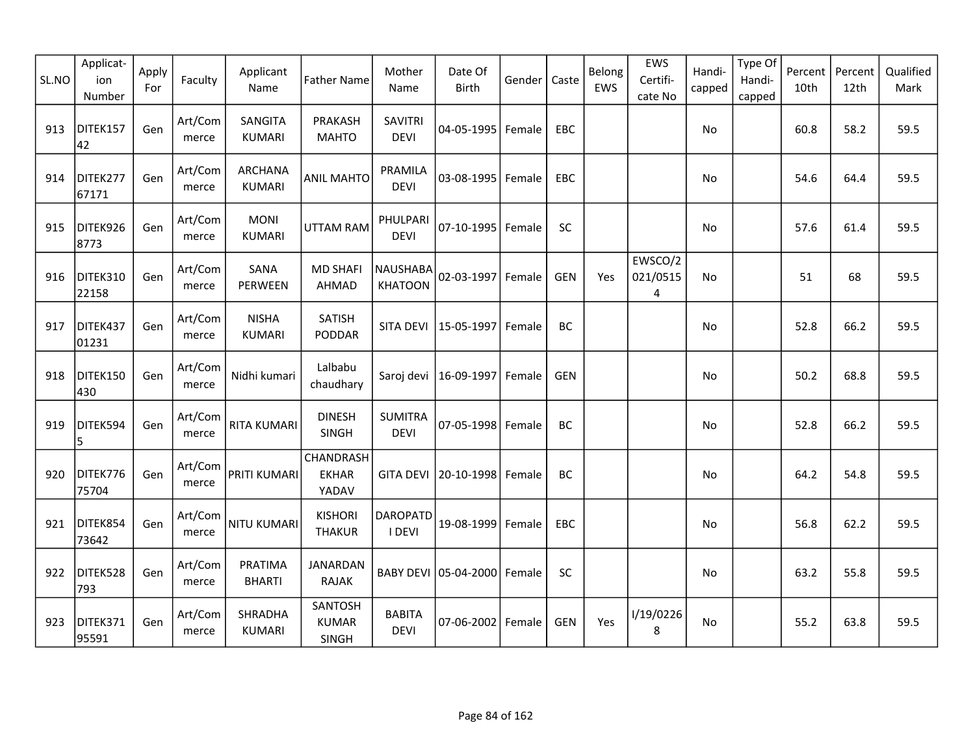| SL.NO | Applicat-<br>ion<br>Number | Apply<br>For | Faculty          | Applicant<br>Name             | <b>Father Name</b>                      | Mother<br>Name                | Date Of<br><b>Birth</b>     | Gender | Caste      | Belong<br>EWS | EWS<br>Certifi-<br>cate No | Handi-<br>capped | Type Of<br>Handi-<br>capped | Percent<br>10th | Percent<br>12th | Qualified<br>Mark |
|-------|----------------------------|--------------|------------------|-------------------------------|-----------------------------------------|-------------------------------|-----------------------------|--------|------------|---------------|----------------------------|------------------|-----------------------------|-----------------|-----------------|-------------------|
| 913   | DITEK157<br>42             | Gen          | Art/Com<br>merce | SANGITA<br><b>KUMARI</b>      | PRAKASH<br><b>MAHTO</b>                 | <b>SAVITRI</b><br><b>DEVI</b> | 04-05-1995   Female         |        | EBC        |               |                            | No               |                             | 60.8            | 58.2            | 59.5              |
| 914   | DITEK277<br>67171          | Gen          | Art/Com<br>merce | ARCHANA<br><b>KUMARI</b>      | <b>ANIL MAHTO</b>                       | PRAMILA<br><b>DEVI</b>        | 03-08-1995 Female           |        | EBC        |               |                            | No               |                             | 54.6            | 64.4            | 59.5              |
| 915   | DITEK926<br>8773           | Gen          | Art/Com<br>merce | <b>MONI</b><br><b>KUMARI</b>  | <b>UTTAM RAM</b>                        | PHULPARI<br><b>DEVI</b>       | 07-10-1995 Female           |        | SC         |               |                            | No               |                             | 57.6            | 61.4            | 59.5              |
| 916   | DITEK310<br>22158          | Gen          | Art/Com<br>merce | SANA<br>PERWEEN               | <b>MD SHAFI</b><br>AHMAD                | NAUSHABA<br><b>KHATOON</b>    | 02-03-1997 Female           |        | <b>GEN</b> | Yes           | EWSCO/2<br>021/0515<br>4   | No               |                             | 51              | 68              | 59.5              |
| 917   | DITEK437<br>01231          | Gen          | Art/Com<br>merce | <b>NISHA</b><br><b>KUMARI</b> | SATISH<br><b>PODDAR</b>                 | SITA DEVI                     | 15-05-1997 Female           |        | BC         |               |                            | No               |                             | 52.8            | 66.2            | 59.5              |
| 918   | DITEK150<br>430            | Gen          | Art/Com<br>merce | Nidhi kumari                  | Lalbabu<br>chaudhary                    | Saroj devi                    | 16-09-1997   Female         |        | <b>GEN</b> |               |                            | No               |                             | 50.2            | 68.8            | 59.5              |
| 919   | DITEK594<br>5              | Gen          | Art/Com<br>merce | <b>RITA KUMARI</b>            | <b>DINESH</b><br>SINGH                  | <b>SUMITRA</b><br><b>DEVI</b> | 07-05-1998 Female           |        | BC         |               |                            | No               |                             | 52.8            | 66.2            | 59.5              |
| 920   | DITEK776<br>75704          | Gen          | Art/Com<br>merce | PRITI KUMARI                  | CHANDRASH<br><b>EKHAR</b><br>YADAV      | <b>GITA DEVI</b>              | 20-10-1998 Female           |        | BC         |               |                            | No               |                             | 64.2            | 54.8            | 59.5              |
| 921   | DITEK854<br>73642          | Gen          | Art/Com<br>merce | NITU KUMARI                   | <b>KISHORI</b><br><b>THAKUR</b>         | <b>DAROPATD</b><br>I DEVI     | 19-08-1999 Female           |        | <b>EBC</b> |               |                            | No               |                             | 56.8            | 62.2            | 59.5              |
| 922   | DITEK528<br>793            | Gen          | Art/Com<br>merce | PRATIMA<br><b>BHARTI</b>      | <b>JANARDAN</b><br><b>RAJAK</b>         |                               | BABY DEVI 05-04-2000 Female |        | SC         |               |                            | No               |                             | 63.2            | 55.8            | 59.5              |
| 923   | DITEK371<br>95591          | Gen          | Art/Com<br>merce | SHRADHA<br><b>KUMARI</b>      | SANTOSH<br><b>KUMAR</b><br><b>SINGH</b> | <b>BABITA</b><br><b>DEVI</b>  | 07-06-2002 Female           |        | <b>GEN</b> | Yes           | I/19/0226<br>8             | No               |                             | 55.2            | 63.8            | 59.5              |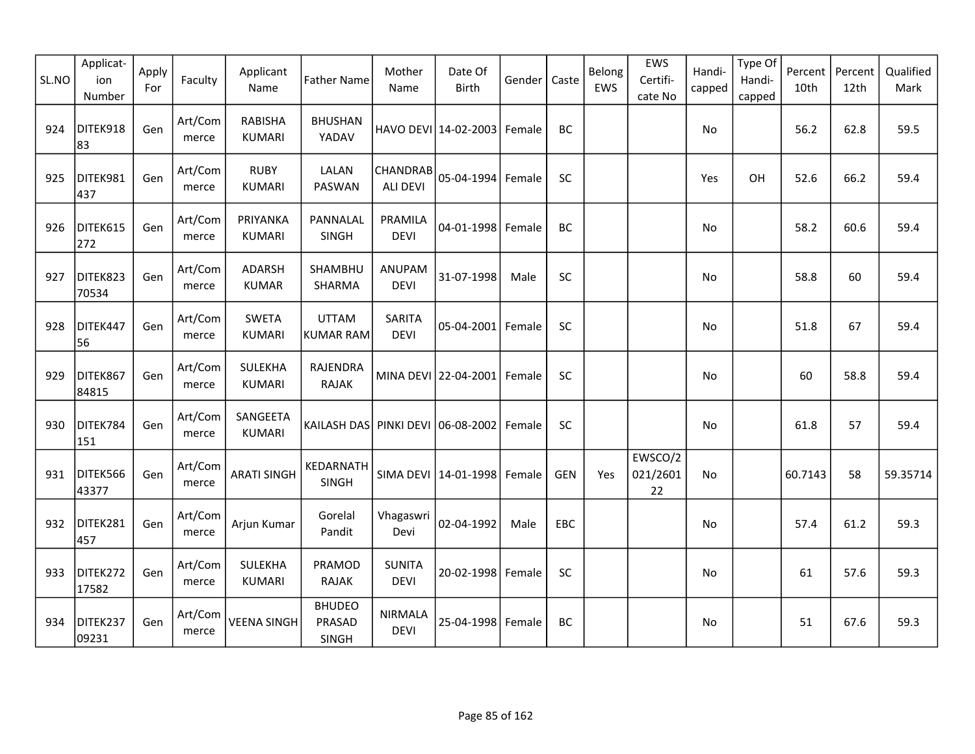| SL.NO | Applicat-<br>ion<br>Number | Apply<br>For | Faculty          | Applicant<br>Name               | <b>Father Name</b>                      | Mother<br>Name                | Date Of<br><b>Birth</b>     | Gender | Caste      | Belong<br>EWS | EWS<br>Certifi-<br>cate No | Handi-<br>capped | Type Of<br>Handi-<br>capped | Percent<br>10th | Percent<br>12th | Qualified<br>Mark |
|-------|----------------------------|--------------|------------------|---------------------------------|-----------------------------------------|-------------------------------|-----------------------------|--------|------------|---------------|----------------------------|------------------|-----------------------------|-----------------|-----------------|-------------------|
| 924   | DITEK918<br>83             | Gen          | Art/Com<br>merce | <b>RABISHA</b><br><b>KUMARI</b> | <b>BHUSHAN</b><br>YADAV                 |                               | HAVO DEVI 14-02-2003 Female |        | <b>BC</b>  |               |                            | No               |                             | 56.2            | 62.8            | 59.5              |
| 925   | DITEK981<br>437            | Gen          | Art/Com<br>merce | <b>RUBY</b><br><b>KUMARI</b>    | LALAN<br>PASWAN                         | CHANDRAB<br><b>ALI DEVI</b>   | 05-04-1994                  | Female | <b>SC</b>  |               |                            | Yes              | OH                          | 52.6            | 66.2            | 59.4              |
| 926   | DITEK615<br>272            | Gen          | Art/Com<br>merce | PRIYANKA<br><b>KUMARI</b>       | PANNALAL<br>SINGH                       | PRAMILA<br><b>DEVI</b>        | 04-01-1998 Female           |        | <b>BC</b>  |               |                            | <b>No</b>        |                             | 58.2            | 60.6            | 59.4              |
| 927   | DITEK823<br>70534          | Gen          | Art/Com<br>merce | ADARSH<br><b>KUMAR</b>          | SHAMBHU<br>SHARMA                       | ANUPAM<br><b>DEVI</b>         | 31-07-1998                  | Male   | $\sf SC$   |               |                            | No               |                             | 58.8            | 60              | 59.4              |
| 928   | DITEK447<br>56             | Gen          | Art/Com<br>merce | <b>SWETA</b><br><b>KUMARI</b>   | <b>UTTAM</b><br><b>KUMAR RAM</b>        | SARITA<br><b>DEVI</b>         | 05-04-2001                  | Female | <b>SC</b>  |               |                            | No               |                             | 51.8            | 67              | 59.4              |
| 929   | DITEK867<br>84815          | Gen          | Art/Com<br>merce | <b>SULEKHA</b><br><b>KUMARI</b> | RAJENDRA<br>RAJAK                       |                               | MINA DEVI 22-04-2001        | Female | SC         |               |                            | No               |                             | 60              | 58.8            | 59.4              |
| 930   | DITEK784<br>151            | Gen          | Art/Com<br>merce | SANGEETA<br><b>KUMARI</b>       | KAILASH DAS PINKI DEVI 06-08-2002       |                               |                             | Female | SC         |               |                            | No               |                             | 61.8            | 57              | 59.4              |
| 931   | DITEK566<br>43377          | Gen          | Art/Com<br>merce | <b>ARATI SINGH</b>              | KEDARNATH<br><b>SINGH</b>               |                               | SIMA DEVI   14-01-1998      | Female | <b>GEN</b> | Yes           | EWSCO/2<br>021/2601<br>22  | No               |                             | 60.7143         | 58              | 59.35714          |
| 932   | DITEK281<br>457            | Gen          | Art/Com<br>merce | Arjun Kumar                     | Gorelal<br>Pandit                       | Vhagaswri<br>Devi             | 02-04-1992                  | Male   | EBC        |               |                            | No               |                             | 57.4            | 61.2            | 59.3              |
| 933   | DITEK272<br>17582          | Gen          | Art/Com<br>merce | <b>SULEKHA</b><br><b>KUMARI</b> | PRAMOD<br><b>RAJAK</b>                  | <b>SUNITA</b><br><b>DEVI</b>  | 20-02-1998 Female           |        | SC         |               |                            | No               |                             | 61              | 57.6            | 59.3              |
| 934   | DITEK237<br>09231          | Gen          | Art/Com<br>merce | <b>VEENA SINGH</b>              | <b>BHUDEO</b><br>PRASAD<br><b>SINGH</b> | <b>NIRMALA</b><br><b>DEVI</b> | 25-04-1998                  | Female | <b>BC</b>  |               |                            | No               |                             | 51              | 67.6            | 59.3              |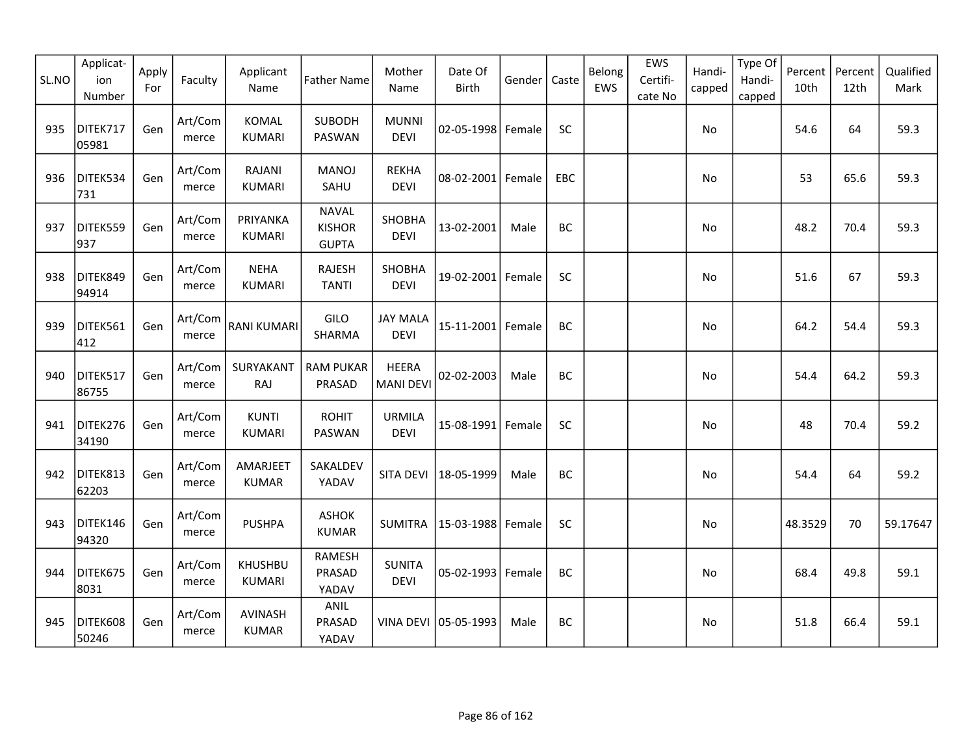| SL.NO | Applicat-<br>ion<br>Number | Apply<br>For | Faculty          | Applicant<br>Name              | <b>Father Name</b>                            | Mother<br>Name                   | Date Of<br>Birth     | Gender | Caste     | Belong<br>EWS | EWS<br>Certifi-<br>cate No | Handi-<br>capped | Type Of<br>Handi-<br>capped | Percent<br>10th | Percent<br>12th | Qualified<br>Mark |
|-------|----------------------------|--------------|------------------|--------------------------------|-----------------------------------------------|----------------------------------|----------------------|--------|-----------|---------------|----------------------------|------------------|-----------------------------|-----------------|-----------------|-------------------|
| 935   | DITEK717<br>05981          | Gen          | Art/Com<br>merce | <b>KOMAL</b><br><b>KUMARI</b>  | <b>SUBODH</b><br>PASWAN                       | <b>MUNNI</b><br><b>DEVI</b>      | 02-05-1998 Female    |        | SC        |               |                            | No               |                             | 54.6            | 64              | 59.3              |
| 936   | DITEK534<br>731            | Gen          | Art/Com<br>merce | <b>RAJANI</b><br><b>KUMARI</b> | <b>MANOJ</b><br>SAHU                          | <b>REKHA</b><br><b>DEVI</b>      | $08 - 02 - 2001$     | Female | EBC       |               |                            | No               |                             | 53              | 65.6            | 59.3              |
| 937   | DITEK559<br>937            | Gen          | Art/Com<br>merce | PRIYANKA<br><b>KUMARI</b>      | <b>NAVAL</b><br><b>KISHOR</b><br><b>GUPTA</b> | <b>SHOBHA</b><br><b>DEVI</b>     | 13-02-2001           | Male   | <b>BC</b> |               |                            | <b>No</b>        |                             | 48.2            | 70.4            | 59.3              |
| 938   | DITEK849<br>94914          | Gen          | Art/Com<br>merce | <b>NEHA</b><br><b>KUMARI</b>   | <b>RAJESH</b><br><b>TANTI</b>                 | SHOBHA<br><b>DEVI</b>            | 19-02-2001           | Female | <b>SC</b> |               |                            | No               |                             | 51.6            | 67              | 59.3              |
| 939   | DITEK561<br>412            | Gen          | Art/Com<br>merce | <b>RANI KUMARI</b>             | GILO<br>SHARMA                                | <b>JAY MALA</b><br><b>DEVI</b>   | 15-11-2001 Female    |        | BC        |               |                            | No               |                             | 64.2            | 54.4            | 59.3              |
| 940   | DITEK517<br>86755          | Gen          | Art/Com<br>merce | SURYAKANT<br>RAJ               | <b>RAM PUKAR</b><br>PRASAD                    | <b>HEERA</b><br><b>MANI DEVI</b> | 02-02-2003           | Male   | <b>BC</b> |               |                            | No               |                             | 54.4            | 64.2            | 59.3              |
| 941   | DITEK276<br>34190          | Gen          | Art/Com<br>merce | <b>KUNTI</b><br><b>KUMARI</b>  | <b>ROHIT</b><br><b>PASWAN</b>                 | <b>URMILA</b><br><b>DEVI</b>     | 15-08-1991           | Female | SC        |               |                            | No               |                             | 48              | 70.4            | 59.2              |
| 942   | DITEK813<br>62203          | Gen          | Art/Com<br>merce | AMARJEET<br><b>KUMAR</b>       | SAKALDEV<br>YADAV                             | SITA DEVI                        | 18-05-1999           | Male   | BC        |               |                            | No               |                             | 54.4            | 64              | 59.2              |
| 943   | DITEK146<br>94320          | Gen          | Art/Com<br>merce | <b>PUSHPA</b>                  | <b>ASHOK</b><br><b>KUMAR</b>                  | <b>SUMITRA</b>                   | 15-03-1988           | Female | <b>SC</b> |               |                            | No               |                             | 48.3529         | 70              | 59.17647          |
| 944   | DITEK675<br>8031           | Gen          | Art/Com<br>merce | <b>KHUSHBU</b><br>KUMARI       | <b>RAMESH</b><br>PRASAD<br>YADAV              | <b>SUNITA</b><br><b>DEVI</b>     | 05-02-1993 Female    |        | BC        |               |                            | No               |                             | 68.4            | 49.8            | 59.1              |
| 945   | DITEK608<br>50246          | Gen          | Art/Com<br>merce | <b>AVINASH</b><br><b>KUMAR</b> | ANIL<br>PRASAD<br>YADAV                       |                                  | VINA DEVI 05-05-1993 | Male   | <b>BC</b> |               |                            | <b>No</b>        |                             | 51.8            | 66.4            | 59.1              |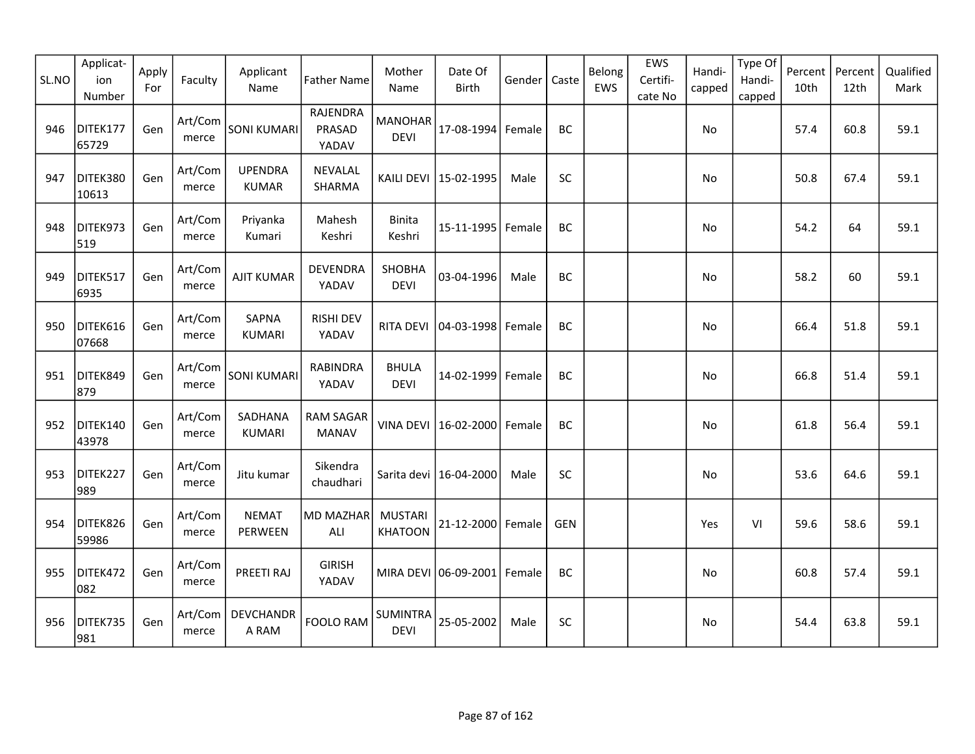| SL.NO | Applicat-<br>ion<br>Number | Apply<br>For | Faculty          | Applicant<br>Name              | <b>Father Name</b>               | Mother<br>Name                   | Date Of<br><b>Birth</b>     | Gender | Caste      | Belong<br>EWS | EWS<br>Certifi-<br>cate No | Handi-<br>capped | Type Of<br>Handi-<br>capped | Percent<br>10th | Percent<br>12th | Qualified<br>Mark |
|-------|----------------------------|--------------|------------------|--------------------------------|----------------------------------|----------------------------------|-----------------------------|--------|------------|---------------|----------------------------|------------------|-----------------------------|-----------------|-----------------|-------------------|
| 946   | DITEK177<br>65729          | Gen          | Art/Com<br>merce | <b>SONI KUMARI</b>             | RAJENDRA<br>PRASAD<br>YADAV      | <b>MANOHAR</b><br><b>DEVI</b>    | 17-08-1994 Female           |        | BC         |               |                            | No               |                             | 57.4            | 60.8            | 59.1              |
| 947   | DITEK380<br>10613          | Gen          | Art/Com<br>merce | <b>UPENDRA</b><br><b>KUMAR</b> | NEVALAL<br>SHARMA                |                                  | KAILI DEVI   15-02-1995     | Male   | SC         |               |                            | No               |                             | 50.8            | 67.4            | 59.1              |
| 948   | DITEK973<br>519            | Gen          | Art/Com<br>merce | Priyanka<br>Kumari             | Mahesh<br>Keshri                 | Binita<br>Keshri                 | $15 - 11 - 1995$            | Female | <b>BC</b>  |               |                            | No               |                             | 54.2            | 64              | 59.1              |
| 949   | DITEK517<br>6935           | Gen          | Art/Com<br>merce | <b>AJIT KUMAR</b>              | <b>DEVENDRA</b><br>YADAV         | SHOBHA<br><b>DEVI</b>            | 03-04-1996                  | Male   | BC         |               |                            | No               |                             | 58.2            | 60              | 59.1              |
| 950   | DITEK616<br>07668          | Gen          | Art/Com<br>merce | SAPNA<br><b>KUMARI</b>         | <b>RISHI DEV</b><br>YADAV        | RITA DEVI                        | 04-03-1998                  | Female | BC         |               |                            | No               |                             | 66.4            | 51.8            | 59.1              |
| 951   | DITEK849<br>879            | Gen          | Art/Com<br>merce | <b>SONI KUMARI</b>             | <b>RABINDRA</b><br>YADAV         | <b>BHULA</b><br><b>DEVI</b>      | 14-02-1999                  | Female | BC         |               |                            | No               |                             | 66.8            | 51.4            | 59.1              |
| 952   | DITEK140<br>43978          | Gen          | Art/Com<br>merce | SADHANA<br><b>KUMARI</b>       | <b>RAM SAGAR</b><br><b>MANAV</b> |                                  | VINA DEVI 16-02-2000        | Female | BC         |               |                            | No               |                             | 61.8            | 56.4            | 59.1              |
| 953   | DITEK227<br>989            | Gen          | Art/Com<br>merce | Jitu kumar                     | Sikendra<br>chaudhari            |                                  | Sarita devi   16-04-2000    | Male   | SC         |               |                            | No               |                             | 53.6            | 64.6            | 59.1              |
| 954   | DITEK826<br>59986          | Gen          | Art/Com<br>merce | <b>NEMAT</b><br>PERWEEN        | <b>MD MAZHAR</b><br>ALI          | <b>MUSTARI</b><br><b>KHATOON</b> | 21-12-2000 Female           |        | <b>GEN</b> |               |                            | Yes              | VI                          | 59.6            | 58.6            | 59.1              |
| 955   | DITEK472<br>082            | Gen          | Art/Com<br>merce | PREETI RAJ                     | <b>GIRISH</b><br>YADAV           |                                  | MIRA DEVI 06-09-2001 Female |        | BC         |               |                            | No               |                             | 60.8            | 57.4            | 59.1              |
| 956   | DITEK735<br>981            | Gen          | Art/Com<br>merce | <b>DEVCHANDR</b><br>A RAM      | FOOLO RAM                        | <b>SUMINTRA</b><br><b>DEVI</b>   | 25-05-2002                  | Male   | SC         |               |                            | No               |                             | 54.4            | 63.8            | 59.1              |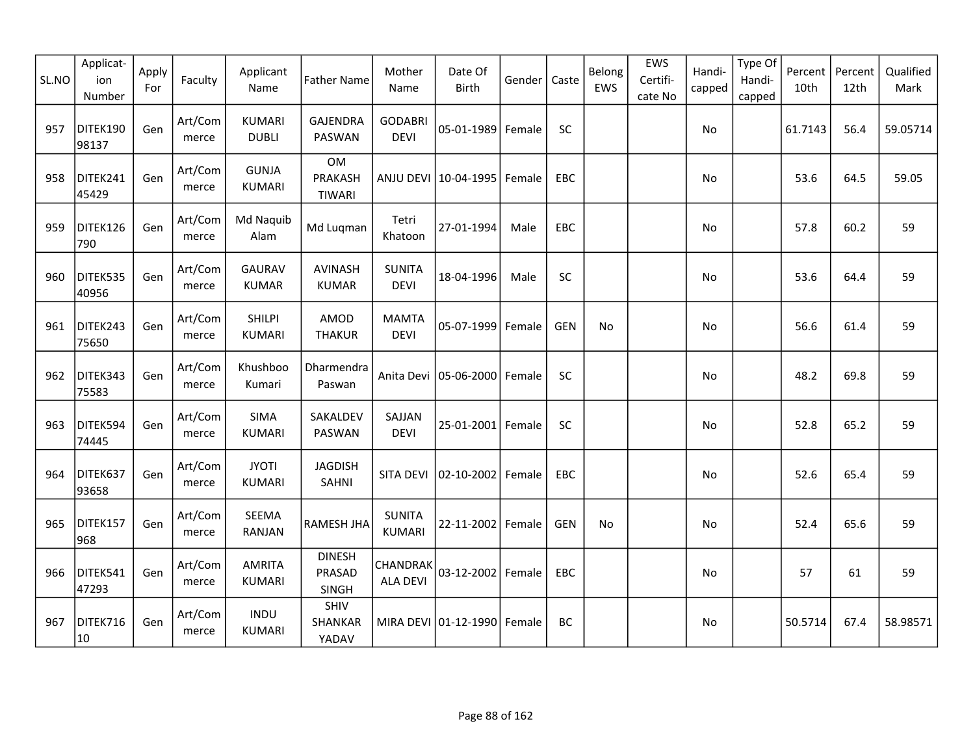| SL.NO | Applicat-<br>ion<br>Number | Apply<br>For | Faculty          | Applicant<br>Name              | <b>Father Name</b>                    | Mother<br>Name                 | Date Of<br><b>Birth</b> | Gender | Caste      | Belong<br>EWS | EWS<br>Certifi-<br>cate No | Handi-<br>capped | Type Of<br>Handi-<br>capped | Percent<br>10th | Percent<br>12th | Qualified<br>Mark |
|-------|----------------------------|--------------|------------------|--------------------------------|---------------------------------------|--------------------------------|-------------------------|--------|------------|---------------|----------------------------|------------------|-----------------------------|-----------------|-----------------|-------------------|
| 957   | DITEK190<br>98137          | Gen          | Art/Com<br>merce | <b>KUMARI</b><br><b>DUBLI</b>  | <b>GAJENDRA</b><br>PASWAN             | <b>GODABRI</b><br><b>DEVI</b>  | 05-01-1989              | Female | SC         |               |                            | No               |                             | 61.7143         | 56.4            | 59.05714          |
| 958   | DITEK241<br>45429          | Gen          | Art/Com<br>merce | <b>GUNJA</b><br><b>KUMARI</b>  | OM<br><b>PRAKASH</b><br><b>TIWARI</b> |                                | ANJU DEVI 10-04-1995    | Female | EBC        |               |                            | No               |                             | 53.6            | 64.5            | 59.05             |
| 959   | DITEK126<br>790            | Gen          | Art/Com<br>merce | Md Naquib<br>Alam              | Md Luqman                             | Tetri<br>Khatoon               | 27-01-1994              | Male   | EBC        |               |                            | No               |                             | 57.8            | 60.2            | 59                |
| 960   | DITEK535<br>40956          | Gen          | Art/Com<br>merce | <b>GAURAV</b><br><b>KUMAR</b>  | AVINASH<br><b>KUMAR</b>               | <b>SUNITA</b><br><b>DEVI</b>   | 18-04-1996              | Male   | SC         |               |                            | No               |                             | 53.6            | 64.4            | 59                |
| 961   | DITEK243<br>75650          | Gen          | Art/Com<br>merce | <b>SHILPI</b><br><b>KUMARI</b> | AMOD<br><b>THAKUR</b>                 | <b>MAMTA</b><br><b>DEVI</b>    | 05-07-1999              | Female | <b>GEN</b> | No.           |                            | No               |                             | 56.6            | 61.4            | 59                |
| 962   | DITEK343<br>75583          | Gen          | Art/Com<br>merce | Khushboo<br>Kumari             | Dharmendra<br>Paswan                  | Anita Devi                     | 05-06-2000              | Female | SC         |               |                            | No               |                             | 48.2            | 69.8            | 59                |
| 963   | DITEK594<br>74445          | Gen          | Art/Com<br>merce | SIMA<br><b>KUMARI</b>          | SAKALDEV<br>PASWAN                    | SAJJAN<br><b>DEVI</b>          | 25-01-2001 Female       |        | SC         |               |                            | <b>No</b>        |                             | 52.8            | 65.2            | 59                |
| 964   | DITEK637<br>93658          | Gen          | Art/Com<br>merce | <b>JYOTI</b><br><b>KUMARI</b>  | <b>JAGDISH</b><br>SAHNI               | SITA DEVI                      | 02-10-2002              | Female | EBC        |               |                            | No               |                             | 52.6            | 65.4            | 59                |
| 965   | DITEK157<br>968            | Gen          | Art/Com<br>merce | <b>SEEMA</b><br><b>RANJAN</b>  | RAMESH JHA                            | <b>SUNITA</b><br><b>KUMARI</b> | 22-11-2002              | Female | <b>GEN</b> | No            |                            | No               |                             | 52.4            | 65.6            | 59                |
| 966   | DITEK541<br>47293          | Gen          | Art/Com<br>merce | <b>AMRITA</b><br><b>KUMARI</b> | <b>DINESH</b><br>PRASAD<br>SINGH      | CHANDRAK<br><b>ALA DEVI</b>    | 03-12-2002 Female       |        | EBC        |               |                            | No               |                             | 57              | 61              | 59                |
| 967   | DITEK716<br>10             | Gen          | Art/Com<br>merce | <b>INDU</b><br><b>KUMARI</b>   | SHIV<br>SHANKAR<br>YADAV              |                                | MIRA DEVI 01-12-1990    | Female | BC         |               |                            | No               |                             | 50.5714         | 67.4            | 58.98571          |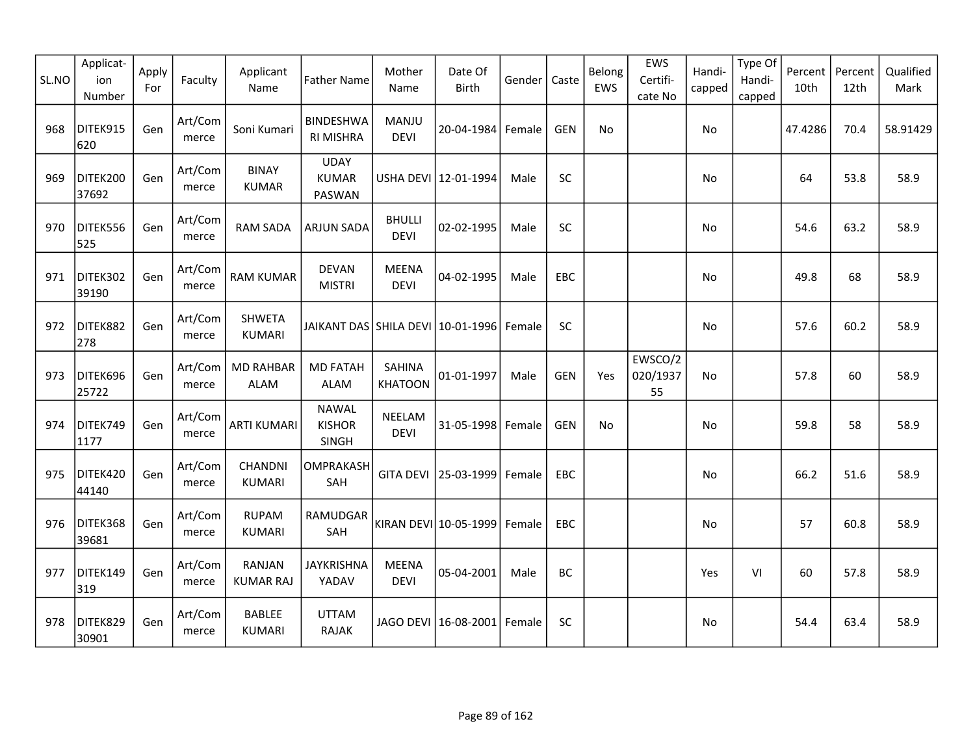| SL.NO | Applicat-<br>ion<br>Number | Apply<br>For | Faculty          | Applicant<br>Name                 | <b>Father Name</b>                     | Mother<br>Name                  | Date Of<br><b>Birth</b>         | Gender | Caste      | Belong<br>EWS | EWS<br>Certifi-<br>cate No | Handi-<br>capped | Type Of<br>Handi-<br>capped | Percent<br>10th | Percent<br>12th | Qualified<br>Mark |
|-------|----------------------------|--------------|------------------|-----------------------------------|----------------------------------------|---------------------------------|---------------------------------|--------|------------|---------------|----------------------------|------------------|-----------------------------|-----------------|-----------------|-------------------|
| 968   | DITEK915<br>620            | Gen          | Art/Com<br>merce | Soni Kumari                       | <b>BINDESHWA</b><br><b>RI MISHRA</b>   | MANJU<br><b>DEVI</b>            | 20-04-1984 Female               |        | <b>GEN</b> | No            |                            | No               |                             | 47.4286         | 70.4            | 58.91429          |
| 969   | DITEK200<br>37692          | Gen          | Art/Com<br>merce | <b>BINAY</b><br><b>KUMAR</b>      | <b>UDAY</b><br><b>KUMAR</b><br>PASWAN  |                                 | USHA DEVI 12-01-1994            | Male   | SC         |               |                            | No               |                             | 64              | 53.8            | 58.9              |
| 970   | DITEK556<br>525            | Gen          | Art/Com<br>merce | <b>RAM SADA</b>                   | <b>ARJUN SADA</b>                      | <b>BHULLI</b><br><b>DEVI</b>    | 02-02-1995                      | Male   | SC         |               |                            | No               |                             | 54.6            | 63.2            | 58.9              |
| 971   | DITEK302<br>39190          | Gen          | Art/Com<br>merce | <b>RAM KUMAR</b>                  | <b>DEVAN</b><br><b>MISTRI</b>          | <b>MEENA</b><br><b>DEVI</b>     | 04-02-1995                      | Male   | <b>EBC</b> |               |                            | No               |                             | 49.8            | 68              | 58.9              |
| 972   | DITEK882<br>278            | Gen          | Art/Com<br>merce | <b>SHWETA</b><br><b>KUMARI</b>    | JAIKANT DAS SHILA DEVI 10-01-1996      |                                 |                                 | Female | <b>SC</b>  |               |                            | No               |                             | 57.6            | 60.2            | 58.9              |
| 973   | DITEK696<br>25722          | Gen          | Art/Com<br>merce | <b>MD RAHBAR</b><br>ALAM          | <b>MD FATAH</b><br><b>ALAM</b>         | <b>SAHINA</b><br><b>KHATOON</b> | 01-01-1997                      | Male   | <b>GEN</b> | Yes           | EWSCO/2<br>020/1937<br>55  | No.              |                             | 57.8            | 60              | 58.9              |
| 974   | DITEK749<br>1177           | Gen          | Art/Com<br>merce | <b>ARTI KUMARI</b>                | <b>NAWAL</b><br><b>KISHOR</b><br>SINGH | NEELAM<br><b>DEVI</b>           | 31-05-1998 Female               |        | <b>GEN</b> | No            |                            | No               |                             | 59.8            | 58              | 58.9              |
| 975   | DITEK420<br>44140          | Gen          | Art/Com<br>merce | CHANDNI<br><b>KUMARI</b>          | OMPRAKASH<br>SAH                       |                                 | GITA DEVI 25-03-1999            | Female | EBC        |               |                            | No               |                             | 66.2            | 51.6            | 58.9              |
| 976   | DITEK368<br>39681          | Gen          | Art/Com<br>merce | <b>RUPAM</b><br><b>KUMARI</b>     | RAMUDGAR<br>SAH                        |                                 | KIRAN DEVI 10-05-1999           | Female | EBC        |               |                            | No               |                             | 57              | 60.8            | 58.9              |
| 977   | DITEK149<br>319            | Gen          | Art/Com<br>merce | <b>RANJAN</b><br><b>KUMAR RAJ</b> | <b>JAYKRISHNA</b><br>YADAV             | <b>MEENA</b><br><b>DEVI</b>     | 05-04-2001                      | Male   | BC         |               |                            | Yes              | VI                          | 60              | 57.8            | 58.9              |
| 978   | DITEK829<br>30901          | Gen          | Art/Com<br>merce | <b>BABLEE</b><br><b>KUMARI</b>    | <b>UTTAM</b><br><b>RAJAK</b>           |                                 | JAGO DEVI   16-08-2001   Female |        | <b>SC</b>  |               |                            | No               |                             | 54.4            | 63.4            | 58.9              |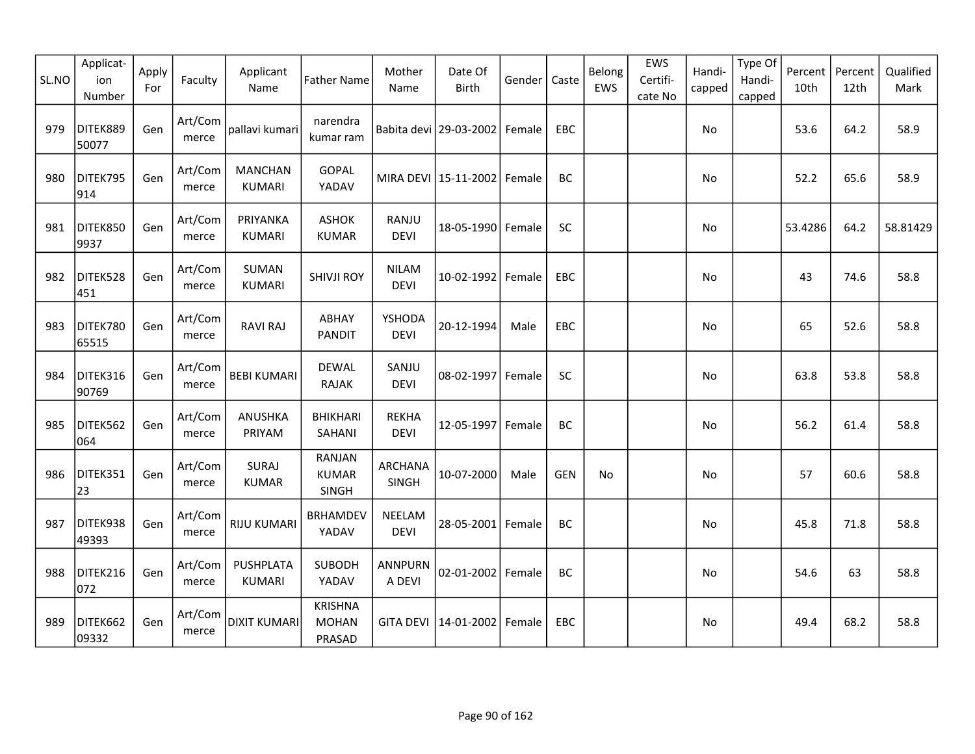| SL.NO | Applicat-<br>ion<br>Number | Apply<br>For | Faculty          | Applicant<br>Name                 | <b>Father Name</b>                       | Mother<br>Name              | Date Of<br>Birth                  | Gender | Caste      | Belong<br>EWS | EWS<br>Certifi-<br>cate No | Handi-<br>capped | Type Of<br>Handi-<br>capped | Percent<br>10th | Percent<br>12th | Qualified<br>Mark |
|-------|----------------------------|--------------|------------------|-----------------------------------|------------------------------------------|-----------------------------|-----------------------------------|--------|------------|---------------|----------------------------|------------------|-----------------------------|-----------------|-----------------|-------------------|
| 979   | DITEK889<br>50077          | Gen          | Art/Com<br>merce | pallavi kumari                    | narendra<br>kumar ram                    |                             | Babita devi   29-03-2002   Female |        | EBC        |               |                            | No               |                             | 53.6            | 64.2            | 58.9              |
| 980   | DITEK795<br>914            | Gen          | Art/Com<br>merce | <b>MANCHAN</b><br><b>KUMARI</b>   | GOPAL<br>YADAV                           |                             | MIRA DEVI   15-11-2002   Female   |        | BC         |               |                            | No               |                             | 52.2            | 65.6            | 58.9              |
| 981   | DITEK850<br>9937           | Gen          | Art/Com<br>merce | PRIYANKA<br><b>KUMARI</b>         | <b>ASHOK</b><br><b>KUMAR</b>             | RANJU<br><b>DEVI</b>        | 18-05-1990 Female                 |        | SC         |               |                            | No               |                             | 53.4286         | 64.2            | 58.81429          |
| 982   | DITEK528<br>451            | Gen          | Art/Com<br>merce | <b>SUMAN</b><br><b>KUMARI</b>     | <b>SHIVJI ROY</b>                        | <b>NILAM</b><br><b>DEVI</b> | 10-02-1992 Female                 |        | EBC        |               |                            | No               |                             | 43              | 74.6            | 58.8              |
| 983   | DITEK780<br>65515          | Gen          | Art/Com<br>merce | <b>RAVI RAJ</b>                   | ABHAY<br><b>PANDIT</b>                   | YSHODA<br><b>DEVI</b>       | 20-12-1994                        | Male   | EBC        |               |                            | No               |                             | 65              | 52.6            | 58.8              |
| 984   | DITEK316<br>90769          | Gen          | Art/Com<br>merce | <b>BEBI KUMARI</b>                | <b>DEWAL</b><br><b>RAJAK</b>             | SANJU<br><b>DEVI</b>        | 08-02-1997 Female                 |        | <b>SC</b>  |               |                            | No               |                             | 63.8            | 53.8            | 58.8              |
| 985   | DITEK562<br>064            | Gen          | Art/Com<br>merce | ANUSHKA<br>PRIYAM                 | <b>BHIKHARI</b><br>SAHANI                | <b>REKHA</b><br><b>DEVI</b> | 12-05-1997 Female                 |        | BC         |               |                            | No               |                             | 56.2            | 61.4            | 58.8              |
| 986   | DITEK351<br>23             | Gen          | Art/Com<br>merce | SURAJ<br><b>KUMAR</b>             | RANJAN<br><b>KUMAR</b><br><b>SINGH</b>   | <b>ARCHANA</b><br>SINGH     | 10-07-2000                        | Male   | <b>GEN</b> | No            |                            | No               |                             | 57              | 60.6            | 58.8              |
| 987   | DITEK938<br>49393          | Gen          | Art/Com<br>merce | <b>RIJU KUMARI</b>                | <b>BRHAMDEV</b><br>YADAV                 | NEELAM<br><b>DEVI</b>       | 28-05-2001 Female                 |        | BC         |               |                            | No               |                             | 45.8            | 71.8            | 58.8              |
| 988   | DITEK216<br>072            | Gen          | Art/Com<br>merce | <b>PUSHPLATA</b><br><b>KUMARI</b> | <b>SUBODH</b><br>YADAV                   | <b>ANNPURN</b><br>A DEVI    | 02-01-2002 Female                 |        | BC         |               |                            | No               |                             | 54.6            | 63              | 58.8              |
| 989   | DITEK662<br>09332          | Gen          | Art/Com<br>merce | DIXIT KUMARI                      | <b>KRISHNA</b><br><b>MOHAN</b><br>PRASAD | <b>GITA DEVI</b>            | 14-01-2002   Female               |        | <b>EBC</b> |               |                            | No               |                             | 49.4            | 68.2            | 58.8              |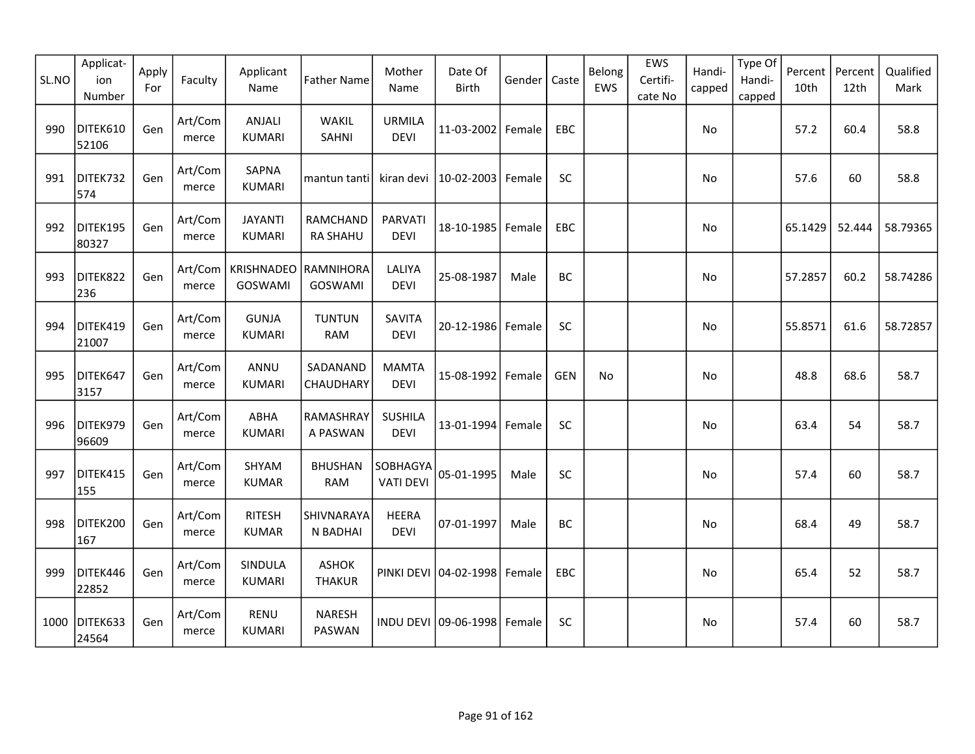| SL.NO | Applicat-<br>ion<br>Number | Apply<br>For | Faculty          | Applicant<br>Name                           | <b>Father Name</b>            | Mother<br>Name                | Date Of<br><b>Birth</b> | Gender | Caste      | Belong<br>EWS | EWS<br>Certifi-<br>cate No | Handi-<br>capped | Type Of<br>Handi-<br>capped | Percent<br>10th | Percent<br>12th | Qualified<br>Mark |
|-------|----------------------------|--------------|------------------|---------------------------------------------|-------------------------------|-------------------------------|-------------------------|--------|------------|---------------|----------------------------|------------------|-----------------------------|-----------------|-----------------|-------------------|
| 990   | DITEK610<br>52106          | Gen          | Art/Com<br>merce | <b>ANJALI</b><br><b>KUMARI</b>              | WAKIL<br><b>SAHNI</b>         | <b>URMILA</b><br><b>DEVI</b>  | 11-03-2002 Female       |        | EBC        |               |                            | No               |                             | 57.2            | 60.4            | 58.8              |
| 991   | DITEK732<br>574            | Gen          | Art/Com<br>merce | SAPNA<br><b>KUMARI</b>                      | mantun tanti                  | kiran devi                    | 10-02-2003              | Female | SC         |               |                            | No               |                             | 57.6            | 60              | 58.8              |
| 992   | DITEK195<br>80327          | Gen          | Art/Com<br>merce | <b>JAYANTI</b><br><b>KUMARI</b>             | RAMCHAND<br><b>RA SHAHU</b>   | PARVATI<br><b>DEVI</b>        | 18-10-1985              | Female | EBC        |               |                            | No               |                             | 65.1429         | 52.444          | 58.79365          |
| 993   | DITEK822<br>236            | Gen          | merce            | Art/Com   KRISHNADEO   RAMNIHORA<br>GOSWAMI | GOSWAMI                       | LALIYA<br><b>DEVI</b>         | 25-08-1987              | Male   | BC         |               |                            | No               |                             | 57.2857         | 60.2            | 58.74286          |
| 994   | DITEK419<br>21007          | Gen          | Art/Com<br>merce | <b>GUNJA</b><br><b>KUMARI</b>               | <b>TUNTUN</b><br><b>RAM</b>   | <b>SAVITA</b><br><b>DEVI</b>  | 20-12-1986 Female       |        | SC         |               |                            | No               |                             | 55.8571         | 61.6            | 58.72857          |
| 995   | DITEK647<br>3157           | Gen          | Art/Com<br>merce | ANNU<br><b>KUMARI</b>                       | SADANAND<br>CHAUDHARY         | <b>MAMTA</b><br><b>DEVI</b>   | 15-08-1992 Female       |        | <b>GEN</b> | No            |                            | No               |                             | 48.8            | 68.6            | 58.7              |
| 996   | DITEK979<br>96609          | Gen          | Art/Com<br>merce | ABHA<br><b>KUMARI</b>                       | RAMASHRAY<br>A PASWAN         | <b>SUSHILA</b><br><b>DEVI</b> | 13-01-1994 Female       |        | SC         |               |                            | <b>No</b>        |                             | 63.4            | 54              | 58.7              |
| 997   | DITEK415<br>155            | Gen          | Art/Com<br>merce | SHYAM<br><b>KUMAR</b>                       | <b>BHUSHAN</b><br><b>RAM</b>  | SOBHAGYA<br><b>VATI DEVI</b>  | 05-01-1995              | Male   | SC         |               |                            | No               |                             | 57.4            | 60              | 58.7              |
| 998   | DITEK200<br>167            | Gen          | Art/Com<br>merce | <b>RITESH</b><br><b>KUMAR</b>               | <b>SHIVNARAYA</b><br>N BADHAI | <b>HEERA</b><br><b>DEVI</b>   | 07-01-1997              | Male   | BC         |               |                            | No               |                             | 68.4            | 49              | 58.7              |
| 999   | DITEK446<br>22852          | Gen          | Art/Com<br>merce | SINDULA<br><b>KUMARI</b>                    | <b>ASHOK</b><br><b>THAKUR</b> |                               | PINKI DEVI 04-02-1998   | Female | EBC        |               |                            | No               |                             | 65.4            | 52              | 58.7              |
| 1000  | DITEK633<br>24564          | Gen          | Art/Com<br>merce | RENU<br><b>KUMARI</b>                       | <b>NARESH</b><br>PASWAN       |                               | INDU DEVI 09-06-1998    | Female | <b>SC</b>  |               |                            | No               |                             | 57.4            | 60              | 58.7              |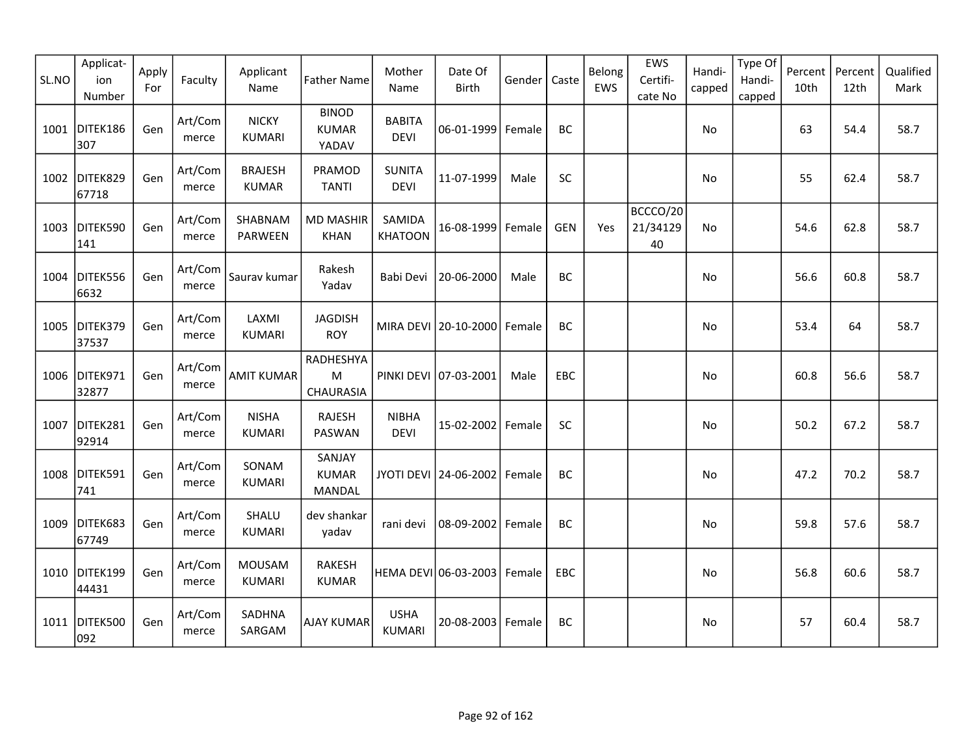| SL.NO | Applicat-<br>ion<br>Number | Apply<br>For | Faculty          | Applicant<br>Name              | <b>Father Name</b>                    | Mother<br>Name               | Date Of<br><b>Birth</b>       | Gender | Caste      | Belong<br>EWS | EWS<br>Certifi-<br>cate No | Handi-<br>capped | Type Of<br>Handi-<br>capped | Percent<br>10th | Percent<br>12th | Qualified<br>Mark |
|-------|----------------------------|--------------|------------------|--------------------------------|---------------------------------------|------------------------------|-------------------------------|--------|------------|---------------|----------------------------|------------------|-----------------------------|-----------------|-----------------|-------------------|
|       | 1001 DITEK186<br>307       | Gen          | Art/Com<br>merce | <b>NICKY</b><br><b>KUMARI</b>  | <b>BINOD</b><br><b>KUMAR</b><br>YADAV | <b>BABITA</b><br><b>DEVI</b> | 06-01-1999                    | Female | BC         |               |                            | No               |                             | 63              | 54.4            | 58.7              |
| 1002  | DITEK829<br>67718          | Gen          | Art/Com<br>merce | <b>BRAJESH</b><br><b>KUMAR</b> | PRAMOD<br><b>TANTI</b>                | <b>SUNITA</b><br><b>DEVI</b> | 11-07-1999                    | Male   | SC         |               |                            | No               |                             | 55              | 62.4            | 58.7              |
| 1003  | DITEK590<br>141            | Gen          | Art/Com<br>merce | SHABNAM<br>PARWEEN             | <b>MD MASHIR</b><br>KHAN              | SAMIDA<br><b>KHATOON</b>     | 16-08-1999                    | Female | <b>GEN</b> | Yes           | BCCCO/20<br>21/34129<br>40 | No               |                             | 54.6            | 62.8            | 58.7              |
|       | 1004 DITEK556<br>6632      | Gen          | Art/Com<br>merce | Saurav kumar                   | Rakesh<br>Yadav                       | Babi Devi                    | 20-06-2000                    | Male   | BC         |               |                            | No               |                             | 56.6            | 60.8            | 58.7              |
| 1005  | DITEK379<br>37537          | Gen          | Art/Com<br>merce | LAXMI<br><b>KUMARI</b>         | <b>JAGDISH</b><br><b>ROY</b>          |                              | MIRA DEVI 20-10-2000          | Female | BC         |               |                            | No               |                             | 53.4            | 64              | 58.7              |
| 1006  | DITEK971<br>32877          | Gen          | Art/Com<br>merce | <b>AMIT KUMAR</b>              | RADHESHYA<br>M<br>CHAURASIA           |                              | PINKI DEVI 07-03-2001         | Male   | EBC        |               |                            | No.              |                             | 60.8            | 56.6            | 58.7              |
| 1007  | DITEK281<br>92914          | Gen          | Art/Com<br>merce | <b>NISHA</b><br><b>KUMARI</b>  | RAJESH<br>PASWAN                      | <b>NIBHA</b><br><b>DEVI</b>  | 15-02-2002                    | Female | SC         |               |                            | No               |                             | 50.2            | 67.2            | 58.7              |
| 1008  | DITEK591<br>741            | Gen          | Art/Com<br>merce | SONAM<br><b>KUMARI</b>         | SANJAY<br><b>KUMAR</b><br>MANDAL      |                              | JYOTI DEVI 24-06-2002         | Female | BC         |               |                            | No               |                             | 47.2            | 70.2            | 58.7              |
| 1009  | DITEK683<br>67749          | Gen          | Art/Com<br>merce | SHALU<br><b>KUMARI</b>         | dev shankar<br>yadav                  | rani devi                    | 08-09-2002                    | Female | BC         |               |                            | No               |                             | 59.8            | 57.6            | 58.7              |
|       | 1010 DITEK199<br>44431     | Gen          | Art/Com<br>merce | <b>MOUSAM</b><br><b>KUMARI</b> | <b>RAKESH</b><br><b>KUMAR</b>         |                              | HEMA DEVI 06-03-2003   Female |        | EBC        |               |                            | No               |                             | 56.8            | 60.6            | 58.7              |
| 1011  | DITEK500<br>092            | Gen          | Art/Com<br>merce | SADHNA<br>SARGAM               | AJAY KUMAR                            | <b>USHA</b><br><b>KUMARI</b> | 20-08-2003                    | Female | BC         |               |                            | No               |                             | 57              | 60.4            | 58.7              |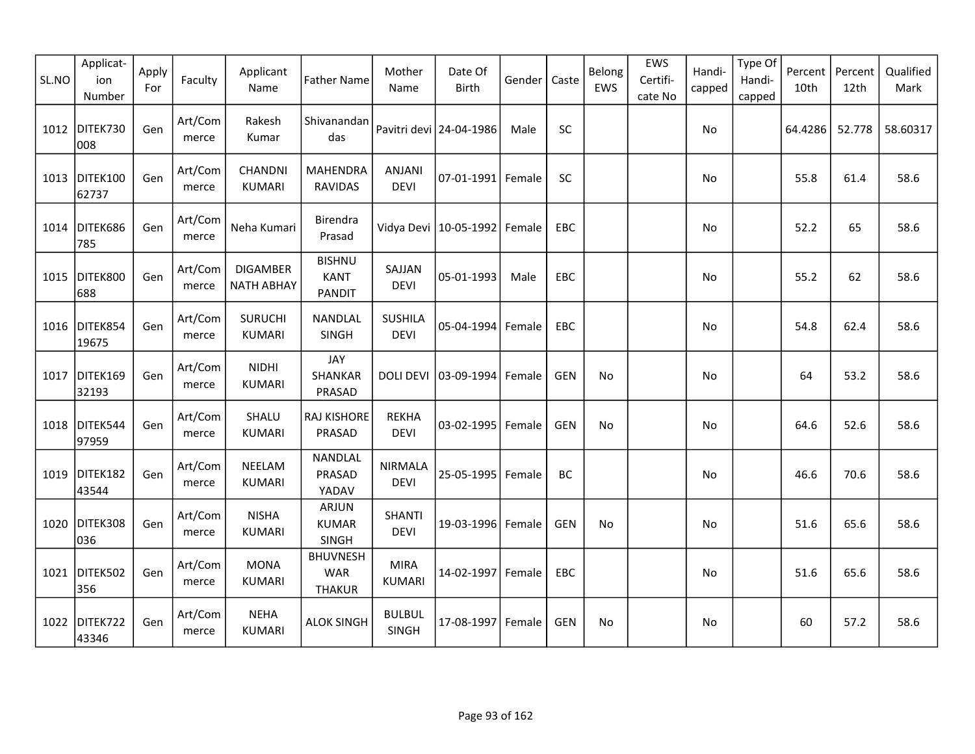| SL.NO | Applicat-<br>ion<br>Number | Apply<br>For | Faculty          | Applicant<br>Name                    | <b>Father Name</b>                             | Mother<br>Name                | Date Of<br><b>Birth</b>   | Gender | Caste      | Belong<br>EWS | EWS<br>Certifi-<br>cate No | Handi-<br>capped | Type Of<br>Handi-<br>capped | Percent<br>10th | Percent<br>12th | Qualified<br>Mark |
|-------|----------------------------|--------------|------------------|--------------------------------------|------------------------------------------------|-------------------------------|---------------------------|--------|------------|---------------|----------------------------|------------------|-----------------------------|-----------------|-----------------|-------------------|
| 1012  | DITEK730<br>008            | Gen          | Art/Com<br>merce | Rakesh<br>Kumar                      | Shivanandan<br>das                             |                               | Pavitri devi   24-04-1986 | Male   | <b>SC</b>  |               |                            | No               |                             | 64.4286         | 52.778          | 58.60317          |
| 1013  | DITEK100<br>62737          | Gen          | Art/Com<br>merce | CHANDNI<br><b>KUMARI</b>             | <b>MAHENDRA</b><br><b>RAVIDAS</b>              | <b>ANJANI</b><br><b>DEVI</b>  | 07-01-1991                | Female | SC         |               |                            | No               |                             | 55.8            | 61.4            | 58.6              |
| 1014  | DITEK686<br>785            | Gen          | Art/Com<br>merce | Neha Kumari                          | Birendra<br>Prasad                             | Vidya Devi                    | 10-05-1992                | Female | <b>EBC</b> |               |                            | No               |                             | 52.2            | 65              | 58.6              |
| 1015  | DITEK800<br>688            | Gen          | Art/Com<br>merce | <b>DIGAMBER</b><br><b>NATH ABHAY</b> | <b>BISHNU</b><br><b>KANT</b><br><b>PANDIT</b>  | SAJJAN<br><b>DEVI</b>         | 05-01-1993                | Male   | EBC        |               |                            | No               |                             | 55.2            | 62              | 58.6              |
| 1016  | DITEK854<br>19675          | Gen          | Art/Com<br>merce | <b>SURUCHI</b><br><b>KUMARI</b>      | NANDLAL<br>SINGH                               | <b>SUSHILA</b><br><b>DEVI</b> | 05-04-1994                | Female | EBC        |               |                            | No               |                             | 54.8            | 62.4            | 58.6              |
| 1017  | DITEK169<br>32193          | Gen          | Art/Com<br>merce | <b>NIDHI</b><br><b>KUMARI</b>        | JAY<br><b>SHANKAR</b><br>PRASAD                | <b>DOLI DEVI</b>              | 03-09-1994                | Female | <b>GEN</b> | No            |                            | No               |                             | 64              | 53.2            | 58.6              |
| 1018  | DITEK544<br>97959          | Gen          | Art/Com<br>merce | SHALU<br><b>KUMARI</b>               | RAJ KISHORE<br>PRASAD                          | <b>REKHA</b><br><b>DEVI</b>   | 03-02-1995                | Female | <b>GEN</b> | No            |                            | No               |                             | 64.6            | 52.6            | 58.6              |
| 1019  | DITEK182<br>43544          | Gen          | Art/Com<br>merce | NEELAM<br><b>KUMARI</b>              | NANDLAL<br>PRASAD<br>YADAV                     | <b>NIRMALA</b><br><b>DEVI</b> | 25-05-1995                | Female | BC         |               |                            | No               |                             | 46.6            | 70.6            | 58.6              |
|       | 1020 DITEK308<br>036       | Gen          | Art/Com<br>merce | <b>NISHA</b><br><b>KUMARI</b>        | <b>ARJUN</b><br><b>KUMAR</b><br><b>SINGH</b>   | <b>SHANTI</b><br><b>DEVI</b>  | 19-03-1996 Female         |        | <b>GEN</b> | No            |                            | No               |                             | 51.6            | 65.6            | 58.6              |
| 1021  | DITEK502<br>356            | Gen          | Art/Com<br>merce | <b>MONA</b><br><b>KUMARI</b>         | <b>BHUVNESH</b><br><b>WAR</b><br><b>THAKUR</b> | <b>MIRA</b><br><b>KUMARI</b>  | 14-02-1997                | Female | EBC        |               |                            | <b>No</b>        |                             | 51.6            | 65.6            | 58.6              |
| 1022  | DITEK722<br>43346          | Gen          | Art/Com<br>merce | <b>NEHA</b><br><b>KUMARI</b>         | <b>ALOK SINGH</b>                              | <b>BULBUL</b><br>SINGH        | 17-08-1997                | Female | <b>GEN</b> | No            |                            | No.              |                             | 60              | 57.2            | 58.6              |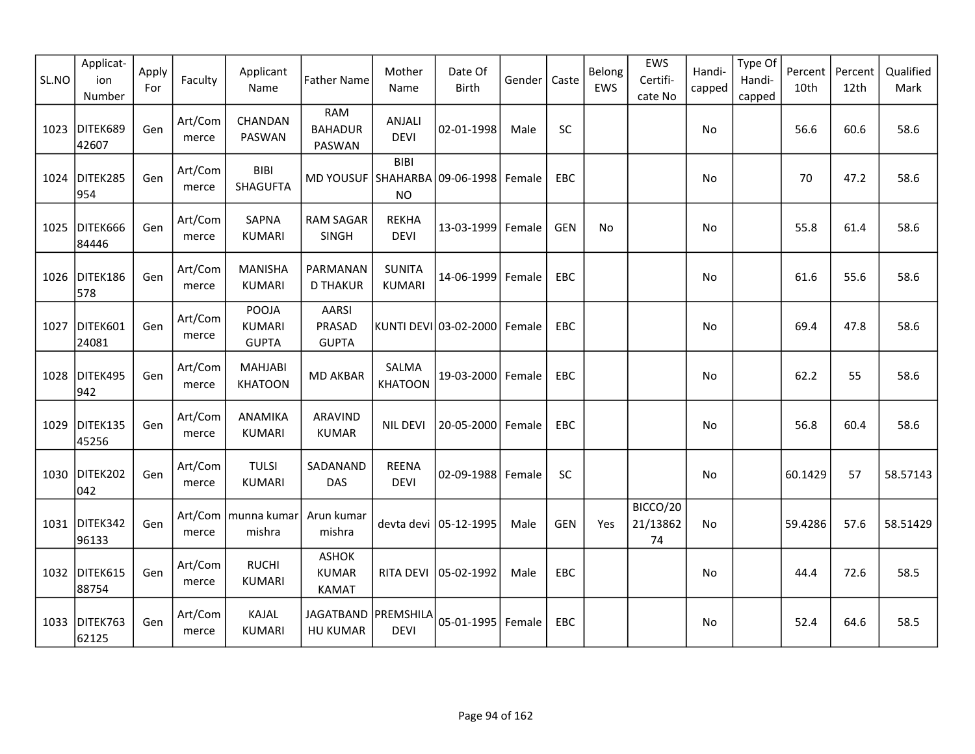| SL.NO | Applicat-<br>ion<br>Number | Apply<br>For | Faculty          | Applicant<br>Name                      | <b>Father Name</b>                           | Mother<br>Name                 | Date Of<br><b>Birth</b> | Gender | Caste      | Belong<br>EWS | EWS<br>Certifi-<br>cate No | Handi-<br>capped | Type Of<br>Handi-<br>capped | Percent<br>10th | Percent<br>12th | Qualified<br>Mark |
|-------|----------------------------|--------------|------------------|----------------------------------------|----------------------------------------------|--------------------------------|-------------------------|--------|------------|---------------|----------------------------|------------------|-----------------------------|-----------------|-----------------|-------------------|
| 1023  | DITEK689<br>42607          | Gen          | Art/Com<br>merce | CHANDAN<br>PASWAN                      | <b>RAM</b><br><b>BAHADUR</b><br>PASWAN       | ANJALI<br><b>DEVI</b>          | 02-01-1998              | Male   | SC         |               |                            | No               |                             | 56.6            | 60.6            | 58.6              |
| 1024  | DITEK285<br>954            | Gen          | Art/Com<br>merce | <b>BIBI</b><br><b>SHAGUFTA</b>         | MD YOUSUF SHAHARBA 09-06-1998 Female         | <b>BIBI</b><br><b>NO</b>       |                         |        | <b>EBC</b> |               |                            | No               |                             | 70              | 47.2            | 58.6              |
| 1025  | DITEK666<br>84446          | Gen          | Art/Com<br>merce | SAPNA<br><b>KUMARI</b>                 | <b>RAM SAGAR</b><br>SINGH                    | <b>REKHA</b><br><b>DEVI</b>    | 13-03-1999              | Female | <b>GEN</b> | <b>No</b>     |                            | No               |                             | 55.8            | 61.4            | 58.6              |
|       | 1026 DITEK186<br>578       | Gen          | Art/Com<br>merce | <b>MANISHA</b><br><b>KUMARI</b>        | PARMANAN<br><b>D THAKUR</b>                  | <b>SUNITA</b><br><b>KUMARI</b> | 14-06-1999              | Female | EBC        |               |                            | No.              |                             | 61.6            | 55.6            | 58.6              |
| 1027  | DITEK601<br>24081          | Gen          | Art/Com<br>merce | POOJA<br><b>KUMARI</b><br><b>GUPTA</b> | <b>AARSI</b><br>PRASAD<br><b>GUPTA</b>       |                                | KUNTI DEVI 03-02-2000   | Female | EBC        |               |                            | No               |                             | 69.4            | 47.8            | 58.6              |
| 1028  | DITEK495<br>942            | Gen          | Art/Com<br>merce | <b>MAHJABI</b><br><b>KHATOON</b>       | <b>MD AKBAR</b>                              | SALMA<br><b>KHATOON</b>        | 19-03-2000 Female       |        | EBC        |               |                            | No               |                             | 62.2            | 55              | 58.6              |
| 1029  | DITEK135<br>45256          | Gen          | Art/Com<br>merce | ANAMIKA<br><b>KUMARI</b>               | ARAVIND<br><b>KUMAR</b>                      | <b>NIL DEVI</b>                | 20-05-2000              | Female | EBC        |               |                            | No               |                             | 56.8            | 60.4            | 58.6              |
|       | 1030 DITEK202<br>042       | Gen          | Art/Com<br>merce | <b>TULSI</b><br><b>KUMARI</b>          | SADANAND<br>DAS                              | <b>REENA</b><br><b>DEVI</b>    | 02-09-1988 Female       |        | <b>SC</b>  |               |                            | No               |                             | 60.1429         | 57              | 58.57143          |
|       | 1031 DITEK342<br>96133     | Gen          | merce            | Art/Com   munna kumar<br>mishra        | Arun kumar<br>mishra                         |                                | devta devi 05-12-1995   | Male   | <b>GEN</b> | Yes           | BICCO/20<br>21/13862<br>74 | No               |                             | 59.4286         | 57.6            | 58.51429          |
|       | 1032 DITEK615<br>88754     | Gen          | Art/Com<br>merce | <b>RUCHI</b><br>KUMARI                 | <b>ASHOK</b><br><b>KUMAR</b><br><b>KAMAT</b> | RITA DEVI                      | 05-02-1992              | Male   | EBC        |               |                            | No               |                             | 44.4            | 72.6            | 58.5              |
| 1033  | DITEK763<br>62125          | Gen          | Art/Com<br>merce | KAJAL<br><b>KUMARI</b>                 | JAGATBAND   PREMSHILA<br><b>HU KUMAR</b>     | <b>DEVI</b>                    | 05-01-1995   Female     |        | EBC        |               |                            | No               |                             | 52.4            | 64.6            | 58.5              |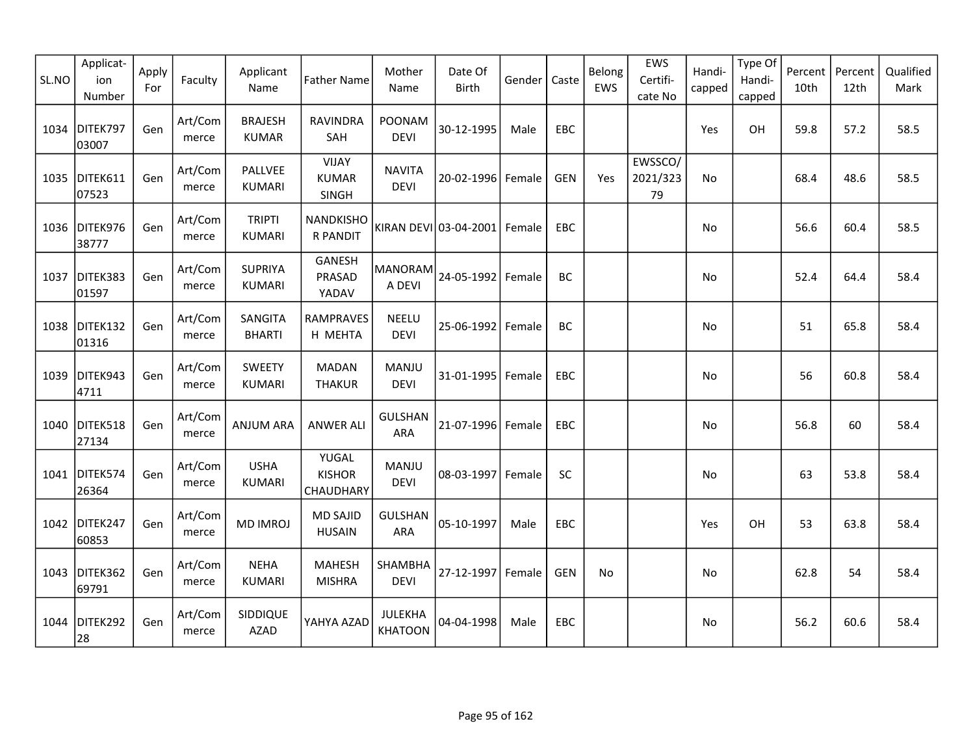| SL.NO | Applicat-<br>ion<br>Number | Apply<br>For | Faculty          | Applicant<br>Name               | <b>Father Name</b>                    | Mother<br>Name               | Date Of<br>Birth      | Gender | Caste      | Belong<br>EWS | EWS<br>Certifi-<br>cate No | Handi-<br>capped | Type Of<br>Handi-<br>capped | Percent<br>10th | Percent<br>12th | Qualified<br>Mark |
|-------|----------------------------|--------------|------------------|---------------------------------|---------------------------------------|------------------------------|-----------------------|--------|------------|---------------|----------------------------|------------------|-----------------------------|-----------------|-----------------|-------------------|
| 1034  | DITEK797<br>03007          | Gen          | Art/Com<br>merce | <b>BRAJESH</b><br><b>KUMAR</b>  | <b>RAVINDRA</b><br>SAH                | POONAM<br><b>DEVI</b>        | 30-12-1995            | Male   | EBC        |               |                            | Yes              | OH                          | 59.8            | 57.2            | 58.5              |
| 1035  | DITEK611<br>07523          | Gen          | Art/Com<br>merce | PALLVEE<br><b>KUMARI</b>        | <b>VIJAY</b><br><b>KUMAR</b><br>SINGH | <b>NAVITA</b><br><b>DEVI</b> | 20-02-1996 Female     |        | <b>GEN</b> | Yes           | EWSSCO/<br>2021/323<br>79  | <b>No</b>        |                             | 68.4            | 48.6            | 58.5              |
|       | 1036 DITEK976<br>38777     | Gen          | Art/Com<br>merce | <b>TRIPTI</b><br><b>KUMARI</b>  | <b>NANDKISHO</b><br><b>R PANDIT</b>   |                              | KIRAN DEVI 03-04-2001 | Female | <b>EBC</b> |               |                            | No.              |                             | 56.6            | 60.4            | 58.5              |
| 1037  | DITEK383<br>01597          | Gen          | Art/Com<br>merce | <b>SUPRIYA</b><br><b>KUMARI</b> | GANESH<br>PRASAD<br>YADAV             | <b>MANORAM</b><br>A DEVI     | 24-05-1992            | Female | BC         |               |                            | No               |                             | 52.4            | 64.4            | 58.4              |
| 1038  | DITEK132<br>01316          | Gen          | Art/Com<br>merce | SANGITA<br><b>BHARTI</b>        | <b>RAMPRAVES</b><br>H MEHTA           | <b>NEELU</b><br><b>DEVI</b>  | 25-06-1992            | Female | <b>BC</b>  |               |                            | No               |                             | 51              | 65.8            | 58.4              |
| 1039  | DITEK943<br>4711           | Gen          | Art/Com<br>merce | <b>SWEETY</b><br><b>KUMARI</b>  | <b>MADAN</b><br><b>THAKUR</b>         | MANJU<br><b>DEVI</b>         | 31-01-1995   Female   |        | EBC        |               |                            | No               |                             | 56              | 60.8            | 58.4              |
| 1040  | DITEK518<br>27134          | Gen          | Art/Com<br>merce | <b>ANJUM ARA</b>                | <b>ANWER ALI</b>                      | <b>GULSHAN</b><br>ARA        | 21-07-1996 Female     |        | EBC        |               |                            | No               |                             | 56.8            | 60              | 58.4              |
|       | 1041 DITEK574<br>26364     | Gen          | Art/Com<br>merce | <b>USHA</b><br><b>KUMARI</b>    | YUGAL<br><b>KISHOR</b><br>CHAUDHARY   | MANJU<br><b>DEVI</b>         | 08-03-1997            | Female | <b>SC</b>  |               |                            | No               |                             | 63              | 53.8            | 58.4              |
|       | 1042 DITEK247<br>60853     | Gen          | Art/Com<br>merce | <b>MD IMROJ</b>                 | <b>MD SAJID</b><br><b>HUSAIN</b>      | <b>GULSHAN</b><br>ARA        | 05-10-1997            | Male   | <b>EBC</b> |               |                            | Yes              | OH                          | 53              | 63.8            | 58.4              |
| 1043  | DITEK362<br>69791          | Gen          | Art/Com<br>merce | <b>NEHA</b><br><b>KUMARI</b>    | <b>MAHESH</b><br><b>MISHRA</b>        | SHAMBHA<br><b>DEVI</b>       | 27-12-1997            | Female | <b>GEN</b> | <b>No</b>     |                            | No               |                             | 62.8            | 54              | 58.4              |
| 1044  | DITEK292<br>28             | Gen          | Art/Com<br>merce | SIDDIQUE<br><b>AZAD</b>         | YAHYA AZAD                            | JULEKHA<br><b>KHATOON</b>    | 04-04-1998            | Male   | <b>EBC</b> |               |                            | No.              |                             | 56.2            | 60.6            | 58.4              |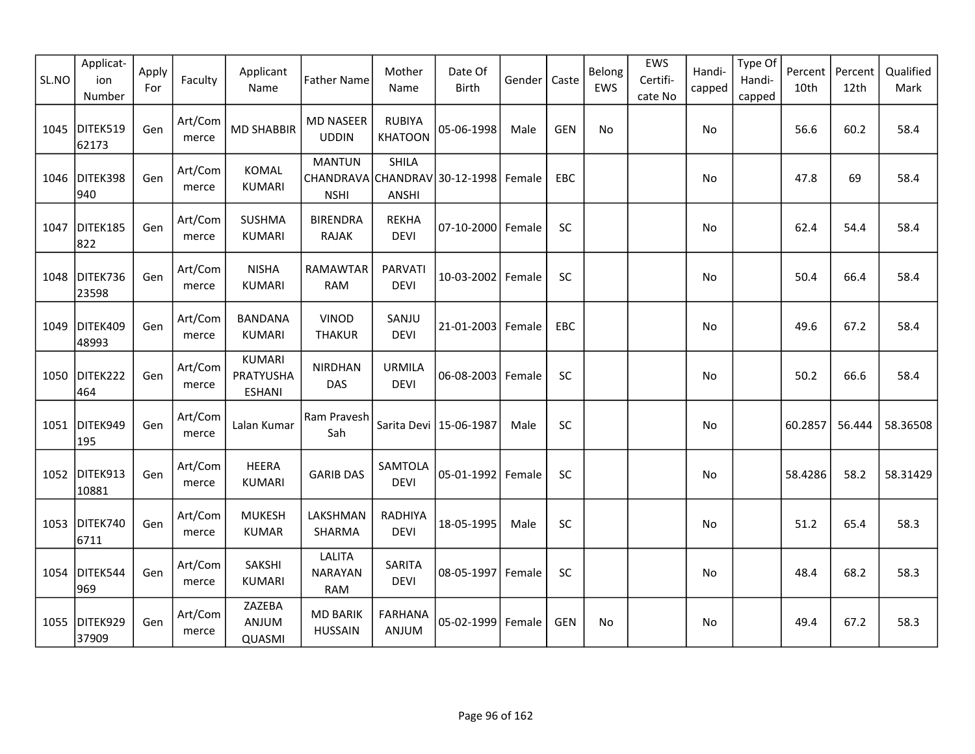| SL.NO | Applicat-<br>ion<br>Number | Apply<br>For | Faculty          | Applicant<br>Name                           | <b>Father Name</b>                                            | Mother<br>Name                  | Date Of<br><b>Birth</b>  | Gender | Caste      | Belong<br>EWS | EWS<br>Certifi-<br>cate No | Handi-<br>capped | Type Of<br>Handi-<br>capped | Percent<br>10th | Percent<br>12th | Qualified<br>Mark |
|-------|----------------------------|--------------|------------------|---------------------------------------------|---------------------------------------------------------------|---------------------------------|--------------------------|--------|------------|---------------|----------------------------|------------------|-----------------------------|-----------------|-----------------|-------------------|
| 1045  | DITEK519<br>62173          | Gen          | Art/Com<br>merce | <b>MD SHABBIR</b>                           | <b>MD NASEER</b><br><b>UDDIN</b>                              | <b>RUBIYA</b><br><b>KHATOON</b> | 05-06-1998               | Male   | <b>GEN</b> | No            |                            | No               |                             | 56.6            | 60.2            | 58.4              |
| 1046  | DITEK398<br>940            | Gen          | Art/Com<br>merce | <b>KOMAL</b><br><b>KUMARI</b>               | <b>MANTUN</b><br>CHANDRAVA CHANDRAV 30-12-1998<br><b>NSHI</b> | <b>SHILA</b><br><b>ANSHI</b>    |                          | Female | EBC        |               |                            | No               |                             | 47.8            | 69              | 58.4              |
| 1047  | DITEK185<br>822            | Gen          | Art/Com<br>merce | <b>SUSHMA</b><br><b>KUMARI</b>              | <b>BIRENDRA</b><br><b>RAJAK</b>                               | <b>REKHA</b><br><b>DEVI</b>     | 07-10-2000 Female        |        | <b>SC</b>  |               |                            | No               |                             | 62.4            | 54.4            | 58.4              |
|       | 1048 DITEK736<br>23598     | Gen          | Art/Com<br>merce | <b>NISHA</b><br><b>KUMARI</b>               | RAMAWTAR<br><b>RAM</b>                                        | <b>PARVATI</b><br><b>DEVI</b>   | 10-03-2002               | Female | SC         |               |                            | No               |                             | 50.4            | 66.4            | 58.4              |
| 1049  | DITEK409<br>48993          | Gen          | Art/Com<br>merce | <b>BANDANA</b><br><b>KUMARI</b>             | <b>VINOD</b><br><b>THAKUR</b>                                 | SANJU<br><b>DEVI</b>            | 21-01-2003               | Female | EBC        |               |                            | No               |                             | 49.6            | 67.2            | 58.4              |
| 1050  | DITEK222<br>464            | Gen          | Art/Com<br>merce | <b>KUMARI</b><br>PRATYUSHA<br><b>ESHANI</b> | <b>NIRDHAN</b><br>DAS                                         | <b>URMILA</b><br><b>DEVI</b>    | 06-08-2003               | Female | SC         |               |                            | No               |                             | 50.2            | 66.6            | 58.4              |
| 1051  | DITEK949<br>195            | Gen          | Art/Com<br>merce | Lalan Kumar                                 | Ram Pravesh<br>Sah                                            |                                 | Sarita Devi   15-06-1987 | Male   | SC         |               |                            | No               |                             | 60.2857         | 56.444          | 58.36508          |
|       | 1052 DITEK913<br>10881     | Gen          | Art/Com<br>merce | <b>HEERA</b><br><b>KUMARI</b>               | <b>GARIB DAS</b>                                              | SAMTOLA<br><b>DEVI</b>          | 05-01-1992               | Female | SC         |               |                            | No               |                             | 58.4286         | 58.2            | 58.31429          |
|       | 1053 DITEK740<br>6711      | Gen          | Art/Com<br>merce | <b>MUKESH</b><br><b>KUMAR</b>               | LAKSHMAN<br>SHARMA                                            | RADHIYA<br><b>DEVI</b>          | 18-05-1995               | Male   | SC         |               |                            | No               |                             | 51.2            | 65.4            | 58.3              |
|       | 1054 DITEK544<br>969       | Gen          | Art/Com<br>merce | SAKSHI<br><b>KUMARI</b>                     | <b>LALITA</b><br><b>NARAYAN</b><br><b>RAM</b>                 | SARITA<br><b>DEVI</b>           | 08-05-1997 Female        |        | SC         |               |                            | No               |                             | 48.4            | 68.2            | 58.3              |
| 1055  | DITEK929<br>37909          | Gen          | Art/Com<br>merce | ZAZEBA<br>ANJUM<br>QUASMI                   | <b>MD BARIK</b><br><b>HUSSAIN</b>                             | <b>FARHANA</b><br>ANJUM         | 05-02-1999               | Female | <b>GEN</b> | No            |                            | No.              |                             | 49.4            | 67.2            | 58.3              |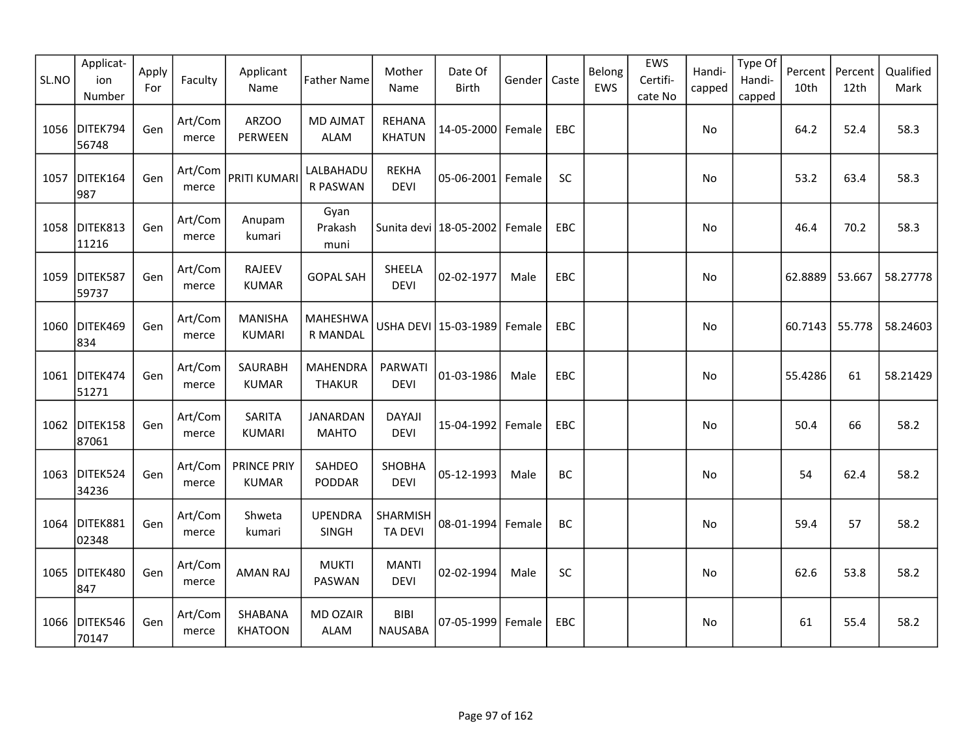| SL.NO | Applicat-<br>ion<br>Number | Apply<br>For | Faculty          | Applicant<br>Name               | <b>Father Name</b>                 | Mother<br>Name                 | Date Of<br>Birth         | Gender | Caste      | Belong<br>EWS | EWS<br>Certifi-<br>cate No | Handi-<br>capped | Type Of<br>Handi-<br>capped | Percent<br>10th | Percent<br>12th | Qualified<br>Mark |
|-------|----------------------------|--------------|------------------|---------------------------------|------------------------------------|--------------------------------|--------------------------|--------|------------|---------------|----------------------------|------------------|-----------------------------|-----------------|-----------------|-------------------|
| 1056  | DITEK794<br>56748          | Gen          | Art/Com<br>merce | ARZOO<br>PERWEEN                | <b>MD AJMAT</b><br><b>ALAM</b>     | <b>REHANA</b><br><b>KHATUN</b> | 14-05-2000 Female        |        | EBC        |               |                            | No               |                             | 64.2            | 52.4            | 58.3              |
| 1057  | DITEK164<br>987            | Gen          | Art/Com<br>merce | PRITI KUMARI                    | LALBAHADU<br>R PASWAN              | <b>REKHA</b><br><b>DEVI</b>    | $05 - 06 - 2001$         | Female | SC         |               |                            | No               |                             | 53.2            | 63.4            | 58.3              |
|       | 1058 DITEK813<br>11216     | Gen          | Art/Com<br>merce | Anupam<br>kumari                | Gyan<br>Prakash<br>muni            |                                | Sunita devi   18-05-2002 | Female | <b>EBC</b> |               |                            | No               |                             | 46.4            | 70.2            | 58.3              |
|       | 1059 DITEK587<br>59737     | Gen          | Art/Com<br>merce | <b>RAJEEV</b><br><b>KUMAR</b>   | <b>GOPAL SAH</b>                   | SHEELA<br><b>DEVI</b>          | 02-02-1977               | Male   | EBC        |               |                            | No               |                             | 62.8889         | 53.667          | 58.27778          |
| 1060  | DITEK469<br>834            | Gen          | Art/Com<br>merce | <b>MANISHA</b><br><b>KUMARI</b> | <b>MAHESHWA</b><br><b>R MANDAL</b> |                                | USHA DEVI 15-03-1989     | Female | EBC        |               |                            | No               |                             | 60.7143         | 55.778          | 58.24603          |
| 1061  | DITEK474<br>51271          | Gen          | Art/Com<br>merce | SAURABH<br><b>KUMAR</b>         | <b>MAHENDRA</b><br><b>THAKUR</b>   | PARWATI<br><b>DEVI</b>         | 01-03-1986               | Male   | EBC        |               |                            | No               |                             | 55.4286         | 61              | 58.21429          |
| 1062  | DITEK158<br>87061          | Gen          | Art/Com<br>merce | SARITA<br><b>KUMARI</b>         | <b>JANARDAN</b><br><b>MAHTO</b>    | <b>DAYAJI</b><br><b>DEVI</b>   | 15-04-1992               | Female | EBC        |               |                            | No               |                             | 50.4            | 66              | 58.2              |
| 1063  | DITEK524<br>34236          | Gen          | Art/Com<br>merce | PRINCE PRIY<br><b>KUMAR</b>     | SAHDEO<br>PODDAR                   | SHOBHA<br><b>DEVI</b>          | 05-12-1993               | Male   | BC         |               |                            | No               |                             | 54              | 62.4            | 58.2              |
|       | 1064 DITEK881<br>02348     | Gen          | Art/Com<br>merce | Shweta<br>kumari                | <b>UPENDRA</b><br>SINGH            | SHARMISH<br><b>TA DEVI</b>     | 08-01-1994               | Female | BC         |               |                            | No               |                             | 59.4            | 57              | 58.2              |
| 1065  | DITEK480<br>847            | Gen          | Art/Com<br>merce | <b>AMAN RAJ</b>                 | <b>MUKTI</b><br>PASWAN             | <b>MANTI</b><br><b>DEVI</b>    | 02-02-1994               | Male   | SC         |               |                            | No               |                             | 62.6            | 53.8            | 58.2              |
|       | 1066 DITEK546<br>70147     | Gen          | Art/Com<br>merce | SHABANA<br><b>KHATOON</b>       | MD OZAIR<br><b>ALAM</b>            | <b>BIBI</b><br><b>NAUSABA</b>  | 07-05-1999               | Female | EBC        |               |                            | No               |                             | 61              | 55.4            | 58.2              |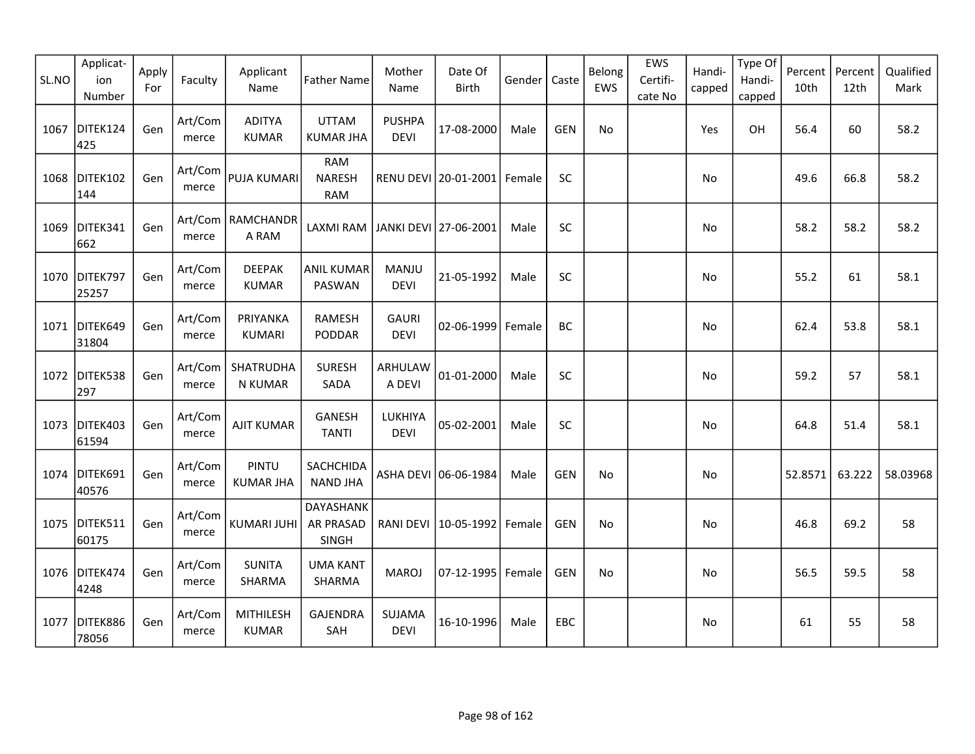| SL.NO | Applicat-<br>ion<br>Number | Apply<br>For | Faculty          | Applicant<br>Name                | <b>Father Name</b>                        | Mother<br>Name               | Date Of<br><b>Birth</b> | Gender | Caste      | Belong<br>EWS | EWS<br>Certifi-<br>cate No | Handi-<br>capped | Type Of<br>Handi-<br>capped | Percent<br>10th | Percent<br>12th | Qualified<br>Mark |
|-------|----------------------------|--------------|------------------|----------------------------------|-------------------------------------------|------------------------------|-------------------------|--------|------------|---------------|----------------------------|------------------|-----------------------------|-----------------|-----------------|-------------------|
| 1067  | DITEK124<br>425            | Gen          | Art/Com<br>merce | <b>ADITYA</b><br><b>KUMAR</b>    | <b>UTTAM</b><br><b>KUMAR JHA</b>          | <b>PUSHPA</b><br><b>DEVI</b> | 17-08-2000              | Male   | <b>GEN</b> | No            |                            | Yes              | OH                          | 56.4            | 60              | 58.2              |
| 1068  | DITEK102<br>144            | Gen          | Art/Com<br>merce | PUJA KUMARI                      | <b>RAM</b><br><b>NARESH</b><br><b>RAM</b> |                              | RENU DEVI 20-01-2001    | Female | SC         |               |                            | No               |                             | 49.6            | 66.8            | 58.2              |
| 1069  | DITEK341<br>662            | Gen          | merce            | Art/Com   RAMCHANDR<br>A RAM     | LAXMI RAM   JANKI DEVI   27-06-2001       |                              |                         | Male   | SC         |               |                            | No               |                             | 58.2            | 58.2            | 58.2              |
|       | 1070 DITEK797<br>25257     | Gen          | Art/Com<br>merce | <b>DEEPAK</b><br><b>KUMAR</b>    | ANIL KUMAR<br>PASWAN                      | <b>MANJU</b><br><b>DEVI</b>  | 21-05-1992              | Male   | SC         |               |                            | No               |                             | 55.2            | 61              | 58.1              |
|       | 1071 DITEK649<br>31804     | Gen          | Art/Com<br>merce | PRIYANKA<br><b>KUMARI</b>        | <b>RAMESH</b><br>PODDAR                   | <b>GAURI</b><br><b>DEVI</b>  | 02-06-1999              | Female | BC         |               |                            | No.              |                             | 62.4            | 53.8            | 58.1              |
| 1072  | DITEK538<br>297            | Gen          | Art/Com<br>merce | SHATRUDHA<br>N KUMAR             | <b>SURESH</b><br>SADA                     | ARHULAW<br>A DEVI            | 01-01-2000              | Male   | <b>SC</b>  |               |                            | No               |                             | 59.2            | 57              | 58.1              |
| 1073  | DITEK403<br>61594          | Gen          | Art/Com<br>merce | <b>AJIT KUMAR</b>                | GANESH<br><b>TANTI</b>                    | LUKHIYA<br><b>DEVI</b>       | 05-02-2001              | Male   | SC         |               |                            | No               |                             | 64.8            | 51.4            | 58.1              |
|       | 1074 DITEK691<br>40576     | Gen          | Art/Com<br>merce | PINTU<br><b>KUMAR JHA</b>        | SACHCHIDA<br><b>NAND JHA</b>              |                              | ASHA DEVI 06-06-1984    | Male   | <b>GEN</b> | No            |                            | No               |                             | 52.8571         | 63.222          | 58.03968          |
|       | 1075 DITEK511<br>60175     | Gen          | Art/Com<br>merce | KUMARI JUHI                      | DAYASHANK<br>AR PRASAD<br><b>SINGH</b>    | RANI DEVI                    | 10-05-1992              | Female | <b>GEN</b> | No            |                            | No               |                             | 46.8            | 69.2            | 58                |
|       | 1076 DITEK474<br>4248      | Gen          | Art/Com<br>merce | <b>SUNITA</b><br>SHARMA          | <b>UMA KANT</b><br>SHARMA                 | <b>MAROJ</b>                 | 07-12-1995 Female       |        | <b>GEN</b> | No            |                            | No               |                             | 56.5            | 59.5            | 58                |
| 1077  | DITEK886<br>78056          | Gen          | Art/Com<br>merce | <b>MITHILESH</b><br><b>KUMAR</b> | <b>GAJENDRA</b><br>SAH                    | SUJAMA<br><b>DEVI</b>        | 16-10-1996              | Male   | EBC        |               |                            | No               |                             | 61              | 55              | 58                |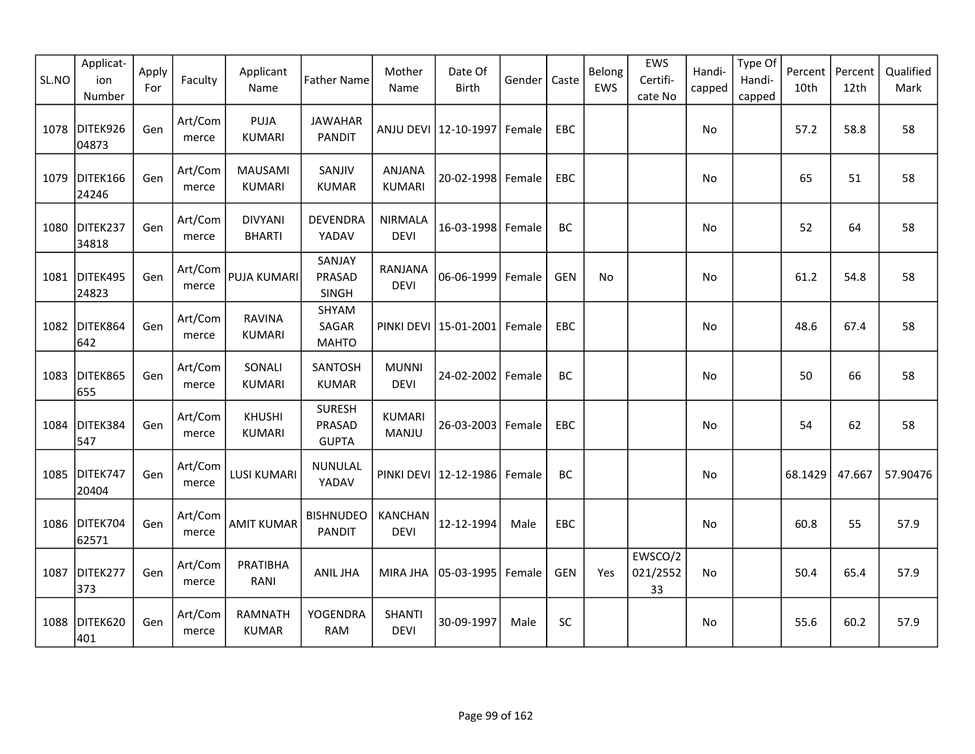| SL.NO | Applicat-<br>ion<br>Number | Apply<br>For | Faculty          | Applicant<br>Name               | <b>Father Name</b>                      | Mother<br>Name                | Date Of<br><b>Birth</b>          | Gender | Caste      | Belong<br>EWS | EWS<br>Certifi-<br>cate No | Handi-<br>capped | Type Of<br>Handi-<br>capped | Percent<br>10th | Percent<br>12th | Qualified<br>Mark |
|-------|----------------------------|--------------|------------------|---------------------------------|-----------------------------------------|-------------------------------|----------------------------------|--------|------------|---------------|----------------------------|------------------|-----------------------------|-----------------|-----------------|-------------------|
| 1078  | DITEK926<br>04873          | Gen          | Art/Com<br>merce | <b>PUJA</b><br><b>KUMARI</b>    | <b>JAWAHAR</b><br><b>PANDIT</b>         |                               | ANJU DEVI   12-10-1997   Female  |        | EBC        |               |                            | No               |                             | 57.2            | 58.8            | 58                |
| 1079  | DITEK166<br>24246          | Gen          | Art/Com<br>merce | <b>MAUSAMI</b><br><b>KUMARI</b> | SANJIV<br><b>KUMAR</b>                  | ANJANA<br><b>KUMARI</b>       | 20-02-1998 Female                |        | EBC        |               |                            | No               |                             | 65              | 51              | 58                |
|       | 1080 DITEK237<br>34818     | Gen          | Art/Com<br>merce | <b>DIVYANI</b><br><b>BHARTI</b> | <b>DEVENDRA</b><br>YADAV                | <b>NIRMALA</b><br><b>DEVI</b> | 16-03-1998 Female                |        | BC         |               |                            | No               |                             | 52              | 64              | 58                |
|       | 1081 DITEK495<br>24823     | Gen          | Art/Com<br>merce | <b>PUJA KUMARI</b>              | SANJAY<br>PRASAD<br>SINGH               | RANJANA<br><b>DEVI</b>        | 06-06-1999 Female                |        | <b>GEN</b> | <b>No</b>     |                            | No               |                             | 61.2            | 54.8            | 58                |
| 1082  | DITEK864<br>642            | Gen          | Art/Com<br>merce | <b>RAVINA</b><br><b>KUMARI</b>  | SHYAM<br>SAGAR<br><b>MAHTO</b>          |                               | PINKI DEVI   15-01-2001   Female |        | EBC        |               |                            | No               |                             | 48.6            | 67.4            | 58                |
| 1083  | DITEK865<br>655            | Gen          | Art/Com<br>merce | SONALI<br><b>KUMARI</b>         | SANTOSH<br><b>KUMAR</b>                 | <b>MUNNI</b><br><b>DEVI</b>   | 24-02-2002   Female              |        | BC         |               |                            | No               |                             | 50              | 66              | 58                |
| 1084  | DITEK384<br>547            | Gen          | Art/Com<br>merce | <b>KHUSHI</b><br>KUMARI         | <b>SURESH</b><br>PRASAD<br><b>GUPTA</b> | <b>KUMARI</b><br>MANJU        | 26-03-2003 Female                |        | EBC        |               |                            | No               |                             | 54              | 62              | 58                |
| 1085  | DITEK747<br>20404          | Gen          | Art/Com<br>merce | <b>LUSI KUMARI</b>              | <b>NUNULAL</b><br>YADAV                 |                               | PINKI DEVI   12-12-1986   Female |        | BC         |               |                            | No               |                             | 68.1429         | 47.667          | 57.90476          |
|       | 1086 DITEK704<br>62571     | Gen          | Art/Com<br>merce | <b>AMIT KUMAR</b>               | <b>BISHNUDEO</b><br><b>PANDIT</b>       | <b>KANCHAN</b><br><b>DEVI</b> | 12-12-1994                       | Male   | <b>EBC</b> |               |                            | No               |                             | 60.8            | 55              | 57.9              |
| 1087  | DITEK277<br>373            | Gen          | Art/Com<br>merce | PRATIBHA<br>RANI                | ANIL JHA                                | MIRA JHA                      | 05-03-1995 Female                |        | <b>GEN</b> | Yes           | EWSCO/2<br>021/2552<br>33  | No               |                             | 50.4            | 65.4            | 57.9              |
| 1088  | DITEK620<br>401            | Gen          | Art/Com<br>merce | <b>RAMNATH</b><br><b>KUMAR</b>  | <b>YOGENDRA</b><br><b>RAM</b>           | <b>SHANTI</b><br><b>DEVI</b>  | 30-09-1997                       | Male   | <b>SC</b>  |               |                            | No               |                             | 55.6            | 60.2            | 57.9              |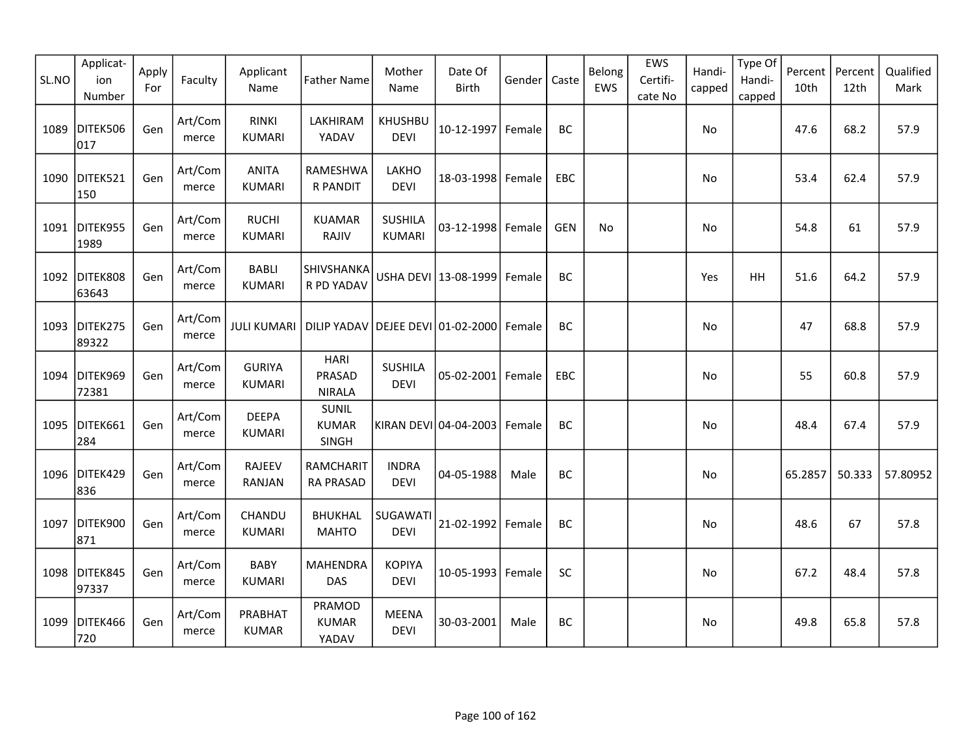| SL.NO | Applicat-<br>ion<br>Number | Apply<br>For | Faculty          | Applicant<br>Name              | <b>Father Name</b>                       | Mother<br>Name                  | Date Of<br><b>Birth</b>         | Gender   | Caste      | Belong<br>EWS | EWS<br>Certifi-<br>cate No | Handi-<br>capped | Type Of<br>Handi-<br>capped | Percent<br>10th | Percent<br>12th | Qualified<br>Mark |
|-------|----------------------------|--------------|------------------|--------------------------------|------------------------------------------|---------------------------------|---------------------------------|----------|------------|---------------|----------------------------|------------------|-----------------------------|-----------------|-----------------|-------------------|
| 1089  | DITEK506<br>017            | Gen          | Art/Com<br>merce | <b>RINKI</b><br>KUMARI         | LAKHIRAM<br>YADAV                        | <b>KHUSHBU</b><br><b>DEVI</b>   | 10-12-1997 Female               |          | <b>BC</b>  |               |                            | No               |                             | 47.6            | 68.2            | 57.9              |
|       | 1090 DITEK521<br>150       | Gen          | Art/Com<br>merce | <b>ANITA</b><br><b>KUMARI</b>  | RAMESHWA<br>R PANDIT                     | LAKHO<br><b>DEVI</b>            | 18-03-1998 Female               |          | EBC        |               |                            | No               |                             | 53.4            | 62.4            | 57.9              |
|       | 1091 DITEK955<br>1989      | Gen          | Art/Com<br>merce | <b>RUCHI</b><br><b>KUMARI</b>  | <b>KUAMAR</b><br>RAJIV                   | <b>SUSHILA</b><br><b>KUMARI</b> | 03-12-1998 Female               |          | <b>GEN</b> | No.           |                            | <b>No</b>        |                             | 54.8            | 61              | 57.9              |
|       | 1092 DITEK808<br>63643     | Gen          | Art/Com<br>merce | <b>BABLI</b><br><b>KUMARI</b>  | SHIVSHANKA<br>R PD YADAV                 |                                 | USHA DEVI   13-08-1999   Female |          | BC         |               |                            | Yes              | <b>HH</b>                   | 51.6            | 64.2            | 57.9              |
| 1093  | DITEK275<br>89322          | Gen          | Art/Com<br>merce | <b>JULI KUMARI</b>             | DILIP YADAV DEJEE DEVI 01-02-2000 Female |                                 |                                 |          | BC         |               |                            | No               |                             | 47              | 68.8            | 57.9              |
| 1094  | DITEK969<br>72381          | Gen          | Art/Com<br>merce | <b>GURIYA</b><br><b>KUMARI</b> | <b>HARI</b><br>PRASAD<br><b>NIRALA</b>   | <b>SUSHILA</b><br><b>DEVI</b>   | 05-02-2001 Female               |          | <b>EBC</b> |               |                            | No               |                             | 55              | 60.8            | 57.9              |
| 1095  | DITEK661<br>284            | Gen          | Art/Com<br>merce | <b>DEEPA</b><br><b>KUMARI</b>  | SUNIL<br><b>KUMAR</b><br><b>SINGH</b>    |                                 | KIRAN DEVI 04-04-2003           | l Female | BC         |               |                            | No               |                             | 48.4            | 67.4            | 57.9              |
|       | 1096 DITEK429<br>836       | Gen          | Art/Com<br>merce | <b>RAJEEV</b><br><b>RANJAN</b> | RAMCHARIT<br><b>RA PRASAD</b>            | <b>INDRA</b><br><b>DEVI</b>     | 04-05-1988                      | Male     | <b>BC</b>  |               |                            | No               |                             | 65.2857         | 50.333          | 57.80952          |
| 1097  | DITEK900<br>871            | Gen          | Art/Com<br>merce | CHANDU<br><b>KUMARI</b>        | <b>BHUKHAL</b><br><b>MAHTO</b>           | SUGAWATI<br><b>DEVI</b>         | 21-02-1992 Female               |          | BC         |               |                            | No               |                             | 48.6            | 67              | 57.8              |
| 1098  | DITEK845<br>97337          | Gen          | Art/Com<br>merce | <b>BABY</b><br><b>KUMARI</b>   | <b>MAHENDRA</b><br><b>DAS</b>            | <b>KOPIYA</b><br><b>DEVI</b>    | 10-05-1993 Female               |          | SC         |               |                            | No               |                             | 67.2            | 48.4            | 57.8              |
| 1099  | DITEK466<br>720            | Gen          | Art/Com<br>merce | PRABHAT<br><b>KUMAR</b>        | PRAMOD<br><b>KUMAR</b><br>YADAV          | <b>MEENA</b><br><b>DEVI</b>     | 30-03-2001                      | Male     | BC         |               |                            | No               |                             | 49.8            | 65.8            | 57.8              |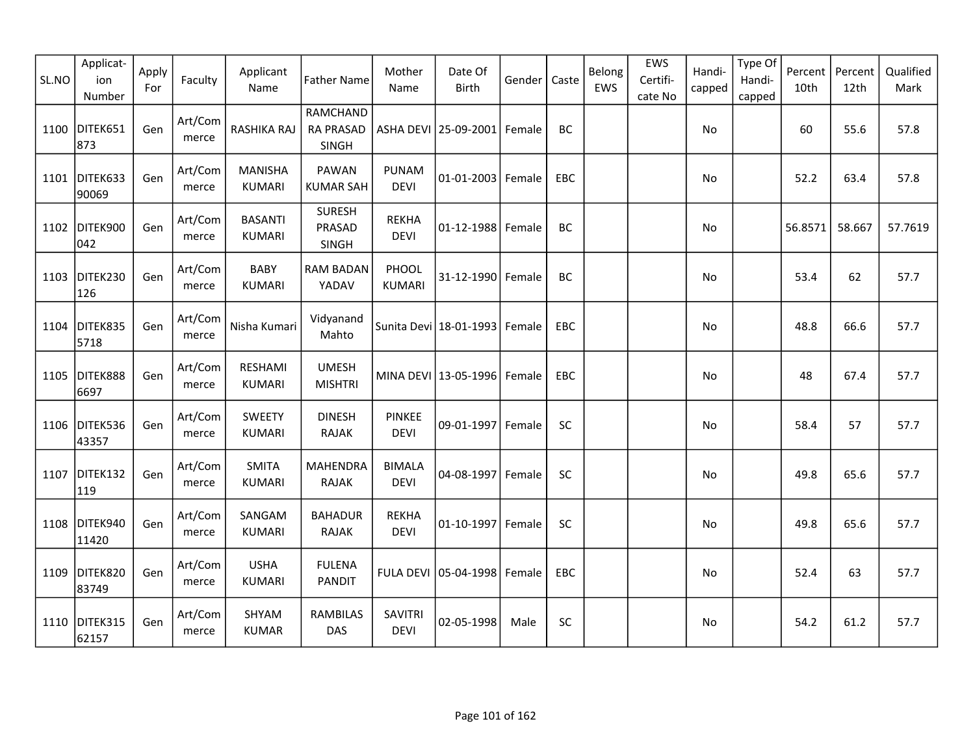| SL.NO | Applicat-<br>ion<br>Number | Apply<br>For | Faculty          | Applicant<br>Name               | <b>Father Name</b>                           | Mother<br>Name                | Date Of<br><b>Birth</b>         | Gender | Caste     | Belong<br>EWS | EWS<br>Certifi-<br>cate No | Handi-<br>capped | Type Of<br>Handi-<br>capped | Percent<br>10th | Percent<br>12th | Qualified<br>Mark |
|-------|----------------------------|--------------|------------------|---------------------------------|----------------------------------------------|-------------------------------|---------------------------------|--------|-----------|---------------|----------------------------|------------------|-----------------------------|-----------------|-----------------|-------------------|
|       | 1100 DITEK651<br>873       | Gen          | Art/Com<br>merce | RASHIKA RAJ                     | <b>RAMCHAND</b><br><b>RA PRASAD</b><br>SINGH |                               | ASHA DEVI 25-09-2001            | Female | <b>BC</b> |               |                            | No               |                             | 60              | 55.6            | 57.8              |
|       | 1101 DITEK633<br>90069     | Gen          | Art/Com<br>merce | <b>MANISHA</b><br><b>KUMARI</b> | <b>PAWAN</b><br><b>KUMAR SAH</b>             | PUNAM<br><b>DEVI</b>          | 01-01-2003 Female               |        | EBC       |               |                            | No               |                             | 52.2            | 63.4            | 57.8              |
|       | 1102 DITEK900<br>042       | Gen          | Art/Com<br>merce | <b>BASANTI</b><br><b>KUMARI</b> | <b>SURESH</b><br>PRASAD<br>SINGH             | <b>REKHA</b><br><b>DEVI</b>   | $01 - 12 - 1988$                | Female | BC        |               |                            | No               |                             | 56.8571         | 58.667          | 57.7619           |
|       | 1103 DITEK230<br>126       | Gen          | Art/Com<br>merce | <b>BABY</b><br><b>KUMARI</b>    | <b>RAM BADAN</b><br>YADAV                    | PHOOL<br><b>KUMARI</b>        | 31-12-1990 Female               |        | BC        |               |                            | No.              |                             | 53.4            | 62              | 57.7              |
| 1104  | DITEK835<br>5718           | Gen          | Art/Com<br>merce | Nisha Kumari                    | Vidyanand<br>Mahto                           |                               | Sunita Devi 18-01-1993          | Female | EBC       |               |                            | No               |                             | 48.8            | 66.6            | 57.7              |
| 1105  | DITEK888<br>6697           | Gen          | Art/Com<br>merce | RESHAMI<br><b>KUMARI</b>        | <b>UMESH</b><br><b>MISHTRI</b>               |                               | MINA DEVI 13-05-1996            | Female | EBC       |               |                            | No               |                             | 48              | 67.4            | 57.7              |
| 1106  | DITEK536<br>43357          | Gen          | Art/Com<br>merce | <b>SWEETY</b><br><b>KUMARI</b>  | <b>DINESH</b><br><b>RAJAK</b>                | <b>PINKEE</b><br><b>DEVI</b>  | 09-01-1997                      | Female | <b>SC</b> |               |                            | No               |                             | 58.4            | 57              | 57.7              |
| 1107  | DITEK132<br>119            | Gen          | Art/Com<br>merce | <b>SMITA</b><br><b>KUMARI</b>   | <b>MAHENDRA</b><br><b>RAJAK</b>              | <b>BIMALA</b><br><b>DEVI</b>  | 04-08-1997                      | Female | SC        |               |                            | No               |                             | 49.8            | 65.6            | 57.7              |
|       | 1108 DITEK940<br>11420     | Gen          | Art/Com<br>merce | SANGAM<br><b>KUMARI</b>         | <b>BAHADUR</b><br><b>RAJAK</b>               | <b>REKHA</b><br><b>DEVI</b>   | 01-10-1997 Female               |        | SC        |               |                            | No               |                             | 49.8            | 65.6            | 57.7              |
| 1109  | DITEK820<br>83749          | Gen          | Art/Com<br>merce | <b>USHA</b><br><b>KUMARI</b>    | <b>FULENA</b><br><b>PANDIT</b>               |                               | FULA DEVI   05-04-1998   Female |        | EBC       |               |                            | No               |                             | 52.4            | 63              | 57.7              |
|       | 1110 DITEK315<br>62157     | Gen          | Art/Com<br>merce | SHYAM<br><b>KUMAR</b>           | <b>RAMBILAS</b><br><b>DAS</b>                | <b>SAVITRI</b><br><b>DEVI</b> | 02-05-1998                      | Male   | <b>SC</b> |               |                            | No               |                             | 54.2            | 61.2            | 57.7              |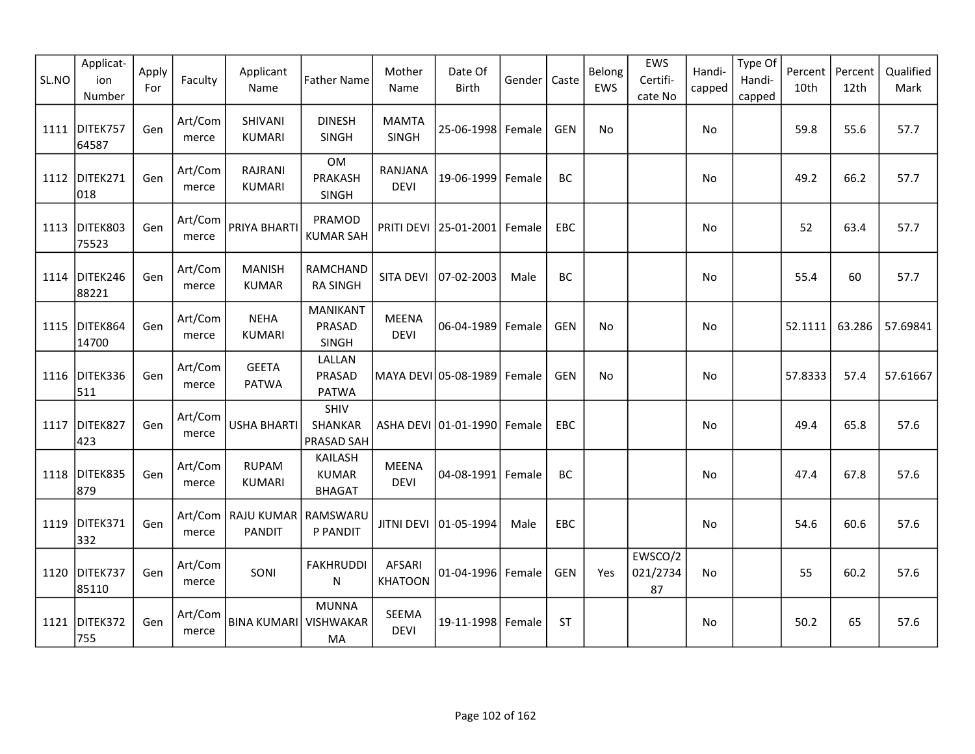| SL.NO | Applicat-<br>ion<br>Number | Apply<br>For | Faculty          | Applicant<br>Name                     | <b>Father Name</b>                              | Mother<br>Name                  | Date Of<br><b>Birth</b>          | Gender | Caste      | Belong<br>EWS | EWS<br>Certifi-<br>cate No | Handi-<br>capped | Type Of<br>Handi-<br>capped | Percent<br>10th | Percent<br>12th | Qualified<br>Mark |
|-------|----------------------------|--------------|------------------|---------------------------------------|-------------------------------------------------|---------------------------------|----------------------------------|--------|------------|---------------|----------------------------|------------------|-----------------------------|-----------------|-----------------|-------------------|
| 1111  | DITEK757<br>64587          | Gen          | Art/Com<br>merce | SHIVANI<br><b>KUMARI</b>              | <b>DINESH</b><br><b>SINGH</b>                   | <b>MAMTA</b><br>SINGH           | 25-06-1998 Female                |        | <b>GEN</b> | No            |                            | No               |                             | 59.8            | 55.6            | 57.7              |
| 1112  | DITEK271<br>018            | Gen          | Art/Com<br>merce | RAJRANI<br><b>KUMARI</b>              | OM<br>PRAKASH<br>SINGH                          | RANJANA<br><b>DEVI</b>          | 19-06-1999 Female                |        | BC         |               |                            | No               |                             | 49.2            | 66.2            | 57.7              |
| 1113  | DITEK803<br>75523          | Gen          | Art/Com<br>merce | PRIYA BHARTI                          | PRAMOD<br><b>KUMAR SAH</b>                      |                                 | PRITI DEVI   25-01-2001   Female |        | EBC        |               |                            | No               |                             | 52              | 63.4            | 57.7              |
|       | 1114 DITEK246<br>88221     | Gen          | Art/Com<br>merce | <b>MANISH</b><br><b>KUMAR</b>         | RAMCHAND<br><b>RA SINGH</b>                     | <b>SITA DEVI</b>                | 07-02-2003                       | Male   | BC         |               |                            | No               |                             | 55.4            | 60              | 57.7              |
| 1115  | DITEK864<br>14700          | Gen          | Art/Com<br>merce | <b>NEHA</b><br><b>KUMARI</b>          | <b>MANIKANT</b><br>PRASAD<br><b>SINGH</b>       | <b>MEENA</b><br><b>DEVI</b>     | 06-04-1989   Female              |        | <b>GEN</b> | No            |                            | No               |                             | 52.1111         | 63.286          | 57.69841          |
| 1116  | DITEK336<br>511            | Gen          | Art/Com<br>merce | <b>GEETA</b><br><b>PATWA</b>          | LALLAN<br>PRASAD<br><b>PATWA</b>                |                                 | MAYA DEVI 05-08-1989   Female    |        | <b>GEN</b> | No            |                            | No               |                             | 57.8333         | 57.4            | 57.61667          |
| 1117  | DITEK827<br>423            | Gen          | Art/Com<br>merce | <b>USHA BHARTI</b>                    | SHIV<br><b>SHANKAR</b><br>PRASAD SAH            |                                 | ASHA DEVI 01-01-1990 Female      |        | <b>EBC</b> |               |                            | No               |                             | 49.4            | 65.8            | 57.6              |
| 1118  | DITEK835<br>879            | Gen          | Art/Com<br>merce | <b>RUPAM</b><br><b>KUMARI</b>         | <b>KAILASH</b><br><b>KUMAR</b><br><b>BHAGAT</b> | <b>MEENA</b><br><b>DEVI</b>     | 04-08-1991 Female                |        | BC         |               |                            | No               |                             | 47.4            | 67.8            | 57.6              |
| 1119  | DITEK371<br>332            | Gen          | merce            | Art/Com   RAJU KUMAR<br><b>PANDIT</b> | RAMSWARU<br>P PANDIT                            | <b>JITNI DEVI</b>               | 01-05-1994                       | Male   | EBC        |               |                            | No               |                             | 54.6            | 60.6            | 57.6              |
|       | 1120 DITEK737<br>85110     | Gen          | Art/Com<br>merce | SONI                                  | <b>FAKHRUDDI</b><br>N                           | <b>AFSARI</b><br><b>KHATOON</b> | 01-04-1996 Female                |        | <b>GEN</b> | Yes           | EWSCO/2<br>021/2734<br>87  | <b>No</b>        |                             | 55              | 60.2            | 57.6              |
|       | 1121 DITEK372<br>755       | Gen          | Art/Com<br>merce | <b>BINA KUMARI</b>                    | <b>MUNNA</b><br><b>VISHWAKAR</b><br>MA          | <b>SEEMA</b><br><b>DEVI</b>     | 19-11-1998 Female                |        | <b>ST</b>  |               |                            | No               |                             | 50.2            | 65              | 57.6              |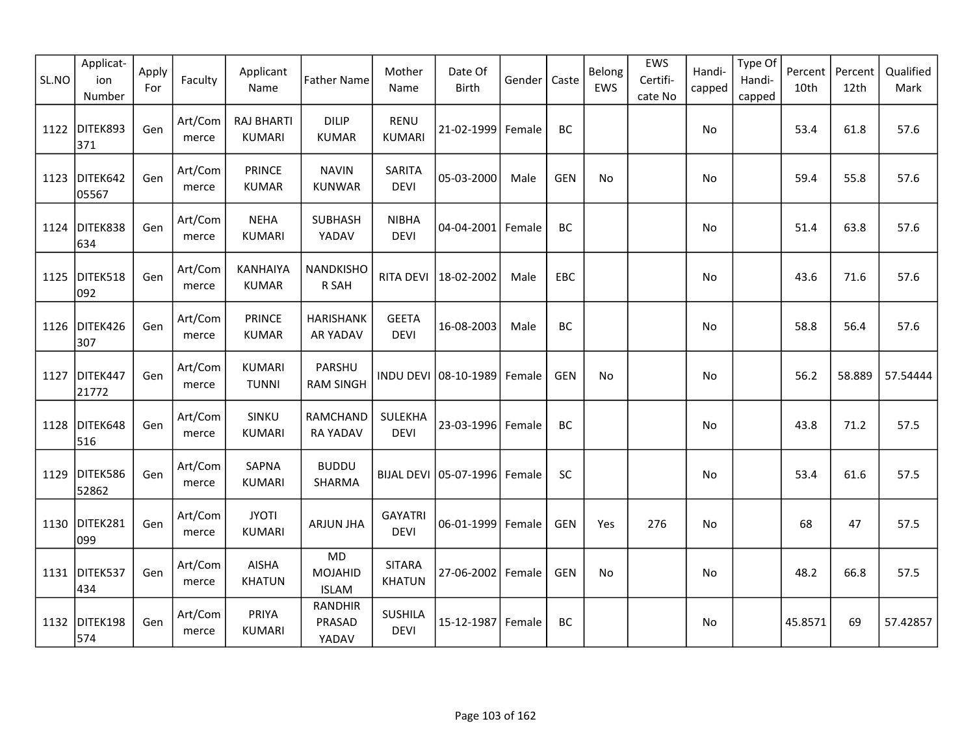| SL.NO | Applicat-<br>ion<br>Number | Apply<br>For | Faculty          | Applicant<br>Name                  | <b>Father Name</b>                   | Mother<br>Name                 | Date Of<br><b>Birth</b>          | Gender | Caste      | Belong<br>EWS | EWS<br>Certifi-<br>cate No | Handi-<br>capped | Type Of<br>Handi-<br>capped | Percent<br>10th | Percent<br>12th | Qualified<br>Mark |
|-------|----------------------------|--------------|------------------|------------------------------------|--------------------------------------|--------------------------------|----------------------------------|--------|------------|---------------|----------------------------|------------------|-----------------------------|-----------------|-----------------|-------------------|
| 1122  | DITEK893<br>371            | Gen          | Art/Com<br>merce | <b>RAJ BHARTI</b><br><b>KUMARI</b> | <b>DILIP</b><br><b>KUMAR</b>         | <b>RENU</b><br><b>KUMARI</b>   | 21-02-1999 Female                |        | BC         |               |                            | No               |                             | 53.4            | 61.8            | 57.6              |
| 1123  | DITEK642<br>05567          | Gen          | Art/Com<br>merce | <b>PRINCE</b><br><b>KUMAR</b>      | <b>NAVIN</b><br><b>KUNWAR</b>        | <b>SARITA</b><br><b>DEVI</b>   | 05-03-2000                       | Male   | <b>GEN</b> | No            |                            | No               |                             | 59.4            | 55.8            | 57.6              |
| 1124  | DITEK838<br>634            | Gen          | Art/Com<br>merce | <b>NEHA</b><br><b>KUMARI</b>       | <b>SUBHASH</b><br>YADAV              | <b>NIBHA</b><br><b>DEVI</b>    | 04-04-2001   Female              |        | BC         |               |                            | No               |                             | 51.4            | 63.8            | 57.6              |
| 1125  | DITEK518<br>092            | Gen          | Art/Com<br>merce | <b>KANHAIYA</b><br><b>KUMAR</b>    | NANDKISHO<br>R SAH                   | RITA DEVI                      | 18-02-2002                       | Male   | EBC        |               |                            | No               |                             | 43.6            | 71.6            | 57.6              |
| 1126  | DITEK426<br>307            | Gen          | Art/Com<br>merce | <b>PRINCE</b><br><b>KUMAR</b>      | <b>HARISHANK</b><br><b>AR YADAV</b>  | <b>GEETA</b><br><b>DEVI</b>    | 16-08-2003                       | Male   | BC         |               |                            | No               |                             | 58.8            | 56.4            | 57.6              |
| 1127  | DITEK447<br>21772          | Gen          | Art/Com<br>merce | <b>KUMARI</b><br><b>TUNNI</b>      | PARSHU<br><b>RAM SINGH</b>           | INDU DEVI                      | 08-10-1989 Female                |        | <b>GEN</b> | No            |                            | No.              |                             | 56.2            | 58.889          | 57.54444          |
| 1128  | DITEK648<br>516            | Gen          | Art/Com<br>merce | SINKU<br><b>KUMARI</b>             | RAMCHAND<br><b>RA YADAV</b>          | <b>SULEKHA</b><br><b>DEVI</b>  | 23-03-1996 Female                |        | BC         |               |                            | No               |                             | 43.8            | 71.2            | 57.5              |
| 1129  | DITEK586<br>52862          | Gen          | Art/Com<br>merce | SAPNA<br><b>KUMARI</b>             | <b>BUDDU</b><br>SHARMA               |                                | BIJAL DEVI   05-07-1996   Female |        | SC         |               |                            | No               |                             | 53.4            | 61.6            | 57.5              |
|       | 1130 DITEK281<br>099       | Gen          | Art/Com<br>merce | <b>JYOTI</b><br><b>KUMARI</b>      | <b>ARJUN JHA</b>                     | <b>GAYATRI</b><br><b>DEVI</b>  | 06-01-1999 Female                |        | <b>GEN</b> | Yes           | 276                        | No               |                             | 68              | 47              | 57.5              |
|       | 1131 DITEK537<br>434       | Gen          | Art/Com<br>merce | <b>AISHA</b><br><b>KHATUN</b>      | <b>MD</b><br>MOJAHID<br><b>ISLAM</b> | <b>SITARA</b><br><b>KHATUN</b> | 27-06-2002 Female                |        | <b>GEN</b> | No            |                            | No               |                             | 48.2            | 66.8            | 57.5              |
|       | 1132 DITEK198<br>574       | Gen          | Art/Com<br>merce | PRIYA<br><b>KUMARI</b>             | <b>RANDHIR</b><br>PRASAD<br>YADAV    | <b>SUSHILA</b><br><b>DEVI</b>  | 15-12-1987 Female                |        | BC         |               |                            | No               |                             | 45.8571         | 69              | 57.42857          |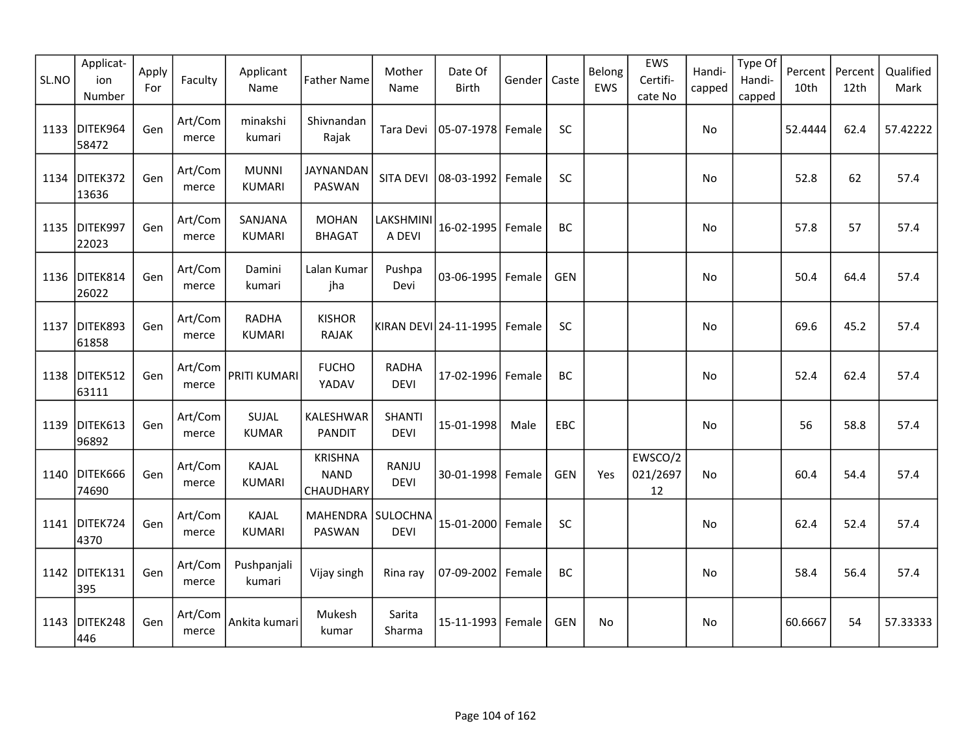| SL.NO | Applicat-<br>ion<br>Number | Apply<br>For | Faculty          | Applicant<br>Name             | <b>Father Name</b>                         | Mother<br>Name               | Date Of<br><b>Birth</b> | Gender | Caste      | Belong<br>EWS | EWS<br>Certifi-<br>cate No | Handi-<br>capped | Type Of<br>Handi-<br>capped | Percent<br>10th | Percent<br>12th | Qualified<br>Mark |
|-------|----------------------------|--------------|------------------|-------------------------------|--------------------------------------------|------------------------------|-------------------------|--------|------------|---------------|----------------------------|------------------|-----------------------------|-----------------|-----------------|-------------------|
| 1133  | DITEK964<br>58472          | Gen          | Art/Com<br>merce | minakshi<br>kumari            | Shivnandan<br>Rajak                        | Tara Devi                    | 05-07-1978 Female       |        | <b>SC</b>  |               |                            | No               |                             | 52.4444         | 62.4            | 57.42222          |
|       | 1134 DITEK372<br>13636     | Gen          | Art/Com<br>merce | <b>MUNNI</b><br><b>KUMARI</b> | <b>JAYNANDAN</b><br>PASWAN                 | SITA DEVI                    | 08-03-1992              | Female | SC         |               |                            | No               |                             | 52.8            | 62              | 57.4              |
|       | 1135 DITEK997<br>22023     | Gen          | Art/Com<br>merce | SANJANA<br><b>KUMARI</b>      | <b>MOHAN</b><br><b>BHAGAT</b>              | LAKSHMINI<br>A DEVI          | 16-02-1995   Female     |        | BC         |               |                            | No               |                             | 57.8            | 57              | 57.4              |
|       | 1136 DITEK814<br>26022     | Gen          | Art/Com<br>merce | Damini<br>kumari              | Lalan Kumar<br>jha                         | Pushpa<br>Devi               | 03-06-1995 Female       |        | <b>GEN</b> |               |                            | No               |                             | 50.4            | 64.4            | 57.4              |
| 1137  | DITEK893<br>61858          | Gen          | Art/Com<br>merce | <b>RADHA</b><br><b>KUMARI</b> | <b>KISHOR</b><br><b>RAJAK</b>              |                              | KIRAN DEVI 24-11-1995   | Female | SC         |               |                            | No               |                             | 69.6            | 45.2            | 57.4              |
| 1138  | DITEK512<br>63111          | Gen          | Art/Com<br>merce | PRITI KUMARI                  | <b>FUCHO</b><br>YADAV                      | <b>RADHA</b><br><b>DEVI</b>  | 17-02-1996 Female       |        | BC         |               |                            | No               |                             | 52.4            | 62.4            | 57.4              |
| 1139  | DITEK613<br>96892          | Gen          | Art/Com<br>merce | SUJAL<br><b>KUMAR</b>         | KALESHWAR<br><b>PANDIT</b>                 | <b>SHANTI</b><br><b>DEVI</b> | 15-01-1998              | Male   | <b>EBC</b> |               |                            | No               |                             | 56              | 58.8            | 57.4              |
|       | 1140 DITEK666<br>74690     | Gen          | Art/Com<br>merce | KAJAL<br><b>KUMARI</b>        | <b>KRISHNA</b><br><b>NAND</b><br>CHAUDHARY | RANJU<br><b>DEVI</b>         | 30-01-1998 Female       |        | <b>GEN</b> | Yes           | EWSCO/2<br>021/2697<br>12  | No               |                             | 60.4            | 54.4            | 57.4              |
|       | 1141 DITEK724<br>4370      | Gen          | Art/Com<br>merce | KAJAL<br><b>KUMARI</b>        | MAHENDRA SULOCHNA<br>PASWAN                | <b>DEVI</b>                  | 15-01-2000 Female       |        | SC         |               |                            | No               |                             | 62.4            | 52.4            | 57.4              |
|       | 1142 DITEK131<br>395       | Gen          | Art/Com<br>merce | Pushpanjali<br>kumari         | Vijay singh                                | Rina ray                     | 07-09-2002 Female       |        | BC         |               |                            | No               |                             | 58.4            | 56.4            | 57.4              |
| 1143  | DITEK248<br>446            | Gen          | Art/Com<br>merce | Ankita kumari                 | Mukesh<br>kumar                            | Sarita<br>Sharma             | 15-11-1993 Female       |        | <b>GEN</b> | No            |                            | No               |                             | 60.6667         | 54              | 57.33333          |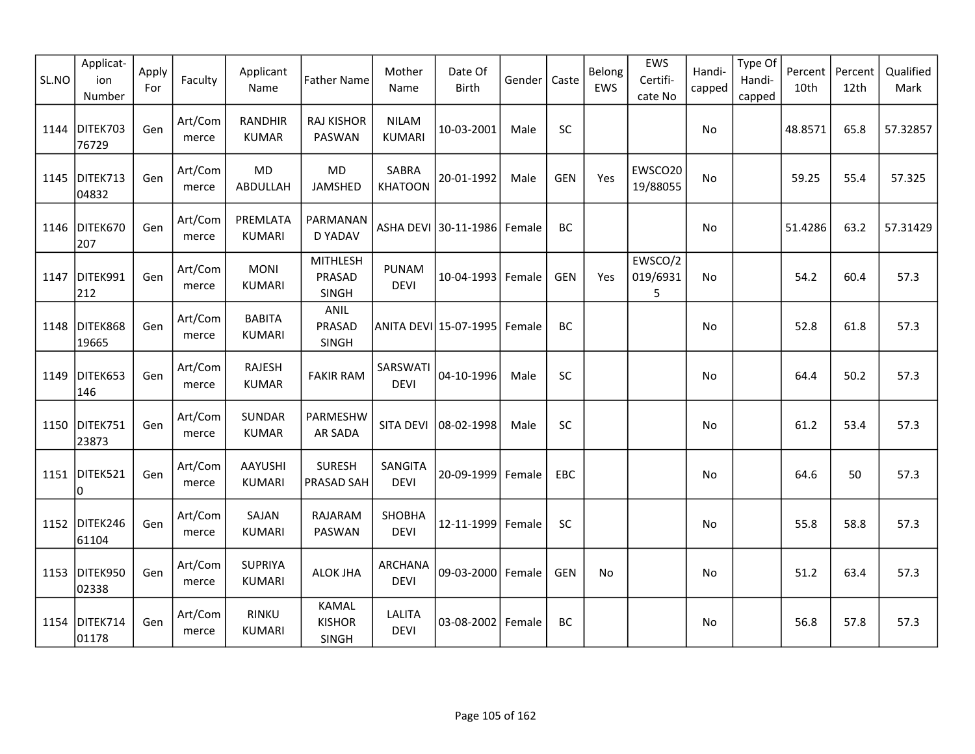| SL.NO | Applicat-<br>ion<br>Number | Apply<br>For | Faculty          | Applicant<br>Name               | <b>Father Name</b>                     | Mother<br>Name                | Date Of<br>Birth      | Gender | Caste      | Belong<br>EWS | EWS<br>Certifi-<br>cate No | Handi-<br>capped | Type Of<br>Handi-<br>capped | Percent<br>10th | Percent<br>12th | Qualified<br>Mark |
|-------|----------------------------|--------------|------------------|---------------------------------|----------------------------------------|-------------------------------|-----------------------|--------|------------|---------------|----------------------------|------------------|-----------------------------|-----------------|-----------------|-------------------|
| 1144  | DITEK703<br>76729          | Gen          | Art/Com<br>merce | <b>RANDHIR</b><br><b>KUMAR</b>  | <b>RAJ KISHOR</b><br>PASWAN            | <b>NILAM</b><br><b>KUMARI</b> | 10-03-2001            | Male   | <b>SC</b>  |               |                            | No               |                             | 48.8571         | 65.8            | 57.32857          |
| 1145  | DITEK713<br>04832          | Gen          | Art/Com<br>merce | MD<br>ABDULLAH                  | MD<br>JAMSHED                          | SABRA<br><b>KHATOON</b>       | 20-01-1992            | Male   | <b>GEN</b> | Yes           | EWSCO20<br>19/88055        | No               |                             | 59.25           | 55.4            | 57.325            |
| 1146  | DITEK670<br>207            | Gen          | Art/Com<br>merce | PREMLATA<br><b>KUMARI</b>       | PARMANAN<br>D YADAV                    |                               | ASHA DEVI 30-11-1986  | Female | <b>BC</b>  |               |                            | No               |                             | 51.4286         | 63.2            | 57.31429          |
| 1147  | DITEK991<br>212            | Gen          | Art/Com<br>merce | <b>MONI</b><br><b>KUMARI</b>    | <b>MITHLESH</b><br>PRASAD<br>SINGH     | <b>PUNAM</b><br><b>DEVI</b>   | 10-04-1993            | Female | <b>GEN</b> | Yes           | EWSCO/2<br>019/6931<br>5   | <b>No</b>        |                             | 54.2            | 60.4            | 57.3              |
| 1148  | DITEK868<br>19665          | Gen          | Art/Com<br>merce | <b>BABITA</b><br><b>KUMARI</b>  | ANIL<br>PRASAD<br><b>SINGH</b>         |                               | ANITA DEVI 15-07-1995 | Female | BC         |               |                            | No               |                             | 52.8            | 61.8            | 57.3              |
| 1149  | DITEK653<br>146            | Gen          | Art/Com<br>merce | <b>RAJESH</b><br><b>KUMAR</b>   | <b>FAKIR RAM</b>                       | SARSWATI<br><b>DEVI</b>       | 04-10-1996            | Male   | <b>SC</b>  |               |                            | No               |                             | 64.4            | 50.2            | 57.3              |
| 1150  | DITEK751<br>23873          | Gen          | Art/Com<br>merce | <b>SUNDAR</b><br><b>KUMAR</b>   | PARMESHW<br><b>AR SADA</b>             | <b>SITA DEVI</b>              | 08-02-1998            | Male   | SC         |               |                            | No               |                             | 61.2            | 53.4            | 57.3              |
|       | 1151 DITEK521<br>0         | Gen          | Art/Com<br>merce | <b>AAYUSHI</b><br><b>KUMARI</b> | <b>SURESH</b><br>PRASAD SAH            | SANGITA<br><b>DEVI</b>        | 20-09-1999            | Female | EBC        |               |                            | No               |                             | 64.6            | 50              | 57.3              |
|       | 1152 DITEK246<br>61104     | Gen          | Art/Com<br>merce | SAJAN<br><b>KUMARI</b>          | RAJARAM<br>PASWAN                      | SHOBHA<br><b>DEVI</b>         | 12-11-1999            | Female | SC         |               |                            | No               |                             | 55.8            | 58.8            | 57.3              |
| 1153  | DITEK950<br>02338          | Gen          | Art/Com<br>merce | <b>SUPRIYA</b><br><b>KUMARI</b> | <b>ALOK JHA</b>                        | ARCHANA<br><b>DEVI</b>        | 09-03-2000 Female     |        | <b>GEN</b> | <b>No</b>     |                            | <b>No</b>        |                             | 51.2            | 63.4            | 57.3              |
| 1154  | DITEK714<br>01178          | Gen          | Art/Com<br>merce | <b>RINKU</b><br><b>KUMARI</b>   | <b>KAMAL</b><br><b>KISHOR</b><br>SINGH | <b>LALITA</b><br><b>DEVI</b>  | 03-08-2002            | Female | <b>BC</b>  |               |                            | No               |                             | 56.8            | 57.8            | 57.3              |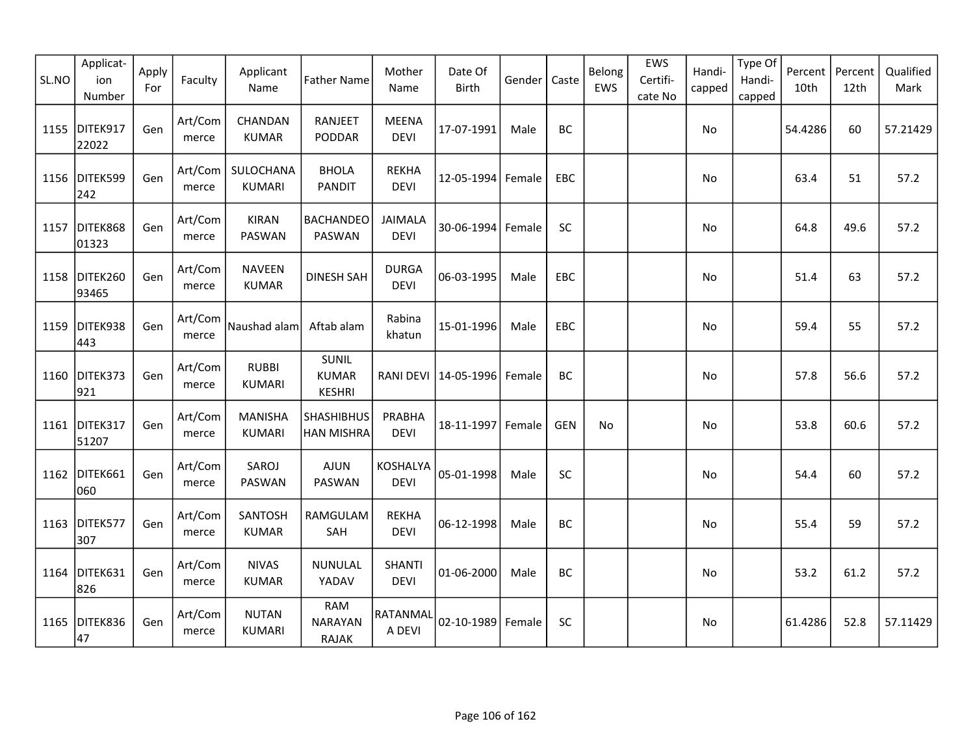| SL.NO | Applicat-<br>ion<br>Number | Apply<br>For | Faculty          | Applicant<br>Name               | <b>Father Name</b>                            | Mother<br>Name               | Date Of<br>Birth | Gender | Caste      | Belong<br>EWS | EWS<br>Certifi-<br>cate No | Handi-<br>capped | Type Of<br>Handi-<br>capped | Percent<br>10th | Percent<br>12th | Qualified<br>Mark |
|-------|----------------------------|--------------|------------------|---------------------------------|-----------------------------------------------|------------------------------|------------------|--------|------------|---------------|----------------------------|------------------|-----------------------------|-----------------|-----------------|-------------------|
| 1155  | DITEK917<br>22022          | Gen          | Art/Com<br>merce | CHANDAN<br><b>KUMAR</b>         | <b>RANJEET</b><br>PODDAR                      | <b>MEENA</b><br><b>DEVI</b>  | 17-07-1991       | Male   | <b>BC</b>  |               |                            | No               |                             | 54.4286         | 60              | 57.21429          |
| 1156  | DITEK599<br>242            | Gen          | Art/Com<br>merce | SULOCHANA<br><b>KUMARI</b>      | <b>BHOLA</b><br><b>PANDIT</b>                 | <b>REKHA</b><br><b>DEVI</b>  | 12-05-1994       | Female | EBC        |               |                            | No               |                             | 63.4            | 51              | 57.2              |
| 1157  | DITEK868<br>01323          | Gen          | Art/Com<br>merce | <b>KIRAN</b><br>PASWAN          | <b>BACHANDEO</b><br>PASWAN                    | JAIMALA<br><b>DEVI</b>       | 30-06-1994       | Female | <b>SC</b>  |               |                            | <b>No</b>        |                             | 64.8            | 49.6            | 57.2              |
|       | 1158 DITEK260<br>93465     | Gen          | Art/Com<br>merce | <b>NAVEEN</b><br><b>KUMAR</b>   | <b>DINESH SAH</b>                             | <b>DURGA</b><br><b>DEVI</b>  | 06-03-1995       | Male   | EBC        |               |                            | No               |                             | 51.4            | 63              | 57.2              |
| 1159  | DITEK938<br>443            | Gen          | Art/Com<br>merce | Naushad alam                    | Aftab alam                                    | Rabina<br>khatun             | 15-01-1996       | Male   | EBC        |               |                            | No               |                             | 59.4            | 55              | 57.2              |
| 1160  | DITEK373<br>921            | Gen          | Art/Com<br>merce | <b>RUBBI</b><br><b>KUMARI</b>   | <b>SUNIL</b><br><b>KUMAR</b><br><b>KESHRI</b> | <b>RANI DEVI</b>             | 14-05-1996       | Female | <b>BC</b>  |               |                            | No               |                             | 57.8            | 56.6            | 57.2              |
| 1161  | DITEK317<br>51207          | Gen          | Art/Com<br>merce | <b>MANISHA</b><br><b>KUMARI</b> | <b>SHASHIBHUS</b><br>HAN MISHRA               | PRABHA<br><b>DEVI</b>        | 18-11-1997       | Female | <b>GEN</b> | No            |                            | No               |                             | 53.8            | 60.6            | 57.2              |
| 1162  | DITEK661<br>060            | Gen          | Art/Com<br>merce | SAROJ<br>PASWAN                 | <b>AJUN</b><br>PASWAN                         | KOSHALYA<br><b>DEVI</b>      | 05-01-1998       | Male   | SC         |               |                            | No               |                             | 54.4            | 60              | 57.2              |
| 1163  | DITEK577<br>307            | Gen          | Art/Com<br>merce | SANTOSH<br><b>KUMAR</b>         | RAMGULAM<br>SAH                               | <b>REKHA</b><br><b>DEVI</b>  | 06-12-1998       | Male   | BC         |               |                            | No               |                             | 55.4            | 59              | 57.2              |
| 1164  | DITEK631<br>826            | Gen          | Art/Com<br>merce | <b>NIVAS</b><br><b>KUMAR</b>    | NUNULAL<br>YADAV                              | <b>SHANTI</b><br><b>DEVI</b> | 01-06-2000       | Male   | BC         |               |                            | No               |                             | 53.2            | 61.2            | 57.2              |
| 1165  | DITEK836<br>47             | Gen          | Art/Com<br>merce | <b>NUTAN</b><br><b>KUMARI</b>   | <b>RAM</b><br><b>NARAYAN</b><br><b>RAJAK</b>  | RATANMAL<br>A DEVI           | 02-10-1989       | Female | <b>SC</b>  |               |                            | No               |                             | 61.4286         | 52.8            | 57.11429          |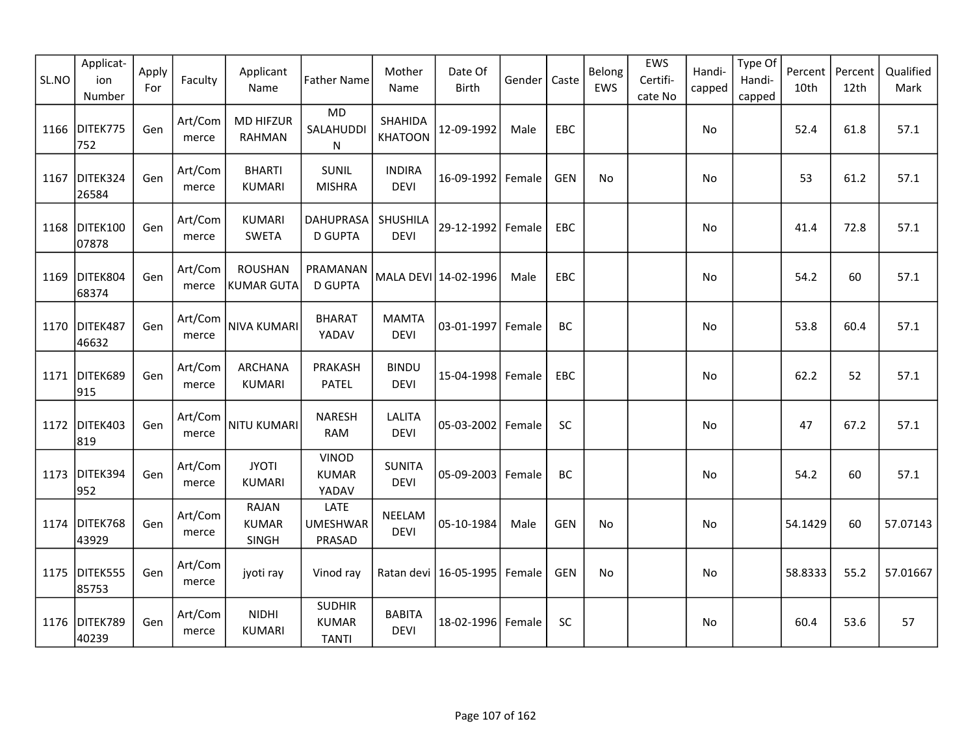| SL.NO | Applicat-<br>ion<br>Number | Apply<br>For | Faculty          | Applicant<br>Name                     | <b>Father Name</b>                            | Mother<br>Name                 | Date Of<br><b>Birth</b> | Gender | Caste      | Belong<br>EWS | EWS<br>Certifi-<br>cate No | Handi-<br>capped | Type Of<br>Handi-<br>capped | Percent<br>10th | Percent<br>12th | Qualified<br>Mark |
|-------|----------------------------|--------------|------------------|---------------------------------------|-----------------------------------------------|--------------------------------|-------------------------|--------|------------|---------------|----------------------------|------------------|-----------------------------|-----------------|-----------------|-------------------|
| 1166  | DITEK775<br>752            | Gen          | Art/Com<br>merce | <b>MD HIFZUR</b><br><b>RAHMAN</b>     | <b>MD</b><br>SALAHUDDI<br>N                   | SHAHIDA<br><b>KHATOON</b>      | 12-09-1992              | Male   | EBC        |               |                            | No               |                             | 52.4            | 61.8            | 57.1              |
| 1167  | DITEK324<br>26584          | Gen          | Art/Com<br>merce | <b>BHARTI</b><br><b>KUMARI</b>        | <b>SUNIL</b><br><b>MISHRA</b>                 | <b>INDIRA</b><br><b>DEVI</b>   | 16-09-1992              | Female | <b>GEN</b> | No            |                            | No               |                             | 53              | 61.2            | 57.1              |
|       | 1168 DITEK100<br>07878     | Gen          | Art/Com<br>merce | <b>KUMARI</b><br>SWETA                | DAHUPRASA<br><b>D GUPTA</b>                   | <b>SHUSHILA</b><br><b>DEVI</b> | 29-12-1992 Female       |        | EBC        |               |                            | No               |                             | 41.4            | 72.8            | 57.1              |
| 1169  | DITEK804<br>68374          | Gen          | Art/Com<br>merce | <b>ROUSHAN</b><br>KUMAR GUTA          | PRAMANAN<br><b>D GUPTA</b>                    |                                | MALA DEVI 14-02-1996    | Male   | EBC        |               |                            | <b>No</b>        |                             | 54.2            | 60              | 57.1              |
| 1170  | DITEK487<br>46632          | Gen          | Art/Com<br>merce | <b>NIVA KUMARI</b>                    | <b>BHARAT</b><br>YADAV                        | <b>MAMTA</b><br><b>DEVI</b>    | 03-01-1997 Female       |        | <b>BC</b>  |               |                            | <b>No</b>        |                             | 53.8            | 60.4            | 57.1              |
| 1171  | DITEK689<br>915            | Gen          | Art/Com<br>merce | <b>ARCHANA</b><br><b>KUMARI</b>       | PRAKASH<br><b>PATEL</b>                       | <b>BINDU</b><br><b>DEVI</b>    | 15-04-1998 Female       |        | EBC        |               |                            | No               |                             | 62.2            | 52              | 57.1              |
| 1172  | DITEK403<br>819            | Gen          | Art/Com<br>merce | NITU KUMARI                           | <b>NARESH</b><br><b>RAM</b>                   | <b>LALITA</b><br><b>DEVI</b>   | 05-03-2002 Female       |        | SC         |               |                            | No               |                             | 47              | 67.2            | 57.1              |
|       | 1173 DITEK394<br>952       | Gen          | Art/Com<br>merce | <b>JYOTI</b><br><b>KUMARI</b>         | <b>VINOD</b><br><b>KUMAR</b><br>YADAV         | <b>SUNITA</b><br><b>DEVI</b>   | 05-09-2003   Female     |        | BC         |               |                            | No               |                             | 54.2            | 60              | 57.1              |
|       | 1174 DITEK768<br>43929     | Gen          | Art/Com<br>merce | <b>RAJAN</b><br><b>KUMAR</b><br>SINGH | LATE<br><b>UMESHWAR</b><br>PRASAD             | NEELAM<br><b>DEVI</b>          | 05-10-1984              | Male   | <b>GEN</b> | No            |                            | No               |                             | 54.1429         | 60              | 57.07143          |
| 1175  | DITEK555<br>85753          | Gen          | Art/Com<br>merce | jyoti ray                             | Vinod ray                                     |                                | Ratan devi   16-05-1995 | Female | <b>GEN</b> | No            |                            | No               |                             | 58.8333         | 55.2            | 57.01667          |
|       | 1176 DITEK789<br>40239     | Gen          | Art/Com<br>merce | <b>NIDHI</b><br><b>KUMARI</b>         | <b>SUDHIR</b><br><b>KUMAR</b><br><b>TANTI</b> | <b>BABITA</b><br><b>DEVI</b>   | 18-02-1996 Female       |        | SC         |               |                            | No               |                             | 60.4            | 53.6            | 57                |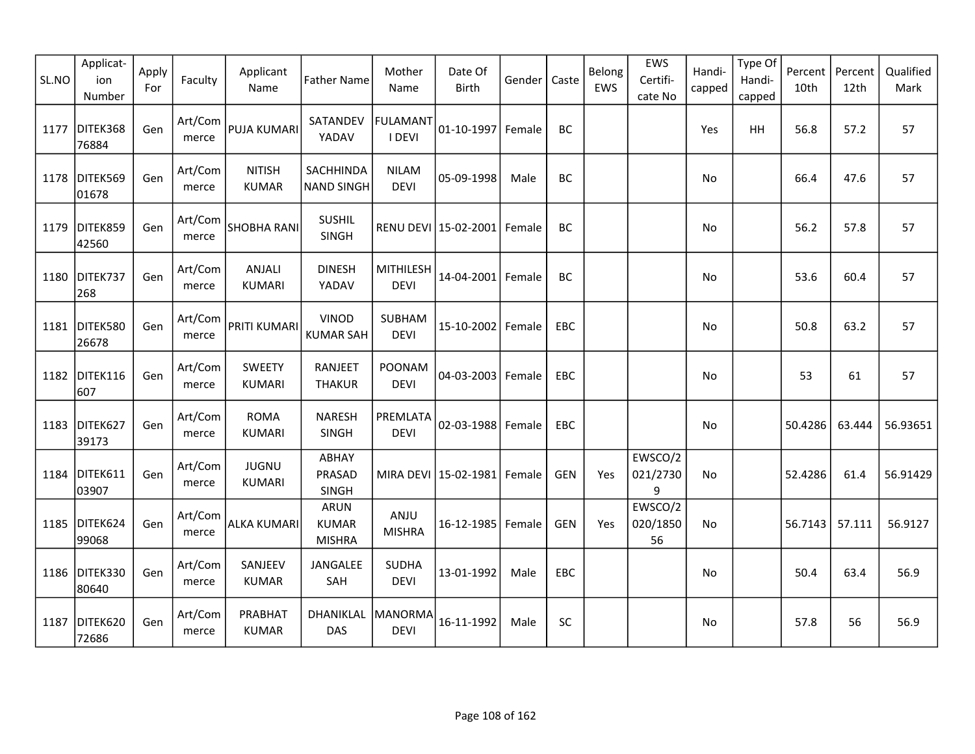| SL.NO | Applicat-<br>ion<br>Number | Apply<br>For | Faculty          | Applicant<br>Name              | <b>Father Name</b>                           | Mother<br>Name                  | Date Of<br>Birth                | Gender | Caste      | Belong<br>EWS | <b>EWS</b><br>Certifi-<br>cate No | Handi-<br>capped | Type Of<br>Handi-<br>capped | Percent<br>10th | Percent<br>12th | Qualified<br>Mark |
|-------|----------------------------|--------------|------------------|--------------------------------|----------------------------------------------|---------------------------------|---------------------------------|--------|------------|---------------|-----------------------------------|------------------|-----------------------------|-----------------|-----------------|-------------------|
| 1177  | DITEK368<br>76884          | Gen          | Art/Com<br>merce | <b>PUJA KUMARI</b>             | SATANDEV<br>YADAV                            | <b>FULAMANT</b><br>I DEVI       | 01-10-1997                      | Female | BC         |               |                                   | Yes              | <b>HH</b>                   | 56.8            | 57.2            | 57                |
| 1178  | DITEK569<br>01678          | Gen          | Art/Com<br>merce | <b>NITISH</b><br><b>KUMAR</b>  | SACHHINDA<br><b>NAND SINGH</b>               | <b>NILAM</b><br><b>DEVI</b>     | 05-09-1998                      | Male   | BC         |               |                                   | No               |                             | 66.4            | 47.6            | 57                |
| 1179  | DITEK859<br>42560          | Gen          | Art/Com<br>merce | SHOBHA RANI                    | <b>SUSHIL</b><br>SINGH                       |                                 | RENU DEVI 15-02-2001            | Female | BC         |               |                                   | No               |                             | 56.2            | 57.8            | 57                |
| 1180  | DITEK737<br>268            | Gen          | Art/Com<br>merce | ANJALI<br><b>KUMARI</b>        | <b>DINESH</b><br>YADAV                       | <b>MITHILESH</b><br><b>DEVI</b> | 14-04-2001 Female               |        | BC         |               |                                   | No               |                             | 53.6            | 60.4            | 57                |
| 1181  | DITEK580<br>26678          | Gen          | Art/Com<br>merce | PRITI KUMARI                   | <b>VINOD</b><br><b>KUMAR SAH</b>             | SUBHAM<br><b>DEVI</b>           | 15-10-2002                      | Female | <b>EBC</b> |               |                                   | No.              |                             | 50.8            | 63.2            | 57                |
| 1182  | DITEK116<br>607            | Gen          | Art/Com<br>merce | <b>SWEETY</b><br><b>KUMARI</b> | RANJEET<br><b>THAKUR</b>                     | POONAM<br><b>DEVI</b>           | 04-03-2003 Female               |        | EBC        |               |                                   | No               |                             | 53              | 61              | 57                |
| 1183  | DITEK627<br>39173          | Gen          | Art/Com<br>merce | <b>ROMA</b><br><b>KUMARI</b>   | <b>NARESH</b><br>SINGH                       | PREMLATA<br><b>DEVI</b>         | $02 - 03 - 1988$                | Female | EBC        |               |                                   | No               |                             | 50.4286         | 63.444          | 56.93651          |
| 1184  | DITEK611<br>03907          | Gen          | Art/Com<br>merce | <b>JUGNU</b><br>KUMARI         | ABHAY<br>PRASAD<br>SINGH                     |                                 | MIRA DEVI   15-02-1981   Female |        | <b>GEN</b> | Yes           | EWSCO/2<br>021/2730<br>9          | No               |                             | 52.4286         | 61.4            | 56.91429          |
|       | 1185 DITEK624<br>99068     | Gen          | Art/Com<br>merce | <b>ALKA KUMARI</b>             | <b>ARUN</b><br><b>KUMAR</b><br><b>MISHRA</b> | ANJU<br><b>MISHRA</b>           | 16-12-1985 Female               |        | <b>GEN</b> | Yes           | EWSCO/2<br>020/1850<br>56         | No               |                             | 56.7143         | 57.111          | 56.9127           |
| 1186  | DITEK330<br>80640          | Gen          | Art/Com<br>merce | SANJEEV<br><b>KUMAR</b>        | JANGALEE<br>SAH                              | <b>SUDHA</b><br><b>DEVI</b>     | 13-01-1992                      | Male   | EBC        |               |                                   | No               |                             | 50.4            | 63.4            | 56.9              |
| 1187  | DITEK620<br>72686          | Gen          | Art/Com<br>merce | PRABHAT<br><b>KUMAR</b>        | DHANIKLAL   MANORMA<br><b>DAS</b>            | <b>DEVI</b>                     | 16-11-1992                      | Male   | SC         |               |                                   | No               |                             | 57.8            | 56              | 56.9              |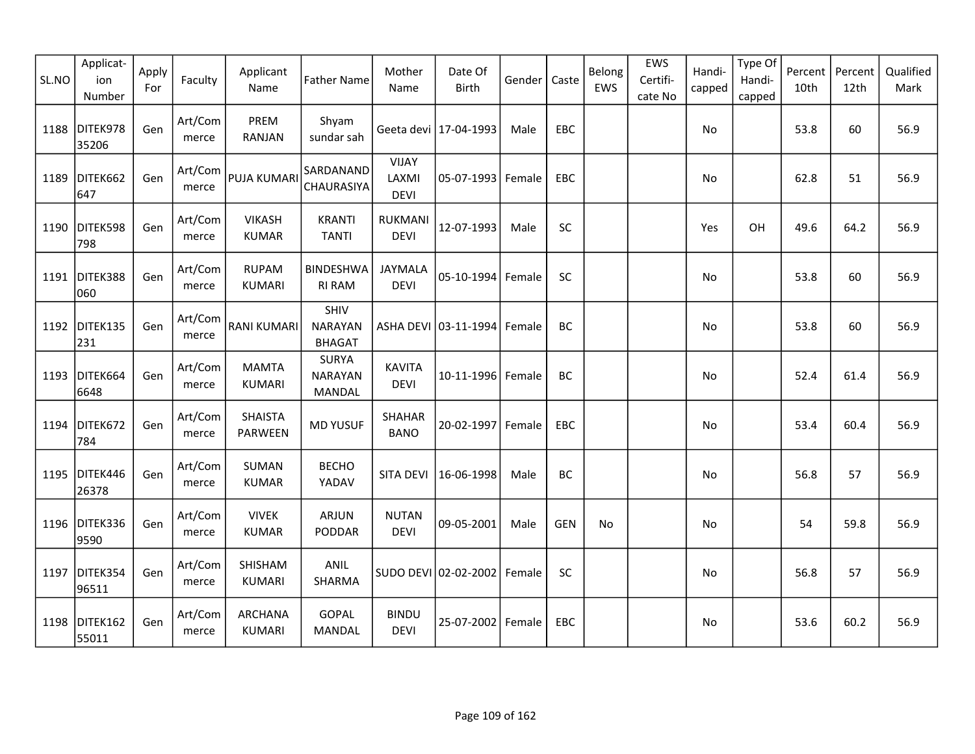| SL.NO | Applicat-<br>ion<br>Number | Apply<br>For | Faculty          | Applicant<br>Name             | <b>Father Name</b>                       | Mother<br>Name                       | Date Of<br>Birth        | Gender | Caste      | Belong<br>EWS | EWS<br>Certifi-<br>cate No | Handi-<br>capped | Type Of<br>Handi-<br>capped | Percent<br>10th | Percent<br>12th | Qualified<br>Mark |
|-------|----------------------------|--------------|------------------|-------------------------------|------------------------------------------|--------------------------------------|-------------------------|--------|------------|---------------|----------------------------|------------------|-----------------------------|-----------------|-----------------|-------------------|
| 1188  | DITEK978<br>35206          | Gen          | Art/Com<br>merce | PREM<br><b>RANJAN</b>         | Shyam<br>sundar sah                      |                                      | Geeta devi   17-04-1993 | Male   | EBC        |               |                            | No               |                             | 53.8            | 60              | 56.9              |
| 1189  | DITEK662<br>647            | Gen          | Art/Com<br>merce | PUJA KUMARI                   | SARDANAND<br><b>CHAURASIYA</b>           | <b>VIJAY</b><br>LAXMI<br><b>DEVI</b> | 05-07-1993              | Female | EBC        |               |                            | No               |                             | 62.8            | 51              | 56.9              |
| 1190  | DITEK598<br>798            | Gen          | Art/Com<br>merce | <b>VIKASH</b><br><b>KUMAR</b> | <b>KRANTI</b><br><b>TANTI</b>            | <b>RUKMANI</b><br><b>DEVI</b>        | 12-07-1993              | Male   | SC         |               |                            | Yes              | OH                          | 49.6            | 64.2            | 56.9              |
| 1191  | DITEK388<br>060            | Gen          | Art/Com<br>merce | <b>RUPAM</b><br><b>KUMARI</b> | <b>BINDESHWA</b><br><b>RI RAM</b>        | JAYMALA<br><b>DEVI</b>               | 05-10-1994              | Female | SC         |               |                            | No               |                             | 53.8            | 60              | 56.9              |
| 1192  | DITEK135<br>231            | Gen          | Art/Com<br>merce | <b>RANI KUMARI</b>            | SHIV<br><b>NARAYAN</b><br><b>BHAGAT</b>  |                                      | ASHA DEVI 03-11-1994    | Female | BC         |               |                            | No               |                             | 53.8            | 60              | 56.9              |
| 1193  | DITEK664<br>6648           | Gen          | Art/Com<br>merce | <b>MAMTA</b><br><b>KUMARI</b> | <b>SURYA</b><br><b>NARAYAN</b><br>MANDAL | <b>KAVITA</b><br><b>DEVI</b>         | 10-11-1996 Female       |        | <b>BC</b>  |               |                            | No               |                             | 52.4            | 61.4            | 56.9              |
| 1194  | DITEK672<br>784            | Gen          | Art/Com<br>merce | <b>SHAISTA</b><br>PARWEEN     | <b>MD YUSUF</b>                          | <b>SHAHAR</b><br><b>BANO</b>         | 20-02-1997              | Female | EBC        |               |                            | No               |                             | 53.4            | 60.4            | 56.9              |
| 1195  | DITEK446<br>26378          | Gen          | Art/Com<br>merce | SUMAN<br><b>KUMAR</b>         | <b>BECHO</b><br>YADAV                    | SITA DEVI                            | 16-06-1998              | Male   | BC         |               |                            | No               |                             | 56.8            | 57              | 56.9              |
|       | 1196 DITEK336<br>9590      | Gen          | Art/Com<br>merce | <b>VIVEK</b><br><b>KUMAR</b>  | ARJUN<br>PODDAR                          | <b>NUTAN</b><br><b>DEVI</b>          | 09-05-2001              | Male   | <b>GEN</b> | No            |                            | No               |                             | 54              | 59.8            | 56.9              |
| 1197  | DITEK354<br>96511          | Gen          | Art/Com<br>merce | SHISHAM<br><b>KUMARI</b>      | ANIL<br>SHARMA                           |                                      | SUDO DEVI 02-02-2002    | Female | SC         |               |                            | No               |                             | 56.8            | 57              | 56.9              |
| 1198  | DITEK162<br>55011          | Gen          | Art/Com<br>merce | ARCHANA<br><b>KUMARI</b>      | GOPAL<br>MANDAL                          | <b>BINDU</b><br><b>DEVI</b>          | 25-07-2002 Female       |        | EBC        |               |                            | No               |                             | 53.6            | 60.2            | 56.9              |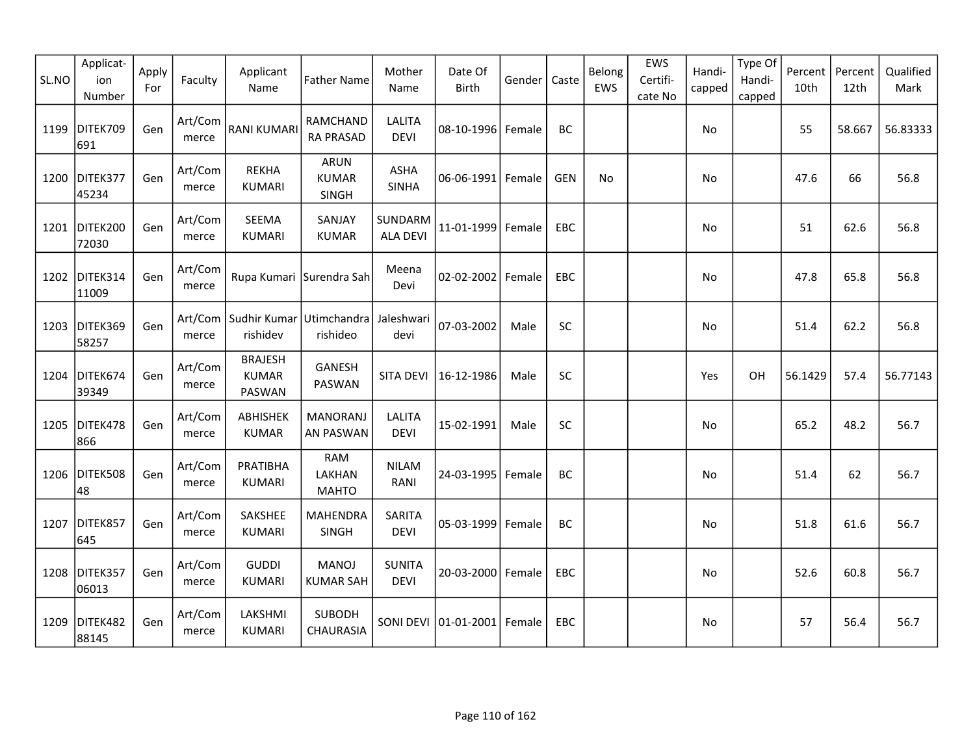| SL.NO | Applicat-<br>ion<br>Number | Apply<br>For | Faculty          | Applicant<br>Name                                | <b>Father Name</b>                   | Mother<br>Name               | Date Of<br><b>Birth</b> | Gender | Caste      | Belong<br>EWS | EWS<br>Certifi-<br>cate No | Handi-<br>capped | Type Of<br>Handi-<br>capped | Percent<br>10th | Percent<br>12th | Qualified<br>Mark |
|-------|----------------------------|--------------|------------------|--------------------------------------------------|--------------------------------------|------------------------------|-------------------------|--------|------------|---------------|----------------------------|------------------|-----------------------------|-----------------|-----------------|-------------------|
| 1199  | DITEK709<br>691            | Gen          | Art/Com<br>merce | <b>RANI KUMARI</b>                               | <b>RAMCHAND</b><br><b>RA PRASAD</b>  | <b>LALITA</b><br><b>DEVI</b> | 08-10-1996 Female       |        | <b>BC</b>  |               |                            | No               |                             | 55              | 58.667          | 56.83333          |
| 1200  | DITEK377<br>45234          | Gen          | Art/Com<br>merce | <b>REKHA</b><br><b>KUMARI</b>                    | <b>ARUN</b><br><b>KUMAR</b><br>SINGH | <b>ASHA</b><br><b>SINHA</b>  | $06 - 06 - 1991$        | Female | <b>GEN</b> | No            |                            | No               |                             | 47.6            | 66              | 56.8              |
|       | 1201 DITEK200<br>72030     | Gen          | Art/Com<br>merce | <b>SEEMA</b><br><b>KUMARI</b>                    | SANJAY<br><b>KUMAR</b>               | SUNDARM<br><b>ALA DEVI</b>   | 11-01-1999              | Female | EBC        |               |                            | No               |                             | 51              | 62.6            | 56.8              |
|       | 1202 DITEK314<br>11009     | Gen          | Art/Com<br>merce |                                                  | Rupa Kumari Surendra Sah             | Meena<br>Devi                | 02-02-2002              | Female | EBC        |               |                            | No               |                             | 47.8            | 65.8            | 56.8              |
| 1203  | DITEK369<br>58257          | Gen          | merce            | Art/Com   Sudhir Kumar   Utimchandra<br>rishidev | rishideo                             | Jaleshwari<br>devi           | 07-03-2002              | Male   | SC         |               |                            | No               |                             | 51.4            | 62.2            | 56.8              |
| 1204  | DITEK674<br>39349          | Gen          | Art/Com<br>merce | <b>BRAJESH</b><br><b>KUMAR</b><br>PASWAN         | GANESH<br>PASWAN                     | <b>SITA DEVI</b>             | 16-12-1986              | Male   | SC         |               |                            | Yes              | OH                          | 56.1429         | 57.4            | 56.77143          |
| 1205  | DITEK478<br>866            | Gen          | Art/Com<br>merce | ABHISHEK<br><b>KUMAR</b>                         | <b>MANORANJ</b><br><b>AN PASWAN</b>  | <b>LALITA</b><br><b>DEVI</b> | 15-02-1991              | Male   | SC         |               |                            | No               |                             | 65.2            | 48.2            | 56.7              |
| 1206  | DITEK508<br>48             | Gen          | Art/Com<br>merce | PRATIBHA<br><b>KUMARI</b>                        | <b>RAM</b><br>LAKHAN<br><b>MAHTO</b> | <b>NILAM</b><br>RANI         | 24-03-1995              | Female | BC         |               |                            | No               |                             | 51.4            | 62              | 56.7              |
| 1207  | DITEK857<br>645            | Gen          | Art/Com<br>merce | SAKSHEE<br><b>KUMARI</b>                         | <b>MAHENDRA</b><br>SINGH             | <b>SARITA</b><br><b>DEVI</b> | 05-03-1999              | Female | BC         |               |                            | No               |                             | 51.8            | 61.6            | 56.7              |
| 1208  | DITEK357<br>06013          | Gen          | Art/Com<br>merce | <b>GUDDI</b><br><b>KUMARI</b>                    | <b>MANOJ</b><br><b>KUMAR SAH</b>     | <b>SUNITA</b><br><b>DEVI</b> | 20-03-2000 Female       |        | EBC        |               |                            | No               |                             | 52.6            | 60.8            | 56.7              |
| 1209  | DITEK482<br>88145          | Gen          | Art/Com<br>merce | LAKSHMI<br><b>KUMARI</b>                         | <b>SUBODH</b><br>CHAURASIA           | SONI DEVI                    | $ 01 - 01 - 2001 $      | Female | EBC        |               |                            | No               |                             | 57              | 56.4            | 56.7              |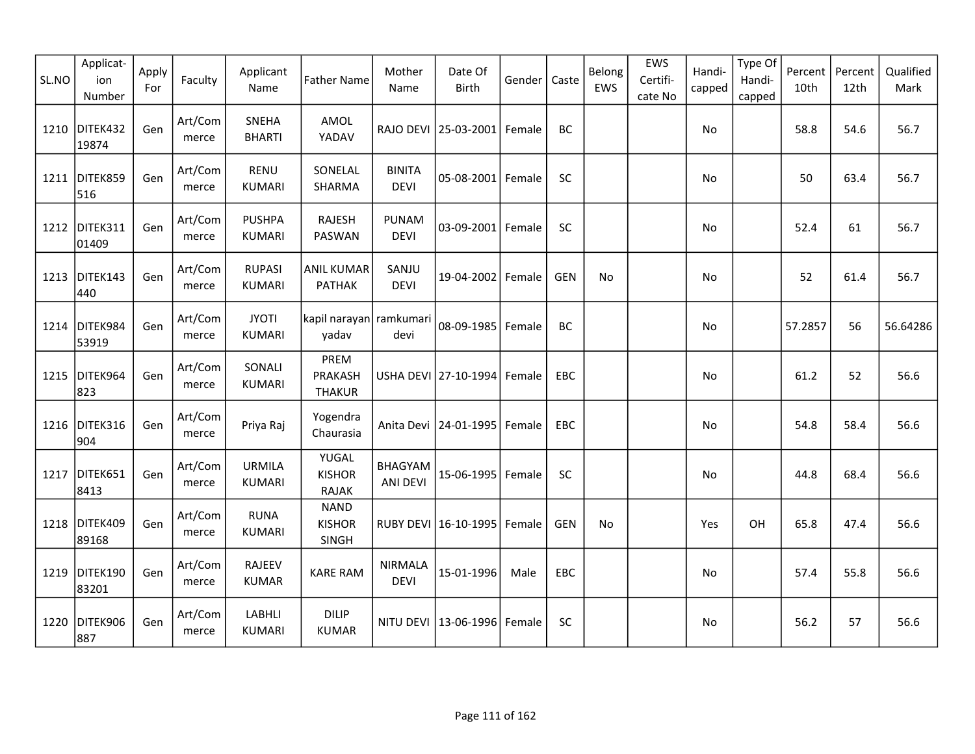| SL.NO | Applicat-<br>ion<br>Number | Apply<br>For | Faculty          | Applicant<br>Name              | <b>Father Name</b>                      | Mother<br>Name                    | Date Of<br><b>Birth</b>          | Gender | Caste      | Belong<br>EWS | EWS<br>Certifi-<br>cate No | Handi-<br>capped | Type Of<br>Handi-<br>capped | Percent<br>10th | Percent<br>12th | Qualified<br>Mark |
|-------|----------------------------|--------------|------------------|--------------------------------|-----------------------------------------|-----------------------------------|----------------------------------|--------|------------|---------------|----------------------------|------------------|-----------------------------|-----------------|-----------------|-------------------|
|       | 1210 DITEK432<br>19874     | Gen          | Art/Com<br>merce | <b>SNEHA</b><br><b>BHARTI</b>  | AMOL<br>YADAV                           |                                   | RAJO DEVI 25-03-2001 Female      |        | BC         |               |                            | No               |                             | 58.8            | 54.6            | 56.7              |
| 1211  | DITEK859<br>516            | Gen          | Art/Com<br>merce | <b>RENU</b><br><b>KUMARI</b>   | SONELAL<br>SHARMA                       | <b>BINITA</b><br><b>DEVI</b>      | 05-08-2001 Female                |        | <b>SC</b>  |               |                            | No               |                             | 50              | 63.4            | 56.7              |
|       | 1212 DITEK311<br>01409     | Gen          | Art/Com<br>merce | <b>PUSHPA</b><br><b>KUMARI</b> | <b>RAJESH</b><br>PASWAN                 | <b>PUNAM</b><br><b>DEVI</b>       | 03-09-2001 Female                |        | SC         |               |                            | No               |                             | 52.4            | 61              | 56.7              |
|       | 1213 DITEK143<br>440       | Gen          | Art/Com<br>merce | <b>RUPASI</b><br><b>KUMARI</b> | <b>ANIL KUMAR</b><br><b>PATHAK</b>      | SANJU<br><b>DEVI</b>              | 19-04-2002 Female                |        | <b>GEN</b> | No            |                            | No               |                             | 52              | 61.4            | 56.7              |
| 1214  | DITEK984<br>53919          | Gen          | Art/Com<br>merce | <b>JYOTI</b><br><b>KUMARI</b>  | kapil narayan  ramkumari<br>yadav       | devi                              | 08-09-1985 Female                |        | BC         |               |                            | No               |                             | 57.2857         | 56              | 56.64286          |
| 1215  | DITEK964<br>823            | Gen          | Art/Com<br>merce | SONALI<br><b>KUMARI</b>        | PREM<br><b>PRAKASH</b><br><b>THAKUR</b> |                                   | USHA DEVI 27-10-1994 Female      |        | EBC        |               |                            | No               |                             | 61.2            | 52              | 56.6              |
| 1216  | DITEK316<br>904            | Gen          | Art/Com<br>merce | Priya Raj                      | Yogendra<br>Chaurasia                   |                                   | Anita Devi   24-01-1995   Female |        | <b>EBC</b> |               |                            | No               |                             | 54.8            | 58.4            | 56.6              |
| 1217  | DITEK651<br>8413           | Gen          | Art/Com<br>merce | <b>URMILA</b><br><b>KUMARI</b> | YUGAL<br><b>KISHOR</b><br><b>RAJAK</b>  | <b>BHAGYAM</b><br><b>ANI DEVI</b> | 15-06-1995   Female              |        | SC         |               |                            | No               |                             | 44.8            | 68.4            | 56.6              |
|       | 1218 DITEK409<br>89168     | Gen          | Art/Com<br>merce | <b>RUNA</b><br><b>KUMARI</b>   | <b>NAND</b><br><b>KISHOR</b><br>SINGH   |                                   | RUBY DEVI   16-10-1995   Female  |        | <b>GEN</b> | No            |                            | Yes              | OH                          | 65.8            | 47.4            | 56.6              |
| 1219  | DITEK190<br>83201          | Gen          | Art/Com<br>merce | <b>RAJEEV</b><br><b>KUMAR</b>  | <b>KARE RAM</b>                         | <b>NIRMALA</b><br><b>DEVI</b>     | 15-01-1996                       | Male   | EBC        |               |                            | No               |                             | 57.4            | 55.8            | 56.6              |
|       | 1220 DITEK906<br>887       | Gen          | Art/Com<br>merce | LABHLI<br><b>KUMARI</b>        | <b>DILIP</b><br><b>KUMAR</b>            | NITU DEVI                         | 13-06-1996 Female                |        | <b>SC</b>  |               |                            | No               |                             | 56.2            | 57              | 56.6              |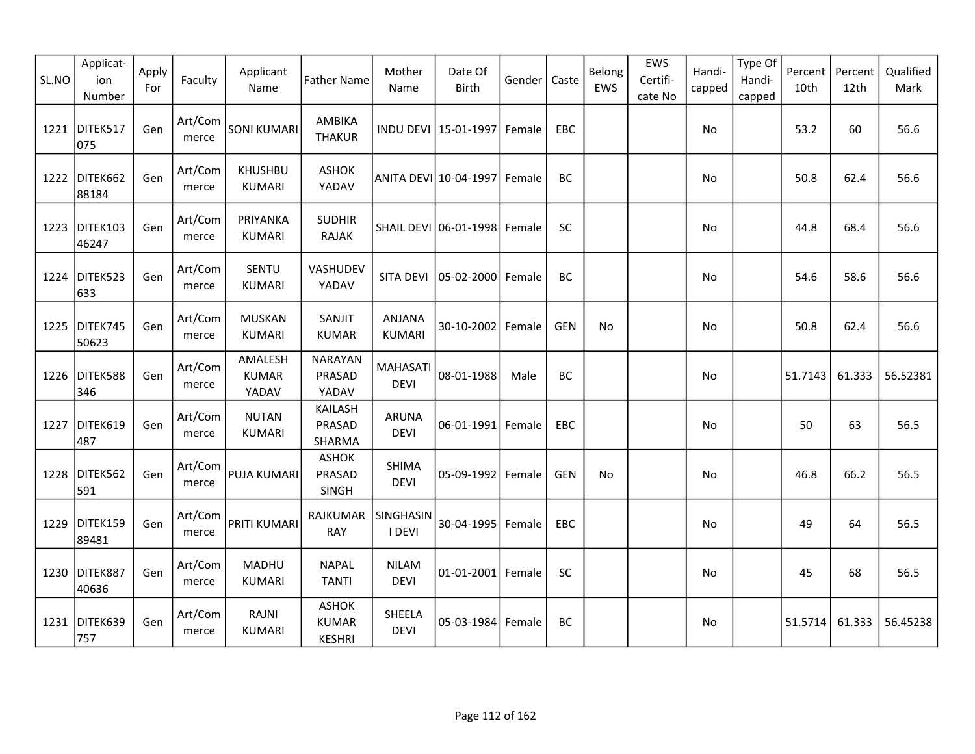| SL.NO | Applicat-<br>ion<br>Number | Apply<br>For | Faculty          | Applicant<br>Name                | <b>Father Name</b>                            | Mother<br>Name                 | Date Of<br><b>Birth</b> | Gender | Caste      | Belong<br>EWS | EWS<br>Certifi-<br>cate No | Handi-<br>capped | Type Of<br>Handi-<br>capped | Percent<br>10th | Percent<br>12th | Qualified<br>Mark |
|-------|----------------------------|--------------|------------------|----------------------------------|-----------------------------------------------|--------------------------------|-------------------------|--------|------------|---------------|----------------------------|------------------|-----------------------------|-----------------|-----------------|-------------------|
| 1221  | DITEK517<br>075            | Gen          | Art/Com<br>merce | <b>SONI KUMARI</b>               | AMBIKA<br><b>THAKUR</b>                       |                                | INDU DEVI 15-01-1997    | Female | EBC        |               |                            | No               |                             | 53.2            | 60              | 56.6              |
| 1222  | DITEK662<br>88184          | Gen          | Art/Com<br>merce | <b>KHUSHBU</b><br>KUMARI         | <b>ASHOK</b><br>YADAV                         |                                | ANITA DEVI 10-04-1997   | Female | BC         |               |                            | No               |                             | 50.8            | 62.4            | 56.6              |
| 1223  | DITEK103<br>46247          | Gen          | Art/Com<br>merce | PRIYANKA<br><b>KUMARI</b>        | <b>SUDHIR</b><br>RAJAK                        |                                | SHAIL DEVI 06-01-1998   | Female | SC         |               |                            | No               |                             | 44.8            | 68.4            | 56.6              |
| 1224  | DITEK523<br>633            | Gen          | Art/Com<br>merce | SENTU<br><b>KUMARI</b>           | VASHUDEV<br>YADAV                             | SITA DEVI                      | 05-02-2000              | Female | <b>BC</b>  |               |                            | No               |                             | 54.6            | 58.6            | 56.6              |
| 1225  | DITEK745<br>50623          | Gen          | Art/Com<br>merce | <b>MUSKAN</b><br><b>KUMARI</b>   | SANJIT<br><b>KUMAR</b>                        | <b>ANJANA</b><br><b>KUMARI</b> | 30-10-2002              | Female | <b>GEN</b> | No            |                            | No               |                             | 50.8            | 62.4            | 56.6              |
| 1226  | DITEK588<br>346            | Gen          | Art/Com<br>merce | AMALESH<br><b>KUMAR</b><br>YADAV | <b>NARAYAN</b><br>PRASAD<br>YADAV             | <b>MAHASATI</b><br><b>DEVI</b> | 08-01-1988              | Male   | <b>BC</b>  |               |                            | No               |                             | 51.7143         | 61.333          | 56.52381          |
| 1227  | DITEK619<br>487            | Gen          | Art/Com<br>merce | <b>NUTAN</b><br><b>KUMARI</b>    | KAILASH<br>PRASAD<br>SHARMA                   | <b>ARUNA</b><br><b>DEVI</b>    | $06 - 01 - 1991$        | Female | EBC        |               |                            | No               |                             | 50              | 63              | 56.5              |
| 1228  | DITEK562<br>591            | Gen          | Art/Com<br>merce | PUJA KUMARI                      | <b>ASHOK</b><br>PRASAD<br>SINGH               | <b>SHIMA</b><br><b>DEVI</b>    | 05-09-1992              | Female | <b>GEN</b> | No            |                            | No               |                             | 46.8            | 66.2            | 56.5              |
| 1229  | DITEK159<br>89481          | Gen          | Art/Com<br>merce | PRITI KUMARI                     | <b>RAJKUMAR</b><br><b>RAY</b>                 | SINGHASIN<br>I DEVI            | 30-04-1995              | Female | EBC        |               |                            | No               |                             | 49              | 64              | 56.5              |
| 1230  | DITEK887<br>40636          | Gen          | Art/Com<br>merce | MADHU<br><b>KUMARI</b>           | <b>NAPAL</b><br><b>TANTI</b>                  | <b>NILAM</b><br><b>DEVI</b>    | 01-01-2001 Female       |        | SC         |               |                            | No               |                             | 45              | 68              | 56.5              |
|       | 1231 DITEK639<br>757       | Gen          | Art/Com<br>merce | RAJNI<br><b>KUMARI</b>           | <b>ASHOK</b><br><b>KUMAR</b><br><b>KESHRI</b> | SHEELA<br><b>DEVI</b>          | 05-03-1984              | Female | <b>BC</b>  |               |                            | No               |                             | 51.5714         | 61.333          | 56.45238          |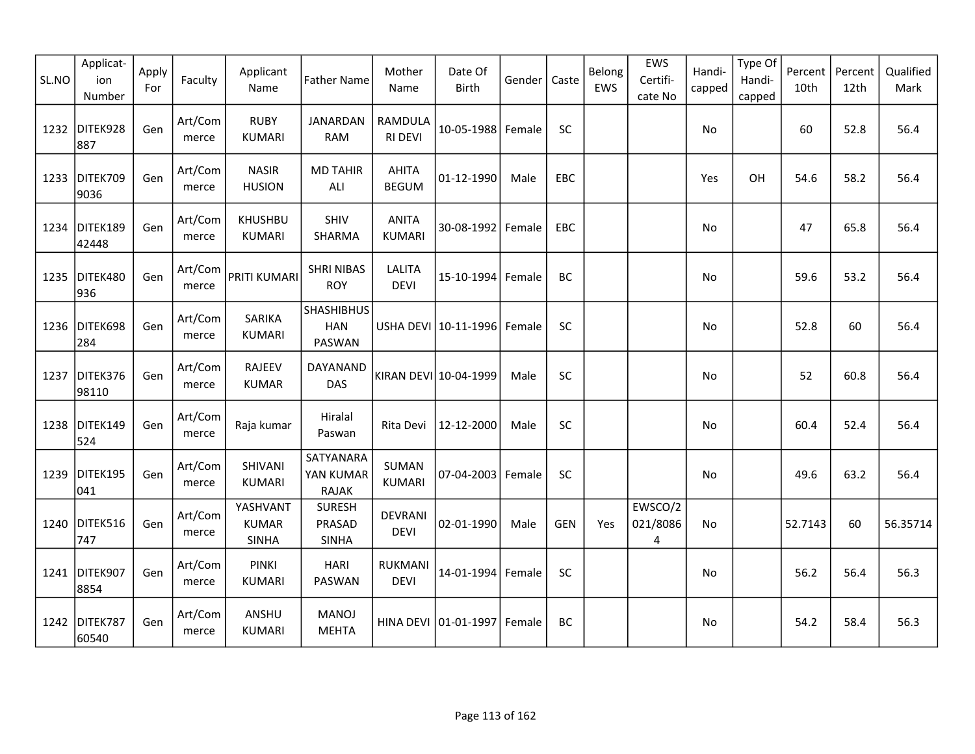| SL.NO | Applicat-<br>ion<br>Number | Apply<br>For | Faculty          | Applicant<br>Name                        | <b>Father Name</b>                        | Mother<br>Name                | Date Of<br><b>Birth</b> | Gender | Caste      | Belong<br>EWS | EWS<br>Certifi-<br>cate No | Handi-<br>capped | Type Of<br>Handi-<br>capped | Percent<br>10th | Percent<br>12th | Qualified<br>Mark |
|-------|----------------------------|--------------|------------------|------------------------------------------|-------------------------------------------|-------------------------------|-------------------------|--------|------------|---------------|----------------------------|------------------|-----------------------------|-----------------|-----------------|-------------------|
|       | 1232 DITEK928<br>887       | Gen          | Art/Com<br>merce | <b>RUBY</b><br><b>KUMARI</b>             | <b>JANARDAN</b><br><b>RAM</b>             | RAMDULA<br><b>RI DEVI</b>     | 10-05-1988 Female       |        | <b>SC</b>  |               |                            | No               |                             | 60              | 52.8            | 56.4              |
| 1233  | DITEK709<br>9036           | Gen          | Art/Com<br>merce | <b>NASIR</b><br><b>HUSION</b>            | <b>MD TAHIR</b><br>ALI                    | <b>AHITA</b><br><b>BEGUM</b>  | 01-12-1990              | Male   | EBC        |               |                            | Yes              | OH                          | 54.6            | 58.2            | 56.4              |
|       | 1234 DITEK189<br>42448     | Gen          | Art/Com<br>merce | <b>KHUSHBU</b><br><b>KUMARI</b>          | SHIV<br>SHARMA                            | <b>ANITA</b><br><b>KUMARI</b> | 30-08-1992 Female       |        | EBC        |               |                            | No               |                             | 47              | 65.8            | 56.4              |
|       | 1235 DITEK480<br>936       | Gen          | Art/Com<br>merce | PRITI KUMARI                             | <b>SHRI NIBAS</b><br><b>ROY</b>           | LALITA<br><b>DEVI</b>         | 15-10-1994              | Female | BC         |               |                            | No               |                             | 59.6            | 53.2            | 56.4              |
| 1236  | DITEK698<br>284            | Gen          | Art/Com<br>merce | SARIKA<br><b>KUMARI</b>                  | <b>SHASHIBHUS</b><br><b>HAN</b><br>PASWAN |                               | USHA DEVI 10-11-1996    | Female | SC         |               |                            | No               |                             | 52.8            | 60              | 56.4              |
| 1237  | DITEK376<br>98110          | Gen          | Art/Com<br>merce | <b>RAJEEV</b><br><b>KUMAR</b>            | DAYANAND<br>DAS                           |                               | KIRAN DEVI 10-04-1999   | Male   | SC         |               |                            | No               |                             | 52              | 60.8            | 56.4              |
| 1238  | DITEK149<br>524            | Gen          | Art/Com<br>merce | Raja kumar                               | Hiralal<br>Paswan                         | Rita Devi                     | 12-12-2000              | Male   | SC         |               |                            | No               |                             | 60.4            | 52.4            | 56.4              |
| 1239  | DITEK195<br>041            | Gen          | Art/Com<br>merce | SHIVANI<br><b>KUMARI</b>                 | SATYANARA<br>YAN KUMAR<br><b>RAJAK</b>    | <b>SUMAN</b><br><b>KUMARI</b> | 07-04-2003              | Female | SC         |               |                            | No               |                             | 49.6            | 63.2            | 56.4              |
|       | 1240 DITEK516<br>747       | Gen          | Art/Com<br>merce | YASHVANT<br><b>KUMAR</b><br><b>SINHA</b> | <b>SURESH</b><br>PRASAD<br><b>SINHA</b>   | <b>DEVRANI</b><br><b>DEVI</b> | 02-01-1990              | Male   | <b>GEN</b> | Yes           | EWSCO/2<br>021/8086<br>4   | No               |                             | 52.7143         | 60              | 56.35714          |
|       | 1241 DITEK907<br>8854      | Gen          | Art/Com<br>merce | <b>PINKI</b><br><b>KUMARI</b>            | <b>HARI</b><br>PASWAN                     | <b>RUKMANI</b><br><b>DEVI</b> | 14-01-1994              | Female | SC         |               |                            | No               |                             | 56.2            | 56.4            | 56.3              |
|       | 1242 DITEK787<br>60540     | Gen          | Art/Com<br>merce | ANSHU<br><b>KUMARI</b>                   | <b>MANOJ</b><br><b>MEHTA</b>              |                               | HINA DEVI 01-01-1997    | Female | BC         |               |                            | No.              |                             | 54.2            | 58.4            | 56.3              |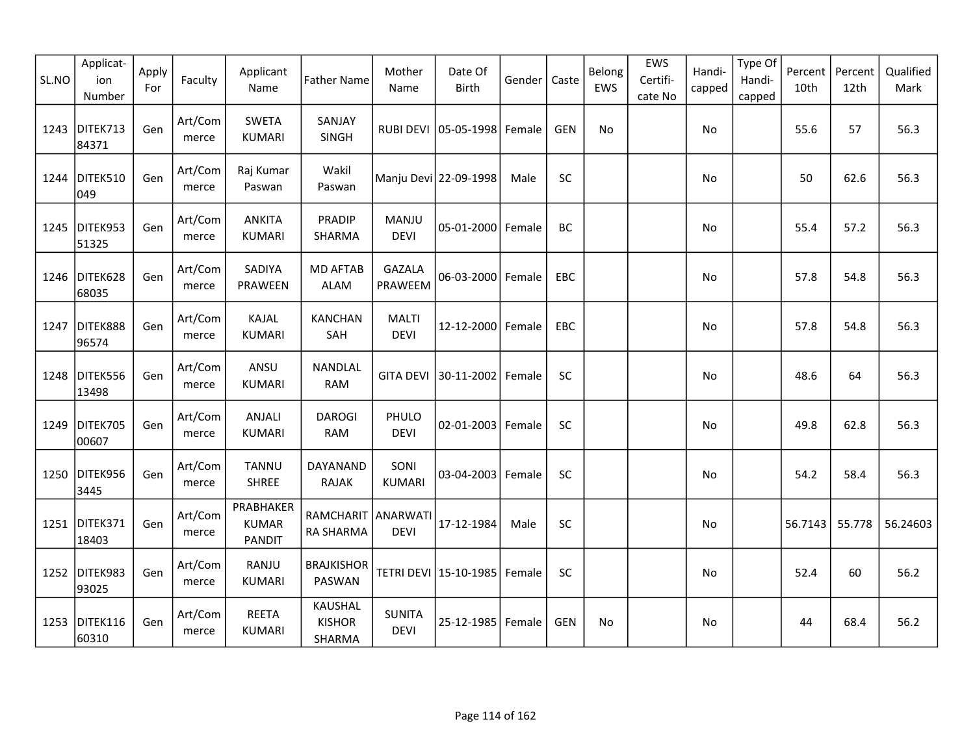| SL.NO | Applicat-<br>ion<br>Number | Apply<br>For | Faculty          | Applicant<br>Name                          | <b>Father Name</b>                        | Mother<br>Name               | Date Of<br><b>Birth</b>         | Gender | Caste      | Belong<br>EWS | EWS<br>Certifi-<br>cate No | Handi-<br>capped | Type Of<br>Handi-<br>capped | Percent<br>10th | Percent<br>12th | Qualified<br>Mark |
|-------|----------------------------|--------------|------------------|--------------------------------------------|-------------------------------------------|------------------------------|---------------------------------|--------|------------|---------------|----------------------------|------------------|-----------------------------|-----------------|-----------------|-------------------|
| 1243  | DITEK713<br>84371          | Gen          | Art/Com<br>merce | <b>SWETA</b><br><b>KUMARI</b>              | SANJAY<br><b>SINGH</b>                    |                              | RUBI DEVI   05-05-1998   Female |        | <b>GEN</b> | No            |                            | No               |                             | 55.6            | 57              | 56.3              |
| 1244  | DITEK510<br>049            | Gen          | Art/Com<br>merce | Raj Kumar<br>Paswan                        | Wakil<br>Paswan                           |                              | Manju Devi 22-09-1998           | Male   | SC         |               |                            | No               |                             | 50              | 62.6            | 56.3              |
| 1245  | DITEK953<br>51325          | Gen          | Art/Com<br>merce | <b>ANKITA</b><br><b>KUMARI</b>             | <b>PRADIP</b><br>SHARMA                   | MANJU<br><b>DEVI</b>         | 05-01-2000 Female               |        | <b>BC</b>  |               |                            | No               |                             | 55.4            | 57.2            | 56.3              |
|       | 1246 DITEK628<br>68035     | Gen          | Art/Com<br>merce | SADIYA<br>PRAWEEN                          | <b>MD AFTAB</b><br><b>ALAM</b>            | <b>GAZALA</b><br>PRAWEEM     | $06 - 03 - 2000$                | Female | EBC        |               |                            | No.              |                             | 57.8            | 54.8            | 56.3              |
| 1247  | DITEK888<br>96574          | Gen          | Art/Com<br>merce | KAJAL<br><b>KUMARI</b>                     | <b>KANCHAN</b><br>SAH                     | <b>MALTI</b><br><b>DEVI</b>  | 12-12-2000 Female               |        | EBC        |               |                            | No               |                             | 57.8            | 54.8            | 56.3              |
| 1248  | DITEK556<br>13498          | Gen          | Art/Com<br>merce | ANSU<br><b>KUMARI</b>                      | NANDLAL<br><b>RAM</b>                     | <b>GITA DEVI</b>             | 30-11-2002                      | Female | <b>SC</b>  |               |                            | No               |                             | 48.6            | 64              | 56.3              |
| 1249  | DITEK705<br>00607          | Gen          | Art/Com<br>merce | ANJALI<br><b>KUMARI</b>                    | <b>DAROGI</b><br><b>RAM</b>               | PHULO<br><b>DEVI</b>         | 02-01-2003                      | Female | SC         |               |                            | No               |                             | 49.8            | 62.8            | 56.3              |
|       | 1250 DITEK956<br>3445      | Gen          | Art/Com<br>merce | <b>TANNU</b><br><b>SHREE</b>               | DAYANAND<br><b>RAJAK</b>                  | SONI<br><b>KUMARI</b>        | 03-04-2003 Female               |        | SC         |               |                            | No               |                             | 54.2            | 58.4            | 56.3              |
|       | 1251 DITEK371<br>18403     | Gen          | Art/Com<br>merce | PRABHAKER<br><b>KUMAR</b><br><b>PANDIT</b> | RAMCHARIT ANARWATI<br><b>RA SHARMA</b>    | <b>DEVI</b>                  | 17-12-1984                      | Male   | SC         |               |                            | No               |                             | 56.7143         | 55.778          | 56.24603          |
|       | 1252 DITEK983<br>93025     | Gen          | Art/Com<br>merce | RANJU<br><b>KUMARI</b>                     | <b>BRAJKISHOR</b><br><b>PASWAN</b>        |                              | TETRI DEVI 15-10-1985           | Female | SC         |               |                            | No               |                             | 52.4            | 60              | 56.2              |
|       | 1253 DITEK116<br>60310     | Gen          | Art/Com<br>merce | <b>REETA</b><br><b>KUMARI</b>              | <b>KAUSHAL</b><br><b>KISHOR</b><br>SHARMA | <b>SUNITA</b><br><b>DEVI</b> | 25-12-1985                      | Female | <b>GEN</b> | No            |                            | No               |                             | 44              | 68.4            | 56.2              |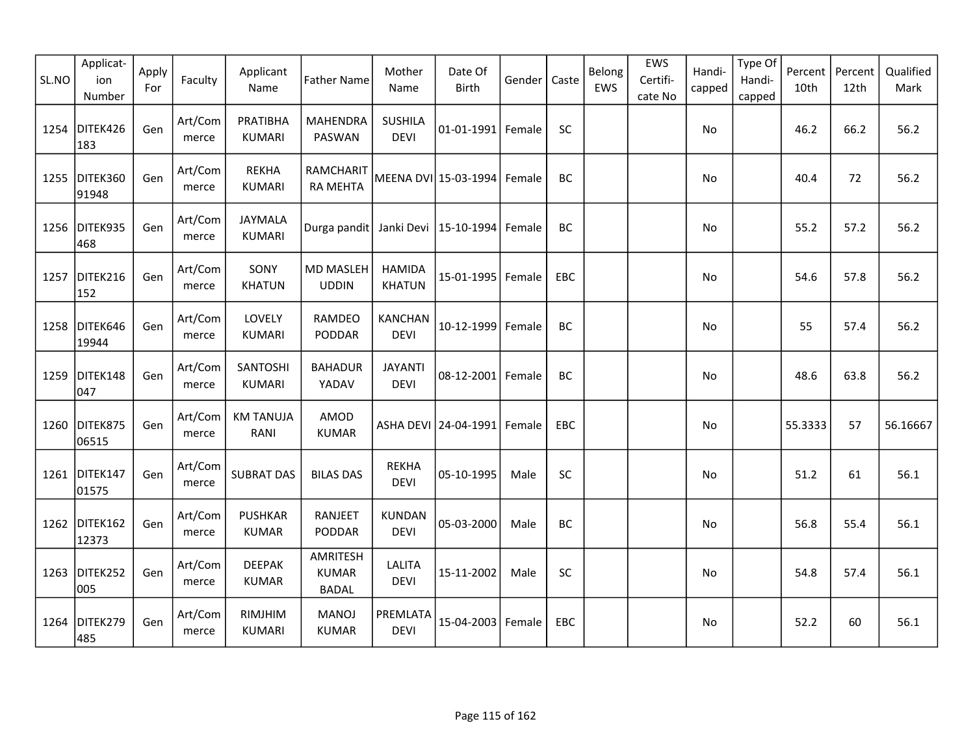| SL.NO | Applicat-<br>ion<br>Number | Apply<br>For | Faculty          | Applicant<br>Name              | <b>Father Name</b>                       | Mother<br>Name                 | Date Of<br><b>Birth</b> | Gender | Caste     | Belong<br>EWS | EWS<br>Certifi-<br>cate No | Handi-<br>capped | Type Of<br>Handi-<br>capped | Percent<br>10th | Percent<br>12th | Qualified<br>Mark |
|-------|----------------------------|--------------|------------------|--------------------------------|------------------------------------------|--------------------------------|-------------------------|--------|-----------|---------------|----------------------------|------------------|-----------------------------|-----------------|-----------------|-------------------|
| 1254  | DITEK426<br>183            | Gen          | Art/Com<br>merce | PRATIBHA<br><b>KUMARI</b>      | <b>MAHENDRA</b><br>PASWAN                | <b>SUSHILA</b><br><b>DEVI</b>  | 01-01-1991 Female       |        | SC        |               |                            | No               |                             | 46.2            | 66.2            | 56.2              |
| 1255  | DITEK360<br>91948          | Gen          | Art/Com<br>merce | <b>REKHA</b><br><b>KUMARI</b>  | RAMCHARIT<br><b>RA MEHTA</b>             |                                | MEENA DVI 15-03-1994    | Female | BC        |               |                            | No               |                             | 40.4            | 72              | 56.2              |
|       | 1256 DITEK935<br>468       | Gen          | Art/Com<br>merce | JAYMALA<br><b>KUMARI</b>       | Durga pandit Janki Devi   15-10-1994     |                                |                         | Female | BC        |               |                            | No               |                             | 55.2            | 57.2            | 56.2              |
| 1257  | DITEK216<br>152            | Gen          | Art/Com<br>merce | SONY<br><b>KHATUN</b>          | <b>MD MASLEH</b><br><b>UDDIN</b>         | <b>HAMIDA</b><br><b>KHATUN</b> | 15-01-1995              | Female | EBC       |               |                            | No               |                             | 54.6            | 57.8            | 56.2              |
| 1258  | DITEK646<br>19944          | Gen          | Art/Com<br>merce | LOVELY<br><b>KUMARI</b>        | RAMDEO<br>PODDAR                         | <b>KANCHAN</b><br><b>DEVI</b>  | 10-12-1999              | Female | <b>BC</b> |               |                            | No               |                             | 55              | 57.4            | 56.2              |
| 1259  | DITEK148<br>047            | Gen          | Art/Com<br>merce | SANTOSHI<br><b>KUMARI</b>      | <b>BAHADUR</b><br>YADAV                  | <b>JAYANTI</b><br><b>DEVI</b>  | 08-12-2001 Female       |        | <b>BC</b> |               |                            | <b>No</b>        |                             | 48.6            | 63.8            | 56.2              |
| 1260  | DITEK875<br>06515          | Gen          | Art/Com<br>merce | <b>KM TANUJA</b><br>RANI       | AMOD<br><b>KUMAR</b>                     |                                | ASHA DEVI 24-04-1991    | Female | EBC       |               |                            | <b>No</b>        |                             | 55.3333         | 57              | 56.16667          |
|       | 1261 DITEK147<br>01575     | Gen          | Art/Com<br>merce | <b>SUBRAT DAS</b>              | <b>BILAS DAS</b>                         | <b>REKHA</b><br><b>DEVI</b>    | 05-10-1995              | Male   | SC        |               |                            | No               |                             | 51.2            | 61              | 56.1              |
|       | 1262 DITEK162<br>12373     | Gen          | Art/Com<br>merce | <b>PUSHKAR</b><br><b>KUMAR</b> | <b>RANJEET</b><br>PODDAR                 | <b>KUNDAN</b><br><b>DEVI</b>   | 05-03-2000              | Male   | BC        |               |                            | No               |                             | 56.8            | 55.4            | 56.1              |
| 1263  | DITEK252<br>005            | Gen          | Art/Com<br>merce | <b>DEEPAK</b><br><b>KUMAR</b>  | AMRITESH<br><b>KUMAR</b><br><b>BADAL</b> | <b>LALITA</b><br><b>DEVI</b>   | 15-11-2002              | Male   | $\sf SC$  |               |                            | No               |                             | 54.8            | 57.4            | 56.1              |
| 1264  | DITEK279<br>485            | Gen          | Art/Com<br>merce | RIMJHIM<br><b>KUMARI</b>       | <b>MANOJ</b><br><b>KUMAR</b>             | PREMLATA<br><b>DEVI</b>        | 15-04-2003 Female       |        | EBC       |               |                            | No               |                             | 52.2            | 60              | 56.1              |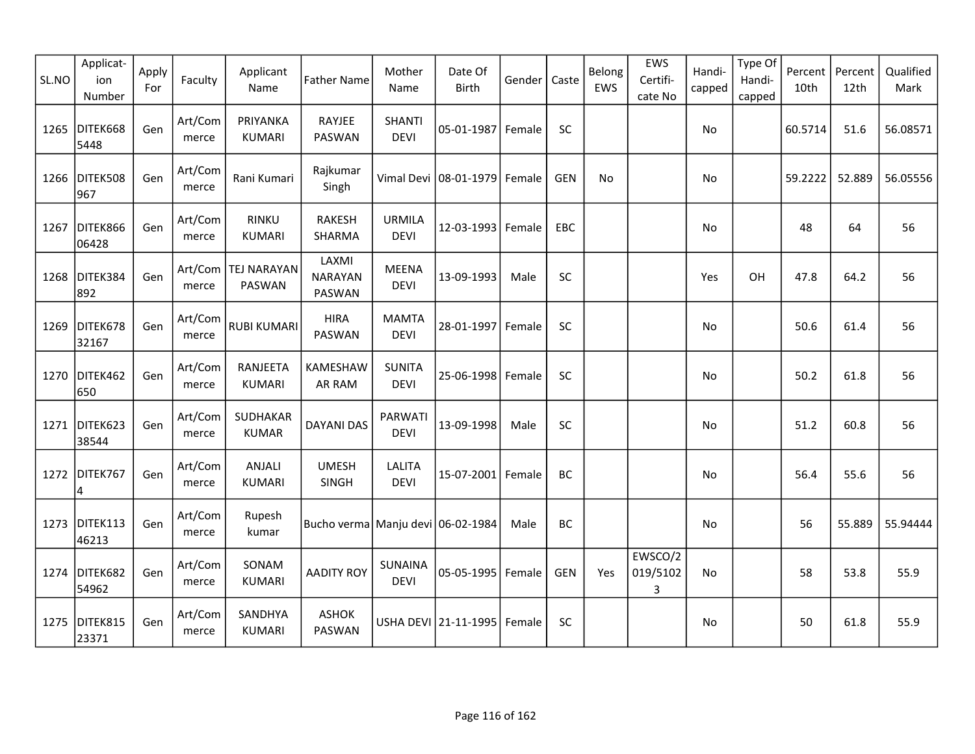| SL.NO | Applicat-<br>ion<br>Number | Apply<br>For | Faculty          | Applicant<br>Name               | <b>Father Name</b>                    | Mother<br>Name                | Date Of<br><b>Birth</b> | Gender | Caste      | Belong<br>EWS | EWS<br>Certifi-<br>cate No | Handi-<br>capped | Type Of<br>Handi-<br>capped | Percent<br>10th | Percent<br>12th | Qualified<br>Mark |
|-------|----------------------------|--------------|------------------|---------------------------------|---------------------------------------|-------------------------------|-------------------------|--------|------------|---------------|----------------------------|------------------|-----------------------------|-----------------|-----------------|-------------------|
| 1265  | DITEK668<br>5448           | Gen          | Art/Com<br>merce | PRIYANKA<br><b>KUMARI</b>       | RAYJEE<br>PASWAN                      | <b>SHANTI</b><br><b>DEVI</b>  | 05-01-1987 Female       |        | SC         |               |                            | No               |                             | 60.5714         | 51.6            | 56.08571          |
| 1266  | DITEK508<br>967            | Gen          | Art/Com<br>merce | Rani Kumari                     | Rajkumar<br>Singh                     |                               | Vimal Devi 08-01-1979   | Female | <b>GEN</b> | <b>No</b>     |                            | No               |                             | 59.2222         | 52.889          | 56.05556          |
| 1267  | DITEK866<br>06428          | Gen          | Art/Com<br>merce | <b>RINKU</b><br><b>KUMARI</b>   | <b>RAKESH</b><br>SHARMA               | <b>URMILA</b><br><b>DEVI</b>  | 12-03-1993              | Female | EBC        |               |                            | No               |                             | 48              | 64              | 56                |
| 1268  | DITEK384<br>892            | Gen          | merce            | Art/Com   TEJ NARAYAN<br>PASWAN | LAXMI<br><b>NARAYAN</b><br>PASWAN     | <b>MEENA</b><br><b>DEVI</b>   | 13-09-1993              | Male   | SC         |               |                            | Yes              | OH                          | 47.8            | 64.2            | 56                |
| 1269  | DITEK678<br>32167          | Gen          | Art/Com<br>merce | <b>RUBI KUMARI</b>              | <b>HIRA</b><br>PASWAN                 | <b>MAMTA</b><br><b>DEVI</b>   | 28-01-1997              | Female | SC         |               |                            | No.              |                             | 50.6            | 61.4            | 56                |
| 1270  | DITEK462<br>650            | Gen          | Art/Com<br>merce | RANJEETA<br><b>KUMARI</b>       | KAMESHAW<br>AR RAM                    | <b>SUNITA</b><br><b>DEVI</b>  | 25-06-1998              | Female | SC         |               |                            | No               |                             | 50.2            | 61.8            | 56                |
| 1271  | DITEK623<br>38544          | Gen          | Art/Com<br>merce | SUDHAKAR<br><b>KUMAR</b>        | <b>DAYANI DAS</b>                     | PARWATI<br><b>DEVI</b>        | 13-09-1998              | Male   | SC         |               |                            | No               |                             | 51.2            | 60.8            | 56                |
| 1272  | DITEK767<br>4              | Gen          | Art/Com<br>merce | ANJALI<br><b>KUMARI</b>         | <b>UMESH</b><br>SINGH                 | <b>LALITA</b><br><b>DEVI</b>  | 15-07-2001              | Female | BC         |               |                            | No               |                             | 56.4            | 55.6            | 56                |
|       | 1273 DITEK113<br>46213     | Gen          | Art/Com<br>merce | Rupesh<br>kumar                 | Bucho verma   Manju devi   06-02-1984 |                               |                         | Male   | BC         |               |                            | No               |                             | 56              | 55.889          | 55.94444          |
|       | 1274 DITEK682<br>54962     | Gen          | Art/Com<br>merce | SONAM<br><b>KUMARI</b>          | <b>AADITY ROY</b>                     | <b>SUNAINA</b><br><b>DEVI</b> | 05-05-1995              | Female | <b>GEN</b> | Yes           | EWSCO/2<br>019/5102<br>3   | <b>No</b>        |                             | 58              | 53.8            | 55.9              |
| 1275  | DITEK815<br>23371          | Gen          | Art/Com<br>merce | SANDHYA<br><b>KUMARI</b>        | <b>ASHOK</b><br>PASWAN                |                               | USHA DEVI 21-11-1995    | Female | <b>SC</b>  |               |                            | No               |                             | 50              | 61.8            | 55.9              |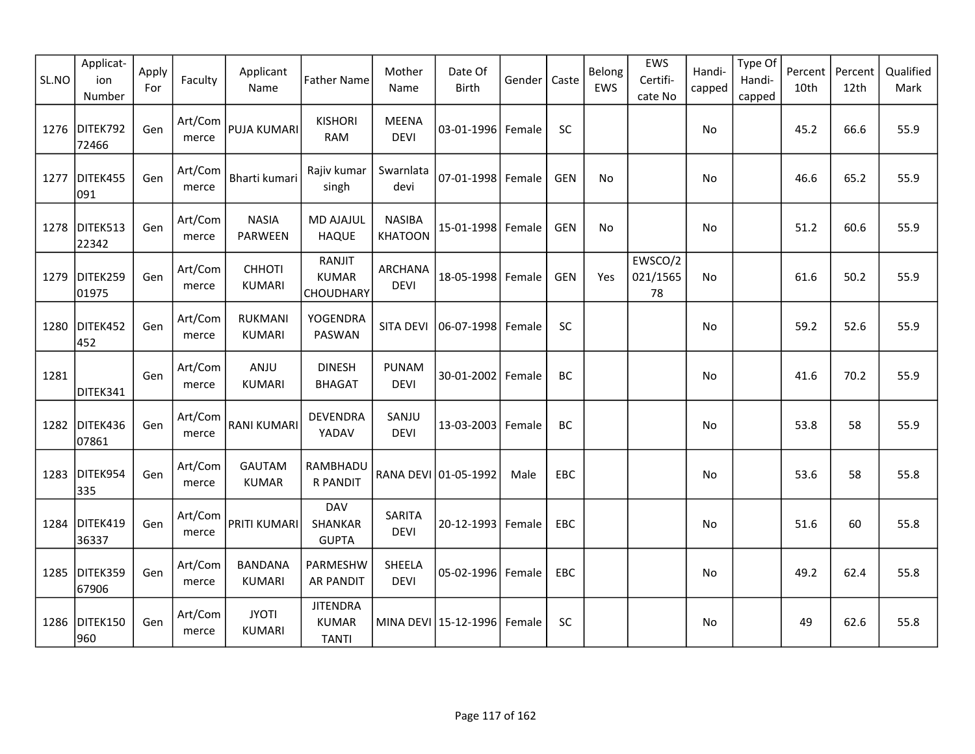| SL.NO | Applicat-<br>ion<br>Number | Apply<br>For | Faculty          | Applicant<br>Name               | <b>Father Name</b>                              | Mother<br>Name                  | Date Of<br><b>Birth</b> | Gender | Caste      | Belong<br>EWS | EWS<br>Certifi-<br>cate No | Handi-<br>capped | Type Of<br>Handi-<br>capped | Percent<br>10th | Percent<br>12th | Qualified<br>Mark |
|-------|----------------------------|--------------|------------------|---------------------------------|-------------------------------------------------|---------------------------------|-------------------------|--------|------------|---------------|----------------------------|------------------|-----------------------------|-----------------|-----------------|-------------------|
| 1276  | DITEK792<br>72466          | Gen          | Art/Com<br>merce | PUJA KUMARI                     | <b>KISHORI</b><br><b>RAM</b>                    | <b>MEENA</b><br><b>DEVI</b>     | 03-01-1996 Female       |        | SC         |               |                            | No               |                             | 45.2            | 66.6            | 55.9              |
| 1277  | DITEK455<br>091            | Gen          | Art/Com<br>merce | Bharti kumari                   | Rajiv kumar<br>singh                            | Swarnlata<br>devi               | 07-01-1998 Female       |        | <b>GEN</b> | No            |                            | No               |                             | 46.6            | 65.2            | 55.9              |
|       | 1278 DITEK513<br>22342     | Gen          | Art/Com<br>merce | <b>NASIA</b><br><b>PARWEEN</b>  | <b>MD AJAJUL</b><br><b>HAQUE</b>                | <b>NASIBA</b><br><b>KHATOON</b> | 15-01-1998 Female       |        | GEN        | No            |                            | No               |                             | 51.2            | 60.6            | 55.9              |
| 1279  | DITEK259<br>01975          | Gen          | Art/Com<br>merce | <b>CHHOTI</b><br><b>KUMARI</b>  | RANJIT<br><b>KUMAR</b><br>CHOUDHARY             | <b>ARCHANA</b><br><b>DEVI</b>   | 18-05-1998 Female       |        | <b>GEN</b> | Yes           | EWSCO/2<br>021/1565<br>78  | No.              |                             | 61.6            | 50.2            | 55.9              |
| 1280  | DITEK452<br>452            | Gen          | Art/Com<br>merce | <b>RUKMANI</b><br><b>KUMARI</b> | <b>YOGENDRA</b><br>PASWAN                       | <b>SITA DEVI</b>                | $ 06-07-1998 $          | Female | SC         |               |                            | No.              |                             | 59.2            | 52.6            | 55.9              |
| 1281  | DITEK341                   | Gen          | Art/Com<br>merce | ANJU<br><b>KUMARI</b>           | <b>DINESH</b><br><b>BHAGAT</b>                  | PUNAM<br><b>DEVI</b>            | 30-01-2002              | Female | BC         |               |                            | No               |                             | 41.6            | 70.2            | 55.9              |
| 1282  | DITEK436<br>07861          | Gen          | Art/Com<br>merce | <b>RANI KUMARI</b>              | <b>DEVENDRA</b><br>YADAV                        | SANJU<br><b>DEVI</b>            | 13-03-2003              | Female | BC         |               |                            | No               |                             | 53.8            | 58              | 55.9              |
| 1283  | DITEK954<br>335            | Gen          | Art/Com<br>merce | <b>GAUTAM</b><br><b>KUMAR</b>   | RAMBHADU<br>R PANDIT                            |                                 | RANA DEVI 01-05-1992    | Male   | EBC        |               |                            | No               |                             | 53.6            | 58              | 55.8              |
|       | 1284 DITEK419<br>36337     | Gen          | Art/Com<br>merce | PRITI KUMARI                    | <b>DAV</b><br>SHANKAR<br><b>GUPTA</b>           | SARITA<br><b>DEVI</b>           | 20-12-1993 Female       |        | EBC        |               |                            | No               |                             | 51.6            | 60              | 55.8              |
| 1285  | DITEK359<br>67906          | Gen          | Art/Com<br>merce | <b>BANDANA</b><br><b>KUMARI</b> | PARMESHW<br><b>AR PANDIT</b>                    | SHEELA<br><b>DEVI</b>           | 05-02-1996 Female       |        | EBC        |               |                            | No               |                             | 49.2            | 62.4            | 55.8              |
| 1286  | DITEK150<br>960            | Gen          | Art/Com<br>merce | <b>JYOTI</b><br>KUMARI          | <b>JITENDRA</b><br><b>KUMAR</b><br><b>TANTI</b> |                                 | MINA DEVI   15-12-1996  | Female | <b>SC</b>  |               |                            | No               |                             | 49              | 62.6            | 55.8              |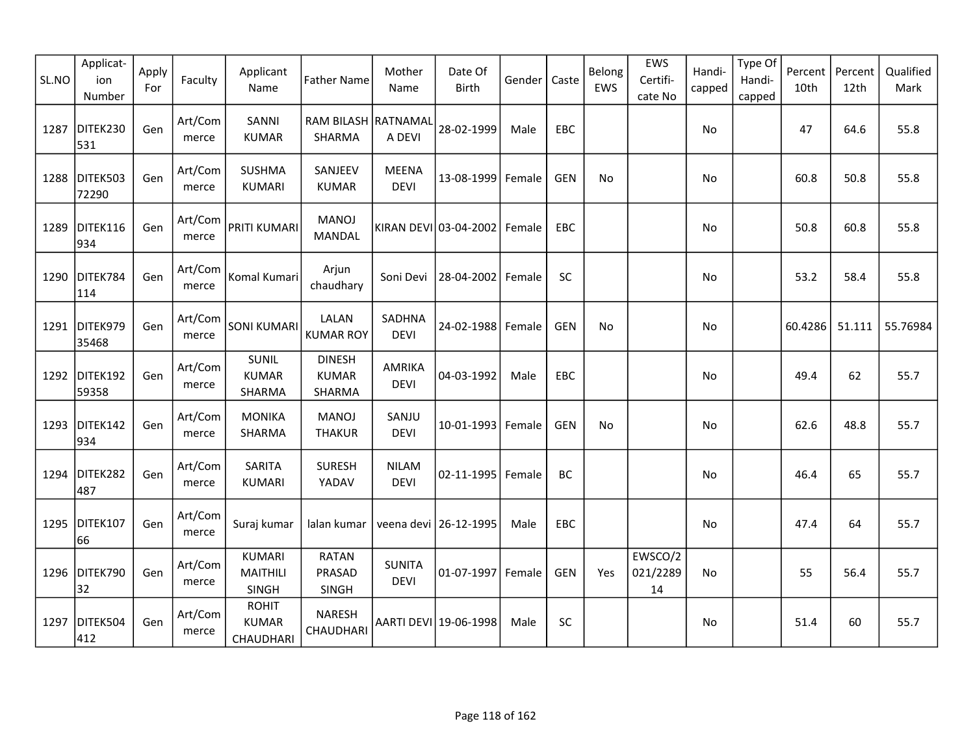| SL.NO | Applicat-<br>ion<br>Number | Apply<br>For | Faculty          | Applicant<br>Name                         | <b>Father Name</b>                      | Mother<br>Name               | Date Of<br><b>Birth</b> | Gender | Caste      | Belong<br>EWS | EWS<br>Certifi-<br>cate No | Handi-<br>capped | Type Of<br>Handi-<br>capped | Percent<br>10th | Percent<br>12th | Qualified<br>Mark |
|-------|----------------------------|--------------|------------------|-------------------------------------------|-----------------------------------------|------------------------------|-------------------------|--------|------------|---------------|----------------------------|------------------|-----------------------------|-----------------|-----------------|-------------------|
| 1287  | DITEK230<br>531            | Gen          | Art/Com<br>merce | SANNI<br><b>KUMAR</b>                     | RAM BILASH RATNAMAL<br>SHARMA           | A DEVI                       | 28-02-1999              | Male   | EBC        |               |                            | No               |                             | 47              | 64.6            | 55.8              |
| 1288  | DITEK503<br>72290          | Gen          | Art/Com<br>merce | <b>SUSHMA</b><br><b>KUMARI</b>            | SANJEEV<br><b>KUMAR</b>                 | <b>MEENA</b><br><b>DEVI</b>  | 13-08-1999              | Female | <b>GEN</b> | No            |                            | No               |                             | 60.8            | 50.8            | 55.8              |
| 1289  | DITEK116<br>934            | Gen          | Art/Com<br>merce | <b>PRITI KUMARI</b>                       | <b>MANOJ</b><br>MANDAL                  |                              | KIRAN DEVI 03-04-2002   | Female | EBC        |               |                            | No               |                             | 50.8            | 60.8            | 55.8              |
| 1290  | DITEK784<br>114            | Gen          | Art/Com<br>merce | Komal Kumari                              | Arjun<br>chaudhary                      | Soni Devi                    | 28-04-2002              | Female | SC         |               |                            | <b>No</b>        |                             | 53.2            | 58.4            | 55.8              |
| 1291  | DITEK979<br>35468          | Gen          | Art/Com<br>merce | <b>SONI KUMARI</b>                        | LALAN<br><b>KUMAR ROY</b>               | SADHNA<br><b>DEVI</b>        | 24-02-1988              | Female | <b>GEN</b> | No            |                            | No               |                             | 60.4286         | 51.111          | 55.76984          |
| 1292  | DITEK192<br>59358          | Gen          | Art/Com<br>merce | SUNIL<br><b>KUMAR</b><br>SHARMA           | <b>DINESH</b><br><b>KUMAR</b><br>SHARMA | <b>AMRIKA</b><br><b>DEVI</b> | 04-03-1992              | Male   | EBC        |               |                            | No               |                             | 49.4            | 62              | 55.7              |
| 1293  | DITEK142<br>934            | Gen          | Art/Com<br>merce | <b>MONIKA</b><br>SHARMA                   | <b>MANOJ</b><br><b>THAKUR</b>           | SANJU<br><b>DEVI</b>         | 10-01-1993              | Female | <b>GEN</b> | <b>No</b>     |                            | No               |                             | 62.6            | 48.8            | 55.7              |
| 1294  | DITEK282<br>487            | Gen          | Art/Com<br>merce | SARITA<br><b>KUMARI</b>                   | <b>SURESH</b><br>YADAV                  | <b>NILAM</b><br><b>DEVI</b>  | 02-11-1995              | Female | BC         |               |                            | No               |                             | 46.4            | 65              | 55.7              |
| 1295  | DITEK107<br>66             | Gen          | Art/Com<br>merce | Suraj kumar                               | lalan kumar                             |                              | veena devi   26-12-1995 | Male   | EBC        |               |                            | No               |                             | 47.4            | 64              | 55.7              |
| 1296  | DITEK790<br>32             | Gen          | Art/Com<br>merce | <b>KUMARI</b><br><b>MAITHILI</b><br>SINGH | <b>RATAN</b><br>PRASAD<br>SINGH         | <b>SUNITA</b><br><b>DEVI</b> | 01-07-1997 Female       |        | <b>GEN</b> | Yes           | EWSCO/2<br>021/2289<br>14  | No               |                             | 55              | 56.4            | 55.7              |
| 1297  | DITEK504<br>412            | Gen          | Art/Com<br>merce | <b>ROHIT</b><br><b>KUMAR</b><br>CHAUDHARI | <b>NARESH</b><br>CHAUDHARI              |                              | AARTI DEVI 19-06-1998   | Male   | SC         |               |                            | No               |                             | 51.4            | 60              | 55.7              |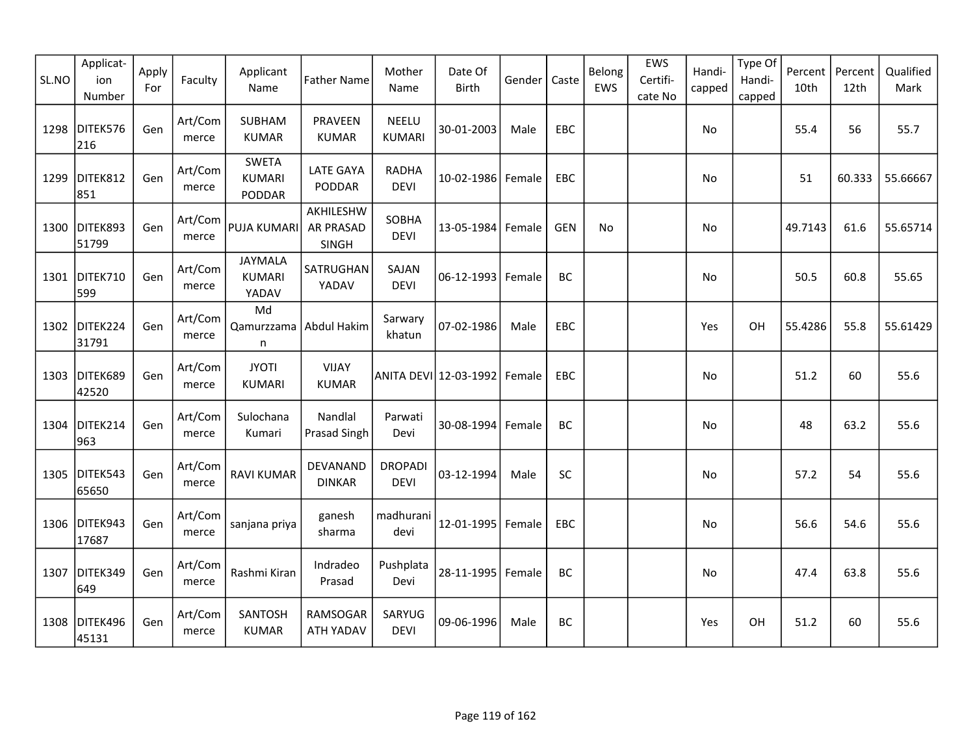| SL.NO | Applicat-<br>ion<br>Number | Apply<br>For | Faculty          | Applicant<br>Name                       | <b>Father Name</b>                     | Mother<br>Name                | Date Of<br><b>Birth</b> | Gender   | Caste      | Belong<br>EWS | EWS<br>Certifi-<br>cate No | Handi-<br>capped | Type Of<br>Handi-<br>capped | Percent<br>10th | Percent<br>12th | Qualified<br>Mark |
|-------|----------------------------|--------------|------------------|-----------------------------------------|----------------------------------------|-------------------------------|-------------------------|----------|------------|---------------|----------------------------|------------------|-----------------------------|-----------------|-----------------|-------------------|
| 1298  | DITEK576<br>216            | Gen          | Art/Com<br>merce | <b>SUBHAM</b><br><b>KUMAR</b>           | <b>PRAVEEN</b><br><b>KUMAR</b>         | <b>NEELU</b><br><b>KUMARI</b> | 30-01-2003              | Male     | EBC        |               |                            | No               |                             | 55.4            | 56              | 55.7              |
| 1299  | DITEK812<br>851            | Gen          | Art/Com<br>merce | <b>SWETA</b><br><b>KUMARI</b><br>PODDAR | <b>LATE GAYA</b><br>PODDAR             | <b>RADHA</b><br><b>DEVI</b>   | 10-02-1986 Female       |          | EBC        |               |                            | No               |                             | 51              | 60.333          | 55.66667          |
|       | 1300 DITEK893<br>51799     | Gen          | Art/Com<br>merce | PUJA KUMARI                             | AKHILESHW<br><b>AR PRASAD</b><br>SINGH | SOBHA<br><b>DEVI</b>          | 13-05-1984 Female       |          | <b>GEN</b> | No            |                            | No               |                             | 49.7143         | 61.6            | 55.65714          |
|       | 1301 DITEK710<br>599       | Gen          | Art/Com<br>merce | JAYMALA<br><b>KUMARI</b><br>YADAV       | SATRUGHAN<br>YADAV                     | SAJAN<br><b>DEVI</b>          | 06-12-1993 Female       |          | BC         |               |                            | No               |                             | 50.5            | 60.8            | 55.65             |
| 1302  | DITEK224<br>31791          | Gen          | Art/Com<br>merce | Md<br>Qamurzzama<br>n                   | Abdul Hakim                            | Sarwary<br>khatun             | 07-02-1986              | Male     | EBC        |               |                            | Yes              | OH                          | 55.4286         | 55.8            | 55.61429          |
| 1303  | DITEK689<br>42520          | Gen          | Art/Com<br>merce | <b>JYOTI</b><br><b>KUMARI</b>           | <b>VIJAY</b><br><b>KUMAR</b>           |                               | ANITA DEVI  12-03-1992  | l Female | <b>EBC</b> |               |                            | No               |                             | 51.2            | 60              | 55.6              |
| 1304  | DITEK214<br>963            | Gen          | Art/Com<br>merce | Sulochana<br>Kumari                     | Nandlal<br>Prasad Singh                | Parwati<br>Devi               | 30-08-1994 Female       |          | BC         |               |                            | No               |                             | 48              | 63.2            | 55.6              |
| 1305  | DITEK543<br>65650          | Gen          | Art/Com<br>merce | <b>RAVI KUMAR</b>                       | DEVANAND<br><b>DINKAR</b>              | <b>DROPADI</b><br><b>DEVI</b> | 03-12-1994              | Male     | <b>SC</b>  |               |                            | No               |                             | 57.2            | 54              | 55.6              |
|       | 1306 DITEK943<br>17687     | Gen          | Art/Com<br>merce | sanjana priya                           | ganesh<br>sharma                       | madhurani<br>devi             | 12-01-1995 Female       |          | <b>EBC</b> |               |                            | No               |                             | 56.6            | 54.6            | 55.6              |
| 1307  | DITEK349<br>649            | Gen          | Art/Com<br>merce | Rashmi Kiran                            | Indradeo<br>Prasad                     | Pushplata<br>Devi             | 28-11-1995 Female       |          | BC         |               |                            | No               |                             | 47.4            | 63.8            | 55.6              |
| 1308  | DITEK496<br>45131          | Gen          | Art/Com<br>merce | SANTOSH<br><b>KUMAR</b>                 | RAMSOGAR<br>ATH YADAV                  | SARYUG<br><b>DEVI</b>         | 09-06-1996              | Male     | BC         |               |                            | Yes              | OH                          | 51.2            | 60              | 55.6              |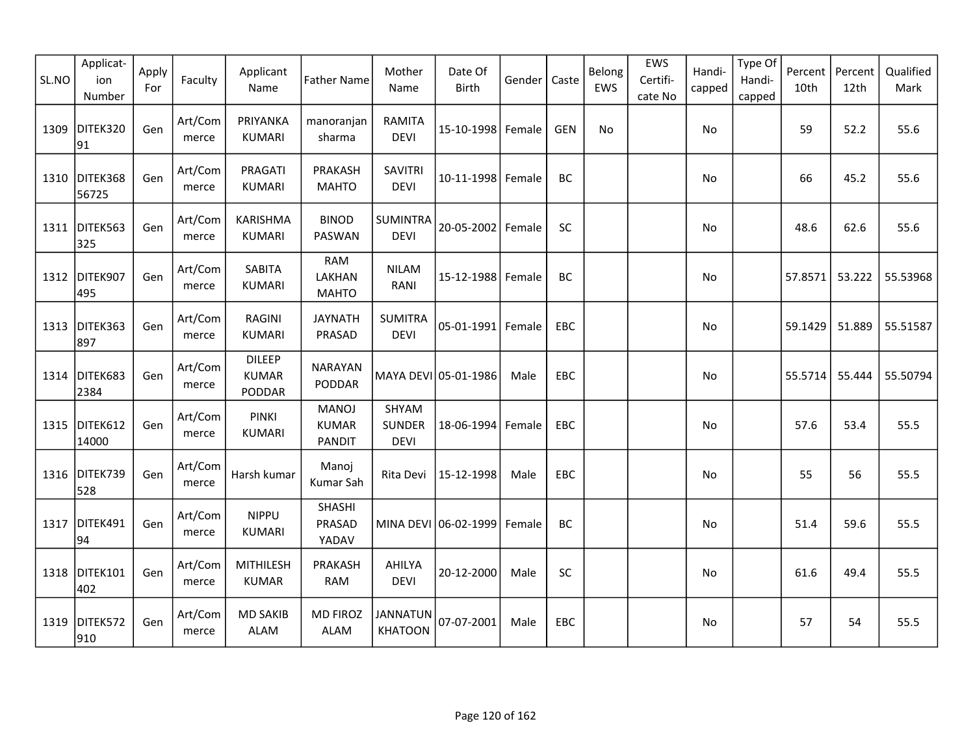| SL.NO | Applicat-<br>ion<br>Number | Apply<br>For | Faculty          | Applicant<br>Name                       | <b>Father Name</b>                            | Mother<br>Name                        | Date Of<br><b>Birth</b> | Gender | Caste      | Belong<br>EWS | EWS<br>Certifi-<br>cate No | Handi-<br>capped | Type Of<br>Handi-<br>capped | Percent<br>10th | Percent<br>12th | Qualified<br>Mark |
|-------|----------------------------|--------------|------------------|-----------------------------------------|-----------------------------------------------|---------------------------------------|-------------------------|--------|------------|---------------|----------------------------|------------------|-----------------------------|-----------------|-----------------|-------------------|
| 1309  | DITEK320<br>91             | Gen          | Art/Com<br>merce | PRIYANKA<br><b>KUMARI</b>               | manoranjan<br>sharma                          | <b>RAMITA</b><br><b>DEVI</b>          | 15-10-1998 Female       |        | GEN        | No            |                            | No               |                             | 59              | 52.2            | 55.6              |
|       | 1310 DITEK368<br>56725     | Gen          | Art/Com<br>merce | PRAGATI<br><b>KUMARI</b>                | PRAKASH<br><b>MAHTO</b>                       | <b>SAVITRI</b><br><b>DEVI</b>         | 10-11-1998 Female       |        | BC         |               |                            | No               |                             | 66              | 45.2            | 55.6              |
|       | 1311   DITEK563<br>325     | Gen          | Art/Com<br>merce | <b>KARISHMA</b><br><b>KUMARI</b>        | <b>BINOD</b><br>PASWAN                        | <b>SUMINTRA</b><br><b>DEVI</b>        | 20-05-2002   Female     |        | <b>SC</b>  |               |                            | No               |                             | 48.6            | 62.6            | 55.6              |
|       | 1312 DITEK907<br>495       | Gen          | Art/Com<br>merce | <b>SABITA</b><br><b>KUMARI</b>          | RAM<br>LAKHAN<br><b>MAHTO</b>                 | <b>NILAM</b><br>RANI                  | 15-12-1988 Female       |        | BC         |               |                            | No               |                             | 57.8571         | 53.222          | 55.53968          |
| 1313  | DITEK363<br>897            | Gen          | Art/Com<br>merce | <b>RAGINI</b><br><b>KUMARI</b>          | <b>JAYNATH</b><br>PRASAD                      | <b>SUMITRA</b><br><b>DEVI</b>         | 05-01-1991 Female       |        | EBC        |               |                            | No               |                             | 59.1429         | 51.889          | 55.51587          |
| 1314  | DITEK683<br>2384           | Gen          | Art/Com<br>merce | <b>DILEEP</b><br><b>KUMAR</b><br>PODDAR | <b>NARAYAN</b><br>PODDAR                      |                                       | MAYA DEVI 05-01-1986    | Male   | <b>EBC</b> |               |                            | No               |                             | 55.5714         | 55.444          | 55.50794          |
| 1315  | DITEK612<br>14000          | Gen          | Art/Com<br>merce | <b>PINKI</b><br>KUMARI                  | <b>MANOJ</b><br><b>KUMAR</b><br><b>PANDIT</b> | SHYAM<br><b>SUNDER</b><br><b>DEVI</b> | 18-06-1994 Female       |        | EBC        |               |                            | No               |                             | 57.6            | 53.4            | 55.5              |
|       | 1316 DITEK739<br>528       | Gen          | Art/Com<br>merce | Harsh kumar                             | Manoj<br>Kumar Sah                            | Rita Devi                             | 15-12-1998              | Male   | EBC        |               |                            | No               |                             | 55              | 56              | 55.5              |
| 1317  | DITEK491<br>94             | Gen          | Art/Com<br>merce | <b>NIPPU</b><br><b>KUMARI</b>           | SHASHI<br>PRASAD<br>YADAV                     |                                       | MINA DEVI 06-02-1999    | Female | BC         |               |                            | No               |                             | 51.4            | 59.6            | 55.5              |
|       | 1318 DITEK101<br>402       | Gen          | Art/Com<br>merce | <b>MITHILESH</b><br><b>KUMAR</b>        | PRAKASH<br>RAM                                | AHILYA<br><b>DEVI</b>                 | 20-12-2000              | Male   | SC         |               |                            | No               |                             | 61.6            | 49.4            | 55.5              |
| 1319  | DITEK572<br>910            | Gen          | Art/Com<br>merce | <b>MD SAKIB</b><br><b>ALAM</b>          | <b>MD FIROZ</b><br><b>ALAM</b>                | <b>JANNATUN</b><br><b>KHATOON</b>     | 07-07-2001              | Male   | <b>EBC</b> |               |                            | No               |                             | 57              | 54              | 55.5              |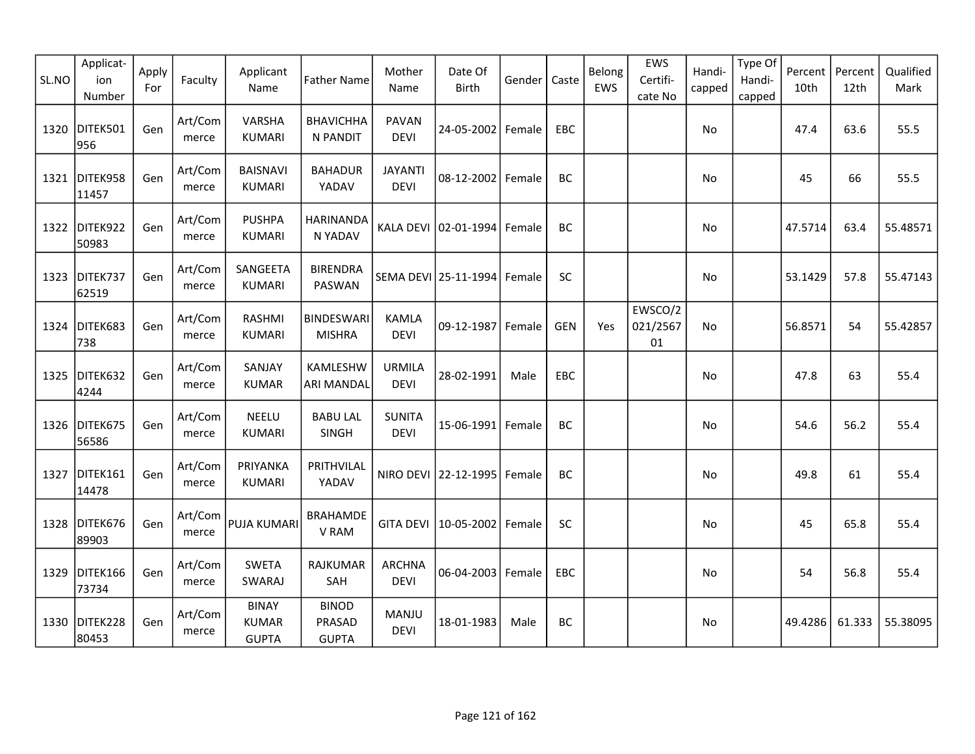| SL.NO | Applicat-<br>ion<br>Number | Apply<br>For | Faculty          | Applicant<br>Name                            | <b>Father Name</b>                     | Mother<br>Name                | Date Of<br><b>Birth</b>     | Gender | Caste      | Belong<br>EWS | EWS<br>Certifi-<br>cate No        | Handi-<br>capped | Type Of<br>Handi-<br>capped | Percent<br>10th | Percent<br>12th | Qualified<br>Mark |
|-------|----------------------------|--------------|------------------|----------------------------------------------|----------------------------------------|-------------------------------|-----------------------------|--------|------------|---------------|-----------------------------------|------------------|-----------------------------|-----------------|-----------------|-------------------|
| 1320  | DITEK501<br>956            | Gen          | Art/Com<br>merce | VARSHA<br><b>KUMARI</b>                      | <b>BHAVICHHA</b><br>N PANDIT           | <b>PAVAN</b><br><b>DEVI</b>   | 24-05-2002 Female           |        | EBC        |               |                                   | No               |                             | 47.4            | 63.6            | 55.5              |
| 1321  | DITEK958<br>11457          | Gen          | Art/Com<br>merce | <b>BAISNAVI</b><br><b>KUMARI</b>             | <b>BAHADUR</b><br>YADAV                | <b>JAYANTI</b><br><b>DEVI</b> | 08-12-2002 Female           |        | BC         |               |                                   | No               |                             | 45              | 66              | 55.5              |
|       | 1322 DITEK922<br>50983     | Gen          | Art/Com<br>merce | <b>PUSHPA</b><br><b>KUMARI</b>               | <b>HARINANDA</b><br>N YADAV            |                               | KALA DEVI 02-01-1994 Female |        | BC         |               |                                   | No               |                             | 47.5714         | 63.4            | 55.48571          |
|       | 1323 DITEK737<br>62519     | Gen          | Art/Com<br>merce | SANGEETA<br><b>KUMARI</b>                    | <b>BIRENDRA</b><br>PASWAN              |                               | SEMA DEVI 25-11-1994 Female |        | <b>SC</b>  |               |                                   | No               |                             | 53.1429         | 57.8            | 55.47143          |
| 1324  | DITEK683<br>738            | Gen          | Art/Com<br>merce | <b>RASHMI</b><br><b>KUMARI</b>               | <b>BINDESWARI</b><br><b>MISHRA</b>     | <b>KAMLA</b><br><b>DEVI</b>   | 09-12-1987   Female         |        | <b>GEN</b> | Yes           | EWSCO/2<br>021/2567<br>${\bf 01}$ | No.              |                             | 56.8571         | 54              | 55.42857          |
| 1325  | DITEK632<br>4244           | Gen          | Art/Com<br>merce | SANJAY<br><b>KUMAR</b>                       | KAMLESHW<br><b>ARI MANDAL</b>          | <b>URMILA</b><br><b>DEVI</b>  | 28-02-1991                  | Male   | EBC        |               |                                   | No               |                             | 47.8            | 63              | 55.4              |
| 1326  | DITEK675<br>56586          | Gen          | Art/Com<br>merce | NEELU<br><b>KUMARI</b>                       | <b>BABU LAL</b><br>SINGH               | <b>SUNITA</b><br><b>DEVI</b>  | 15-06-1991 Female           |        | BC         |               |                                   | No               |                             | 54.6            | 56.2            | 55.4              |
| 1327  | DITEK161<br>14478          | Gen          | Art/Com<br>merce | PRIYANKA<br><b>KUMARI</b>                    | PRITHVILAL<br>YADAV                    |                               | NIRO DEVI 22-12-1995 Female |        | BC         |               |                                   | No               |                             | 49.8            | 61              | 55.4              |
|       | 1328 DITEK676<br>89903     | Gen          | Art/Com<br>merce | <b>PUJA KUMARI</b>                           | <b>BRAHAMDE</b><br>V RAM               |                               | GITA DEVI   10-05-2002      | Female | SC         |               |                                   | No               |                             | 45              | 65.8            | 55.4              |
| 1329  | DITEK166<br>73734          | Gen          | Art/Com<br>merce | <b>SWETA</b><br>SWARAJ                       | RAJKUMAR<br>SAH                        | <b>ARCHNA</b><br><b>DEVI</b>  | 06-04-2003   Female         |        | EBC        |               |                                   | No               |                             | 54              | 56.8            | 55.4              |
|       | 1330 DITEK228<br>80453     | Gen          | Art/Com<br>merce | <b>BINAY</b><br><b>KUMAR</b><br><b>GUPTA</b> | <b>BINOD</b><br>PRASAD<br><b>GUPTA</b> | MANJU<br><b>DEVI</b>          | 18-01-1983                  | Male   | BC         |               |                                   | No               |                             | 49.4286         | 61.333          | 55.38095          |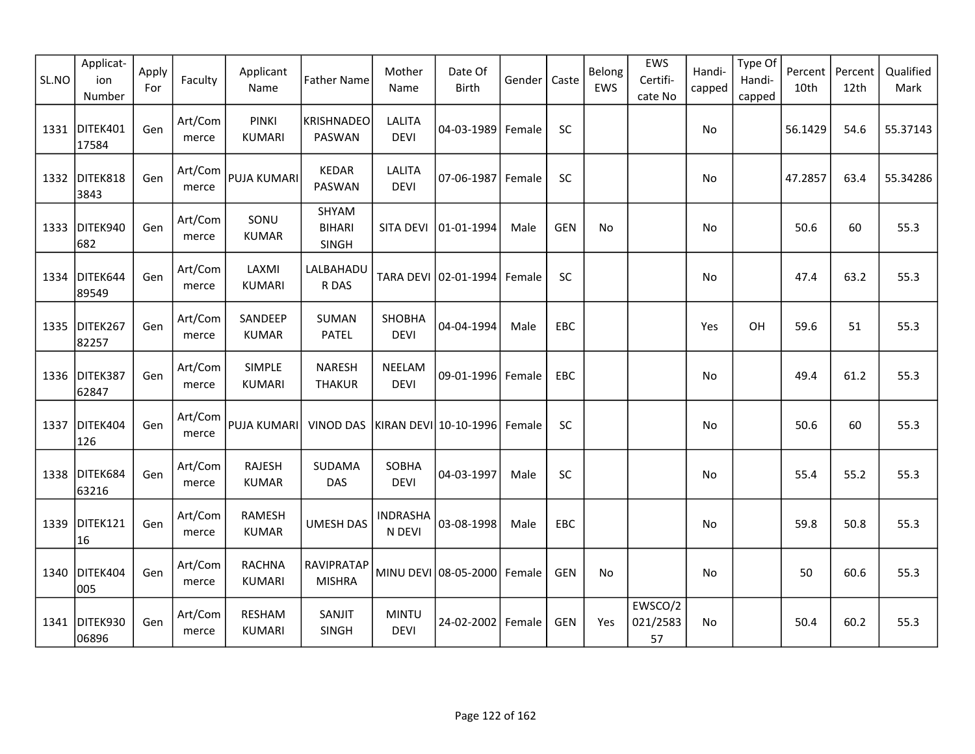| SL.NO | Applicat-<br>ion<br>Number | Apply<br>For | Faculty          | Applicant<br>Name              | <b>Father Name</b>                | Mother<br>Name               | Date Of<br><b>Birth</b> | Gender | Caste      | Belong<br>EWS  | EWS<br>Certifi-<br>cate No | Handi-<br>capped | Type Of<br>Handi-<br>capped | Percent<br>10th | Percent<br>12th | Qualified<br>Mark |
|-------|----------------------------|--------------|------------------|--------------------------------|-----------------------------------|------------------------------|-------------------------|--------|------------|----------------|----------------------------|------------------|-----------------------------|-----------------|-----------------|-------------------|
| 1331  | DITEK401<br>17584          | Gen          | Art/Com<br>merce | <b>PINKI</b><br><b>KUMARI</b>  | <b>KRISHNADEO</b><br>PASWAN       | <b>LALITA</b><br><b>DEVI</b> | 04-03-1989              | Female | SC         |                |                            | No               |                             | 56.1429         | 54.6            | 55.37143          |
| 1332  | DITEK818<br>3843           | Gen          | Art/Com<br>merce | PUJA KUMARI                    | <b>KEDAR</b><br>PASWAN            | <b>LALITA</b><br><b>DEVI</b> | 07-06-1987              | Female | SC         |                |                            | No               |                             | 47.2857         | 63.4            | 55.34286          |
| 1333  | DITEK940<br>682            | Gen          | Art/Com<br>merce | SONU<br><b>KUMAR</b>           | SHYAM<br><b>BIHARI</b><br>SINGH   | SITA DEVI                    | 01-01-1994              | Male   | <b>GEN</b> | N <sub>o</sub> |                            | No               |                             | 50.6            | 60              | 55.3              |
| 1334  | DITEK644<br>89549          | Gen          | Art/Com<br>merce | LAXMI<br><b>KUMARI</b>         | LALBAHADU<br>R DAS                |                              | TARA DEVI 02-01-1994    | Female | SC         |                |                            | No               |                             | 47.4            | 63.2            | 55.3              |
| 1335  | DITEK267<br>82257          | Gen          | Art/Com<br>merce | SANDEEP<br><b>KUMAR</b>        | <b>SUMAN</b><br>PATEL             | SHOBHA<br><b>DEVI</b>        | 04-04-1994              | Male   | EBC        |                |                            | Yes              | OH                          | 59.6            | 51              | 55.3              |
| 1336  | DITEK387<br>62847          | Gen          | Art/Com<br>merce | SIMPLE<br><b>KUMARI</b>        | <b>NARESH</b><br><b>THAKUR</b>    | NEELAM<br><b>DEVI</b>        | 09-01-1996              | Female | EBC        |                |                            | No               |                             | 49.4            | 61.2            | 55.3              |
| 1337  | DITEK404<br>126            | Gen          | Art/Com<br>merce | PUJA KUMARI                    | VINOD DAS   KIRAN DEVI 10-10-1996 |                              |                         | Female | SC         |                |                            | No               |                             | 50.6            | 60              | 55.3              |
|       | 1338 DITEK684<br>63216     | Gen          | Art/Com<br>merce | <b>RAJESH</b><br><b>KUMAR</b>  | SUDAMA<br><b>DAS</b>              | SOBHA<br><b>DEVI</b>         | 04-03-1997              | Male   | SC         |                |                            | No               |                             | 55.4            | 55.2            | 55.3              |
| 1339  | DITEK121<br>16             | Gen          | Art/Com<br>merce | <b>RAMESH</b><br><b>KUMAR</b>  | <b>UMESH DAS</b>                  | <b>INDRASHA</b><br>N DEVI    | 03-08-1998              | Male   | EBC        |                |                            | No               |                             | 59.8            | 50.8            | 55.3              |
| 1340  | DITEK404<br>005            | Gen          | Art/Com<br>merce | <b>RACHNA</b><br><b>KUMARI</b> | RAVIPRATAP<br><b>MISHRA</b>       |                              | MINU DEVI 08-05-2000    | Female | <b>GEN</b> | No             |                            | No               |                             | 50              | 60.6            | 55.3              |
|       | 1341 DITEK930<br>06896     | Gen          | Art/Com<br>merce | RESHAM<br><b>KUMARI</b>        | SANJIT<br><b>SINGH</b>            | <b>MINTU</b><br><b>DEVI</b>  | 24-02-2002 Female       |        | <b>GEN</b> | Yes            | EWSCO/2<br>021/2583<br>57  | <b>No</b>        |                             | 50.4            | 60.2            | 55.3              |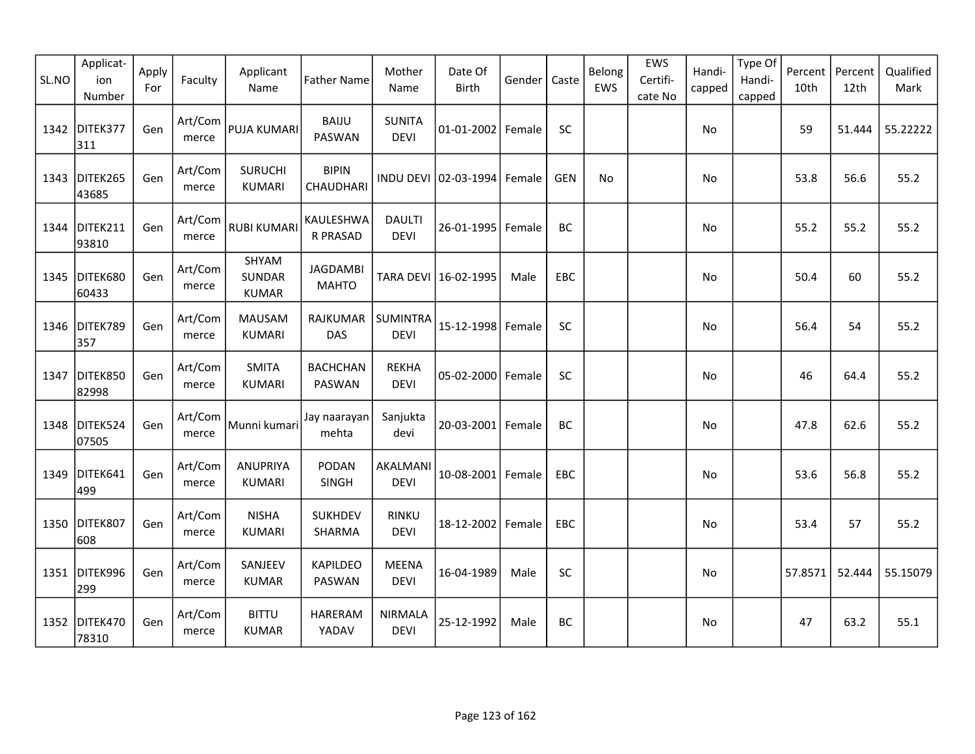| SL.NO | Applicat-<br>ion<br>Number | Apply<br>For | Faculty          | Applicant<br>Name                      | <b>Father Name</b>              | Mother<br>Name                | Date Of<br>Birth     | Gender | Caste      | Belong<br>EWS | EWS<br>Certifi-<br>cate No | Handi-<br>capped | Type Of<br>Handi-<br>capped | Percent<br>10th | Percent<br>12th | Qualified<br>Mark |
|-------|----------------------------|--------------|------------------|----------------------------------------|---------------------------------|-------------------------------|----------------------|--------|------------|---------------|----------------------------|------------------|-----------------------------|-----------------|-----------------|-------------------|
|       | 1342 DITEK377<br>311       | Gen          | Art/Com<br>merce | PUJA KUMARI                            | <b>BAIJU</b><br>PASWAN          | <b>SUNITA</b><br><b>DEVI</b>  | 01-01-2002 Female    |        | SC         |               |                            | No               |                             | 59              | 51.444          | 55.22222          |
| 1343  | DITEK265<br>43685          | Gen          | Art/Com<br>merce | <b>SURUCHI</b><br><b>KUMARI</b>        | <b>BIPIN</b><br>CHAUDHARI       |                               | INDU DEVI 02-03-1994 | Female | <b>GEN</b> | No            |                            | No               |                             | 53.8            | 56.6            | 55.2              |
|       | 1344 DITEK211<br>93810     | Gen          | Art/Com<br>merce | <b>RUBI KUMARI</b>                     | KAULESHWA<br><b>R PRASAD</b>    | <b>DAULTI</b><br><b>DEVI</b>  | 26-01-1995           | Female | BC         |               |                            | No               |                             | 55.2            | 55.2            | 55.2              |
|       | 1345 DITEK680<br>60433     | Gen          | Art/Com<br>merce | SHYAM<br><b>SUNDAR</b><br><b>KUMAR</b> | <b>JAGDAMBI</b><br><b>MAHTO</b> |                               | TARA DEVI 16-02-1995 | Male   | EBC        |               |                            | No               |                             | 50.4            | 60              | 55.2              |
| 1346  | DITEK789<br>357            | Gen          | Art/Com<br>merce | <b>MAUSAM</b><br><b>KUMARI</b>         | RAJKUMAR<br><b>DAS</b>          | SUMINTRA<br><b>DEVI</b>       | 15-12-1998           | Female | SC         |               |                            | No               |                             | 56.4            | 54              | 55.2              |
| 1347  | DITEK850<br>82998          | Gen          | Art/Com<br>merce | <b>SMITA</b><br><b>KUMARI</b>          | <b>BACHCHAN</b><br>PASWAN       | <b>REKHA</b><br><b>DEVI</b>   | 05-02-2000 Female    |        | SC         |               |                            | No               |                             | 46              | 64.4            | 55.2              |
| 1348  | DITEK524<br>07505          | Gen          | Art/Com<br>merce | Munni kumari                           | Jay naarayan<br>mehta           | Sanjukta<br>devi              | $20 - 03 - 2001$     | Female | BC         |               |                            | No               |                             | 47.8            | 62.6            | 55.2              |
| 1349  | DITEK641<br>499            | Gen          | Art/Com<br>merce | <b>ANUPRIYA</b><br><b>KUMARI</b>       | PODAN<br>SINGH                  | AKALMANI<br><b>DEVI</b>       | 10-08-2001           | Female | <b>EBC</b> |               |                            | No               |                             | 53.6            | 56.8            | 55.2              |
|       | 1350 DITEK807<br>608       | Gen          | Art/Com<br>merce | <b>NISHA</b><br><b>KUMARI</b>          | <b>SUKHDEV</b><br>SHARMA        | <b>RINKU</b><br><b>DEVI</b>   | 18-12-2002           | Female | <b>EBC</b> |               |                            | No               |                             | 53.4            | 57              | 55.2              |
|       | 1351 DITEK996<br>299       | Gen          | Art/Com<br>merce | SANJEEV<br><b>KUMAR</b>                | <b>KAPILDEO</b><br>PASWAN       | <b>MEENA</b><br><b>DEVI</b>   | 16-04-1989           | Male   | SC         |               |                            | No               |                             | 57.8571         | 52.444          | 55.15079          |
|       | 1352 DITEK470<br>78310     | Gen          | Art/Com<br>merce | <b>BITTU</b><br><b>KUMAR</b>           | <b>HARERAM</b><br>YADAV         | <b>NIRMALA</b><br><b>DEVI</b> | 25-12-1992           | Male   | BC         |               |                            | No               |                             | 47              | 63.2            | 55.1              |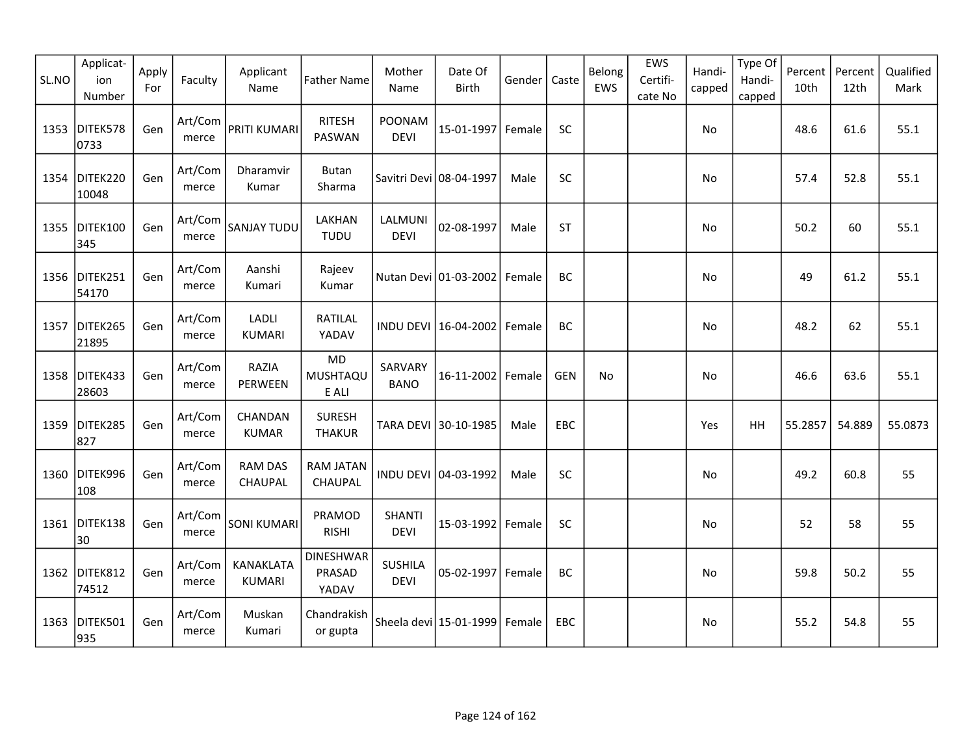| SL.NO | Applicat-<br>ion<br>Number | Apply<br>For | Faculty          | Applicant<br>Name          | <b>Father Name</b>                  | Mother<br>Name                | Date Of<br><b>Birth</b> | Gender | Caste      | Belong<br>EWS | EWS<br>Certifi-<br>cate No | Handi-<br>capped | Type Of<br>Handi-<br>capped | Percent<br>10th | Percent<br>12th | Qualified<br>Mark |
|-------|----------------------------|--------------|------------------|----------------------------|-------------------------------------|-------------------------------|-------------------------|--------|------------|---------------|----------------------------|------------------|-----------------------------|-----------------|-----------------|-------------------|
| 1353  | DITEK578<br>0733           | Gen          | Art/Com<br>merce | PRITI KUMARI               | <b>RITESH</b><br><b>PASWAN</b>      | <b>POONAM</b><br><b>DEVI</b>  | 15-01-1997 Female       |        | <b>SC</b>  |               |                            | No               |                             | 48.6            | 61.6            | 55.1              |
| 1354  | DITEK220<br>10048          | Gen          | Art/Com<br>merce | Dharamvir<br>Kumar         | <b>Butan</b><br>Sharma              |                               | Savitri Devi 08-04-1997 | Male   | SC         |               |                            | No               |                             | 57.4            | 52.8            | 55.1              |
| 1355  | DITEK100<br>345            | Gen          | Art/Com<br>merce | SANJAY TUDU                | LAKHAN<br><b>TUDU</b>               | LALMUNI<br><b>DEVI</b>        | 02-08-1997              | Male   | <b>ST</b>  |               |                            | <b>No</b>        |                             | 50.2            | 60              | 55.1              |
|       | 1356 DITEK251<br>54170     | Gen          | Art/Com<br>merce | Aanshi<br>Kumari           | Rajeev<br>Kumar                     |                               | Nutan Devi 01-03-2002   | Female | BC         |               |                            | No               |                             | 49              | 61.2            | 55.1              |
| 1357  | DITEK265<br>21895          | Gen          | Art/Com<br>merce | LADLI<br><b>KUMARI</b>     | RATILAL<br>YADAV                    |                               | INDU DEVI 16-04-2002    | Female | BC         |               |                            | No               |                             | 48.2            | 62              | 55.1              |
| 1358  | DITEK433<br>28603          | Gen          | Art/Com<br>merce | RAZIA<br>PERWEEN           | <b>MD</b><br>MUSHTAQU<br>E ALI      | SARVARY<br><b>BANO</b>        | 16-11-2002              | Female | <b>GEN</b> | No            |                            | No               |                             | 46.6            | 63.6            | 55.1              |
| 1359  | DITEK285<br>827            | Gen          | Art/Com<br>merce | CHANDAN<br><b>KUMAR</b>    | <b>SURESH</b><br><b>THAKUR</b>      |                               | TARA DEVI 30-10-1985    | Male   | EBC        |               |                            | Yes              | HH                          | 55.2857         | 54.889          | 55.0873           |
| 1360  | DITEK996<br>108            | Gen          | Art/Com<br>merce | <b>RAM DAS</b><br>CHAUPAL  | RAM JATAN<br>CHAUPAL                |                               | INDU DEVI 04-03-1992    | Male   | SC         |               |                            | No               |                             | 49.2            | 60.8            | 55                |
| 1361  | DITEK138<br>30             | Gen          | Art/Com<br>merce | <b>SONI KUMARI</b>         | PRAMOD<br><b>RISHI</b>              | <b>SHANTI</b><br><b>DEVI</b>  | 15-03-1992              | Female | SC         |               |                            | No               |                             | 52              | 58              | 55                |
| 1362  | DITEK812<br>74512          | Gen          | Art/Com<br>merce | KANAKLATA<br><b>KUMARI</b> | <b>DINESHWAR</b><br>PRASAD<br>YADAV | <b>SUSHILA</b><br><b>DEVI</b> | 05-02-1997 Female       |        | <b>BC</b>  |               |                            | No               |                             | 59.8            | 50.2            | 55                |
| 1363  | DITEK501<br>935            | Gen          | Art/Com<br>merce | Muskan<br>Kumari           | Chandrakish<br>or gupta             |                               | Sheela devi 15-01-1999  | Female | EBC        |               |                            | No               |                             | 55.2            | 54.8            | 55                |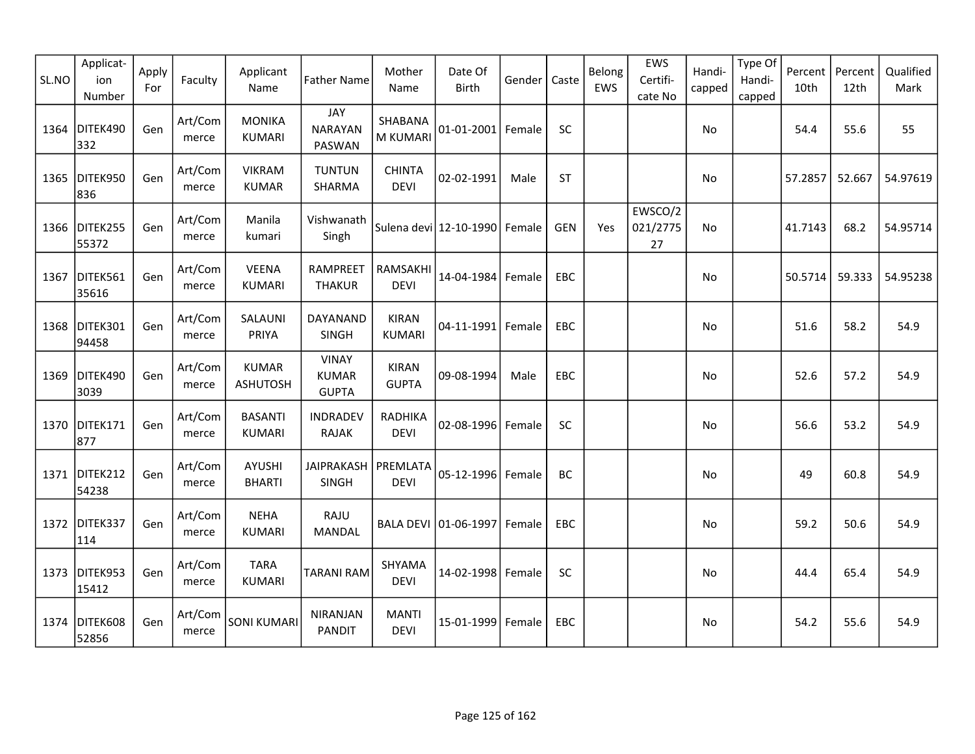| SL.NO | Applicat-<br>ion<br>Number | Apply<br>For | Faculty          | Applicant<br>Name               | <b>Father Name</b>                           | Mother<br>Name                | Date Of<br><b>Birth</b>       | Gender | Caste      | Belong<br>EWS | EWS<br>Certifi-<br>cate No | Handi-<br>capped | Type Of<br>Handi-<br>capped | Percent<br>10th | Percent<br>12th | Qualified<br>Mark |
|-------|----------------------------|--------------|------------------|---------------------------------|----------------------------------------------|-------------------------------|-------------------------------|--------|------------|---------------|----------------------------|------------------|-----------------------------|-----------------|-----------------|-------------------|
| 1364  | DITEK490<br>332            | Gen          | Art/Com<br>merce | <b>MONIKA</b><br><b>KUMARI</b>  | JAY<br><b>NARAYAN</b><br>PASWAN              | SHABANA<br>M KUMARI           | 01-01-2001 Female             |        | <b>SC</b>  |               |                            | No               |                             | 54.4            | 55.6            | 55                |
| 1365  | DITEK950<br>836            | Gen          | Art/Com<br>merce | <b>VIKRAM</b><br><b>KUMAR</b>   | <b>TUNTUN</b><br>SHARMA                      | <b>CHINTA</b><br><b>DEVI</b>  | 02-02-1991                    | Male   | <b>ST</b>  |               |                            | No               |                             | 57.2857         | 52.667          | 54.97619          |
|       | 1366 DITEK255<br>55372     | Gen          | Art/Com<br>merce | Manila<br>kumari                | Vishwanath<br>Singh                          |                               | Sulena devi 12-10-1990 Female |        | <b>GEN</b> | Yes           | EWSCO/2<br>021/2775<br>27  | <b>No</b>        |                             | 41.7143         | 68.2            | 54.95714          |
| 1367  | DITEK561<br>35616          | Gen          | Art/Com<br>merce | <b>VEENA</b><br><b>KUMARI</b>   | RAMPREET<br><b>THAKUR</b>                    | RAMSAKHI<br><b>DEVI</b>       | 14-04-1984 Female             |        | EBC        |               |                            | No               |                             | 50.5714         | 59.333          | 54.95238          |
| 1368  | DITEK301<br>94458          | Gen          | Art/Com<br>merce | SALAUNI<br>PRIYA                | DAYANAND<br><b>SINGH</b>                     | <b>KIRAN</b><br><b>KUMARI</b> | 04-11-1991 Female             |        | <b>EBC</b> |               |                            | No               |                             | 51.6            | 58.2            | 54.9              |
| 1369  | DITEK490<br>3039           | Gen          | Art/Com<br>merce | <b>KUMAR</b><br><b>ASHUTOSH</b> | <b>VINAY</b><br><b>KUMAR</b><br><b>GUPTA</b> | <b>KIRAN</b><br><b>GUPTA</b>  | 09-08-1994                    | Male   | <b>EBC</b> |               |                            | No               |                             | 52.6            | 57.2            | 54.9              |
| 1370  | DITEK171<br>877            | Gen          | Art/Com<br>merce | <b>BASANTI</b><br><b>KUMARI</b> | <b>INDRADEV</b><br>RAJAK                     | RADHIKA<br><b>DEVI</b>        | 02-08-1996 Female             |        | SC         |               |                            | No               |                             | 56.6            | 53.2            | 54.9              |
|       | 1371 DITEK212<br>54238     | Gen          | Art/Com<br>merce | AYUSHI<br><b>BHARTI</b>         | JAIPRAKASH   PREMLATA<br><b>SINGH</b>        | <b>DEVI</b>                   | 05-12-1996 Female             |        | BC         |               |                            | No               |                             | 49              | 60.8            | 54.9              |
| 1372  | DITEK337<br>114            | Gen          | Art/Com<br>merce | <b>NEHA</b><br><b>KUMARI</b>    | RAJU<br>MANDAL                               | <b>BALA DEVI</b>              | 01-06-1997 Female             |        | EBC        |               |                            | No               |                             | 59.2            | 50.6            | 54.9              |
| 1373  | DITEK953<br>15412          | Gen          | Art/Com<br>merce | <b>TARA</b><br><b>KUMARI</b>    | <b>TARANI RAM</b>                            | SHYAMA<br><b>DEVI</b>         | 14-02-1998 Female             |        | SC         |               |                            | No               |                             | 44.4            | 65.4            | 54.9              |
| 1374  | DITEK608<br>52856          | Gen          | Art/Com<br>merce | <b>SONI KUMARI</b>              | NIRANJAN<br><b>PANDIT</b>                    | <b>MANTI</b><br><b>DEVI</b>   | 15-01-1999 Female             |        | <b>EBC</b> |               |                            | No               |                             | 54.2            | 55.6            | 54.9              |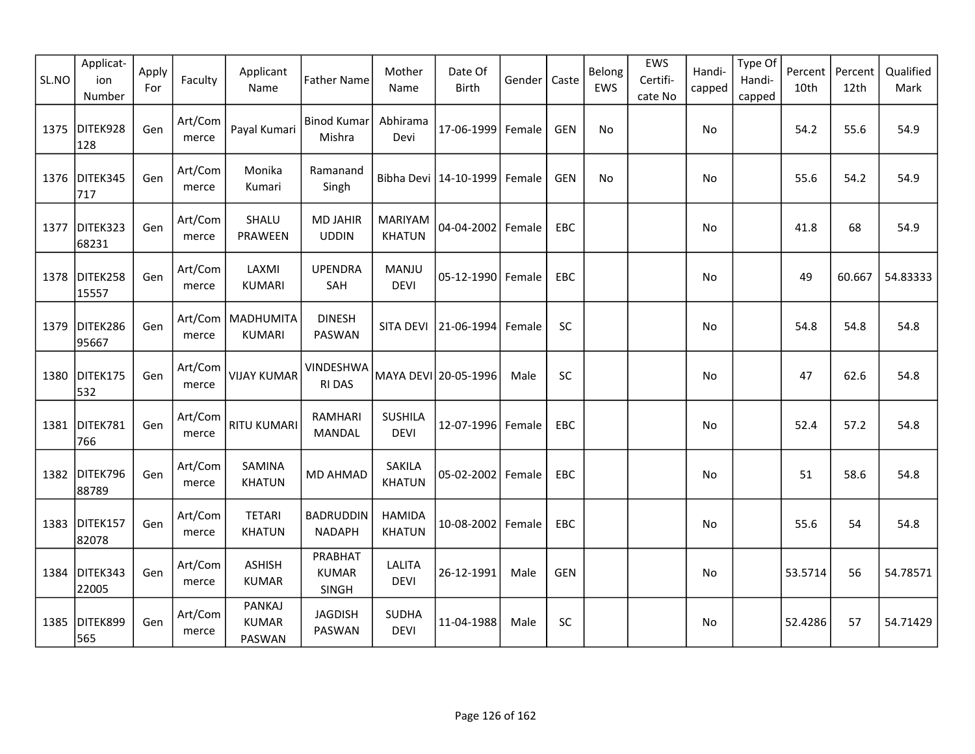| SL.NO | Applicat-<br>ion<br>Number | Apply<br>For | Faculty          | Applicant<br>Name                       | <b>Father Name</b>                | Mother<br>Name                  | Date Of<br>Birth        | Gender | Caste      | Belong<br>EWS | EWS<br>Certifi-<br>cate No | Handi-<br>capped | Type Of<br>Handi-<br>capped | Percent<br>10th | Percent<br>12th | Qualified<br>Mark |
|-------|----------------------------|--------------|------------------|-----------------------------------------|-----------------------------------|---------------------------------|-------------------------|--------|------------|---------------|----------------------------|------------------|-----------------------------|-----------------|-----------------|-------------------|
| 1375  | DITEK928<br>128            | Gen          | Art/Com<br>merce | Payal Kumari                            | <b>Binod Kumar</b><br>Mishra      | Abhirama<br>Devi                | 17-06-1999              | Female | <b>GEN</b> | No            |                            | No               |                             | 54.2            | 55.6            | 54.9              |
| 1376  | DITEK345<br>717            | Gen          | Art/Com<br>merce | Monika<br>Kumari                        | Ramanand<br>Singh                 |                                 | Bibha Devi   14-10-1999 | Female | <b>GEN</b> | No            |                            | No               |                             | 55.6            | 54.2            | 54.9              |
| 1377  | DITEK323<br>68231          | Gen          | Art/Com<br>merce | SHALU<br>PRAWEEN                        | <b>MD JAHIR</b><br><b>UDDIN</b>   | <b>MARIYAM</b><br><b>KHATUN</b> | 04-04-2002 Female       |        | EBC        |               |                            | No               |                             | 41.8            | 68              | 54.9              |
|       | 1378 DITEK258<br>15557     | Gen          | Art/Com<br>merce | LAXMI<br><b>KUMARI</b>                  | <b>UPENDRA</b><br>SAH             | MANJU<br><b>DEVI</b>            | 05-12-1990 Female       |        | EBC        |               |                            | No               |                             | 49              | 60.667          | 54.83333          |
| 1379  | DITEK286<br>95667          | Gen          | merce            | Art/Com   MADHUMITA<br><b>KUMARI</b>    | <b>DINESH</b><br>PASWAN           | <b>SITA DEVI</b>                | 21-06-1994              | Female | SC         |               |                            | No               |                             | 54.8            | 54.8            | 54.8              |
| 1380  | DITEK175<br>532            | Gen          | Art/Com<br>merce | <b>VIJAY KUMAR</b>                      | VINDESHWA<br><b>RI DAS</b>        |                                 | MAYA DEVI 20-05-1996    | Male   | SC         |               |                            | No               |                             | 47              | 62.6            | 54.8              |
| 1381  | DITEK781<br>766            | Gen          | Art/Com<br>merce | <b>RITU KUMARI</b>                      | RAMHARI<br>MANDAL                 | <b>SUSHILA</b><br><b>DEVI</b>   | 12-07-1996 Female       |        | EBC        |               |                            | No               |                             | 52.4            | 57.2            | 54.8              |
| 1382  | DITEK796<br>88789          | Gen          | Art/Com<br>merce | SAMINA<br><b>KHATUN</b>                 | <b>MD AHMAD</b>                   | <b>SAKILA</b><br><b>KHATUN</b>  | 05-02-2002   Female     |        | EBC        |               |                            | No               |                             | 51              | 58.6            | 54.8              |
| 1383  | DITEK157<br>82078          | Gen          | Art/Com<br>merce | <b>TETARI</b><br><b>KHATUN</b>          | <b>BADRUDDIN</b><br><b>NADAPH</b> | <b>HAMIDA</b><br><b>KHATUN</b>  | 10-08-2002              | Female | EBC        |               |                            | No               |                             | 55.6            | 54              | 54.8              |
| 1384  | DITEK343<br>22005          | Gen          | Art/Com<br>merce | <b>ASHISH</b><br><b>KUMAR</b>           | PRABHAT<br><b>KUMAR</b><br>SINGH  | LALITA<br><b>DEVI</b>           | 26-12-1991              | Male   | <b>GEN</b> |               |                            | <b>No</b>        |                             | 53.5714         | 56              | 54.78571          |
| 1385  | DITEK899<br>565            | Gen          | Art/Com<br>merce | <b>PANKAJ</b><br><b>KUMAR</b><br>PASWAN | <b>JAGDISH</b><br>PASWAN          | <b>SUDHA</b><br><b>DEVI</b>     | 11-04-1988              | Male   | SC         |               |                            | No               |                             | 52.4286         | 57              | 54.71429          |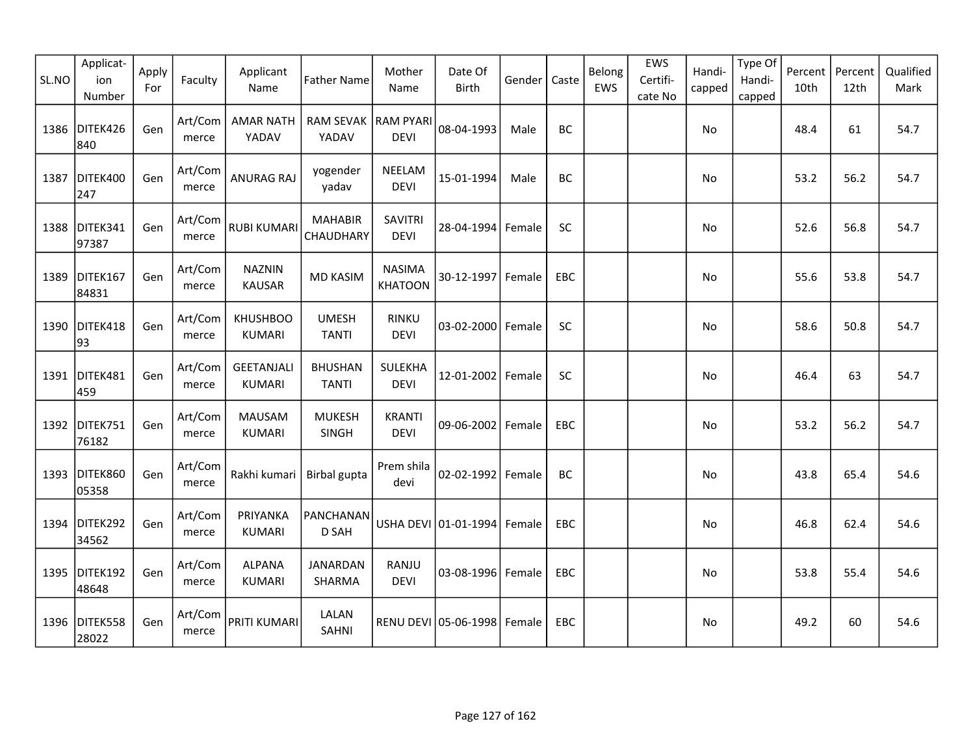| SL.NO | Applicat-<br>ion<br>Number | Apply<br>For | Faculty          | Applicant<br>Name                  | <b>Father Name</b>             | Mother<br>Name                  | Date Of<br>Birth                | Gender | Caste      | Belong<br>EWS | EWS<br>Certifi-<br>cate No | Handi-<br>capped | Type Of<br>Handi-<br>capped | Percent<br>10th | Percent<br>12th | Qualified<br>Mark |
|-------|----------------------------|--------------|------------------|------------------------------------|--------------------------------|---------------------------------|---------------------------------|--------|------------|---------------|----------------------------|------------------|-----------------------------|-----------------|-----------------|-------------------|
| 1386  | DITEK426<br>840            | Gen          | Art/Com<br>merce | <b>AMAR NATH</b><br>YADAV          | RAM SEVAK   RAM PYARI<br>YADAV | <b>DEVI</b>                     | 08-04-1993                      | Male   | <b>BC</b>  |               |                            | No               |                             | 48.4            | 61              | 54.7              |
| 1387  | DITEK400<br>247            | Gen          | Art/Com<br>merce | <b>ANURAG RAJ</b>                  | yogender<br>yadav              | NEELAM<br><b>DEVI</b>           | 15-01-1994                      | Male   | BC         |               |                            | No               |                             | 53.2            | 56.2            | 54.7              |
| 1388  | DITEK341<br>97387          | Gen          | Art/Com<br>merce | <b>RUBI KUMARI</b>                 | <b>MAHABIR</b><br>CHAUDHARY    | <b>SAVITRI</b><br><b>DEVI</b>   | 28-04-1994                      | Female | SC         |               |                            | No               |                             | 52.6            | 56.8            | 54.7              |
| 1389  | DITEK167<br>84831          | Gen          | Art/Com<br>merce | <b>NAZNIN</b><br><b>KAUSAR</b>     | <b>MD KASIM</b>                | <b>NASIMA</b><br><b>KHATOON</b> | 30-12-1997                      | Female | <b>EBC</b> |               |                            | No.              |                             | 55.6            | 53.8            | 54.7              |
| 1390  | DITEK418<br>93             | Gen          | Art/Com<br>merce | <b>KHUSHBOO</b><br><b>KUMARI</b>   | <b>UMESH</b><br><b>TANTI</b>   | <b>RINKU</b><br><b>DEVI</b>     | $03 - 02 - 2000$                | Female | SC         |               |                            | No               |                             | 58.6            | 50.8            | 54.7              |
| 1391  | DITEK481<br>459            | Gen          | Art/Com<br>merce | <b>GEETANJALI</b><br><b>KUMARI</b> | <b>BHUSHAN</b><br><b>TANTI</b> | SULEKHA<br><b>DEVI</b>          | 12-01-2002                      | Female | SC         |               |                            | No               |                             | 46.4            | 63              | 54.7              |
| 1392  | DITEK751<br>76182          | Gen          | Art/Com<br>merce | MAUSAM<br><b>KUMARI</b>            | <b>MUKESH</b><br>SINGH         | <b>KRANTI</b><br><b>DEVI</b>    | $09 - 06 - 2002$                | Female | EBC        |               |                            | No.              |                             | 53.2            | 56.2            | 54.7              |
|       | 1393 DITEK860<br>05358     | Gen          | Art/Com<br>merce | Rakhi kumari                       | Birbal gupta                   | Prem shila<br>devi              | 02-02-1992                      | Female | BC         |               |                            | No               |                             | 43.8            | 65.4            | 54.6              |
|       | 1394 DITEK292<br>34562     | Gen          | Art/Com<br>merce | PRIYANKA<br><b>KUMARI</b>          | PANCHANAN<br>D SAH             |                                 | USHA DEVI   01-01-1994   Female |        | EBC        |               |                            | No               |                             | 46.8            | 62.4            | 54.6              |
| 1395  | DITEK192<br>48648          | Gen          | Art/Com<br>merce | <b>ALPANA</b><br><b>KUMARI</b>     | <b>JANARDAN</b><br>SHARMA      | RANJU<br><b>DEVI</b>            | 03-08-1996 Female               |        | EBC        |               |                            | No               |                             | 53.8            | 55.4            | 54.6              |
| 1396  | DITEK558<br>28022          | Gen          | Art/Com<br>merce | <b>PRITI KUMARI</b>                | LALAN<br><b>SAHNI</b>          |                                 | RENU DEVI 05-06-1998 Female     |        | <b>EBC</b> |               |                            | No               |                             | 49.2            | 60              | 54.6              |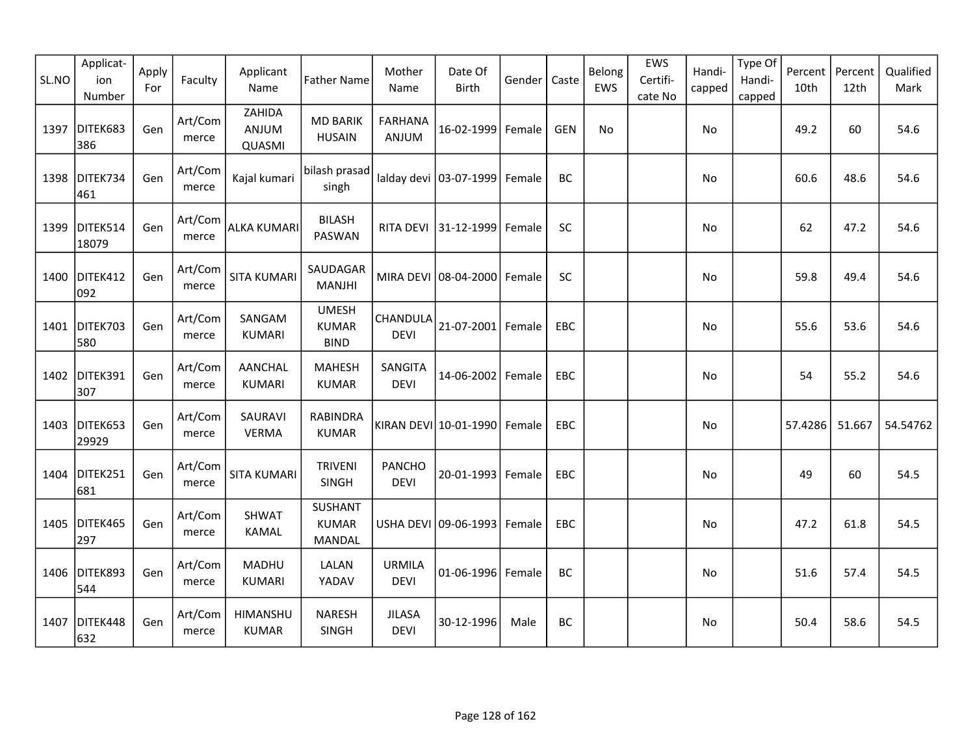| SL.NO | Applicat-<br>ion<br>Number | Apply<br>For | Faculty          | Applicant<br>Name               | <b>Father Name</b>                              | Mother<br>Name               | Date Of<br><b>Birth</b>     | Gender | Caste      | Belong<br>EWS | EWS<br>Certifi-<br>cate No | Handi-<br>capped | Type Of<br>Handi-<br>capped | Percent<br>10th | Percent<br>12th | Qualified<br>Mark |
|-------|----------------------------|--------------|------------------|---------------------------------|-------------------------------------------------|------------------------------|-----------------------------|--------|------------|---------------|----------------------------|------------------|-----------------------------|-----------------|-----------------|-------------------|
| 1397  | DITEK683<br>386            | Gen          | Art/Com<br>merce | ZAHIDA<br>ANJUM<br>QUASMI       | <b>MD BARIK</b><br><b>HUSAIN</b>                | <b>FARHANA</b><br>ANJUM      | 16-02-1999                  | Female | <b>GEN</b> | No            |                            | No               |                             | 49.2            | 60              | 54.6              |
| 1398  | DITEK734<br>461            | Gen          | Art/Com<br>merce | Kajal kumari                    | bilash prasad<br>singh                          |                              | lalday devi 03-07-1999      | Female | BC         |               |                            | No               |                             | 60.6            | 48.6            | 54.6              |
| 1399  | DITEK514<br>18079          | Gen          | Art/Com<br>merce | ALKA KUMARI                     | <b>BILASH</b><br>PASWAN                         |                              | RITA DEVI 31-12-1999        | Female | SC         |               |                            | No               |                             | 62              | 47.2            | 54.6              |
|       | 1400 DITEK412<br>092       | Gen          | Art/Com<br>merce | <b>SITA KUMARI</b>              | SAUDAGAR<br>MANJHI                              |                              | MIRA DEVI 08-04-2000 Female |        | <b>SC</b>  |               |                            | No               |                             | 59.8            | 49.4            | 54.6              |
| 1401  | DITEK703<br>580            | Gen          | Art/Com<br>merce | SANGAM<br><b>KUMARI</b>         | <b>UMESH</b><br><b>KUMAR</b><br><b>BIND</b>     | CHANDULA<br><b>DEVI</b>      | $21 - 07 - 2001$            | Female | EBC        |               |                            | No               |                             | 55.6            | 53.6            | 54.6              |
| 1402  | DITEK391<br>307            | Gen          | Art/Com<br>merce | <b>AANCHAL</b><br><b>KUMARI</b> | <b>MAHESH</b><br><b>KUMAR</b>                   | SANGITA<br><b>DEVI</b>       | 14-06-2002 Female           |        | EBC        |               |                            | No               |                             | 54              | 55.2            | 54.6              |
| 1403  | DITEK653<br>29929          | Gen          | Art/Com<br>merce | SAURAVI<br><b>VERMA</b>         | <b>RABINDRA</b><br><b>KUMAR</b>                 |                              | KIRAN DEVI 10-01-1990       | Female | <b>EBC</b> |               |                            | No.              |                             | 57.4286         | 51.667          | 54.54762          |
| 1404  | DITEK251<br>681            | Gen          | Art/Com<br>merce | <b>SITA KUMARI</b>              | <b>TRIVENI</b><br>SINGH                         | <b>PANCHO</b><br><b>DEVI</b> | 20-01-1993 Female           |        | EBC        |               |                            | No               |                             | 49              | 60              | 54.5              |
| 1405  | DITEK465<br>297            | Gen          | Art/Com<br>merce | <b>SHWAT</b><br>KAMAL           | <b>SUSHANT</b><br><b>KUMAR</b><br><b>MANDAL</b> |                              | USHA DEVI 09-06-1993        | Female | EBC        |               |                            | No               |                             | 47.2            | 61.8            | 54.5              |
|       | 1406 DITEK893<br>544       | Gen          | Art/Com<br>merce | MADHU<br><b>KUMARI</b>          | LALAN<br>YADAV                                  | <b>URMILA</b><br><b>DEVI</b> | 01-06-1996 Female           |        | BC         |               |                            | No               |                             | 51.6            | 57.4            | 54.5              |
| 1407  | DITEK448<br>632            | Gen          | Art/Com<br>merce | HIMANSHU<br><b>KUMAR</b>        | <b>NARESH</b><br>SINGH                          | <b>JILASA</b><br><b>DEVI</b> | 30-12-1996                  | Male   | BC         |               |                            | No               |                             | 50.4            | 58.6            | 54.5              |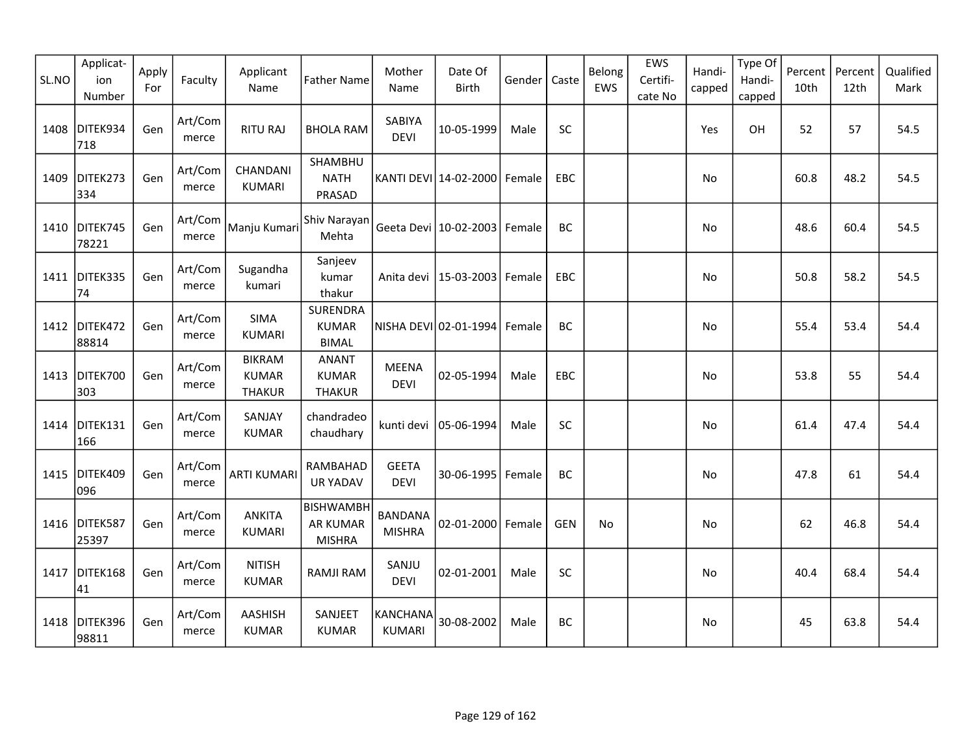| SL.NO | Applicat-<br>ion<br>Number | Apply<br>For | Faculty          | Applicant<br>Name                              | <b>Father Name</b>                              | Mother<br>Name                   | Date Of<br>Birth                 | Gender | Caste      | Belong<br>EWS | EWS<br>Certifi-<br>cate No | Handi-<br>capped | Type Of<br>Handi-<br>capped | Percent<br>10th | Percent<br>12th | Qualified<br>Mark |
|-------|----------------------------|--------------|------------------|------------------------------------------------|-------------------------------------------------|----------------------------------|----------------------------------|--------|------------|---------------|----------------------------|------------------|-----------------------------|-----------------|-----------------|-------------------|
| 1408  | DITEK934<br>718            | Gen          | Art/Com<br>merce | <b>RITU RAJ</b>                                | <b>BHOLA RAM</b>                                | <b>SABIYA</b><br><b>DEVI</b>     | 10-05-1999                       | Male   | <b>SC</b>  |               |                            | Yes              | OH                          | 52              | 57              | 54.5              |
| 1409  | DITEK273<br>334            | Gen          | Art/Com<br>merce | CHANDANI<br><b>KUMARI</b>                      | SHAMBHU<br><b>NATH</b><br>PRASAD                |                                  | KANTI DEVI 14-02-2000            | Female | EBC        |               |                            | No               |                             | 60.8            | 48.2            | 54.5              |
|       | 1410 DITEK745<br>78221     | Gen          | Art/Com<br>merce | Manju Kumari                                   | Shiv Narayan<br>Mehta                           |                                  | Geeta Devi   10-02-2003   Female |        | BC         |               |                            | No               |                             | 48.6            | 60.4            | 54.5              |
|       | 1411 DITEK335<br>74        | Gen          | Art/Com<br>merce | Sugandha<br>kumari                             | Sanjeev<br>kumar<br>thakur                      |                                  | Anita devi   15-03-2003   Female |        | EBC        |               |                            | No               |                             | 50.8            | 58.2            | 54.5              |
| 1412  | DITEK472<br>88814          | Gen          | Art/Com<br>merce | <b>SIMA</b><br><b>KUMARI</b>                   | <b>SURENDRA</b><br><b>KUMAR</b><br><b>BIMAL</b> |                                  | NISHA DEVI 02-01-1994            | Female | <b>BC</b>  |               |                            | No               |                             | 55.4            | 53.4            | 54.4              |
| 1413  | DITEK700<br>303            | Gen          | Art/Com<br>merce | <b>BIKRAM</b><br><b>KUMAR</b><br><b>THAKUR</b> | <b>ANANT</b><br><b>KUMAR</b><br><b>THAKUR</b>   | <b>MEENA</b><br><b>DEVI</b>      | 02-05-1994                       | Male   | EBC        |               |                            | No               |                             | 53.8            | 55              | 54.4              |
| 1414  | DITEK131<br>166            | Gen          | Art/Com<br>merce | SANJAY<br><b>KUMAR</b>                         | chandradeo<br>chaudhary                         | kunti devi                       | 05-06-1994                       | Male   | SC         |               |                            | No               |                             | 61.4            | 47.4            | 54.4              |
| 1415  | DITEK409<br>096            | Gen          | Art/Com<br>merce | <b>ARTI KUMARI</b>                             | RAMBAHAD<br><b>UR YADAV</b>                     | <b>GEETA</b><br><b>DEVI</b>      | 30-06-1995                       | Female | BC         |               |                            | No               |                             | 47.8            | 61              | 54.4              |
|       | 1416 DITEK587<br>25397     | Gen          | Art/Com<br>merce | <b>ANKITA</b><br><b>KUMARI</b>                 | BISHWAMBH<br><b>AR KUMAR</b><br><b>MISHRA</b>   | <b>BANDANA</b><br><b>MISHRA</b>  | 02-01-2000 Female                |        | <b>GEN</b> | No            |                            | No               |                             | 62              | 46.8            | 54.4              |
| 1417  | DITEK168<br>41             | Gen          | Art/Com<br>merce | <b>NITISH</b><br><b>KUMAR</b>                  | RAMJI RAM                                       | SANJU<br><b>DEVI</b>             | 02-01-2001                       | Male   | SC         |               |                            | No               |                             | 40.4            | 68.4            | 54.4              |
|       | 1418 DITEK396<br>98811     | Gen          | Art/Com<br>merce | AASHISH<br><b>KUMAR</b>                        | SANJEET<br><b>KUMAR</b>                         | <b>KANCHANA</b><br><b>KUMARI</b> | 30-08-2002                       | Male   | BC         |               |                            | No               |                             | 45              | 63.8            | 54.4              |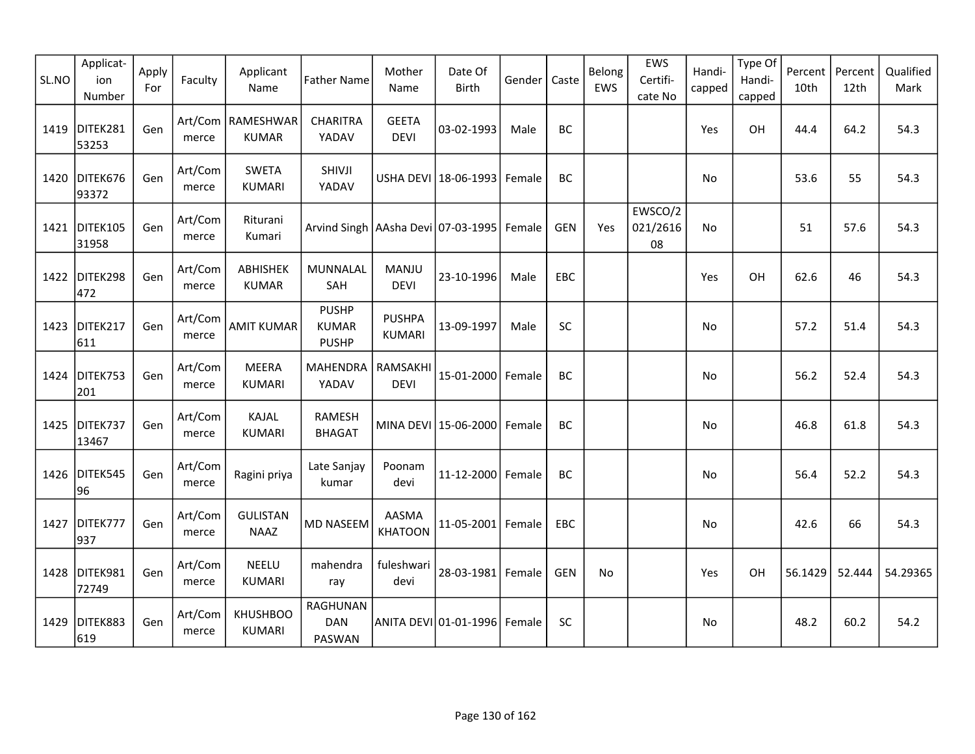| SL.NO | Applicat-<br>ion<br>Number | Apply<br>For | Faculty          | Applicant<br>Name                   | <b>Father Name</b>                           | Mother<br>Name                 | Date Of<br>Birth      | Gender | Caste      | Belong<br>EWS | EWS<br>Certifi-<br>cate No | Handi-<br>capped | Type Of<br>Handi-<br>capped | Percent<br>10th | Percent<br>12th | Qualified<br>Mark |
|-------|----------------------------|--------------|------------------|-------------------------------------|----------------------------------------------|--------------------------------|-----------------------|--------|------------|---------------|----------------------------|------------------|-----------------------------|-----------------|-----------------|-------------------|
| 1419  | DITEK281<br>53253          | Gen          | merce            | Art/Com   RAMESHWAR<br><b>KUMAR</b> | <b>CHARITRA</b><br>YADAV                     | <b>GEETA</b><br><b>DEVI</b>    | 03-02-1993            | Male   | <b>BC</b>  |               |                            | Yes              | OH                          | 44.4            | 64.2            | 54.3              |
| 1420  | DITEK676<br>93372          | Gen          | Art/Com<br>merce | <b>SWETA</b><br><b>KUMARI</b>       | SHIVJI<br>YADAV                              |                                | USHA DEVI 18-06-1993  | Female | BC         |               |                            | No               |                             | 53.6            | 55              | 54.3              |
|       | 1421   DITEK105<br>31958   | Gen          | Art/Com<br>merce | Riturani<br>Kumari                  | Arvind Singh   AAsha Devi   07-03-1995       |                                |                       | Female | GEN        | Yes           | EWSCO/2<br>021/2616<br>08  | <b>No</b>        |                             | 51              | 57.6            | 54.3              |
|       | 1422 DITEK298<br>472       | Gen          | Art/Com<br>merce | ABHISHEK<br><b>KUMAR</b>            | MUNNALAL<br>SAH                              | MANJU<br><b>DEVI</b>           | 23-10-1996            | Male   | EBC        |               |                            | Yes              | OH                          | 62.6            | 46              | 54.3              |
| 1423  | DITEK217<br>611            | Gen          | Art/Com<br>merce | <b>AMIT KUMAR</b>                   | <b>PUSHP</b><br><b>KUMAR</b><br><b>PUSHP</b> | <b>PUSHPA</b><br><b>KUMARI</b> | 13-09-1997            | Male   | SC         |               |                            | No               |                             | 57.2            | 51.4            | 54.3              |
| 1424  | DITEK753<br>201            | Gen          | Art/Com<br>merce | MEERA<br><b>KUMARI</b>              | <b>MAHENDRA</b><br>YADAV                     | RAMSAKHI<br><b>DEVI</b>        | 15-01-2000 Female     |        | <b>BC</b>  |               |                            | No               |                             | 56.2            | 52.4            | 54.3              |
| 1425  | DITEK737<br>13467          | Gen          | Art/Com<br>merce | KAJAL<br><b>KUMARI</b>              | RAMESH<br><b>BHAGAT</b>                      |                                | MINA DEVI 15-06-2000  | Female | BC         |               |                            | No               |                             | 46.8            | 61.8            | 54.3              |
| 1426  | DITEK545<br>96             | Gen          | Art/Com<br>merce | Ragini priya                        | Late Sanjay<br>kumar                         | Poonam<br>devi                 | 11-12-2000 Female     |        | <b>BC</b>  |               |                            | No               |                             | 56.4            | 52.2            | 54.3              |
| 1427  | DITEK777<br>937            | Gen          | Art/Com<br>merce | <b>GULISTAN</b><br><b>NAAZ</b>      | MD NASEEM                                    | AASMA<br><b>KHATOON</b>        | $11 - 05 - 2001$      | Female | EBC        |               |                            | No               |                             | 42.6            | 66              | 54.3              |
|       | 1428 DITEK981<br>72749     | Gen          | Art/Com<br>merce | <b>NEELU</b><br><b>KUMARI</b>       | mahendra<br>ray                              | fuleshwari<br>devi             | 28-03-1981 Female     |        | <b>GEN</b> | <b>No</b>     |                            | Yes              | OH                          | 56.1429         | 52.444          | 54.29365          |
| 1429  | DITEK883<br>619            | Gen          | Art/Com<br>merce | <b>KHUSHBOO</b><br><b>KUMARI</b>    | <b>RAGHUNAN</b><br><b>DAN</b><br>PASWAN      |                                | ANITA DEVI 01-01-1996 | Female | <b>SC</b>  |               |                            | No               |                             | 48.2            | 60.2            | 54.2              |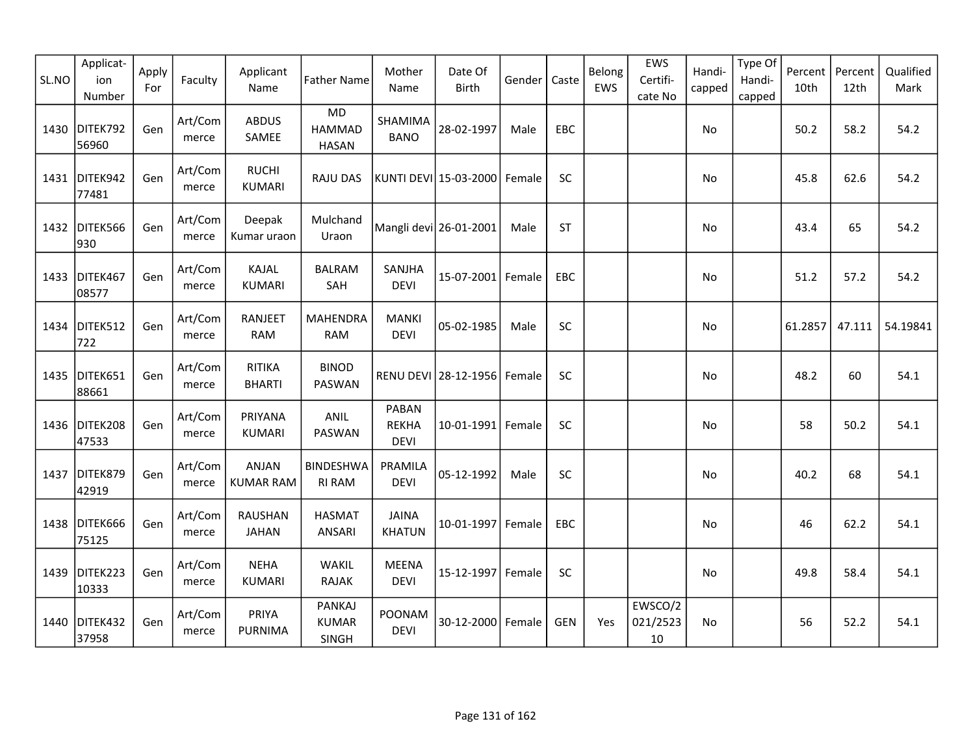| SL.NO | Applicat-<br>ion<br>Number | Apply<br>For | Faculty          | Applicant<br>Name                | <b>Father Name</b>                         | Mother<br>Name                       | Date Of<br><b>Birth</b> | Gender | Caste      | Belong<br>EWS | EWS<br>Certifi-<br>cate No | Handi-<br>capped | Type Of<br>Handi-<br>capped | Percent<br>10th | Percent<br>12th | Qualified<br>Mark |
|-------|----------------------------|--------------|------------------|----------------------------------|--------------------------------------------|--------------------------------------|-------------------------|--------|------------|---------------|----------------------------|------------------|-----------------------------|-----------------|-----------------|-------------------|
| 1430  | DITEK792<br>56960          | Gen          | Art/Com<br>merce | <b>ABDUS</b><br>SAMEE            | <b>MD</b><br><b>HAMMAD</b><br><b>HASAN</b> | SHAMIMA<br><b>BANO</b>               | 28-02-1997              | Male   | EBC        |               |                            | No               |                             | 50.2            | 58.2            | 54.2              |
|       | 1431 DITEK942<br>77481     | Gen          | Art/Com<br>merce | <b>RUCHI</b><br><b>KUMARI</b>    | <b>RAJU DAS</b>                            |                                      | KUNTI DEVI 15-03-2000   | Female | <b>SC</b>  |               |                            | No               |                             | 45.8            | 62.6            | 54.2              |
|       | 1432 DITEK566<br>930       | Gen          | Art/Com<br>merce | Deepak<br>Kumar uraon            | Mulchand<br>Uraon                          |                                      | Mangli devi 26-01-2001  | Male   | <b>ST</b>  |               |                            | No               |                             | 43.4            | 65              | 54.2              |
|       | 1433 DITEK467<br>08577     | Gen          | Art/Com<br>merce | KAJAL<br><b>KUMARI</b>           | <b>BALRAM</b><br>SAH                       | SANJHA<br><b>DEVI</b>                | 15-07-2001              | Female | EBC        |               |                            | No               |                             | 51.2            | 57.2            | 54.2              |
| 1434  | DITEK512<br>722            | Gen          | Art/Com<br>merce | RANJEET<br><b>RAM</b>            | <b>MAHENDRA</b><br><b>RAM</b>              | <b>MANKI</b><br><b>DEVI</b>          | 05-02-1985              | Male   | <b>SC</b>  |               |                            | No               |                             | 61.2857         | 47.111          | 54.19841          |
| 1435  | DITEK651<br>88661          | Gen          | Art/Com<br>merce | <b>RITIKA</b><br><b>BHARTI</b>   | <b>BINOD</b><br>PASWAN                     |                                      | RENU DEVI 28-12-1956    | Female | <b>SC</b>  |               |                            | No               |                             | 48.2            | 60              | 54.1              |
| 1436  | DITEK208<br>47533          | Gen          | Art/Com<br>merce | PRIYANA<br><b>KUMARI</b>         | ANIL<br>PASWAN                             | PABAN<br><b>REKHA</b><br><b>DEVI</b> | $10 - 01 - 1991$        | Female | SC         |               |                            | No               |                             | 58              | 50.2            | 54.1              |
| 1437  | DITEK879<br>42919          | Gen          | Art/Com<br>merce | <b>ANJAN</b><br><b>KUMAR RAM</b> | <b>BINDESHWA</b><br><b>RI RAM</b>          | PRAMILA<br><b>DEVI</b>               | 05-12-1992              | Male   | SC         |               |                            | No               |                             | 40.2            | 68              | 54.1              |
|       | 1438 DITEK666<br>75125     | Gen          | Art/Com<br>merce | <b>RAUSHAN</b><br><b>JAHAN</b>   | <b>HASMAT</b><br><b>ANSARI</b>             | <b>JAINA</b><br><b>KHATUN</b>        | 10-01-1997              | Female | EBC        |               |                            | No               |                             | 46              | 62.2            | 54.1              |
| 1439  | DITEK223<br>10333          | Gen          | Art/Com<br>merce | <b>NEHA</b><br><b>KUMARI</b>     | <b>WAKIL</b><br><b>RAJAK</b>               | <b>MEENA</b><br><b>DEVI</b>          | 15-12-1997 Female       |        | <b>SC</b>  |               |                            | No               |                             | 49.8            | 58.4            | 54.1              |
|       | 1440 DITEK432<br>37958     | Gen          | Art/Com<br>merce | PRIYA<br><b>PURNIMA</b>          | <b>PANKAJ</b><br><b>KUMAR</b><br>SINGH     | POONAM<br><b>DEVI</b>                | 30-12-2000              | Female | <b>GEN</b> | Yes           | EWSCO/2<br>021/2523<br>10  | No               |                             | 56              | 52.2            | 54.1              |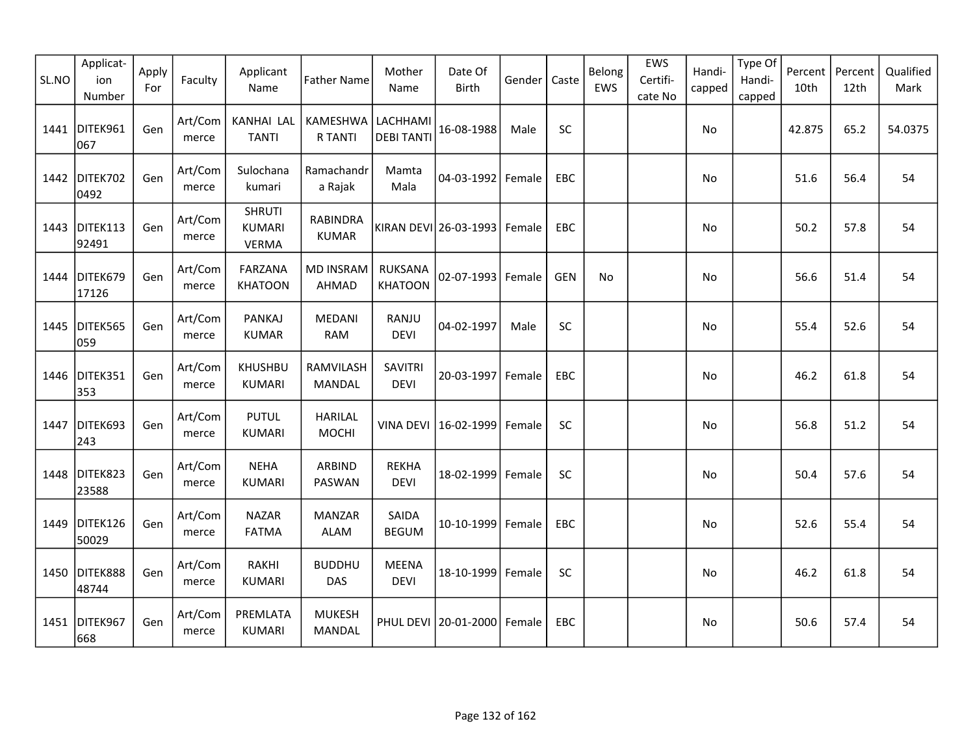| SL.NO | Applicat-<br>ion<br>Number | Apply<br>For | Faculty          | Applicant<br>Name                              | <b>Father Name</b>              | Mother<br>Name                   | Date Of<br>Birth      | Gender | Caste      | Belong<br>EWS | EWS<br>Certifi-<br>cate No | Handi-<br>capped | Type Of<br>Handi-<br>capped | Percent<br>10th | Percent<br>12th | Qualified<br>Mark |
|-------|----------------------------|--------------|------------------|------------------------------------------------|---------------------------------|----------------------------------|-----------------------|--------|------------|---------------|----------------------------|------------------|-----------------------------|-----------------|-----------------|-------------------|
| 1441  | DITEK961<br>067            | Gen          | Art/Com<br>merce | KANHAI LAL<br><b>TANTI</b>                     | KAMESHWA<br>R TANTI             | LACHHAMI<br><b>DEBI TANTI</b>    | 16-08-1988            | Male   | SC         |               |                            | No               |                             | 42.875          | 65.2            | 54.0375           |
| 1442  | DITEK702<br>0492           | Gen          | Art/Com<br>merce | Sulochana<br>kumari                            | Ramachandr<br>a Rajak           | Mamta<br>Mala                    | 04-03-1992            | Female | EBC        |               |                            | No               |                             | 51.6            | 56.4            | 54                |
| 1443  | DITEK113<br>92491          | Gen          | Art/Com<br>merce | <b>SHRUTI</b><br><b>KUMARI</b><br><b>VERMA</b> | <b>RABINDRA</b><br><b>KUMAR</b> |                                  | KIRAN DEVI 26-03-1993 | Female | EBC        |               |                            | No               |                             | 50.2            | 57.8            | 54                |
|       | 1444 DITEK679<br>17126     | Gen          | Art/Com<br>merce | FARZANA<br><b>KHATOON</b>                      | <b>MD INSRAM</b><br>AHMAD       | <b>RUKSANA</b><br><b>KHATOON</b> | 02-07-1993            | Female | <b>GEN</b> | <b>No</b>     |                            | No               |                             | 56.6            | 51.4            | 54                |
| 1445  | DITEK565<br>059            | Gen          | Art/Com<br>merce | <b>PANKAJ</b><br><b>KUMAR</b>                  | MEDANI<br><b>RAM</b>            | RANJU<br><b>DEVI</b>             | 04-02-1997            | Male   | SC         |               |                            | No               |                             | 55.4            | 52.6            | 54                |
| 1446  | DITEK351<br>353            | Gen          | Art/Com<br>merce | <b>KHUSHBU</b><br><b>KUMARI</b>                | RAMVILASH<br>MANDAL             | <b>SAVITRI</b><br><b>DEVI</b>    | 20-03-1997            | Female | EBC        |               |                            | No               |                             | 46.2            | 61.8            | 54                |
| 1447  | DITEK693<br>243            | Gen          | Art/Com<br>merce | <b>PUTUL</b><br><b>KUMARI</b>                  | <b>HARILAL</b><br><b>MOCHI</b>  | <b>VINA DEVI</b>                 | 16-02-1999            | Female | SC         |               |                            | No               |                             | 56.8            | 51.2            | 54                |
| 1448  | DITEK823<br>23588          | Gen          | Art/Com<br>merce | <b>NEHA</b><br><b>KUMARI</b>                   | ARBIND<br>PASWAN                | <b>REKHA</b><br><b>DEVI</b>      | 18-02-1999            | Female | SC         |               |                            | No               |                             | 50.4            | 57.6            | 54                |
|       | 1449 DITEK126<br>50029     | Gen          | Art/Com<br>merce | <b>NAZAR</b><br><b>FATMA</b>                   | <b>MANZAR</b><br><b>ALAM</b>    | SAIDA<br><b>BEGUM</b>            | 10-10-1999            | Female | <b>EBC</b> |               |                            | No               |                             | 52.6            | 55.4            | 54                |
|       | 1450 DITEK888<br>48744     | Gen          | Art/Com<br>merce | RAKHI<br><b>KUMARI</b>                         | <b>BUDDHU</b><br><b>DAS</b>     | <b>MEENA</b><br><b>DEVI</b>      | 18-10-1999            | Female | SC         |               |                            | No               |                             | 46.2            | 61.8            | 54                |
|       | 1451 DITEK967<br>668       | Gen          | Art/Com<br>merce | PREMLATA<br><b>KUMARI</b>                      | <b>MUKESH</b><br><b>MANDAL</b>  |                                  | PHUL DEVI 20-01-2000  | Female | EBC        |               |                            | No.              |                             | 50.6            | 57.4            | 54                |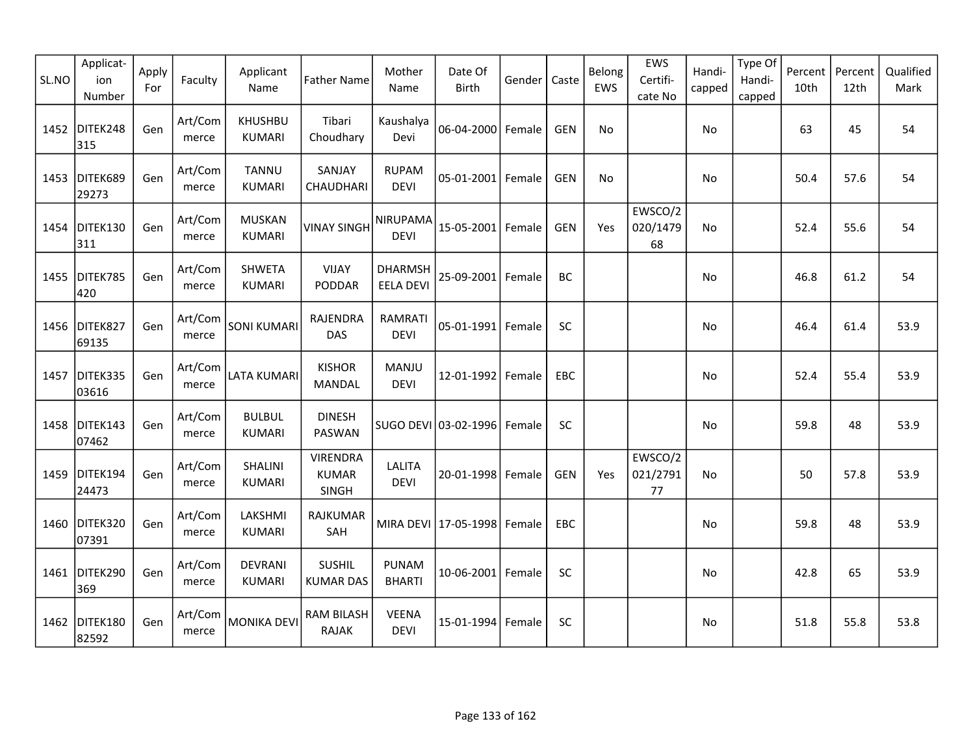| SL.NO | Applicat-<br>ion<br>Number | Apply<br>For | Faculty          | Applicant<br>Name               | <b>Father Name</b>                       | Mother<br>Name                     | Date Of<br><b>Birth</b>         | Gender | Caste      | Belong<br>EWS | EWS<br>Certifi-<br>cate No | Handi-<br>capped | Type Of<br>Handi-<br>capped | Percent<br>10th | Percent<br>12th | Qualified<br>Mark |
|-------|----------------------------|--------------|------------------|---------------------------------|------------------------------------------|------------------------------------|---------------------------------|--------|------------|---------------|----------------------------|------------------|-----------------------------|-----------------|-----------------|-------------------|
| 1452  | DITEK248<br>315            | Gen          | Art/Com<br>merce | <b>KHUSHBU</b><br><b>KUMARI</b> | Tibari<br>Choudhary                      | Kaushalya<br>Devi                  | 06-04-2000 Female               |        | <b>GEN</b> | No            |                            | No               |                             | 63              | 45              | 54                |
| 1453  | DITEK689<br>29273          | Gen          | Art/Com<br>merce | <b>TANNU</b><br><b>KUMARI</b>   | SANJAY<br>CHAUDHARI                      | <b>RUPAM</b><br><b>DEVI</b>        | 05-01-2001 Female               |        | <b>GEN</b> | No            |                            | No               |                             | 50.4            | 57.6            | 54                |
| 1454  | DITEK130<br>311            | Gen          | Art/Com<br>merce | <b>MUSKAN</b><br><b>KUMARI</b>  | VINAY SINGH                              | NIRUPAMA<br><b>DEVI</b>            | 15-05-2001                      | Female | <b>GEN</b> | Yes           | EWSCO/2<br>020/1479<br>68  | N <sub>o</sub>   |                             | 52.4            | 55.6            | 54                |
| 1455  | DITEK785<br>420            | Gen          | Art/Com<br>merce | SHWETA<br><b>KUMARI</b>         | <b>VIJAY</b><br><b>PODDAR</b>            | <b>DHARMSH</b><br><b>EELA DEVI</b> | 25-09-2001                      | Female | BC         |               |                            | <b>No</b>        |                             | 46.8            | 61.2            | 54                |
| 1456  | DITEK827<br>69135          | Gen          | Art/Com<br>merce | <b>SONI KUMARI</b>              | RAJENDRA<br><b>DAS</b>                   | <b>RAMRATI</b><br><b>DEVI</b>      | 05-01-1991 Female               |        | SC         |               |                            | No               |                             | 46.4            | 61.4            | 53.9              |
| 1457  | DITEK335<br>03616          | Gen          | Art/Com<br>merce | LATA KUMARI                     | <b>KISHOR</b><br><b>MANDAL</b>           | MANJU<br><b>DEVI</b>               | 12-01-1992                      | Female | EBC        |               |                            | No               |                             | 52.4            | 55.4            | 53.9              |
| 1458  | DITEK143<br>07462          | Gen          | Art/Com<br>merce | <b>BULBUL</b><br><b>KUMARI</b>  | <b>DINESH</b><br>PASWAN                  |                                    | SUGO DEVI 03-02-1996            | Female | SC         |               |                            | <b>No</b>        |                             | 59.8            | 48              | 53.9              |
| 1459  | DITEK194<br>24473          | Gen          | Art/Com<br>merce | <b>SHALINI</b><br><b>KUMARI</b> | <b>VIRENDRA</b><br><b>KUMAR</b><br>SINGH | <b>LALITA</b><br><b>DEVI</b>       | 20-01-1998 Female               |        | <b>GEN</b> | Yes           | EWSCO/2<br>021/2791<br>77  | No               |                             | 50              | 57.8            | 53.9              |
|       | 1460 DITEK320<br>07391     | Gen          | Art/Com<br>merce | LAKSHMI<br><b>KUMARI</b>        | RAJKUMAR<br>SAH                          |                                    | MIRA DEVI   17-05-1998   Female |        | EBC        |               |                            | No               |                             | 59.8            | 48              | 53.9              |
|       | 1461 DITEK290<br>369       | Gen          | Art/Com<br>merce | <b>DEVRANI</b><br><b>KUMARI</b> | <b>SUSHIL</b><br><b>KUMAR DAS</b>        | <b>PUNAM</b><br><b>BHARTI</b>      | 10-06-2001 Female               |        | SC         |               |                            | No               |                             | 42.8            | 65              | 53.9              |
| 1462  | DITEK180<br>82592          | Gen          | Art/Com<br>merce | MONIKA DEVI                     | <b>RAM BILASH</b><br><b>RAJAK</b>        | <b>VEENA</b><br><b>DEVI</b>        | 15-01-1994                      | Female | SC         |               |                            | No               |                             | 51.8            | 55.8            | 53.8              |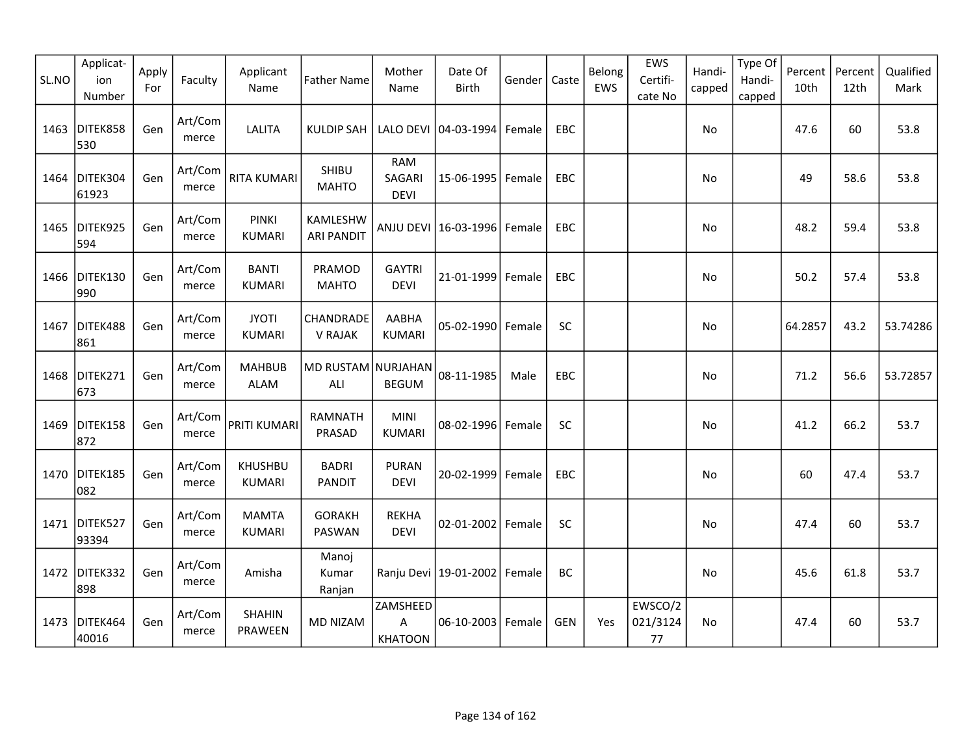| SL.NO | Applicat-<br>ion<br>Number | Apply<br>For | Faculty          | Applicant<br>Name               | <b>Father Name</b>            | Mother<br>Name                      | Date Of<br>Birth                 | Gender | Caste      | Belong<br>EWS | EWS<br>Certifi-<br>cate No | Handi-<br>capped | Type Of<br>Handi-<br>capped | Percent<br>10th | Percent<br>12th | Qualified<br>Mark |
|-------|----------------------------|--------------|------------------|---------------------------------|-------------------------------|-------------------------------------|----------------------------------|--------|------------|---------------|----------------------------|------------------|-----------------------------|-----------------|-----------------|-------------------|
| 1463  | DITEK858<br>530            | Gen          | Art/Com<br>merce | <b>LALITA</b>                   | <b>KULDIP SAH</b>             |                                     | LALO DEVI 04-03-1994             | Female | EBC        |               |                            | No               |                             | 47.6            | 60              | 53.8              |
| 1464  | DITEK304<br>61923          | Gen          | Art/Com<br>merce | <b>RITA KUMARI</b>              | SHIBU<br><b>MAHTO</b>         | <b>RAM</b><br>SAGARI<br><b>DEVI</b> | 15-06-1995                       | Female | EBC        |               |                            | No               |                             | 49              | 58.6            | 53.8              |
| 1465  | DITEK925<br>594            | Gen          | Art/Com<br>merce | <b>PINKI</b><br><b>KUMARI</b>   | KAMLESHW<br><b>ARI PANDIT</b> |                                     | ANJU DEVI 16-03-1996             | Female | EBC        |               |                            | No               |                             | 48.2            | 59.4            | 53.8              |
| 1466  | DITEK130<br>990            | Gen          | Art/Com<br>merce | <b>BANTI</b><br><b>KUMARI</b>   | PRAMOD<br><b>MAHTO</b>        | <b>GAYTRI</b><br><b>DEVI</b>        | 21-01-1999                       | Female | EBC        |               |                            | No               |                             | 50.2            | 57.4            | 53.8              |
| 1467  | DITEK488<br>861            | Gen          | Art/Com<br>merce | <b>JYOTI</b><br><b>KUMARI</b>   | CHANDRADE<br><b>V RAJAK</b>   | AABHA<br><b>KUMARI</b>              | 05-02-1990                       | Female | SC         |               |                            | No               |                             | 64.2857         | 43.2            | 53.74286          |
| 1468  | DITEK271<br>673            | Gen          | Art/Com<br>merce | <b>MAHBUB</b><br>ALAM           | MD RUSTAM NURJAHAN<br>ALI     | <b>BEGUM</b>                        | 08-11-1985                       | Male   | EBC        |               |                            | No               |                             | 71.2            | 56.6            | 53.72857          |
| 1469  | DITEK158<br>872            | Gen          | Art/Com<br>merce | PRITI KUMARI                    | RAMNATH<br>PRASAD             | <b>MINI</b><br><b>KUMARI</b>        | 08-02-1996 Female                |        | SC         |               |                            | No               |                             | 41.2            | 66.2            | 53.7              |
| 1470  | DITEK185<br>082            | Gen          | Art/Com<br>merce | <b>KHUSHBU</b><br><b>KUMARI</b> | <b>BADRI</b><br><b>PANDIT</b> | <b>PURAN</b><br><b>DEVI</b>         | 20-02-1999                       | Female | EBC        |               |                            | No               |                             | 60              | 47.4            | 53.7              |
| 1471  | DITEK527<br>93394          | Gen          | Art/Com<br>merce | <b>MAMTA</b><br><b>KUMARI</b>   | <b>GORAKH</b><br>PASWAN       | <b>REKHA</b><br><b>DEVI</b>         | 02-01-2002                       | Female | SC         |               |                            | No               |                             | 47.4            | 60              | 53.7              |
| 1472  | DITEK332<br>898            | Gen          | Art/Com<br>merce | Amisha                          | Manoj<br>Kumar<br>Ranjan      |                                     | Ranju Devi   19-01-2002   Female |        | BC         |               |                            | <b>No</b>        |                             | 45.6            | 61.8            | 53.7              |
| 1473  | DITEK464<br>40016          | Gen          | Art/Com<br>merce | <b>SHAHIN</b><br>PRAWEEN        | <b>MD NIZAM</b>               | ZAMSHEED<br>A<br><b>KHATOON</b>     | 06-10-2003 Female                |        | <b>GEN</b> | Yes           | EWSCO/2<br>021/3124<br>77  | <b>No</b>        |                             | 47.4            | 60              | 53.7              |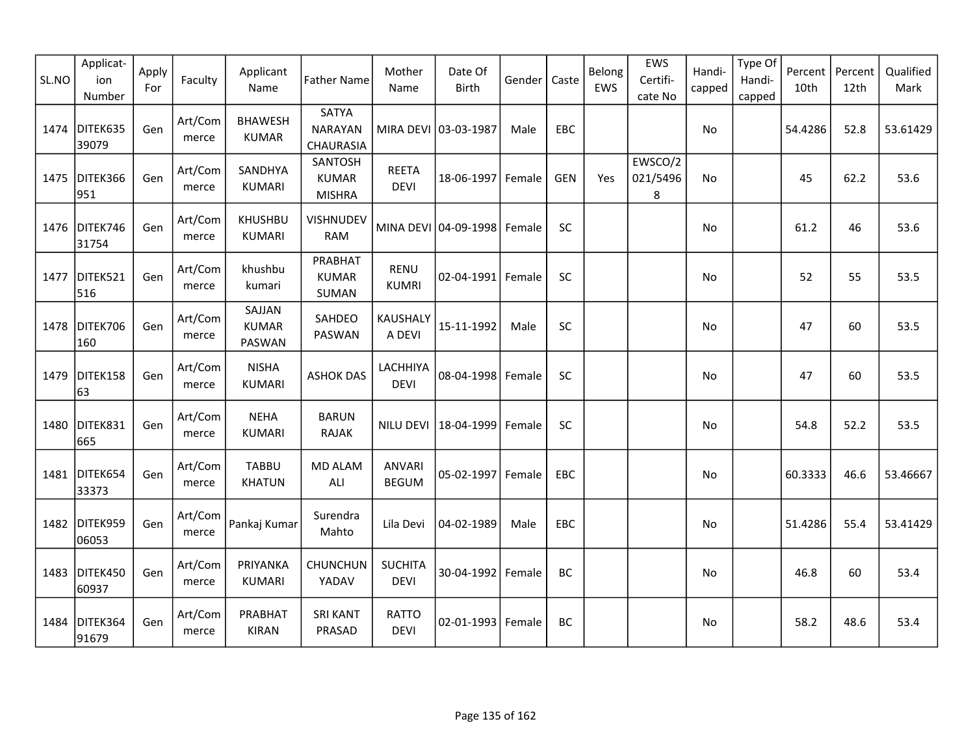| SL.NO | Applicat-<br>ion<br>Number | Apply<br>For | Faculty          | Applicant<br>Name                | <b>Father Name</b>                       | Mother<br>Name                | Date Of<br><b>Birth</b> | Gender | Caste      | Belong<br>EWS | EWS<br>Certifi-<br>cate No | Handi-<br>capped | Type Of<br>Handi-<br>capped | Percent<br>10th | Percent<br>12th | Qualified<br>Mark |
|-------|----------------------------|--------------|------------------|----------------------------------|------------------------------------------|-------------------------------|-------------------------|--------|------------|---------------|----------------------------|------------------|-----------------------------|-----------------|-----------------|-------------------|
| 1474  | DITEK635<br>39079          | Gen          | Art/Com<br>merce | <b>BHAWESH</b><br><b>KUMAR</b>   | SATYA<br><b>NARAYAN</b><br>CHAURASIA     |                               | MIRA DEVI 03-03-1987    | Male   | EBC        |               |                            | No               |                             | 54.4286         | 52.8            | 53.61429          |
| 1475  | DITEK366<br>951            | Gen          | Art/Com<br>merce | SANDHYA<br><b>KUMARI</b>         | SANTOSH<br><b>KUMAR</b><br><b>MISHRA</b> | <b>REETA</b><br><b>DEVI</b>   | 18-06-1997              | Female | <b>GEN</b> | Yes           | EWSCO/2<br>021/5496<br>8   | No               |                             | 45              | 62.2            | 53.6              |
|       | 1476 DITEK746<br>31754     | Gen          | Art/Com<br>merce | <b>KHUSHBU</b><br>KUMARI         | <b>VISHNUDEV</b><br><b>RAM</b>           |                               | MINA DEVI 04-09-1998    | Female | SC         |               |                            | No               |                             | 61.2            | 46              | 53.6              |
| 1477  | DITEK521<br>516            | Gen          | Art/Com<br>merce | khushbu<br>kumari                | PRABHAT<br><b>KUMAR</b><br><b>SUMAN</b>  | <b>RENU</b><br><b>KUMRI</b>   | $02 - 04 - 1991$        | Female | SC         |               |                            | No.              |                             | 52              | 55              | 53.5              |
| 1478  | DITEK706<br>160            | Gen          | Art/Com<br>merce | SAJJAN<br><b>KUMAR</b><br>PASWAN | SAHDEO<br>PASWAN                         | KAUSHALY<br>A DEVI            | 15-11-1992              | Male   | SC         |               |                            | No               |                             | 47              | 60              | 53.5              |
| 1479  | DITEK158<br>63             | Gen          | Art/Com<br>merce | <b>NISHA</b><br><b>KUMARI</b>    | <b>ASHOK DAS</b>                         | LACHHIYA<br><b>DEVI</b>       | 08-04-1998              | Female | SC         |               |                            | No.              |                             | 47              | 60              | 53.5              |
| 1480  | DITEK831<br>665            | Gen          | Art/Com<br>merce | <b>NEHA</b><br><b>KUMARI</b>     | <b>BARUN</b><br><b>RAJAK</b>             | NILU DEVI                     | 18-04-1999              | Female | SC         |               |                            | No.              |                             | 54.8            | 52.2            | 53.5              |
|       | 1481 DITEK654<br>33373     | Gen          | Art/Com<br>merce | <b>TABBU</b><br><b>KHATUN</b>    | <b>MD ALAM</b><br>ALI                    | <b>ANVARI</b><br><b>BEGUM</b> | 05-02-1997              | Female | EBC        |               |                            | No               |                             | 60.3333         | 46.6            | 53.46667          |
|       | 1482 DITEK959<br>06053     | Gen          | Art/Com<br>merce | Pankaj Kumar                     | Surendra<br>Mahto                        | Lila Devi                     | 04-02-1989              | Male   | EBC        |               |                            | No               |                             | 51.4286         | 55.4            | 53.41429          |
| 1483  | DITEK450<br>60937          | Gen          | Art/Com<br>merce | PRIYANKA<br><b>KUMARI</b>        | <b>CHUNCHUN</b><br>YADAV                 | <b>SUCHITA</b><br><b>DEVI</b> | 30-04-1992              | Female | BC         |               |                            | No               |                             | 46.8            | 60              | 53.4              |
| 1484  | DITEK364<br>91679          | Gen          | Art/Com<br>merce | PRABHAT<br><b>KIRAN</b>          | <b>SRI KANT</b><br>PRASAD                | <b>RATTO</b><br><b>DEVI</b>   | 02-01-1993              | Female | BC         |               |                            | No.              |                             | 58.2            | 48.6            | 53.4              |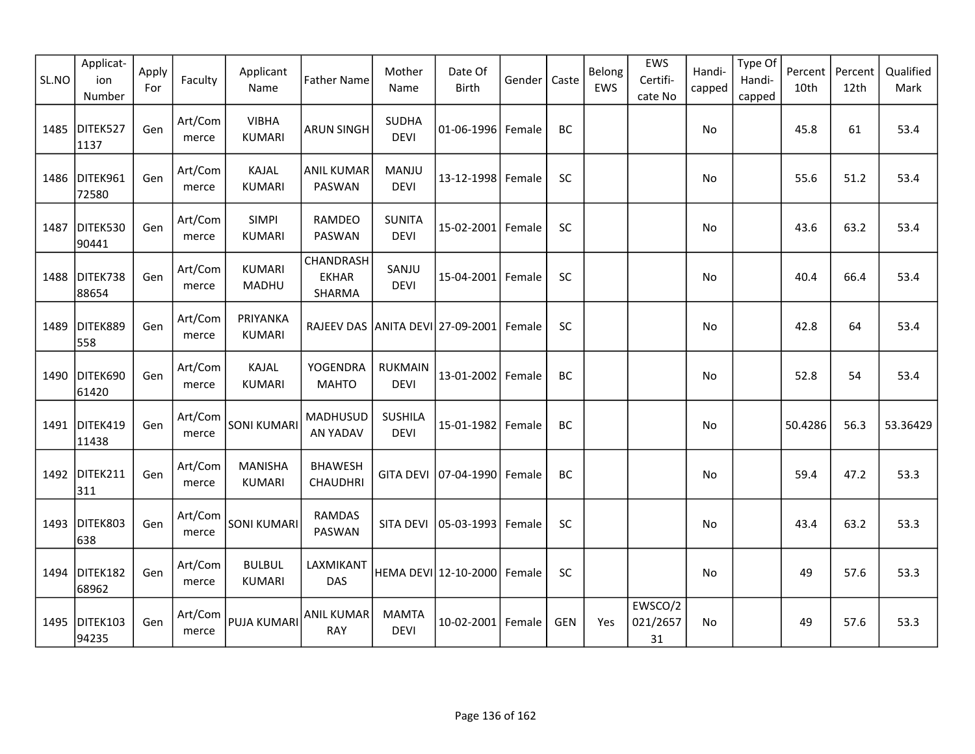| SL.NO | Applicat-<br>ion<br>Number | Apply<br>For | Faculty          | Applicant<br>Name               | <b>Father Name</b>                      | Mother<br>Name                | Date Of<br><b>Birth</b>         | Gender | Caste      | Belong<br>EWS | EWS<br>Certifi-<br>cate No | Handi-<br>capped | Type Of<br>Handi-<br>capped | Percent<br>10th | Percent<br>12th | Qualified<br>Mark |
|-------|----------------------------|--------------|------------------|---------------------------------|-----------------------------------------|-------------------------------|---------------------------------|--------|------------|---------------|----------------------------|------------------|-----------------------------|-----------------|-----------------|-------------------|
| 1485  | DITEK527<br>1137           | Gen          | Art/Com<br>merce | <b>VIBHA</b><br><b>KUMARI</b>   | <b>ARUN SINGH</b>                       | <b>SUDHA</b><br><b>DEVI</b>   | 01-06-1996 Female               |        | BC         |               |                            | No               |                             | 45.8            | 61              | 53.4              |
|       | 1486 DITEK961<br>72580     | Gen          | Art/Com<br>merce | KAJAL<br><b>KUMARI</b>          | <b>ANIL KUMAR</b><br>PASWAN             | MANJU<br><b>DEVI</b>          | 13-12-1998 Female               |        | SC         |               |                            | No               |                             | 55.6            | 51.2            | 53.4              |
| 1487  | DITEK530<br>90441          | Gen          | Art/Com<br>merce | <b>SIMPI</b><br><b>KUMARI</b>   | RAMDEO<br>PASWAN                        | <b>SUNITA</b><br><b>DEVI</b>  | 15-02-2001 Female               |        | <b>SC</b>  |               |                            | No               |                             | 43.6            | 63.2            | 53.4              |
| 1488  | DITEK738<br>88654          | Gen          | Art/Com<br>merce | <b>KUMARI</b><br>MADHU          | CHANDRASH<br><b>EKHAR</b><br>SHARMA     | SANJU<br><b>DEVI</b>          | 15-04-2001   Female             |        | <b>SC</b>  |               |                            | No               |                             | 40.4            | 66.4            | 53.4              |
| 1489  | DITEK889<br>558            | Gen          | Art/Com<br>merce | PRIYANKA<br>KUMARI              | RAJEEV DAS ANITA DEVI 27-09-2001 Female |                               |                                 |        | <b>SC</b>  |               |                            | No               |                             | 42.8            | 64              | 53.4              |
| 1490  | DITEK690<br>61420          | Gen          | Art/Com<br>merce | KAJAL<br><b>KUMARI</b>          | YOGENDRA<br><b>MAHTO</b>                | <b>RUKMAIN</b><br><b>DEVI</b> | 13-01-2002 Female               |        | BC         |               |                            | No               |                             | 52.8            | 54              | 53.4              |
| 1491  | DITEK419<br>11438          | Gen          | Art/Com<br>merce | <b>SONI KUMARI</b>              | <b>MADHUSUD</b><br>AN YADAV             | <b>SUSHILA</b><br><b>DEVI</b> | 15-01-1982                      | Female | BC         |               |                            | No               |                             | 50.4286         | 56.3            | 53.36429          |
|       | 1492 DITEK211<br>311       | Gen          | Art/Com<br>merce | <b>MANISHA</b><br><b>KUMARI</b> | <b>BHAWESH</b><br><b>CHAUDHRI</b>       |                               | GITA DEVI   07-04-1990   Female |        | BC         |               |                            | No               |                             | 59.4            | 47.2            | 53.3              |
| 1493  | DITEK803<br>638            | Gen          | Art/Com<br>merce | <b>SONI KUMARI</b>              | <b>RAMDAS</b><br>PASWAN                 | SITA DEVI                     | 05-03-1993 Female               |        | <b>SC</b>  |               |                            | No               |                             | 43.4            | 63.2            | 53.3              |
|       | 1494 DITEK182<br>68962     | Gen          | Art/Com<br>merce | <b>BULBUL</b><br><b>KUMARI</b>  | LAXMIKANT<br>DAS                        |                               | HEMA DEVI 12-10-2000 Female     |        | SC         |               |                            | No               |                             | 49              | 57.6            | 53.3              |
|       | 1495 DITEK103<br>94235     | Gen          | Art/Com<br>merce | <b>PUJA KUMARI</b>              | <b>ANIL KUMAR</b><br><b>RAY</b>         | <b>MAMTA</b><br><b>DEVI</b>   | 10-02-2001 Female               |        | <b>GEN</b> | Yes           | EWSCO/2<br>021/2657<br>31  | No               |                             | 49              | 57.6            | 53.3              |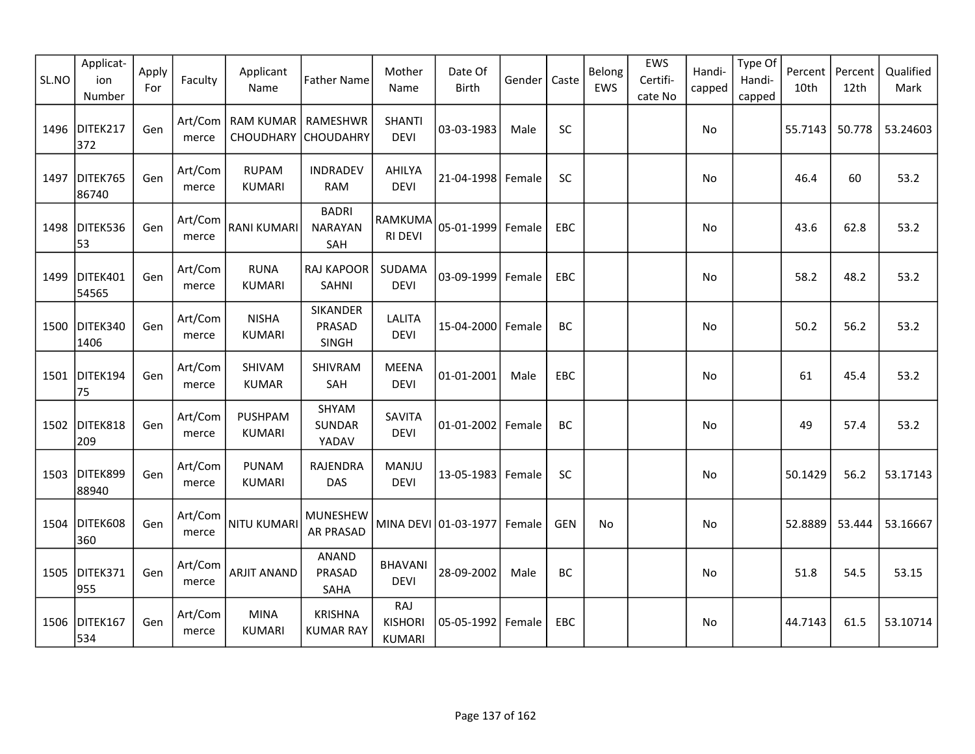| SL.NO | Applicat-<br>ion<br>Number | Apply<br>For | Faculty          | Applicant<br>Name                            | <b>Father Name</b>                    | Mother<br>Name                         | Date Of<br><b>Birth</b> | Gender | Caste      | Belong<br>EWS | EWS<br>Certifi-<br>cate No | Handi-<br>capped | Type Of<br>Handi-<br>capped | Percent<br>10th | Percent<br>12th | Qualified<br>Mark |
|-------|----------------------------|--------------|------------------|----------------------------------------------|---------------------------------------|----------------------------------------|-------------------------|--------|------------|---------------|----------------------------|------------------|-----------------------------|-----------------|-----------------|-------------------|
| 1496  | DITEK217<br>372            | Gen          | merce            | Art/Com   RAM KUMAR  <br>CHOUDHARY CHOUDAHRY | RAMESHWR                              | <b>SHANTI</b><br><b>DEVI</b>           | 03-03-1983              | Male   | SC         |               |                            | No               |                             | 55.7143         | 50.778          | 53.24603          |
| 1497  | DITEK765<br>86740          | Gen          | Art/Com<br>merce | <b>RUPAM</b><br><b>KUMARI</b>                | <b>INDRADEV</b><br><b>RAM</b>         | AHILYA<br><b>DEVI</b>                  | 21-04-1998 Female       |        | SC         |               |                            | No               |                             | 46.4            | 60              | 53.2              |
| 1498  | DITEK536<br>53             | Gen          | Art/Com<br>merce | <b>RANI KUMARI</b>                           | <b>BADRI</b><br><b>NARAYAN</b><br>SAH | RAMKUMA<br><b>RI DEVI</b>              | 05-01-1999              | Female | <b>EBC</b> |               |                            | No               |                             | 43.6            | 62.8            | 53.2              |
| 1499  | DITEK401<br>54565          | Gen          | Art/Com<br>merce | <b>RUNA</b><br><b>KUMARI</b>                 | RAJ KAPOOR<br>SAHNI                   | SUDAMA<br><b>DEVI</b>                  | 03-09-1999              | Female | EBC        |               |                            | No               |                             | 58.2            | 48.2            | 53.2              |
| 1500  | DITEK340<br>1406           | Gen          | Art/Com<br>merce | <b>NISHA</b><br><b>KUMARI</b>                | <b>SIKANDER</b><br>PRASAD<br>SINGH    | <b>LALITA</b><br><b>DEVI</b>           | 15-04-2000              | Female | BC         |               |                            | No.              |                             | 50.2            | 56.2            | 53.2              |
| 1501  | DITEK194<br>75             | Gen          | Art/Com<br>merce | SHIVAM<br><b>KUMAR</b>                       | SHIVRAM<br>SAH                        | <b>MEENA</b><br><b>DEVI</b>            | 01-01-2001              | Male   | <b>EBC</b> |               |                            | No.              |                             | 61              | 45.4            | 53.2              |
| 1502  | DITEK818<br>209            | Gen          | Art/Com<br>merce | <b>PUSHPAM</b><br>KUMARI                     | SHYAM<br>SUNDAR<br>YADAV              | <b>SAVITA</b><br><b>DEVI</b>           | $01 - 01 - 2002$        | Female | BC         |               |                            | No               |                             | 49              | 57.4            | 53.2              |
| 1503  | DITEK899<br>88940          | Gen          | Art/Com<br>merce | <b>PUNAM</b><br><b>KUMARI</b>                | RAJENDRA<br>DAS                       | MANJU<br><b>DEVI</b>                   | 13-05-1983 Female       |        | SC         |               |                            | No               |                             | 50.1429         | 56.2            | 53.17143          |
| 1504  | DITEK608<br>360            | Gen          | Art/Com<br>merce | NITU KUMARI                                  | <b>MUNESHEW</b><br><b>AR PRASAD</b>   |                                        | MINA DEVI 01-03-1977    | Female | <b>GEN</b> | No            |                            | No               |                             | 52.8889         | 53.444          | 53.16667          |
| 1505  | DITEK371<br>955            | Gen          | Art/Com<br>merce | <b>ARJIT ANAND</b>                           | <b>ANAND</b><br>PRASAD<br>SAHA        | <b>BHAVANI</b><br><b>DEVI</b>          | 28-09-2002              | Male   | BC         |               |                            | No               |                             | 51.8            | 54.5            | 53.15             |
|       | 1506 DITEK167<br>534       | Gen          | Art/Com<br>merce | <b>MINA</b><br><b>KUMARI</b>                 | <b>KRISHNA</b><br><b>KUMAR RAY</b>    | RAJ<br><b>KISHORI</b><br><b>KUMARI</b> | 05-05-1992              | Female | EBC        |               |                            | No               |                             | 44.7143         | 61.5            | 53.10714          |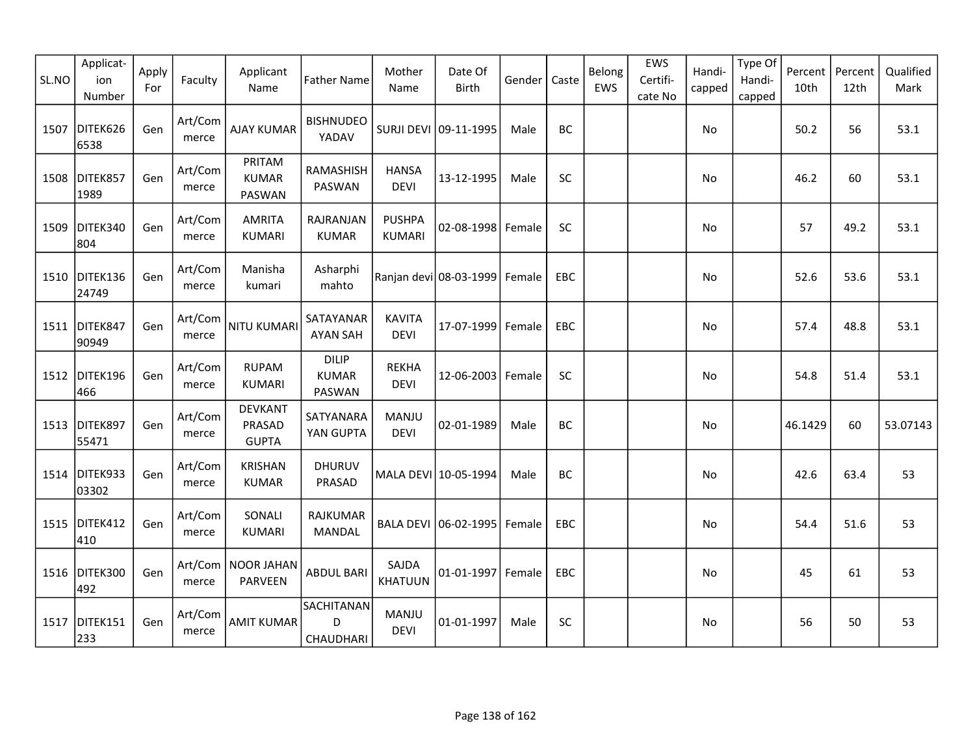| SL.NO | Applicat-<br>ion<br>Number | Apply<br>For | Faculty          | Applicant<br>Name                        | <b>Father Name</b>                     | Mother<br>Name                 | Date Of<br><b>Birth</b>       | Gender | Caste      | Belong<br>EWS | EWS<br>Certifi-<br>cate No | Handi-<br>capped | Type Of<br>Handi-<br>capped | Percent<br>10th | Percent<br>12th | Qualified<br>Mark |
|-------|----------------------------|--------------|------------------|------------------------------------------|----------------------------------------|--------------------------------|-------------------------------|--------|------------|---------------|----------------------------|------------------|-----------------------------|-----------------|-----------------|-------------------|
| 1507  | DITEK626<br>6538           | Gen          | Art/Com<br>merce | AJAY KUMAR                               | <b>BISHNUDEO</b><br>YADAV              |                                | SURJI DEVI 09-11-1995         | Male   | BC         |               |                            | No               |                             | 50.2            | 56              | 53.1              |
| 1508  | DITEK857<br>1989           | Gen          | Art/Com<br>merce | PRITAM<br><b>KUMAR</b><br>PASWAN         | RAMASHISH<br>PASWAN                    | <b>HANSA</b><br><b>DEVI</b>    | 13-12-1995                    | Male   | SC         |               |                            | No               |                             | 46.2            | 60              | 53.1              |
| 1509  | DITEK340<br>804            | Gen          | Art/Com<br>merce | <b>AMRITA</b><br><b>KUMARI</b>           | RAJRANJAN<br><b>KUMAR</b>              | <b>PUSHPA</b><br><b>KUMARI</b> | 02-08-1998 Female             |        | <b>SC</b>  |               |                            | No               |                             | 57              | 49.2            | 53.1              |
|       | 1510 DITEK136<br>24749     | Gen          | Art/Com<br>merce | Manisha<br>kumari                        | Asharphi<br>mahto                      |                                | Ranjan devi 08-03-1999 Female |        | EBC        |               |                            | No               |                             | 52.6            | 53.6            | 53.1              |
| 1511  | DITEK847<br>90949          | Gen          | Art/Com<br>merce | <b>NITU KUMARI</b>                       | SATAYANAR<br><b>AYAN SAH</b>           | <b>KAVITA</b><br><b>DEVI</b>   | 17-07-1999 Female             |        | <b>EBC</b> |               |                            | No               |                             | 57.4            | 48.8            | 53.1              |
| 1512  | DITEK196<br>466            | Gen          | Art/Com<br>merce | <b>RUPAM</b><br><b>KUMARI</b>            | <b>DILIP</b><br><b>KUMAR</b><br>PASWAN | <b>REKHA</b><br><b>DEVI</b>    | 12-06-2003   Female           |        | <b>SC</b>  |               |                            | No               |                             | 54.8            | 51.4            | 53.1              |
| 1513  | DITEK897<br>55471          | Gen          | Art/Com<br>merce | <b>DEVKANT</b><br>PRASAD<br><b>GUPTA</b> | SATYANARA<br>YAN GUPTA                 | <b>MANJU</b><br><b>DEVI</b>    | 02-01-1989                    | Male   | <b>BC</b>  |               |                            | No               |                             | 46.1429         | 60              | 53.07143          |
| 1514  | DITEK933<br>03302          | Gen          | Art/Com<br>merce | <b>KRISHAN</b><br><b>KUMAR</b>           | <b>DHURUV</b><br>PRASAD                |                                | MALA DEVI 10-05-1994          | Male   | BC         |               |                            | No               |                             | 42.6            | 63.4            | 53                |
| 1515  | DITEK412<br>410            | Gen          | Art/Com<br>merce | SONALI<br><b>KUMARI</b>                  | <b>RAJKUMAR</b><br>MANDAL              | <b>BALA DEVI</b>               | 06-02-1995   Female           |        | <b>EBC</b> |               |                            | No               |                             | 54.4            | 51.6            | 53                |
|       | 1516 DITEK300<br>492       | Gen          | Art/Com<br>merce | <b>NOOR JAHAN</b><br>PARVEEN             | <b>ABDUL BARI</b>                      | SAJDA<br><b>KHATUUN</b>        | 01-01-1997 Female             |        | EBC        |               |                            | No               |                             | 45              | 61              | 53                |
| 1517  | DITEK151<br>233            | Gen          | Art/Com<br>merce | <b>AMIT KUMAR</b>                        | SACHITANAN<br>D<br>CHAUDHARI           | MANJU<br><b>DEVI</b>           | 01-01-1997                    | Male   | <b>SC</b>  |               |                            | No               |                             | 56              | 50              | 53                |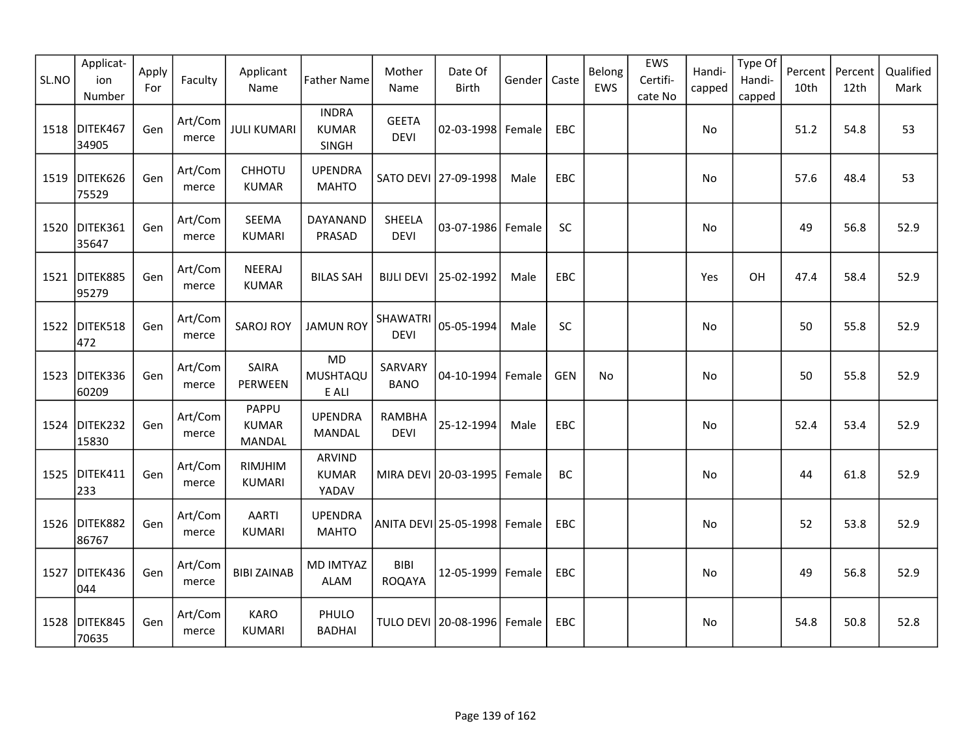| SL.NO | Applicat-<br>ion<br>Number | Apply<br>For | Faculty          | Applicant<br>Name                      | <b>Father Name</b>                    | Mother<br>Name                 | Date Of<br>Birth       | Gender | Caste      | Belong<br>EWS | EWS<br>Certifi-<br>cate No | Handi-<br>capped | Type Of<br>Handi-<br>capped | Percent<br>10th | Percent<br>12th | Qualified<br>Mark |
|-------|----------------------------|--------------|------------------|----------------------------------------|---------------------------------------|--------------------------------|------------------------|--------|------------|---------------|----------------------------|------------------|-----------------------------|-----------------|-----------------|-------------------|
| 1518  | DITEK467<br>34905          | Gen          | Art/Com<br>merce | <b>JULI KUMARI</b>                     | <b>INDRA</b><br><b>KUMAR</b><br>SINGH | <b>GEETA</b><br><b>DEVI</b>    | 02-03-1998 Female      |        | EBC        |               |                            | No               |                             | 51.2            | 54.8            | 53                |
| 1519  | DITEK626<br>75529          | Gen          | Art/Com<br>merce | CHHOTU<br><b>KUMAR</b>                 | <b>UPENDRA</b><br><b>MAHTO</b>        |                                | SATO DEVI 27-09-1998   | Male   | <b>EBC</b> |               |                            | No               |                             | 57.6            | 48.4            | 53                |
| 1520  | DITEK361<br>35647          | Gen          | Art/Com<br>merce | SEEMA<br><b>KUMARI</b>                 | DAYANAND<br>PRASAD                    | SHEELA<br><b>DEVI</b>          | 03-07-1986 Female      |        | SC         |               |                            | <b>No</b>        |                             | 49              | 56.8            | 52.9              |
|       | 1521 DITEK885<br>95279     | Gen          | Art/Com<br>merce | <b>NEERAJ</b><br><b>KUMAR</b>          | <b>BILAS SAH</b>                      | <b>BIJLI DEVI</b>              | 25-02-1992             | Male   | EBC        |               |                            | Yes              | OH                          | 47.4            | 58.4            | 52.9              |
| 1522  | DITEK518<br>472            | Gen          | Art/Com<br>merce | <b>SAROJ ROY</b>                       | <b>JAMUN ROY</b>                      | <b>SHAWATRI</b><br><b>DEVI</b> | 05-05-1994             | Male   | <b>SC</b>  |               |                            | No               |                             | 50              | 55.8            | 52.9              |
| 1523  | DITEK336<br>60209          | Gen          | Art/Com<br>merce | SAIRA<br>PERWEEN                       | <b>MD</b><br>MUSHTAQU<br>E ALI        | SARVARY<br><b>BANO</b>         | 04-10-1994             | Female | <b>GEN</b> | No            |                            | No               |                             | 50              | 55.8            | 52.9              |
| 1524  | DITEK232<br>15830          | Gen          | Art/Com<br>merce | PAPPU<br><b>KUMAR</b><br><b>MANDAL</b> | <b>UPENDRA</b><br>MANDAL              | RAMBHA<br><b>DEVI</b>          | 25-12-1994             | Male   | EBC        |               |                            | No               |                             | 52.4            | 53.4            | 52.9              |
| 1525  | DITEK411<br>233            | Gen          | Art/Com<br>merce | RIMJHIM<br>KUMARI                      | ARVIND<br><b>KUMAR</b><br>YADAV       |                                | MIRA DEVI   20-03-1995 | Female | BC         |               |                            | No               |                             | 44              | 61.8            | 52.9              |
|       | 1526 DITEK882<br>86767     | Gen          | Art/Com<br>merce | <b>AARTI</b><br><b>KUMARI</b>          | <b>UPENDRA</b><br><b>MAHTO</b>        |                                | ANITA DEVI 25-05-1998  | Female | EBC        |               |                            | No               |                             | 52              | 53.8            | 52.9              |
| 1527  | DITEK436<br>044            | Gen          | Art/Com<br>merce | <b>BIBI ZAINAB</b>                     | MD IMTYAZ<br><b>ALAM</b>              | <b>BIBI</b><br>ROQAYA          | 12-05-1999             | Female | EBC        |               |                            | No               |                             | 49              | 56.8            | 52.9              |
| 1528  | DITEK845<br>70635          | Gen          | Art/Com<br>merce | <b>KARO</b><br>KUMARI                  | PHULO<br><b>BADHAI</b>                |                                | TULO DEVI 20-08-1996   | Female | EBC        |               |                            | No               |                             | 54.8            | 50.8            | 52.8              |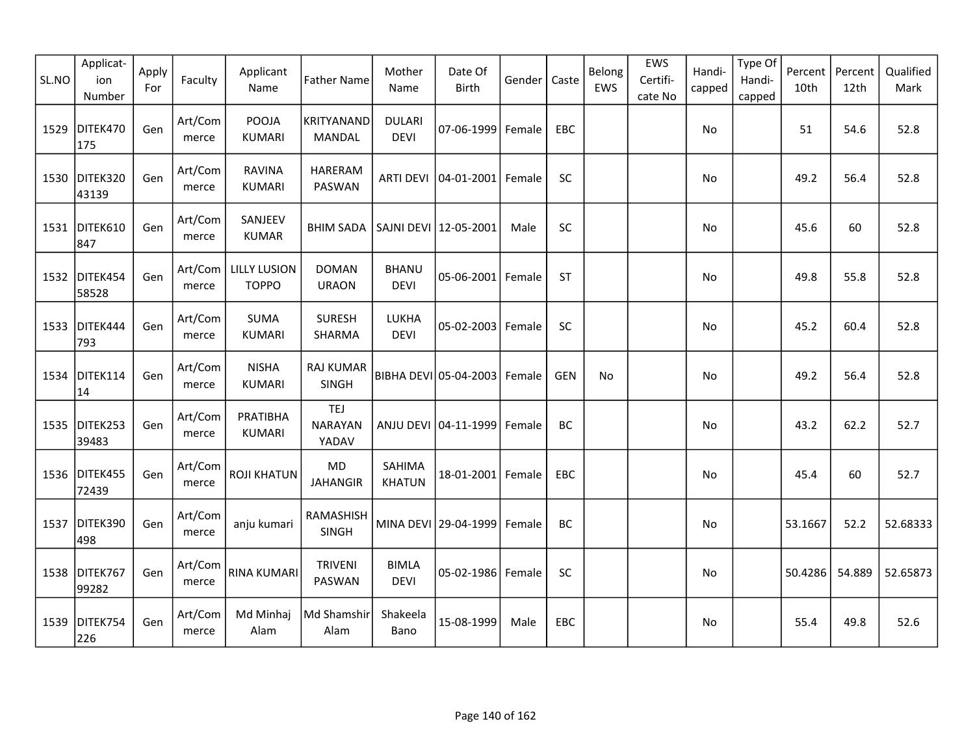| SL.NO | Applicat-<br>ion<br>Number | Apply<br>For | Faculty          | Applicant<br>Name                   | <b>Father Name</b>                    | Mother<br>Name               | Date Of<br><b>Birth</b> | Gender | Caste      | Belong<br>EWS | EWS<br>Certifi-<br>cate No | Handi-<br>capped | Type Of<br>Handi-<br>capped | Percent<br>10th | Percent<br>12th | Qualified<br>Mark |
|-------|----------------------------|--------------|------------------|-------------------------------------|---------------------------------------|------------------------------|-------------------------|--------|------------|---------------|----------------------------|------------------|-----------------------------|-----------------|-----------------|-------------------|
| 1529  | DITEK470<br>175            | Gen          | Art/Com<br>merce | <b>POOJA</b><br><b>KUMARI</b>       | KRITYANAND<br>MANDAL                  | <b>DULARI</b><br><b>DEVI</b> | 07-06-1999              | Female | EBC        |               |                            | No               |                             | 51              | 54.6            | 52.8              |
| 1530  | DITEK320<br>43139          | Gen          | Art/Com<br>merce | <b>RAVINA</b><br><b>KUMARI</b>      | <b>HARERAM</b><br>PASWAN              | <b>ARTI DEVI</b>             | $ 04 - 01 - 2001 $      | Female | SC         |               |                            | No               |                             | 49.2            | 56.4            | 52.8              |
|       | 1531 DITEK610<br>847       | Gen          | Art/Com<br>merce | SANJEEV<br><b>KUMAR</b>             | BHIM SADA   SAJNI DEVI   12-05-2001   |                              |                         | Male   | SC         |               |                            | No               |                             | 45.6            | 60              | 52.8              |
|       | 1532 DITEK454<br>58528     | Gen          | Art/Com<br>merce | <b>LILLY LUSION</b><br><b>TOPPO</b> | <b>DOMAN</b><br><b>URAON</b>          | <b>BHANU</b><br><b>DEVI</b>  | $05 - 06 - 2001$        | Female | <b>ST</b>  |               |                            | No               |                             | 49.8            | 55.8            | 52.8              |
| 1533  | DITEK444<br>793            | Gen          | Art/Com<br>merce | SUMA<br><b>KUMARI</b>               | <b>SURESH</b><br>SHARMA               | LUKHA<br><b>DEVI</b>         | 05-02-2003              | Female | SC         |               |                            | No               |                             | 45.2            | 60.4            | 52.8              |
| 1534  | DITEK114<br>14             | Gen          | Art/Com<br>merce | <b>NISHA</b><br><b>KUMARI</b>       | <b>RAJ KUMAR</b><br><b>SINGH</b>      |                              | BIBHA DEVI 05-04-2003   | Female | <b>GEN</b> | No            |                            | No               |                             | 49.2            | 56.4            | 52.8              |
| 1535  | DITEK253<br>39483          | Gen          | Art/Com<br>merce | PRATIBHA<br>KUMARI                  | <b>TEJ</b><br><b>NARAYAN</b><br>YADAV |                              | ANJU DEVI 04-11-1999    | Female | BC         |               |                            | No               |                             | 43.2            | 62.2            | 52.7              |
|       | 1536 DITEK455<br>72439     | Gen          | Art/Com<br>merce | <b>ROJI KHATUN</b>                  | MD<br><b>JAHANGIR</b>                 | SAHIMA<br><b>KHATUN</b>      | 18-01-2001 Female       |        | EBC        |               |                            | No               |                             | 45.4            | 60              | 52.7              |
| 1537  | DITEK390<br>498            | Gen          | Art/Com<br>merce | anju kumari                         | RAMASHISH<br>SINGH                    |                              | MINA DEVI 29-04-1999    | Female | BC         |               |                            | No               |                             | 53.1667         | 52.2            | 52.68333          |
| 1538  | DITEK767<br>99282          | Gen          | Art/Com<br>merce | <b>RINA KUMARI</b>                  | <b>TRIVENI</b><br>PASWAN              | <b>BIMLA</b><br><b>DEVI</b>  | 05-02-1986 Female       |        | SC         |               |                            | <b>No</b>        |                             | 50.4286         | 54.889          | 52.65873          |
| 1539  | DITEK754<br>226            | Gen          | Art/Com<br>merce | Md Minhaj<br>Alam                   | Md Shamshir<br>Alam                   | Shakeela<br>Bano             | 15-08-1999              | Male   | <b>EBC</b> |               |                            | No               |                             | 55.4            | 49.8            | 52.6              |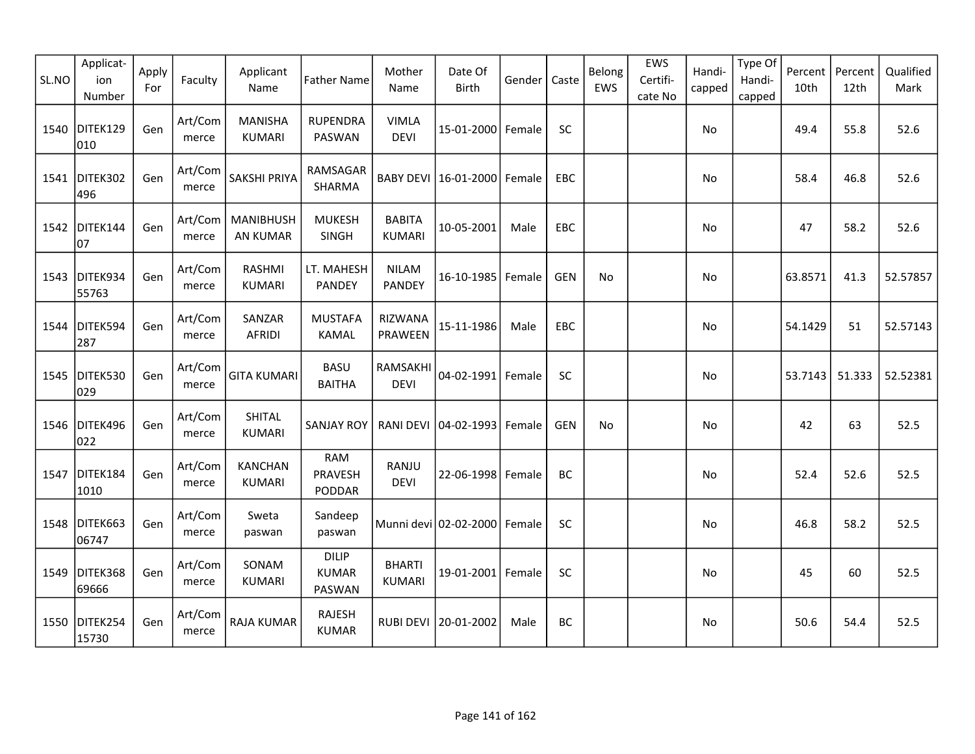| SL.NO | Applicat-<br>ion<br>Number | Apply<br>For | Faculty          | Applicant<br>Name                   | <b>Father Name</b>                     | Mother<br>Name                 | Date Of<br><b>Birth</b> | Gender | Caste      | Belong<br>EWS | EWS<br>Certifi-<br>cate No | Handi-<br>capped | Type Of<br>Handi-<br>capped | Percent<br>10th | Percent<br>12th | Qualified<br>Mark |
|-------|----------------------------|--------------|------------------|-------------------------------------|----------------------------------------|--------------------------------|-------------------------|--------|------------|---------------|----------------------------|------------------|-----------------------------|-----------------|-----------------|-------------------|
| 1540  | DITEK129<br>010            | Gen          | Art/Com<br>merce | <b>MANISHA</b><br><b>KUMARI</b>     | <b>RUPENDRA</b><br>PASWAN              | <b>VIMLA</b><br><b>DEVI</b>    | 15-01-2000 Female       |        | <b>SC</b>  |               |                            | No               |                             | 49.4            | 55.8            | 52.6              |
| 1541  | DITEK302<br>496            | Gen          | Art/Com<br>merce | <b>SAKSHI PRIYA</b>                 | RAMSAGAR<br>SHARMA                     |                                | BABY DEVI 16-01-2000    | Female | EBC        |               |                            | No               |                             | 58.4            | 46.8            | 52.6              |
| 1542  | DITEK144<br>07             | Gen          | Art/Com<br>merce | <b>MANIBHUSH</b><br><b>AN KUMAR</b> | <b>MUKESH</b><br>SINGH                 | <b>BABITA</b><br><b>KUMARI</b> | 10-05-2001              | Male   | EBC        |               |                            | <b>No</b>        |                             | 47              | 58.2            | 52.6              |
|       | 1543 DITEK934<br>55763     | Gen          | Art/Com<br>merce | <b>RASHMI</b><br><b>KUMARI</b>      | LT. MAHESH<br><b>PANDEY</b>            | <b>NILAM</b><br>PANDEY         | 16-10-1985              | Female | <b>GEN</b> | No            |                            | No               |                             | 63.8571         | 41.3            | 52.57857          |
| 1544  | DITEK594<br>287            | Gen          | Art/Com<br>merce | SANZAR<br><b>AFRIDI</b>             | <b>MUSTAFA</b><br><b>KAMAL</b>         | RIZWANA<br>PRAWEEN             | 15-11-1986              | Male   | EBC        |               |                            | No               |                             | 54.1429         | 51              | 52.57143          |
| 1545  | DITEK530<br>029            | Gen          | Art/Com<br>merce | <b>GITA KUMARI</b>                  | <b>BASU</b><br><b>BAITHA</b>           | RAMSAKHI<br><b>DEVI</b>        | $04 - 02 - 1991$        | Female | <b>SC</b>  |               |                            | No               |                             | 53.7143         | 51.333          | 52.52381          |
| 1546  | DITEK496<br>022            | Gen          | Art/Com<br>merce | SHITAL<br><b>KUMARI</b>             | <b>SANJAY ROY</b>                      | <b>RANI DEVI</b>               | $ 04 - 02 - 1993 $      | Female | <b>GEN</b> | <b>No</b>     |                            | No               |                             | 42              | 63              | 52.5              |
| 1547  | DITEK184<br>1010           | Gen          | Art/Com<br>merce | <b>KANCHAN</b><br><b>KUMARI</b>     | <b>RAM</b><br>PRAVESH<br>PODDAR        | RANJU<br><b>DEVI</b>           | 22-06-1998 Female       |        | <b>BC</b>  |               |                            | No               |                             | 52.4            | 52.6            | 52.5              |
| 1548  | DITEK663<br>06747          | Gen          | Art/Com<br>merce | Sweta<br>paswan                     | Sandeep<br>paswan                      |                                | Munni devi 02-02-2000   | Female | SC         |               |                            | No               |                             | 46.8            | 58.2            | 52.5              |
| 1549  | DITEK368<br>69666          | Gen          | Art/Com<br>merce | SONAM<br><b>KUMARI</b>              | <b>DILIP</b><br><b>KUMAR</b><br>PASWAN | <b>BHARTI</b><br><b>KUMARI</b> | 19-01-2001 Female       |        | SC         |               |                            | <b>No</b>        |                             | 45              | 60              | 52.5              |
| 1550  | DITEK254<br>15730          | Gen          | Art/Com<br>merce | <b>RAJA KUMAR</b>                   | <b>RAJESH</b><br><b>KUMAR</b>          | <b>RUBI DEVI</b>               | 20-01-2002              | Male   | <b>BC</b>  |               |                            | No               |                             | 50.6            | 54.4            | 52.5              |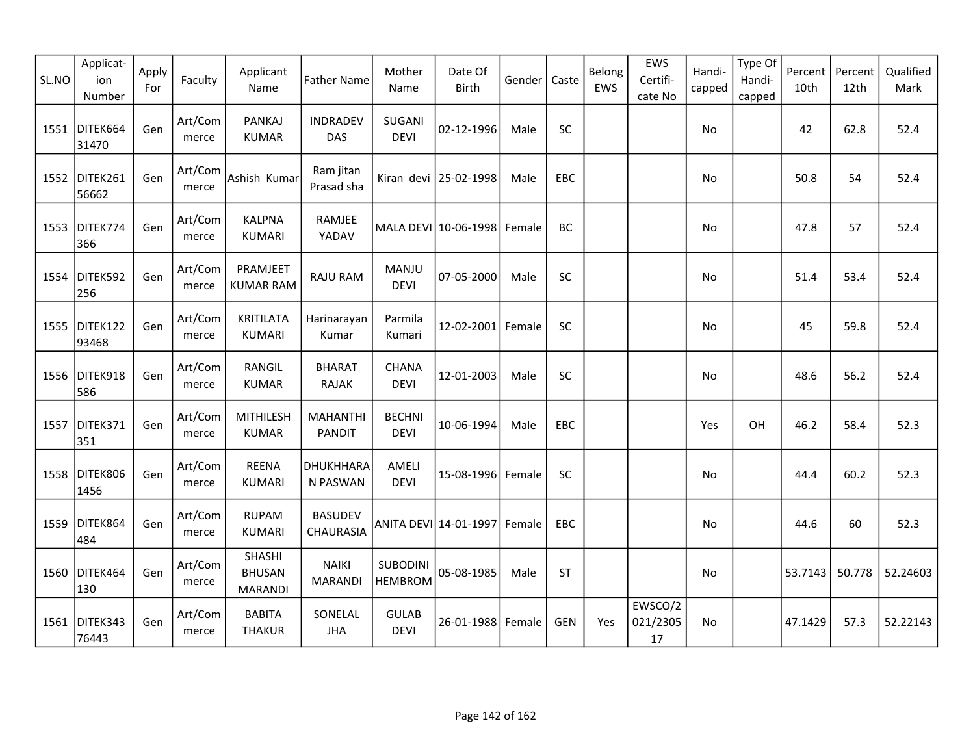| SL.NO | Applicat-<br>ion<br>Number | Apply<br>For | Faculty          | Applicant<br>Name                         | <b>Father Name</b>               | Mother<br>Name                    | Date Of<br>Birth      | Gender | Caste      | Belong<br>EWS | EWS<br>Certifi-<br>cate No  | Handi-<br>capped | Type Of<br>Handi-<br>capped | Percent<br>10th | Percent<br>12th | Qualified<br>Mark |
|-------|----------------------------|--------------|------------------|-------------------------------------------|----------------------------------|-----------------------------------|-----------------------|--------|------------|---------------|-----------------------------|------------------|-----------------------------|-----------------|-----------------|-------------------|
|       | 1551 DITEK664<br>31470     | Gen          | Art/Com<br>merce | <b>PANKAJ</b><br><b>KUMAR</b>             | <b>INDRADEV</b><br>DAS           | SUGANI<br><b>DEVI</b>             | 02-12-1996            | Male   | SC         |               |                             | No               |                             | 42              | 62.8            | 52.4              |
| 1552  | DITEK261<br>56662          | Gen          | Art/Com<br>merce | Ashish Kumar                              | Ram jitan<br>Prasad sha          | Kiran devi                        | 25-02-1998            | Male   | EBC        |               |                             | No               |                             | 50.8            | 54              | 52.4              |
| 1553  | DITEK774<br>366            | Gen          | Art/Com<br>merce | <b>KALPNA</b><br><b>KUMARI</b>            | RAMJEE<br>YADAV                  |                                   | MALA DEVI 10-06-1998  | Female | <b>BC</b>  |               |                             | No               |                             | 47.8            | 57              | 52.4              |
| 1554  | DITEK592<br>256            | Gen          | Art/Com<br>merce | PRAMJEET<br><b>KUMAR RAM</b>              | <b>RAJU RAM</b>                  | MANJU<br><b>DEVI</b>              | 07-05-2000            | Male   | SC         |               |                             | No.              |                             | 51.4            | 53.4            | 52.4              |
| 1555  | DITEK122<br>93468          | Gen          | Art/Com<br>merce | <b>KRITILATA</b><br><b>KUMARI</b>         | Harinarayan<br>Kumar             | Parmila<br>Kumari                 | $12 - 02 - 2001$      | Female | SC         |               |                             | No               |                             | 45              | 59.8            | 52.4              |
| 1556  | DITEK918<br>586            | Gen          | Art/Com<br>merce | <b>RANGIL</b><br><b>KUMAR</b>             | <b>BHARAT</b><br><b>RAJAK</b>    | CHANA<br><b>DEVI</b>              | 12-01-2003            | Male   | SC         |               |                             | No               |                             | 48.6            | 56.2            | 52.4              |
| 1557  | DITEK371<br>351            | Gen          | Art/Com<br>merce | <b>MITHILESH</b><br><b>KUMAR</b>          | <b>MAHANTHI</b><br><b>PANDIT</b> | <b>BECHNI</b><br><b>DEVI</b>      | 10-06-1994            | Male   | EBC        |               |                             | Yes              | OH                          | 46.2            | 58.4            | 52.3              |
| 1558  | DITEK806<br>1456           | Gen          | Art/Com<br>merce | <b>REENA</b><br><b>KUMARI</b>             | DHUKHHARA<br>N PASWAN            | AMELI<br><b>DEVI</b>              | 15-08-1996 Female     |        | SC         |               |                             | No               |                             | 44.4            | 60.2            | 52.3              |
| 1559  | DITEK864<br>484            | Gen          | Art/Com<br>merce | <b>RUPAM</b><br><b>KUMARI</b>             | <b>BASUDEV</b><br>CHAURASIA      |                                   | ANITA DEVI 14-01-1997 | Female | EBC        |               |                             | No               |                             | 44.6            | 60              | 52.3              |
| 1560  | DITEK464<br>130            | Gen          | Art/Com<br>merce | SHASHI<br><b>BHUSAN</b><br><b>MARANDI</b> | <b>NAIKI</b><br><b>MARANDI</b>   | <b>SUBODINI</b><br><b>HEMBROM</b> | 05-08-1985            | Male   | <b>ST</b>  |               |                             | No               |                             | 53.7143         | 50.778          | 52.24603          |
| 1561  | DITEK343<br>76443          | Gen          | Art/Com<br>merce | <b>BABITA</b><br><b>THAKUR</b>            | SONELAL<br><b>JHA</b>            | <b>GULAB</b><br><b>DEVI</b>       | 26-01-1988            | Female | <b>GEN</b> | Yes           | EWSCO/2<br>021/2305<br>$17$ | <b>No</b>        |                             | 47.1429         | 57.3            | 52.22143          |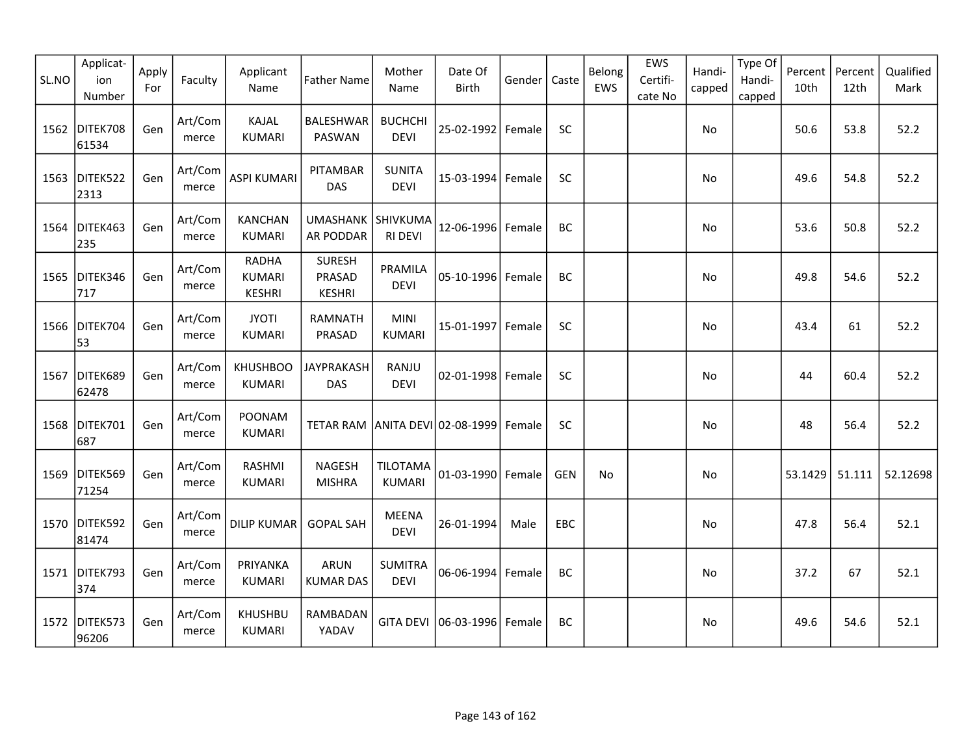| SL.NO | Applicat-<br>ion<br>Number | Apply<br>For | Faculty          | Applicant<br>Name                              | <b>Father Name</b>                | Mother<br>Name                   | Date Of<br>Birth     | Gender | Caste      | Belong<br>EWS | EWS<br>Certifi-<br>cate No | Handi-<br>capped | Type Of<br>Handi-<br>capped | Percent<br>10th | Percent<br>12th | Qualified<br>Mark |
|-------|----------------------------|--------------|------------------|------------------------------------------------|-----------------------------------|----------------------------------|----------------------|--------|------------|---------------|----------------------------|------------------|-----------------------------|-----------------|-----------------|-------------------|
| 1562  | DITEK708<br>61534          | Gen          | Art/Com<br>merce | KAJAL<br><b>KUMARI</b>                         | <b>BALESHWAR</b><br>PASWAN        | <b>BUCHCHI</b><br><b>DEVI</b>    | 25-02-1992 Female    |        | SC         |               |                            | No               |                             | 50.6            | 53.8            | 52.2              |
| 1563  | DITEK522<br>2313           | Gen          | Art/Com<br>merce | <b>ASPI KUMARI</b>                             | PITAMBAR<br>DAS                   | <b>SUNITA</b><br><b>DEVI</b>     | 15-03-1994 Female    |        | <b>SC</b>  |               |                            | No               |                             | 49.6            | 54.8            | 52.2              |
|       | 1564 DITEK463<br>235       | Gen          | Art/Com<br>merce | <b>KANCHAN</b><br><b>KUMARI</b>                | UMASHANK SHIVKUMA<br>AR PODDAR    | <b>RI DEVI</b>                   | 12-06-1996 Female    |        | <b>BC</b>  |               |                            | <b>No</b>        |                             | 53.6            | 50.8            | 52.2              |
|       | 1565 DITEK346<br>717       | Gen          | Art/Com<br>merce | <b>RADHA</b><br><b>KUMARI</b><br><b>KESHRI</b> | SURESH<br>PRASAD<br><b>KESHRI</b> | PRAMILA<br><b>DEVI</b>           | 05-10-1996 Female    |        | <b>BC</b>  |               |                            | <b>No</b>        |                             | 49.8            | 54.6            | 52.2              |
| 1566  | DITEK704<br>53             | Gen          | Art/Com<br>merce | <b>JYOTI</b><br><b>KUMARI</b>                  | RAMNATH<br>PRASAD                 | <b>MINI</b><br>KUMARI            | 15-01-1997 Female    |        | SC         |               |                            | No               |                             | 43.4            | 61              | 52.2              |
| 1567  | DITEK689<br>62478          | Gen          | Art/Com<br>merce | <b>KHUSHBOO</b><br><b>KUMARI</b>               | <b>JAYPRAKASH</b><br><b>DAS</b>   | RANJU<br><b>DEVI</b>             | 02-01-1998 Female    |        | SC         |               |                            | No               |                             | 44              | 60.4            | 52.2              |
| 1568  | DITEK701<br>687            | Gen          | Art/Com<br>merce | POONAM<br>KUMARI                               | TETAR RAM ANITA DEVI 02-08-1999   |                                  |                      | Female | SC         |               |                            | No               |                             | 48              | 56.4            | 52.2              |
| 1569  | DITEK569<br>71254          | Gen          | Art/Com<br>merce | RASHMI<br><b>KUMARI</b>                        | NAGESH<br><b>MISHRA</b>           | <b>TILOTAMA</b><br><b>KUMARI</b> | 01-03-1990 Female    |        | <b>GEN</b> | <b>No</b>     |                            | No               |                             | 53.1429         | 51.111          | 52.12698          |
|       | 1570 DITEK592<br>81474     | Gen          | Art/Com<br>merce | <b>DILIP KUMAR</b>                             | <b>GOPAL SAH</b>                  | <b>MEENA</b><br><b>DEVI</b>      | 26-01-1994           | Male   | <b>EBC</b> |               |                            | <b>No</b>        |                             | 47.8            | 56.4            | 52.1              |
|       | 1571 DITEK793<br>374       | Gen          | Art/Com<br>merce | PRIYANKA<br><b>KUMARI</b>                      | <b>ARUN</b><br><b>KUMAR DAS</b>   | <b>SUMITRA</b><br><b>DEVI</b>    | 06-06-1994 Female    |        | BC         |               |                            | No               |                             | 37.2            | 67              | 52.1              |
| 1572  | DITEK573<br>96206          | Gen          | Art/Com<br>merce | <b>KHUSHBU</b><br><b>KUMARI</b>                | RAMBADAN<br>YADAV                 |                                  | GITA DEVI 06-03-1996 | Female | BC         |               |                            | No               |                             | 49.6            | 54.6            | 52.1              |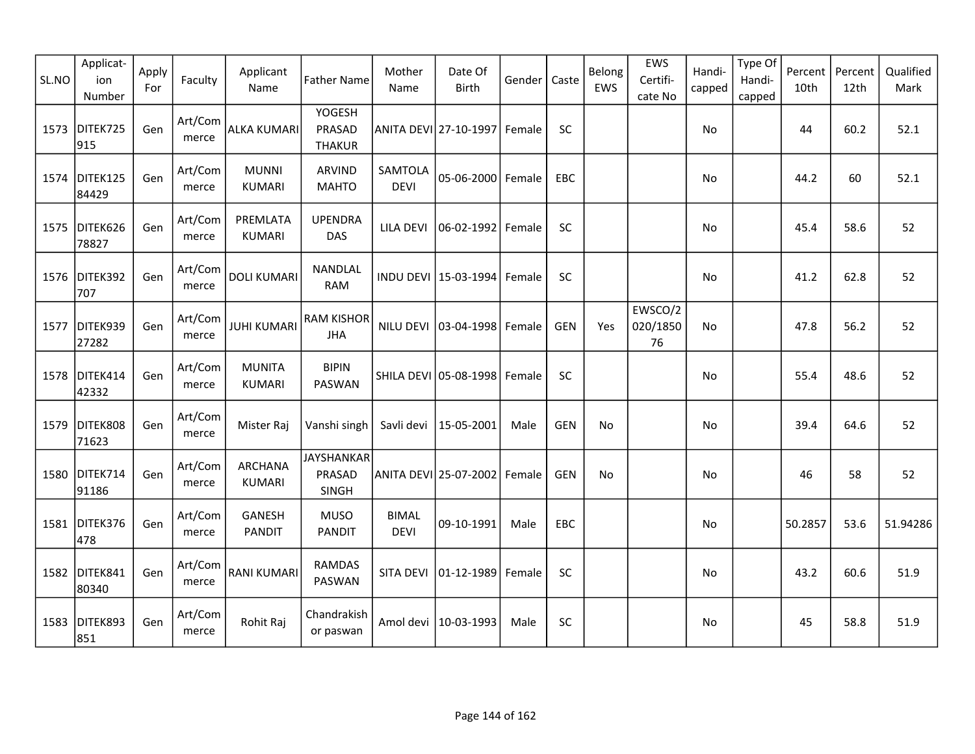| SL.NO | Applicat-<br>ion<br>Number | Apply<br>For | Faculty          | Applicant<br>Name               | <b>Father Name</b>                       | Mother<br>Name              | Date Of<br><b>Birth</b> | Gender | Caste      | Belong<br>EWS | EWS<br>Certifi-<br>cate No | Handi-<br>capped | Type Of<br>Handi-<br>capped | Percent<br>10th | Percent<br>12th | Qualified<br>Mark |
|-------|----------------------------|--------------|------------------|---------------------------------|------------------------------------------|-----------------------------|-------------------------|--------|------------|---------------|----------------------------|------------------|-----------------------------|-----------------|-----------------|-------------------|
| 1573  | DITEK725<br>915            | Gen          | Art/Com<br>merce | ALKA KUMARI                     | <b>YOGESH</b><br>PRASAD<br><b>THAKUR</b> |                             | ANITA DEVI 27-10-1997   | Female | SC         |               |                            | No               |                             | 44              | 60.2            | 52.1              |
| 1574  | DITEK125<br>84429          | Gen          | Art/Com<br>merce | <b>MUNNI</b><br><b>KUMARI</b>   | <b>ARVIND</b><br><b>MAHTO</b>            | SAMTOLA<br><b>DEVI</b>      | 05-06-2000              | Female | EBC        |               |                            | No               |                             | 44.2            | 60              | 52.1              |
| 1575  | DITEK626<br>78827          | Gen          | Art/Com<br>merce | PREMLATA<br><b>KUMARI</b>       | <b>UPENDRA</b><br><b>DAS</b>             | LILA DEVI                   | 06-02-1992              | Female | SC         |               |                            | <b>No</b>        |                             | 45.4            | 58.6            | 52                |
|       | 1576 DITEK392<br>707       | Gen          | Art/Com<br>merce | <b>DOLI KUMARI</b>              | NANDLAL<br><b>RAM</b>                    |                             | INDU DEVI 15-03-1994    | Female | SC         |               |                            | No               |                             | 41.2            | 62.8            | 52                |
| 1577  | DITEK939<br>27282          | Gen          | Art/Com<br>merce | <b>JUHI KUMARI</b>              | <b>RAM KISHOR</b><br><b>JHA</b>          | NILU DEVI                   | 03-04-1998              | Female | <b>GEN</b> | Yes           | EWSCO/2<br>020/1850<br>76  | No               |                             | 47.8            | 56.2            | 52                |
| 1578  | DITEK414<br>42332          | Gen          | Art/Com<br>merce | <b>MUNITA</b><br><b>KUMARI</b>  | <b>BIPIN</b><br>PASWAN                   |                             | SHILA DEVI 05-08-1998   | Female | <b>SC</b>  |               |                            | No               |                             | 55.4            | 48.6            | 52                |
| 1579  | DITEK808<br>71623          | Gen          | Art/Com<br>merce | Mister Raj                      | Vanshi singh                             | Savli devi                  | 15-05-2001              | Male   | <b>GEN</b> | No            |                            | No               |                             | 39.4            | 64.6            | 52                |
|       | 1580 DITEK714<br>91186     | Gen          | Art/Com<br>merce | <b>ARCHANA</b><br><b>KUMARI</b> | <b>JAYSHANKAR</b><br>PRASAD<br>SINGH     |                             | ANITA DEVI 25-07-2002   | Female | <b>GEN</b> | No            |                            | No               |                             | 46              | 58              | 52                |
| 1581  | DITEK376<br>478            | Gen          | Art/Com<br>merce | GANESH<br><b>PANDIT</b>         | <b>MUSO</b><br><b>PANDIT</b>             | <b>BIMAL</b><br><b>DEVI</b> | 09-10-1991              | Male   | EBC        |               |                            | No               |                             | 50.2857         | 53.6            | 51.94286          |
| 1582  | DITEK841<br>80340          | Gen          | Art/Com<br>merce | <b>RANI KUMARI</b>              | <b>RAMDAS</b><br>PASWAN                  | SITA DEVI                   | 01-12-1989              | Female | SC         |               |                            | No               |                             | 43.2            | 60.6            | 51.9              |
| 1583  | DITEK893<br>851            | Gen          | Art/Com<br>merce | Rohit Raj                       | Chandrakish<br>or paswan                 | Amol devi                   | 10-03-1993              | Male   | SC         |               |                            | No               |                             | 45              | 58.8            | 51.9              |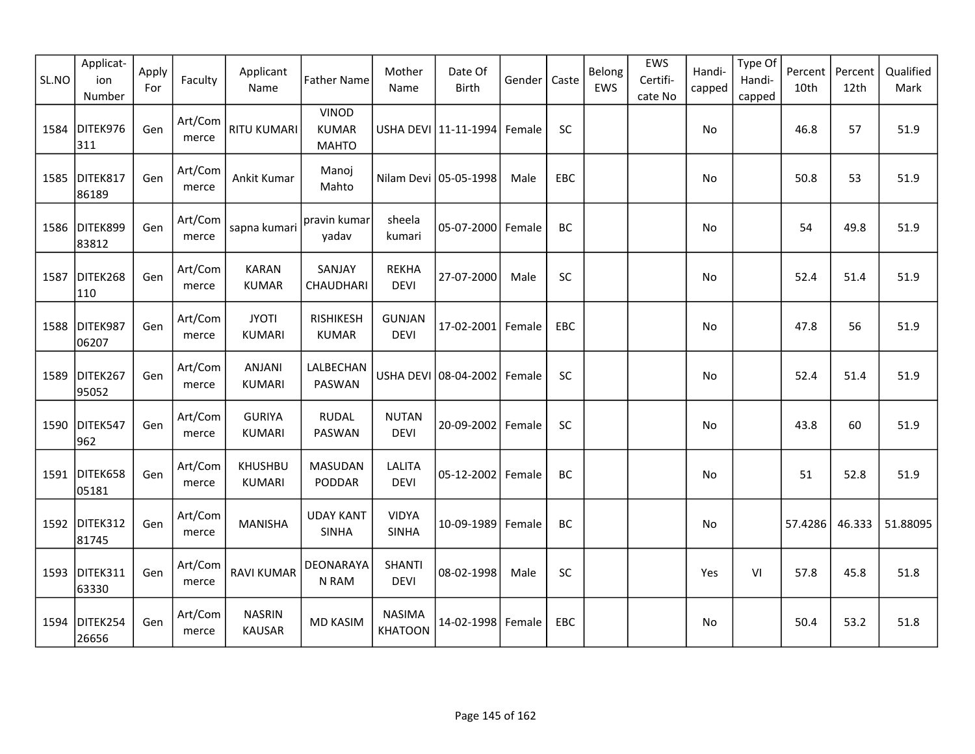| SL.NO | Applicat-<br>ion<br>Number | Apply<br>For | Faculty          | Applicant<br>Name               | <b>Father Name</b>                           | Mother<br>Name                  | Date Of<br><b>Birth</b> | Gender | Caste      | Belong<br>EWS | EWS<br>Certifi-<br>cate No | Handi-<br>capped | Type Of<br>Handi-<br>capped | Percent<br>10th | Percent<br>12th | Qualified<br>Mark |
|-------|----------------------------|--------------|------------------|---------------------------------|----------------------------------------------|---------------------------------|-------------------------|--------|------------|---------------|----------------------------|------------------|-----------------------------|-----------------|-----------------|-------------------|
| 1584  | DITEK976<br>311            | Gen          | Art/Com<br>merce | <b>RITU KUMARI</b>              | <b>VINOD</b><br><b>KUMAR</b><br><b>MAHTO</b> |                                 | USHA DEVI 11-11-1994    | Female | SC         |               |                            | No               |                             | 46.8            | 57              | 51.9              |
| 1585  | DITEK817<br>86189          | Gen          | Art/Com<br>merce | Ankit Kumar                     | Manoj<br>Mahto                               |                                 | Nilam Devi 05-05-1998   | Male   | EBC        |               |                            | No               |                             | 50.8            | 53              | 51.9              |
|       | 1586 DITEK899<br>83812     | Gen          | Art/Com<br>merce | sapna kumari                    | pravin kumar<br>yadav                        | sheela<br>kumari                | 05-07-2000 Female       |        | BC         |               |                            | No               |                             | 54              | 49.8            | 51.9              |
| 1587  | DITEK268<br>110            | Gen          | Art/Com<br>merce | <b>KARAN</b><br><b>KUMAR</b>    | SANJAY<br>CHAUDHARI                          | <b>REKHA</b><br><b>DEVI</b>     | 27-07-2000              | Male   | SC         |               |                            | No               |                             | 52.4            | 51.4            | 51.9              |
| 1588  | DITEK987<br>06207          | Gen          | Art/Com<br>merce | <b>JYOTI</b><br><b>KUMARI</b>   | <b>RISHIKESH</b><br><b>KUMAR</b>             | <b>GUNJAN</b><br><b>DEVI</b>    | 17-02-2001   Female     |        | EBC        |               |                            | No               |                             | 47.8            | 56              | 51.9              |
| 1589  | DITEK267<br>95052          | Gen          | Art/Com<br>merce | ANJANI<br><b>KUMARI</b>         | LALBECHAN<br>PASWAN                          |                                 | USHA DEVI 08-04-2002    | Female | SC         |               |                            | No               |                             | 52.4            | 51.4            | 51.9              |
|       | 1590 DITEK547<br>962       | Gen          | Art/Com<br>merce | <b>GURIYA</b><br><b>KUMARI</b>  | <b>RUDAL</b><br>PASWAN                       | <b>NUTAN</b><br><b>DEVI</b>     | 20-09-2002 Female       |        | <b>SC</b>  |               |                            | No               |                             | 43.8            | 60              | 51.9              |
|       | 1591 DITEK658<br>05181     | Gen          | Art/Com<br>merce | <b>KHUSHBU</b><br><b>KUMARI</b> | <b>MASUDAN</b><br>PODDAR                     | <b>LALITA</b><br><b>DEVI</b>    | 05-12-2002              | Female | BC         |               |                            | No               |                             | 51              | 52.8            | 51.9              |
|       | 1592 DITEK312<br>81745     | Gen          | Art/Com<br>merce | <b>MANISHA</b>                  | <b>UDAY KANT</b><br><b>SINHA</b>             | <b>VIDYA</b><br><b>SINHA</b>    | 10-09-1989              | Female | BC         |               |                            | No               |                             | 57.4286         | 46.333          | 51.88095          |
|       | 1593 DITEK311<br>63330     | Gen          | Art/Com<br>merce | <b>RAVI KUMAR</b>               | DEONARAYA<br>N RAM                           | <b>SHANTI</b><br><b>DEVI</b>    | 08-02-1998              | Male   | SC         |               |                            | Yes              | VI                          | 57.8            | 45.8            | 51.8              |
|       | 1594 DITEK254<br>26656     | Gen          | Art/Com<br>merce | <b>NASRIN</b><br><b>KAUSAR</b>  | <b>MD KASIM</b>                              | <b>NASIMA</b><br><b>KHATOON</b> | 14-02-1998              | Female | <b>EBC</b> |               |                            | No               |                             | 50.4            | 53.2            | 51.8              |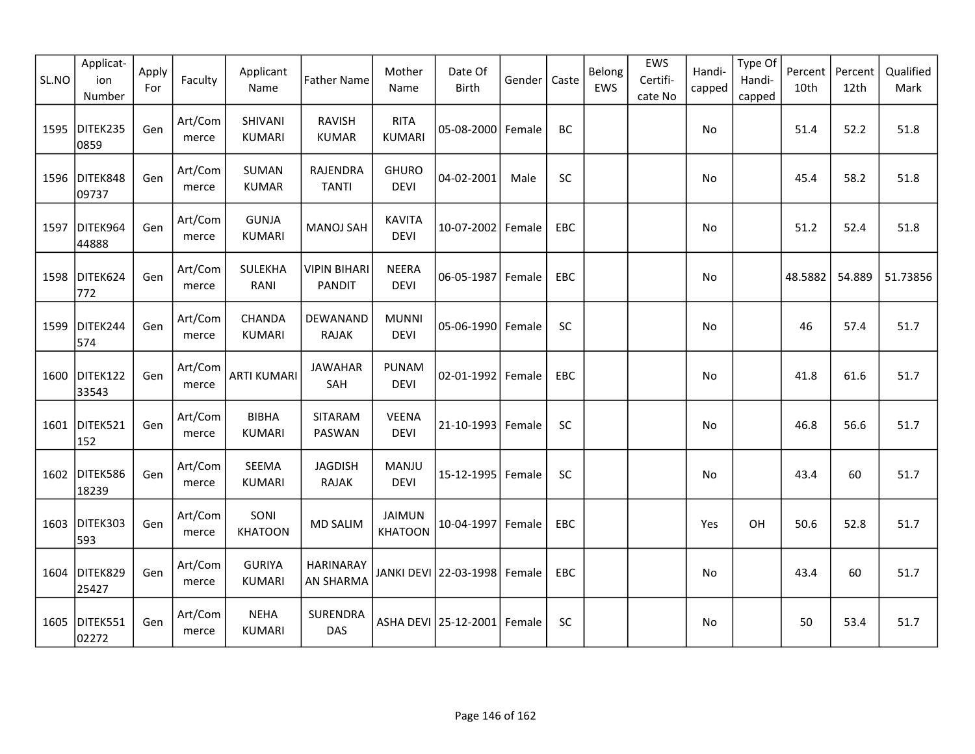| SL.NO | Applicat-<br>ion<br>Number | Apply<br>For | Faculty          | Applicant<br>Name              | <b>Father Name</b>                   | Mother<br>Name                  | Date Of<br><b>Birth</b> | Gender | Caste      | Belong<br>EWS | EWS<br>Certifi-<br>cate No | Handi-<br>capped | Type Of<br>Handi-<br>capped | Percent<br>10th | Percent<br>12th | Qualified<br>Mark |
|-------|----------------------------|--------------|------------------|--------------------------------|--------------------------------------|---------------------------------|-------------------------|--------|------------|---------------|----------------------------|------------------|-----------------------------|-----------------|-----------------|-------------------|
| 1595  | DITEK235<br>0859           | Gen          | Art/Com<br>merce | SHIVANI<br><b>KUMARI</b>       | <b>RAVISH</b><br><b>KUMAR</b>        | <b>RITA</b><br><b>KUMARI</b>    | 05-08-2000 Female       |        | BC         |               |                            | No               |                             | 51.4            | 52.2            | 51.8              |
|       | 1596 DITEK848<br>09737     | Gen          | Art/Com<br>merce | <b>SUMAN</b><br><b>KUMAR</b>   | RAJENDRA<br><b>TANTI</b>             | <b>GHURO</b><br><b>DEVI</b>     | 04-02-2001              | Male   | SC         |               |                            | No               |                             | 45.4            | 58.2            | 51.8              |
| 1597  | DITEK964<br>44888          | Gen          | Art/Com<br>merce | <b>GUNJA</b><br><b>KUMARI</b>  | <b>MANOJ SAH</b>                     | <b>KAVITA</b><br><b>DEVI</b>    | 10-07-2002 Female       |        | <b>EBC</b> |               |                            | No               |                             | 51.2            | 52.4            | 51.8              |
|       | 1598 DITEK624<br>772       | Gen          | Art/Com<br>merce | SULEKHA<br>RANI                | <b>VIPIN BIHARI</b><br><b>PANDIT</b> | <b>NEERA</b><br><b>DEVI</b>     | 06-05-1987              | Female | EBC        |               |                            | No               |                             | 48.5882         | 54.889          | 51.73856          |
| 1599  | DITEK244<br>574            | Gen          | Art/Com<br>merce | CHANDA<br><b>KUMARI</b>        | DEWANAND<br><b>RAJAK</b>             | <b>MUNNI</b><br><b>DEVI</b>     | 05-06-1990              | Female | SC         |               |                            | No               |                             | 46              | 57.4            | 51.7              |
| 1600  | DITEK122<br>33543          | Gen          | Art/Com<br>merce | <b>ARTI KUMARI</b>             | <b>JAWAHAR</b><br>SAH                | <b>PUNAM</b><br><b>DEVI</b>     | 02-01-1992              | Female | EBC        |               |                            | No               |                             | 41.8            | 61.6            | 51.7              |
| 1601  | DITEK521<br>152            | Gen          | Art/Com<br>merce | <b>BIBHA</b><br><b>KUMARI</b>  | SITARAM<br>PASWAN                    | <b>VEENA</b><br><b>DEVI</b>     | 21-10-1993              | Female | SC         |               |                            | No               |                             | 46.8            | 56.6            | 51.7              |
|       | 1602 DITEK586<br>18239     | Gen          | Art/Com<br>merce | SEEMA<br><b>KUMARI</b>         | <b>JAGDISH</b><br><b>RAJAK</b>       | MANJU<br><b>DEVI</b>            | 15-12-1995              | Female | SC         |               |                            | No               |                             | 43.4            | 60              | 51.7              |
|       | 1603 DITEK303<br>593       | Gen          | Art/Com<br>merce | SONI<br><b>KHATOON</b>         | <b>MD SALIM</b>                      | <b>JAIMUN</b><br><b>KHATOON</b> | 10-04-1997              | Female | <b>EBC</b> |               |                            | Yes              | OH                          | 50.6            | 52.8            | 51.7              |
|       | 1604 DITEK829<br>25427     | Gen          | Art/Com<br>merce | <b>GURIYA</b><br><b>KUMARI</b> | <b>HARINARAY</b><br>AN SHARMA        |                                 | JANKI DEVI 22-03-1998   | Female | EBC        |               |                            | No               |                             | 43.4            | 60              | 51.7              |
| 1605  | DITEK551<br>02272          | Gen          | Art/Com<br>merce | <b>NEHA</b><br><b>KUMARI</b>   | SURENDRA<br><b>DAS</b>               |                                 | ASHA DEVI   25-12-2001  | Female | <b>SC</b>  |               |                            | No.              |                             | 50              | 53.4            | 51.7              |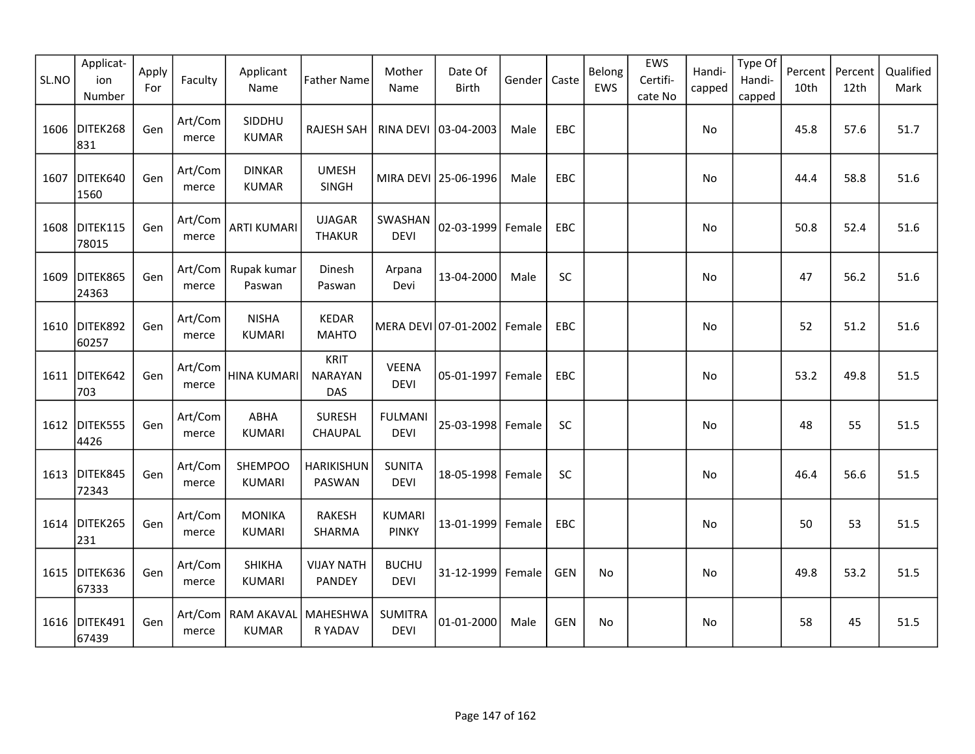| SL.NO | Applicat-<br>ion<br>Number | Apply<br>For | Faculty          | Applicant<br>Name                    | <b>Father Name</b>                   | Mother<br>Name                | Date Of<br><b>Birth</b>     | Gender | Caste      | Belong<br>EWS | EWS<br>Certifi-<br>cate No | Handi-<br>capped | Type Of<br>Handi-<br>capped | Percent<br>10th | Percent<br>12th | Qualified<br>Mark |
|-------|----------------------------|--------------|------------------|--------------------------------------|--------------------------------------|-------------------------------|-----------------------------|--------|------------|---------------|----------------------------|------------------|-----------------------------|-----------------|-----------------|-------------------|
| 1606  | DITEK268<br>831            | Gen          | Art/Com<br>merce | SIDDHU<br><b>KUMAR</b>               | RAJESH SAH                           |                               | RINA DEVI 03-04-2003        | Male   | EBC        |               |                            | No               |                             | 45.8            | 57.6            | 51.7              |
| 1607  | DITEK640<br>1560           | Gen          | Art/Com<br>merce | <b>DINKAR</b><br><b>KUMAR</b>        | <b>UMESH</b><br>SINGH                |                               | MIRA DEVI 25-06-1996        | Male   | <b>EBC</b> |               |                            | No               |                             | 44.4            | 58.8            | 51.6              |
|       | 1608 DITEK115<br>78015     | Gen          | Art/Com<br>merce | <b>ARTI KUMARI</b>                   | <b>UJAGAR</b><br><b>THAKUR</b>       | SWASHAN<br><b>DEVI</b>        | 02-03-1999 Female           |        | <b>EBC</b> |               |                            | No               |                             | 50.8            | 52.4            | 51.6              |
| 1609  | DITEK865<br>24363          | Gen          | merce            | Art/Com   Rupak kumar<br>Paswan      | Dinesh<br>Paswan                     | Arpana<br>Devi                | 13-04-2000                  | Male   | SC         |               |                            | No               |                             | 47              | 56.2            | 51.6              |
|       | 1610 DITEK892<br>60257     | Gen          | Art/Com<br>merce | <b>NISHA</b><br><b>KUMARI</b>        | <b>KEDAR</b><br><b>MAHTO</b>         |                               | MERA DEVI 07-01-2002 Female |        | EBC        |               |                            | No               |                             | 52              | 51.2            | 51.6              |
| 1611  | DITEK642<br>703            | Gen          | Art/Com<br>merce | HINA KUMARI                          | <b>KRIT</b><br><b>NARAYAN</b><br>DAS | <b>VEENA</b><br><b>DEVI</b>   | 05-01-1997 Female           |        | <b>EBC</b> |               |                            | No               |                             | 53.2            | 49.8            | 51.5              |
| 1612  | DITEK555<br>4426           | Gen          | Art/Com<br>merce | <b>ABHA</b><br><b>KUMARI</b>         | <b>SURESH</b><br>CHAUPAL             | <b>FULMANI</b><br><b>DEVI</b> | 25-03-1998 Female           |        | SC         |               |                            | No               |                             | 48              | 55              | 51.5              |
| 1613  | DITEK845<br>72343          | Gen          | Art/Com<br>merce | <b>SHEMPOO</b><br>KUMARI             | <b>HARIKISHUN</b><br>PASWAN          | <b>SUNITA</b><br><b>DEVI</b>  | 18-05-1998 Female           |        | <b>SC</b>  |               |                            | No               |                             | 46.4            | 56.6            | 51.5              |
|       | 1614 DITEK265<br>231       | Gen          | Art/Com<br>merce | <b>MONIKA</b><br><b>KUMARI</b>       | <b>RAKESH</b><br>SHARMA              | <b>KUMARI</b><br><b>PINKY</b> | 13-01-1999 Female           |        | EBC        |               |                            | No               |                             | 50              | 53              | 51.5              |
| 1615  | DITEK636<br>67333          | Gen          | Art/Com<br>merce | <b>SHIKHA</b><br><b>KUMARI</b>       | <b>VIJAY NATH</b><br>PANDEY          | <b>BUCHU</b><br><b>DEVI</b>   | 31-12-1999 Female           |        | <b>GEN</b> | No            |                            | No               |                             | 49.8            | 53.2            | 51.5              |
|       | 1616 DITEK491<br>67439     | Gen          | merce            | Art/Com   RAM AKAVAL<br><b>KUMAR</b> | <b>MAHESHWA</b><br>R YADAV           | <b>SUMITRA</b><br><b>DEVI</b> | 01-01-2000                  | Male   | <b>GEN</b> | No            |                            | No               |                             | 58              | 45              | 51.5              |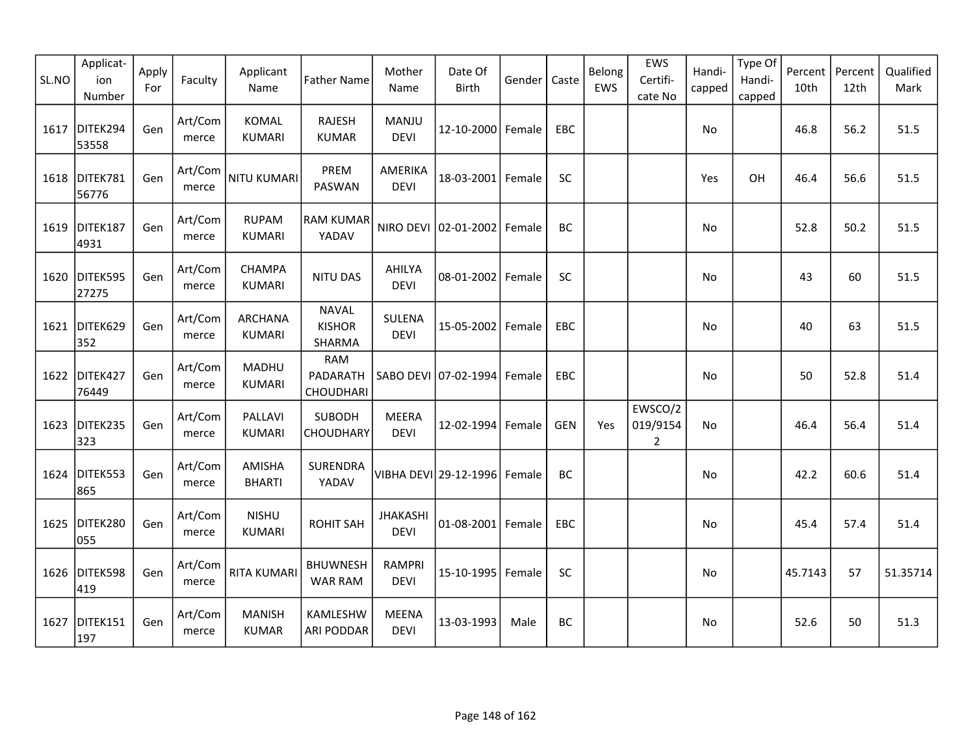| SL.NO | Applicat-<br>ion<br>Number | Apply<br>For | Faculty          | Applicant<br>Name               | <b>Father Name</b>                      | Mother<br>Name                 | Date Of<br><b>Birth</b>      | Gender | Caste      | Belong<br>EWS | EWS<br>Certifi-<br>cate No            | Handi-<br>capped | Type Of<br>Handi-<br>capped | Percent<br>10th | Percent<br>12th | Qualified<br>Mark |
|-------|----------------------------|--------------|------------------|---------------------------------|-----------------------------------------|--------------------------------|------------------------------|--------|------------|---------------|---------------------------------------|------------------|-----------------------------|-----------------|-----------------|-------------------|
| 1617  | DITEK294<br>53558          | Gen          | Art/Com<br>merce | <b>KOMAL</b><br><b>KUMARI</b>   | <b>RAJESH</b><br><b>KUMAR</b>           | <b>MANJU</b><br><b>DEVI</b>    | 12-10-2000 Female            |        | EBC        |               |                                       | No               |                             | 46.8            | 56.2            | 51.5              |
| 1618  | DITEK781<br>56776          | Gen          | Art/Com<br>merce | <b>NITU KUMARI</b>              | PREM<br>PASWAN                          | AMERIKA<br><b>DEVI</b>         | 18-03-2001 Female            |        | SC         |               |                                       | Yes              | OH                          | 46.4            | 56.6            | 51.5              |
| 1619  | DITEK187<br>4931           | Gen          | Art/Com<br>merce | <b>RUPAM</b><br><b>KUMARI</b>   | RAM KUMAR<br>YADAV                      |                                | NIRO DEVI 02-01-2002 Female  |        | BC         |               |                                       | No               |                             | 52.8            | 50.2            | 51.5              |
|       | 1620 DITEK595<br>27275     | Gen          | Art/Com<br>merce | CHAMPA<br><b>KUMARI</b>         | <b>NITU DAS</b>                         | AHILYA<br><b>DEVI</b>          | 08-01-2002 Female            |        | <b>SC</b>  |               |                                       | No               |                             | 43              | 60              | 51.5              |
| 1621  | DITEK629<br>352            | Gen          | Art/Com<br>merce | <b>ARCHANA</b><br><b>KUMARI</b> | <b>NAVAL</b><br><b>KISHOR</b><br>SHARMA | SULENA<br><b>DEVI</b>          | 15-05-2002 Female            |        | EBC        |               |                                       | No               |                             | 40              | 63              | 51.5              |
| 1622  | DITEK427<br>76449          | Gen          | Art/Com<br>merce | MADHU<br><b>KUMARI</b>          | <b>RAM</b><br>PADARATH<br>CHOUDHARI     |                                | SABO DEVI 07-02-1994 Female  |        | <b>EBC</b> |               |                                       | No               |                             | 50              | 52.8            | 51.4              |
| 1623  | DITEK235<br>323            | Gen          | Art/Com<br>merce | PALLAVI<br><b>KUMARI</b>        | <b>SUBODH</b><br><b>CHOUDHARY</b>       | <b>MEERA</b><br><b>DEVI</b>    | 12-02-1994 Female            |        | <b>GEN</b> | Yes           | EWSCO/2<br>019/9154<br>$\overline{2}$ | No               |                             | 46.4            | 56.4            | 51.4              |
| 1624  | DITEK553<br>865            | Gen          | Art/Com<br>merce | AMISHA<br><b>BHARTI</b>         | SURENDRA<br>YADAV                       |                                | VIBHA DEVI 29-12-1996 Female |        | BC         |               |                                       | No               |                             | 42.2            | 60.6            | 51.4              |
| 1625  | DITEK280<br>055            | Gen          | Art/Com<br>merce | <b>NISHU</b><br><b>KUMARI</b>   | <b>ROHIT SAH</b>                        | <b>JHAKASHI</b><br><b>DEVI</b> | 01-08-2001 Female            |        | <b>EBC</b> |               |                                       | No               |                             | 45.4            | 57.4            | 51.4              |
|       | 1626 DITEK598<br>419       | Gen          | Art/Com<br>merce | <b>RITA KUMARI</b>              | <b>BHUWNESH</b><br><b>WAR RAM</b>       | <b>RAMPRI</b><br><b>DEVI</b>   | 15-10-1995 Female            |        | SC         |               |                                       | No               |                             | 45.7143         | 57              | 51.35714          |
| 1627  | DITEK151<br>197            | Gen          | Art/Com<br>merce | <b>MANISH</b><br><b>KUMAR</b>   | <b>KAMLESHW</b><br><b>ARI PODDAR</b>    | <b>MEENA</b><br><b>DEVI</b>    | 13-03-1993                   | Male   | BC         |               |                                       | No               |                             | 52.6            | 50              | 51.3              |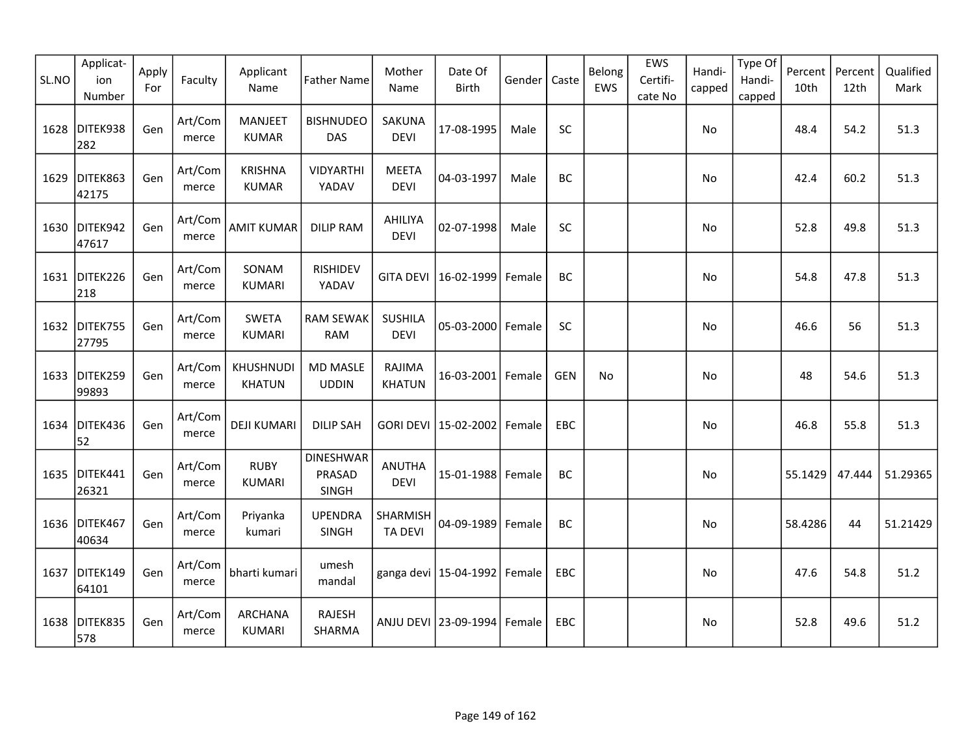| SL.NO | Applicat-<br>ion<br>Number | Apply<br>For | Faculty          | Applicant<br>Name              | <b>Father Name</b>                         | Mother<br>Name                | Date Of<br>Birth                 | Gender | Caste      | Belong<br>EWS | EWS<br>Certifi-<br>cate No | Handi-<br>capped | Type Of<br>Handi-<br>capped | Percent<br>10th | Percent<br>12th | Qualified<br>Mark |
|-------|----------------------------|--------------|------------------|--------------------------------|--------------------------------------------|-------------------------------|----------------------------------|--------|------------|---------------|----------------------------|------------------|-----------------------------|-----------------|-----------------|-------------------|
| 1628  | DITEK938<br>282            | Gen          | Art/Com<br>merce | <b>MANJEET</b><br><b>KUMAR</b> | <b>BISHNUDEO</b><br>DAS                    | SAKUNA<br><b>DEVI</b>         | 17-08-1995                       | Male   | SC         |               |                            | No               |                             | 48.4            | 54.2            | 51.3              |
| 1629  | DITEK863<br>42175          | Gen          | Art/Com<br>merce | <b>KRISHNA</b><br><b>KUMAR</b> | VIDYARTHI<br>YADAV                         | <b>MEETA</b><br><b>DEVI</b>   | 04-03-1997                       | Male   | BC         |               |                            | No               |                             | 42.4            | 60.2            | 51.3              |
|       | 1630 DITEK942<br>47617     | Gen          | Art/Com<br>merce | <b>AMIT KUMAR</b>              | <b>DILIP RAM</b>                           | AHILIYA<br><b>DEVI</b>        | 02-07-1998                       | Male   | SC         |               |                            | No               |                             | 52.8            | 49.8            | 51.3              |
|       | 1631 DITEK226<br>218       | Gen          | Art/Com<br>merce | SONAM<br><b>KUMARI</b>         | <b>RISHIDEV</b><br>YADAV                   | <b>GITA DEVI</b>              | 16-02-1999                       | Female | BC         |               |                            | No               |                             | 54.8            | 47.8            | 51.3              |
| 1632  | DITEK755<br>27795          | Gen          | Art/Com<br>merce | <b>SWETA</b><br><b>KUMARI</b>  | <b>RAM SEWAK</b><br><b>RAM</b>             | <b>SUSHILA</b><br><b>DEVI</b> | 05-03-2000                       | Female | SC         |               |                            | No               |                             | 46.6            | 56              | 51.3              |
| 1633  | DITEK259<br>99893          | Gen          | Art/Com<br>merce | KHUSHNUDI<br><b>KHATUN</b>     | <b>MD MASLE</b><br><b>UDDIN</b>            | RAJIMA<br><b>KHATUN</b>       | 16-03-2001 Female                |        | <b>GEN</b> | No            |                            | No               |                             | 48              | 54.6            | 51.3              |
| 1634  | DITEK436<br>52             | Gen          | Art/Com<br>merce | <b>DEJI KUMARI</b>             | <b>DILIP SAH</b>                           |                               | GORI DEVI 15-02-2002             | Female | EBC        |               |                            | No               |                             | 46.8            | 55.8            | 51.3              |
| 1635  | DITEK441<br>26321          | Gen          | Art/Com<br>merce | <b>RUBY</b><br><b>KUMARI</b>   | <b>DINESHWAR</b><br>PRASAD<br><b>SINGH</b> | <b>ANUTHA</b><br><b>DEVI</b>  | 15-01-1988 Female                |        | BC         |               |                            | No               |                             | 55.1429         | 47.444          | 51.29365          |
|       | 1636 DITEK467<br>40634     | Gen          | Art/Com<br>merce | Priyanka<br>kumari             | <b>UPENDRA</b><br>SINGH                    | SHARMISH<br><b>TA DEVI</b>    | 04-09-1989                       | Female | BC         |               |                            | No               |                             | 58.4286         | 44              | 51.21429          |
| 1637  | DITEK149<br>64101          | Gen          | Art/Com<br>merce | bharti kumari                  | umesh<br>mandal                            |                               | ganga devi   15-04-1992   Female |        | EBC        |               |                            | <b>No</b>        |                             | 47.6            | 54.8            | 51.2              |
| 1638  | DITEK835<br>578            | Gen          | Art/Com<br>merce | ARCHANA<br><b>KUMARI</b>       | <b>RAJESH</b><br>SHARMA                    |                               | ANJU DEVI 23-09-1994             | Female | <b>EBC</b> |               |                            | No.              |                             | 52.8            | 49.6            | 51.2              |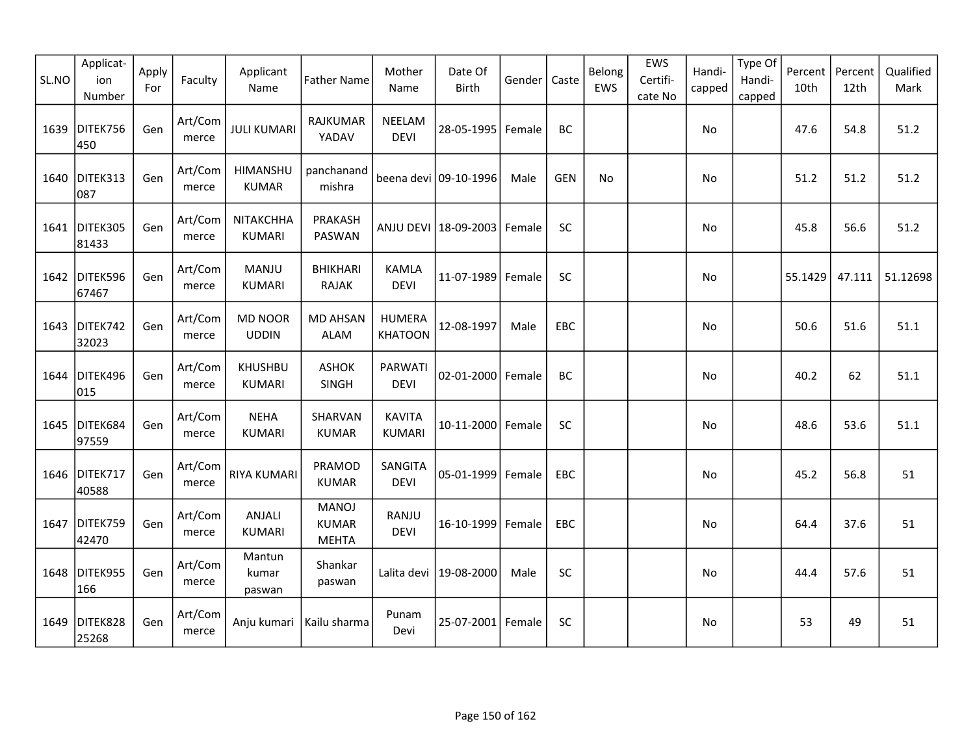| SL.NO | Applicat-<br>ion<br>Number | Apply<br>For | Faculty          | Applicant<br>Name               | <b>Father Name</b>                           | Mother<br>Name                  | Date Of<br>Birth       | Gender | Caste      | Belong<br>EWS | EWS<br>Certifi-<br>cate No | Handi-<br>capped | Type Of<br>Handi-<br>capped | Percent<br>10th | Percent<br>12th | Qualified<br>Mark |
|-------|----------------------------|--------------|------------------|---------------------------------|----------------------------------------------|---------------------------------|------------------------|--------|------------|---------------|----------------------------|------------------|-----------------------------|-----------------|-----------------|-------------------|
| 1639  | DITEK756<br>450            | Gen          | Art/Com<br>merce | <b>JULI KUMARI</b>              | <b>RAJKUMAR</b><br>YADAV                     | NEELAM<br><b>DEVI</b>           | 28-05-1995             | Female | BC         |               |                            | No               |                             | 47.6            | 54.8            | 51.2              |
| 1640  | DITEK313<br>087            | Gen          | Art/Com<br>merce | HIMANSHU<br><b>KUMAR</b>        | panchanand<br>mishra                         |                                 | beena devi 09-10-1996  | Male   | <b>GEN</b> | No            |                            | No               |                             | 51.2            | 51.2            | 51.2              |
|       | 1641 DITEK305<br>81433     | Gen          | Art/Com<br>merce | NITAKCHHA<br><b>KUMARI</b>      | PRAKASH<br>PASWAN                            |                                 | ANJU DEVI   18-09-2003 | Female | SC         |               |                            | No               |                             | 45.8            | 56.6            | 51.2              |
| 1642  | DITEK596<br>67467          | Gen          | Art/Com<br>merce | MANJU<br><b>KUMARI</b>          | <b>BHIKHARI</b><br>RAJAK                     | <b>KAMLA</b><br><b>DEVI</b>     | 11-07-1989             | Female | SC         |               |                            | No               |                             | 55.1429         | 47.111          | 51.12698          |
| 1643  | DITEK742<br>32023          | Gen          | Art/Com<br>merce | <b>MD NOOR</b><br><b>UDDIN</b>  | <b>MD AHSAN</b><br><b>ALAM</b>               | <b>HUMERA</b><br><b>KHATOON</b> | 12-08-1997             | Male   | EBC        |               |                            | No               |                             | 50.6            | 51.6            | 51.1              |
| 1644  | DITEK496<br>015            | Gen          | Art/Com<br>merce | <b>KHUSHBU</b><br><b>KUMARI</b> | <b>ASHOK</b><br>SINGH                        | PARWATI<br><b>DEVI</b>          | 02-01-2000             | Female | BC         |               |                            | No               |                             | 40.2            | 62              | 51.1              |
| 1645  | DITEK684<br>97559          | Gen          | Art/Com<br>merce | <b>NEHA</b><br><b>KUMARI</b>    | SHARVAN<br><b>KUMAR</b>                      | <b>KAVITA</b><br><b>KUMARI</b>  | 10-11-2000             | Female | SC         |               |                            | No               |                             | 48.6            | 53.6            | 51.1              |
|       | 1646 DITEK717<br>40588     | Gen          | Art/Com<br>merce | RIYA KUMARI                     | PRAMOD<br><b>KUMAR</b>                       | SANGITA<br><b>DEVI</b>          | 05-01-1999             | Female | EBC        |               |                            | No               |                             | 45.2            | 56.8            | 51                |
| 1647  | DITEK759<br>42470          | Gen          | Art/Com<br>merce | ANJALI<br><b>KUMARI</b>         | <b>MANOJ</b><br><b>KUMAR</b><br><b>MEHTA</b> | RANJU<br><b>DEVI</b>            | 16-10-1999             | Female | EBC        |               |                            | No               |                             | 64.4            | 37.6            | 51                |
| 1648  | DITEK955<br>166            | Gen          | Art/Com<br>merce | Mantun<br>kumar<br>paswan       | Shankar<br>paswan                            | Lalita devi                     | 19-08-2000             | Male   | SC         |               |                            | No.              |                             | 44.4            | 57.6            | 51                |
| 1649  | DITEK828<br>25268          | Gen          | Art/Com<br>merce | Anju kumari                     | Kailu sharma                                 | Punam<br>Devi                   | 25-07-2001             | Female | SC         |               |                            | No               |                             | 53              | 49              | 51                |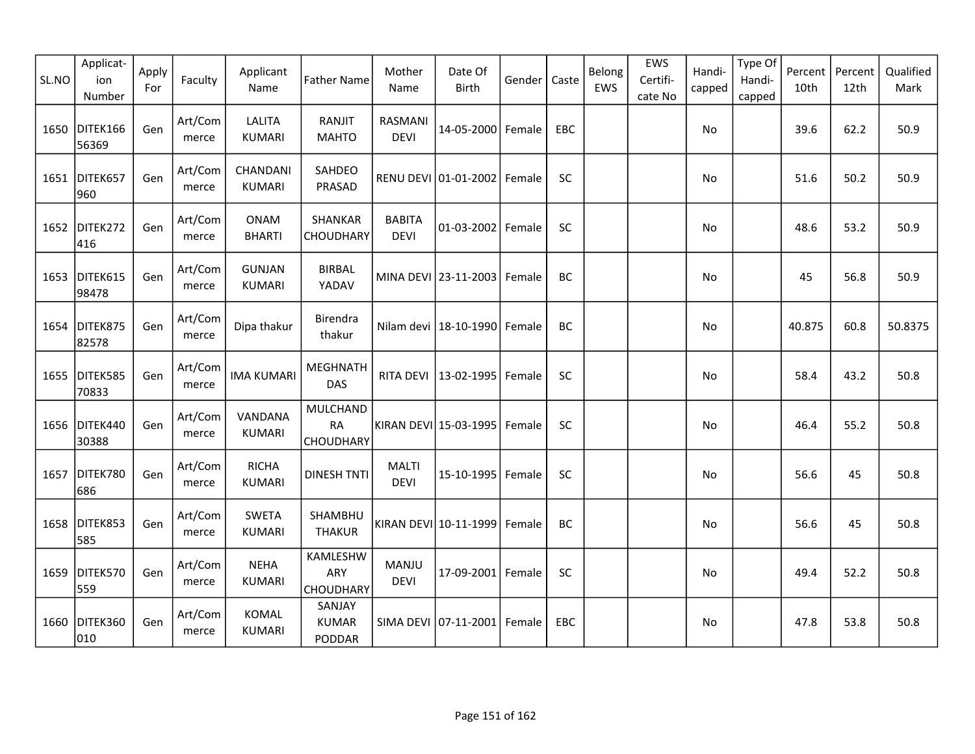| SL.NO | Applicat-<br>ion<br>Number | Apply<br>For | Faculty          | Applicant<br>Name              | <b>Father Name</b>                  | Mother<br>Name                | Date Of<br><b>Birth</b> | Gender | Caste     | Belong<br>EWS | EWS<br>Certifi-<br>cate No | Handi-<br>capped | Type Of<br>Handi-<br>capped | Percent<br>10th | Percent<br>12th | Qualified<br>Mark |
|-------|----------------------------|--------------|------------------|--------------------------------|-------------------------------------|-------------------------------|-------------------------|--------|-----------|---------------|----------------------------|------------------|-----------------------------|-----------------|-----------------|-------------------|
| 1650  | DITEK166<br>56369          | Gen          | Art/Com<br>merce | <b>LALITA</b><br><b>KUMARI</b> | RANJIT<br><b>MAHTO</b>              | <b>RASMANI</b><br><b>DEVI</b> | 14-05-2000 Female       |        | EBC       |               |                            | No               |                             | 39.6            | 62.2            | 50.9              |
| 1651  | DITEK657<br>960            | Gen          | Art/Com<br>merce | CHANDANI<br><b>KUMARI</b>      | SAHDEO<br>PRASAD                    |                               | RENU DEVI 01-01-2002    | Female | SC        |               |                            | No               |                             | 51.6            | 50.2            | 50.9              |
| 1652  | DITEK272<br>416            | Gen          | Art/Com<br>merce | <b>ONAM</b><br><b>BHARTI</b>   | SHANKAR<br><b>CHOUDHARY</b>         | <b>BABITA</b><br><b>DEVI</b>  | 01-03-2002   Female     |        | SC        |               |                            | <b>No</b>        |                             | 48.6            | 53.2            | 50.9              |
|       | 1653 DITEK615<br>98478     | Gen          | Art/Com<br>merce | <b>GUNJAN</b><br><b>KUMARI</b> | <b>BIRBAL</b><br>YADAV              |                               | MINA DEVI 23-11-2003    | Female | BC        |               |                            | No               |                             | 45              | 56.8            | 50.9              |
| 1654  | DITEK875<br>82578          | Gen          | Art/Com<br>merce | Dipa thakur                    | Birendra<br>thakur                  |                               | Nilam devi   18-10-1990 | Female | BC        |               |                            | No               |                             | 40.875          | 60.8            | 50.8375           |
| 1655  | DITEK585<br>70833          | Gen          | Art/Com<br>merce | <b>IMA KUMARI</b>              | <b>MEGHNATH</b><br>DAS              | RITA DEVI                     | 13-02-1995              | Female | SC        |               |                            | No               |                             | 58.4            | 43.2            | 50.8              |
| 1656  | DITEK440<br>30388          | Gen          | Art/Com<br>merce | VANDANA<br><b>KUMARI</b>       | MULCHAND<br><b>RA</b><br>CHOUDHARY  |                               | KIRAN DEVI 15-03-1995   | Female | SC        |               |                            | No               |                             | 46.4            | 55.2            | 50.8              |
| 1657  | DITEK780<br>686            | Gen          | Art/Com<br>merce | <b>RICHA</b><br><b>KUMARI</b>  | <b>DINESH TNTI</b>                  | <b>MALTI</b><br><b>DEVI</b>   | 15-10-1995              | Female | <b>SC</b> |               |                            | No               |                             | 56.6            | 45              | 50.8              |
| 1658  | DITEK853<br>585            | Gen          | Art/Com<br>merce | <b>SWETA</b><br><b>KUMARI</b>  | SHAMBHU<br><b>THAKUR</b>            |                               | KIRAN DEVI 10-11-1999   | Female | BC        |               |                            | No               |                             | 56.6            | 45              | 50.8              |
| 1659  | DITEK570<br>559            | Gen          | Art/Com<br>merce | <b>NEHA</b><br><b>KUMARI</b>   | KAMLESHW<br>ARY<br><b>CHOUDHARY</b> | MANJU<br><b>DEVI</b>          | 17-09-2001 Female       |        | SC        |               |                            | <b>No</b>        |                             | 49.4            | 52.2            | 50.8              |
| 1660  | DITEK360<br>010            | Gen          | Art/Com<br>merce | <b>KOMAL</b><br><b>KUMARI</b>  | SANJAY<br><b>KUMAR</b><br>PODDAR    |                               | SIMA DEVI 07-11-2001    | Female | EBC       |               |                            | No               |                             | 47.8            | 53.8            | 50.8              |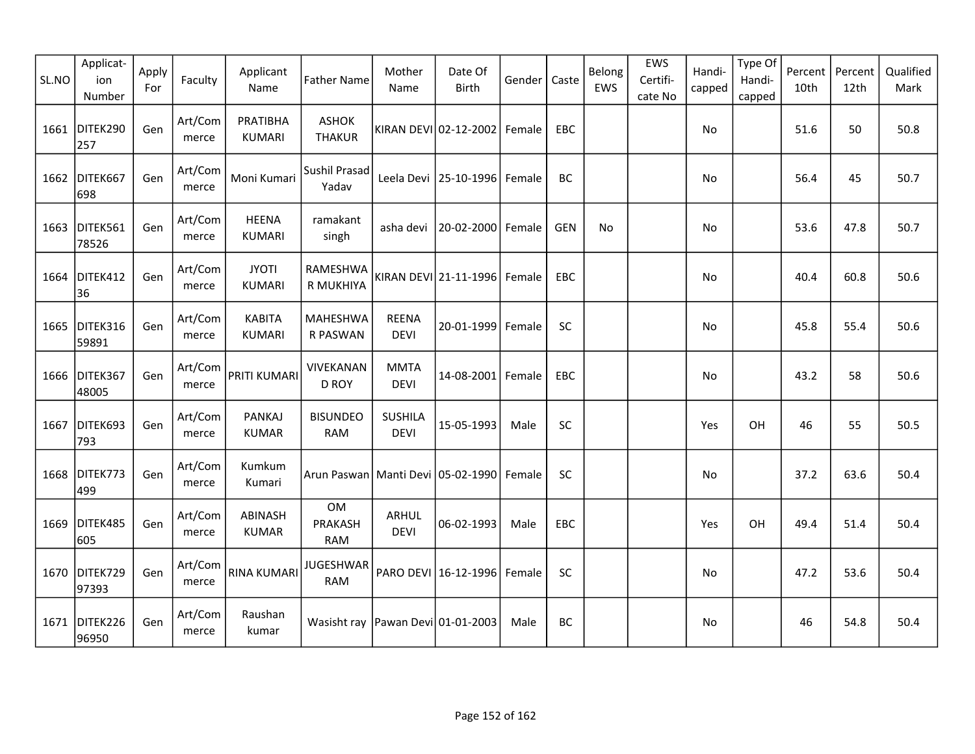| SL.NO | Applicat-<br>ion<br>Number | Apply<br>For | Faculty          | Applicant<br>Name              | <b>Father Name</b>                             | Mother<br>Name                | Date Of<br><b>Birth</b>          | Gender | Caste      | Belong<br>EWS | EWS<br>Certifi-<br>cate No | Handi-<br>capped | Type Of<br>Handi-<br>capped | Percent<br>10th | Percent<br>12th | Qualified<br>Mark |
|-------|----------------------------|--------------|------------------|--------------------------------|------------------------------------------------|-------------------------------|----------------------------------|--------|------------|---------------|----------------------------|------------------|-----------------------------|-----------------|-----------------|-------------------|
|       | 1661 DITEK290<br>257       | Gen          | Art/Com<br>merce | PRATIBHA<br><b>KUMARI</b>      | <b>ASHOK</b><br><b>THAKUR</b>                  |                               | KIRAN DEVI 02-12-2002            | Female | EBC        |               |                            | No               |                             | 51.6            | 50              | 50.8              |
| 1662  | DITEK667<br>698            | Gen          | Art/Com<br>merce | Moni Kumari                    | Sushil Prasad<br>Yadav                         |                               | Leela Devi   25-10-1996   Female |        | BC         |               |                            | No               |                             | 56.4            | 45              | 50.7              |
|       | 1663 DITEK561<br>78526     | Gen          | Art/Com<br>merce | <b>HEENA</b><br><b>KUMARI</b>  | ramakant<br>singh                              | asha devi                     | 20-02-2000 Female                |        | <b>GEN</b> | No            |                            | No               |                             | 53.6            | 47.8            | 50.7              |
|       | 1664 DITEK412<br>36        | Gen          | Art/Com<br>merce | <b>JYOTI</b><br><b>KUMARI</b>  | RAMESHWA<br>R MUKHIYA                          |                               | KIRAN DEVI 21-11-1996 Female     |        | EBC        |               |                            | No               |                             | 40.4            | 60.8            | 50.6              |
| 1665  | DITEK316<br>59891          | Gen          | Art/Com<br>merce | <b>KABITA</b><br><b>KUMARI</b> | <b>MAHESHWA</b><br>R PASWAN                    | <b>REENA</b><br><b>DEVI</b>   | 20-01-1999                       | Female | SC         |               |                            | No.              |                             | 45.8            | 55.4            | 50.6              |
| 1666  | DITEK367<br>48005          | Gen          | Art/Com<br>merce | PRITI KUMARI                   | VIVEKANAN<br>D ROY                             | <b>MMTA</b><br><b>DEVI</b>    | 14-08-2001 Female                |        | EBC        |               |                            | No               |                             | 43.2            | 58              | 50.6              |
| 1667  | DITEK693<br>793            | Gen          | Art/Com<br>merce | <b>PANKAJ</b><br><b>KUMAR</b>  | <b>BISUNDEO</b><br>RAM                         | <b>SUSHILA</b><br><b>DEVI</b> | 15-05-1993                       | Male   | SC         |               |                            | Yes              | OH                          | 46              | 55              | 50.5              |
|       | 1668 DITEK773<br>499       | Gen          | Art/Com<br>merce | Kumkum<br>Kumari               | Arun Paswan   Manti Devi   05-02-1990   Female |                               |                                  |        | <b>SC</b>  |               |                            | No               |                             | 37.2            | 63.6            | 50.4              |
| 1669  | DITEK485<br>605            | Gen          | Art/Com<br>merce | <b>ABINASH</b><br><b>KUMAR</b> | <b>OM</b><br>PRAKASH<br>RAM                    | ARHUL<br><b>DEVI</b>          | 06-02-1993                       | Male   | EBC        |               |                            | Yes              | OH                          | 49.4            | 51.4            | 50.4              |
|       | 1670 DITEK729<br>97393     | Gen          | Art/Com<br>merce | RINA KUMARI                    | <b>JUGESHWAR</b><br><b>RAM</b>                 |                               | PARO DEVI 16-12-1996 Female      |        | SC         |               |                            | No               |                             | 47.2            | 53.6            | 50.4              |
|       | 1671 DITEK226<br>96950     | Gen          | Art/Com<br>merce | Raushan<br>kumar               | Wasisht ray   Pawan Devi 01-01-2003            |                               |                                  | Male   | BC         |               |                            | No               |                             | 46              | 54.8            | 50.4              |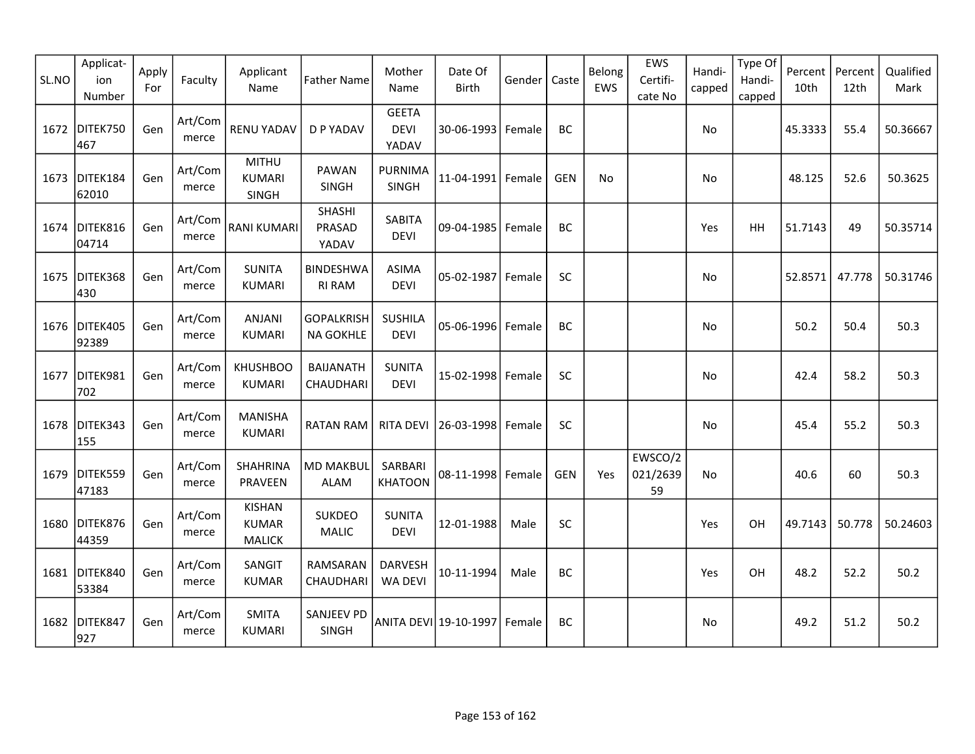| SL.NO | Applicat-<br>ion<br>Number | Apply<br>For | Faculty          | Applicant<br>Name                              | <b>Father Name</b>                    | Mother<br>Name                       | Date Of<br><b>Birth</b> | Gender | Caste      | Belong<br>EWS | EWS<br>Certifi-<br>cate No | Handi-<br>capped | Type Of<br>Handi-<br>capped | Percent<br>10th | Percent<br>12th | Qualified<br>Mark |
|-------|----------------------------|--------------|------------------|------------------------------------------------|---------------------------------------|--------------------------------------|-------------------------|--------|------------|---------------|----------------------------|------------------|-----------------------------|-----------------|-----------------|-------------------|
| 1672  | DITEK750<br>467            | Gen          | Art/Com<br>merce | <b>RENU YADAV</b>                              | D P YADAV                             | <b>GEETA</b><br><b>DEVI</b><br>YADAV | 30-06-1993 Female       |        | BC         |               |                            | No               |                             | 45.3333         | 55.4            | 50.36667          |
| 1673  | DITEK184<br>62010          | Gen          | Art/Com<br>merce | <b>MITHU</b><br><b>KUMARI</b><br>SINGH         | PAWAN<br>SINGH                        | <b>PURNIMA</b><br>SINGH              | $11 - 04 - 1991$        | Female | <b>GEN</b> | No            |                            | No               |                             | 48.125          | 52.6            | 50.3625           |
| 1674  | DITEK816<br>04714          | Gen          | Art/Com<br>merce | <b>RANI KUMARI</b>                             | SHASHI<br>PRASAD<br>YADAV             | <b>SABITA</b><br><b>DEVI</b>         | 09-04-1985              | Female | BC         |               |                            | Yes              | <b>HH</b>                   | 51.7143         | 49              | 50.35714          |
| 1675  | DITEK368<br>430            | Gen          | Art/Com<br>merce | <b>SUNITA</b><br><b>KUMARI</b>                 | <b>BINDESHWA</b><br><b>RI RAM</b>     | <b>ASIMA</b><br><b>DEVI</b>          | 05-02-1987              | Female | SC         |               |                            | No               |                             | 52.8571         | 47.778          | 50.31746          |
| 1676  | DITEK405<br>92389          | Gen          | Art/Com<br>merce | <b>ANJANI</b><br><b>KUMARI</b>                 | <b>GOPALKRISH</b><br><b>NA GOKHLE</b> | <b>SUSHILA</b><br><b>DEVI</b>        | 05-06-1996              | Female | BC         |               |                            | No               |                             | 50.2            | 50.4            | 50.3              |
| 1677  | DITEK981<br>702            | Gen          | Art/Com<br>merce | <b>KHUSHBOO</b><br><b>KUMARI</b>               | <b>BAIJANATH</b><br>CHAUDHARI         | <b>SUNITA</b><br><b>DEVI</b>         | 15-02-1998 Female       |        | SC         |               |                            | No               |                             | 42.4            | 58.2            | 50.3              |
| 1678  | DITEK343<br>155            | Gen          | Art/Com<br>merce | <b>MANISHA</b><br><b>KUMARI</b>                | <b>RATAN RAM</b>                      | <b>RITA DEVI</b>                     | 26-03-1998              | Female | SC         |               |                            | No               |                             | 45.4            | 55.2            | 50.3              |
| 1679  | DITEK559<br>47183          | Gen          | Art/Com<br>merce | SHAHRINA<br>PRAVEEN                            | <b>MD MAKBUL</b><br><b>ALAM</b>       | SARBARI<br><b>KHATOON</b>            | 08-11-1998 Female       |        | <b>GEN</b> | Yes           | EWSCO/2<br>021/2639<br>59  | No               |                             | 40.6            | 60              | 50.3              |
|       | 1680 DITEK876<br>44359     | Gen          | Art/Com<br>merce | <b>KISHAN</b><br><b>KUMAR</b><br><b>MALICK</b> | <b>SUKDEO</b><br><b>MALIC</b>         | <b>SUNITA</b><br><b>DEVI</b>         | 12-01-1988              | Male   | SC         |               |                            | Yes              | OH                          | 49.7143         | 50.778          | 50.24603          |
|       | 1681 DITEK840<br>53384     | Gen          | Art/Com<br>merce | SANGIT<br><b>KUMAR</b>                         | RAMSARAN<br>CHAUDHARI                 | <b>DARVESH</b><br>WA DEVI            | 10-11-1994              | Male   | BC         |               |                            | Yes              | OH                          | 48.2            | 52.2            | 50.2              |
| 1682  | DITEK847<br>927            | Gen          | Art/Com<br>merce | <b>SMITA</b><br><b>KUMARI</b>                  | SANJEEV PD<br><b>SINGH</b>            |                                      | ANITA DEVI 19-10-1997   | Female | BC         |               |                            | No.              |                             | 49.2            | 51.2            | 50.2              |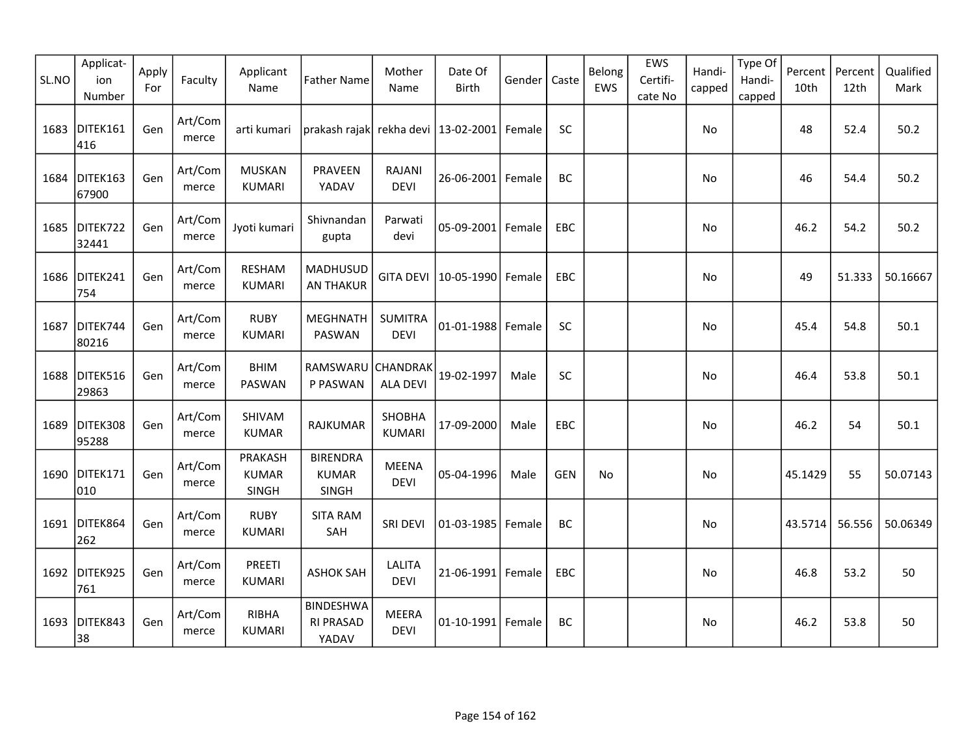| SL.NO | Applicat-<br>ion<br>Number | Apply<br>For | Faculty          | Applicant<br>Name                       | <b>Father Name</b>                              | Mother<br>Name                 | Date Of<br>Birth  | Gender | Caste      | Belong<br>EWS | EWS<br>Certifi-<br>cate No | Handi-<br>capped | Type Of<br>Handi-<br>capped | Percent<br>10th | Percent<br>12th | Qualified<br>Mark |
|-------|----------------------------|--------------|------------------|-----------------------------------------|-------------------------------------------------|--------------------------------|-------------------|--------|------------|---------------|----------------------------|------------------|-----------------------------|-----------------|-----------------|-------------------|
| 1683  | DITEK161<br>416            | Gen          | Art/Com<br>merce | arti kumari                             | prakash rajak  rekha devi   13-02-2001   Female |                                |                   |        | SC         |               |                            | No               |                             | 48              | 52.4            | 50.2              |
| 1684  | DITEK163<br>67900          | Gen          | Art/Com<br>merce | <b>MUSKAN</b><br>KUMARI                 | PRAVEEN<br>YADAV                                | <b>RAJANI</b><br><b>DEVI</b>   | 26-06-2001        | Female | <b>BC</b>  |               |                            | No               |                             | 46              | 54.4            | 50.2              |
| 1685  | DITEK722<br>32441          | Gen          | Art/Com<br>merce | Jyoti kumari                            | Shivnandan<br>gupta                             | Parwati<br>devi                | 05-09-2001        | Female | <b>EBC</b> |               |                            | No               |                             | 46.2            | 54.2            | 50.2              |
|       | 1686 DITEK241<br>754       | Gen          | Art/Com<br>merce | <b>RESHAM</b><br><b>KUMARI</b>          | MADHUSUD<br><b>AN THAKUR</b>                    | <b>GITA DEVI</b>               | 10-05-1990        | Female | EBC        |               |                            | No               |                             | 49              | 51.333          | 50.16667          |
| 1687  | DITEK744<br>80216          | Gen          | Art/Com<br>merce | <b>RUBY</b><br><b>KUMARI</b>            | <b>MEGHNATH</b><br>PASWAN                       | <b>SUMITRA</b><br><b>DEVI</b>  | 01-01-1988        | Female | SC         |               |                            | No.              |                             | 45.4            | 54.8            | 50.1              |
| 1688  | DITEK516<br>29863          | Gen          | Art/Com<br>merce | <b>BHIM</b><br>PASWAN                   | RAMSWARU<br>P PASWAN                            | CHANDRAK<br><b>ALA DEVI</b>    | 19-02-1997        | Male   | SC         |               |                            | No               |                             | 46.4            | 53.8            | 50.1              |
| 1689  | DITEK308<br>95288          | Gen          | Art/Com<br>merce | SHIVAM<br><b>KUMAR</b>                  | RAJKUMAR                                        | <b>SHOBHA</b><br><b>KUMARI</b> | 17-09-2000        | Male   | EBC        |               |                            | No               |                             | 46.2            | 54              | 50.1              |
|       | 1690 DITEK171<br>010       | Gen          | Art/Com<br>merce | <b>PRAKASH</b><br><b>KUMAR</b><br>SINGH | <b>BIRENDRA</b><br><b>KUMAR</b><br>SINGH        | <b>MEENA</b><br><b>DEVI</b>    | 05-04-1996        | Male   | GEN        | No            |                            | No               |                             | 45.1429         | 55              | 50.07143          |
| 1691  | DITEK864<br>262            | Gen          | Art/Com<br>merce | <b>RUBY</b><br><b>KUMARI</b>            | <b>SITA RAM</b><br>SAH                          | SRI DEVI                       | 01-03-1985        | Female | BC         |               |                            | No               |                             | 43.5714         | 56.556          | 50.06349          |
|       | 1692 DITEK925<br>761       | Gen          | Art/Com<br>merce | PREETI<br><b>KUMARI</b>                 | <b>ASHOK SAH</b>                                | LALITA<br><b>DEVI</b>          | 21-06-1991 Female |        | EBC        |               |                            | No               |                             | 46.8            | 53.2            | 50                |
| 1693  | DITEK843<br>38             | Gen          | Art/Com<br>merce | RIBHA<br><b>KUMARI</b>                  | <b>BINDESHWA</b><br><b>RI PRASAD</b><br>YADAV   | <b>MEERA</b><br><b>DEVI</b>    | $01 - 10 - 1991$  | Female | BC         |               |                            | No               |                             | 46.2            | 53.8            | 50                |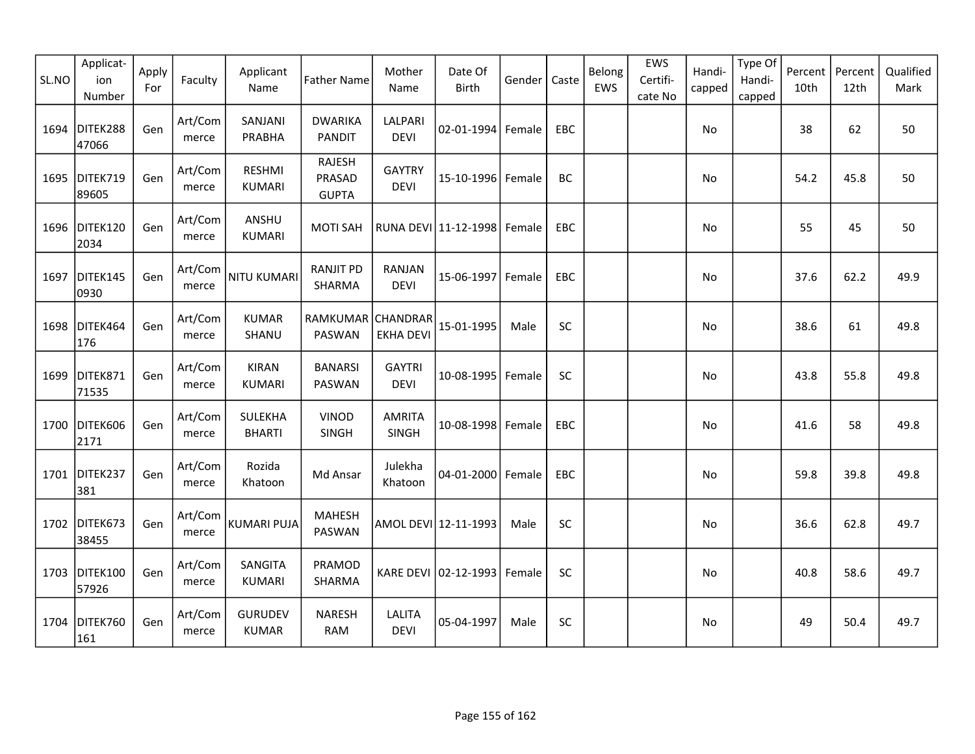| SL.NO | Applicat-<br>ion<br>Number | Apply<br>For | Faculty          | Applicant<br>Name               | <b>Father Name</b>                      | Mother<br>Name               | Date Of<br>Birth     | Gender | Caste     | Belong<br>EWS | EWS<br>Certifi-<br>cate No | Handi-<br>capped | Type Of<br>Handi-<br>capped | Percent<br>10th | Percent<br>12th | Qualified<br>Mark |
|-------|----------------------------|--------------|------------------|---------------------------------|-----------------------------------------|------------------------------|----------------------|--------|-----------|---------------|----------------------------|------------------|-----------------------------|-----------------|-----------------|-------------------|
| 1694  | DITEK288<br>47066          | Gen          | Art/Com<br>merce | SANJANI<br>PRABHA               | <b>DWARIKA</b><br><b>PANDIT</b>         | LALPARI<br><b>DEVI</b>       | 02-01-1994 Female    |        | EBC       |               |                            | No               |                             | 38              | 62              | 50                |
| 1695  | DITEK719<br>89605          | Gen          | Art/Com<br>merce | <b>RESHMI</b><br><b>KUMARI</b>  | <b>RAJESH</b><br>PRASAD<br><b>GUPTA</b> | <b>GAYTRY</b><br><b>DEVI</b> | 15-10-1996 Female    |        | BC        |               |                            | No               |                             | 54.2            | 45.8            | 50                |
|       | 1696 DITEK120<br>2034      | Gen          | Art/Com<br>merce | ANSHU<br><b>KUMARI</b>          | <b>MOTI SAH</b>                         |                              | RUNA DEVI 11-12-1998 | Female | EBC       |               |                            | No               |                             | 55              | 45              | 50                |
| 1697  | DITEK145<br>0930           | Gen          | Art/Com<br>merce | <b>NITU KUMARI</b>              | <b>RANJIT PD</b><br>SHARMA              | RANJAN<br><b>DEVI</b>        | 15-06-1997           | Female | EBC       |               |                            | No               |                             | 37.6            | 62.2            | 49.9              |
| 1698  | DITEK464<br>176            | Gen          | Art/Com<br>merce | <b>KUMAR</b><br>SHANU           | RAMKUMAR CHANDRAR<br>PASWAN             | <b>EKHA DEVI</b>             | 15-01-1995           | Male   | SC        |               |                            | No               |                             | 38.6            | 61              | 49.8              |
| 1699  | DITEK871<br>71535          | Gen          | Art/Com<br>merce | <b>KIRAN</b><br><b>KUMARI</b>   | <b>BANARSI</b><br>PASWAN                | <b>GAYTRI</b><br><b>DEVI</b> | 10-08-1995 Female    |        | SC        |               |                            | No               |                             | 43.8            | 55.8            | 49.8              |
| 1700  | DITEK606<br>2171           | Gen          | Art/Com<br>merce | <b>SULEKHA</b><br><b>BHARTI</b> | <b>VINOD</b><br><b>SINGH</b>            | <b>AMRITA</b><br>SINGH       | 10-08-1998 Female    |        | EBC       |               |                            | No               |                             | 41.6            | 58              | 49.8              |
|       | 1701 DITEK237<br>381       | Gen          | Art/Com<br>merce | Rozida<br>Khatoon               | Md Ansar                                | Julekha<br>Khatoon           | 04-01-2000 Female    |        | EBC       |               |                            | No               |                             | 59.8            | 39.8            | 49.8              |
| 1702  | DITEK673<br>38455          | Gen          | Art/Com<br>merce | KUMARI PUJA                     | <b>MAHESH</b><br>PASWAN                 |                              | AMOL DEVI 12-11-1993 | Male   | <b>SC</b> |               |                            | No               |                             | 36.6            | 62.8            | 49.7              |
| 1703  | DITEK100<br>57926          | Gen          | Art/Com<br>merce | SANGITA<br><b>KUMARI</b>        | PRAMOD<br>SHARMA                        |                              | KARE DEVI 02-12-1993 | Female | SC        |               |                            | No               |                             | 40.8            | 58.6            | 49.7              |
| 1704  | DITEK760<br>161            | Gen          | Art/Com<br>merce | <b>GURUDEV</b><br><b>KUMAR</b>  | <b>NARESH</b><br><b>RAM</b>             | <b>LALITA</b><br><b>DEVI</b> | 05-04-1997           | Male   | <b>SC</b> |               |                            | No               |                             | 49              | 50.4            | 49.7              |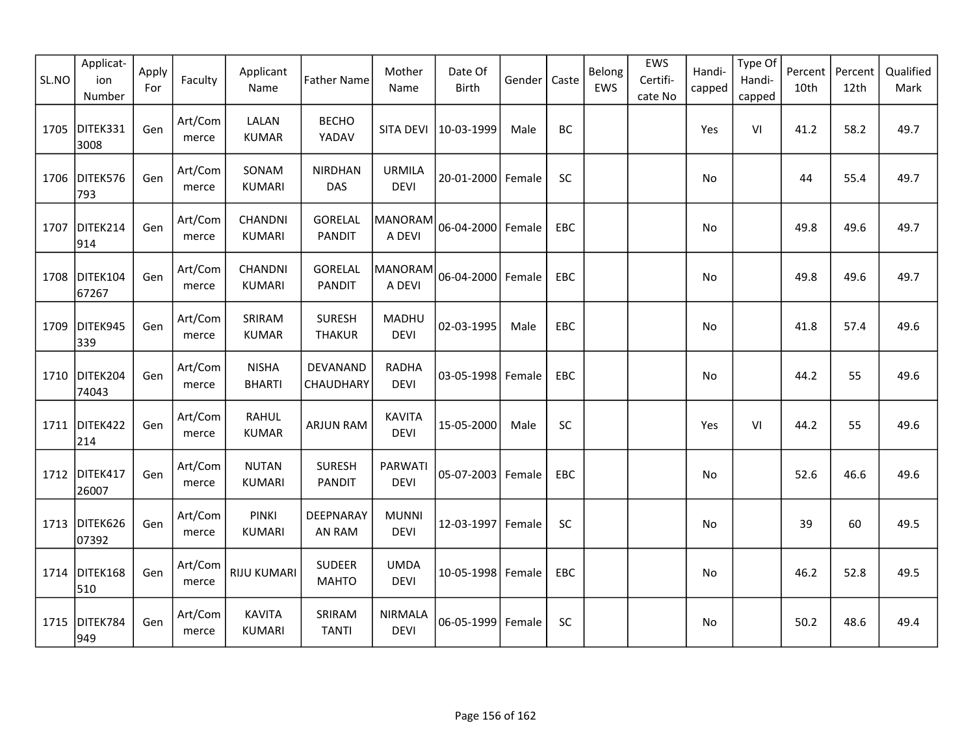| SL.NO | Applicat-<br>ion<br>Number | Apply<br>For | Faculty          | Applicant<br>Name              | <b>Father Name</b>              | Mother<br>Name                | Date Of<br>Birth    | Gender | Caste      | Belong<br>EWS | EWS<br>Certifi-<br>cate No | Handi-<br>capped | Type Of<br>Handi-<br>capped | Percent<br>10th | Percent<br>12th | Qualified<br>Mark |
|-------|----------------------------|--------------|------------------|--------------------------------|---------------------------------|-------------------------------|---------------------|--------|------------|---------------|----------------------------|------------------|-----------------------------|-----------------|-----------------|-------------------|
| 1705  | DITEK331<br>3008           | Gen          | Art/Com<br>merce | LALAN<br><b>KUMAR</b>          | <b>BECHO</b><br>YADAV           | SITA DEVI                     | 10-03-1999          | Male   | <b>BC</b>  |               |                            | Yes              | VI                          | 41.2            | 58.2            | 49.7              |
| 1706  | DITEK576<br>793            | Gen          | Art/Com<br>merce | SONAM<br><b>KUMARI</b>         | <b>NIRDHAN</b><br><b>DAS</b>    | <b>URMILA</b><br><b>DEVI</b>  | 20-01-2000          | Female | SC         |               |                            | No               |                             | 44              | 55.4            | 49.7              |
| 1707  | DITEK214<br>914            | Gen          | Art/Com<br>merce | CHANDNI<br><b>KUMARI</b>       | GORELAL<br><b>PANDIT</b>        | <b>MANORAM</b><br>A DEVI      | 06-04-2000 Female   |        | <b>EBC</b> |               |                            | No               |                             | 49.8            | 49.6            | 49.7              |
|       | 1708 DITEK104<br>67267     | Gen          | Art/Com<br>merce | CHANDNI<br><b>KUMARI</b>       | <b>GORELAL</b><br><b>PANDIT</b> | MANORAM<br>A DEVI             | 06-04-2000          | Female | EBC        |               |                            | No               |                             | 49.8            | 49.6            | 49.7              |
| 1709  | DITEK945<br>339            | Gen          | Art/Com<br>merce | SRIRAM<br><b>KUMAR</b>         | <b>SURESH</b><br><b>THAKUR</b>  | MADHU<br><b>DEVI</b>          | 02-03-1995          | Male   | EBC        |               |                            | No               |                             | 41.8            | 57.4            | 49.6              |
|       | 1710 DITEK204<br>74043     | Gen          | Art/Com<br>merce | <b>NISHA</b><br><b>BHARTI</b>  | DEVANAND<br>CHAUDHARY           | <b>RADHA</b><br><b>DEVI</b>   | 03-05-1998          | Female | EBC        |               |                            | No               |                             | 44.2            | 55              | 49.6              |
| 1711  | DITEK422<br>214            | Gen          | Art/Com<br>merce | <b>RAHUL</b><br><b>KUMAR</b>   | <b>ARJUN RAM</b>                | <b>KAVITA</b><br><b>DEVI</b>  | 15-05-2000          | Male   | SC         |               |                            | Yes              | VI                          | 44.2            | 55              | 49.6              |
|       | 1712 DITEK417<br>26007     | Gen          | Art/Com<br>merce | <b>NUTAN</b><br><b>KUMARI</b>  | <b>SURESH</b><br><b>PANDIT</b>  | PARWATI<br><b>DEVI</b>        | 05-07-2003   Female |        | <b>EBC</b> |               |                            | No               |                             | 52.6            | 46.6            | 49.6              |
|       | 1713 DITEK626<br>07392     | Gen          | Art/Com<br>merce | <b>PINKI</b><br><b>KUMARI</b>  | DEEPNARAY<br>AN RAM             | <b>MUNNI</b><br><b>DEVI</b>   | 12-03-1997          | Female | SC         |               |                            | No               |                             | 39              | 60              | 49.5              |
|       | 1714 DITEK168<br>510       | Gen          | Art/Com<br>merce | <b>RIJU KUMARI</b>             | <b>SUDEER</b><br><b>MAHTO</b>   | <b>UMDA</b><br><b>DEVI</b>    | 10-05-1998 Female   |        | EBC        |               |                            | No               |                             | 46.2            | 52.8            | 49.5              |
| 1715  | DITEK784<br>949            | Gen          | Art/Com<br>merce | <b>KAVITA</b><br><b>KUMARI</b> | SRIRAM<br><b>TANTI</b>          | <b>NIRMALA</b><br><b>DEVI</b> | 06-05-1999          | Female | <b>SC</b>  |               |                            | No.              |                             | 50.2            | 48.6            | 49.4              |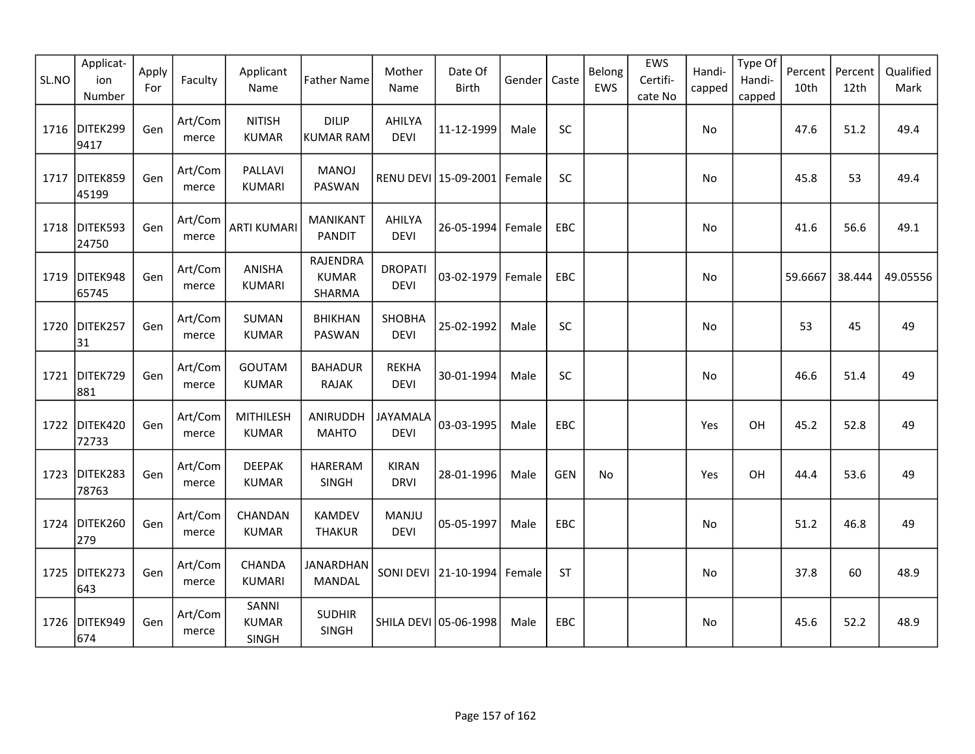| SL.NO | Applicat-<br>ion<br>Number | Apply<br>For | Faculty          | Applicant<br>Name              | <b>Father Name</b>                 | Mother<br>Name                | Date Of<br>Birth      | Gender | Caste      | Belong<br>EWS | EWS<br>Certifi-<br>cate No | Handi-<br>capped | Type Of<br>Handi-<br>capped | Percent<br>10th | Percent<br>12th | Qualified<br>Mark |
|-------|----------------------------|--------------|------------------|--------------------------------|------------------------------------|-------------------------------|-----------------------|--------|------------|---------------|----------------------------|------------------|-----------------------------|-----------------|-----------------|-------------------|
| 1716  | DITEK299<br>9417           | Gen          | Art/Com<br>merce | <b>NITISH</b><br><b>KUMAR</b>  | <b>DILIP</b><br>KUMAR RAM          | AHILYA<br><b>DEVI</b>         | 11-12-1999            | Male   | <b>SC</b>  |               |                            | No               |                             | 47.6            | 51.2            | 49.4              |
| 1717  | DITEK859<br>45199          | Gen          | Art/Com<br>merce | PALLAVI<br><b>KUMARI</b>       | <b>MANOJ</b><br>PASWAN             |                               | RENU DEVI 15-09-2001  | Female | SC         |               |                            | No               |                             | 45.8            | 53              | 49.4              |
|       | 1718 DITEK593<br>24750     | Gen          | Art/Com<br>merce | <b>ARTI KUMARI</b>             | <b>MANIKANT</b><br><b>PANDIT</b>   | AHILYA<br><b>DEVI</b>         | 26-05-1994 Female     |        | <b>EBC</b> |               |                            | No               |                             | 41.6            | 56.6            | 49.1              |
|       | 1719 DITEK948<br>65745     | Gen          | Art/Com<br>merce | ANISHA<br><b>KUMARI</b>        | RAJENDRA<br><b>KUMAR</b><br>SHARMA | <b>DROPATI</b><br><b>DEVI</b> | 03-02-1979            | Female | EBC        |               |                            | No               |                             | 59.6667         | 38.444          | 49.05556          |
| 1720  | DITEK257<br>31             | Gen          | Art/Com<br>merce | <b>SUMAN</b><br><b>KUMAR</b>   | <b>BHIKHAN</b><br>PASWAN           | SHOBHA<br><b>DEVI</b>         | 25-02-1992            | Male   | SC         |               |                            | No               |                             | 53              | 45              | 49                |
| 1721  | DITEK729<br>881            | Gen          | Art/Com<br>merce | <b>GOUTAM</b><br><b>KUMAR</b>  | <b>BAHADUR</b><br><b>RAJAK</b>     | <b>REKHA</b><br><b>DEVI</b>   | 30-01-1994            | Male   | <b>SC</b>  |               |                            | No               |                             | 46.6            | 51.4            | 49                |
| 1722  | DITEK420<br>72733          | Gen          | Art/Com<br>merce | MITHILESH<br><b>KUMAR</b>      | ANIRUDDH<br><b>MAHTO</b>           | JAYAMALA<br><b>DEVI</b>       | 03-03-1995            | Male   | EBC        |               |                            | Yes              | OH                          | 45.2            | 52.8            | 49                |
|       | 1723 DITEK283<br>78763     | Gen          | Art/Com<br>merce | <b>DEEPAK</b><br><b>KUMAR</b>  | <b>HARERAM</b><br>SINGH            | <b>KIRAN</b><br><b>DRVI</b>   | 28-01-1996            | Male   | <b>GEN</b> | No            |                            | Yes              | OH                          | 44.4            | 53.6            | 49                |
|       | 1724 DITEK260<br>279       | Gen          | Art/Com<br>merce | CHANDAN<br><b>KUMAR</b>        | <b>KAMDEV</b><br><b>THAKUR</b>     | MANJU<br><b>DEVI</b>          | 05-05-1997            | Male   | <b>EBC</b> |               |                            | No               |                             | 51.2            | 46.8            | 49                |
| 1725  | DITEK273<br>643            | Gen          | Art/Com<br>merce | CHANDA<br><b>KUMARI</b>        | <b>JANARDHAN</b><br>MANDAL         |                               | SONI DEVI 21-10-1994  | Female | <b>ST</b>  |               |                            | No               |                             | 37.8            | 60              | 48.9              |
|       | 1726 DITEK949<br>674       | Gen          | Art/Com<br>merce | SANNI<br><b>KUMAR</b><br>SINGH | <b>SUDHIR</b><br><b>SINGH</b>      |                               | SHILA DEVI 05-06-1998 | Male   | <b>EBC</b> |               |                            | No.              |                             | 45.6            | 52.2            | 48.9              |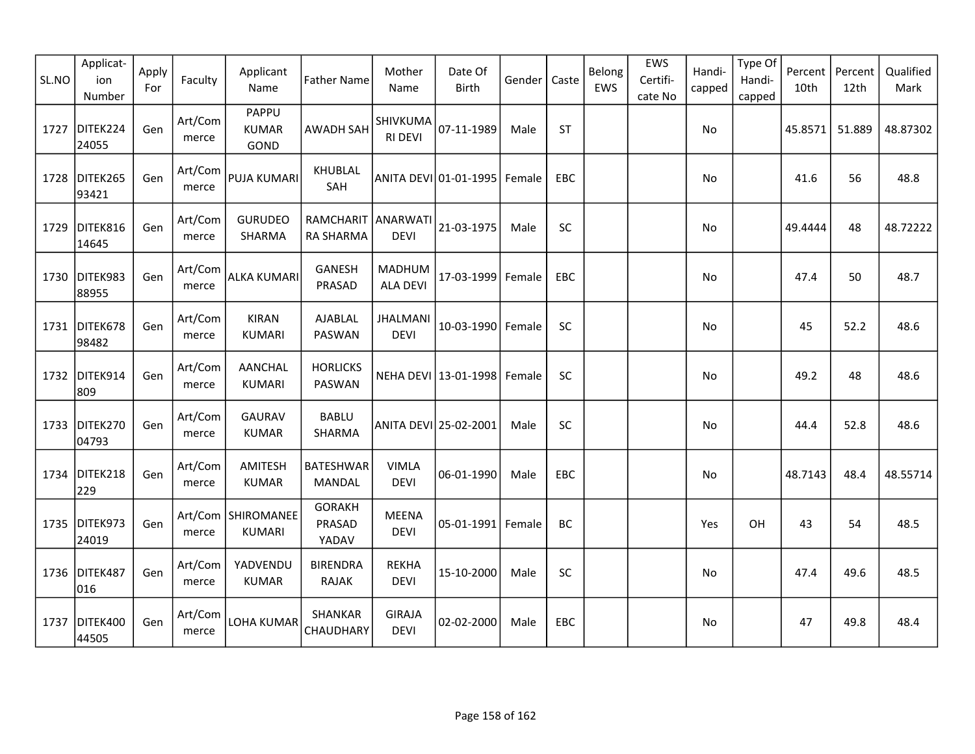| SL.NO | Applicat-<br>ion<br>Number | Apply<br>For | Faculty          | Applicant<br>Name               | <b>Father Name</b>                | Mother<br>Name               | Date Of<br><b>Birth</b>         | Gender | Caste      | Belong<br>EWS | EWS<br>Certifi-<br>cate No | Handi-<br>capped | Type Of<br>Handi-<br>capped | Percent<br>10th | Percent<br>12th | Qualified<br>Mark |
|-------|----------------------------|--------------|------------------|---------------------------------|-----------------------------------|------------------------------|---------------------------------|--------|------------|---------------|----------------------------|------------------|-----------------------------|-----------------|-----------------|-------------------|
| 1727  | DITEK224<br>24055          | Gen          | Art/Com<br>merce | PAPPU<br><b>KUMAR</b><br>GOND   | AWADH SAH                         | SHIVKUMA<br><b>RI DEVI</b>   | 07-11-1989                      | Male   | <b>ST</b>  |               |                            | No               |                             | 45.8571         | 51.889          | 48.87302          |
| 1728  | DITEK265<br>93421          | Gen          | Art/Com<br>merce | <b>PUJA KUMARI</b>              | KHUBLAL<br>SAH                    |                              | ANITA DEVI 01-01-1995 Female    |        | EBC        |               |                            | No               |                             | 41.6            | 56              | 48.8              |
| 1729  | DITEK816<br>14645          | Gen          | Art/Com<br>merce | <b>GURUDEO</b><br>SHARMA        | RAMCHARIT ANARWATI<br>RA SHARMA   | <b>DEVI</b>                  | 21-03-1975                      | Male   | <b>SC</b>  |               |                            | No               |                             | 49.4444         | 48              | 48.72222          |
|       | 1730 DITEK983<br>88955     | Gen          | Art/Com<br>merce | <b>ALKA KUMARI</b>              | <b>GANESH</b><br>PRASAD           | <b>MADHUM</b><br>ALA DEVI    | 17-03-1999                      | Female | EBC        |               |                            | No               |                             | 47.4            | 50              | 48.7              |
| 1731  | DITEK678<br>98482          | Gen          | Art/Com<br>merce | <b>KIRAN</b><br><b>KUMARI</b>   | AJABLAL<br><b>PASWAN</b>          | <b>JHALMANI</b><br>DEVI      | 10-03-1990                      | Female | SC         |               |                            | No               |                             | 45              | 52.2            | 48.6              |
| 1732  | DITEK914<br>809            | Gen          | Art/Com<br>merce | <b>AANCHAL</b><br><b>KUMARI</b> | <b>HORLICKS</b><br>PASWAN         |                              | NEHA DEVI   13-01-1998   Female |        | SC         |               |                            | No.              |                             | 49.2            | 48              | 48.6              |
| 1733  | DITEK270<br>04793          | Gen          | Art/Com<br>merce | <b>GAURAV</b><br><b>KUMAR</b>   | <b>BABLU</b><br>SHARMA            |                              | ANITA DEVI 25-02-2001           | Male   | SC         |               |                            | No               |                             | 44.4            | 52.8            | 48.6              |
| 1734  | DITEK218<br>229            | Gen          | Art/Com<br>merce | AMITESH<br><b>KUMAR</b>         | <b>BATESHWAR</b><br><b>MANDAL</b> | <b>VIMLA</b><br><b>DEVI</b>  | 06-01-1990                      | Male   | EBC        |               |                            | No               |                             | 48.7143         | 48.4            | 48.55714          |
|       | 1735 DITEK973<br>24019     | Gen          | merce            | Art/Com   SHIROMANEE<br>KUMARI  | <b>GORAKH</b><br>PRASAD<br>YADAV  | <b>MEENA</b><br><b>DEVI</b>  | $05 - 01 - 1991$                | Female | BC         |               |                            | Yes              | OH                          | 43              | 54              | 48.5              |
| 1736  | DITEK487<br>016            | Gen          | Art/Com<br>merce | YADVENDU<br><b>KUMAR</b>        | <b>BIRENDRA</b><br><b>RAJAK</b>   | <b>REKHA</b><br><b>DEVI</b>  | 15-10-2000                      | Male   | SC         |               |                            | No               |                             | 47.4            | 49.6            | 48.5              |
| 1737  | DITEK400<br>44505          | Gen          | Art/Com<br>merce | LOHA KUMAR                      | SHANKAR<br>CHAUDHARY              | <b>GIRAJA</b><br><b>DEVI</b> | 02-02-2000                      | Male   | <b>EBC</b> |               |                            | No               |                             | 47              | 49.8            | 48.4              |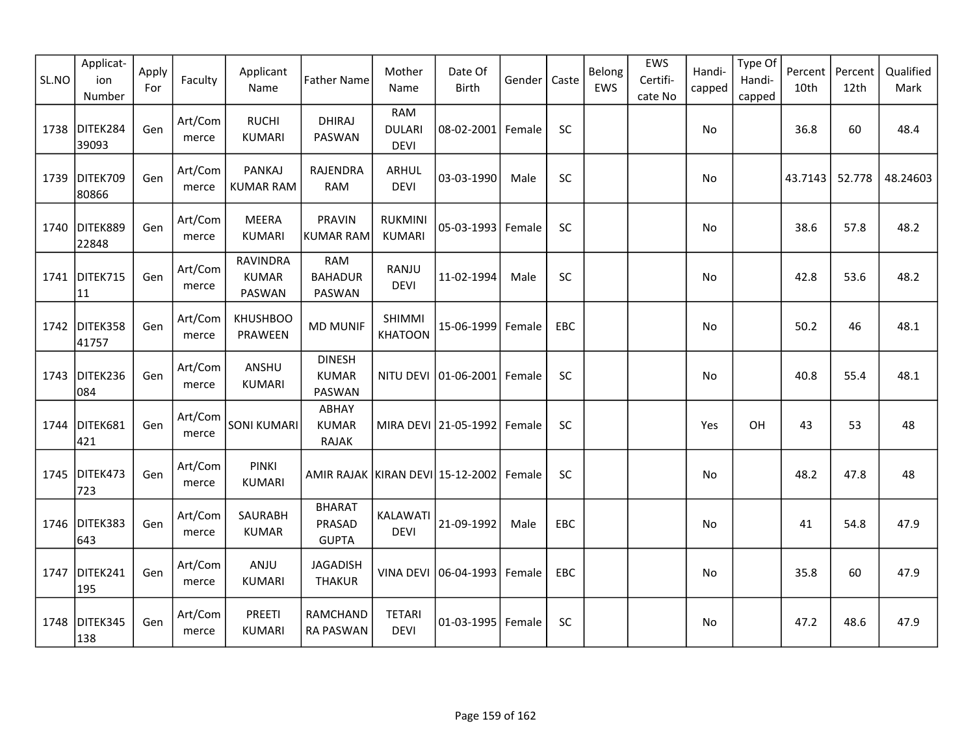| SL.NO | Applicat-<br>ion<br>Number | Apply<br>For | Faculty          | Applicant<br>Name                         | <b>Father Name</b>                      | Mother<br>Name                      | Date Of<br><b>Birth</b>         | Gender | Caste     | Belong<br>EWS | EWS<br>Certifi-<br>cate No | Handi-<br>capped | Type Of<br>Handi-<br>capped | Percent<br>10th | Percent<br>12th | Qualified<br>Mark |
|-------|----------------------------|--------------|------------------|-------------------------------------------|-----------------------------------------|-------------------------------------|---------------------------------|--------|-----------|---------------|----------------------------|------------------|-----------------------------|-----------------|-----------------|-------------------|
| 1738  | DITEK284<br>39093          | Gen          | Art/Com<br>merce | <b>RUCHI</b><br><b>KUMARI</b>             | <b>DHIRAJ</b><br><b>PASWAN</b>          | RAM<br><b>DULARI</b><br><b>DEVI</b> | 08-02-2001 Female               |        | <b>SC</b> |               |                            | No               |                             | 36.8            | 60              | 48.4              |
| 1739  | DITEK709<br>80866          | Gen          | Art/Com<br>merce | <b>PANKAJ</b><br><b>KUMAR RAM</b>         | RAJENDRA<br><b>RAM</b>                  | ARHUL<br><b>DEVI</b>                | 03-03-1990                      | Male   | <b>SC</b> |               |                            | No               |                             | 43.7143         | 52.778          | 48.24603          |
|       | 1740 DITEK889<br>22848     | Gen          | Art/Com<br>merce | <b>MEERA</b><br><b>KUMARI</b>             | <b>PRAVIN</b><br>KUMAR RAM              | <b>RUKMINI</b><br><b>KUMARI</b>     | 05-03-1993                      | Female | SC        |               |                            | No               |                             | 38.6            | 57.8            | 48.2              |
|       | 1741 DITEK715<br>11        | Gen          | Art/Com<br>merce | <b>RAVINDRA</b><br><b>KUMAR</b><br>PASWAN | <b>RAM</b><br><b>BAHADUR</b><br>PASWAN  | RANJU<br><b>DEVI</b>                | 11-02-1994                      | Male   | SC        |               |                            | No               |                             | 42.8            | 53.6            | 48.2              |
| 1742  | DITEK358<br>41757          | Gen          | Art/Com<br>merce | <b>KHUSHBOO</b><br>PRAWEEN                | <b>MD MUNIF</b>                         | <b>SHIMMI</b><br><b>KHATOON</b>     | 15-06-1999                      | Female | EBC       |               |                            | No               |                             | 50.2            | 46              | 48.1              |
| 1743  | DITEK236<br>084            | Gen          | Art/Com<br>merce | ANSHU<br><b>KUMARI</b>                    | <b>DINESH</b><br><b>KUMAR</b><br>PASWAN | NITU DEVI                           | $ 01 - 06 - 2001 $              | Female | <b>SC</b> |               |                            | No               |                             | 40.8            | 55.4            | 48.1              |
| 1744  | DITEK681<br>421            | Gen          | Art/Com<br>merce | SONI KUMARI                               | ABHAY<br><b>KUMAR</b><br><b>RAJAK</b>   |                                     | MIRA DEVI 21-05-1992            | Female | <b>SC</b> |               |                            | Yes              | OH                          | 43              | 53              | 48                |
|       | 1745 DITEK473<br>723       | Gen          | Art/Com<br>merce | <b>PINKI</b><br><b>KUMARI</b>             | AMIR RAJAK   KIRAN DEVI   15-12-2002    |                                     |                                 | Female | SC        |               |                            | No               |                             | 48.2            | 47.8            | 48                |
|       | 1746 DITEK383<br>643       | Gen          | Art/Com<br>merce | SAURABH<br><b>KUMAR</b>                   | <b>BHARAT</b><br>PRASAD<br><b>GUPTA</b> | KALAWATI<br><b>DEVI</b>             | 21-09-1992                      | Male   | EBC       |               |                            | No               |                             | 41              | 54.8            | 47.9              |
| 1747  | DITEK241<br>195            | Gen          | Art/Com<br>merce | ANJU<br><b>KUMARI</b>                     | <b>JAGADISH</b><br><b>THAKUR</b>        |                                     | VINA DEVI   06-04-1993   Female |        | EBC       |               |                            | No               |                             | 35.8            | 60              | 47.9              |
| 1748  | DITEK345<br>138            | Gen          | Art/Com<br>merce | PREETI<br><b>KUMARI</b>                   | RAMCHAND<br><b>RA PASWAN</b>            | <b>TETARI</b><br><b>DEVI</b>        | 01-03-1995                      | Female | SC        |               |                            | No               |                             | 47.2            | 48.6            | 47.9              |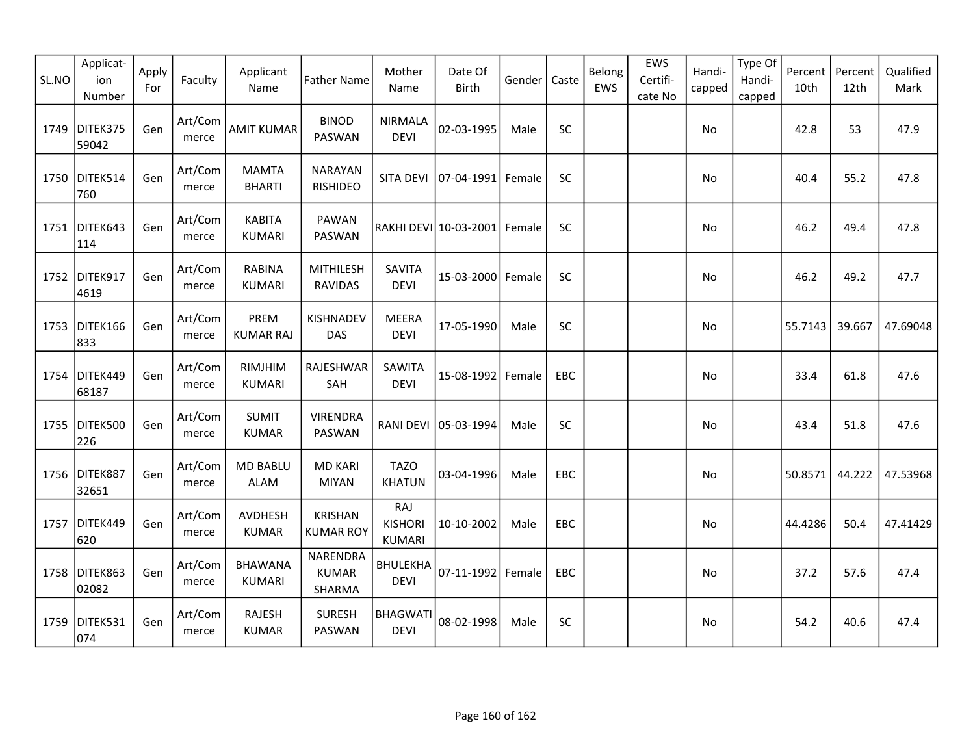| SL.NO | Applicat-<br>ion<br>Number | Apply<br>For | Faculty          | Applicant<br>Name               | <b>Father Name</b>                 | Mother<br>Name                         | Date Of<br><b>Birth</b> | Gender | Caste      | Belong<br>EWS | EWS<br>Certifi-<br>cate No | Handi-<br>capped | Type Of<br>Handi-<br>capped | Percent<br>10th | Percent<br>12th | Qualified<br>Mark |
|-------|----------------------------|--------------|------------------|---------------------------------|------------------------------------|----------------------------------------|-------------------------|--------|------------|---------------|----------------------------|------------------|-----------------------------|-----------------|-----------------|-------------------|
| 1749  | DITEK375<br>59042          | Gen          | Art/Com<br>merce | <b>AMIT KUMAR</b>               | <b>BINOD</b><br>PASWAN             | <b>NIRMALA</b><br><b>DEVI</b>          | 02-03-1995              | Male   | SC         |               |                            | No               |                             | 42.8            | 53              | 47.9              |
| 1750  | DITEK514<br>760            | Gen          | Art/Com<br>merce | <b>MAMTA</b><br><b>BHARTI</b>   | <b>NARAYAN</b><br><b>RISHIDEO</b>  | SITA DEVI                              | 07-04-1991              | Female | SC         |               |                            | No               |                             | 40.4            | 55.2            | 47.8              |
|       | 1751 DITEK643<br>114       | Gen          | Art/Com<br>merce | <b>KABITA</b><br><b>KUMARI</b>  | <b>PAWAN</b><br>PASWAN             |                                        | RAKHI DEVI 10-03-2001   | Female | SC         |               |                            | No               |                             | 46.2            | 49.4            | 47.8              |
|       | 1752 DITEK917<br>4619      | Gen          | Art/Com<br>merce | <b>RABINA</b><br><b>KUMARI</b>  | MITHILESH<br><b>RAVIDAS</b>        | <b>SAVITA</b><br><b>DEVI</b>           | 15-03-2000              | Female | SC         |               |                            | No               |                             | 46.2            | 49.2            | 47.7              |
| 1753  | DITEK166<br>833            | Gen          | Art/Com<br>merce | PREM<br><b>KUMAR RAJ</b>        | KISHNADEV<br><b>DAS</b>            | <b>MEERA</b><br><b>DEVI</b>            | 17-05-1990              | Male   | SC         |               |                            | No               |                             | 55.7143         | 39.667          | 47.69048          |
| 1754  | DITEK449<br>68187          | Gen          | Art/Com<br>merce | RIMJHIM<br><b>KUMARI</b>        | RAJESHWAR<br>SAH                   | SAWITA<br><b>DEVI</b>                  | 15-08-1992              | Female | EBC        |               |                            | No               |                             | 33.4            | 61.8            | 47.6              |
| 1755  | DITEK500<br>226            | Gen          | Art/Com<br>merce | <b>SUMIT</b><br><b>KUMAR</b>    | <b>VIRENDRA</b><br>PASWAN          | RANI DEVI                              | 05-03-1994              | Male   | SC         |               |                            | No               |                             | 43.4            | 51.8            | 47.6              |
|       | 1756 DITEK887<br>32651     | Gen          | Art/Com<br>merce | <b>MD BABLU</b><br><b>ALAM</b>  | <b>MD KARI</b><br><b>MIYAN</b>     | <b>TAZO</b><br><b>KHATUN</b>           | 03-04-1996              | Male   | <b>EBC</b> |               |                            | No               |                             | 50.8571         | 44.222          | 47.53968          |
| 1757  | DITEK449<br>620            | Gen          | Art/Com<br>merce | <b>AVDHESH</b><br><b>KUMAR</b>  | <b>KRISHAN</b><br><b>KUMAR ROY</b> | RAJ<br><b>KISHORI</b><br><b>KUMARI</b> | 10-10-2002              | Male   | EBC        |               |                            | No               |                             | 44.4286         | 50.4            | 47.41429          |
|       | 1758 DITEK863<br>02082     | Gen          | Art/Com<br>merce | <b>BHAWANA</b><br><b>KUMARI</b> | NARENDRA<br><b>KUMAR</b><br>SHARMA | <b>BHULEKHA</b><br><b>DEVI</b>         | 07-11-1992              | Female | EBC        |               |                            | No               |                             | 37.2            | 57.6            | 47.4              |
| 1759  | DITEK531<br>074            | Gen          | Art/Com<br>merce | <b>RAJESH</b><br><b>KUMAR</b>   | <b>SURESH</b><br>PASWAN            | <b>BHAGWATI</b><br><b>DEVI</b>         | 08-02-1998              | Male   | SC         |               |                            | No               |                             | 54.2            | 40.6            | 47.4              |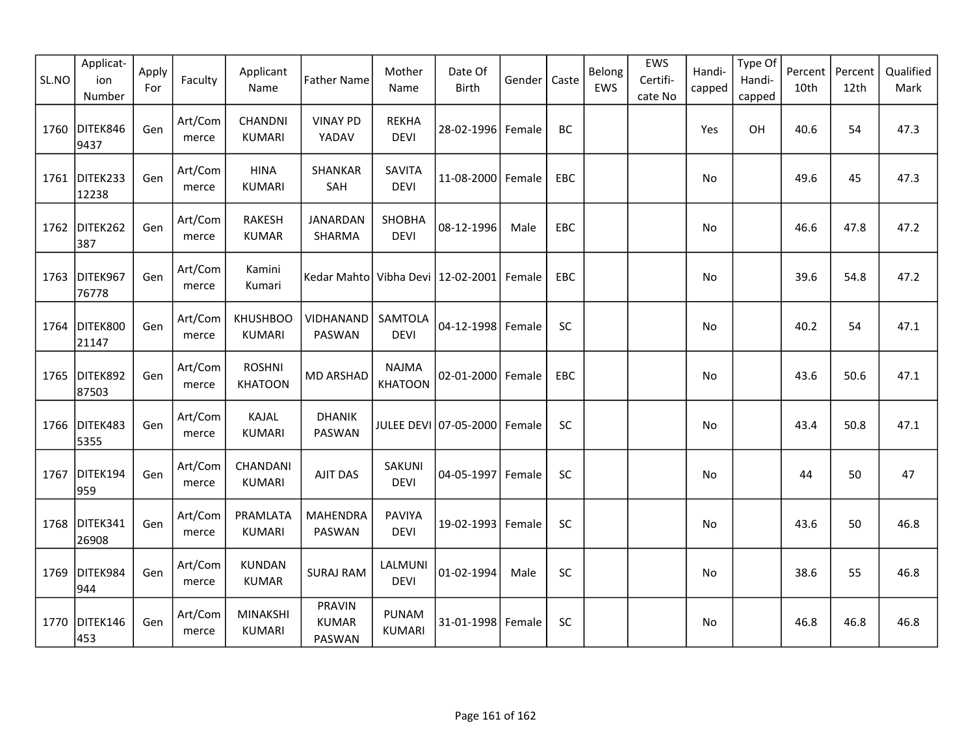| SL.NO | Applicat-<br>ion<br>Number | Apply<br>For | Faculty          | Applicant<br>Name                | <b>Father Name</b>                      | Mother<br>Name                 | Date Of<br><b>Birth</b> | Gender | Caste      | Belong<br>EWS | EWS<br>Certifi-<br>cate No | Handi-<br>capped | Type Of<br>Handi-<br>capped | Percent<br>10th | Percent<br>12th | Qualified<br>Mark |
|-------|----------------------------|--------------|------------------|----------------------------------|-----------------------------------------|--------------------------------|-------------------------|--------|------------|---------------|----------------------------|------------------|-----------------------------|-----------------|-----------------|-------------------|
|       | 1760 DITEK846<br>9437      | Gen          | Art/Com<br>merce | CHANDNI<br><b>KUMARI</b>         | <b>VINAY PD</b><br>YADAV                | <b>REKHA</b><br><b>DEVI</b>    | 28-02-1996 Female       |        | <b>BC</b>  |               |                            | Yes              | OH                          | 40.6            | 54              | 47.3              |
|       | 1761 DITEK233<br>12238     | Gen          | Art/Com<br>merce | <b>HINA</b><br><b>KUMARI</b>     | SHANKAR<br>SAH                          | <b>SAVITA</b><br><b>DEVI</b>   | 11-08-2000              | Female | <b>EBC</b> |               |                            | No               |                             | 49.6            | 45              | 47.3              |
|       | 1762 DITEK262<br>387       | Gen          | Art/Com<br>merce | <b>RAKESH</b><br><b>KUMAR</b>    | <b>JANARDAN</b><br>SHARMA               | <b>SHOBHA</b><br><b>DEVI</b>   | 08-12-1996              | Male   | <b>EBC</b> |               |                            | No               |                             | 46.6            | 47.8            | 47.2              |
|       | 1763 DITEK967<br>76778     | Gen          | Art/Com<br>merce | Kamini<br>Kumari                 | Kedar Mahto  Vibha Devi   12-02-2001    |                                |                         | Female | EBC        |               |                            | No               |                             | 39.6            | 54.8            | 47.2              |
| 1764  | DITEK800<br>21147          | Gen          | Art/Com<br>merce | <b>KHUSHBOO</b><br><b>KUMARI</b> | VIDHANAND<br>PASWAN                     | SAMTOLA<br><b>DEVI</b>         | 04-12-1998              | Female | SC         |               |                            | No.              |                             | 40.2            | 54              | 47.1              |
| 1765  | DITEK892<br>87503          | Gen          | Art/Com<br>merce | <b>ROSHNI</b><br><b>KHATOON</b>  | <b>MD ARSHAD</b>                        | <b>NAJMA</b><br><b>KHATOON</b> | 02-01-2000 Female       |        | EBC        |               |                            | No               |                             | 43.6            | 50.6            | 47.1              |
|       | 1766 DITEK483<br>5355      | Gen          | Art/Com<br>merce | KAJAL<br><b>KUMARI</b>           | <b>DHANIK</b><br>PASWAN                 |                                | JULEE DEVI 07-05-2000   | Female | SC         |               |                            | No               |                             | 43.4            | 50.8            | 47.1              |
| 1767  | DITEK194<br>959            | Gen          | Art/Com<br>merce | CHANDANI<br><b>KUMARI</b>        | <b>AJIT DAS</b>                         | SAKUNI<br><b>DEVI</b>          | 04-05-1997              | Female | SC         |               |                            | No               |                             | 44              | 50              | 47                |
| 1768  | DITEK341<br>26908          | Gen          | Art/Com<br>merce | PRAMLATA<br><b>KUMARI</b>        | <b>MAHENDRA</b><br>PASWAN               | <b>PAVIYA</b><br><b>DEVI</b>   | 19-02-1993              | Female | SC         |               |                            | No               |                             | 43.6            | 50              | 46.8              |
| 1769  | DITEK984<br>944            | Gen          | Art/Com<br>merce | <b>KUNDAN</b><br><b>KUMAR</b>    | <b>SURAJ RAM</b>                        | LALMUNI<br><b>DEVI</b>         | 01-02-1994              | Male   | SC         |               |                            | No               |                             | 38.6            | 55              | 46.8              |
|       | 1770 DITEK146<br>453       | Gen          | Art/Com<br>merce | <b>MINAKSHI</b><br><b>KUMARI</b> | <b>PRAVIN</b><br><b>KUMAR</b><br>PASWAN | PUNAM<br><b>KUMARI</b>         | 31-01-1998              | Female | SC         |               |                            | No               |                             | 46.8            | 46.8            | 46.8              |